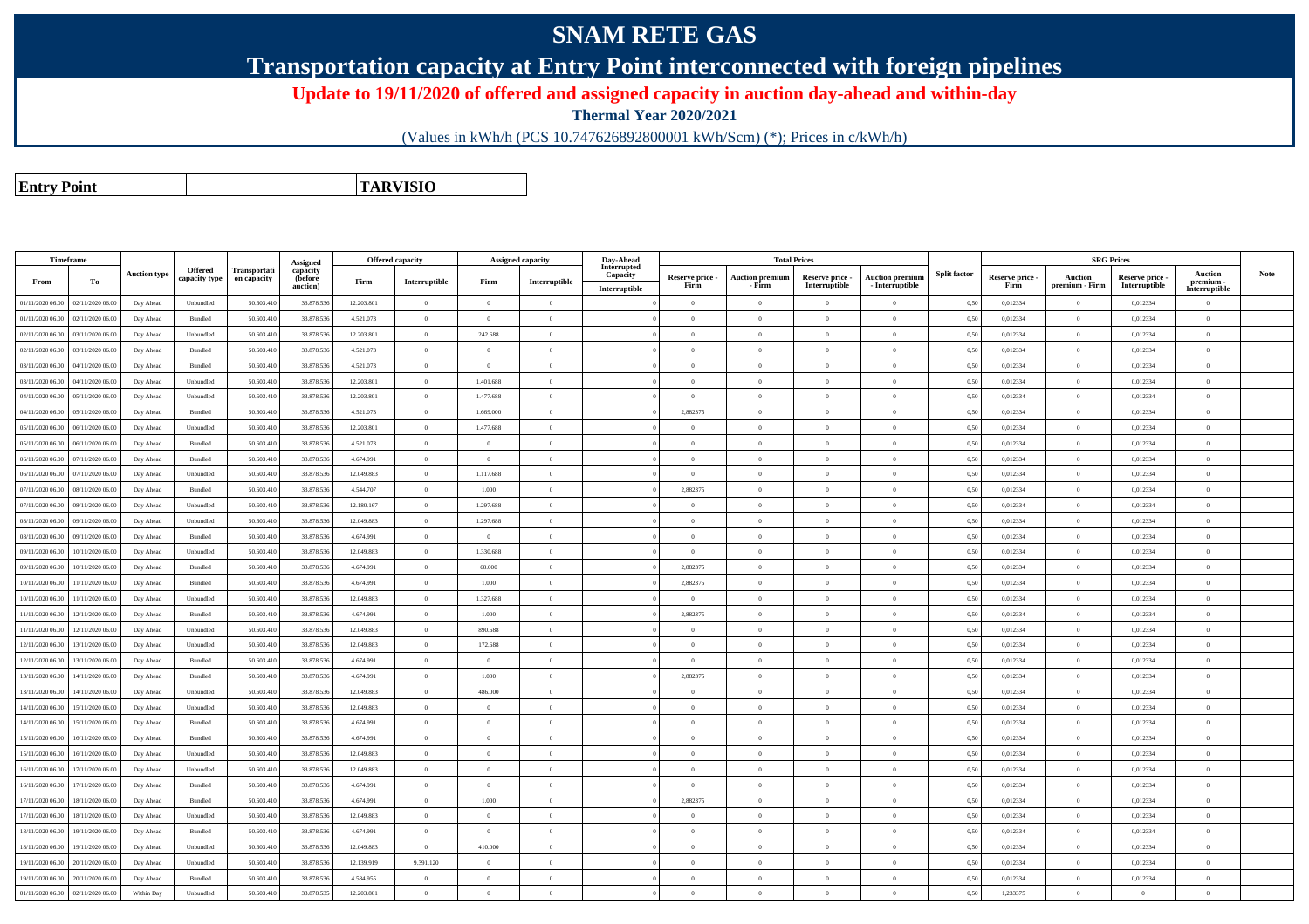## **SNAM RETE GAS**

**Transportation capacity at Entry Point interconnected with foreign pipelines**

**Update to 19/11/2020 of offered and assigned capacity in auction day-ahead and within-day**

**Thermal Year 2020/2021**

(Values in kWh/h (PCS 10.747626892800001 kWh/Scm) (\*); Prices in c/kWh/h)

**Entry PointTARVISIO**

|                  | Timeframe        |                     |                |              |                      |            | <b>Offered capacity</b> |                | <b>Assigned capacity</b> | Day-Ahead               |                 |                        | <b>Total Prices</b> |                        |                     |                 |                | <b>SRG Prices</b>                |                          |      |
|------------------|------------------|---------------------|----------------|--------------|----------------------|------------|-------------------------|----------------|--------------------------|-------------------------|-----------------|------------------------|---------------------|------------------------|---------------------|-----------------|----------------|----------------------------------|--------------------------|------|
|                  |                  | <b>Auction type</b> | <b>Offered</b> | Transportati | Assigned<br>capacity |            |                         |                |                          | Interrupted<br>Capacity | Reserve price - | <b>Auction premium</b> | Reserve price -     | <b>Auction premium</b> | <b>Split factor</b> | Reserve price - | <b>Auction</b> |                                  | <b>Auction</b>           | Note |
| From             | Тo               |                     | capacity type  | on capacity  | (before<br>auction)  | Firm       | Interruptible           | Firm           | Interruptible            | Interruptible           | Firm            | - Firm                 | Interruptible       | - Interruptible        |                     | Firm            | premium - Firm | Reserve price -<br>Interruptible | premium<br>Interruptible |      |
| 01/11/2020 06.00 | 02/11/2020 06.00 | Day Ahead           | Unbundled      | 50.603.41    | 33.878.536           | 12.203.801 | $\overline{0}$          | $\overline{0}$ | $\overline{0}$           |                         | $\overline{0}$  | $\overline{0}$         | $\overline{0}$      | $\theta$               | 0,50                | 0,012334        | $\overline{0}$ | 0,012334                         | $\mathbf{0}$             |      |
| 01/11/2020 06.00 | 02/11/2020 06.00 | Day Ahead           | Bundled        | 50.603.41    | 33.878.53            | 4.521.073  | $\overline{0}$          | $\overline{0}$ | $\overline{0}$           |                         | $\overline{0}$  | $\overline{0}$         | $\theta$            | $\overline{0}$         | 0,50                | 0.012334        | $\overline{0}$ | 0,012334                         | $\overline{0}$           |      |
| 02/11/2020 06.00 | 03/11/2020 06.00 | Day Ahead           | Unbundled      | 50.603.41    | 33.878.536           | 12.203.801 | $\theta$                | 242.688        | $\overline{0}$           |                         | $\overline{0}$  | $\overline{0}$         | $\Omega$            | $\theta$               | 0,50                | 0,012334        | $\overline{0}$ | 0,012334                         | $\mathbf{0}$             |      |
| 02/11/2020 06.00 | 03/11/2020 06.00 | Day Ahead           | Bundled        | 50.603.41    | 33.878.536           | 4.521.073  | $\overline{0}$          | $\Omega$       | $\overline{0}$           |                         | $\Omega$        | $\theta$               | $\Omega$            | $\theta$               | 0,50                | 0,012334        | $\overline{0}$ | 0,012334                         | $\overline{0}$           |      |
| 03/11/2020 06.00 | 04/11/2020 06.00 | Day Ahead           | Bundled        | 50.603.41    | 33.878.536           | 4.521.073  | $\overline{0}$          | $\theta$       | $\overline{0}$           |                         | $\overline{0}$  | $\overline{0}$         | $\Omega$            | $\overline{0}$         | 0,50                | 0,012334        | $\overline{0}$ | 0,012334                         | $\mathbf{0}$             |      |
| 03/11/2020 06.00 | 04/11/2020 06.00 | Day Ahead           | Unbundled      | 50 603 41    | 33.878.536           | 12.203.801 | $\overline{0}$          | 1.401.688      | $\overline{0}$           |                         | $\Omega$        | $\theta$               | $\Omega$            | $\theta$               | 0,50                | 0,012334        | $\overline{0}$ | 0,012334                         | $\mathbf{0}$             |      |
| 04/11/2020 06.00 | 05/11/2020 06.00 | Day Ahead           | Unbundled      | 50,603.41    | 33.878.536           | 12.203.801 | $\overline{0}$          | 1.477.688      | $\overline{0}$           |                         | $\Omega$        | $\theta$               | $\theta$            | $\sqrt{2}$             | 0,50                | 0,012334        | $\overline{0}$ | 0,012334                         | $\mathbf{0}$             |      |
| 04/11/2020 06.00 | 05/11/2020 06.00 | Day Ahead           | Bundled        | 50.603.41    | 33.878.536           | 4.521.073  | $\overline{0}$          | 1.669.000      | $\overline{0}$           |                         | 2,882375        | $\overline{0}$         | $\theta$            | $\bf{0}$               | 0,50                | 0,012334        | $\overline{0}$ | 0,012334                         | $\mathbf{0}$             |      |
| 05/11/2020 06.00 | 06/11/2020 06.00 | Day Ahead           | Unbundled      | 50.603.41    | 33.878.536           | 12.203.801 | $\overline{0}$          | 1.477.688      | $\overline{0}$           |                         | $\overline{0}$  | $\overline{0}$         | $\theta$            | $\overline{0}$         | 0,50                | 0,012334        | $\overline{0}$ | 0,012334                         | $\mathbf{0}$             |      |
| 05/11/2020 06.00 | 06/11/2020 06.00 | Day Ahead           | Bundled        | 50.603.41    | 33.878.536           | 4.521.073  | $\overline{0}$          | $\overline{0}$ | $\overline{0}$           |                         | $\theta$        | $\overline{0}$         | $\theta$            | $\overline{0}$         | 0,50                | 0,012334        | $\overline{0}$ | 0,012334                         | $\mathbf{0}$             |      |
| 06/11/2020 06.00 | 07/11/2020 06.00 | Day Ahead           | Bundled        | 50.603.41    | 33.878.536           | 4.674.991  | $\overline{0}$          | $\Omega$       | $\overline{0}$           |                         | $\overline{0}$  | $\overline{0}$         | $\Omega$            | $\theta$               | 0,50                | 0,012334        | $\overline{0}$ | 0,012334                         | $\mathbf{0}$             |      |
| 06/11/2020 06.00 | 07/11/2020 06.00 | Day Ahead           | Unbundled      | 50.603.41    | 33,878,536           | 12.049.883 | $\overline{0}$          | 1.117.688      | $\theta$                 |                         | $\Omega$        | $\theta$               | $\theta$            | $\theta$               | 0,50                | 0.012334        | $\overline{0}$ | 0.012334                         | $\overline{0}$           |      |
| 07/11/2020 06.00 | 08/11/2020 06.00 | Day Ahead           | Bundled        | 50,603.41    | 33.878.536           | 4.544.707  | $\overline{0}$          | 1.000          | $\Omega$                 |                         | 2,882375        | $\Omega$               | $\Omega$            | $\mathbf{a}$           | 0,50                | 0,012334        | $\theta$       | 0,012334                         | $\theta$                 |      |
| 07/11/2020 06.00 | 08/11/2020 06.00 | Day Ahead           | Unbundled      | 50.603.41    | 33.878.536           | 12.180.167 | $\overline{0}$          | 1.297.688      | $\overline{0}$           |                         | $\overline{0}$  | $\overline{0}$         | $\overline{0}$      | $\overline{0}$         | 0,50                | 0,012334        | $\,$ 0 $\,$    | 0,012334                         | $\mathbf{0}$             |      |
| 08/11/2020 06.00 | 09/11/2020 06.00 | Day Ahead           | Unbundled      | 50.603.41    | 33.878.536           | 12,049,883 | $\overline{0}$          | 1.297.688      | $\overline{0}$           |                         | $\overline{0}$  | $\overline{0}$         | $\overline{0}$      | $\bf{0}$               | 0,50                | 0,012334        | $\overline{0}$ | 0,012334                         | $\,$ 0 $\,$              |      |
| 08/11/2020 06.00 | 09/11/2020 06.00 | Day Ahead           | Bundled        | 50.603.41    | 33.878.53            | 4.674.991  | $\overline{0}$          | $\overline{0}$ | $\overline{0}$           |                         | $\overline{0}$  | $\overline{0}$         | $\theta$            | $\theta$               | 0,50                | 0,012334        | $\overline{0}$ | 0,012334                         | $\overline{0}$           |      |
| 09/11/2020 06.00 | 10/11/2020 06.00 | Day Ahead           | Unbundled      | 50.603.41    | 33.878.536           | 12.049.883 | $\overline{0}$          | 1.330.688      | $\overline{0}$           |                         | $\overline{0}$  | $\overline{0}$         | $\theta$            | $\overline{0}$         | 0,50                | 0,012334        | $\overline{0}$ | 0,012334                         | $\mathbf{0}$             |      |
| 09/11/2020 06.00 | 10/11/2020 06.00 | Day Ahead           | Bundled        | 50.603.41    | 33.878.536           | 4.674.991  | $\overline{0}$          | 60.000         | $\Omega$                 |                         | 2,882375        | $\theta$               | $\Omega$            | $\theta$               | 0,50                | 0,012334        | $\theta$       | 0,012334                         | $\overline{0}$           |      |
| 10/11/2020 06:00 | 11/11/2020 06.00 | Day Ahead           | <b>Bundled</b> | 50,603.41    | 33,878,536           | 4.674.991  | $\overline{0}$          | 1.000          | $\theta$                 |                         | 2.882375        | $\theta$               | $\theta$            | $\theta$               | 0.50                | 0.012334        | $\overline{0}$ | 0.012334                         | $\overline{0}$           |      |
| 10/11/2020 06:00 | 1/11/2020 06.00  | Day Ahead           | Unbundled      | 50.603.41    | 33.878.536           | 12.049.883 | $\overline{0}$          | 1.327.688      | $\overline{0}$           |                         | $\overline{0}$  | $\overline{0}$         | $\theta$            | $\overline{0}$         | 0,50                | 0,012334        | $\overline{0}$ | 0,012334                         | $\mathbf{0}$             |      |
| 11/11/2020 06.00 | 12/11/2020 06.00 | Day Ahead           | Bundled        | 50.603.41    | 33.878.536           | 4.674.991  | $\,$ 0 $\,$             | 1.000          | $\overline{0}$           |                         | 2,882375        | $\theta$               | $\theta$            | $\theta$               | 0,50                | 0,012334        | $\,$ 0 $\,$    | 0,012334                         | $\mathbf{0}$             |      |
| 11/11/2020 06.00 | 12/11/2020 06.00 | Day Ahead           | Unbundled      | 50.603.41    | 33.878.536           | 12.049.883 | $\overline{0}$          | 890.688        | $\overline{0}$           |                         | $\Omega$        | $\theta$               | $\theta$            | $\sqrt{2}$             | 0,50                | 0,012334        | $\overline{0}$ | 0,012334                         | $\overline{0}$           |      |
| 12/11/2020 06.00 | 13/11/2020 06.00 | Day Ahead           | Unbundled      | 50.603.41    | 33.878.536           | 12.049.883 | $\overline{0}$          | 172.688        | $\Omega$                 |                         | $\Omega$        | $\theta$               | $\Omega$            | $\sqrt{2}$             | 0,50                | 0,012334        | $\overline{0}$ | 0,012334                         | $\mathbf{0}$             |      |
| 12/11/2020 06.00 | 13/11/2020 06.00 | Day Ahead           | Bundled        | 50.603.41    | 33.878.536           | 4.674.991  | $\overline{0}$          | $\Omega$       | $\overline{0}$           |                         | $\overline{0}$  | $\overline{0}$         | $\overline{0}$      | $\theta$               | 0,50                | 0,012334        | $\overline{0}$ | 0,012334                         | $\mathbf{0}$             |      |
| 13/11/2020 06:00 | 14/11/2020 06.00 | Day Ahead           | Bundled        | 50.603.41    | 33.878.53            | 4.674.991  | $\overline{0}$          | 1.000          | $\Omega$                 |                         | 2,882375        | $\theta$               | $\theta$            | $\theta$               | 0,50                | 0,012334        | $\overline{0}$ | 0,012334                         | $\overline{0}$           |      |
| 13/11/2020 06:00 | 14/11/2020 06.00 | Day Ahead           | Unbundled      | 50.603.41    | 33.878.536           | 12.049.883 | $\overline{0}$          | 486.000        | $\overline{0}$           |                         | $\overline{0}$  | $\overline{0}$         | $\theta$            | $\overline{0}$         | 0,50                | 0,012334        | $\overline{0}$ | 0,012334                         | $\mathbf{0}$             |      |
| 14/11/2020 06:00 | 15/11/2020 06.00 | Day Ahead           | Unbundled      | 50.603.41    | 33.878.536           | 12.049.883 | $\overline{0}$          |                | $\theta$                 |                         | $\Omega$        | $\theta$               | $\Omega$            | $\theta$               | 0,50                | 0,012334        | $\Omega$       | 0,012334                         | $\overline{0}$           |      |
| 14/11/2020 06.00 | 15/11/2020 06.00 | Day Ahead           | <b>Bundled</b> | 50.603.41    | 33.878.536           | 4.674.991  | $\overline{0}$          | $\theta$       | $\Omega$                 |                         | $\overline{0}$  | $\theta$               | $\Omega$            | $\theta$               | 0,50                | 0,012334        | $\overline{0}$ | 0,012334                         | $\mathbf{0}$             |      |
| 15/11/2020 06:00 | 16/11/2020 06.00 | Day Ahead           | <b>Bundled</b> | 50,603.41    | 33,878,536           | 4.674.991  | $\overline{0}$          | $\Omega$       | $\overline{0}$           |                         | $\Omega$        | $\theta$               | $\theta$            | $\theta$               | 0,50                | 0.012334        | $\overline{0}$ | 0,012334                         | $\mathbf{0}$             |      |
| 15/11/2020 06.00 | 16/11/2020 06.00 | Day Ahead           | Unbundled      | 50,603.41    | 33.878.536           | 12.049.883 | $\overline{0}$          | $\Omega$       | $\overline{0}$           |                         | $\Omega$        | $\theta$               | $\theta$            | $\sqrt{2}$             | 0,50                | 0,012334        | $\overline{0}$ | 0.012334                         | $\theta$                 |      |
| 16/11/2020 06.00 | 17/11/2020 06.00 | Day Ahead           | Unbundled      | 50.603.41    | 33.878.536           | 12.049.883 | $\overline{0}$          | $\Omega$       | $\Omega$                 |                         | $\Omega$        | $\theta$               | $\theta$            | $\theta$               | 0,50                | 0,012334        | $\overline{0}$ | 0,012334                         | $\mathbf{0}$             |      |
| 16/11/2020 06.00 | 17/11/2020 06.00 | Day Ahead           | Bundled        | 50.603.41    | 33.878.536           | 4.674.991  | $\,$ 0 $\,$             | $\Omega$       | $\overline{0}$           |                         | $\overline{0}$  | $\bf{0}$               | $\theta$            | $\theta$               | 0,50                | 0,012334        | $\overline{0}$ | 0,012334                         | $\mathbf{0}$             |      |
| 17/11/2020 06.00 | 18/11/2020 06.00 | Day Ahead           | Bundled        | 50.603.41    | 33.878.536           | 4.674.991  | $\overline{0}$          | 1.000          | $\overline{0}$           |                         | 2,882375        | $\overline{0}$         | $\theta$            | $\overline{0}$         | 0,50                | 0,012334        | $\overline{0}$ | 0,012334                         | $\mathbf{0}$             |      |
| 17/11/2020 06.00 | 18/11/2020 06.00 | Day Ahead           | Unbundled      | 50.603.41    | 33.878.536           | 12.049.883 | $\overline{0}$          | $\Omega$       | $\overline{0}$           |                         | $\Omega$        | $\overline{0}$         | $\Omega$            | $\theta$               | 0,50                | 0,012334        | $\overline{0}$ | 0,012334                         | $\overline{0}$           |      |
| 18/11/2020 06:00 | 19/11/2020 06.00 | Day Ahead           | Bundled        | 50.603.41    | 33.878.536           | 4.674.991  | $\overline{0}$          | $\theta$       | $\overline{0}$           |                         | $\Omega$        | $\theta$               | $\theta$            | $\theta$               | 0,50                | 0,012334        | $\overline{0}$ | 0,012334                         | $\mathbf{0}$             |      |
| 18/11/2020 06:00 | 19/11/2020 06.00 | Day Ahead           | Unbundled      | 50,603.41    | 33,878,536           | 12.049.883 | $\Omega$                | 410,000        | $\Omega$                 |                         | $\Omega$        | $\theta$               | $\theta$            | $\Omega$               | 0.50                | 0.012334        | $\Omega$       | 0.012334                         | $\theta$                 |      |
| 19/11/2020 06.00 | 20/11/2020 06.00 | Day Ahead           | Unbundled      | 50.603.41    | 33.878.536           | 12.139.919 | 9.391.120               | $\Omega$       | $\theta$                 |                         | $\Omega$        | $\theta$               | $\Omega$            | $\theta$               | 0,50                | 0,012334        | $\overline{0}$ | 0,012334                         | $\mathbf{0}$             |      |
| 19/11/2020 06.00 | 20/11/2020 06.00 | Day Ahead           | Bundled        | 50.603.41    | 33.878.536           | 4.584.955  | $\overline{0}$          | $\Omega$       | $\overline{0}$           |                         | $\overline{0}$  | $\overline{0}$         | $\theta$            | $\theta$               | 0,50                | 0,012334        | $\overline{0}$ | 0,012334                         | $\,$ 0 $\,$              |      |
| 01/11/2020 06:00 | 02/11/2020 06.00 | Within Day          | Unbundled      | 50.603.410   | 33.878.535           | 12.203.801 | $\overline{0}$          | $\Omega$       | $\Omega$                 |                         | $\Omega$        | $\theta$               | $\theta$            | $\theta$               | 0,50                | 1,233375        | $\Omega$       | $\Omega$                         | $\theta$                 |      |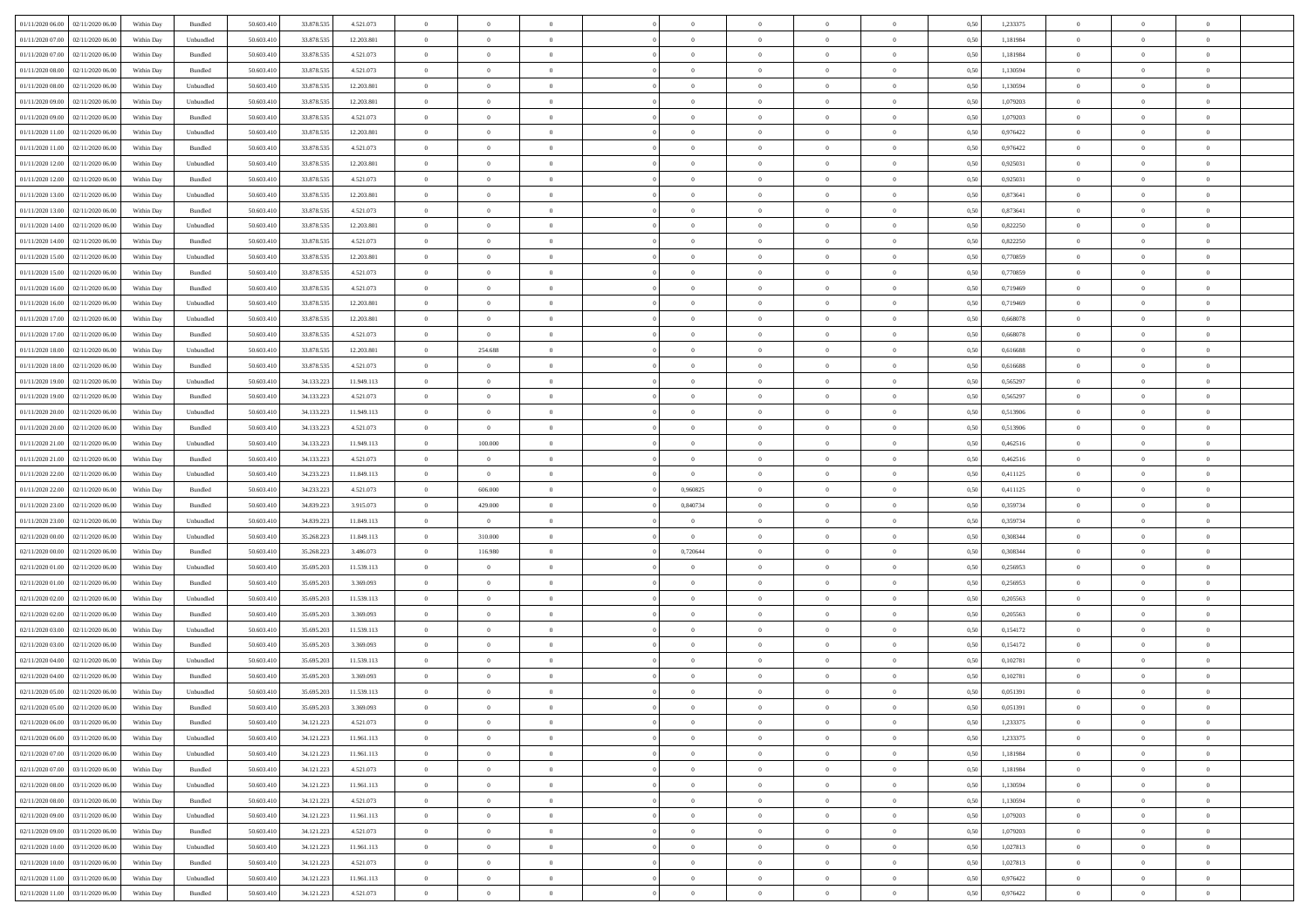| 01/11/2020 06.00 | 02/11/2020 06:00                  | Within Day | Bundled            | 50.603.410 | 33.878.535 | 4.521.073  | $\overline{0}$ | $\theta$       |                | $\overline{0}$ | $\bf{0}$       | $\overline{0}$ | $\theta$       | 0,50 | 1,233375 | $\theta$       | $\theta$       | $\overline{0}$           |  |
|------------------|-----------------------------------|------------|--------------------|------------|------------|------------|----------------|----------------|----------------|----------------|----------------|----------------|----------------|------|----------|----------------|----------------|--------------------------|--|
| 01/11/2020 07.00 | 02/11/2020 06.00                  | Within Day | Unbundled          | 50.603.41  | 33.878.535 | 12.203.801 | $\overline{0}$ | $\overline{0}$ | $\overline{0}$ | $\overline{0}$ | $\,$ 0         | $\overline{0}$ | $\bf{0}$       | 0,50 | 1,181984 | $\,$ 0 $\,$    | $\overline{0}$ | $\overline{0}$           |  |
|                  |                                   |            |                    |            |            |            |                |                |                |                |                |                |                |      |          |                |                |                          |  |
| 01/11/2020 07:00 | 02/11/2020 06:00                  | Within Day | Bundled            | 50.603.410 | 33.878.535 | 4.521.073  | $\overline{0}$ | $\overline{0}$ | $\overline{0}$ | $\overline{0}$ | $\bf{0}$       | $\overline{0}$ | $\mathbf{0}$   | 0.50 | 1.181984 | $\bf{0}$       | $\overline{0}$ | $\overline{0}$           |  |
| 01/11/2020 08:00 | 02/11/2020 06.00                  | Within Day | Bundled            | 50.603.410 | 33.878.535 | 4.521.073  | $\overline{0}$ | $\overline{0}$ | $\overline{0}$ | $\overline{0}$ | $\,$ 0         | $\overline{0}$ | $\overline{0}$ | 0,50 | 1,130594 | $\,$ 0 $\,$    | $\overline{0}$ | $\overline{0}$           |  |
| 01/11/2020 08:00 | 02/11/2020 06.00                  | Within Day | Unbundled          | 50.603.41  | 33.878.535 | 12.203.801 | $\overline{0}$ | $\theta$       | $\overline{0}$ |                | $\bf{0}$       | $\overline{0}$ | $\bf{0}$       | 0,50 | 1,130594 | $\,$ 0 $\,$    | $\overline{0}$ | $\overline{0}$           |  |
| 01/11/2020 09:00 | 02/11/2020 06:00                  | Within Day | Unbundled          | 50.603.410 | 33.878.535 | 12.203.801 | $\overline{0}$ | $\overline{0}$ | $\overline{0}$ | $\overline{0}$ | $\bf{0}$       | $\overline{0}$ | $\bf{0}$       | 0.50 | 1.079203 | $\,0\,$        | $\theta$       | $\overline{0}$           |  |
| 01/11/2020 09:00 | 02/11/2020 06.00                  | Within Day | Bundled            | 50.603.410 | 33.878.535 | 4.521.073  | $\overline{0}$ | $\overline{0}$ | $\overline{0}$ | $\overline{0}$ | $\,$ 0         | $\overline{0}$ | $\overline{0}$ | 0,50 | 1,079203 | $\,0\,$        | $\theta$       | $\overline{0}$           |  |
| 01/11/2020 11:00 | 02/11/2020 06.00                  | Within Day | Unbundled          | 50.603.41  | 33.878.535 | 12.203.801 | $\overline{0}$ | $\theta$       | $\overline{0}$ | $\overline{0}$ | $\,$ 0         | $\bf{0}$       | $\bf{0}$       | 0,50 | 0,976422 | $\,$ 0 $\,$    | $\overline{0}$ | $\overline{0}$           |  |
| 01/11/2020 11:00 | 02/11/2020 06:00                  | Within Day | Bundled            | 50.603.410 | 33.878.535 | 4.521.073  | $\overline{0}$ | $\overline{0}$ | $\overline{0}$ | $\overline{0}$ | $\bf{0}$       | $\overline{0}$ | $\bf{0}$       | 0.50 | 0.976422 | $\,0\,$        | $\overline{0}$ | $\overline{0}$           |  |
| 01/11/2020 12.00 | 02/11/2020 06.00                  | Within Day | Unbundled          | 50.603.410 | 33.878.535 | 12.203.801 | $\overline{0}$ | $\overline{0}$ | $\overline{0}$ | $\overline{0}$ | $\bf{0}$       | $\overline{0}$ | $\bf{0}$       | 0,50 | 0,925031 | $\,$ 0 $\,$    | $\overline{0}$ | $\overline{0}$           |  |
| 01/11/2020 12:00 | 02/11/2020 06.00                  | Within Day | Bundled            | 50.603.41  | 33.878.535 | 4.521.073  | $\bf{0}$       | $\theta$       | $\overline{0}$ | $\overline{0}$ | $\,$ 0         | $\overline{0}$ | $\bf{0}$       | 0,50 | 0,925031 | $\,$ 0 $\,$    | $\overline{0}$ | $\overline{0}$           |  |
| 01/11/2020 13:00 | 02/11/2020 06:00                  | Within Day | Unbundled          | 50.603.410 | 33.878.535 | 12.203.801 | $\overline{0}$ | $\overline{0}$ | $\overline{0}$ | $\overline{0}$ | $\bf{0}$       | $\overline{0}$ | $\mathbf{0}$   | 0.50 | 0.873641 | $\bf{0}$       | $\overline{0}$ | $\bf{0}$                 |  |
| 01/11/2020 13:00 | 02/11/2020 06.00                  | Within Day | Bundled            | 50.603.410 | 33.878.535 | 4.521.073  | $\overline{0}$ | $\overline{0}$ | $\overline{0}$ | $\overline{0}$ | $\,$ 0         | $\overline{0}$ | $\overline{0}$ | 0,50 | 0,873641 | $\,$ 0 $\,$    | $\overline{0}$ | $\overline{0}$           |  |
|                  |                                   |            |                    |            |            |            |                |                |                |                |                |                |                |      |          |                |                |                          |  |
| 01/11/2020 14.00 | 02/11/2020 06.00                  | Within Day | Unbundled          | 50.603.41  | 33.878.535 | 12.203.801 | $\overline{0}$ | $\theta$       | $\overline{0}$ |                | $\bf{0}$       | $\overline{0}$ | $\bf{0}$       | 0,50 | 0,822250 | $\,$ 0 $\,$    | $\overline{0}$ | $\overline{0}$           |  |
| 01/11/2020 14:00 | 02/11/2020 06:00                  | Within Day | Bundled            | 50.603.410 | 33.878.535 | 4.521.073  | $\overline{0}$ | $\overline{0}$ | $\overline{0}$ | $\overline{0}$ | $\bf{0}$       | $\overline{0}$ | $\bf{0}$       | 0.50 | 0.822250 | $\,0\,$        | $\theta$       | $\overline{0}$           |  |
| 01/11/2020 15.00 | 02/11/2020 06.00                  | Within Day | Unbundled          | 50.603.410 | 33.878.535 | 12.203.801 | $\overline{0}$ | $\overline{0}$ | $\overline{0}$ | $\overline{0}$ | $\,$ 0         | $\overline{0}$ | $\overline{0}$ | 0,50 | 0,770859 | $\,0\,$        | $\theta$       | $\overline{0}$           |  |
| 01/11/2020 15:00 | 02/11/2020 06.00                  | Within Day | Bundled            | 50.603.41  | 33.878.535 | 4.521.073  | $\overline{0}$ | $\theta$       | $\overline{0}$ |                | $\,$ 0         | $\overline{0}$ | $\bf{0}$       | 0,50 | 0,770859 | $\,$ 0 $\,$    | $\overline{0}$ | $\overline{0}$           |  |
| 01/11/2020 16.00 | 02/11/2020 06:00                  | Within Day | Bundled            | 50.603.410 | 33,878,535 | 4.521.073  | $\overline{0}$ | $\overline{0}$ | $\overline{0}$ | $\overline{0}$ | $\bf{0}$       | $\overline{0}$ | $\bf{0}$       | 0.50 | 0.719469 | $\,0\,$        | $\overline{0}$ | $\overline{\phantom{a}}$ |  |
| 01/11/2020 16.00 | 02/11/2020 06.00                  | Within Day | Unbundled          | 50.603.410 | 33.878.535 | 12.203.801 | $\overline{0}$ | $\overline{0}$ | $\overline{0}$ | $\overline{0}$ | $\,$ 0         | $\overline{0}$ | $\bf{0}$       | 0,50 | 0,719469 | $\,$ 0 $\,$    | $\overline{0}$ | $\overline{0}$           |  |
| 01/11/2020 17.00 | 02/11/2020 06.00                  | Within Day | Unbundled          | 50.603.41  | 33.878.535 | 12.203.801 | $\bf{0}$       | $\overline{0}$ | $\overline{0}$ | $\overline{0}$ | $\,$ 0         | $\bf{0}$       | $\bf{0}$       | 0,50 | 0,668078 | $\,$ 0 $\,$    | $\overline{0}$ | $\overline{0}$           |  |
| 01/11/2020 17:00 | 02/11/2020 06:00                  | Within Day | Bundled            | 50.603.410 | 33.878.535 | 4.521.073  | $\overline{0}$ | $\overline{0}$ | $\overline{0}$ | $\overline{0}$ | $\bf{0}$       | $\overline{0}$ | $\mathbf{0}$   | 0.50 | 0.668078 | $\,$ 0 $\,$    | $\overline{0}$ | $\overline{\phantom{a}}$ |  |
| 01/11/2020 18.00 | 02/11/2020 06.00                  | Within Day | Unbundled          | 50.603.410 | 33.878.535 | 12.203.801 | $\overline{0}$ | 254.688        | $\overline{0}$ | $\overline{0}$ | $\,$ 0         | $\overline{0}$ | $\overline{0}$ | 0,50 | 0,616688 | $\,$ 0 $\,$    | $\overline{0}$ | $\overline{0}$           |  |
| 01/11/2020 18.00 | 02/11/2020 06.00                  | Within Day | Bundled            | 50.603.41  | 33.878.535 | 4.521.073  | $\overline{0}$ | $\theta$       | $\overline{0}$ | $\overline{0}$ | $\,$ 0         | $\overline{0}$ | $\bf{0}$       | 0,50 | 0,616688 | $\,$ 0 $\,$    | $\overline{0}$ | $\overline{0}$           |  |
| 01/11/2020 19:00 | 02/11/2020 06:00                  | Within Day | Unbundled          | 50.603.410 | 34.133.223 | 11.949.113 | $\overline{0}$ | $\overline{0}$ | $\overline{0}$ | $\overline{0}$ | $\bf{0}$       | $\overline{0}$ | $\bf{0}$       | 0.50 | 0.565297 | $\,0\,$        | $\theta$       | $\overline{0}$           |  |
| 01/11/2020 19:00 | 02/11/2020 06.00                  | Within Day | Bundled            | 50.603.410 | 34.133.223 | 4.521.073  | $\overline{0}$ | $\overline{0}$ | $\overline{0}$ | $\overline{0}$ | $\,$ 0         | $\overline{0}$ | $\overline{0}$ | 0,50 | 0,565297 | $\,0\,$        | $\theta$       | $\overline{0}$           |  |
|                  |                                   |            |                    |            |            |            |                |                |                |                |                |                |                |      |          |                |                |                          |  |
| 01/11/2020 20.00 | 02/11/2020 06.00                  | Within Day | Unbundled          | 50.603.41  | 34.133.223 | 11.949.113 | $\overline{0}$ | $\theta$       | $\overline{0}$ |                | $\,$ 0         | $\overline{0}$ | $\bf{0}$       | 0,50 | 0,513906 | $\,$ 0 $\,$    | $\overline{0}$ | $\overline{0}$           |  |
| 01/11/2020 20.00 | 02/11/2020 06:00                  | Within Day | Bundled            | 50.603.410 | 34.133.223 | 4.521.073  | $\overline{0}$ | $\overline{0}$ | $\overline{0}$ | $\overline{0}$ | $\bf{0}$       | $\overline{0}$ | $\bf{0}$       | 0.50 | 0.513906 | $\,0\,$        | $\overline{0}$ | $\overline{0}$           |  |
| 01/11/2020 21.00 | 02/11/2020 06.00                  | Within Day | Unbundled          | 50.603.410 | 34.133.223 | 11.949.113 | $\overline{0}$ | 100.000        | $\overline{0}$ | $\overline{0}$ | $\,$ 0         | $\overline{0}$ | $\bf{0}$       | 0,50 | 0,462516 | $\,$ 0 $\,$    | $\overline{0}$ | $\overline{0}$           |  |
| 01/11/2020 21.00 | 02/11/2020 06.00                  | Within Day | Bundled            | 50.603.41  | 34.133.223 | 4.521.073  | $\bf{0}$       | $\theta$       | $\overline{0}$ | $\overline{0}$ | $\,$ 0         | $\bf{0}$       | $\bf{0}$       | 0,50 | 0,462516 | $\,$ 0 $\,$    | $\overline{0}$ | $\overline{0}$           |  |
| 01/11/2020 22.00 | 02/11/2020 06:00                  | Within Day | Unbundled          | 50.603.410 | 34.233.223 | 11.849.113 | $\overline{0}$ | $\overline{0}$ | $\overline{0}$ | $\overline{0}$ | $\bf{0}$       | $\overline{0}$ | $\mathbf{0}$   | 0.50 | 0,411125 | $\,$ 0 $\,$    | $\overline{0}$ | $\bf{0}$                 |  |
| 01/11/2020 22.00 | 02/11/2020 06.00                  | Within Dav | Bundled            | 50.603.410 | 34.233.223 | 4.521.073  | $\overline{0}$ | 606.000        | $\overline{0}$ | 0,960825       | $\bf{0}$       | $\overline{0}$ | $\overline{0}$ | 0.50 | 0,411125 | $\theta$       | $\overline{0}$ | $\overline{0}$           |  |
| 01/11/2020 23.00 | 02/11/2020 06.00                  | Within Day | Bundled            | 50.603.41  | 34.839.223 | 3.915.073  | $\overline{0}$ | 429.000        | $\overline{0}$ | 0,840734       | $\bf{0}$       | $\overline{0}$ | $\bf{0}$       | 0,50 | 0,359734 | $\,$ 0 $\,$    | $\overline{0}$ | $\overline{0}$           |  |
| 01/11/2020 23.00 | 02/11/2020 06:00                  | Within Day | Unbundled          | 50.603.410 | 34.839.223 | 11.849.113 | $\overline{0}$ | $\overline{0}$ | $\overline{0}$ | $\overline{0}$ | $\,$ 0         | $\overline{0}$ | $\bf{0}$       | 0.50 | 0.359734 | $\,0\,$        | $\overline{0}$ | $\overline{0}$           |  |
| 02/11/2020 00.00 | 02/11/2020 06.00                  | Within Dav | Unbundled          | 50.603.410 | 35.268.223 | 11.849.113 | $\overline{0}$ | 310.000        | $\Omega$       | $\overline{0}$ | $\bf{0}$       | $\overline{0}$ | $\overline{0}$ | 0.50 | 0,308344 | $\theta$       | $\overline{0}$ | $\overline{0}$           |  |
| 02/11/2020 00.00 | 02/11/2020 06.00                  | Within Day | Bundled            | 50.603.41  | 35.268.223 | 3.486.073  | $\overline{0}$ | 116.980        | $\overline{0}$ | 0,720644       | $\,$ 0         | $\overline{0}$ | $\bf{0}$       | 0,50 | 0,308344 | $\,$ 0 $\,$    | $\overline{0}$ | $\overline{0}$           |  |
| 02/11/2020 01:00 | 02/11/2020 06:00                  | Within Day | Unbundled          | 50.603.410 | 35.695.203 | 11.539.113 | $\overline{0}$ | $\overline{0}$ | $\overline{0}$ | $\overline{0}$ | $\bf{0}$       | $\overline{0}$ | $\bf{0}$       | 0.50 | 0.256953 | $\,0\,$        | $\overline{0}$ | $\overline{0}$           |  |
| 02/11/2020 01:00 | 02/11/2020 06.00                  | Within Dav | Bundled            | 50.603.410 | 35.695.203 | 3.369.093  | $\overline{0}$ | $\overline{0}$ | $\overline{0}$ | $\overline{0}$ | $\overline{0}$ | $\overline{0}$ | $\overline{0}$ | 0.50 | 0,256953 | $\theta$       | $\overline{0}$ | $\overline{0}$           |  |
|                  |                                   |            |                    |            |            |            |                |                |                |                |                |                |                |      |          |                |                |                          |  |
| 02/11/2020 02.00 | 02/11/2020 06.00                  | Within Day | Unbundled          | 50.603.41  | 35.695.203 | 11.539.113 | $\overline{0}$ | $\overline{0}$ | $\overline{0}$ | $\bf{0}$       | $\bf{0}$       | $\overline{0}$ | $\bf{0}$       | 0,50 | 0,205563 | $\,$ 0 $\,$    | $\overline{0}$ | $\overline{0}$           |  |
| 02/11/2020 02:00 | 02/11/2020 06:00                  | Within Day | Bundled            | 50.603.410 | 35.695.203 | 3.369.093  | $\overline{0}$ | $\overline{0}$ | $\overline{0}$ | $\overline{0}$ | $\bf{0}$       | $\overline{0}$ | $\mathbf{0}$   | 0.50 | 0.205563 | $\,$ 0 $\,$    | $\overline{0}$ | $\overline{0}$           |  |
| 02/11/2020 03:00 | 02/11/2020 06.00                  | Within Dav | Unbundled          | 50.603.410 | 35.695.203 | 11.539.113 | $\overline{0}$ | $\overline{0}$ | $\Omega$       | $\overline{0}$ | $\mathbf{0}$   | $\overline{0}$ | $\overline{0}$ | 0.50 | 0,154172 | $\theta$       | $\overline{0}$ | $\overline{0}$           |  |
| 02/11/2020 03.00 | 02/11/2020 06.00                  | Within Day | Bundled            | 50.603.41  | 35.695.203 | 3.369.093  | $\overline{0}$ | $\theta$       | $\overline{0}$ | $\overline{0}$ | $\,$ 0         | $\overline{0}$ | $\bf{0}$       | 0,50 | 0,154172 | $\,$ 0 $\,$    | $\overline{0}$ | $\overline{0}$           |  |
| 02/11/2020 04:00 | 02/11/2020 06:00                  | Within Day | Unbundled          | 50,603.410 | 35.695.203 | 11.539.113 | $\overline{0}$ | $\overline{0}$ | $\overline{0}$ | $\overline{0}$ | $\bf{0}$       | $\overline{0}$ | $\overline{0}$ | 0.50 | 0.102781 | $\,0\,$        | $\theta$       | $\overline{0}$           |  |
| 02/11/2020 04:00 | 02/11/2020 06.00                  | Within Dav | Bundled            | 50.603.410 | 35.695.203 | 3.369.093  | $\overline{0}$ | $\Omega$       | $\Omega$       | $\Omega$       | $\bf{0}$       | $\overline{0}$ | $\overline{0}$ | 0.50 | 0,102781 | $\theta$       | $\overline{0}$ | $\overline{0}$           |  |
| 02/11/2020 05:00 | 02/11/2020 06.00                  | Within Day | Unbundled          | 50.603.410 | 35.695.203 | 11.539.113 | $\overline{0}$ | $\,$ 0 $\,$    | $\overline{0}$ | $\bf{0}$       | $\,$ 0         | $\overline{0}$ | $\bf{0}$       | 0,50 | 0,051391 | $\,$ 0 $\,$    | $\overline{0}$ | $\overline{0}$           |  |
|                  | 02/11/2020 05:00 02/11/2020 06:00 | Within Day | $\mathbf B$ undled | 50.603.410 | 35.695.203 | 3.369.093  | $\bf{0}$       | $\theta$       |                |                |                |                |                | 0.50 | 0,051391 | $\bf{0}$       | $\theta$       |                          |  |
|                  | 02/11/2020 06:00 03/11/2020 06:00 | Within Day | Bundled            | 50.603.410 | 34.121.223 | 4.521.073  | $\Omega$       | $\overline{0}$ | $\overline{0}$ | $\Omega$       | $\mathbf{0}$   | $\overline{0}$ | $\overline{0}$ | 0.50 | 1,233375 | $\theta$       | $\theta$       | $\overline{0}$           |  |
| 02/11/2020 06.00 | 03/11/2020 06.00                  | Within Day | Unbundled          | 50.603.41  | 34.121.223 | 11.961.113 | $\overline{0}$ | $\bf{0}$       | $\overline{0}$ | $\bf{0}$       | $\overline{0}$ | $\overline{0}$ | $\mathbf{0}$   | 0,50 | 1,233375 | $\overline{0}$ | $\overline{0}$ | $\bf{0}$                 |  |
| 02/11/2020 07:00 | 03/11/2020 06.00                  | Within Day | Unbundled          | 50,603.410 | 34.121.223 | 11.961.113 | $\overline{0}$ | $\overline{0}$ | $\overline{0}$ | $\overline{0}$ | $\bf{0}$       | $\overline{0}$ | $\mathbf{0}$   | 0.50 | 1.181984 | $\overline{0}$ | $\bf{0}$       | $\bf{0}$                 |  |
| 02/11/2020 07.00 | 03/11/2020 06.00                  | Within Dav | Bundled            | 50.603.410 | 34.121.223 | 4.521.073  | $\overline{0}$ | $\overline{0}$ | $\overline{0}$ | $\overline{0}$ | $\overline{0}$ | $\overline{0}$ | $\mathbf{0}$   | 0.50 | 1,181984 | $\overline{0}$ | $\theta$       | $\overline{0}$           |  |
| 02/11/2020 08.00 | 03/11/2020 06.00                  | Within Day | Unbundled          | 50.603.410 | 34.121.223 | 11.961.113 | $\overline{0}$ | $\overline{0}$ | $\overline{0}$ | $\overline{0}$ | $\bf{0}$       | $\bf{0}$       | $\bf{0}$       | 0,50 | 1,130594 | $\bf{0}$       | $\overline{0}$ | $\overline{0}$           |  |
|                  |                                   |            |                    |            |            |            |                |                |                |                |                |                |                |      |          |                |                |                          |  |
| 02/11/2020 08.00 | 03/11/2020 06:00                  | Within Day | Bundled            | 50.603.410 | 34.121.223 | 4.521.073  | $\overline{0}$ | $\overline{0}$ | $\overline{0}$ | $\overline{0}$ | $\bf{0}$       | $\overline{0}$ | $\mathbf{0}$   | 0.50 | 1.130594 | $\,$ 0 $\,$    | $\overline{0}$ | $\overline{0}$           |  |
| 02/11/2020 09:00 | 03/11/2020 06:00                  | Within Day | Unbundled          | 50.603.410 | 34.121.223 | 11.961.113 | $\overline{0}$ | $\overline{0}$ | $\overline{0}$ | $\overline{0}$ | $\overline{0}$ | $\overline{0}$ | $\overline{0}$ | 0.50 | 1,079203 | $\overline{0}$ | $\theta$       | $\overline{0}$           |  |
| 02/11/2020 09:00 | 03/11/2020 06.00                  | Within Day | Bundled            | 50.603.41  | 34.121.223 | 4.521.073  | $\overline{0}$ | $\,$ 0         | $\overline{0}$ | $\bf{0}$       | $\,$ 0 $\,$    | $\bf{0}$       | $\bf{0}$       | 0,50 | 1,079203 | $\,$ 0 $\,$    | $\overline{0}$ | $\,$ 0                   |  |
| 02/11/2020 10:00 | 03/11/2020 06:00                  | Within Day | Unbundled          | 50.603.410 | 34.121.223 | 11.961.113 | $\overline{0}$ | $\overline{0}$ | $\overline{0}$ | $\overline{0}$ | $\bf{0}$       | $\overline{0}$ | $\mathbf{0}$   | 0.50 | 1.027813 | $\mathbf{0}$   | $\,$ 0 $\,$    | $\overline{0}$           |  |
| 02/11/2020 10:00 | 03/11/2020 06.00                  | Within Dav | Bundled            | 50.603.410 | 34.121.223 | 4.521.073  | $\overline{0}$ | $\overline{0}$ | $\overline{0}$ | $\overline{0}$ | $\overline{0}$ | $\overline{0}$ | $\overline{0}$ | 0,50 | 1,027813 | $\overline{0}$ | $\theta$       | $\overline{0}$           |  |
| 02/11/2020 11.00 | 03/11/2020 06.00                  | Within Day | Unbundled          | 50.603.41  | 34.121.223 | 11.961.113 | $\overline{0}$ | $\overline{0}$ | $\overline{0}$ | $\bf{0}$       | $\bf{0}$       | $\bf{0}$       | $\bf{0}$       | 0,50 | 0,976422 | $\overline{0}$ | $\overline{0}$ | $\bf{0}$                 |  |
|                  | 02/11/2020 11:00 03/11/2020 06:00 | Within Day | Bundled            | 50.603.410 | 34.121.223 | 4.521.073  | $\overline{0}$ | $\overline{0}$ | $\overline{0}$ | $\overline{0}$ | $\bf{0}$       | $\overline{0}$ | $\,$ 0 $\,$    | 0,50 | 0,976422 | $\overline{0}$ | $\,$ 0 $\,$    | $\,$ 0 $\,$              |  |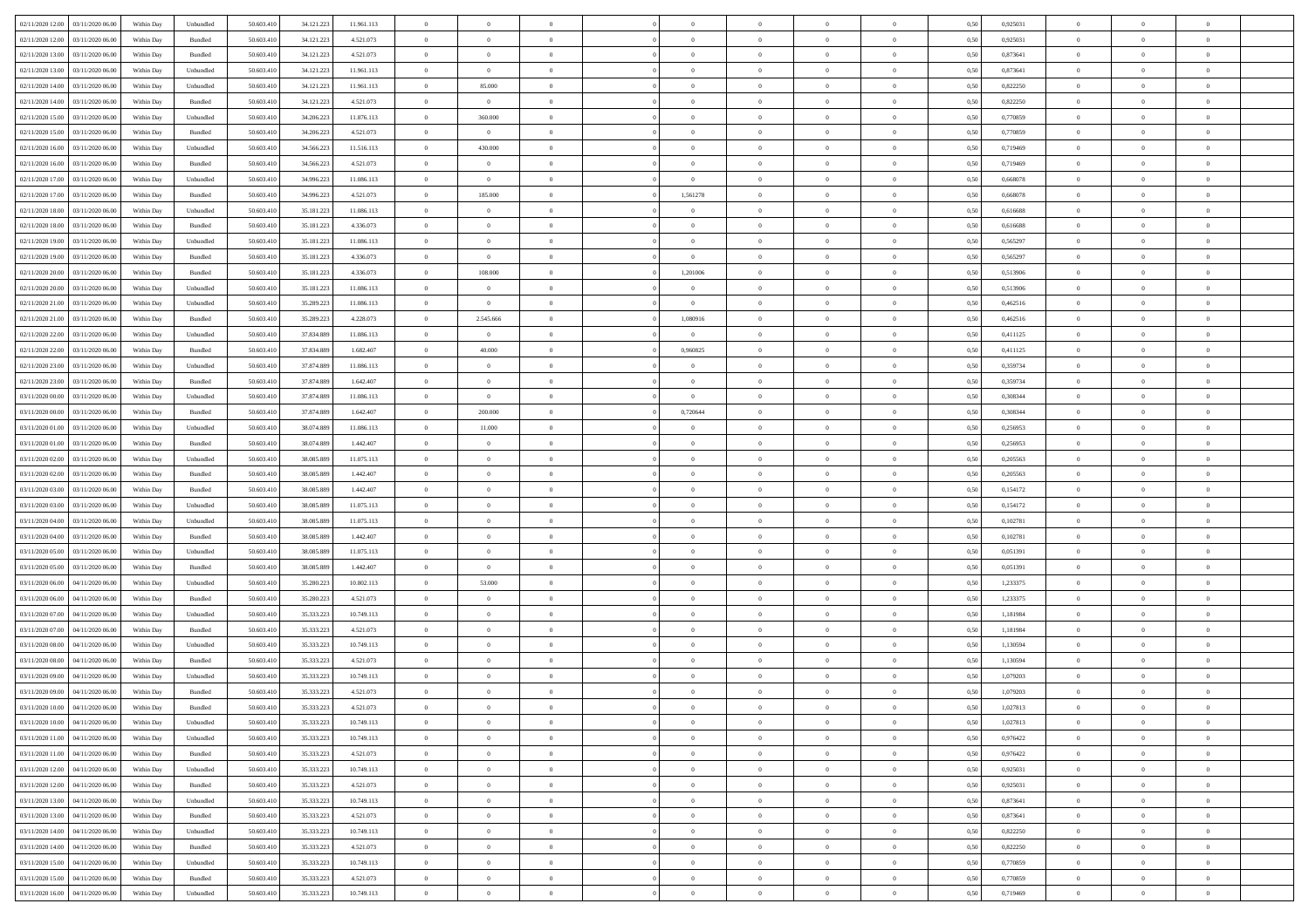| 02/11/2020 12:00 03/11/2020 06:00    | Within Day | Unbundled          | 50.603.410 | 34.121.223 | 11.961.113 | $\overline{0}$ | $\overline{0}$   | $\overline{0}$ | $\theta$       | $\theta$       |                | $\overline{0}$ | 0,50 | 0,925031 | $\theta$       | $\theta$       | $\theta$       |  |
|--------------------------------------|------------|--------------------|------------|------------|------------|----------------|------------------|----------------|----------------|----------------|----------------|----------------|------|----------|----------------|----------------|----------------|--|
|                                      |            |                    |            |            |            |                |                  |                |                |                |                |                |      |          |                |                |                |  |
| 02/11/2020 12:00<br>03/11/2020 06.00 | Within Day | Bundled            | 50.603.410 | 34.121.223 | 4.521.073  | $\overline{0}$ | $\overline{0}$   | $\overline{0}$ | $\,$ 0 $\,$    | $\bf{0}$       | $\overline{0}$ | $\bf{0}$       | 0,50 | 0,925031 | $\,$ 0 $\,$    | $\bf{0}$       | $\overline{0}$ |  |
| 02/11/2020 13.00<br>03/11/2020 06.00 | Within Day | Bundled            | 50,603.410 | 34.121.223 | 4.521.073  | $\overline{0}$ | $\overline{0}$   | $\overline{0}$ | $\bf{0}$       | $\bf{0}$       | $\overline{0}$ | $\mathbf{0}$   | 0.50 | 0.873641 | $\bf{0}$       | $\overline{0}$ | $\overline{0}$ |  |
| 02/11/2020 13:00<br>03/11/2020 06.00 | Within Day | Unbundled          | 50.603.410 | 34.121.223 | 11.961.113 | $\overline{0}$ | $\overline{0}$   | $\overline{0}$ | $\overline{0}$ | $\overline{0}$ | $\overline{0}$ | $\,$ 0 $\,$    | 0,50 | 0,873641 | $\theta$       | $\theta$       | $\overline{0}$ |  |
| 02/11/2020 14.00<br>03/11/2020 06.00 | Within Day | Unbundled          | 50.603.410 | 34.121.223 | 11.961.113 | $\overline{0}$ | 85.000           | $\bf{0}$       | $\bf{0}$       | $\overline{0}$ | $\overline{0}$ | $\bf{0}$       | 0,50 | 0,822250 | $\,$ 0 $\,$    | $\bf{0}$       | $\overline{0}$ |  |
|                                      |            |                    |            |            |            |                |                  |                |                |                |                |                |      |          |                |                |                |  |
| 02/11/2020 14:00<br>03/11/2020 06.00 | Within Day | Bundled            | 50,603.410 | 34.121.223 | 4.521.073  | $\overline{0}$ | $\overline{0}$   | $\overline{0}$ | $\bf{0}$       | $\bf{0}$       | $\overline{0}$ | $\mathbf{0}$   | 0.50 | 0.822250 | $\,$ 0 $\,$    | $\theta$       | $\overline{0}$ |  |
| 02/11/2020 15.00<br>03/11/2020 06.00 | Within Day | Unbundled          | 50.603.410 | 34.206.223 | 11.876.113 | $\overline{0}$ | 360.000          | $\overline{0}$ | $\overline{0}$ | $\overline{0}$ | $\overline{0}$ | $\bf{0}$       | 0,50 | 0,770859 | $\,$ 0 $\,$    | $\theta$       | $\overline{0}$ |  |
| 02/11/2020 15:00<br>03/11/2020 06.00 | Within Day | Bundled            | 50.603.410 | 34.206.223 | 4.521.073  | $\overline{0}$ | $\overline{0}$   | $\overline{0}$ | $\,$ 0 $\,$    | $\bf{0}$       | $\overline{0}$ | $\bf{0}$       | 0,50 | 0,770859 | $\,$ 0 $\,$    | $\bf{0}$       | $\overline{0}$ |  |
| 02/11/2020 16.00<br>03/11/2020 06:00 | Within Day | Unbundled          | 50,603.410 | 34,566,223 | 11.516.113 | $\overline{0}$ | 430,000          | $\overline{0}$ | $\bf{0}$       | $\bf{0}$       | $\overline{0}$ | $\mathbf{0}$   | 0.50 | 0.719469 | $\,$ 0 $\,$    | $\overline{0}$ | $\overline{0}$ |  |
| 02/11/2020 16.00<br>03/11/2020 06.00 | Within Day | Bundled            | 50.603.410 | 34.566.223 | 4.521.073  | $\overline{0}$ | $\overline{0}$   | $\overline{0}$ | $\bf{0}$       | $\overline{0}$ | $\overline{0}$ | $\bf{0}$       | 0,50 | 0,719469 | $\,$ 0 $\,$    | $\theta$       | $\overline{0}$ |  |
|                                      |            |                    |            |            |            |                |                  |                |                |                |                |                |      |          |                |                |                |  |
| 02/11/2020 17:00<br>03/11/2020 06.00 | Within Day | Unbundled          | 50.603.410 | 34.996.223 | 11.086.113 | $\overline{0}$ | $\overline{0}$   | $\bf{0}$       | $\overline{0}$ | $\overline{0}$ | $\overline{0}$ | $\bf{0}$       | 0,50 | 0,668078 | $\,$ 0 $\,$    | $\bf{0}$       | $\overline{0}$ |  |
| 02/11/2020 17.00<br>03/11/2020 06.00 | Within Day | Bundled            | 50.603.410 | 34.996.223 | 4.521.073  | $\overline{0}$ | 185.000          | $\overline{0}$ | 1,561278       | $\bf{0}$       | $\overline{0}$ | $\,$ 0 $\,$    | 0.50 | 0.668078 | $\bf{0}$       | $\overline{0}$ | $\bf{0}$       |  |
| 02/11/2020 18:00<br>03/11/2020 06.00 | Within Day | Unbundled          | 50.603.410 | 35.181.223 | 11.086.113 | $\overline{0}$ | $\overline{0}$   | $\overline{0}$ | $\overline{0}$ | $\overline{0}$ | $\overline{0}$ | $\,$ 0 $\,$    | 0,50 | 0,616688 | $\,$ 0 $\,$    | $\theta$       | $\overline{0}$ |  |
| 02/11/2020 18.00<br>03/11/2020 06.00 | Within Day | Bundled            | 50.603.410 | 35.181.223 | 4.336.073  | $\overline{0}$ | $\overline{0}$   | $\bf{0}$       | $\bf{0}$       | $\bf{0}$       | $\overline{0}$ | $\bf{0}$       | 0,50 | 0,616688 | $\,$ 0 $\,$    | $\bf{0}$       | $\overline{0}$ |  |
|                                      |            |                    | 50,603.410 |            |            |                |                  | $\overline{0}$ |                | $\overline{0}$ | $\overline{0}$ |                | 0.50 | 0.565297 |                | $\theta$       | $\overline{0}$ |  |
| 02/11/2020 19.00<br>03/11/2020 06.00 | Within Day | Unbundled          |            | 35.181.223 | 11.086.113 | $\overline{0}$ | $\overline{0}$   |                | $\bf{0}$       |                |                | $\mathbf{0}$   |      |          | $\bf{0}$       |                |                |  |
| 02/11/2020 19:00<br>03/11/2020 06.00 | Within Day | Bundled            | 50.603.410 | 35.181.223 | 4.336.073  | $\overline{0}$ | $\overline{0}$   | $\overline{0}$ | $\overline{0}$ | $\overline{0}$ | $\overline{0}$ | $\bf{0}$       | 0,50 | 0,565297 | $\theta$       | $\theta$       | $\overline{0}$ |  |
| 02/11/2020 20.00<br>03/11/2020 06.00 | Within Day | Bundled            | 50.603.410 | 35.181.223 | 4.336.073  | $\overline{0}$ | 108.000          | $\overline{0}$ | 1,201006       | $\overline{0}$ | $\overline{0}$ | $\bf{0}$       | 0,50 | 0,513906 | $\,$ 0 $\,$    | $\bf{0}$       | $\overline{0}$ |  |
| 02/11/2020 20.00<br>03/11/2020 06:00 | Within Day | Unbundled          | 50,603.410 | 35.181.223 | 11.086.113 | $\overline{0}$ | $\overline{0}$   | $\overline{0}$ | $\overline{0}$ | $\overline{0}$ | $\overline{0}$ | $\mathbf{0}$   | 0.50 | 0.513906 | $\bf{0}$       | $\overline{0}$ | $\overline{0}$ |  |
| 02/11/2020 21.00<br>03/11/2020 06.00 | Within Day | Unbundled          | 50.603.410 | 35.289.223 | 11.086.113 | $\overline{0}$ | $\overline{0}$   | $\overline{0}$ | $\overline{0}$ | $\overline{0}$ | $\overline{0}$ | $\bf{0}$       | 0,50 | 0,462516 | $\,$ 0 $\,$    | $\theta$       | $\overline{0}$ |  |
|                                      |            |                    |            |            |            |                |                  |                |                |                |                |                |      |          |                |                |                |  |
| 02/11/2020 21.00<br>03/11/2020 06.00 | Within Day | Bundled            | 50.603.410 | 35.289.223 | 4.228.073  | $\overline{0}$ | 2.545.666        | $\overline{0}$ | 1,080916       | $\bf{0}$       | $\overline{0}$ | $\bf{0}$       | 0,50 | 0,462516 | $\,$ 0 $\,$    | $\bf{0}$       | $\overline{0}$ |  |
| 02/11/2020 22.00<br>03/11/2020 06.00 | Within Day | Unbundled          | 50,603.410 | 37,834,889 | 11.086.113 | $\overline{0}$ | $\overline{0}$   | $\overline{0}$ | $\bf{0}$       | $\bf{0}$       | $\overline{0}$ | $\,$ 0 $\,$    | 0.50 | 0.411125 | $\bf{0}$       | $\overline{0}$ | $\overline{0}$ |  |
| 02/11/2020 22.00<br>03/11/2020 06.00 | Within Day | Bundled            | 50.603.410 | 37.834.889 | 1.682.407  | $\overline{0}$ | 40.000           | $\overline{0}$ | 0,960825       | $\overline{0}$ | $\overline{0}$ | $\,$ 0 $\,$    | 0,50 | 0,411125 | $\,$ 0 $\,$    | $\theta$       | $\overline{0}$ |  |
| 02/11/2020 23.00<br>03/11/2020 06.00 | Within Day | Unbundled          | 50.603.410 | 37.874.889 | 11.086.113 | $\overline{0}$ | $\overline{0}$   | $\overline{0}$ | $\overline{0}$ | $\overline{0}$ | $\overline{0}$ | $\bf{0}$       | 0,50 | 0,359734 | $\,$ 0 $\,$    | $\bf{0}$       | $\overline{0}$ |  |
| 02/11/2020 23.00<br>03/11/2020 06.00 | Within Day | Bundled            | 50,603.410 | 37,874,889 | 1.642.407  | $\overline{0}$ | $\overline{0}$   | $\overline{0}$ | $\overline{0}$ | $\overline{0}$ | $\overline{0}$ | $\mathbf{0}$   | 0.50 | 0.359734 | $\,$ 0 $\,$    | $\theta$       | $\overline{0}$ |  |
|                                      |            |                    |            |            |            |                |                  |                |                |                |                |                |      |          |                |                |                |  |
| 03/11/2020 00:00<br>03/11/2020 06.00 | Within Day | Unbundled          | 50.603.410 | 37.874.889 | 11.086.113 | $\overline{0}$ | $\overline{0}$   | $\overline{0}$ | $\overline{0}$ | $\overline{0}$ | $\overline{0}$ | $\bf{0}$       | 0,50 | 0,308344 | $\theta$       | $\theta$       | $\overline{0}$ |  |
| 03/11/2020 00.00<br>03/11/2020 06.00 | Within Day | Bundled            | 50.603.410 | 37.874.889 | 1.642.407  | $\overline{0}$ | 200.000          | $\overline{0}$ | 0,720644       | $\overline{0}$ | $\overline{0}$ | $\bf{0}$       | 0,50 | 0,308344 | $\,$ 0 $\,$    | $\bf{0}$       | $\overline{0}$ |  |
| 03/11/2020 01.00<br>03/11/2020 06:00 | Within Day | Unbundled          | 50,603.410 | 38,074,889 | 11.086.113 | $\overline{0}$ | 11.000           | $\overline{0}$ | $\bf{0}$       | $\bf{0}$       | $\overline{0}$ | $\mathbf{0}$   | 0.50 | 0.256953 | $\,$ 0 $\,$    | $\overline{0}$ | $\overline{0}$ |  |
| 03/11/2020 01:00<br>03/11/2020 06.00 | Within Day | Bundled            | 50.603.410 | 38.074.889 | 1.442.407  | $\overline{0}$ | $\overline{0}$   | $\overline{0}$ | $\bf{0}$       | $\overline{0}$ | $\overline{0}$ | $\bf{0}$       | 0,50 | 0,256953 | $\theta$       | $\theta$       | $\overline{0}$ |  |
| 03/11/2020 02.00<br>03/11/2020 06.00 | Within Day | Unbundled          | 50.603.410 | 38.085.889 | 11.075.113 | $\overline{0}$ | $\overline{0}$   | $\overline{0}$ | $\overline{0}$ | $\bf{0}$       | $\overline{0}$ | $\bf{0}$       | 0,50 | 0,205563 | $\,$ 0 $\,$    | $\bf{0}$       | $\overline{0}$ |  |
|                                      |            |                    |            |            |            |                |                  |                |                |                |                |                |      |          |                |                |                |  |
| 03/11/2020 02.00<br>03/11/2020 06.00 | Within Day | Bundled            | 50,603.410 | 38,085,889 | 1.442.407  | $\overline{0}$ | $\overline{0}$   | $\overline{0}$ | $\bf{0}$       | $\bf{0}$       | $\overline{0}$ | $\,$ 0 $\,$    | 0.50 | 0.205563 | $\bf{0}$       | $\overline{0}$ | $\bf{0}$       |  |
| 03/11/2020 03:00<br>03/11/2020 06:00 | Within Day | Bundled            | 50.603.410 | 38,085,889 | 1.442.407  | $\overline{0}$ | $\overline{0}$   | $\overline{0}$ | $\overline{0}$ | $\overline{0}$ | $\overline{0}$ | $\overline{0}$ | 0.50 | 0,154172 | $\theta$       | $\theta$       | $\overline{0}$ |  |
| 03/11/2020 03.00<br>03/11/2020 06.00 | Within Day | Unbundled          | 50.603.410 | 38.085.889 | 11.075.113 | $\overline{0}$ | $\overline{0}$   | $\overline{0}$ | $\bf{0}$       | $\overline{0}$ | $\overline{0}$ | $\bf{0}$       | 0,50 | 0,154172 | $\,$ 0 $\,$    | $\bf{0}$       | $\overline{0}$ |  |
| 03/11/2020 04.00<br>03/11/2020 06.00 | Within Day | Unbundled          | 50,603.410 | 38,085,889 | 11.075.113 | $\overline{0}$ | $\overline{0}$   | $\overline{0}$ | $\overline{0}$ | $\bf{0}$       | $\overline{0}$ | $\mathbf{0}$   | 0.50 | 0.102781 | $\,$ 0 $\,$    | $\bf{0}$       | $\overline{0}$ |  |
| 03/11/2020 04:00<br>03/11/2020 06.00 | Within Day | Bundled            | 50.603.410 | 38.085.889 | 1.442.407  | $\overline{0}$ | $\overline{0}$   | $\overline{0}$ | $\overline{0}$ | $\overline{0}$ | $\overline{0}$ | $\overline{0}$ | 0.50 | 0,102781 | $\theta$       | $\theta$       | $\overline{0}$ |  |
| 03/11/2020 06.00                     | Within Day | Unbundled          | 50.603.410 | 38.085.889 | 11.075.113 | $\overline{0}$ | $\overline{0}$   | $\overline{0}$ | $\bf{0}$       | $\overline{0}$ | $\overline{0}$ | $\bf{0}$       | 0,50 | 0,051391 | $\,$ 0 $\,$    | $\bf{0}$       | $\overline{0}$ |  |
| 03/11/2020 05:00                     |            |                    |            |            |            |                |                  |                |                |                |                |                |      |          |                |                |                |  |
| 03/11/2020 05:00<br>03/11/2020 06:00 | Within Day | Bundled            | 50,603.410 | 38,085,889 | 1.442.407  | $\overline{0}$ | $\overline{0}$   | $\overline{0}$ | $\overline{0}$ | $\bf{0}$       | $\overline{0}$ | $\mathbf{0}$   | 0.50 | 0.051391 | $\bf{0}$       | $\overline{0}$ | $\overline{0}$ |  |
| 03/11/2020 06:00<br>04/11/2020 06.00 | Within Day | Unbundled          | 50.603.410 | 35.280.223 | 10.802.113 | $\overline{0}$ | 53.000           | $\overline{0}$ | $\overline{0}$ | $\overline{0}$ | $\overline{0}$ | $\overline{0}$ | 0.50 | 1,233375 | $\theta$       | $\theta$       | $\overline{0}$ |  |
| 03/11/2020 06.00<br>04/11/2020 06.00 | Within Day | Bundled            | 50.603.410 | 35.280.223 | 4.521.073  | $\overline{0}$ | $\overline{0}$   | $\overline{0}$ | $\,$ 0 $\,$    | $\bf{0}$       | $\overline{0}$ | $\bf{0}$       | 0,50 | 1,233375 | $\,$ 0 $\,$    | $\bf{0}$       | $\overline{0}$ |  |
| 03/11/2020 07.00<br>04/11/2020 06.00 | Within Day | Unbundled          | 50,603.410 | 35.333.223 | 10.749.113 | $\overline{0}$ | $\overline{0}$   | $\overline{0}$ | $\bf{0}$       | $\bf{0}$       | $\overline{0}$ | $\,$ 0 $\,$    | 0.50 | 1.181984 | $\bf{0}$       | $\overline{0}$ | $\overline{0}$ |  |
| 03/11/2020 07.00<br>04/11/2020 06.00 | Within Day | Bundled            | 50.603.410 | 35.333.223 | 4.521.073  | $\overline{0}$ | $\overline{0}$   | $\overline{0}$ | $\overline{0}$ | $\overline{0}$ | $\overline{0}$ | $\overline{0}$ | 0,50 | 1,181984 | $\theta$       | $\theta$       | $\overline{0}$ |  |
|                                      |            |                    |            |            |            |                |                  |                |                |                |                |                |      |          |                |                |                |  |
| 03/11/2020 08.00<br>04/11/2020 06.00 | Within Day | Unbundled          | 50.603.410 | 35.333.223 | 10.749.113 | $\overline{0}$ | $\overline{0}$   | $\overline{0}$ | $\bf{0}$       | $\overline{0}$ | $\overline{0}$ | $\bf{0}$       | 0,50 | 1,130594 | $\,$ 0 $\,$    | $\bf{0}$       | $\overline{0}$ |  |
| 03/11/2020 08:00<br>04/11/2020 06.00 | Within Day | Bundled            | 50,603.410 | 35.333.223 | 4.521.073  | $\overline{0}$ | $\overline{0}$   | $\overline{0}$ | $\overline{0}$ | $\bf{0}$       | $\overline{0}$ | $\mathbf{0}$   | 0.50 | 1,130594 | $\,$ 0 $\,$    | $\theta$       | $\overline{0}$ |  |
| 03/11/2020 09:00<br>04/11/2020 06.00 | Within Day | Unbundled          | 50.603.410 | 35.333.223 | 10.749.113 | $\overline{0}$ | $\overline{0}$   | $\overline{0}$ | $\overline{0}$ | $\overline{0}$ | $\Omega$       | $\overline{0}$ | 0.50 | 1,079203 | $\theta$       | $\theta$       | $\overline{0}$ |  |
| 03/11/2020 09:00<br>04/11/2020 06.00 | Within Day | Bundled            | 50.603.410 | 35.333.223 | 4.521.073  | $\overline{0}$ | $\overline{0}$   | $\bf{0}$       | $\,$ 0 $\,$    | $\bf{0}$       | $\overline{0}$ | $\bf{0}$       | 0,50 | 1,079203 | $\,$ 0 $\,$    | $\bf{0}$       | $\overline{0}$ |  |
| 03/11/2020 10:00 04/11/2020 06:00    | Within Day | $\mathbf B$ undled | 50.603.410 | 35.333.223 | 4.521.073  | $\bf{0}$       | $\boldsymbol{0}$ |                | $\bf{0}$       |                |                |                | 0,50 | 1,027813 | $\theta$       | $\bf{0}$       |                |  |
|                                      |            |                    |            |            |            |                |                  |                |                |                |                |                |      |          |                |                |                |  |
| 03/11/2020 10:00 04/11/2020 06:00    | Within Dav | Unbundled          | 50.603.410 | 35.333.223 | 10.749.113 | $\overline{0}$ | $\overline{0}$   | $\overline{0}$ | $\overline{0}$ | $\overline{0}$ | $\overline{0}$ | $\overline{0}$ | 0,50 | 1,027813 | $\theta$       | $\theta$       | $\overline{0}$ |  |
| 03/11/2020 11:00<br>04/11/2020 06.00 | Within Day | Unbundled          | 50.603.410 | 35.333.223 | 10.749.113 | $\overline{0}$ | $\overline{0}$   | $\overline{0}$ | $\bf{0}$       | $\bf{0}$       | $\overline{0}$ | $\mathbf{0}$   | 0,50 | 0,976422 | $\overline{0}$ | $\overline{0}$ | $\bf{0}$       |  |
| 03/11/2020 11:00<br>04/11/2020 06.00 | Within Day | Bundled            | 50.603.410 | 35.333.223 | 4.521.073  | $\overline{0}$ | $\overline{0}$   | $\overline{0}$ | $\,$ 0 $\,$    | $\bf{0}$       | $\overline{0}$ | $\mathbf{0}$   | 0.50 | 0.976422 | $\overline{0}$ | $\bf{0}$       | $\bf{0}$       |  |
| 03/11/2020 12:00<br>04/11/2020 06:00 | Within Dav | Unbundled          | 50.603.410 | 35.333.223 | 10.749.113 | $\overline{0}$ | $\overline{0}$   | $\overline{0}$ | $\overline{0}$ | $\overline{0}$ | $\overline{0}$ | $\mathbf{0}$   | 0,50 | 0.925031 | $\overline{0}$ | $\theta$       | $\overline{0}$ |  |
| 03/11/2020 12:00<br>04/11/2020 06.00 | Within Day | Bundled            | 50.603.410 | 35.333.223 | 4.521.073  | $\overline{0}$ | $\overline{0}$   | $\overline{0}$ | $\bf{0}$       | $\bf{0}$       | $\overline{0}$ | $\mathbf{0}$   | 0,50 | 0,925031 | $\overline{0}$ | $\bf{0}$       | $\overline{0}$ |  |
|                                      |            |                    |            |            |            |                |                  |                |                |                |                |                |      |          |                |                |                |  |
| 03/11/2020 13.00<br>04/11/2020 06.00 | Within Day | Unbundled          | 50,603.410 | 35.333.223 | 10.749.113 | $\overline{0}$ | $\overline{0}$   | $\overline{0}$ | $\bf{0}$       | $\overline{0}$ | $\overline{0}$ | $\mathbf{0}$   | 0.50 | 0.873641 | $\,$ 0 $\,$    | $\theta$       | $\,$ 0         |  |
| 03/11/2020 13:00<br>04/11/2020 06.00 | Within Day | Bundled            | 50.603.410 | 35.333.223 | 4.521.073  | $\overline{0}$ | $\overline{0}$   | $\overline{0}$ | $\overline{0}$ | $\overline{0}$ | $\overline{0}$ | $\mathbf{0}$   | 0,50 | 0,873641 | $\overline{0}$ | $\theta$       | $\overline{0}$ |  |
| 03/11/2020 14:00<br>04/11/2020 06.00 | Within Day | Unbundled          | 50.603.410 | 35.333.223 | 10.749.113 | $\overline{0}$ | $\overline{0}$   | $\overline{0}$ | $\bf{0}$       | $\bf{0}$       | $\overline{0}$ | $\,$ 0 $\,$    | 0,50 | 0,822250 | $\bf{0}$       | $\bf{0}$       | $\overline{0}$ |  |
| 03/11/2020 14:00<br>04/11/2020 06.00 | Within Day | Bundled            | 50,603.410 | 35.333.223 | 4.521.073  | $\overline{0}$ | $\overline{0}$   | $\overline{0}$ | $\bf{0}$       | $\overline{0}$ | $\overline{0}$ | $\,$ 0 $\,$    | 0.50 | 0.822250 | $\overline{0}$ | $\bf{0}$       | $\,$ 0         |  |
|                                      |            |                    |            |            |            |                |                  |                |                |                |                |                |      |          |                |                |                |  |
| 03/11/2020 15:00<br>04/11/2020 06:00 | Within Dav | Unbundled          | 50.603.410 | 35.333.223 | 10.749.113 | $\overline{0}$ | $\overline{0}$   | $\overline{0}$ | $\overline{0}$ | $\overline{0}$ | $\overline{0}$ | $\mathbf{0}$   | 0,50 | 0,770859 | $\overline{0}$ | $\theta$       | $\overline{0}$ |  |
| 03/11/2020 15:00<br>04/11/2020 06.00 | Within Day | Bundled            | 50.603.410 | 35.333.223 | 4.521.073  | $\overline{0}$ | $\overline{0}$   | $\overline{0}$ | $\overline{0}$ | $\bf{0}$       | $\overline{0}$ | $\mathbf{0}$   | 0,50 | 0,770859 | $\bf{0}$       | $\bf{0}$       | $\overline{0}$ |  |
| 03/11/2020 16.00 04/11/2020 06.00    | Within Day | Unbundled          | 50.603.410 | 35.333.223 | 10.749.113 | $\,$ 0 $\,$    | $\overline{0}$   | $\overline{0}$ | $\bf{0}$       | $\,$ 0         | $\overline{0}$ | $\,0\,$        | 0,50 | 0,719469 | $\overline{0}$ | $\,$ 0 $\,$    | $\,$ 0 $\,$    |  |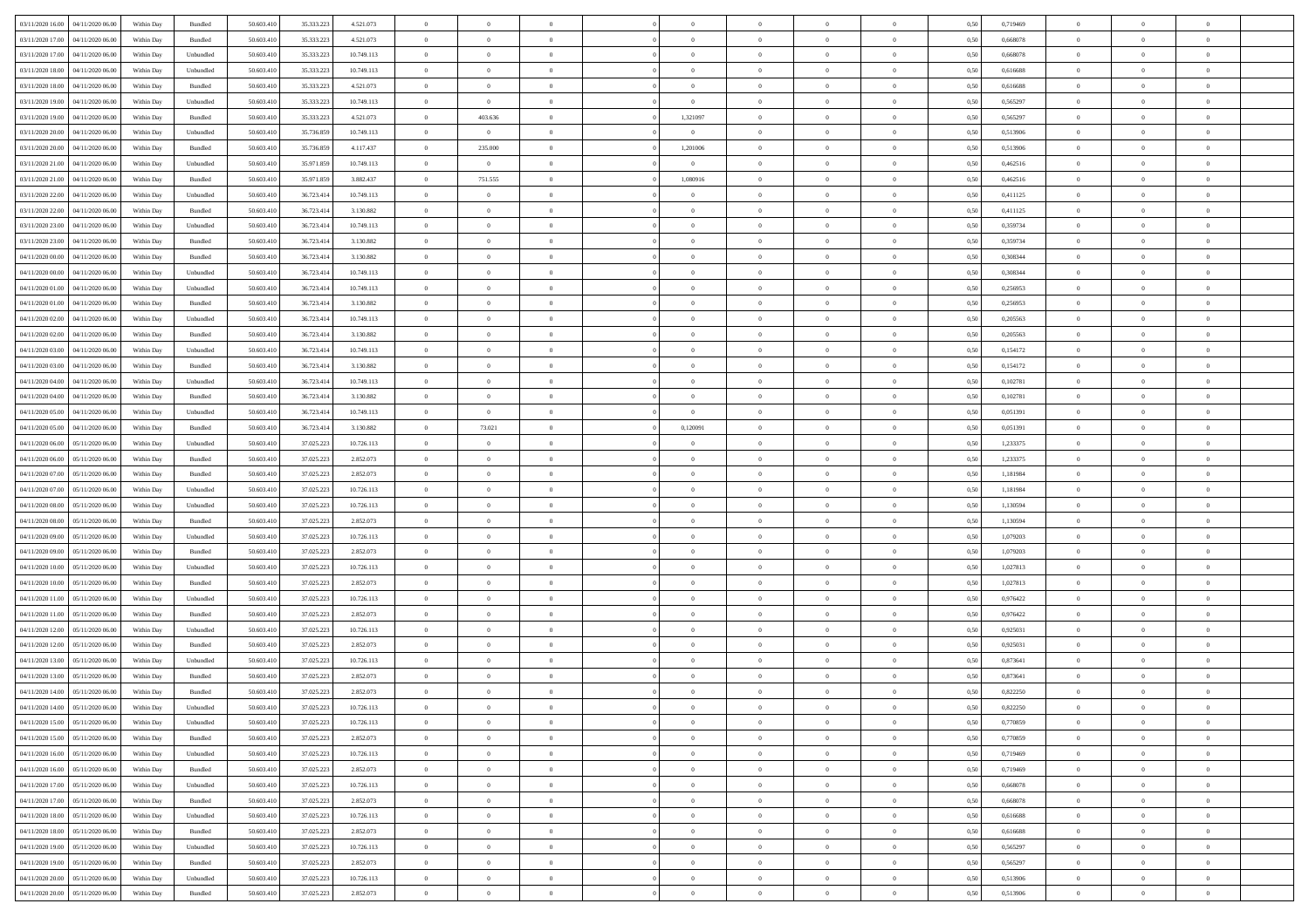| 03/11/2020 16:00 04/11/2020 06:00    | Within Day | Bundled                     | 50.603.410 | 35.333.223 | 4.521.073  | $\theta$       | $\overline{0}$   | $\overline{0}$ | $\theta$       | $\theta$                        |                | $\overline{0}$ | 0,50 | 0,719469 | $\overline{0}$ | $\theta$       | $\bf{0}$       |  |
|--------------------------------------|------------|-----------------------------|------------|------------|------------|----------------|------------------|----------------|----------------|---------------------------------|----------------|----------------|------|----------|----------------|----------------|----------------|--|
| 03/11/2020 17.00<br>04/11/2020 06.00 | Within Day | Bundled                     | 50.603.41  | 35.333.223 | 4.521.073  | $\bf{0}$       | $\overline{0}$   | $\bf{0}$       | $\bf{0}$       | $\bf{0}$                        | $\overline{0}$ | $\bf{0}$       | 0,50 | 0,668078 | $\bf{0}$       | $\bf{0}$       | $\overline{0}$ |  |
| 03/11/2020 17:00<br>04/11/2020 06.00 | Within Day | Unbundled                   | 50,603.410 | 35.333.223 | 10.749.113 | $\overline{0}$ | $\overline{0}$   | $\overline{0}$ | $\bf{0}$       | $\bf{0}$                        | $\overline{0}$ | $\,$ 0 $\,$    | 0.50 | 0,668078 | $\overline{0}$ | $\bf{0}$       | $\bf{0}$       |  |
| 03/11/2020 18:00<br>04/11/2020 06.00 | Within Day | Unbundled                   | 50.603.410 | 35.333.223 | 10.749.113 | $\bf{0}$       | $\overline{0}$   | $\overline{0}$ | $\bf{0}$       | $\overline{0}$                  | $\overline{0}$ | $\,$ 0         | 0,50 | 0,616688 | $\,$ 0 $\,$    | $\theta$       | $\bf{0}$       |  |
| 03/11/2020 18:00<br>04/11/2020 06.00 | Within Day | Bundled                     | 50.603.41  | 35.333.223 | 4.521.073  | $\bf{0}$       | $\overline{0}$   | $\bf{0}$       | $\bf{0}$       | $\bf{0}$                        | $\overline{0}$ | $\bf{0}$       | 0,50 | 0,616688 | $\bf{0}$       | $\theta$       | $\overline{0}$ |  |
|                                      |            |                             |            |            |            |                |                  |                |                |                                 |                |                |      |          |                |                |                |  |
| 03/11/2020 19:00<br>04/11/2020 06.00 | Within Day | Unbundled                   | 50,603.410 | 35.333.223 | 10.749.113 | $\overline{0}$ | $\overline{0}$   | $\overline{0}$ | $\bf{0}$       | $\bf{0}$                        | $\overline{0}$ | $\bf{0}$       | 0.50 | 0.565297 | $\bf{0}$       | $\overline{0}$ | $\overline{0}$ |  |
| 03/11/2020 19:00<br>04/11/2020 06.00 | Within Day | Bundled                     | 50.603.410 | 35.333.223 | 4.521.073  | $\bf{0}$       | 403.636          | $\overline{0}$ | 1,321097       | $\overline{0}$                  | $\overline{0}$ | $\bf{0}$       | 0,50 | 0,565297 | $\bf{0}$       | $\overline{0}$ | $\bf{0}$       |  |
| 03/11/2020 20.00<br>04/11/2020 06.00 | Within Day | Unbundled                   | 50.603.41  | 35.736.859 | 10.749.113 | $\bf{0}$       | $\overline{0}$   | $\bf{0}$       | $\bf{0}$       | $\bf{0}$                        | $\overline{0}$ | $\bf{0}$       | 0,50 | 0,513906 | $\bf{0}$       | $\,$ 0         | $\overline{0}$ |  |
| 03/11/2020 20.00<br>04/11/2020 06:00 | Within Day | Bundled                     | 50,603.410 | 35.736.859 | 4.117.437  | $\overline{0}$ | 235,000          | $\overline{0}$ | 1,201006       | $\bf{0}$                        | $\overline{0}$ | $\mathbf{0}$   | 0.50 | 0.513906 | $\bf{0}$       | $\bf{0}$       | $\bf{0}$       |  |
| 03/11/2020 21:00<br>04/11/2020 06.00 | Within Day | Unbundled                   | 50.603.410 | 35.971.859 | 10.749.113 | $\bf{0}$       | $\overline{0}$   | $\overline{0}$ | $\bf{0}$       | $\overline{0}$                  | $\overline{0}$ | $\bf{0}$       | 0,50 | 0,462516 | $\overline{0}$ | $\bf{0}$       | $\bf{0}$       |  |
|                                      |            |                             |            |            |            |                |                  |                |                |                                 |                |                |      |          |                |                |                |  |
| 03/11/2020 21.00<br>04/11/2020 06.00 | Within Day | Bundled                     | 50.603.41  | 35.971.859 | 3.882.437  | $\bf{0}$       | 751.555          | $\bf{0}$       | 1,080916       | $\bf{0}$                        | $\overline{0}$ | $\bf{0}$       | 0,50 | 0,462516 | $\bf{0}$       | $\,$ 0         | $\,$ 0         |  |
| 03/11/2020 22.00<br>04/11/2020 06.00 | Within Day | Unbundled                   | 50,603.410 | 36.723.414 | 10.749.113 | $\overline{0}$ | $\overline{0}$   | $\overline{0}$ | $\bf{0}$       | $\bf{0}$                        | $\overline{0}$ | $\,$ 0 $\,$    | 0.50 | 0,411125 | $\overline{0}$ | $\bf{0}$       | $\overline{0}$ |  |
| 03/11/2020 22.00<br>04/11/2020 06.00 | Within Day | Bundled                     | 50.603.410 | 36.723.414 | 3.130.882  | $\bf{0}$       | $\overline{0}$   | $\overline{0}$ | $\overline{0}$ | $\overline{0}$                  | $\overline{0}$ | $\,$ 0         | 0,50 | 0,411125 | $\,0\,$        | $\overline{0}$ | $\bf{0}$       |  |
| 03/11/2020 23.00<br>04/11/2020 06.00 | Within Day | Unbundled                   | 50.603.41  | 36.723.414 | 10.749.113 | $\bf{0}$       | $\bf{0}$         | $\bf{0}$       | $\bf{0}$       | $\bf{0}$                        | $\overline{0}$ | $\bf{0}$       | 0,50 | 0,359734 | $\,$ 0 $\,$    | $\,$ 0         | $\bf{0}$       |  |
| 03/11/2020 23.00<br>04/11/2020 06.00 | Within Day | Bundled                     | 50,603.410 | 36.723.414 | 3.130.882  | $\overline{0}$ | $\overline{0}$   | $\overline{0}$ | $\bf{0}$       | $\bf{0}$                        | $\overline{0}$ | $\bf{0}$       | 0.50 | 0.359734 | $\bf{0}$       | $\overline{0}$ | $\overline{0}$ |  |
| 04/11/2020 00:00<br>04/11/2020 06.00 | Within Day | Bundled                     | 50.603.410 | 36.723.414 | 3.130.882  | $\bf{0}$       | $\overline{0}$   | $\overline{0}$ | $\bf{0}$       | $\overline{0}$                  | $\overline{0}$ | $\bf{0}$       | 0,50 | 0,308344 | $\bf{0}$       | $\overline{0}$ | $\bf{0}$       |  |
|                                      |            |                             |            |            |            |                |                  |                |                |                                 |                |                |      |          |                |                |                |  |
| 04/11/2020 00:00<br>04/11/2020 06.00 | Within Day | Unbundled                   | 50.603.41  | 36.723.414 | 10.749.113 | $\bf{0}$       | $\bf{0}$         | $\bf{0}$       | $\bf{0}$       | $\overline{0}$                  | $\overline{0}$ | $\bf{0}$       | 0,50 | 0,308344 | $\bf{0}$       | $\,$ 0         | $\bf{0}$       |  |
| 04/11/2020 01:00<br>04/11/2020 06:00 | Within Day | Unbundled                   | 50,603.410 | 36.723.414 | 10.749.113 | $\overline{0}$ | $\overline{0}$   | $\overline{0}$ | $\bf{0}$       | $\bf{0}$                        | $\overline{0}$ | $\,$ 0 $\,$    | 0.50 | 0.256953 | $\bf{0}$       | $\bf{0}$       | $\bf{0}$       |  |
| 04/11/2020 01:00<br>04/11/2020 06.00 | Within Day | Bundled                     | 50.603.410 | 36.723.414 | 3.130.882  | $\bf{0}$       | $\overline{0}$   | $\overline{0}$ | $\bf{0}$       | $\overline{0}$                  | $\overline{0}$ | $\bf{0}$       | 0,50 | 0,256953 | $\,0\,$        | $\bf{0}$       | $\overline{0}$ |  |
| 04/11/2020 02.00<br>04/11/2020 06.00 | Within Day | Unbundled                   | 50.603.41  | 36.723.414 | 10.749.113 | $\bf{0}$       | $\overline{0}$   | $\overline{0}$ | $\bf{0}$       | $\bf{0}$                        | $\overline{0}$ | $\bf{0}$       | 0,50 | 0,205563 | $\bf{0}$       | $\bf{0}$       | $\bf{0}$       |  |
| 04/11/2020 02.00<br>04/11/2020 06:00 | Within Day | Bundled                     | 50,603.410 | 36.723.414 | 3.130.882  | $\overline{0}$ | $\overline{0}$   | $\overline{0}$ | $\bf{0}$       | $\bf{0}$                        | $\overline{0}$ | $\,$ 0 $\,$    | 0.50 | 0.205563 | $\overline{0}$ | $\bf{0}$       | $\,$ 0 $\,$    |  |
| 04/11/2020 03:00<br>04/11/2020 06.00 | Within Day | Unbundled                   | 50.603.410 | 36.723.414 | 10.749.113 | $\bf{0}$       | $\overline{0}$   | $\overline{0}$ | $\overline{0}$ | $\overline{0}$                  | $\overline{0}$ | $\,$ 0         | 0,50 | 0,154172 | $\,0\,$        | $\overline{0}$ | $\bf{0}$       |  |
|                                      |            |                             |            |            |            |                |                  |                |                |                                 |                |                |      |          |                |                |                |  |
| 04/11/2020 03.00<br>04/11/2020 06.00 | Within Day | Bundled                     | 50.603.41  | 36.723.414 | 3.130.882  | $\bf{0}$       | $\overline{0}$   | $\bf{0}$       | $\overline{0}$ | $\overline{\phantom{a}}$        | $\overline{0}$ | $\bf{0}$       | 0,50 | 0,154172 | $\bf{0}$       | $\,$ 0         | $\bf{0}$       |  |
| 04/11/2020 04.00<br>04/11/2020 06.00 | Within Day | Unbundled                   | 50,603.410 | 36.723.414 | 10.749.113 | $\overline{0}$ | $\overline{0}$   | $\overline{0}$ | $\bf{0}$       | $\bf{0}$                        | $\overline{0}$ | $\bf{0}$       | 0.50 | 0.102781 | $\bf{0}$       | $\overline{0}$ | $\overline{0}$ |  |
| 04/11/2020 04:00<br>04/11/2020 06.00 | Within Day | Bundled                     | 50.603.410 | 36.723.414 | 3.130.882  | $\bf{0}$       | $\overline{0}$   | $\overline{0}$ | $\bf{0}$       | $\overline{0}$                  | $\overline{0}$ | $\bf{0}$       | 0,50 | 0,102781 | $\bf{0}$       | $\overline{0}$ | $\overline{0}$ |  |
| 04/11/2020 05:00<br>04/11/2020 06.00 | Within Day | Unbundled                   | 50.603.41  | 36.723.414 | 10.749.113 | $\bf{0}$       | $\overline{0}$   | $\overline{0}$ | $\overline{0}$ | $\overline{0}$                  | $\overline{0}$ | $\bf{0}$       | 0,50 | 0,051391 | $\,$ 0 $\,$    | $\,$ 0         | $\bf{0}$       |  |
| 04/11/2020 05:00<br>04/11/2020 06:00 | Within Day | Bundled                     | 50,603.410 | 36.723.414 | 3.130.882  | $\overline{0}$ | 73.021           | $\overline{0}$ | 0.120091       | $\bf{0}$                        | $\overline{0}$ | $\mathbf{0}$   | 0.50 | 0.051391 | $\bf{0}$       | $\bf{0}$       | $\bf{0}$       |  |
| 04/11/2020 06:00<br>05/11/2020 06.00 | Within Day | Unbundled                   | 50.603.410 | 37.025.223 | 10.726.113 | $\bf{0}$       | $\overline{0}$   | $\overline{0}$ | $\overline{0}$ | $\overline{0}$                  | $\overline{0}$ | $\bf{0}$       | 0,50 | 1,233375 | $\,$ 0 $\,$    | $\overline{0}$ | $\bf{0}$       |  |
|                                      |            |                             |            |            |            |                |                  |                |                |                                 |                |                |      |          |                |                |                |  |
| 04/11/2020 06.00<br>05/11/2020 06.00 | Within Day | Bundled                     | 50.603.41  | 37.025.223 | 2.852.073  | $\bf{0}$       | $\overline{0}$   | $\overline{0}$ | $\overline{0}$ | $\bf{0}$                        | $\overline{0}$ | $\bf{0}$       | 0,50 | 1,233375 | $\bf{0}$       | $\bf{0}$       | $\bf{0}$       |  |
| 04/11/2020 07:00<br>05/11/2020 06:00 | Within Day | Bundled                     | 50,603.410 | 37.025.223 | 2.852.073  | $\overline{0}$ | $\overline{0}$   | $\overline{0}$ | $\bf{0}$       | $\bf{0}$                        | $\overline{0}$ | $\,$ 0 $\,$    | 0.50 | 1.181984 | $\overline{0}$ | $\bf{0}$       | $\overline{0}$ |  |
| 04/11/2020 07:00<br>05/11/2020 06:00 | Within Day | Unbundled                   | 50.603.410 | 37.025.223 | 10.726.113 | $\overline{0}$ | $\overline{0}$   | $\overline{0}$ | $\overline{0}$ | $\overline{0}$                  | $\overline{0}$ | $\overline{0}$ | 0.50 | 1,181984 | $\overline{0}$ | $\theta$       | $\overline{0}$ |  |
| 04/11/2020 08:00<br>05/11/2020 06.00 | Within Day | Unbundled                   | 50.603.41  | 37.025.223 | 10.726.113 | $\bf{0}$       | $\bf{0}$         | $\bf{0}$       | $\bf{0}$       | $\bf{0}$                        | $\overline{0}$ | $\bf{0}$       | 0,50 | 1,130594 | $\bf{0}$       | $\,$ 0         | $\bf{0}$       |  |
| 04/11/2020 08.00<br>05/11/2020 06.00 | Within Day | Bundled                     | 50,603.410 | 37.025.223 | 2.852.073  | $\overline{0}$ | $\overline{0}$   | $\overline{0}$ | $\bf{0}$       | $\bf{0}$                        | $\overline{0}$ | $\bf{0}$       | 0.50 | 1.130594 | $\bf{0}$       | $\bf{0}$       | $\overline{0}$ |  |
| 04/11/2020 09:00<br>05/11/2020 06:00 | Within Dav | Unbundled                   | 50.603.410 | 37.025.223 | 10.726.113 | $\overline{0}$ | $\overline{0}$   | $\overline{0}$ | $\overline{0}$ | $\overline{0}$                  | $\overline{0}$ | $\overline{0}$ | 0.50 | 1,079203 | $\mathbf{0}$   | $\theta$       | $\bf{0}$       |  |
| 04/11/2020 09:00<br>05/11/2020 06.00 | Within Day | Bundled                     | 50.603.41  | 37.025.223 | 2.852.073  | $\bf{0}$       | $\overline{0}$   | $\bf{0}$       | $\bf{0}$       | $\overline{0}$                  | $\overline{0}$ | $\bf{0}$       | 0,50 | 1,079203 | $\bf{0}$       | $\,$ 0         | $\bf{0}$       |  |
|                                      |            |                             |            |            |            |                |                  |                |                |                                 |                |                |      |          |                |                |                |  |
| 04/11/2020 10:00<br>05/11/2020 06:00 | Within Day | Unbundled                   | 50,603.410 | 37.025.22  | 10.726.113 | $\overline{0}$ | $\overline{0}$   | $\overline{0}$ | $\bf{0}$       | $\bf{0}$                        | $\overline{0}$ | $\,$ 0 $\,$    | 0.50 | 1.027813 | $\bf{0}$       | $\bf{0}$       | $\bf{0}$       |  |
| 04/11/2020 10:00<br>05/11/2020 06:00 | Within Dav | Bundled                     | 50.603.410 | 37.025.223 | 2.852.073  | $\overline{0}$ | $\overline{0}$   | $\overline{0}$ | $\overline{0}$ | $\overline{0}$                  | $\overline{0}$ | $\mathbf{0}$   | 0.50 | 1,027813 | $\overline{0}$ | $\theta$       | $\overline{0}$ |  |
| 04/11/2020 11:00<br>05/11/2020 06.00 | Within Day | Unbundled                   | 50.603.41  | 37.025.223 | 10.726.113 | $\bf{0}$       | $\overline{0}$   | $\bf{0}$       | $\overline{0}$ | $\bf{0}$                        | $\overline{0}$ | $\bf{0}$       | 0,50 | 0,976422 | $\bf{0}$       | $\bf{0}$       | $\bf{0}$       |  |
| 04/11/2020 11:00<br>05/11/2020 06:00 | Within Day | Bundled                     | 50,603.410 | 37.025.223 | 2.852.073  | $\overline{0}$ | $\overline{0}$   | $\overline{0}$ | $\bf{0}$       | $\bf{0}$                        | $\overline{0}$ | $\,$ 0 $\,$    | 0.50 | 0,976422 | $\overline{0}$ | $\bf{0}$       | $\,$ 0 $\,$    |  |
| 04/11/2020 12:00<br>05/11/2020 06:00 | Within Dav | Unbundled                   | 50.603.410 | 37.025.223 | 10.726.113 | $\overline{0}$ | $\overline{0}$   | $\overline{0}$ | $\overline{0}$ | $\overline{0}$                  | $\overline{0}$ | $\overline{0}$ | 0.50 | 0,925031 | $\overline{0}$ | $\theta$       | $\bf{0}$       |  |
| 04/11/2020 12.00<br>05/11/2020 06.00 | Within Day | Bundled                     | 50.603.41  | 37.025.223 | 2.852.073  | $\bf{0}$       | $\overline{0}$   | $\overline{0}$ | $\overline{0}$ | $\bf{0}$                        | $\overline{0}$ | $\bf{0}$       | 0,50 | 0,925031 | $\bf{0}$       | $\,$ 0         | $\bf{0}$       |  |
| 04/11/2020 13:00<br>05/11/2020 06.00 |            | Unbundled                   | 50,603.410 | 37.025.22  | 10.726.113 | $\overline{0}$ | $\overline{0}$   | $\overline{0}$ | $\overline{0}$ | $\bf{0}$                        | $\overline{0}$ | $\bf{0}$       | 0.50 | 0.873641 | $\bf{0}$       | $\overline{0}$ | $\overline{0}$ |  |
|                                      | Within Day |                             |            |            |            |                |                  |                |                |                                 |                |                |      |          |                |                |                |  |
| 04/11/2020 13:00<br>05/11/2020 06:00 | Within Dav | Bundled                     | 50.603.410 | 37.025.223 | 2.852.073  | $\overline{0}$ | $\overline{0}$   | $\overline{0}$ | $\overline{0}$ | $\overline{0}$                  | $\theta$       | $\overline{0}$ | 0.50 | 0,873641 | $\mathbf{0}$   | $\overline{0}$ | $\bf{0}$       |  |
| 04/11/2020 14:00<br>05/11/2020 06.00 | Within Day | Bundled                     | 50.603.410 | 37.025.223 | 2.852.073  | $\bf{0}$       | $\bf{0}$         | $\bf{0}$       | $\overline{0}$ | $\bf{0}$                        | $\overline{0}$ | $\bf{0}$       | 0,50 | 0,822250 | $\bf{0}$       | $\bf{0}$       | $\,$ 0         |  |
| 04/11/2020 14:00 05/11/2020 06:00    | Within Day | $\ensuremath{\mathsf{Unb}}$ | 50.603.410 | 37.025.223 | 10.726.113 | $\bf{0}$       | $\boldsymbol{0}$ |                | $\bf{0}$       |                                 |                | $\theta$       | 0,50 | 0,822250 | $\,$ 0 $\,$    | $\,$ 0         |                |  |
| 04/11/2020 15:00 05/11/2020 06:00    | Within Day | Unbundled                   | 50.603.410 | 37.025.223 | 10.726.113 | $\overline{0}$ | $\overline{0}$   | $\overline{0}$ | $\overline{0}$ | $\overline{0}$                  | $\overline{0}$ | $\overline{0}$ | 0,50 | 0,770859 | $\mathbf{0}$   | $\theta$       | $\overline{0}$ |  |
| 04/11/2020 15:00<br>05/11/2020 06:00 | Within Day | Bundled                     | 50.603.410 | 37.025.223 | 2.852.073  | $\overline{0}$ | $\overline{0}$   | $\overline{0}$ | $\bf{0}$       | $\overline{0}$                  | $\overline{0}$ | $\overline{0}$ | 0,50 | 0,770859 | $\overline{0}$ | $\bf{0}$       | $\bf{0}$       |  |
| 04/11/2020 16:00 05/11/2020 06:00    | Within Day | Unbundled                   | 50,603.410 | 37.025.223 | 10.726.113 | $\overline{0}$ | $\overline{0}$   | $\overline{0}$ | $\,$ 0 $\,$    | $\bf{0}$                        | $\overline{0}$ | $\mathbf{0}$   | 0.50 | 0.719469 | $\bf{0}$       | $\overline{0}$ | $\mathbf{0}$   |  |
|                                      |            |                             |            |            |            |                |                  |                |                |                                 |                |                |      |          |                |                |                |  |
| 04/11/2020 16:00 05/11/2020 06:00    | Within Day | Bundled                     | 50.603.410 | 37.025.223 | 2.852.073  | $\overline{0}$ | $\overline{0}$   | $\overline{0}$ | $\overline{0}$ | $\overline{0}$                  | $\overline{0}$ | $\mathbf{0}$   | 0,50 | 0,719469 | $\mathbf{0}$   | $\theta$       | $\overline{0}$ |  |
| 04/11/2020 17.00<br>05/11/2020 06:00 | Within Day | Unbundled                   | 50.603.410 | 37.025.223 | 10.726.113 | $\bf{0}$       | $\overline{0}$   | $\overline{0}$ | $\overline{0}$ | $\bf{0}$                        | $\overline{0}$ | $\bf{0}$       | 0,50 | 0,668078 | $\overline{0}$ | $\bf{0}$       | $\bf{0}$       |  |
| 04/11/2020 17:00 05/11/2020 06:00    | Within Day | Bundled                     | 50.603.410 | 37.025.223 | 2.852.073  | $\overline{0}$ | $\overline{0}$   | $\overline{0}$ | $\bf{0}$       | $\bf{0}$                        | $\overline{0}$ | $\,$ 0 $\,$    | 0.50 | 0.668078 | $\bf{0}$       | $\overline{0}$ | $\overline{0}$ |  |
| 04/11/2020 18:00 05/11/2020 06:00    | Within Day | Unbundled                   | 50.603.410 | 37.025.223 | 10.726.113 | $\overline{0}$ | $\overline{0}$   | $\overline{0}$ | $\overline{0}$ | $\overline{0}$                  | $\overline{0}$ | $\overline{0}$ | 0,50 | 0,616688 | $\overline{0}$ | $\theta$       | $\overline{0}$ |  |
| 04/11/2020 18:00<br>05/11/2020 06:00 | Within Day | Bundled                     | 50.603.410 | 37.025.223 | 2.852.073  | $\overline{0}$ | $\overline{0}$   | $\overline{0}$ | $\bf{0}$       | $\hspace{0.1mm}0\hspace{0.1mm}$ | $\overline{0}$ | $\mathbf{0}$   | 0,50 | 0,616688 | $\overline{0}$ | $\bf{0}$       | $\bf{0}$       |  |
| 04/11/2020 19:00 05/11/2020 06:00    | Within Day | Unbundled                   | 50,603.410 | 37.025.223 | 10.726.113 | $\overline{0}$ | $\overline{0}$   | $\overline{0}$ | $\bf{0}$       | $\overline{0}$                  | $\overline{0}$ | $\mathbf{0}$   | 0.50 | 0.565297 | $\bf{0}$       | $\bf{0}$       | $\,$ 0 $\,$    |  |
|                                      |            |                             |            |            |            |                |                  |                |                |                                 |                |                |      |          |                |                |                |  |
| 04/11/2020 19:00 05/11/2020 06:00    | Within Day | Bundled                     | 50.603.410 | 37.025.223 | 2.852.073  | $\overline{0}$ | $\overline{0}$   | $\overline{0}$ | $\overline{0}$ | $\overline{0}$                  | $\overline{0}$ | $\mathbf{0}$   | 0,50 | 0,565297 | $\overline{0}$ | $\theta$       | $\overline{0}$ |  |
| 04/11/2020 20.00<br>05/11/2020 06.00 | Within Day | Unbundled                   | 50.603.410 | 37.025.223 | 10.726.113 | $\overline{0}$ | $\overline{0}$   | $\overline{0}$ | $\overline{0}$ | $\bf{0}$                        | $\overline{0}$ | $\bf{0}$       | 0,50 | 0,513906 | $\overline{0}$ | $\bf{0}$       | $\bf{0}$       |  |
| 04/11/2020 20.00 05/11/2020 06.00    | Within Day | Bundled                     | 50.603.410 | 37.025.223 | 2.852.073  | $\,$ 0 $\,$    | $\bf{0}$         | $\overline{0}$ | $\bf{0}$       | $\overline{0}$                  | $\overline{0}$ | $\,0\,$        | 0,50 | 0,513906 | $\overline{0}$ | $\overline{0}$ | $\,$ 0 $\,$    |  |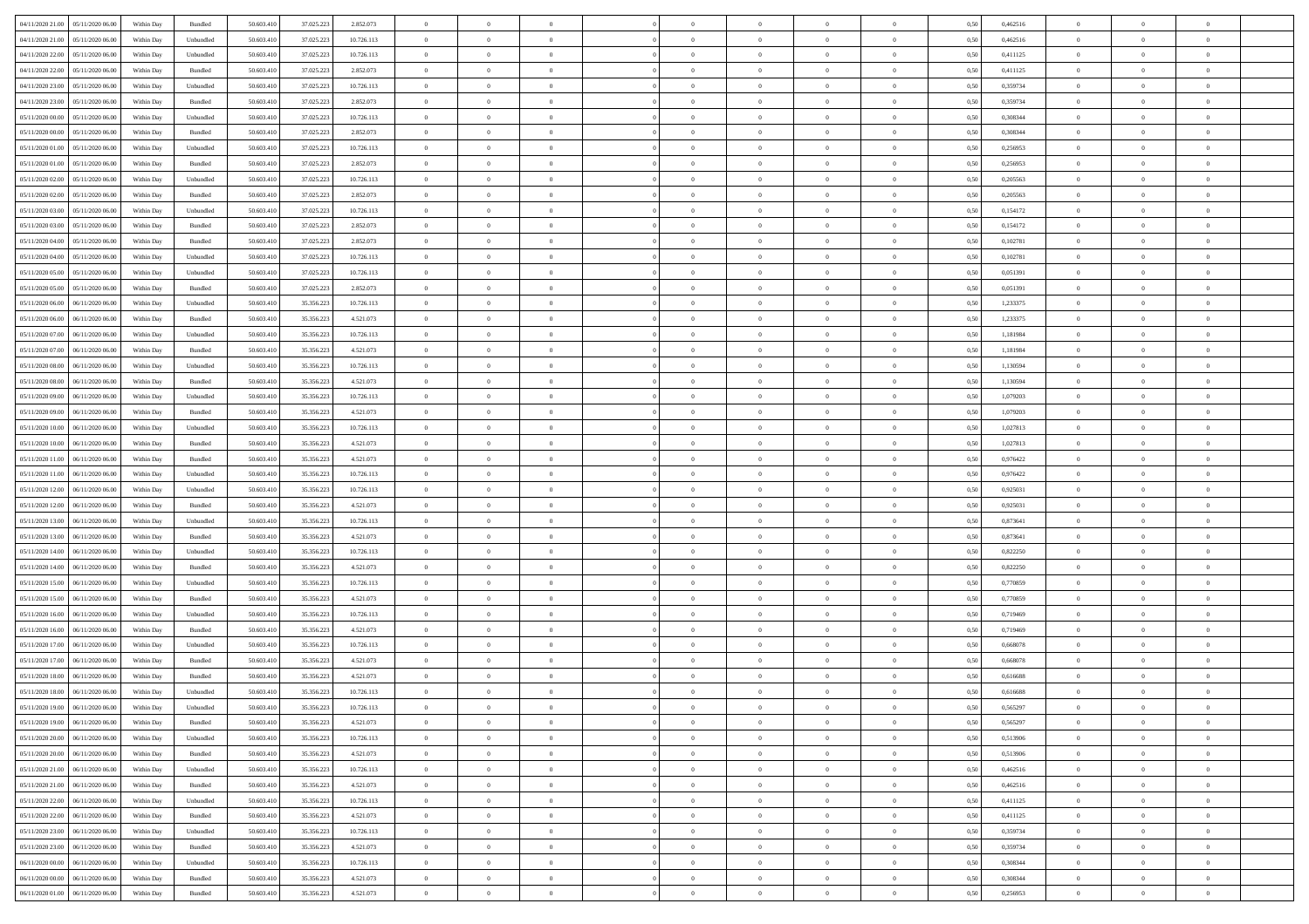| 04/11/2020 21.00<br>05/11/2020 06:00 | Within Day | Bundled   | 50.603.410 | 37.025.223 | 2.852.073  | $\overline{0}$ | $\overline{0}$   | $\overline{0}$ | $\theta$       | $\theta$       |                | $\overline{0}$ | 0,50 | 0,462516 | $\theta$       | $\theta$       | $\overline{0}$ |  |
|--------------------------------------|------------|-----------|------------|------------|------------|----------------|------------------|----------------|----------------|----------------|----------------|----------------|------|----------|----------------|----------------|----------------|--|
|                                      |            |           |            |            |            |                |                  |                |                |                |                |                |      |          |                |                |                |  |
| 04/11/2020 21.00<br>05/11/2020 06.00 | Within Day | Unbundled | 50.603.410 | 37.025.223 | 10.726.113 | $\overline{0}$ | $\overline{0}$   | $\overline{0}$ | $\bf{0}$       | $\bf{0}$       | $\overline{0}$ | $\bf{0}$       | 0,50 | 0,462516 | $\,$ 0 $\,$    | $\bf{0}$       | $\overline{0}$ |  |
| 04/11/2020 22.00<br>05/11/2020 06.00 | Within Day | Unbundled | 50,603.410 | 37.025.223 | 10.726.113 | $\overline{0}$ | $\overline{0}$   | $\overline{0}$ | $\bf{0}$       | $\bf{0}$       | $\overline{0}$ | $\mathbf{0}$   | 0.50 | 0,411125 | $\bf{0}$       | $\overline{0}$ | $\overline{0}$ |  |
| 04/11/2020 22.00<br>05/11/2020 06.00 | Within Day | Bundled   | 50.603.410 | 37.025.223 | 2.852.073  | $\overline{0}$ | $\overline{0}$   | $\overline{0}$ | $\overline{0}$ | $\overline{0}$ | $\overline{0}$ | $\bf{0}$       | 0,50 | 0,411125 | $\theta$       | $\theta$       | $\overline{0}$ |  |
| 04/11/2020 23.00<br>05/11/2020 06.00 | Within Day | Unbundled | 50.603.410 | 37.025.223 | 10.726.113 | $\overline{0}$ | $\overline{0}$   | $\bf{0}$       | $\overline{0}$ | $\overline{0}$ | $\overline{0}$ | $\bf{0}$       | 0,50 | 0,359734 | $\,$ 0 $\,$    | $\theta$       | $\overline{0}$ |  |
| 04/11/2020 23.00<br>05/11/2020 06.00 | Within Day | Bundled   | 50,603.410 | 37.025.223 | 2.852.073  | $\overline{0}$ | $\overline{0}$   | $\overline{0}$ | $\overline{0}$ | $\bf{0}$       | $\overline{0}$ | $\mathbf{0}$   | 0.50 | 0.359734 | $\,$ 0 $\,$    | $\theta$       | $\overline{0}$ |  |
| 05/11/2020 00.00<br>05/11/2020 06.00 | Within Day | Unbundled | 50.603.410 | 37.025.223 | 10.726.113 | $\overline{0}$ | $\overline{0}$   | $\overline{0}$ | $\overline{0}$ | $\overline{0}$ | $\overline{0}$ | $\bf{0}$       | 0,50 | 0,308344 | $\theta$       | $\theta$       | $\overline{0}$ |  |
|                                      |            |           |            |            |            |                |                  |                |                |                |                |                |      |          |                |                |                |  |
| 05/11/2020 00.00<br>05/11/2020 06.00 | Within Day | Bundled   | 50.603.410 | 37.025.223 | 2.852.073  | $\overline{0}$ | $\overline{0}$   | $\overline{0}$ | $\overline{0}$ | $\bf{0}$       | $\overline{0}$ | $\bf{0}$       | 0,50 | 0,308344 | $\,$ 0 $\,$    | $\bf{0}$       | $\overline{0}$ |  |
| 05/11/2020 01:00<br>05/11/2020 06:00 | Within Day | Unbundled | 50,603.410 | 37.025.223 | 10.726.113 | $\overline{0}$ | $\overline{0}$   | $\overline{0}$ | $\bf{0}$       | $\overline{0}$ | $\overline{0}$ | $\mathbf{0}$   | 0.50 | 0.256953 | $\,$ 0 $\,$    | $\overline{0}$ | $\overline{0}$ |  |
| 05/11/2020 01:00<br>05/11/2020 06.00 | Within Day | Bundled   | 50.603.410 | 37.025.223 | 2.852.073  | $\overline{0}$ | $\overline{0}$   | $\overline{0}$ | $\bf{0}$       | $\overline{0}$ | $\overline{0}$ | $\bf{0}$       | 0,50 | 0,256953 | $\,$ 0 $\,$    | $\theta$       | $\overline{0}$ |  |
| 05/11/2020 02.00<br>05/11/2020 06.00 | Within Day | Unbundled | 50.603.410 | 37.025.223 | 10.726.113 | $\overline{0}$ | $\overline{0}$   | $\overline{0}$ | $\bf{0}$       | $\bf{0}$       | $\overline{0}$ | $\bf{0}$       | 0,50 | 0,205563 | $\,$ 0 $\,$    | $\bf{0}$       | $\overline{0}$ |  |
| 05/11/2020 02.00<br>05/11/2020 06.00 | Within Day | Bundled   | 50,603.410 | 37.025.223 | 2.852.073  | $\overline{0}$ | $\overline{0}$   | $\overline{0}$ | $\bf{0}$       | $\bf{0}$       | $\overline{0}$ | $\mathbf{0}$   | 0.50 | 0.205563 | $\bf{0}$       | $\overline{0}$ | $\bf{0}$       |  |
| 05/11/2020 03:00<br>05/11/2020 06.00 | Within Day | Unbundled | 50.603.410 | 37.025.223 | 10.726.113 | $\overline{0}$ | $\overline{0}$   | $\overline{0}$ | $\overline{0}$ | $\overline{0}$ | $\overline{0}$ | $\bf{0}$       | 0,50 | 0,154172 | $\,$ 0 $\,$    | $\theta$       | $\overline{0}$ |  |
|                                      |            |           |            |            |            |                |                  |                |                |                |                |                |      |          |                |                |                |  |
| 05/11/2020 03.00<br>05/11/2020 06.00 | Within Day | Bundled   | 50.603.410 | 37.025.223 | 2.852.073  | $\overline{0}$ | $\overline{0}$   | $\overline{0}$ | $\bf{0}$       | $\overline{0}$ | $\overline{0}$ | $\bf{0}$       | 0,50 | 0,154172 | $\,$ 0 $\,$    | $\bf{0}$       | $\overline{0}$ |  |
| 05/11/2020 04.00<br>05/11/2020 06.00 | Within Day | Bundled   | 50,603.410 | 37.025.223 | 2.852.073  | $\overline{0}$ | $\overline{0}$   | $\overline{0}$ | $\overline{0}$ | $\overline{0}$ | $\overline{0}$ | $\mathbf{0}$   | 0.50 | 0.102781 | $\,$ 0 $\,$    | $\theta$       | $\overline{0}$ |  |
| 05/11/2020 04:00<br>05/11/2020 06.00 | Within Day | Unbundled | 50.603.410 | 37.025.223 | 10.726.113 | $\overline{0}$ | $\overline{0}$   | $\overline{0}$ | $\overline{0}$ | $\overline{0}$ | $\overline{0}$ | $\bf{0}$       | 0,50 | 0,102781 | $\theta$       | $\theta$       | $\overline{0}$ |  |
| 05/11/2020 05.00<br>05/11/2020 06.00 | Within Day | Unbundled | 50.603.410 | 37.025.223 | 10.726.113 | $\overline{0}$ | $\overline{0}$   | $\overline{0}$ | $\bf{0}$       | $\overline{0}$ | $\overline{0}$ | $\bf{0}$       | 0,50 | 0,051391 | $\,$ 0 $\,$    | $\bf{0}$       | $\overline{0}$ |  |
| 05/11/2020 05:00<br>05/11/2020 06:00 | Within Day | Bundled   | 50,603.410 | 37.025.223 | 2.852.073  | $\overline{0}$ | $\overline{0}$   | $\overline{0}$ | $\overline{0}$ | $\bf{0}$       | $\overline{0}$ | $\mathbf{0}$   | 0.50 | 0.051391 | $\bf{0}$       | $\overline{0}$ | $\overline{0}$ |  |
| 05/11/2020 06.00<br>06/11/2020 06.00 | Within Day | Unbundled | 50.603.410 | 35.356.223 | 10.726.113 | $\overline{0}$ | $\overline{0}$   | $\overline{0}$ | $\overline{0}$ | $\overline{0}$ | $\overline{0}$ | $\bf{0}$       | 0,50 | 1,233375 | $\,$ 0 $\,$    | $\theta$       | $\overline{0}$ |  |
|                                      |            |           |            |            |            |                |                  |                |                |                |                |                |      |          |                |                |                |  |
| 05/11/2020 06.00<br>06/11/2020 06.00 | Within Day | Bundled   | 50.603.410 | 35.356.223 | 4.521.073  | $\overline{0}$ | $\overline{0}$   | $\overline{0}$ | $\bf{0}$       | $\bf{0}$       | $\overline{0}$ | $\bf{0}$       | 0,50 | 1,233375 | $\,$ 0 $\,$    | $\bf{0}$       | $\overline{0}$ |  |
| 05/11/2020 07:00<br>06/11/2020 06.00 | Within Day | Unbundled | 50,603.410 | 35.356.223 | 10.726.113 | $\overline{0}$ | $\overline{0}$   | $\overline{0}$ | $\bf{0}$       | $\bf{0}$       | $\overline{0}$ | $\mathbf{0}$   | 0.50 | 1.181984 | $\bf{0}$       | $\overline{0}$ | $\overline{0}$ |  |
| 05/11/2020 07.00<br>06/11/2020 06:00 | Within Day | Bundled   | 50.603.410 | 35.356.223 | 4.521.073  | $\overline{0}$ | $\overline{0}$   | $\overline{0}$ | $\overline{0}$ | $\overline{0}$ | $\overline{0}$ | $\,$ 0 $\,$    | 0,50 | 1,181984 | $\theta$       | $\theta$       | $\overline{0}$ |  |
| 05/11/2020 08.00<br>06/11/2020 06.00 | Within Day | Unbundled | 50.603.410 | 35.356.223 | 10.726.113 | $\overline{0}$ | $\overline{0}$   | $\overline{0}$ | $\bf{0}$       | $\overline{0}$ | $\overline{0}$ | $\bf{0}$       | 0,50 | 1,130594 | $\,$ 0 $\,$    | $\bf{0}$       | $\overline{0}$ |  |
| 05/11/2020 08.00<br>06/11/2020 06:00 | Within Day | Bundled   | 50,603.410 | 35.356.223 | 4.521.073  | $\overline{0}$ | $\overline{0}$   | $\overline{0}$ | $\overline{0}$ | $\overline{0}$ | $\overline{0}$ | $\mathbf{0}$   | 0.50 | 1.130594 | $\,$ 0 $\,$    | $\theta$       | $\overline{0}$ |  |
| 05/11/2020 09:00<br>06/11/2020 06.00 | Within Day | Unbundled | 50.603.410 | 35.356.223 | 10.726.113 | $\overline{0}$ | $\overline{0}$   | $\overline{0}$ | $\overline{0}$ | $\overline{0}$ | $\overline{0}$ | $\bf{0}$       | 0,50 | 1,079203 | $\,$ 0 $\,$    | $\theta$       | $\overline{0}$ |  |
|                                      |            |           |            |            |            |                |                  |                |                |                |                |                |      |          |                |                |                |  |
| 05/11/2020 09:00<br>06/11/2020 06.00 | Within Day | Bundled   | 50.603.410 | 35.356.223 | 4.521.073  | $\overline{0}$ | $\overline{0}$   | $\overline{0}$ | $\overline{0}$ | $\overline{0}$ | $\overline{0}$ | $\bf{0}$       | 0,50 | 1,079203 | $\,$ 0 $\,$    | $\bf{0}$       | $\overline{0}$ |  |
| 05/11/2020 10:00<br>06/11/2020 06:00 | Within Day | Unbundled | 50,603.410 | 35.356.223 | 10.726.113 | $\overline{0}$ | $\overline{0}$   | $\overline{0}$ | $\bf{0}$       | $\overline{0}$ | $\overline{0}$ | $\mathbf{0}$   | 0.50 | 1.027813 | $\,$ 0 $\,$    | $\overline{0}$ | $\overline{0}$ |  |
| 05/11/2020 10:00<br>06/11/2020 06.00 | Within Day | Bundled   | 50.603.410 | 35.356.223 | 4.521.073  | $\overline{0}$ | $\overline{0}$   | $\overline{0}$ | $\overline{0}$ | $\overline{0}$ | $\overline{0}$ | $\bf{0}$       | 0,50 | 1,027813 | $\theta$       | $\theta$       | $\overline{0}$ |  |
| 05/11/2020 11:00<br>06/11/2020 06.00 | Within Day | Bundled   | 50.603.410 | 35.356.223 | 4.521.073  | $\overline{0}$ | $\overline{0}$   | $\overline{0}$ | $\,0\,$        | $\bf{0}$       | $\overline{0}$ | $\bf{0}$       | 0,50 | 0,976422 | $\,$ 0 $\,$    | $\bf{0}$       | $\overline{0}$ |  |
| 05/11/2020 11:00<br>06/11/2020 06:00 | Within Day | Unbundled | 50,603.410 | 35.356.223 | 10.726.113 | $\overline{0}$ | $\overline{0}$   | $\overline{0}$ | $\bf{0}$       | $\bf{0}$       | $\overline{0}$ | $\mathbf{0}$   | 0.50 | 0.976422 | $\bf{0}$       | $\overline{0}$ | $\bf{0}$       |  |
| 05/11/2020 12:00<br>06/11/2020 06:00 | Within Day | Unbundled | 50.603.410 | 35.356.223 | 10.726.113 | $\overline{0}$ | $\overline{0}$   | $\overline{0}$ | $\overline{0}$ | $\overline{0}$ | $\overline{0}$ | $\overline{0}$ | 0.50 | 0,925031 | $\theta$       | $\theta$       | $\overline{0}$ |  |
| 05/11/2020 12.00<br>06/11/2020 06.00 | Within Day | Bundled   | 50.603.410 | 35.356.223 | 4.521.073  | $\overline{0}$ | $\overline{0}$   | $\overline{0}$ | $\bf{0}$       | $\overline{0}$ | $\overline{0}$ | $\bf{0}$       | 0,50 | 0,925031 | $\,$ 0 $\,$    | $\bf{0}$       | $\overline{0}$ |  |
|                                      |            |           |            |            |            |                |                  |                |                |                |                |                |      |          |                |                |                |  |
| 05/11/2020 13.00<br>06/11/2020 06:00 | Within Day | Unbundled | 50,603.410 | 35.356.223 | 10.726.113 | $\overline{0}$ | $\overline{0}$   | $\overline{0}$ | $\overline{0}$ | $\overline{0}$ | $\overline{0}$ | $\mathbf{0}$   | 0.50 | 0.873641 | $\,$ 0 $\,$    | $\theta$       | $\overline{0}$ |  |
| 05/11/2020 13:00<br>06/11/2020 06.00 | Within Day | Bundled   | 50.603.410 | 35.356.223 | 4.521.073  | $\overline{0}$ | $\overline{0}$   | $\overline{0}$ | $\overline{0}$ | $\overline{0}$ | $\overline{0}$ | $\overline{0}$ | 0.50 | 0,873641 | $\theta$       | $\theta$       | $\overline{0}$ |  |
| 05/11/2020 14:00<br>06/11/2020 06.00 | Within Day | Unbundled | 50.603.410 | 35.356.223 | 10.726.113 | $\overline{0}$ | $\overline{0}$   | $\overline{0}$ | $\bf{0}$       | $\overline{0}$ | $\overline{0}$ | $\bf{0}$       | 0,50 | 0,822250 | $\,$ 0 $\,$    | $\bf{0}$       | $\overline{0}$ |  |
| 05/11/2020 14:00<br>06/11/2020 06:00 | Within Day | Bundled   | 50,603.410 | 35.356.223 | 4.521.073  | $\overline{0}$ | $\overline{0}$   | $\overline{0}$ | $\overline{0}$ | $\bf{0}$       | $\overline{0}$ | $\mathbf{0}$   | 0.50 | 0.822250 | $\bf{0}$       | $\overline{0}$ | $\overline{0}$ |  |
| 05/11/2020 15:00<br>06/11/2020 06.00 | Within Day | Unbundled | 50.603.410 | 35.356.223 | 10.726.113 | $\overline{0}$ | $\overline{0}$   | $\overline{0}$ | $\overline{0}$ | $\overline{0}$ | $\overline{0}$ | $\overline{0}$ | 0.50 | 0,770859 | $\theta$       | $\theta$       | $\overline{0}$ |  |
| 05/11/2020 15.00<br>06/11/2020 06.00 | Within Day | Bundled   | 50.603.410 | 35.356.223 | 4.521.073  | $\overline{0}$ | $\overline{0}$   | $\overline{0}$ | $\,0\,$        | $\bf{0}$       | $\overline{0}$ | $\bf{0}$       | 0,50 | 0,770859 | $\overline{0}$ | $\bf{0}$       | $\overline{0}$ |  |
|                                      |            | Unbundled | 50,603.410 |            |            |                |                  | $\overline{0}$ |                | $\bf{0}$       | $\overline{0}$ |                | 0.50 | 0.719469 | $\bf{0}$       | $\overline{0}$ | $\overline{0}$ |  |
| 05/11/2020 16:00<br>06/11/2020 06.00 | Within Day |           |            | 35.356.223 | 10.726.113 | $\overline{0}$ | $\overline{0}$   |                | $\bf{0}$       |                |                | $\mathbf{0}$   |      |          |                |                |                |  |
| 05/11/2020 16:00<br>06/11/2020 06:00 | Within Day | Bundled   | 50.603.410 | 35.356.223 | 4.521.073  | $\overline{0}$ | $\overline{0}$   | $\overline{0}$ | $\overline{0}$ | $\overline{0}$ | $\overline{0}$ | $\overline{0}$ | 0.50 | 0.719469 | $\theta$       | $\theta$       | $\overline{0}$ |  |
| 05/11/2020 17.00<br>06/11/2020 06.00 | Within Day | Unbundled | 50.603.410 | 35.356.223 | 10.726.113 | $\overline{0}$ | $\overline{0}$   | $\overline{0}$ | $\bf{0}$       | $\bf{0}$       | $\overline{0}$ | $\bf{0}$       | 0,50 | 0,668078 | $\,$ 0 $\,$    | $\bf{0}$       | $\overline{0}$ |  |
| 05/11/2020 17.00<br>06/11/2020 06.00 | Within Day | Bundled   | 50,603.410 | 35.356.223 | 4.521.073  | $\overline{0}$ | $\overline{0}$   | $\overline{0}$ | $\overline{0}$ | $\overline{0}$ | $\overline{0}$ | $\mathbf{0}$   | 0.50 | 0.668078 | $\,$ 0 $\,$    | $\theta$       | $\overline{0}$ |  |
| 05/11/2020 18:00<br>06/11/2020 06.00 | Within Day | Bundled   | 50.603.410 | 35.356.223 | 4.521.073  | $\overline{0}$ | $\overline{0}$   | $\overline{0}$ | $\overline{0}$ | $\overline{0}$ | $\Omega$       | $\overline{0}$ | 0.50 | 0.616688 | $\theta$       | $\theta$       | $\overline{0}$ |  |
| 05/11/2020 18:00<br>06/11/2020 06.00 | Within Day | Unbundled | 50.603.410 | 35.356.223 | 10.726.113 | $\overline{0}$ | $\overline{0}$   | $\bf{0}$       | $\,0\,$        | $\,0\,$        | $\overline{0}$ | $\bf{0}$       | 0,50 | 0,616688 | $\,$ 0 $\,$    | $\bf{0}$       | $\overline{0}$ |  |
|                                      | Within Day | Unbundled | 50.603.410 | 35.356.223 | 10.726.113 | $\bf{0}$       | $\boldsymbol{0}$ |                | $\bf{0}$       |                |                |                | 0,50 | 0,565297 | $\theta$       | $\overline{0}$ |                |  |
| 05/11/2020 19:00 06/11/2020 06:00    | Within Dav | Bundled   | 50.603.410 | 35.356.223 | 4.521.073  | $\overline{0}$ | $\overline{0}$   | $\overline{0}$ | $\overline{0}$ | $\overline{0}$ | $\overline{0}$ | $\overline{0}$ | 0,50 | 0,565297 | $\theta$       | $\theta$       | $\overline{0}$ |  |
|                                      |            |           |            |            |            |                |                  |                |                |                |                |                |      |          |                |                |                |  |
| 05/11/2020 20.00<br>06/11/2020 06.00 | Within Day | Unbundled | 50.603.410 | 35.356.223 | 10.726.113 | $\overline{0}$ | $\overline{0}$   | $\overline{0}$ | $\bf{0}$       | $\overline{0}$ | $\overline{0}$ | $\bf{0}$       | 0,50 | 0,513906 | $\overline{0}$ | $\overline{0}$ | $\bf{0}$       |  |
| 05/11/2020 20.00<br>06/11/2020 06.00 | Within Day | Bundled   | 50.603.410 | 35.356.223 | 4.521.073  | $\overline{0}$ | $\overline{0}$   | $\overline{0}$ | $\,$ 0 $\,$    | $\bf{0}$       | $\overline{0}$ | $\mathbf{0}$   | 0.50 | 0.513906 | $\overline{0}$ | $\bf{0}$       | $\bf{0}$       |  |
| 05/11/2020 21:00<br>06/11/2020 06:00 | Within Dav | Unbundled | 50.603.410 | 35.356.223 | 10.726.113 | $\overline{0}$ | $\overline{0}$   | $\overline{0}$ | $\overline{0}$ | $\overline{0}$ | $\overline{0}$ | $\mathbf{0}$   | 0,50 | 0,462516 | $\overline{0}$ | $\theta$       | $\overline{0}$ |  |
| 05/11/2020 21.00<br>06/11/2020 06.00 | Within Day | Bundled   | 50.603.410 | 35.356.223 | 4.521.073  | $\overline{0}$ | $\overline{0}$   | $\overline{0}$ | $\bf{0}$       | $\bf{0}$       | $\overline{0}$ | $\mathbf{0}$   | 0,50 | 0,462516 | $\overline{0}$ | $\bf{0}$       | $\overline{0}$ |  |
| 05/11/2020 22.00<br>06/11/2020 06.00 | Within Day | Unbundled | 50,603.410 | 35.356.223 | 10.726.113 | $\overline{0}$ | $\overline{0}$   | $\overline{0}$ | $\bf{0}$       | $\overline{0}$ | $\overline{0}$ | $\mathbf{0}$   | 0.50 | 0,411125 | $\,$ 0 $\,$    | $\theta$       | $\,$ 0         |  |
| 05/11/2020 22.00<br>06/11/2020 06:00 | Within Day | Bundled   | 50.603.410 | 35.356.223 | 4.521.073  | $\overline{0}$ | $\overline{0}$   | $\overline{0}$ | $\overline{0}$ | $\overline{0}$ | $\overline{0}$ | $\mathbf{0}$   | 0,50 | 0,411125 | $\overline{0}$ | $\theta$       | $\overline{0}$ |  |
|                                      |            |           |            |            |            |                |                  |                |                |                |                |                |      |          |                |                |                |  |
| 05/11/2020 23.00<br>06/11/2020 06.00 | Within Day | Unbundled | 50.603.410 | 35.356.223 | 10.726.113 | $\overline{0}$ | $\overline{0}$   | $\overline{0}$ | $\bf{0}$       | $\overline{0}$ | $\overline{0}$ | $\,$ 0 $\,$    | 0,50 | 0,359734 | $\bf{0}$       | $\bf{0}$       | $\overline{0}$ |  |
| 05/11/2020 23.00<br>06/11/2020 06.00 | Within Day | Bundled   | 50,603.410 | 35.356.223 | 4.521.073  | $\overline{0}$ | $\overline{0}$   | $\overline{0}$ | $\bf{0}$       | $\overline{0}$ | $\overline{0}$ | $\,$ 0 $\,$    | 0.50 | 0.359734 | $\overline{0}$ | $\bf{0}$       | $\,$ 0         |  |
| 06/11/2020 06:00<br>06/11/2020 00:00 | Within Dav | Unbundled | 50.603.410 | 35.356.223 | 10.726.113 | $\overline{0}$ | $\overline{0}$   | $\overline{0}$ | $\overline{0}$ | $\overline{0}$ | $\overline{0}$ | $\mathbf{0}$   | 0,50 | 0,308344 | $\overline{0}$ | $\theta$       | $\overline{0}$ |  |
| 06/11/2020 00:00<br>06/11/2020 06.0  | Within Day | Bundled   | 50.603.410 | 35.356.223 | 4.521.073  | $\overline{0}$ | $\overline{0}$   | $\overline{0}$ | $\overline{0}$ | $\bf{0}$       | $\overline{0}$ | $\,$ 0 $\,$    | 0,50 | 0,308344 | $\bf{0}$       | $\bf{0}$       | $\bf{0}$       |  |
| 06/11/2020 01.00 06/11/2020 06.00    | Within Day | Bundled   | 50.603.410 | 35.356.223 | 4.521.073  | $\,$ 0 $\,$    | $\overline{0}$   | $\overline{0}$ | $\bf{0}$       | $\,$ 0         | $\overline{0}$ | $\,0\,$        | 0,50 | 0,256953 | $\overline{0}$ | $\,$ 0 $\,$    | $\,$ 0 $\,$    |  |
|                                      |            |           |            |            |            |                |                  |                |                |                |                |                |      |          |                |                |                |  |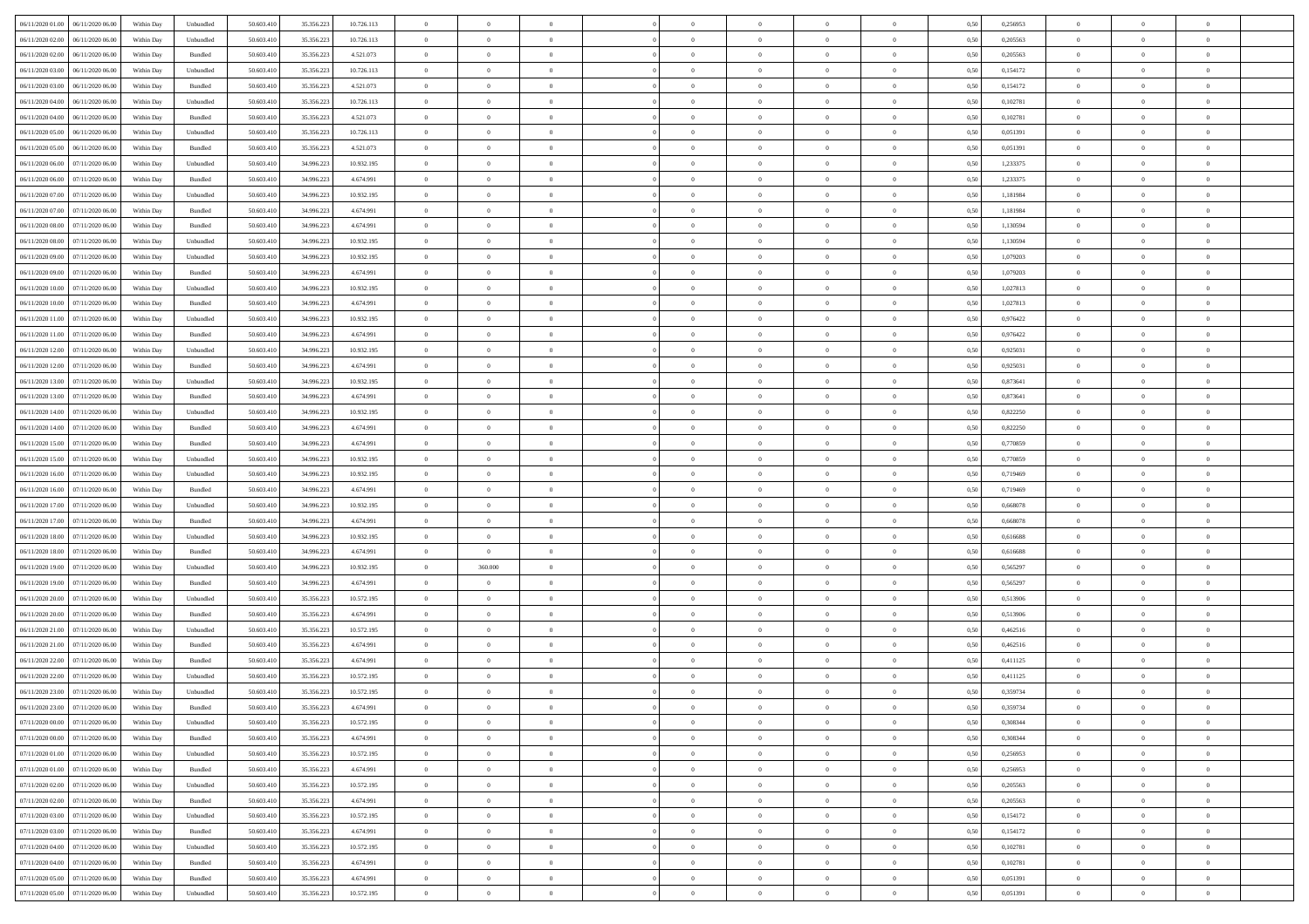| 06/11/2020 01:00 06/11/2020 06:00       | Within Day | Unbundled          | 50.603.410 | 35.356.223 | 10.726.113 | $\overline{0}$ | $\theta$       |                | $\overline{0}$ | $\theta$       |                | $\theta$       | 0,50 | 0,256953 | $\theta$       | $\theta$       | $\overline{0}$ |  |
|-----------------------------------------|------------|--------------------|------------|------------|------------|----------------|----------------|----------------|----------------|----------------|----------------|----------------|------|----------|----------------|----------------|----------------|--|
| 06/11/2020 02.00<br>06/11/2020 06.00    | Within Day | Unbundled          | 50.603.41  | 35.356.22  | 10.726.113 | $\bf{0}$       | $\bf{0}$       | $\bf{0}$       | $\bf{0}$       | $\overline{0}$ | $\overline{0}$ | $\bf{0}$       | 0,50 | 0,205563 | $\,$ 0 $\,$    | $\bf{0}$       | $\overline{0}$ |  |
| $06/11/2020\ 02.00$<br>06/11/2020 06:00 | Within Day | Bundled            | 50.603.41  | 35.356.223 | 4.521.073  | $\overline{0}$ | $\bf{0}$       | $\overline{0}$ | $\bf{0}$       | $\overline{0}$ | $\overline{0}$ | $\bf{0}$       | 0.50 | 0,205563 | $\bf{0}$       | $\overline{0}$ | $\bf{0}$       |  |
| 06/11/2020 03:00<br>06/11/2020 06.00    | Within Day | Unbundled          | 50.603.410 | 35.356.223 | 10.726.113 | $\overline{0}$ | $\overline{0}$ | $\overline{0}$ | $\overline{0}$ | $\theta$       | $\overline{0}$ | $\bf{0}$       | 0,50 | 0,154172 | $\theta$       | $\,$ 0 $\,$    | $\overline{0}$ |  |
| 06/11/2020 03:00<br>06/11/2020 06.00    | Within Day | Bundled            | 50.603.41  | 35.356.223 | 4.521.073  | $\bf{0}$       | $\overline{0}$ | $\bf{0}$       | $\overline{0}$ | $\bf{0}$       | $\overline{0}$ | $\bf{0}$       | 0,50 | 0,154172 | $\,$ 0 $\,$    | $\bf{0}$       | $\overline{0}$ |  |
| 06/11/2020 04:00<br>06/11/2020 06.00    | Within Day | Unbundled          | 50.603.41  | 35.356.22  | 10.726.113 | $\overline{0}$ | $\bf{0}$       | $\overline{0}$ | $\bf{0}$       | $\overline{0}$ | $\overline{0}$ | $\bf{0}$       | 0.50 | 0.102781 | $\,$ 0 $\,$    | $\theta$       | $\overline{0}$ |  |
| 06/11/2020 04:00<br>06/11/2020 06.00    | Within Day | Bundled            | 50.603.41  | 35.356.223 | 4.521.073  | $\overline{0}$ | $\overline{0}$ | $\overline{0}$ | $\overline{0}$ | $\overline{0}$ | $\overline{0}$ | $\bf{0}$       | 0,50 | 0,102781 | $\,$ 0 $\,$    | $\theta$       | $\overline{0}$ |  |
|                                         |            |                    |            |            |            |                |                |                |                |                |                |                |      |          |                |                |                |  |
| 06/11/2020 05:00<br>06/11/2020 06.00    | Within Day | Unbundled          | 50.603.41  | 35.356.22  | 10.726.113 | $\bf{0}$       | $\bf{0}$       | $\bf{0}$       | $\overline{0}$ | $\overline{0}$ | $\overline{0}$ | $\bf{0}$       | 0,50 | 0,051391 | $\,$ 0 $\,$    | $\bf{0}$       | $\overline{0}$ |  |
| 06/11/2020 05:00<br>06/11/2020 06:00    | Within Day | Bundled            | 50.603.41  | 35.356.22  | 4.521.073  | $\overline{0}$ | $\bf{0}$       | $\overline{0}$ | $\bf{0}$       | $\overline{0}$ | $\overline{0}$ | $\bf{0}$       | 0.50 | 0.051391 | $\bf{0}$       | $\overline{0}$ | $\overline{0}$ |  |
| 06/11/2020 06:00<br>07/11/2020 06.00    | Within Day | Unbundled          | 50.603.410 | 34.996.223 | 10.932.195 | $\bf{0}$       | $\bf{0}$       | $\overline{0}$ | $\overline{0}$ | $\overline{0}$ | $\overline{0}$ | $\bf{0}$       | 0,50 | 1,233375 | $\,$ 0 $\,$    | $\bf{0}$       | $\overline{0}$ |  |
| 06/11/2020 06.00<br>07/11/2020 06.00    | Within Day | Bundled            | 50.603.41  | 34.996.223 | 4.674.991  | $\bf{0}$       | $\bf{0}$       | $\bf{0}$       | $\bf{0}$       | $\overline{0}$ | $\overline{0}$ | $\bf{0}$       | 0,50 | 1,233375 | $\,$ 0 $\,$    | $\bf{0}$       | $\overline{0}$ |  |
| 06/11/2020 07.00<br>07/11/2020 06.00    | Within Day | Unbundled          | 50,603.41  | 34.996.223 | 10.932.195 | $\overline{0}$ | $\bf{0}$       | $\overline{0}$ | $\overline{0}$ | $\overline{0}$ | $\overline{0}$ | $\bf{0}$       | 0.50 | 1.181984 | $\bf{0}$       | $\overline{0}$ | $\,$ 0         |  |
| 06/11/2020 07:00<br>07/11/2020 06.00    | Within Day | Bundled            | 50.603.41  | 34.996.223 | 4.674.991  | $\overline{0}$ | $\bf{0}$       | $\overline{0}$ | $\theta$       | $\theta$       | $\overline{0}$ | $\bf{0}$       | 0,50 | 1,181984 | $\,$ 0 $\,$    | $\,$ 0 $\,$    | $\overline{0}$ |  |
| 06/11/2020 08:00<br>07/11/2020 06.00    | Within Day | Bundled            | 50.603.41  | 34.996.223 | 4.674.991  | $\bf{0}$       | $\bf{0}$       | $\bf{0}$       | $\bf{0}$       | $\bf{0}$       | $\overline{0}$ | $\bf{0}$       | 0,50 | 1,130594 | $\,$ 0 $\,$    | $\bf{0}$       | $\overline{0}$ |  |
| 06/11/2020 08:00<br>07/11/2020 06.00    | Within Day | Unbundled          | 50.603.41  | 34.996.223 | 10.932.195 | $\overline{0}$ | $\bf{0}$       | $\overline{0}$ | $\bf{0}$       | $\overline{0}$ | $\overline{0}$ | $\bf{0}$       | 0.50 | 1.130594 | $\,$ 0 $\,$    | $\bf{0}$       | $\overline{0}$ |  |
| 06/11/2020 09:00<br>07/11/2020 06.00    | Within Day | Unbundled          | 50.603.410 | 34.996.223 | 10.932.195 | $\overline{0}$ | $\overline{0}$ | $\overline{0}$ | $\overline{0}$ | $\overline{0}$ | $\overline{0}$ | $\bf{0}$       | 0,50 | 1,079203 | $\theta$       | $\theta$       | $\overline{0}$ |  |
| 06/11/2020 09:00<br>07/11/2020 06.00    | Within Day | Bundled            | 50.603.41  | 34.996.22  | 4.674.991  | $\bf{0}$       | $\bf{0}$       | $\bf{0}$       | $\overline{0}$ | $\overline{0}$ | $\overline{0}$ | $\bf{0}$       | 0,50 | 1,079203 | $\,$ 0 $\,$    | $\bf{0}$       | $\overline{0}$ |  |
| 06/11/2020 10:00<br>07/11/2020 06:00    | Within Day | Unbundled          | 50,603.41  | 34.996.22  | 10.932.195 | $\overline{0}$ | $\bf{0}$       | $\overline{0}$ | $\bf{0}$       | $\bf{0}$       | $\overline{0}$ | $\bf{0}$       | 0.50 | 1.027813 | $\bf{0}$       | $\overline{0}$ | $\bf{0}$       |  |
|                                         |            |                    |            |            |            |                |                |                |                |                |                |                |      |          |                |                |                |  |
| 06/11/2020 10:00<br>07/11/2020 06.00    | Within Day | Bundled            | 50.603.410 | 34.996.223 | 4.674.991  | $\bf{0}$       | $\bf{0}$       | $\overline{0}$ | $\overline{0}$ | $\overline{0}$ | $\overline{0}$ | $\bf{0}$       | 0,50 | 1,027813 | $\,$ 0 $\,$    | $\bf{0}$       | $\overline{0}$ |  |
| 06/11/2020 11:00<br>07/11/2020 06.00    | Within Day | Unbundled          | 50.603.41  | 34.996.22  | 10.932.195 | $\bf{0}$       | $\bf{0}$       | $\bf{0}$       | $\bf{0}$       | $\overline{0}$ | $\overline{0}$ | $\bf{0}$       | 0,50 | 0,976422 | $\,$ 0 $\,$    | $\bf{0}$       | $\overline{0}$ |  |
| 06/11/2020 11:00<br>07/11/2020 06.00    | Within Day | Bundled            | 50.603.41  | 34.996.223 | 4.674.991  | $\overline{0}$ | $\bf{0}$       | $\overline{0}$ | $\overline{0}$ | $\bf{0}$       | $\overline{0}$ | $\bf{0}$       | 0.50 | 0.976422 | $\bf{0}$       | $\overline{0}$ | $\,$ 0         |  |
| 06/11/2020 12:00<br>07/11/2020 06:00    | Within Day | Unbundled          | 50.603.41  | 34.996.223 | 10.932.195 | $\overline{0}$ | $\overline{0}$ | $\overline{0}$ | $\overline{0}$ | $\overline{0}$ | $\overline{0}$ | $\bf{0}$       | 0,50 | 0,925031 | $\theta$       | $\theta$       | $\overline{0}$ |  |
| 06/11/2020 12:00<br>07/11/2020 06.00    | Within Day | Bundled            | 50.603.41  | 34.996.223 | 4.674.991  | $\bf{0}$       | $\bf{0}$       | $\bf{0}$       | $\bf{0}$       | $\overline{0}$ | $\overline{0}$ | $\bf{0}$       | 0,50 | 0,925031 | $\,$ 0 $\,$    | $\bf{0}$       | $\overline{0}$ |  |
| 06/11/2020 13:00<br>07/11/2020 06.00    | Within Day | Unbundled          | 50.603.41  | 34,996,223 | 10.932.195 | $\overline{0}$ | $\bf{0}$       | $\overline{0}$ | $\bf{0}$       | $\overline{0}$ | $\overline{0}$ | $\bf{0}$       | 0.50 | 0.873641 | $\bf{0}$       | $\overline{0}$ | $\overline{0}$ |  |
| 06/11/2020 13:00<br>07/11/2020 06.00    | Within Day | Bundled            | 50.603.41  | 34.996.223 | 4.674.991  | $\overline{0}$ | $\overline{0}$ | $\overline{0}$ | $\overline{0}$ | $\overline{0}$ | $\overline{0}$ | $\bf{0}$       | 0,50 | 0,873641 | $\,$ 0 $\,$    | $\theta$       | $\overline{0}$ |  |
| 06/11/2020 14:00<br>07/11/2020 06.00    | Within Day | Unbundled          | 50.603.41  | 34.996.22  | 10.932.195 | $\bf{0}$       | $\overline{0}$ | $\bf{0}$       | $\overline{0}$ | $\overline{0}$ | $\overline{0}$ | $\bf{0}$       | 0,50 | 0,822250 | $\,$ 0 $\,$    | $\bf{0}$       | $\overline{0}$ |  |
| 06/11/2020 14:00<br>07/11/2020 06:00    | Within Day | Bundled            | 50,603.41  | 34.996.22  | 4.674.991  | $\overline{0}$ | $\bf{0}$       | $\overline{0}$ | $\bf{0}$       | $\overline{0}$ | $\overline{0}$ | $\bf{0}$       | 0.50 | 0.822250 | $\bf{0}$       | $\overline{0}$ | $\overline{0}$ |  |
| 06/11/2020 15:00<br>07/11/2020 06:00    | Within Day | Bundled            | 50.603.410 | 34.996.223 | 4.674.991  | $\overline{0}$ | $\bf{0}$       | $\overline{0}$ | $\overline{0}$ | $\overline{0}$ | $\overline{0}$ | $\bf{0}$       | 0,50 | 0,770859 | $\,$ 0 $\,$    | $\bf{0}$       | $\overline{0}$ |  |
| 06/11/2020 15:00<br>07/11/2020 06.00    | Within Day | Unbundled          | 50.603.41  | 34.996.223 | 10.932.195 | $\bf{0}$       | $\bf{0}$       | $\bf{0}$       | $\bf{0}$       | $\overline{0}$ | $\overline{0}$ | $\bf{0}$       | 0,50 | 0,770859 | $\,$ 0 $\,$    | $\bf{0}$       | $\overline{0}$ |  |
| 06/11/2020 16:00<br>07/11/2020 06.00    | Within Day | Unbundled          | 50.603.41  | 34.996.22  | 10.932.195 | $\overline{0}$ | $\bf{0}$       | $\overline{0}$ | $\bf{0}$       | $\bf{0}$       | $\overline{0}$ | $\bf{0}$       | 0.50 | 0.719469 | $\bf{0}$       | $\overline{0}$ | $\,$ 0         |  |
|                                         |            |                    |            |            |            |                | $\overline{0}$ |                |                | $\overline{0}$ |                |                |      |          | $\theta$       | $\theta$       | $\overline{0}$ |  |
| 06/11/2020 16:00<br>07/11/2020 06.00    | Within Day | Bundled            | 50.603.41  | 34.996.22  | 4.674.991  | $\overline{0}$ |                | $\overline{0}$ | $\overline{0}$ |                | $\overline{0}$ | $\bf{0}$       | 0.5( | 0.719469 |                |                |                |  |
| 06/11/2020 17.00<br>07/11/2020 06.00    | Within Day | Unbundled          | 50.603.41  | 34.996.223 | 10.932.195 | $\bf{0}$       | $\bf{0}$       | $\bf{0}$       | $\bf{0}$       | $\overline{0}$ | $\overline{0}$ | $\bf{0}$       | 0,50 | 0,668078 | $\,$ 0 $\,$    | $\bf{0}$       | $\overline{0}$ |  |
| 06/11/2020 17:00<br>07/11/2020 06.00    | Within Day | Bundled            | 50,603.41  | 34.996.223 | 4.674.991  | $\overline{0}$ | $\bf{0}$       | $\overline{0}$ | $\bf{0}$       | $\overline{0}$ | $\overline{0}$ | $\bf{0}$       | 0.50 | 0.668078 | $\bf{0}$       | $\bf{0}$       | $\overline{0}$ |  |
| 06/11/2020 18:00<br>07/11/2020 06:00    | Within Day | Unbundled          | 50.603.41  | 34.996.223 | 10.932.195 | $\overline{0}$ | $\overline{0}$ | $\overline{0}$ | $\overline{0}$ | $\overline{0}$ | $\overline{0}$ | $\bf{0}$       | 0.50 | 0.616688 | $\theta$       | $\theta$       | $\overline{0}$ |  |
| 06/11/2020 18:00<br>07/11/2020 06.00    | Within Day | Bundled            | 50.603.41  | 34.996.22  | 4.674.991  | $\bf{0}$       | $\bf{0}$       | $\bf{0}$       | $\bf{0}$       | $\overline{0}$ | $\overline{0}$ | $\bf{0}$       | 0,50 | 0,616688 | $\,$ 0 $\,$    | $\bf{0}$       | $\overline{0}$ |  |
| 06/11/2020 19:00<br>07/11/2020 06:00    | Within Day | Unbundled          | 50,603.41  | 34.996.22  | 10.932.195 | $\overline{0}$ | 360,000        | $\overline{0}$ | $\bf{0}$       | $\overline{0}$ | $\overline{0}$ | $\bf{0}$       | 0.50 | 0.565297 | $\bf{0}$       | $\overline{0}$ | $\overline{0}$ |  |
| 06/11/2020 19:00<br>07/11/2020 06:00    | Within Day | Bundled            | 50.603.41  | 34.996.22  | 4.674.991  | $\overline{0}$ | $\overline{0}$ | $\overline{0}$ | $\overline{0}$ | $\overline{0}$ | $\overline{0}$ | $\bf{0}$       | 0.50 | 0,565297 | $\theta$       | $\theta$       | $\overline{0}$ |  |
| 06/11/2020 20:00<br>07/11/2020 06.00    | Within Day | Unbundled          | 50.603.41  | 35.356.22  | 10.572.195 | $\bf{0}$       | $\bf{0}$       | $\bf{0}$       | $\bf{0}$       | $\overline{0}$ | $\overline{0}$ | $\bf{0}$       | 0,50 | 0,513906 | $\,$ 0 $\,$    | $\bf{0}$       | $\overline{0}$ |  |
| 06/11/2020 20.00<br>07/11/2020 06.00    | Within Day | Bundled            | 50.603.41  | 35.356.223 | 4.674.991  | $\overline{0}$ | $\bf{0}$       | $\overline{0}$ | $\overline{0}$ | $\bf{0}$       | $\overline{0}$ | $\bf{0}$       | 0.50 | 0,513906 | $\,$ 0 $\,$    | $\overline{0}$ | $\,$ 0         |  |
| 06/11/2020 21.00<br>07/11/2020 06.00    | Within Day | Unbundled          | 50.603.41  | 35.356.223 | 10.572.195 | $\overline{0}$ | $\overline{0}$ | $\overline{0}$ | $\overline{0}$ | $\overline{0}$ | $\overline{0}$ | $\bf{0}$       | 0.5( | 0,462516 | $\theta$       | $\theta$       | $\overline{0}$ |  |
| 06/11/2020 21.00<br>07/11/2020 06.00    | Within Day | Bundled            | 50.603.41  | 35.356.223 | 4.674.991  | $\bf{0}$       | $\bf{0}$       | $\bf{0}$       | $\bf{0}$       | $\overline{0}$ | $\overline{0}$ | $\bf{0}$       | 0,50 | 0,462516 | $\,$ 0 $\,$    | $\bf{0}$       | $\overline{0}$ |  |
| 06/11/2020 22.00<br>07/11/2020 06.00    | Within Day | Bundled            | 50.603.41  | 35.356.22  | 4.674.991  | $\overline{0}$ | $\overline{0}$ | $\overline{0}$ | $\bf{0}$       | $\overline{0}$ | $\overline{0}$ | $\bf{0}$       | 0.50 | 0,411125 | $\bf{0}$       | $\bf{0}$       | $\overline{0}$ |  |
| 06/11/2020 22.00<br>07/11/2020 06:00    | Within Day | Unbundled          | 50.603.41  | 35.356.223 | 10.572.195 | $\overline{0}$ | $\overline{0}$ | $\overline{0}$ | $\overline{0}$ | $\theta$       | $\overline{0}$ | $\overline{0}$ | 0.5( | 0,411125 | $\theta$       | $\theta$       | $\overline{0}$ |  |
| 06/11/2020 23:00<br>07/11/2020 06.00    | Within Day | Unbundled          | 50.603.41  | 35.356.22  | 10.572.195 | $\bf{0}$       | $\bf{0}$       | $\bf{0}$       | $\bf{0}$       | $\bf{0}$       | $\overline{0}$ | $\bf{0}$       | 0,50 | 0,359734 | $\overline{0}$ | $\overline{0}$ | $\overline{0}$ |  |
| 06/11/2020 23:00 07/11/2020 06:00       | Within Day |                    |            |            | 4 674 991  |                |                |                |                | $\theta$       |                |                | 0,50 | 0,359734 |                |                |                |  |
|                                         |            | $\mathbf B$ undled | 50.603.410 | 35.356.223 |            | $\bf{0}$       | $\theta$       |                | $\overline{0}$ |                |                |                |      |          | $\bf{0}$       | $\,$ 0         |                |  |
| 07/11/2020 00:00 07/11/2020 06:00       | Within Day | Unbundled          | 50.603.410 | 35.356.223 | 10.572.195 | $\overline{0}$ | $\overline{0}$ | $\Omega$       | $\theta$       | $\overline{0}$ | $\overline{0}$ | $\bf{0}$       | 0,50 | 0,308344 | $\theta$       | $\theta$       | $\overline{0}$ |  |
| 07/11/2020 00:00<br>07/11/2020 06.00    | Within Day | Bundled            | 50.603.41  | 35.356.223 | 4.674.991  | $\overline{0}$ | $\bf{0}$       | $\overline{0}$ | $\overline{0}$ | $\bf{0}$       | $\overline{0}$ | $\bf{0}$       | 0,50 | 0,308344 | $\bf{0}$       | $\overline{0}$ | $\bf{0}$       |  |
| 07/11/2020 01:00 07/11/2020 06:00       | Within Day | Unbundled          | 50,603.410 | 35.356.223 | 10.572.195 | $\overline{0}$ | $\bf{0}$       | $\overline{0}$ | $\overline{0}$ | $\mathbf{0}$   | $\overline{0}$ | $\,$ 0 $\,$    | 0.50 | 0,256953 | $\overline{0}$ | $\bf{0}$       | $\,$ 0 $\,$    |  |
| 07/11/2020 01:00 07/11/2020 06:00       | Within Dav | Bundled            | 50.603.410 | 35.356.223 | 4.674.991  | $\overline{0}$ | $\overline{0}$ | $\overline{0}$ | $\overline{0}$ | $\overline{0}$ | $\overline{0}$ | $\bf{0}$       | 0,50 | 0,256953 | $\theta$       | $\theta$       | $\overline{0}$ |  |
| 07/11/2020 02.00<br>07/11/2020 06.00    | Within Day | Unbundled          | 50.603.41  | 35.356.223 | 10.572.195 | $\overline{0}$ | $\bf{0}$       | $\overline{0}$ | $\overline{0}$ | $\overline{0}$ | $\bf{0}$       | $\bf{0}$       | 0,50 | 0,205563 | $\bf{0}$       | $\overline{0}$ | $\overline{0}$ |  |
| 07/11/2020 06:00<br>07/11/2020 02.00    | Within Day | Bundled            | 50,603.41  | 35.356.223 | 4.674.991  | $\overline{0}$ | $\bf{0}$       | $\overline{0}$ | $\overline{0}$ | $\overline{0}$ | $\overline{0}$ | $\bf{0}$       | 0.50 | 0.205563 | $\,$ 0 $\,$    | $\theta$       | $\overline{0}$ |  |
| 07/11/2020 03:00<br>07/11/2020 06:00    | Within Dav | Unbundled          | 50.603.410 | 35.356.223 | 10.572.195 | $\overline{0}$ | $\overline{0}$ | $\overline{0}$ | $\overline{0}$ | $\overline{0}$ | $\overline{0}$ | $\bf{0}$       | 0.50 | 0,154172 | $\overline{0}$ | $\theta$       | $\overline{0}$ |  |
| 07/11/2020 03:00<br>07/11/2020 06.00    | Within Day | Bundled            | 50.603.41  | 35.356.223 | 4.674.991  | $\overline{0}$ | $\overline{0}$ | $\overline{0}$ | $\overline{0}$ | $\overline{0}$ | $\overline{0}$ | $\bf{0}$       | 0,50 | 0,154172 | $\bf{0}$       | $\overline{0}$ | $\overline{0}$ |  |
| 07/11/2020 06:00<br>07/11/2020 04.00    | Within Day | Unbundled          | 50,603.410 | 35.356.223 | 10.572.195 | $\overline{0}$ | $\overline{0}$ | $\overline{0}$ | $\overline{0}$ | $\bf{0}$       | $\overline{0}$ | $\bf{0}$       | 0.50 | 0.102781 | $\mathbf{0}$   | $\bf{0}$       | $\,$ 0         |  |
| 07/11/2020 04:00 07/11/2020 06:00       | Within Dav | Bundled            | 50.603.410 | 35.356.223 | 4.674.991  | $\overline{0}$ | $\overline{0}$ | $\overline{0}$ | $\overline{0}$ | $\overline{0}$ | $\overline{0}$ | $\bf{0}$       | 0.50 | 0,102781 | $\overline{0}$ | $\theta$       | $\overline{0}$ |  |
|                                         |            |                    |            |            |            |                | $\bf{0}$       |                | $\bf{0}$       | $\overline{0}$ |                |                |      |          | $\bf{0}$       | $\bf{0}$       | $\overline{0}$ |  |
| 07/11/2020 05:00<br>07/11/2020 06.00    | Within Day | Bundled            | 50.603.41  | 35.356.223 | 4.674.991  | $\overline{0}$ |                | $\overline{0}$ |                |                | $\bf{0}$       | $\bf{0}$       | 0,50 | 0,051391 |                |                |                |  |
| 07/11/2020 05:00 07/11/2020 06:00       | Within Day | Unbundled          | 50.603.410 | 35.356.223 | 10.572.195 | $\overline{0}$ | $\bf{0}$       | $\overline{0}$ | $\overline{0}$ | $\,$ 0 $\,$    | $\overline{0}$ | $\bf{0}$       | 0,50 | 0,051391 | $\overline{0}$ | $\,$ 0 $\,$    | $\,$ 0 $\,$    |  |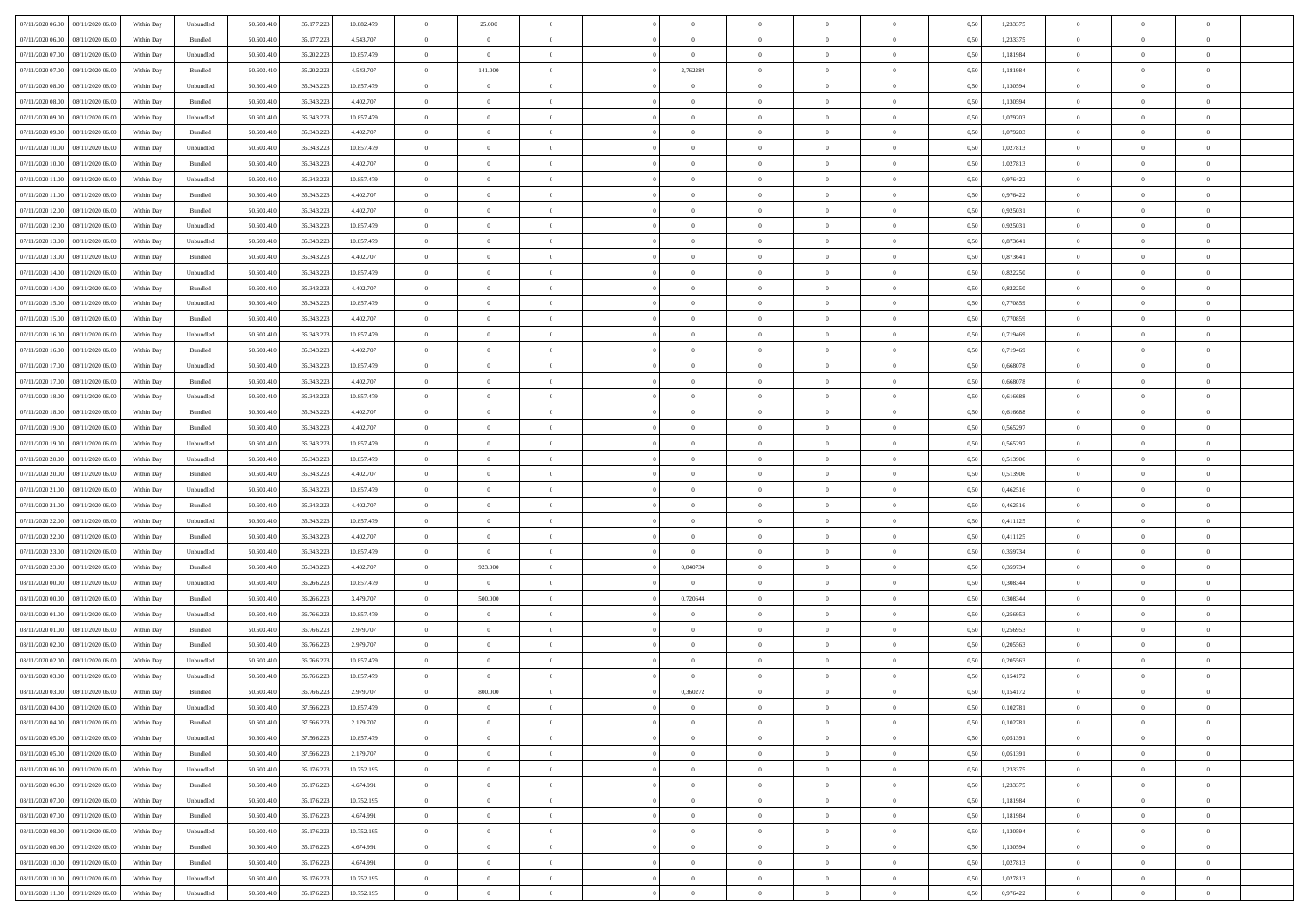| 07/11/2020 06:00 08/11/2020 06:00                  | Within Day | Unbundled                   | 50.603.410 | 35.177.223 | 10.882.479 | $\overline{0}$ | 25.000         |                | $\overline{0}$ | $\theta$       |                | $\theta$       | 0,50 | 1,233375 | $\theta$       | $\theta$       | $\overline{0}$ |  |
|----------------------------------------------------|------------|-----------------------------|------------|------------|------------|----------------|----------------|----------------|----------------|----------------|----------------|----------------|------|----------|----------------|----------------|----------------|--|
| 07/11/2020 06.00<br>08/11/2020 06.00               | Within Day | Bundled                     | 50.603.41  | 35.177.223 | 4.543.707  | $\bf{0}$       | $\bf{0}$       | $\bf{0}$       | $\bf{0}$       | $\overline{0}$ | $\overline{0}$ | $\bf{0}$       | 0,50 | 1,233375 | $\,$ 0 $\,$    | $\bf{0}$       | $\overline{0}$ |  |
| 07/11/2020 07:00<br>08/11/2020 06:00               | Within Day | Unbundled                   | 50.603.41  | 35.202.223 | 10.857.479 | $\overline{0}$ | $\overline{0}$ | $\overline{0}$ | $\bf{0}$       | $\bf{0}$       | $\overline{0}$ | $\bf{0}$       | 0.50 | 1.181984 | $\overline{0}$ | $\overline{0}$ | $\bf{0}$       |  |
| 07/11/2020 07:00<br>08/11/2020 06:00               | Within Day | Bundled                     | 50.603.410 | 35.202.223 | 4.543.707  | $\overline{0}$ | 141.000        | $\overline{0}$ | 2,762284       | $\theta$       | $\overline{0}$ | $\bf{0}$       | 0,50 | 1,181984 | $\theta$       | $\theta$       | $\overline{0}$ |  |
| 07/11/2020 08:00<br>08/11/2020 06.00               | Within Day | Unbundled                   | 50.603.41  | 35.343.223 | 10.857.479 | $\bf{0}$       | $\theta$       | $\bf{0}$       | $\overline{0}$ | $\bf{0}$       | $\overline{0}$ | $\bf{0}$       | 0,50 | 1,130594 | $\,$ 0 $\,$    | $\bf{0}$       | $\overline{0}$ |  |
| $07\!/11\!/2020$ $08.00$<br>08/11/2020 06.00       |            | Bundled                     | 50.603.41  | 35.343.22  | 4.402.707  | $\overline{0}$ | $\bf{0}$       | $\overline{0}$ | $\bf{0}$       | $\overline{0}$ | $\overline{0}$ | $\bf{0}$       | 0.50 | 1.130594 | $\,$ 0 $\,$    | $\theta$       | $\overline{0}$ |  |
|                                                    | Within Day |                             |            |            |            | $\overline{0}$ | $\overline{0}$ | $\overline{0}$ | $\overline{0}$ | $\overline{0}$ | $\overline{0}$ |                |      |          |                | $\theta$       |                |  |
| 07/11/2020 09:00<br>08/11/2020 06.00               | Within Day | Unbundled                   | 50.603.41  | 35.343.223 | 10.857.479 |                |                |                |                |                |                | $\bf{0}$       | 0,50 | 1,079203 | $\,$ 0 $\,$    |                | $\overline{0}$ |  |
| 07/11/2020 09:00<br>08/11/2020 06.00               | Within Day | Bundled                     | 50.603.41  | 35.343.22  | 4.402.707  | $\bf{0}$       | $\bf{0}$       | $\bf{0}$       | $\overline{0}$ | $\overline{0}$ | $\overline{0}$ | $\bf{0}$       | 0,50 | 1,079203 | $\,$ 0 $\,$    | $\bf{0}$       | $\overline{0}$ |  |
| $07\slash 11\slash 2020$ 10.00<br>08/11/2020 06:00 | Within Day | Unbundled                   | 50.603.41  | 35.343.22  | 10.857.479 | $\overline{0}$ | $\bf{0}$       | $\overline{0}$ | $\bf{0}$       | $\overline{0}$ | $\overline{0}$ | $\bf{0}$       | 0.50 | 1.027813 | $\bf{0}$       | $\overline{0}$ | $\overline{0}$ |  |
| 07/11/2020 10:00<br>08/11/2020 06:00               | Within Day | Bundled                     | 50.603.410 | 35.343.223 | 4.402.707  | $\bf{0}$       | $\bf{0}$       | $\overline{0}$ | $\overline{0}$ | $\overline{0}$ | $\overline{0}$ | $\bf{0}$       | 0,50 | 1,027813 | $\,$ 0 $\,$    | $\bf{0}$       | $\overline{0}$ |  |
| 07/11/2020 11:00<br>08/11/2020 06.00               | Within Day | Unbundled                   | 50.603.41  | 35.343.223 | 10.857.479 | $\bf{0}$       | $\bf{0}$       | $\bf{0}$       | $\bf{0}$       | $\bf{0}$       | $\overline{0}$ | $\bf{0}$       | 0,50 | 0,976422 | $\,$ 0 $\,$    | $\bf{0}$       | $\overline{0}$ |  |
| 07/11/2020 11:00<br>08/11/2020 06:00               | Within Day | Bundled                     | 50.603.41  | 35.343.223 | 4.402.707  | $\overline{0}$ | $\bf{0}$       | $\overline{0}$ | $\overline{0}$ | $\bf{0}$       | $\overline{0}$ | $\bf{0}$       | 0.50 | 0.976422 | $\bf{0}$       | $\overline{0}$ | $\,$ 0         |  |
| 07/11/2020 12:00<br>08/11/2020 06:00               | Within Day | Bundled                     | 50.603.41  | 35.343.223 | 4.402.707  | $\overline{0}$ | $\bf{0}$       | $\overline{0}$ | $\theta$       | $\theta$       | $\overline{0}$ | $\bf{0}$       | 0,50 | 0,925031 | $\,$ 0 $\,$    | $\theta$       | $\overline{0}$ |  |
| 07/11/2020 12:00<br>08/11/2020 06.00               | Within Day | Unbundled                   | 50.603.41  | 35.343.22  | 10.857.479 | $\bf{0}$       | $\overline{0}$ | $\bf{0}$       | $\bf{0}$       | $\bf{0}$       | $\overline{0}$ | $\bf{0}$       | 0,50 | 0,925031 | $\bf{0}$       | $\bf{0}$       | $\overline{0}$ |  |
| 07/11/2020 13:00<br>08/11/2020 06:00               | Within Day | Unbundled                   | 50.603.41  | 35.343.22  | 10.857.479 | $\overline{0}$ | $\bf{0}$       | $\overline{0}$ | $\bf{0}$       | $\overline{0}$ | $\overline{0}$ | $\bf{0}$       | 0.50 | 0.873641 | $\,$ 0 $\,$    | $\theta$       | $\overline{0}$ |  |
| 07/11/2020 13:00<br>08/11/2020 06:00               | Within Day | Bundled                     | 50.603.410 | 35.343.223 | 4.402.707  | $\overline{0}$ | $\overline{0}$ | $\overline{0}$ | $\overline{0}$ | $\overline{0}$ | $\overline{0}$ | $\bf{0}$       | 0,50 | 0,873641 | $\theta$       | $\theta$       | $\overline{0}$ |  |
| 07/11/2020 14:00<br>08/11/2020 06.00               | Within Day | Unbundled                   | 50.603.41  | 35.343.22  | 10.857.479 | $\bf{0}$       | $\bf{0}$       | $\bf{0}$       | $\overline{0}$ | $\bf{0}$       | $\overline{0}$ | $\bf{0}$       | 0,50 | 0,822250 | $\,$ 0 $\,$    | $\bf{0}$       | $\overline{0}$ |  |
|                                                    |            |                             |            |            |            |                |                |                |                |                |                |                |      |          |                |                |                |  |
| 07/11/2020 14:00<br>08/11/2020 06:00               | Within Day | Bundled                     | 50.603.41  | 35.343.22  | 4.402.707  | $\overline{0}$ | $\bf{0}$       | $\overline{0}$ | $\bf{0}$       | $\overline{0}$ | $\overline{0}$ | $\bf{0}$       | 0.50 | 0.822250 | $\bf{0}$       | $\overline{0}$ | $\bf{0}$       |  |
| 07/11/2020 15:00<br>08/11/2020 06.00               | Within Day | Unbundled                   | 50.603.410 | 35.343.223 | 10.857.479 | $\bf{0}$       | $\bf{0}$       | $\overline{0}$ | $\overline{0}$ | $\overline{0}$ | $\overline{0}$ | $\bf{0}$       | 0,50 | 0,770859 | $\,$ 0 $\,$    | $\bf{0}$       | $\overline{0}$ |  |
| 07/11/2020 15:00<br>08/11/2020 06.00               | Within Day | Bundled                     | 50.603.41  | 35.343.223 | 4.402.707  | $\bf{0}$       | $\bf{0}$       | $\bf{0}$       | $\bf{0}$       | $\overline{0}$ | $\overline{0}$ | $\bf{0}$       | 0,50 | 0,770859 | $\,$ 0 $\,$    | $\bf{0}$       | $\overline{0}$ |  |
| 07/11/2020 16:00<br>08/11/2020 06:00               | Within Day | Unbundled                   | 50.603.41  | 35.343.223 | 10.857.479 | $\overline{0}$ | $\bf{0}$       | $\overline{0}$ | $\bf{0}$       | $\bf{0}$       | $\overline{0}$ | $\bf{0}$       | 0.50 | 0.719469 | $\bf{0}$       | $\overline{0}$ | $\,$ 0         |  |
| 07/11/2020 16:00<br>08/11/2020 06:00               | Within Day | Bundled                     | 50.603.41  | 35.343.223 | 4.402.707  | $\overline{0}$ | $\overline{0}$ | $\overline{0}$ | $\theta$       | $\overline{0}$ | $\overline{0}$ | $\bf{0}$       | 0,50 | 0,719469 | $\theta$       | $\theta$       | $\overline{0}$ |  |
| 07/11/2020 17:00<br>08/11/2020 06.00               | Within Day | Unbundled                   | 50.603.41  | 35.343.223 | 10.857.479 | $\bf{0}$       | $\bf{0}$       | $\bf{0}$       | $\bf{0}$       | $\overline{0}$ | $\overline{0}$ | $\bf{0}$       | 0,50 | 0,668078 | $\,$ 0 $\,$    | $\bf{0}$       | $\overline{0}$ |  |
| $07\!/11\!/2020$ 17.00<br>08/11/2020 06.00         | Within Day | Bundled                     | 50.603.41  | 35.343.22  | 4.402.707  | $\overline{0}$ | $\bf{0}$       | $\overline{0}$ | $\bf{0}$       | $\overline{0}$ | $\overline{0}$ | $\bf{0}$       | 0.50 | 0.668078 | $\,$ 0 $\,$    | $\theta$       | $\overline{0}$ |  |
| 07/11/2020 18:00<br>08/11/2020 06.00               | Within Day | Unbundled                   | 50.603.410 | 35.343.223 | 10.857.479 | $\overline{0}$ | $\overline{0}$ | $\overline{0}$ | $\overline{0}$ | $\overline{0}$ | $\overline{0}$ | $\bf{0}$       | 0,50 | 0,616688 | $\,$ 0 $\,$    | $\theta$       | $\overline{0}$ |  |
| 07/11/2020 18:00<br>08/11/2020 06.00               | Within Day | Bundled                     | 50.603.41  | 35.343.22  | 4.402.707  | $\bf{0}$       | $\overline{0}$ | $\bf{0}$       | $\overline{0}$ | $\bf{0}$       | $\overline{0}$ | $\bf{0}$       | 0,50 | 0,616688 | $\,$ 0 $\,$    | $\bf{0}$       | $\overline{0}$ |  |
| 07/11/2020 19:00<br>08/11/2020 06:00               | Within Day | Bundled                     | 50,603.41  | 35.343.22  | 4.402.707  | $\overline{0}$ | $\bf{0}$       | $\overline{0}$ | $\bf{0}$       | $\overline{0}$ | $\overline{0}$ | $\bf{0}$       | 0.50 | 0.565297 | $\bf{0}$       | $\overline{0}$ | $\overline{0}$ |  |
| 07/11/2020 19:00<br>08/11/2020 06:00               | Within Day | Unbundled                   | 50.603.410 | 35.343.223 | 10.857.479 | $\overline{0}$ | $\bf{0}$       | $\overline{0}$ | $\overline{0}$ | $\overline{0}$ | $\overline{0}$ | $\bf{0}$       | 0,50 | 0,565297 | $\theta$       | $\bf{0}$       | $\overline{0}$ |  |
|                                                    |            |                             |            |            |            | $\bf{0}$       | $\bf{0}$       |                |                | $\overline{0}$ | $\overline{0}$ |                |      |          | $\,$ 0 $\,$    | $\bf{0}$       | $\overline{0}$ |  |
| 07/11/2020 20.00<br>08/11/2020 06.00               | Within Day | Unbundled                   | 50.603.41  | 35.343.223 | 10.857.479 |                |                | $\bf{0}$       | $\bf{0}$       |                |                | $\bf{0}$       | 0,50 | 0,513906 |                |                |                |  |
| 07/11/2020 20:00<br>08/11/2020 06:00               | Within Day | Bundled                     | 50.603.41  | 35.343.223 | 4.402.707  | $\overline{0}$ | $\bf{0}$       | $\overline{0}$ | $\bf{0}$       | $\bf{0}$       | $\overline{0}$ | $\bf{0}$       | 0.50 | 0.513906 | $\bf{0}$       | $\overline{0}$ | $\,$ 0         |  |
| 07/11/2020 21.00<br>08/11/2020 06:00               | Within Day | Unbundled                   | 50.603.41  | 35.343.22  | 10.857.479 | $\overline{0}$ | $\overline{0}$ | $\overline{0}$ | $\overline{0}$ | $\overline{0}$ | $\overline{0}$ | $\bf{0}$       | 0.5( | 0,462516 | $\theta$       | $\theta$       | $\overline{0}$ |  |
| 07/11/2020 21.00<br>08/11/2020 06.00               | Within Day | Bundled                     | 50.603.41  | 35.343.22  | 4.402.707  | $\bf{0}$       | $\overline{0}$ | $\bf{0}$       | $\bf{0}$       | $\overline{0}$ | $\overline{0}$ | $\bf{0}$       | 0,50 | 0,462516 | $\,$ 0 $\,$    | $\bf{0}$       | $\overline{0}$ |  |
| 07/11/2020 22.00<br>08/11/2020 06.00               | Within Day | Unbundled                   | 50.603.41  | 35.343.22  | 10.857.479 | $\overline{0}$ | $\bf{0}$       | $\overline{0}$ | $\bf{0}$       | $\overline{0}$ | $\overline{0}$ | $\bf{0}$       | 0.50 | 0,411125 | $\,$ 0 $\,$    | $\bf{0}$       | $\overline{0}$ |  |
| 07/11/2020 22.00<br>08/11/2020 06:00               | Within Day | Bundled                     | 50.603.41  | 35.343.223 | 4.402.707  | $\overline{0}$ | $\overline{0}$ | $\overline{0}$ | $\overline{0}$ | $\overline{0}$ | $\overline{0}$ | $\bf{0}$       | 0.5( | 0,411125 | $\theta$       | $\theta$       | $\overline{0}$ |  |
| 07/11/2020 23.00<br>08/11/2020 06.00               | Within Day | Unbundled                   | 50.603.41  | 35.343.22  | 10.857.479 | $\bf{0}$       | $\bf{0}$       | $\bf{0}$       | $\bf{0}$       | $\bf{0}$       | $\overline{0}$ | $\bf{0}$       | 0,50 | 0,359734 | $\,$ 0 $\,$    | $\bf{0}$       | $\overline{0}$ |  |
| 07/11/2020 23.00<br>08/11/2020 06:00               | Within Day | Bundled                     | 50,603.41  | 35.343.22  | 4.402.707  | $\overline{0}$ | 923,000        | $\overline{0}$ | 0.840734       | $\overline{0}$ | $\overline{0}$ | $\bf{0}$       | 0.50 | 0.359734 | $\bf{0}$       | $\overline{0}$ | $\overline{0}$ |  |
| 08/11/2020 00:00<br>08/11/2020 06:00               | Within Day | Unbundled                   | 50.603.41  | 36.266.22  | 10.857.479 | $\overline{0}$ | $\overline{0}$ | $\overline{0}$ | $\overline{0}$ | $\overline{0}$ | $\overline{0}$ | $\bf{0}$       | 0.50 | 0,308344 | $\theta$       | $\theta$       | $\overline{0}$ |  |
| 08/11/2020 00:00<br>08/11/2020 06.00               | Within Day | Bundled                     | 50.603.41  | 36.266.223 | 3.479.707  | $\bf{0}$       | 500.000        | $\bf{0}$       | 0,720644       | $\overline{0}$ | $\overline{0}$ | $\bf{0}$       | 0,50 | 0,308344 | $\,$ 0 $\,$    | $\bf{0}$       | $\overline{0}$ |  |
| 08/11/2020 01:00<br>08/11/2020 06:00               | Within Day | Unbundled                   | 50.603.41  | 36,766.22  | 10.857.479 | $\overline{0}$ | $\overline{0}$ | $\overline{0}$ | $\overline{0}$ | $\bf{0}$       | $\overline{0}$ | $\bf{0}$       | 0.50 | 0,256953 | $\bf{0}$       | $\overline{0}$ | $\,$ 0         |  |
| 08/11/2020 01:00<br>08/11/2020 06:00               | Within Day | Bundled                     | 50.603.41  | 36.766.223 | 2.979.707  | $\overline{0}$ | $\overline{0}$ | $\overline{0}$ | $\overline{0}$ | $\overline{0}$ | $\overline{0}$ | $\bf{0}$       | 0.50 | 0.256953 | $\theta$       | $\theta$       | $\overline{0}$ |  |
|                                                    |            |                             |            |            |            | $\bf{0}$       | $\bf{0}$       | $\bf{0}$       |                | $\overline{0}$ | $\overline{0}$ |                |      |          | $\,$ 0 $\,$    | $\bf{0}$       | $\overline{0}$ |  |
| 08/11/2020 02.00<br>08/11/2020 06.00               | Within Day | Bundled                     | 50.603.41  | 36.766.223 | 2.979.707  |                |                |                | $\bf{0}$       |                |                | $\bf{0}$       | 0,50 | 0,205563 |                |                |                |  |
| 08/11/2020 02.00<br>08/11/2020 06.00               | Within Day | Unbundled                   | 50.603.41  | 36,766,223 | 10.857.479 | $\overline{0}$ | $\overline{0}$ | $\overline{0}$ | $\bf{0}$       | $\overline{0}$ | $\overline{0}$ | $\bf{0}$       | 0.50 | 0.205563 | $\bf{0}$       | $\theta$       | $\overline{0}$ |  |
| 08/11/2020 03:00<br>08/11/2020 06:00               | Within Dav | Unbundled                   | 50.603.41  | 36,766.22  | 10.857.479 | $\overline{0}$ | $\overline{0}$ | $\overline{0}$ | $\overline{0}$ | $\theta$       | $\overline{0}$ | $\overline{0}$ | 0.5( | 0,154172 | $\theta$       | $\theta$       | $\overline{0}$ |  |
| 08/11/2020 03:00<br>08/11/2020 06.00               | Within Day | Bundled                     | 50.603.41  | 36.766.223 | 2.979.707  | $\bf{0}$       | 800.000        | $\bf{0}$       | 0,360272       | $\overline{0}$ | $\overline{0}$ | $\bf{0}$       | 0,50 | 0,154172 | $\,$ 0 $\,$    | $\overline{0}$ | $\overline{0}$ |  |
| $08/11/2020\ 04.00 \qquad 08/11/2020\ 06.00$       | Within Day | $\ensuremath{\mathsf{Unb}}$ | 50.603.410 | 37.566.223 | 10.857.479 | $\bf{0}$       | $\theta$       |                | $\overline{0}$ | $\theta$       |                |                | 0,50 | 0,102781 | $\bf{0}$       | $\bf{0}$       |                |  |
| 08/11/2020 04:00 08/11/2020 06:00                  | Within Dav | Bundled                     | 50.603.410 | 37.566.223 | 2.179.707  | $\overline{0}$ | $\overline{0}$ | $\Omega$       | $\theta$       | $\overline{0}$ | $\overline{0}$ | $\bf{0}$       | 0,50 | 0,102781 | $\theta$       | $\theta$       | $\overline{0}$ |  |
| 08/11/2020 05:00<br>08/11/2020 06.00               | Within Day | Unbundled                   | 50.603.41  | 37.566.223 | 10.857.479 | $\overline{0}$ | $\bf{0}$       | $\overline{0}$ | $\overline{0}$ | $\bf{0}$       | $\overline{0}$ | $\bf{0}$       | 0,50 | 0,051391 | $\bf{0}$       | $\overline{0}$ | $\bf{0}$       |  |
| 08/11/2020 05:00 08/11/2020 06:00                  | Within Day | Bundled                     | 50,603.410 | 37.566.223 | 2.179.707  | $\overline{0}$ | $\bf{0}$       | $\overline{0}$ | $\overline{0}$ | $\mathbf{0}$   | $\overline{0}$ | $\,$ 0 $\,$    | 0.50 | 0.051391 | $\overline{0}$ | $\bf{0}$       | $\,$ 0 $\,$    |  |
| 08/11/2020 06:00 09/11/2020 06:00                  | Within Dav | Unbundled                   | 50.603.410 | 35.176.223 | 10.752.195 | $\overline{0}$ | $\overline{0}$ | $\overline{0}$ | $\overline{0}$ | $\overline{0}$ | $\overline{0}$ | $\bf{0}$       | 0.50 | 1,233375 | $\overline{0}$ | $\theta$       | $\overline{0}$ |  |
| 08/11/2020 06:00<br>09/11/2020 06.00               | Within Day | Bundled                     | 50.603.41  | 35.176.223 | 4.674.991  | $\overline{0}$ | $\bf{0}$       | $\overline{0}$ | $\overline{0}$ | $\overline{0}$ | $\overline{0}$ | $\bf{0}$       | 0,50 | 1,233375 | $\bf{0}$       | $\overline{0}$ | $\overline{0}$ |  |
| 08/11/2020 07:00<br>09/11/2020 06.00               | Within Day | Unbundled                   | 50,603.41  | 35.176.223 | 10.752.195 | $\overline{0}$ | $\bf{0}$       | $\overline{0}$ | $\overline{0}$ | $\overline{0}$ | $\overline{0}$ | $\bf{0}$       | 0.50 | 1.181984 | $\,$ 0 $\,$    | $\overline{0}$ | $\overline{0}$ |  |
| 08/11/2020 07:00<br>09/11/2020 06:00               | Within Dav | Bundled                     | 50.603.410 | 35.176.223 | 4.674.991  | $\overline{0}$ | $\overline{0}$ | $\overline{0}$ | $\overline{0}$ | $\overline{0}$ | $\overline{0}$ | $\bf{0}$       | 0.50 | 1,181984 | $\overline{0}$ | $\theta$       | $\overline{0}$ |  |
|                                                    |            |                             |            |            |            |                |                |                |                |                |                |                |      |          |                |                |                |  |
| 08/11/2020 08:00<br>09/11/2020 06.00               | Within Day | Unbundled                   | 50.603.41  | 35.176.223 | 10.752.195 | $\overline{0}$ | $\overline{0}$ | $\overline{0}$ | $\overline{0}$ | $\overline{0}$ | $\overline{0}$ | $\bf{0}$       | 0,50 | 1,130594 | $\bf{0}$       | $\overline{0}$ | $\overline{0}$ |  |
| 08/11/2020 08:00<br>09/11/2020 06.00               | Within Day | Bundled                     | 50,603.410 | 35.176.223 | 4.674.991  | $\overline{0}$ | $\overline{0}$ | $\overline{0}$ | $\overline{0}$ | $\overline{0}$ | $\overline{0}$ | $\bf{0}$       | 0.50 | 1.130594 | $\mathbf{0}$   | $\bf{0}$       | $\,$ 0         |  |
| 08/11/2020 10:00 09/11/2020 06:00                  | Within Dav | Bundled                     | 50.603.410 | 35.176.223 | 4.674.991  | $\overline{0}$ | $\overline{0}$ | $\overline{0}$ | $\overline{0}$ | $\overline{0}$ | $\overline{0}$ | $\bf{0}$       | 0,50 | 1,027813 | $\overline{0}$ | $\theta$       | $\overline{0}$ |  |
| 08/11/2020 10:00<br>09/11/2020 06.00               | Within Day | Unbundled                   | 50.603.41  | 35.176.223 | 10.752.195 | $\overline{0}$ | $\bf{0}$       | $\overline{0}$ | $\bf{0}$       | $\overline{0}$ | $\bf{0}$       | $\bf{0}$       | 0,50 | 1,027813 | $\bf{0}$       | $\bf{0}$       | $\overline{0}$ |  |
| 08/11/2020 11:00 09/11/2020 06:00                  | Within Day | Unbundled                   | 50.603.410 | 35.176.223 | 10.752.195 | $\overline{0}$ | $\bf{0}$       | $\overline{0}$ | $\overline{0}$ | $\,$ 0 $\,$    | $\overline{0}$ | $\bf{0}$       | 0,50 | 0,976422 | $\overline{0}$ | $\,$ 0 $\,$    | $\,$ 0 $\,$    |  |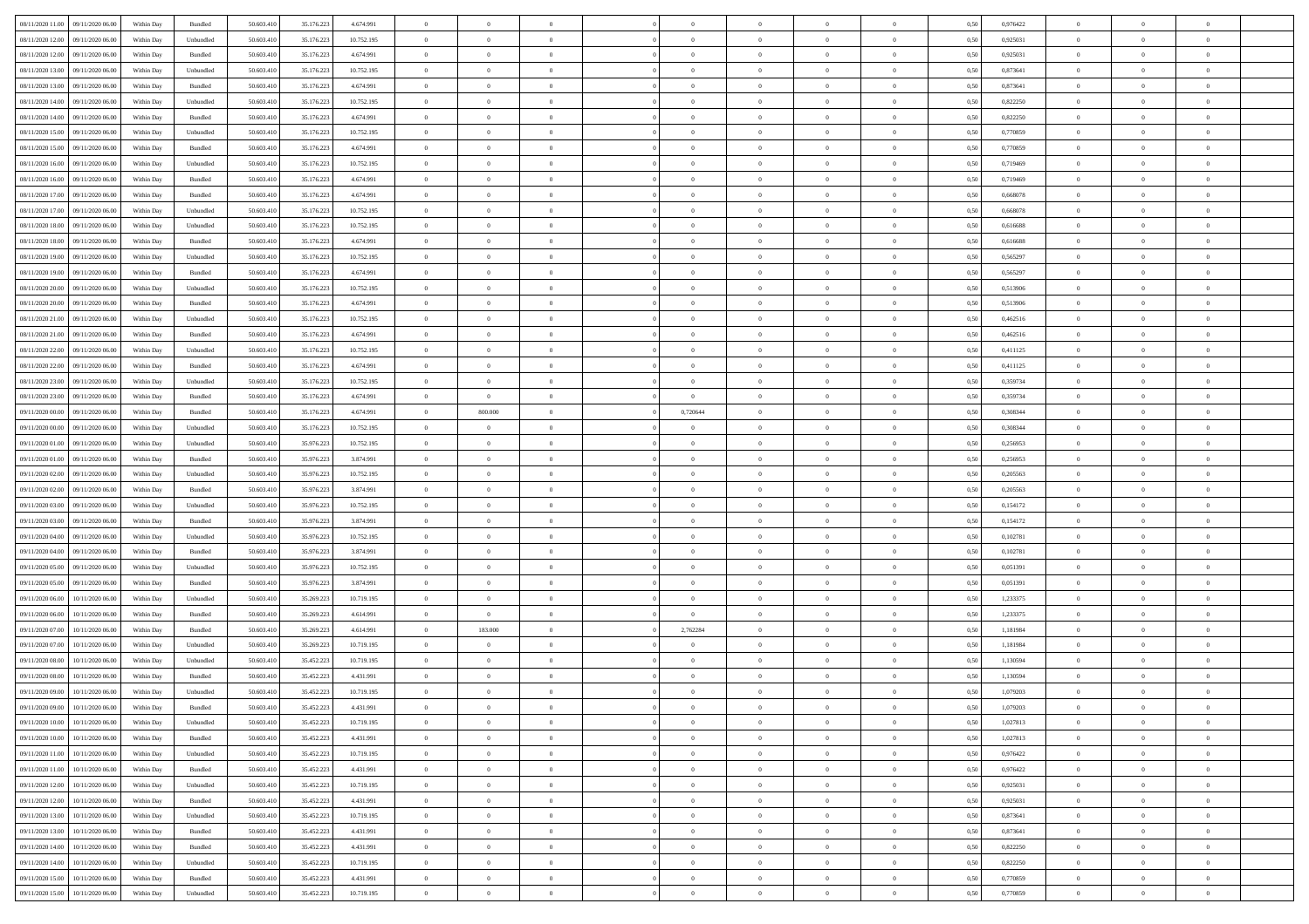| 08/11/2020 11:00<br>09/11/2020 06:00 | Within Day | Bundled            | 50.603.410 | 35.176.223 | 4.674.991  | $\overline{0}$ | $\overline{0}$ | $\overline{0}$ | $\theta$       | $\theta$       |                | $\overline{0}$ | 0,50 | 0,976422 | $\theta$       | $\theta$       | $\theta$       |  |
|--------------------------------------|------------|--------------------|------------|------------|------------|----------------|----------------|----------------|----------------|----------------|----------------|----------------|------|----------|----------------|----------------|----------------|--|
|                                      |            |                    |            |            |            |                |                |                |                |                |                |                |      |          |                |                |                |  |
| 08/11/2020 12.00<br>09/11/2020 06.0  | Within Day | Unbundled          | 50.603.410 | 35.176.223 | 10.752.195 | $\overline{0}$ | $\overline{0}$ | $\overline{0}$ | $\,$ 0 $\,$    | $\bf{0}$       | $\overline{0}$ | $\mathbf{0}$   | 0,50 | 0,925031 | $\overline{0}$ | $\bf{0}$       | $\overline{0}$ |  |
| 08/11/2020 12.00<br>09/11/2020 06.00 | Within Day | Bundled            | 50,603.410 | 35.176.223 | 4.674.991  | $\overline{0}$ | $\overline{0}$ | $\overline{0}$ | $\bf{0}$       | $\bf{0}$       | $\overline{0}$ | $\,$ 0 $\,$    | 0.50 | 0.925031 | $\bf{0}$       | $\overline{0}$ | $\bf{0}$       |  |
| 08/11/2020 13:00<br>09/11/2020 06.00 | Within Day | Unbundled          | 50.603.410 | 35.176.223 | 10.752.195 | $\overline{0}$ | $\overline{0}$ | $\overline{0}$ | $\bf{0}$       | $\overline{0}$ | $\overline{0}$ | $\,$ 0 $\,$    | 0,50 | 0,873641 | $\,$ 0 $\,$    | $\overline{0}$ | $\overline{0}$ |  |
| 08/11/2020 13.00<br>09/11/2020 06.0  | Within Day | Bundled            | 50.603.410 | 35.176.223 | 4.674.991  | $\overline{0}$ | $\overline{0}$ | $\overline{0}$ | $\bf{0}$       | $\bf{0}$       | $\overline{0}$ | $\bf{0}$       | 0,50 | 0,873641 | $\,$ 0 $\,$    | $\bf{0}$       | $\overline{0}$ |  |
| 08/11/2020 14:00<br>09/11/2020 06:00 | Within Day | Unbundled          | 50,603.410 | 35.176.223 | 10.752.195 | $\overline{0}$ | $\overline{0}$ | $\overline{0}$ | $\bf{0}$       | $\bf{0}$       | $\overline{0}$ | $\mathbf{0}$   | 0.50 | 0.822250 | $\,$ 0 $\,$    | $\overline{0}$ | $\overline{0}$ |  |
| 08/11/2020 14:00<br>09/11/2020 06.00 | Within Day | Bundled            | 50.603.410 | 35.176.223 | 4.674.991  | $\overline{0}$ | $\overline{0}$ | $\overline{0}$ | $\overline{0}$ | $\overline{0}$ | $\overline{0}$ | $\bf{0}$       | 0,50 | 0,822250 | $\,$ 0 $\,$    | $\theta$       | $\overline{0}$ |  |
| 08/11/2020 15:00<br>09/11/2020 06.0  | Within Day | Unbundled          | 50.603.410 | 35.176.223 | 10.752.195 | $\overline{0}$ | $\overline{0}$ | $\overline{0}$ | $\,$ 0 $\,$    | $\bf{0}$       | $\overline{0}$ | $\bf{0}$       | 0,50 | 0,770859 | $\,$ 0 $\,$    | $\bf{0}$       | $\overline{0}$ |  |
| 08/11/2020 15.00<br>09/11/2020 06:00 | Within Day | Bundled            | 50,603.410 | 35.176.223 | 4.674.991  | $\overline{0}$ | $\overline{0}$ | $\overline{0}$ | $\bf{0}$       | $\bf{0}$       | $\overline{0}$ | $\mathbf{0}$   | 0.50 | 0.770859 | $\bf{0}$       | $\overline{0}$ | $\bf{0}$       |  |
| 08/11/2020 16:00<br>09/11/2020 06.00 | Within Day | Unbundled          | 50.603.410 | 35.176.223 | 10.752.195 | $\overline{0}$ | $\overline{0}$ | $\overline{0}$ | $\bf{0}$       | $\bf{0}$       | $\overline{0}$ | $\bf{0}$       | 0,50 | 0,719469 | $\,$ 0         | $\,$ 0 $\,$    | $\overline{0}$ |  |
|                                      |            |                    |            |            |            |                |                |                |                |                |                |                |      |          |                |                |                |  |
| 08/11/2020 16.00<br>09/11/2020 06.0  | Within Day | Bundled            | 50.603.410 | 35.176.223 | 4.674.991  | $\overline{0}$ | $\overline{0}$ | $\overline{0}$ | $\,$ 0 $\,$    | $\bf{0}$       | $\overline{0}$ | $\bf{0}$       | 0,50 | 0,719469 | $\,$ 0 $\,$    | $\bf{0}$       | $\overline{0}$ |  |
| 08/11/2020 17.00<br>09/11/2020 06:00 | Within Day | Bundled            | 50.603.410 | 35.176.223 | 4.674.991  | $\overline{0}$ | $\overline{0}$ | $\overline{0}$ | $\bf{0}$       | $\bf{0}$       | $\overline{0}$ | $\,$ 0 $\,$    | 0.50 | 0.668078 | $\bf{0}$       | $\overline{0}$ | $\,$ 0         |  |
| 08/11/2020 17.00<br>09/11/2020 06.00 | Within Day | Unbundled          | 50.603.410 | 35.176.223 | 10.752.195 | $\overline{0}$ | $\overline{0}$ | $\overline{0}$ | $\overline{0}$ | $\overline{0}$ | $\overline{0}$ | $\,$ 0 $\,$    | 0,50 | 0,668078 | $\,$ 0 $\,$    | $\theta$       | $\overline{0}$ |  |
| 08/11/2020 18.00<br>09/11/2020 06.0  | Within Day | Unbundled          | 50.603.410 | 35.176.223 | 10.752.195 | $\overline{0}$ | $\overline{0}$ | $\overline{0}$ | $\bf{0}$       | $\bf{0}$       | $\overline{0}$ | $\bf{0}$       | 0,50 | 0,616688 | $\,$ 0 $\,$    | $\bf{0}$       | $\overline{0}$ |  |
| 08/11/2020 18.00<br>09/11/2020 06:00 | Within Day | Bundled            | 50,603.410 | 35.176.223 | 4.674.991  | $\overline{0}$ | $\overline{0}$ | $\overline{0}$ | $\bf{0}$       | $\overline{0}$ | $\overline{0}$ | $\mathbf{0}$   | 0.50 | 0.616688 | $\,$ 0 $\,$    | $\theta$       | $\overline{0}$ |  |
| 08/11/2020 19:00<br>09/11/2020 06.00 | Within Day | Unbundled          | 50.603.410 | 35.176.223 | 10.752.195 | $\overline{0}$ | $\overline{0}$ | $\overline{0}$ | $\bf{0}$       | $\overline{0}$ | $\overline{0}$ | $\bf{0}$       | 0,50 | 0,565297 | $\overline{0}$ | $\theta$       | $\overline{0}$ |  |
| 08/11/2020 19:00<br>09/11/2020 06.0  | Within Day | Bundled            | 50.603.410 | 35.176.223 | 4.674.991  | $\overline{0}$ | $\overline{0}$ | $\overline{0}$ | $\,$ 0 $\,$    | $\bf{0}$       | $\overline{0}$ | $\bf{0}$       | 0,50 | 0,565297 | $\,$ 0 $\,$    | $\bf{0}$       | $\overline{0}$ |  |
| 08/11/2020 20.00<br>09/11/2020 06:00 | Within Day | Unbundled          | 50,603.410 | 35.176.223 | 10.752.195 | $\overline{0}$ | $\overline{0}$ | $\overline{0}$ | $\bf{0}$       | $\bf{0}$       | $\overline{0}$ | $\mathbf{0}$   | 0.50 | 0.513906 | $\bf{0}$       | $\overline{0}$ | $\bf{0}$       |  |
| 08/11/2020 20.00<br>09/11/2020 06.00 | Within Day | Bundled            | 50.603.410 | 35.176.223 | 4.674.991  | $\overline{0}$ | $\overline{0}$ | $\overline{0}$ | $\bf{0}$       | $\overline{0}$ | $\overline{0}$ | $\bf{0}$       | 0,50 | 0,513906 | $\,$ 0 $\,$    | $\bf{0}$       | $\overline{0}$ |  |
|                                      |            |                    |            |            |            |                |                |                |                |                |                |                |      |          |                |                |                |  |
| 08/11/2020 21.00<br>09/11/2020 06.0  | Within Day | Unbundled          | 50.603.410 | 35.176.223 | 10.752.195 | $\overline{0}$ | $\overline{0}$ | $\overline{0}$ | $\overline{0}$ | $\bf{0}$       | $\overline{0}$ | $\mathbf{0}$   | 0,50 | 0,462516 | $\,$ 0 $\,$    | $\bf{0}$       | $\overline{0}$ |  |
| 08/11/2020 21.00<br>09/11/2020 06:00 | Within Day | Bundled            | 50,603.410 | 35.176.223 | 4.674.991  | $\overline{0}$ | $\overline{0}$ | $\overline{0}$ | $\bf{0}$       | $\overline{0}$ | $\overline{0}$ | $\,$ 0 $\,$    | 0.50 | 0.462516 | $\bf{0}$       | $\overline{0}$ | $\,$ 0         |  |
| 08/11/2020 22.00<br>09/11/2020 06.00 | Within Day | Unbundled          | 50.603.410 | 35.176.223 | 10.752.195 | $\overline{0}$ | $\overline{0}$ | $\overline{0}$ | $\overline{0}$ | $\overline{0}$ | $\overline{0}$ | $\,$ 0 $\,$    | 0,50 | 0,411125 | $\theta$       | $\overline{0}$ | $\overline{0}$ |  |
| 08/11/2020 22.00<br>09/11/2020 06.0  | Within Day | Bundled            | 50.603.410 | 35.176.223 | 4.674.991  | $\overline{0}$ | $\overline{0}$ | $\overline{0}$ | $\overline{0}$ | $\bf{0}$       | $\overline{0}$ | $\bf{0}$       | 0,50 | 0,411125 | $\,$ 0 $\,$    | $\bf{0}$       | $\overline{0}$ |  |
| 08/11/2020 23.00<br>09/11/2020 06:00 | Within Day | Unbundled          | 50,603.410 | 35.176.223 | 10.752.195 | $\overline{0}$ | $\overline{0}$ | $\overline{0}$ | $\bf{0}$       | $\bf{0}$       | $\overline{0}$ | $\mathbf{0}$   | 0.50 | 0.359734 | $\,$ 0 $\,$    | $\overline{0}$ | $\overline{0}$ |  |
| 08/11/2020 23.00<br>09/11/2020 06.00 | Within Day | Bundled            | 50.603.410 | 35.176.223 | 4.674.991  | $\overline{0}$ | $\overline{0}$ | $\overline{0}$ | $\overline{0}$ | $\overline{0}$ | $\overline{0}$ | $\bf{0}$       | 0,50 | 0,359734 | $\,$ 0 $\,$    | $\theta$       | $\overline{0}$ |  |
| 09/11/2020 00.00<br>09/11/2020 06.0  | Within Day | Bundled            | 50.603.410 | 35.176.223 | 4.674.991  | $\overline{0}$ | 800.000        | $\overline{0}$ | 0,720644       | $\bf{0}$       | $\overline{0}$ | $\bf{0}$       | 0,50 | 0,308344 | $\,$ 0 $\,$    | $\bf{0}$       | $\overline{0}$ |  |
| 09/11/2020 00.00<br>09/11/2020 06:00 | Within Day | Unbundled          | 50,603.410 | 35.176.223 | 10.752.195 | $\overline{0}$ | $\overline{0}$ | $\overline{0}$ | $\bf{0}$       | $\bf{0}$       | $\overline{0}$ | $\mathbf{0}$   | 0.50 | 0.308344 | $\bf{0}$       | $\overline{0}$ | $\bf{0}$       |  |
| 09/11/2020 01:00<br>09/11/2020 06.00 | Within Day | Unbundled          | 50.603.410 | 35.976.223 | 10.752.195 | $\overline{0}$ | $\overline{0}$ | $\overline{0}$ | $\bf{0}$       | $\overline{0}$ | $\overline{0}$ | $\bf{0}$       | 0,50 | 0,256953 | $\,$ 0         | $\overline{0}$ | $\overline{0}$ |  |
| 09/11/2020 01:00<br>09/11/2020 06.0  | Within Day | Bundled            | 50.603.410 | 35.976.223 | 3.874.991  | $\overline{0}$ | $\overline{0}$ | $\overline{0}$ | $\overline{0}$ | $\bf{0}$       | $\overline{0}$ | $\mathbf{0}$   | 0,50 | 0,256953 | $\overline{0}$ | $\bf{0}$       | $\overline{0}$ |  |
| 09/11/2020 06:00                     |            | Unbundled          | 50,603.410 |            |            |                |                |                |                |                | $\overline{0}$ |                |      | 0.205563 | $\bf{0}$       | $\overline{0}$ | $\,$ 0         |  |
| 09/11/2020 02.00                     | Within Day |                    |            | 35.976.223 | 10.752.195 | $\overline{0}$ | $\overline{0}$ | $\overline{0}$ | $\bf{0}$       | $\bf{0}$       |                | $\,$ 0 $\,$    | 0.50 |          |                |                |                |  |
| 09/11/2020 02.00<br>09/11/2020 06:00 | Within Day | Bundled            | 50.603.410 | 35.976.223 | 3.874.991  | $\overline{0}$ | $\overline{0}$ | $\overline{0}$ | $\overline{0}$ | $\overline{0}$ | $\overline{0}$ | $\overline{0}$ | 0.50 | 0,205563 | $\theta$       | $\theta$       | $\overline{0}$ |  |
| 09/11/2020 03.00<br>09/11/2020 06.0  | Within Day | Unbundled          | 50.603.410 | 35.976.223 | 10.752.195 | $\overline{0}$ | $\overline{0}$ | $\overline{0}$ | $\,$ 0 $\,$    | $\bf{0}$       | $\overline{0}$ | $\bf{0}$       | 0,50 | 0,154172 | $\,$ 0 $\,$    | $\bf{0}$       | $\overline{0}$ |  |
| 09/11/2020 03.00<br>09/11/2020 06:00 | Within Day | Bundled            | 50,603.410 | 35.976.223 | 3.874.991  | $\overline{0}$ | $\overline{0}$ | $\overline{0}$ | $\bf{0}$       | $\bf{0}$       | $\overline{0}$ | $\mathbf{0}$   | 0.50 | 0,154172 | $\,$ 0 $\,$    | $\theta$       | $\overline{0}$ |  |
| 09/11/2020 04:00<br>09/11/2020 06.00 | Within Day | Unbundled          | 50.603.410 | 35.976.223 | 10.752.195 | $\overline{0}$ | $\overline{0}$ | $\overline{0}$ | $\overline{0}$ | $\overline{0}$ | $\overline{0}$ | $\overline{0}$ | 0.50 | 0,102781 | $\theta$       | $\theta$       | $\overline{0}$ |  |
| 09/11/2020 04.00<br>09/11/2020 06.0  | Within Day | Bundled            | 50.603.410 | 35.976.223 | 3.874.991  | $\overline{0}$ | $\overline{0}$ | $\overline{0}$ | $\,$ 0 $\,$    | $\bf{0}$       | $\overline{0}$ | $\bf{0}$       | 0,50 | 0,102781 | $\,$ 0 $\,$    | $\bf{0}$       | $\overline{0}$ |  |
| 09/11/2020 05.00<br>09/11/2020 06:00 | Within Day | Unbundled          | 50,603.410 | 35.976.223 | 10.752.195 | $\overline{0}$ | $\overline{0}$ | $\overline{0}$ | $\bf{0}$       | $\bf{0}$       | $\overline{0}$ | $\mathbf{0}$   | 0.50 | 0.051391 | $\bf{0}$       | $\overline{0}$ | $\bf{0}$       |  |
| 09/11/2020 05:00<br>09/11/2020 06.00 | Within Day | Bundled            | 50.603.410 | 35.976.223 | 3.874.991  | $\overline{0}$ | $\overline{0}$ | $\overline{0}$ | $\overline{0}$ | $\overline{0}$ | $\overline{0}$ | $\overline{0}$ | 0.50 | 0,051391 | $\overline{0}$ | $\overline{0}$ | $\overline{0}$ |  |
| 09/11/2020 06.00<br>10/11/2020 06.00 | Within Day | Unbundled          | 50.603.410 | 35.269.223 | 10.719.195 | $\overline{0}$ | $\overline{0}$ | $\overline{0}$ | $\overline{0}$ | $\bf{0}$       | $\overline{0}$ | $\mathbf{0}$   | 0,50 | 1,233375 | $\overline{0}$ | $\bf{0}$       | $\overline{0}$ |  |
| 09/11/2020 06.00<br>10/11/2020 06:00 | Within Day | Bundled            | 50,603.410 | 35.269.223 | 4.614.991  | $\overline{0}$ | $\overline{0}$ | $\overline{0}$ | $\bf{0}$       | $\bf{0}$       | $\overline{0}$ | $\,$ 0 $\,$    | 0.50 | 1,233375 | $\bf{0}$       | $\overline{0}$ | $\,$ 0         |  |
| 09/11/2020 07.00<br>10/11/2020 06.00 | Within Day | Bundled            | 50.603.410 | 35.269.223 | 4.614.991  | $\overline{0}$ | 183.000        | $\overline{0}$ | 2,762284       | $\overline{0}$ | $\overline{0}$ | $\overline{0}$ | 0.50 | 1,181984 | $\overline{0}$ | $\theta$       | $\overline{0}$ |  |
|                                      |            |                    |            |            |            |                | $\overline{0}$ |                | $\overline{0}$ | $\bf{0}$       | $\overline{0}$ | $\bf{0}$       |      |          | $\,$ 0 $\,$    | $\bf{0}$       | $\overline{0}$ |  |
| 09/11/2020 07.00<br>10/11/2020 06.00 | Within Day | Unbundled          | 50.603.410 | 35.269.223 | 10.719.195 | $\overline{0}$ |                | $\overline{0}$ |                |                |                |                | 0,50 | 1,181984 |                |                |                |  |
| 09/11/2020 08.00<br>10/11/2020 06.00 | Within Day | Unbundled          | 50,603.410 | 35.452.223 | 10.719.195 | $\overline{0}$ | $\overline{0}$ | $\overline{0}$ | $\bf{0}$       | $\overline{0}$ | $\overline{0}$ | $\mathbf{0}$   | 0.50 | 1.130594 | $\,$ 0 $\,$    | $\theta$       | $\overline{0}$ |  |
| 09/11/2020 08:00<br>10/11/2020 06.00 | Within Day | Bundled            | 50.603.410 | 35.452.223 | 4.431.991  | $\overline{0}$ | $\overline{0}$ | $\overline{0}$ | $\overline{0}$ | $\overline{0}$ | $\Omega$       | $\overline{0}$ | 0.50 | 1,130594 | $\theta$       | $\theta$       | $\overline{0}$ |  |
| 09/11/2020 09:00<br>10/11/2020 06.00 | Within Day | Unbundled          | 50.603.410 | 35.452.223 | 10.719.195 | $\overline{0}$ | $\overline{0}$ | $\overline{0}$ | $\overline{0}$ | $\bf{0}$       | $\overline{0}$ | $\bf{0}$       | 0,50 | 1,079203 | $\overline{0}$ | $\bf{0}$       | $\overline{0}$ |  |
| 09/11/2020 09:00 10/11/2020 06:00    | Within Day | $\mathbf B$ undled | 50.603.410 | 35.452.223 | 4.431.991  | $\bf{0}$       | $\,$ 0 $\,$    |                | $\bf{0}$       |                |                |                | 0,50 | 1,079203 | $\theta$       | $\overline{0}$ |                |  |
| 09/11/2020 10:00 10/11/2020 06:00    | Within Dav | Unbundled          | 50.603.410 | 35.452.223 | 10.719.195 | $\overline{0}$ | $\overline{0}$ | $\overline{0}$ | $\overline{0}$ | $\overline{0}$ | $\overline{0}$ | $\overline{0}$ | 0,50 | 1,027813 | $\theta$       | $\theta$       | $\overline{0}$ |  |
| 09/11/2020 10:00<br>10/11/2020 06.00 | Within Day | Bundled            | 50.603.410 | 35.452.223 | 4.431.991  | $\overline{0}$ | $\overline{0}$ | $\overline{0}$ | $\bf{0}$       | $\overline{0}$ | $\overline{0}$ | $\bf{0}$       | 0,50 | 1,027813 | $\overline{0}$ | $\overline{0}$ | $\bf{0}$       |  |
| 09/11/2020 11.00<br>10/11/2020 06.00 | Within Day | Unbundled          | 50.603.410 | 35.452.223 | 10.719.195 | $\overline{0}$ | $\overline{0}$ | $\overline{0}$ | $\,$ 0 $\,$    | $\bf{0}$       | $\overline{0}$ | $\mathbf{0}$   | 0.50 | 0,976422 | $\overline{0}$ | $\bf{0}$       | $\overline{0}$ |  |
| 09/11/2020 11:00<br>10/11/2020 06:00 | Within Dav | Bundled            | 50.603.410 | 35.452.223 | 4.431.991  | $\overline{0}$ | $\overline{0}$ | $\overline{0}$ | $\overline{0}$ | $\overline{0}$ | $\overline{0}$ | $\mathbf{0}$   | 0,50 | 0,976422 | $\overline{0}$ | $\theta$       | $\overline{0}$ |  |
| 09/11/2020 12.00<br>10/11/2020 06.00 | Within Day | Unbundled          | 50.603.410 | 35.452.223 | 10.719.195 | $\overline{0}$ | $\overline{0}$ | $\overline{0}$ | $\bf{0}$       | $\bf{0}$       | $\overline{0}$ | $\mathbf{0}$   | 0,50 | 0,925031 | $\overline{0}$ | $\bf{0}$       | $\overline{0}$ |  |
| 09/11/2020 12.00<br>10/11/2020 06:00 | Within Day | Bundled            | 50,603.410 | 35.452.223 | 4.431.991  | $\overline{0}$ | $\overline{0}$ | $\overline{0}$ | $\bf{0}$       | $\overline{0}$ | $\overline{0}$ | $\mathbf{0}$   | 0.50 | 0.925031 | $\,$ 0 $\,$    | $\theta$       | $\,$ 0         |  |
|                                      |            |                    |            |            |            |                |                |                |                |                |                |                |      |          |                |                |                |  |
| 09/11/2020 13:00<br>10/11/2020 06:00 | Within Day | Unbundled          | 50.603.410 | 35.452.223 | 10.719.195 | $\overline{0}$ | $\overline{0}$ | $\overline{0}$ | $\overline{0}$ | $\overline{0}$ | $\overline{0}$ | $\mathbf{0}$   | 0,50 | 0,873641 | $\overline{0}$ | $\theta$       | $\overline{0}$ |  |
| 09/11/2020 13:00<br>10/11/2020 06.00 | Within Day | Bundled            | 50.603.410 | 35.452.223 | 4.431.991  | $\overline{0}$ | $\overline{0}$ | $\overline{0}$ | $\bf{0}$       | $\bf{0}$       | $\overline{0}$ | $\,$ 0 $\,$    | 0,50 | 0,873641 | $\bf{0}$       | $\overline{0}$ | $\overline{0}$ |  |
| 09/11/2020 14.00<br>10/11/2020 06.00 | Within Day | Bundled            | 50,603.410 | 35.452.223 | 4.431.991  | $\overline{0}$ | $\overline{0}$ | $\overline{0}$ | $\bf{0}$       | $\overline{0}$ | $\overline{0}$ | $\,$ 0 $\,$    | 0.50 | 0.822250 | $\overline{0}$ | $\bf{0}$       | $\,$ 0         |  |
| 10/11/2020 06:00<br>09/11/2020 14:00 | Within Dav | Unbundled          | 50.603.410 | 35.452.223 | 10.719.195 | $\overline{0}$ | $\overline{0}$ | $\overline{0}$ | $\overline{0}$ | $\overline{0}$ | $\overline{0}$ | $\mathbf{0}$   | 0,50 | 0,822250 | $\overline{0}$ | $\theta$       | $\overline{0}$ |  |
| 09/11/2020 15:00<br>10/11/2020 06.00 | Within Day | Bundled            | 50.603.410 | 35.452.223 | 4.431.991  | $\overline{0}$ | $\overline{0}$ | $\overline{0}$ | $\overline{0}$ | $\bf{0}$       | $\overline{0}$ | $\mathbf{0}$   | 0,50 | 0,770859 | $\bf{0}$       | $\bf{0}$       | $\overline{0}$ |  |
| 09/11/2020 15:00 10/11/2020 06:00    | Within Day | Unbundled          | 50.603.410 | 35.452.223 | 10.719.195 | $\overline{0}$ | $\overline{0}$ | $\overline{0}$ | $\bf{0}$       | $\,$ 0         | $\overline{0}$ | $\,0\,$        | 0,50 | 0,770859 | $\overline{0}$ | $\,$ 0 $\,$    | $\,$ 0 $\,$    |  |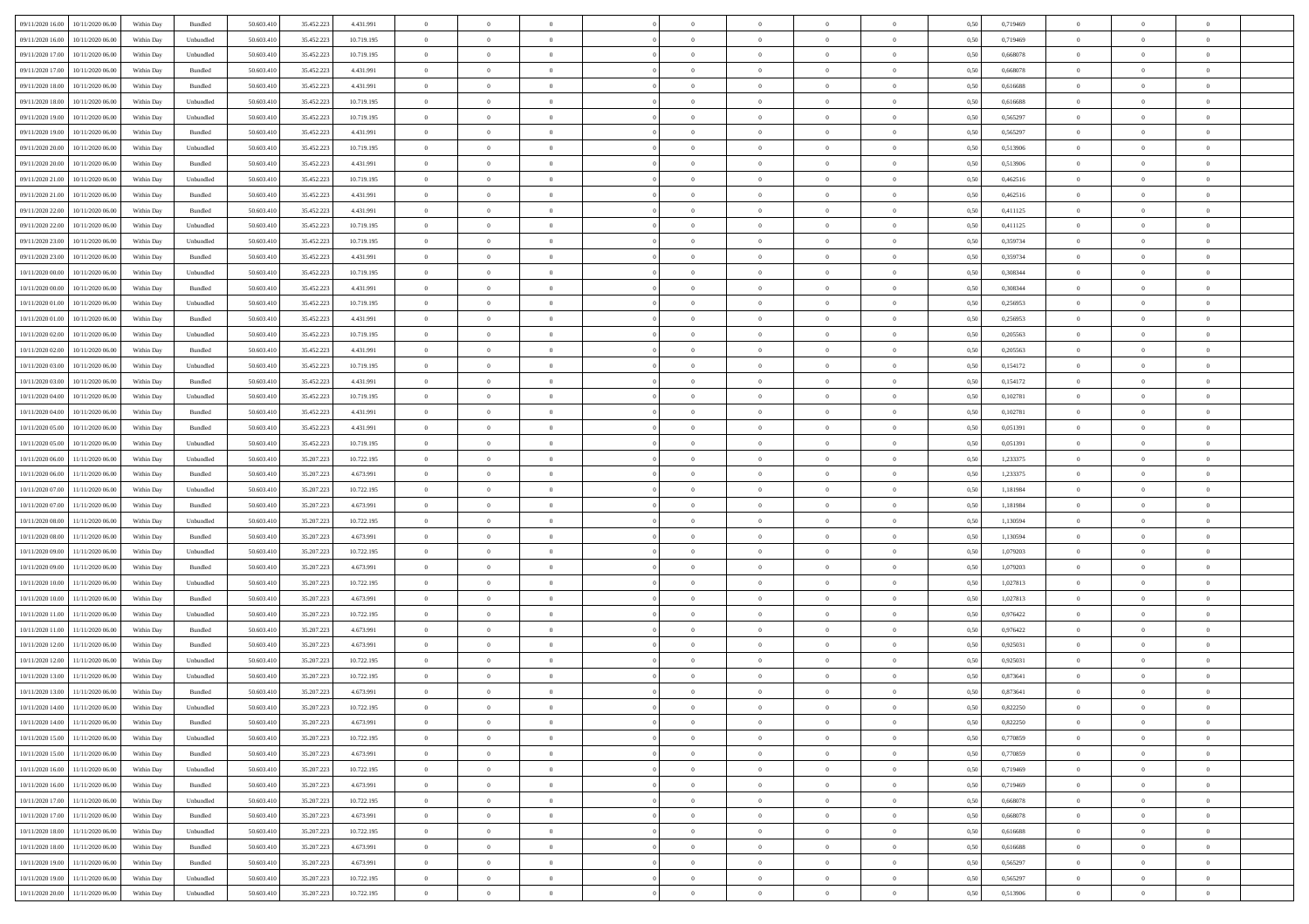| 09/11/2020 16:00<br>10/11/2020 06:00 | Within Day | Bundled   | 50.603.410 | 35.452.223 | 4.431.991  | $\overline{0}$ | $\overline{0}$ | $\overline{0}$ | $\theta$       | $\theta$       |                | $\overline{0}$ | 0,50 | 0,719469 | $\theta$       | $\theta$       | $\overline{0}$ |  |
|--------------------------------------|------------|-----------|------------|------------|------------|----------------|----------------|----------------|----------------|----------------|----------------|----------------|------|----------|----------------|----------------|----------------|--|
|                                      |            |           |            |            |            |                |                |                |                |                |                |                |      |          |                |                |                |  |
| 09/11/2020 16.00<br>10/11/2020 06.00 | Within Day | Unbundled | 50.603.410 | 35.452.223 | 10.719.195 | $\overline{0}$ | $\overline{0}$ | $\overline{0}$ | $\,$ 0 $\,$    | $\bf{0}$       | $\overline{0}$ | $\mathbf{0}$   | 0,50 | 0,719469 | $\,$ 0 $\,$    | $\bf{0}$       | $\overline{0}$ |  |
| 09/11/2020 17.00<br>10/11/2020 06:00 | Within Day | Unbundled | 50,603.410 | 35.452.223 | 10.719.195 | $\overline{0}$ | $\overline{0}$ | $\overline{0}$ | $\bf{0}$       | $\bf{0}$       | $\overline{0}$ | $\,$ 0 $\,$    | 0.50 | 0.668078 | $\bf{0}$       | $\overline{0}$ | $\bf{0}$       |  |
| 09/11/2020 17.00<br>10/11/2020 06:00 | Within Day | Bundled   | 50.603.410 | 35.452.223 | 4.431.991  | $\overline{0}$ | $\overline{0}$ | $\overline{0}$ | $\bf{0}$       | $\overline{0}$ | $\overline{0}$ | $\,$ 0 $\,$    | 0,50 | 0,668078 | $\,$ 0 $\,$    | $\overline{0}$ | $\overline{0}$ |  |
| 09/11/2020 18.00<br>10/11/2020 06.00 | Within Day | Bundled   | 50.603.410 | 35.452.223 | 4.431.991  | $\overline{0}$ | $\overline{0}$ | $\overline{0}$ | $\bf{0}$       | $\bf{0}$       | $\overline{0}$ | $\bf{0}$       | 0,50 | 0,616688 | $\,$ 0 $\,$    | $\bf{0}$       | $\overline{0}$ |  |
| 09/11/2020 18.00<br>10/11/2020 06:00 | Within Day | Unbundled | 50,603.410 | 35.452.223 | 10.719.195 | $\overline{0}$ | $\overline{0}$ | $\overline{0}$ | $\bf{0}$       | $\bf{0}$       | $\overline{0}$ | $\mathbf{0}$   | 0.50 | 0.616688 | $\,$ 0 $\,$    | $\overline{0}$ | $\overline{0}$ |  |
| 09/11/2020 19:00<br>10/11/2020 06:00 | Within Day | Unbundled | 50.603.410 | 35.452.223 | 10.719.195 | $\overline{0}$ | $\overline{0}$ | $\overline{0}$ | $\bf{0}$       | $\overline{0}$ | $\overline{0}$ | $\bf{0}$       | 0,50 | 0,565297 | $\,$ 0 $\,$    | $\theta$       | $\overline{0}$ |  |
|                                      |            |           |            |            |            |                |                |                |                |                |                |                |      |          |                |                |                |  |
| 09/11/2020 19:00<br>10/11/2020 06.00 | Within Day | Bundled   | 50.603.410 | 35.452.223 | 4.431.991  | $\overline{0}$ | $\overline{0}$ | $\overline{0}$ | $\,$ 0 $\,$    | $\bf{0}$       | $\overline{0}$ | $\bf{0}$       | 0,50 | 0,565297 | $\,$ 0 $\,$    | $\bf{0}$       | $\overline{0}$ |  |
| 09/11/2020 20.00<br>10/11/2020 06:00 | Within Day | Unbundled | 50,603.410 | 35.452.223 | 10.719.195 | $\overline{0}$ | $\overline{0}$ | $\overline{0}$ | $\bf{0}$       | $\bf{0}$       | $\overline{0}$ | $\mathbf{0}$   | 0.50 | 0.513906 | $\bf{0}$       | $\overline{0}$ | $\bf{0}$       |  |
| 09/11/2020 20.00<br>10/11/2020 06:00 | Within Day | Bundled   | 50.603.410 | 35.452.223 | 4.431.991  | $\overline{0}$ | $\overline{0}$ | $\overline{0}$ | $\bf{0}$       | $\bf{0}$       | $\overline{0}$ | $\bf{0}$       | 0,50 | 0,513906 | $\,$ 0         | $\overline{0}$ | $\overline{0}$ |  |
| 09/11/2020 21.00<br>10/11/2020 06.00 | Within Day | Unbundled | 50.603.410 | 35.452.223 | 10.719.195 | $\overline{0}$ | $\overline{0}$ | $\overline{0}$ | $\,$ 0 $\,$    | $\bf{0}$       | $\overline{0}$ | $\bf{0}$       | 0,50 | 0,462516 | $\,$ 0 $\,$    | $\bf{0}$       | $\overline{0}$ |  |
| 09/11/2020 21.00<br>10/11/2020 06:00 | Within Day | Bundled   | 50,603.410 | 35.452.223 | 4.431.991  | $\overline{0}$ | $\overline{0}$ | $\overline{0}$ | $\bf{0}$       | $\bf{0}$       | $\overline{0}$ | $\,$ 0 $\,$    | 0.50 | 0.462516 | $\bf{0}$       | $\overline{0}$ | $\,$ 0         |  |
| 09/11/2020 22.00<br>10/11/2020 06.00 | Within Day | Bundled   | 50.603.410 | 35.452.223 | 4.431.991  | $\overline{0}$ | $\overline{0}$ | $\overline{0}$ | $\overline{0}$ | $\overline{0}$ | $\overline{0}$ | $\,$ 0 $\,$    | 0,50 | 0,411125 | $\,$ 0 $\,$    | $\overline{0}$ | $\overline{0}$ |  |
|                                      |            |           |            |            |            |                |                |                |                |                |                |                |      |          |                |                |                |  |
| 09/11/2020 22.00<br>10/11/2020 06.00 | Within Day | Unbundled | 50.603.410 | 35.452.223 | 10.719.195 | $\overline{0}$ | $\overline{0}$ | $\overline{0}$ | $\bf{0}$       | $\bf{0}$       | $\overline{0}$ | $\bf{0}$       | 0,50 | 0,411125 | $\,$ 0 $\,$    | $\bf{0}$       | $\overline{0}$ |  |
| 09/11/2020 23.00<br>10/11/2020 06.00 | Within Day | Unbundled | 50,603.410 | 35.452.223 | 10.719.195 | $\overline{0}$ | $\overline{0}$ | $\overline{0}$ | $\bf{0}$       | $\bf{0}$       | $\overline{0}$ | $\mathbf{0}$   | 0.50 | 0.359734 | $\,$ 0 $\,$    | $\overline{0}$ | $\overline{0}$ |  |
| 09/11/2020 23.00<br>10/11/2020 06:00 | Within Day | Bundled   | 50.603.410 | 35.452.223 | 4.431.991  | $\overline{0}$ | $\overline{0}$ | $\overline{0}$ | $\bf{0}$       | $\overline{0}$ | $\overline{0}$ | $\bf{0}$       | 0,50 | 0,359734 | $\overline{0}$ | $\theta$       | $\overline{0}$ |  |
| 10/11/2020 00.00<br>10/11/2020 06.00 | Within Day | Unbundled | 50.603.410 | 35.452.223 | 10.719.195 | $\overline{0}$ | $\overline{0}$ | $\overline{0}$ | $\,$ 0 $\,$    | $\bf{0}$       | $\overline{0}$ | $\bf{0}$       | 0,50 | 0,308344 | $\,$ 0 $\,$    | $\bf{0}$       | $\overline{0}$ |  |
| 10/11/2020 00.00<br>10/11/2020 06:00 | Within Day | Bundled   | 50,603.410 | 35.452.223 | 4.431.991  | $\overline{0}$ | $\overline{0}$ | $\overline{0}$ | $\bf{0}$       | $\bf{0}$       | $\overline{0}$ | $\mathbf{0}$   | 0.50 | 0.308344 | $\bf{0}$       | $\overline{0}$ | $\bf{0}$       |  |
| 10/11/2020 01:00<br>10/11/2020 06.00 | Within Day | Unbundled | 50.603.410 | 35.452.223 | 10.719.195 | $\overline{0}$ | $\overline{0}$ | $\overline{0}$ | $\bf{0}$       | $\bf{0}$       | $\overline{0}$ | $\bf{0}$       | 0,50 | 0,256953 | $\,$ 0 $\,$    | $\overline{0}$ | $\overline{0}$ |  |
| 10/11/2020 06.00                     | Within Day | Bundled   | 50.603.410 | 35.452.223 | 4.431.991  | $\overline{0}$ | $\overline{0}$ | $\overline{0}$ | $\overline{0}$ | $\bf{0}$       | $\overline{0}$ | $\bf{0}$       | 0,50 | 0,256953 | $\,$ 0 $\,$    | $\bf{0}$       | $\overline{0}$ |  |
| 10/11/2020 01:00                     |            |           |            |            |            |                |                |                |                |                |                |                |      |          |                |                |                |  |
| 10/11/2020 02.00<br>10/11/2020 06:00 | Within Day | Unbundled | 50,603.410 | 35.452.223 | 10.719.195 | $\overline{0}$ | $\overline{0}$ | $\overline{0}$ | $\bf{0}$       | $\overline{0}$ | $\overline{0}$ | $\,$ 0 $\,$    | 0.50 | 0.205563 | $\bf{0}$       | $\overline{0}$ | $\,$ 0         |  |
| 10/11/2020 02.00<br>10/11/2020 06.00 | Within Day | Bundled   | 50.603.410 | 35.452.223 | 4.431.991  | $\overline{0}$ | $\overline{0}$ | $\overline{0}$ | $\bf{0}$       | $\overline{0}$ | $\overline{0}$ | $\,$ 0 $\,$    | 0,50 | 0,205563 | $\theta$       | $\overline{0}$ | $\overline{0}$ |  |
| 10/11/2020 03.00<br>10/11/2020 06.00 | Within Day | Unbundled | 50.603.410 | 35.452.223 | 10.719.195 | $\overline{0}$ | $\overline{0}$ | $\overline{0}$ | $\overline{0}$ | $\bf{0}$       | $\overline{0}$ | $\bf{0}$       | 0,50 | 0,154172 | $\,$ 0 $\,$    | $\bf{0}$       | $\overline{0}$ |  |
| 10/11/2020 03.00<br>10/11/2020 06:00 | Within Day | Bundled   | 50,603.410 | 35.452.223 | 4.431.991  | $\overline{0}$ | $\overline{0}$ | $\overline{0}$ | $\bf{0}$       | $\bf{0}$       | $\overline{0}$ | $\mathbf{0}$   | 0.50 | 0,154172 | $\,$ 0 $\,$    | $\overline{0}$ | $\overline{0}$ |  |
| 10/11/2020 04:00<br>10/11/2020 06.00 | Within Day | Unbundled | 50.603.410 | 35.452.223 | 10.719.195 | $\overline{0}$ | $\overline{0}$ | $\overline{0}$ | $\bf{0}$       | $\overline{0}$ | $\overline{0}$ | $\bf{0}$       | 0,50 | 0,102781 | $\,$ 0 $\,$    | $\theta$       | $\overline{0}$ |  |
| 10/11/2020 06.00                     | Within Day | Bundled   | 50.603.410 | 35.452.223 | 4.431.991  | $\overline{0}$ | $\overline{0}$ | $\overline{0}$ | $\,$ 0 $\,$    | $\bf{0}$       | $\overline{0}$ | $\bf{0}$       | 0,50 | 0,102781 | $\,$ 0 $\,$    | $\bf{0}$       | $\overline{0}$ |  |
| 10/11/2020 04.00                     |            |           |            |            |            |                |                |                |                |                |                |                |      |          |                |                |                |  |
| 10/11/2020 05.00<br>10/11/2020 06:00 | Within Day | Bundled   | 50,603.410 | 35.452.223 | 4.431.991  | $\overline{0}$ | $\overline{0}$ | $\overline{0}$ | $\bf{0}$       | $\bf{0}$       | $\overline{0}$ | $\mathbf{0}$   | 0.50 | 0.051391 | $\bf{0}$       | $\overline{0}$ | $\bf{0}$       |  |
| 10/11/2020 05:00<br>10/11/2020 06:00 | Within Day | Unbundled | 50.603.410 | 35.452.223 | 10.719.195 | $\overline{0}$ | $\overline{0}$ | $\overline{0}$ | $\bf{0}$       | $\bf{0}$       | $\overline{0}$ | $\bf{0}$       | 0,50 | 0,051391 | $\,$ 0         | $\overline{0}$ | $\overline{0}$ |  |
| 10/11/2020 06.00<br>11/11/2020 06.00 | Within Day | Unbundled | 50.603.410 | 35.207.223 | 10.722.195 | $\overline{0}$ | $\overline{0}$ | $\overline{0}$ | $\overline{0}$ | $\bf{0}$       | $\overline{0}$ | $\mathbf{0}$   | 0,50 | 1,233375 | $\overline{0}$ | $\bf{0}$       | $\overline{0}$ |  |
| 10/11/2020 06.00<br>11/11/2020 06.00 | Within Day | Bundled   | 50,603.410 | 35.207.223 | 4.673.991  | $\overline{0}$ | $\overline{0}$ | $\overline{0}$ | $\bf{0}$       | $\bf{0}$       | $\overline{0}$ | $\,$ 0 $\,$    | 0.50 | 1.233375 | $\bf{0}$       | $\overline{0}$ | $\,$ 0         |  |
| 10/11/2020 07:00<br>11/11/2020 06.00 | Within Day | Unbundled | 50.603.410 | 35.207.223 | 10.722.195 | $\overline{0}$ | $\overline{0}$ | $\overline{0}$ | $\overline{0}$ | $\overline{0}$ | $\overline{0}$ | $\overline{0}$ | 0.50 | 1,181984 | $\overline{0}$ | $\overline{0}$ | $\overline{0}$ |  |
| 10/11/2020 07.00<br>11/11/2020 06.00 | Within Day | Bundled   | 50.603.410 | 35.207.223 | 4.673.991  | $\overline{0}$ | $\overline{0}$ | $\overline{0}$ | $\,$ 0 $\,$    | $\bf{0}$       | $\overline{0}$ | $\bf{0}$       | 0,50 | 1,181984 | $\,$ 0 $\,$    | $\bf{0}$       | $\overline{0}$ |  |
|                                      |            |           |            |            |            |                |                |                |                |                |                |                |      |          |                |                |                |  |
| 10/11/2020 08.00<br>11/11/2020 06.00 | Within Day | Unbundled | 50,603.410 | 35.207.223 | 10.722.195 | $\overline{0}$ | $\overline{0}$ | $\overline{0}$ | $\bf{0}$       | $\bf{0}$       | $\overline{0}$ | $\mathbf{0}$   | 0.50 | 1.130594 | $\,$ 0 $\,$    | $\bf{0}$       | $\overline{0}$ |  |
| 10/11/2020 08:00<br>11/11/2020 06.00 | Within Day | Bundled   | 50.603.410 | 35.207.223 | 4.673.991  | $\overline{0}$ | $\overline{0}$ | $\overline{0}$ | $\overline{0}$ | $\overline{0}$ | $\overline{0}$ | $\overline{0}$ | 0,50 | 1,130594 | $\theta$       | $\theta$       | $\overline{0}$ |  |
| 10/11/2020 09:00<br>11/11/2020 06.00 | Within Day | Unbundled | 50.603.410 | 35.207.223 | 10.722.195 | $\overline{0}$ | $\overline{0}$ | $\overline{0}$ | $\,$ 0 $\,$    | $\bf{0}$       | $\overline{0}$ | $\bf{0}$       | 0,50 | 1,079203 | $\,$ 0 $\,$    | $\bf{0}$       | $\overline{0}$ |  |
| 10/11/2020 09:00<br>11/11/2020 06:00 | Within Day | Bundled   | 50,603.410 | 35.207.223 | 4.673.991  | $\overline{0}$ | $\overline{0}$ | $\overline{0}$ | $\bf{0}$       | $\bf{0}$       | $\overline{0}$ | $\mathbf{0}$   | 0.50 | 1.079203 | $\bf{0}$       | $\overline{0}$ | $\bf{0}$       |  |
| 10/11/2020 10:00<br>11/11/2020 06.00 | Within Day | Unbundled | 50.603.410 | 35.207.223 | 10.722.195 | $\overline{0}$ | $\overline{0}$ | $\overline{0}$ | $\overline{0}$ | $\overline{0}$ | $\overline{0}$ | $\mathbf{0}$   | 0.50 | 1,027813 | $\overline{0}$ | $\overline{0}$ | $\overline{0}$ |  |
| 10/11/2020 10:00<br>11/11/2020 06.00 | Within Day | Bundled   | 50.603.410 | 35.207.223 | 4.673.991  | $\overline{0}$ | $\overline{0}$ | $\overline{0}$ | $\overline{0}$ | $\bf{0}$       | $\overline{0}$ | $\mathbf{0}$   | 0,50 | 1,027813 | $\overline{0}$ | $\bf{0}$       | $\overline{0}$ |  |
| 10/11/2020 11:00<br>11/11/2020 06.00 | Within Day | Unbundled | 50,603.410 | 35.207.223 | 10.722.195 | $\overline{0}$ | $\overline{0}$ | $\overline{0}$ | $\bf{0}$       | $\overline{0}$ | $\overline{0}$ | $\,$ 0 $\,$    | 0.50 | 0.976422 | $\bf{0}$       | $\overline{0}$ | $\,$ 0         |  |
|                                      |            |           |            |            |            |                |                |                |                |                |                |                |      |          |                |                |                |  |
| 10/11/2020 11:00<br>11/11/2020 06.00 | Within Day | Bundled   | 50.603.410 | 35.207.223 | 4.673.991  | $\overline{0}$ | $\overline{0}$ | $\overline{0}$ | $\overline{0}$ | $\overline{0}$ | $\overline{0}$ | $\overline{0}$ | 0.50 | 0,976422 | $\overline{0}$ | $\theta$       | $\overline{0}$ |  |
| 10/11/2020 12:00<br>11/11/2020 06.00 | Within Day | Bundled   | 50.603.410 | 35.207.223 | 4.673.991  | $\overline{0}$ | $\overline{0}$ | $\overline{0}$ | $\overline{0}$ | $\bf{0}$       | $\overline{0}$ | $\bf{0}$       | 0,50 | 0,925031 | $\,$ 0 $\,$    | $\bf{0}$       | $\overline{0}$ |  |
| 10/11/2020 12.00<br>11/11/2020 06.00 | Within Day | Unbundled | 50,603.410 | 35.207.223 | 10.722.195 | $\overline{0}$ | $\overline{0}$ | $\overline{0}$ | $\bf{0}$       | $\bf{0}$       | $\overline{0}$ | $\mathbf{0}$   | 0.50 | 0.925031 | $\bf{0}$       | $\overline{0}$ | $\overline{0}$ |  |
| 10/11/2020 13:00<br>11/11/2020 06.00 | Within Day | Unbundled | 50.603.410 | 35.207.223 | 10.722.195 | $\overline{0}$ | $\overline{0}$ | $\overline{0}$ | $\overline{0}$ | $\overline{0}$ | $\Omega$       | $\overline{0}$ | 0.50 | 0,873641 | $\theta$       | $\theta$       | $\overline{0}$ |  |
| 10/11/2020 13:00<br>11/11/2020 06.00 | Within Day | Bundled   | 50.603.410 | 35.207.223 | 4.673.991  | $\overline{0}$ | $\overline{0}$ | $\overline{0}$ | $\overline{0}$ | $\bf{0}$       | $\overline{0}$ | $\bf{0}$       | 0,50 | 0,873641 | $\overline{0}$ | $\bf{0}$       | $\overline{0}$ |  |
| 10/11/2020 14:00 11/11/2020 06:00    | Within Day | Unbundled | 50.603.410 | 35.207.223 | 10.722.195 | $\bf{0}$       | $\,$ 0 $\,$    |                | $\bf{0}$       |                |                | $\Omega$       | 0,50 | 0,822250 | $\theta$       | $\bf{0}$       |                |  |
| 10/11/2020 14:00 11/11/2020 06:00    | Within Dav | Bundled   | 50.603.410 | 35.207.223 | 4.673.991  | $\overline{0}$ | $\overline{0}$ | $\overline{0}$ | $\overline{0}$ | $\overline{0}$ | $\overline{0}$ | $\overline{0}$ | 0,50 | 0,822250 | $\theta$       | $\theta$       | $\overline{0}$ |  |
|                                      |            |           |            |            |            |                |                |                |                |                |                |                |      |          |                |                |                |  |
| 10/11/2020 15:00<br>11/11/2020 06.00 | Within Day | Unbundled | 50.603.410 | 35.207.223 | 10.722.195 | $\overline{0}$ | $\overline{0}$ | $\overline{0}$ | $\bf{0}$       | $\bf{0}$       | $\overline{0}$ | $\bf{0}$       | 0,50 | 0,770859 | $\overline{0}$ | $\overline{0}$ | $\bf{0}$       |  |
| 10/11/2020 15.00 11/11/2020 06.00    | Within Day | Bundled   | 50.603.410 | 35.207.223 | 4.673.991  | $\overline{0}$ | $\overline{0}$ | $\overline{0}$ | $\,$ 0 $\,$    | $\bf{0}$       | $\overline{0}$ | $\mathbf{0}$   | 0.50 | 0.770859 | $\overline{0}$ | $\bf{0}$       | $\bf{0}$       |  |
| 11/11/2020 06:00<br>10/11/2020 16:00 | Within Dav | Unbundled | 50.603.410 | 35.207.223 | 10.722.195 | $\overline{0}$ | $\overline{0}$ | $\overline{0}$ | $\overline{0}$ | $\overline{0}$ | $\overline{0}$ | $\mathbf{0}$   | 0,50 | 0,719469 | $\overline{0}$ | $\theta$       | $\overline{0}$ |  |
| 10/11/2020 16.00<br>11/11/2020 06.00 | Within Day | Bundled   | 50.603.410 | 35.207.223 | 4.673.991  | $\overline{0}$ | $\overline{0}$ | $\overline{0}$ | $\bf{0}$       | $\bf{0}$       | $\overline{0}$ | $\mathbf{0}$   | 0,50 | 0,719469 | $\overline{0}$ | $\overline{0}$ | $\overline{0}$ |  |
| 10/11/2020 17.00<br>11/11/2020 06.00 | Within Day | Unbundled | 50,603.410 | 35.207.223 | 10.722.195 | $\overline{0}$ | $\overline{0}$ | $\overline{0}$ | $\bf{0}$       | $\bf{0}$       | $\overline{0}$ | $\mathbf{0}$   | 0.50 | 0.668078 | $\,$ 0 $\,$    | $\theta$       | $\,$ 0         |  |
| 10/11/2020 17:00<br>11/11/2020 06:00 | Within Day | Bundled   | 50.603.410 | 35.207.223 | 4.673.991  | $\overline{0}$ | $\overline{0}$ | $\overline{0}$ | $\overline{0}$ | $\overline{0}$ | $\overline{0}$ | $\mathbf{0}$   | 0,50 | 0,668078 | $\overline{0}$ | $\theta$       | $\overline{0}$ |  |
| 10/11/2020 18:00<br>11/11/2020 06.00 | Within Day | Unbundled | 50.603.410 | 35.207.223 | 10.722.195 | $\overline{0}$ | $\overline{0}$ | $\overline{0}$ | $\bf{0}$       | $\bf{0}$       | $\overline{0}$ | $\,$ 0 $\,$    | 0,50 | 0,616688 | $\bf{0}$       | $\overline{0}$ | $\overline{0}$ |  |
|                                      |            |           |            |            |            |                |                |                |                |                |                |                |      |          |                |                |                |  |
| 10/11/2020 18.00<br>11/11/2020 06.00 | Within Day | Bundled   | 50,603.410 | 35.207.223 | 4.673.991  | $\overline{0}$ | $\overline{0}$ | $\overline{0}$ | $\bf{0}$       | $\overline{0}$ | $\overline{0}$ | $\,$ 0 $\,$    | 0.50 | 0.616688 | $\overline{0}$ | $\bf{0}$       | $\,$ 0         |  |
| 11/11/2020 06:00<br>10/11/2020 19:00 | Within Dav | Bundled   | 50.603.410 | 35.207.223 | 4.673.991  | $\overline{0}$ | $\overline{0}$ | $\overline{0}$ | $\overline{0}$ | $\overline{0}$ | $\overline{0}$ | $\mathbf{0}$   | 0,50 | 0,565297 | $\overline{0}$ | $\theta$       | $\overline{0}$ |  |
| 10/11/2020 19.00<br>11/11/2020 06.00 | Within Day | Unbundled | 50.603.410 | 35.207.223 | 10.722.195 | $\overline{0}$ | $\overline{0}$ | $\overline{0}$ | $\bf{0}$       | $\bf{0}$       | $\overline{0}$ | $\mathbf{0}$   | 0,50 | 0,565297 | $\bf{0}$       | $\bf{0}$       | $\bf{0}$       |  |
| 10/11/2020 20.00 11/11/2020 06.00    | Within Day | Unbundled | 50.603.410 | 35.207.223 | 10.722.195 | $\,$ 0 $\,$    | $\overline{0}$ | $\overline{0}$ | $\bf{0}$       | $\,$ 0         | $\overline{0}$ | $\,0\,$        | 0,50 | 0,513906 | $\overline{0}$ | $\,$ 0 $\,$    | $\,$ 0 $\,$    |  |
|                                      |            |           |            |            |            |                |                |                |                |                |                |                |      |          |                |                |                |  |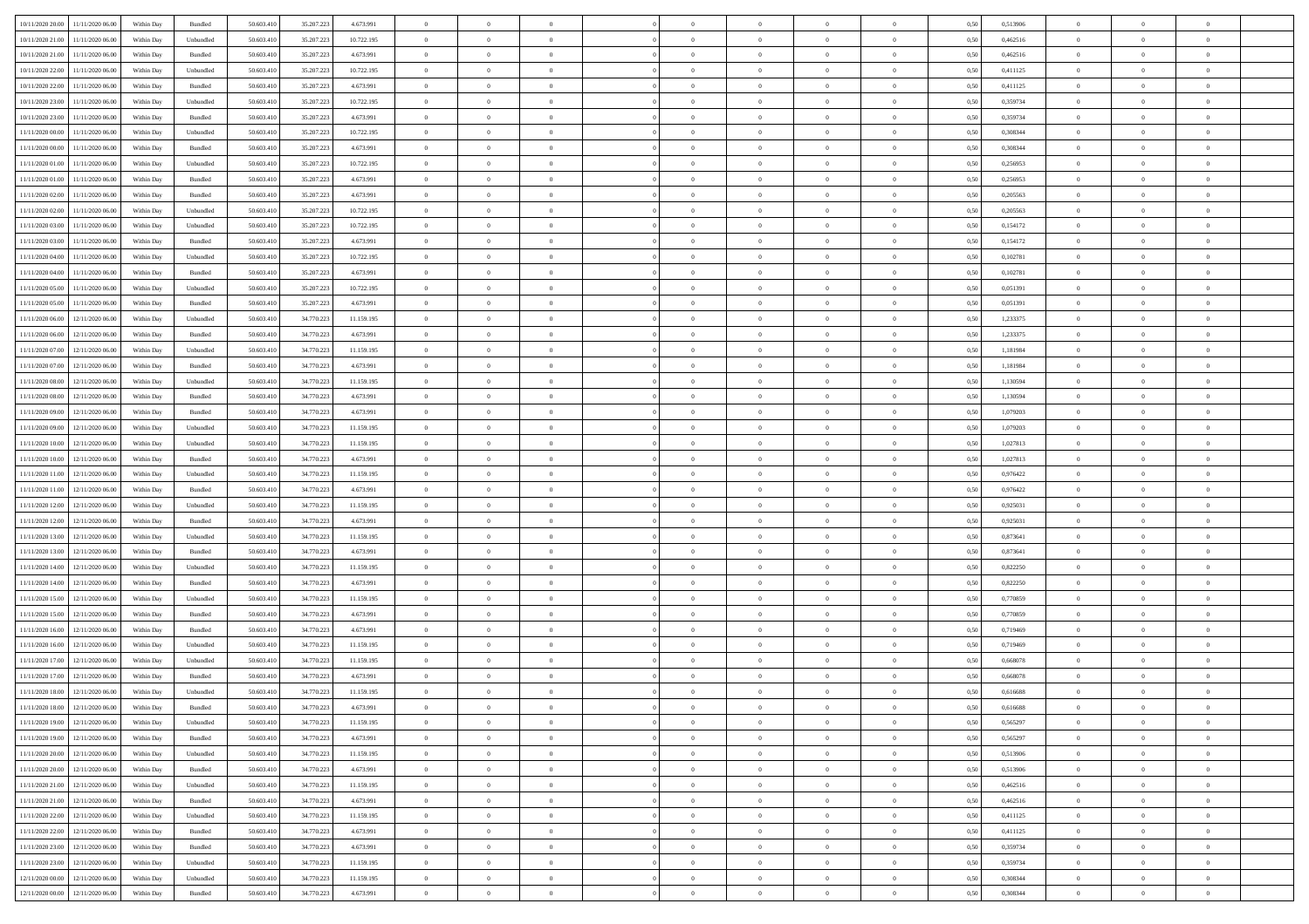| 10/11/2020 20:00                  | 11/11/2020 06:00                  | Within Day | Bundled            | 50.603.410 | 35.207.223 | 4.673.991  | $\overline{0}$ | $\theta$       |                | $\overline{0}$ | $\bf{0}$       | $\overline{0}$ | $\theta$       | 0,50 | 0,513906 | $\theta$       | $\theta$       | $\theta$                 |  |
|-----------------------------------|-----------------------------------|------------|--------------------|------------|------------|------------|----------------|----------------|----------------|----------------|----------------|----------------|----------------|------|----------|----------------|----------------|--------------------------|--|
| 10/11/2020 21.00                  | 11/11/2020 06.00                  | Within Day | Unbundled          | 50.603.41  | 35.207.223 | 10.722.195 | $\overline{0}$ | $\overline{0}$ | $\overline{0}$ | $\overline{0}$ | $\,$ 0         | $\bf{0}$       | $\bf{0}$       | 0,50 | 0,462516 | $\,$ 0 $\,$    | $\overline{0}$ | $\overline{0}$           |  |
|                                   |                                   |            |                    |            |            |            |                |                |                |                |                |                |                |      |          |                |                |                          |  |
| 10/11/2020 21:00                  | 11/11/2020 06.00                  | Within Day | Bundled            | 50.603.410 | 35.207.223 | 4.673.991  | $\overline{0}$ | $\overline{0}$ | $\overline{0}$ | $\overline{0}$ | $\bf{0}$       | $\overline{0}$ | $\mathbf{0}$   | 0.50 | 0.462516 | $\bf{0}$       | $\overline{0}$ | $\overline{0}$           |  |
| 10/11/2020 22.00                  | 11/11/2020 06.00                  | Within Day | Unbundled          | 50.603.410 | 35.207.223 | 10.722.195 | $\overline{0}$ | $\overline{0}$ | $\overline{0}$ | $\overline{0}$ | $\,$ 0         | $\overline{0}$ | $\overline{0}$ | 0,50 | 0,411125 | $\,$ 0 $\,$    | $\overline{0}$ | $\overline{0}$           |  |
| 10/11/2020 22.00                  | 11/11/2020 06.00                  | Within Day | Bundled            | 50.603.41  | 35.207.223 | 4.673.991  | $\overline{0}$ | $\theta$       | $\overline{0}$ |                | $\bf{0}$       | $\overline{0}$ | $\bf{0}$       | 0,50 | 0,411125 | $\,$ 0 $\,$    | $\overline{0}$ | $\overline{0}$           |  |
| 10/11/2020 23.00                  | 11/11/2020 06:00                  | Within Day | Unbundled          | 50.603.410 | 35.207.223 | 10.722.195 | $\overline{0}$ | $\overline{0}$ | $\overline{0}$ | $\overline{0}$ | $\bf{0}$       | $\overline{0}$ | $\bf{0}$       | 0.50 | 0.359734 | $\,0\,$        | $\theta$       | $\overline{0}$           |  |
| 10/11/2020 23.00                  | 11/11/2020 06.00                  | Within Day | Bundled            | 50.603.410 | 35.207.223 | 4.673.991  | $\overline{0}$ | $\overline{0}$ | $\overline{0}$ | $\overline{0}$ | $\bf{0}$       | $\overline{0}$ | $\overline{0}$ | 0,50 | 0,359734 | $\,$ 0 $\,$    | $\theta$       | $\overline{0}$           |  |
| 11/11/2020 00:00                  | 11/11/2020 06.00                  | Within Day | Unbundled          | 50.603.41  | 35.207.223 | 10.722.195 | $\overline{0}$ | $\theta$       | $\overline{0}$ |                | $\,$ 0         | $\bf{0}$       | $\bf{0}$       | 0,50 | 0,308344 | $\,$ 0 $\,$    | $\overline{0}$ | $\overline{0}$           |  |
| 11/11/2020 00:00                  | 11/11/2020 06:00                  | Within Day | Bundled            | 50,603.410 | 35.207.223 | 4.673.991  | $\overline{0}$ | $\overline{0}$ | $\overline{0}$ | $\overline{0}$ | $\bf{0}$       | $\overline{0}$ | $\bf{0}$       | 0.50 | 0.308344 | $\,0\,$        | $\overline{0}$ | $\overline{0}$           |  |
| 11/11/2020 01:00                  | 11/11/2020 06.00                  | Within Day | Unbundled          | 50.603.410 | 35.207.223 | 10.722.195 | $\overline{0}$ | $\overline{0}$ | $\overline{0}$ | $\overline{0}$ | $\bf{0}$       | $\overline{0}$ | $\bf{0}$       | 0,50 | 0,256953 | $\,$ 0 $\,$    | $\overline{0}$ | $\overline{0}$           |  |
| 11/11/2020 01:00                  | 11/11/2020 06.00                  | Within Day | Bundled            | 50.603.41  | 35.207.223 | 4.673.991  | $\bf{0}$       | $\theta$       | $\overline{0}$ | $\overline{0}$ | $\,$ 0         | $\overline{0}$ | $\bf{0}$       | 0,50 | 0,256953 | $\,$ 0 $\,$    | $\overline{0}$ | $\overline{0}$           |  |
|                                   |                                   |            |                    |            |            |            |                |                |                |                |                |                |                |      |          |                |                |                          |  |
| 11/11/2020 02:00                  | 11/11/2020 06:00                  | Within Day | Bundled            | 50.603.410 | 35.207.223 | 4.673.991  | $\overline{0}$ | $\overline{0}$ | $\overline{0}$ | $\overline{0}$ | $\bf{0}$       | $\overline{0}$ | $\mathbf{0}$   | 0.50 | 0.205563 | $\,$ 0 $\,$    | $\overline{0}$ | $\bf{0}$                 |  |
| 11/11/2020 02.00                  | 11/11/2020 06.00                  | Within Day | Unbundled          | 50.603.410 | 35.207.223 | 10.722.195 | $\overline{0}$ | $\overline{0}$ | $\overline{0}$ | $\overline{0}$ | $\,$ 0         | $\overline{0}$ | $\overline{0}$ | 0,50 | 0,205563 | $\,$ 0 $\,$    | $\overline{0}$ | $\overline{0}$           |  |
| 11/11/2020 03.00                  | 11/11/2020 06.00                  | Within Day | Unbundled          | 50.603.41  | 35.207.223 | 10.722.195 | $\overline{0}$ | $\theta$       | $\overline{0}$ |                | $\bf{0}$       | $\overline{0}$ | $\bf{0}$       | 0,50 | 0,154172 | $\,$ 0 $\,$    | $\overline{0}$ | $\overline{0}$           |  |
| 11/11/2020 03:00                  | 11/11/2020 06.00                  | Within Day | Bundled            | 50,603.410 | 35.207.223 | 4.673.991  | $\overline{0}$ | $\overline{0}$ | $\overline{0}$ | $\overline{0}$ | $\bf{0}$       | $\overline{0}$ | $\bf{0}$       | 0.50 | 0,154172 | $\,0\,$        | $\theta$       | $\overline{0}$           |  |
| 11/11/2020 04:00                  | 11/11/2020 06.00                  | Within Day | Unbundled          | 50.603.410 | 35.207.223 | 10.722.195 | $\overline{0}$ | $\overline{0}$ | $\overline{0}$ | $\overline{0}$ | $\,$ 0         | $\overline{0}$ | $\overline{0}$ | 0,50 | 0,102781 | $\,$ 0 $\,$    | $\theta$       | $\overline{0}$           |  |
| 11/11/2020 04:00                  | 11/11/2020 06.00                  | Within Day | Bundled            | 50.603.41  | 35.207.223 | 4.673.991  | $\overline{0}$ | $\theta$       | $\overline{0}$ |                | $\,$ 0         | $\overline{0}$ | $\bf{0}$       | 0,50 | 0,102781 | $\,$ 0 $\,$    | $\overline{0}$ | $\overline{0}$           |  |
| 11/11/2020 05:00                  | 11/11/2020 06:00                  | Within Day | Unbundled          | 50.603.410 | 35.207.223 | 10.722.195 | $\overline{0}$ | $\overline{0}$ | $\overline{0}$ | $\overline{0}$ | $\bf{0}$       | $\overline{0}$ | $\bf{0}$       | 0.50 | 0.051391 | $\,0\,$        | $\overline{0}$ | $\overline{\phantom{a}}$ |  |
| 11/11/2020 05:00                  | 11/11/2020 06.00                  | Within Day | Bundled            | 50.603.410 | 35.207.223 | 4.673.991  | $\overline{0}$ | $\overline{0}$ | $\overline{0}$ | $\overline{0}$ | $\,$ 0         | $\overline{0}$ | $\bf{0}$       | 0,50 | 0,051391 | $\,$ 0 $\,$    | $\overline{0}$ | $\overline{0}$           |  |
| 11/11/2020 06:00                  | 12/11/2020 06.00                  | Within Day | Unbundled          | 50.603.41  | 34.770.223 | 11.159.195 | $\bf{0}$       | $\,$ 0 $\,$    | $\overline{0}$ | $\overline{0}$ | $\,$ 0         | $\bf{0}$       | $\bf{0}$       | 0,50 | 1,233375 | $\,$ 0 $\,$    | $\overline{0}$ | $\overline{0}$           |  |
|                                   |                                   |            |                    |            |            |            |                |                |                |                |                |                |                |      |          |                |                |                          |  |
| 11/11/2020 06.00                  | 12/11/2020 06:00                  | Within Day | Bundled            | 50.603.410 | 34.770.223 | 4.673.991  | $\overline{0}$ | $\overline{0}$ | $\overline{0}$ | $\overline{0}$ | $\bf{0}$       | $\overline{0}$ | $\mathbf{0}$   | 0.50 | 1,233375 | $\,$ 0 $\,$    | $\overline{0}$ | $\overline{\phantom{a}}$ |  |
| 11/11/2020 07.00                  | 12/11/2020 06.00                  | Within Day | Unbundled          | 50.603.410 | 34.770.223 | 11.159.195 | $\overline{0}$ | $\overline{0}$ | $\overline{0}$ | $\overline{0}$ | $\,$ 0         | $\overline{0}$ | $\overline{0}$ | 0,50 | 1,181984 | $\,$ 0 $\,$    | $\overline{0}$ | $\overline{0}$           |  |
| 11/11/2020 07.00                  | 12/11/2020 06.00                  | Within Day | Bundled            | 50.603.41  | 34.770.223 | 4.673.991  | $\overline{0}$ | $\theta$       | $\overline{0}$ | $\overline{0}$ | $\,$ 0         | $\overline{0}$ | $\bf{0}$       | 0,50 | 1,181984 | $\,$ 0 $\,$    | $\overline{0}$ | $\overline{0}$           |  |
| 11/11/2020 08:00                  | 12/11/2020 06:00                  | Within Day | Unbundled          | 50.603.410 | 34.770.223 | 11.159.195 | $\overline{0}$ | $\overline{0}$ | $\overline{0}$ | $\overline{0}$ | $\bf{0}$       | $\overline{0}$ | $\bf{0}$       | 0.50 | 1.130594 | $\,0\,$        | $\theta$       | $\overline{0}$           |  |
| 11/11/2020 08:00                  | 12/11/2020 06.00                  | Within Day | Bundled            | 50.603.410 | 34.770.223 | 4.673.991  | $\overline{0}$ | $\overline{0}$ | $\overline{0}$ | $\overline{0}$ | $\,$ 0         | $\overline{0}$ | $\overline{0}$ | 0,50 | 1,130594 | $\,0\,$        | $\theta$       | $\overline{0}$           |  |
| 11/11/2020 09:00                  | 12/11/2020 06.00                  | Within Day | Bundled            | 50.603.41  | 34.770.223 | 4.673.991  | $\overline{0}$ | $\theta$       | $\overline{0}$ |                | $\,$ 0         | $\overline{0}$ | $\bf{0}$       | 0,50 | 1,079203 | $\,$ 0 $\,$    | $\overline{0}$ | $\overline{0}$           |  |
| 11/11/2020 09:00                  | 12/11/2020 06:00                  | Within Day | Unbundled          | 50.603.410 | 34.770.223 | 11.159.195 | $\overline{0}$ | $\overline{0}$ | $\overline{0}$ | $\overline{0}$ | $\bf{0}$       | $\overline{0}$ | $\bf{0}$       | 0.50 | 1.079203 | $\,0\,$        | $\overline{0}$ | $\overline{0}$           |  |
| 11/11/2020 10:00                  | 12/11/2020 06.00                  | Within Day | Unbundled          | 50.603.410 | 34.770.223 | 11.159.195 | $\overline{0}$ | $\overline{0}$ | $\overline{0}$ | $\overline{0}$ | $\bf{0}$       | $\overline{0}$ | $\bf{0}$       | 0,50 | 1,027813 | $\,$ 0 $\,$    | $\overline{0}$ | $\overline{0}$           |  |
| 11/11/2020 10:00                  | 12/11/2020 06.00                  | Within Day | Bundled            | 50.603.41  | 34.770.223 | 4.673.991  | $\overline{0}$ | $\overline{0}$ | $\overline{0}$ | $\overline{0}$ | $\,$ 0         | $\bf{0}$       | $\bf{0}$       | 0,50 | 1,027813 | $\,$ 0 $\,$    | $\overline{0}$ | $\overline{0}$           |  |
|                                   |                                   |            |                    |            |            |            |                |                |                |                |                |                |                |      |          |                |                |                          |  |
| 11/11/2020 11:00                  | 12/11/2020 06:00                  | Within Day | Unbundled          | 50.603.410 | 34.770.223 | 11.159.195 | $\overline{0}$ | $\bf{0}$       | $\overline{0}$ | $\overline{0}$ | $\bf{0}$       | $\overline{0}$ | $\mathbf{0}$   | 0.50 | 0.976422 | $\,$ 0 $\,$    | $\overline{0}$ | $\bf{0}$                 |  |
| 11/11/2020 11:00                  | 12/11/2020 06:00                  | Within Dav | Bundled            | 50.603.410 | 34.770.223 | 4.673.991  | $\overline{0}$ | $\overline{0}$ | $\overline{0}$ | $\overline{0}$ | $\overline{0}$ | $\overline{0}$ | $\overline{0}$ | 0.50 | 0,976422 | $\theta$       | $\overline{0}$ | $\overline{0}$           |  |
| 11/11/2020 12:00                  | 12/11/2020 06.00                  | Within Day | Unbundled          | 50.603.41  | 34.770.223 | 11.159.195 | $\overline{0}$ | $\theta$       | $\overline{0}$ |                | $\,$ 0         | $\overline{0}$ | $\bf{0}$       | 0,50 | 0,925031 | $\,$ 0 $\,$    | $\overline{0}$ | $\overline{0}$           |  |
| 11/11/2020 12:00                  | 12/11/2020 06.00                  | Within Day | Bundled            | 50.603.410 | 34.770.223 | 4.673.991  | $\overline{0}$ | $\overline{0}$ | $\overline{0}$ | $\overline{0}$ | $\bf{0}$       | $\overline{0}$ | $\bf{0}$       | 0.50 | 0.925031 | $\,0\,$        | $\overline{0}$ | $\overline{0}$           |  |
| 11/11/2020 13:00                  | 12/11/2020 06:00                  | Within Dav | Unbundled          | 50.603.410 | 34.770.223 | 11.159.195 | $\overline{0}$ | $\overline{0}$ | $\Omega$       | $\Omega$       | $\mathbf{0}$   | $\overline{0}$ | $\overline{0}$ | 0.50 | 0,873641 | $\theta$       | $\overline{0}$ | $\overline{0}$           |  |
| 11/11/2020 13:00                  | 12/11/2020 06.00                  | Within Day | Bundled            | 50.603.41  | 34.770.223 | 4.673.991  | $\overline{0}$ | $\theta$       | $\overline{0}$ |                | $\,$ 0         | $\overline{0}$ | $\bf{0}$       | 0,50 | 0,873641 | $\,$ 0 $\,$    | $\overline{0}$ | $\overline{0}$           |  |
| 11/11/2020 14:00                  | 12/11/2020 06:00                  | Within Day | Unbundled          | 50.603.410 | 34.770.223 | 11.159.195 | $\overline{0}$ | $\overline{0}$ | $\overline{0}$ | $\overline{0}$ | $\bf{0}$       | $\overline{0}$ | $\bf{0}$       | 0.50 | 0.822250 | $\,0\,$        | $\overline{0}$ | $\overline{0}$           |  |
| 11/11/2020 14:00                  | 12/11/2020 06:00                  | Within Dav | Bundled            | 50.603.410 | 34.770.223 | 4.673.991  | $\overline{0}$ | $\overline{0}$ | $\overline{0}$ | $\overline{0}$ | $\mathbf{0}$   | $\overline{0}$ | $\overline{0}$ | 0.50 | 0,822250 | $\theta$       | $\overline{0}$ | $\overline{0}$           |  |
| 11/11/2020 15:00                  | 12/11/2020 06.00                  | Within Day | Unbundled          | 50.603.41  | 34.770.223 | 11.159.195 | $\overline{0}$ | $\overline{0}$ | $\overline{0}$ | $\overline{0}$ | $\bf{0}$       | $\bf{0}$       | $\bf{0}$       | 0,50 | 0,770859 | $\,$ 0 $\,$    | $\overline{0}$ | $\overline{0}$           |  |
| 11/11/2020 15:00                  | 12/11/2020 06:00                  | Within Day | Bundled            | 50.603.410 | 34.770.223 | 4.673.991  | $\overline{0}$ | $\overline{0}$ | $\overline{0}$ | $\overline{0}$ | $\bf{0}$       | $\overline{0}$ | $\mathbf{0}$   | 0.50 | 0.770859 | $\,$ 0 $\,$    | $\overline{0}$ | $\overline{0}$           |  |
|                                   |                                   |            |                    |            |            |            |                |                |                |                |                |                |                |      |          |                |                |                          |  |
| 11/11/2020 16:00                  | 12/11/2020 06:00                  | Within Dav | Bundled            | 50.603.410 | 34.770.223 | 4.673.991  | $\overline{0}$ | $\overline{0}$ | $\Omega$       | $\Omega$       | $\mathbf{0}$   | $\overline{0}$ | $\overline{0}$ | 0.50 | 0,719469 | $\theta$       | $\overline{0}$ | $\overline{0}$           |  |
| 11/11/2020 16:00                  | 12/11/2020 06.00                  | Within Day | Unbundled          | 50.603.41  | 34.770.223 | 11.159.195 | $\overline{0}$ | $\,$ 0 $\,$    | $\overline{0}$ | $\overline{0}$ | $\,$ 0         | $\overline{0}$ | $\bf{0}$       | 0,50 | 0,719469 | $\,$ 0 $\,$    | $\overline{0}$ | $\overline{0}$           |  |
| 11/11/2020 17.00                  | 12/11/2020 06.00                  | Within Day | Unbundled          | 50,603.410 | 34.770.223 | 11.159.195 | $\overline{0}$ | $\overline{0}$ | $\overline{0}$ | $\overline{0}$ | $\bf{0}$       | $\overline{0}$ | $\overline{0}$ | 0.50 | 0.668078 | $\,0\,$        | $\theta$       | $\overline{0}$           |  |
| 11/11/2020 17.00                  | 12/11/2020 06:00                  | Within Dav | Bundled            | 50.603.410 | 34.770.223 | 4.673.991  | $\overline{0}$ | $\Omega$       | $\Omega$       | $\Omega$       | $\bf{0}$       | $\overline{0}$ | $\mathbf{0}$   | 0.50 | 0,668078 | $\theta$       | $\overline{0}$ | $\overline{0}$           |  |
| 11/11/2020 18:00                  | 12/11/2020 06.00                  | Within Day | Unbundled          | 50.603.410 | 34.770.223 | 11.159.195 | $\overline{0}$ | $\,$ 0 $\,$    | $\overline{0}$ | $\bf{0}$       | $\,$ 0         | $\bf{0}$       | $\bf{0}$       | 0,50 | 0,616688 | $\,$ 0 $\,$    | $\overline{0}$ | $\overline{0}$           |  |
| $11/11/2020\ 18.00$               | 12/11/2020 06:00                  | Within Day | $\mathbf B$ undled | 50.603.410 | 34.770.223 | 4.673.991  | $\bf{0}$       | $\bf{0}$       |                |                |                |                |                | 0.50 | 0.616688 | $\bf{0}$       | $\theta$       |                          |  |
| 11/11/2020 19:00 12/11/2020 06:00 |                                   | Within Day | Unbundled          | 50.603.410 | 34.770.223 | 11.159.195 | $\Omega$       | $\overline{0}$ | $\overline{0}$ | $\Omega$       | $\mathbf{0}$   | $\overline{0}$ | $\overline{0}$ | 0.50 | 0,565297 | $\theta$       | $\theta$       | $\overline{0}$           |  |
| 11/11/2020 19:00                  | 12/11/2020 06.00                  | Within Day | Bundled            | 50.603.41  | 34.770.223 | 4.673.991  | $\overline{0}$ | $\overline{0}$ | $\overline{0}$ | $\bf{0}$       | $\overline{0}$ | $\overline{0}$ | $\mathbf{0}$   | 0,50 | 0,565297 | $\overline{0}$ | $\overline{0}$ | $\bf{0}$                 |  |
| 11/11/2020 20:00                  | 12/11/2020 06.00                  | Within Day | Unbundled          | 50,603.410 | 34.770.223 | 11.159.195 | $\overline{0}$ | $\overline{0}$ | $\overline{0}$ | $\overline{0}$ | $\bf{0}$       | $\overline{0}$ | $\mathbf{0}$   | 0.50 | 0,513906 | $\overline{0}$ | $\bf{0}$       | $\bf{0}$                 |  |
| 11/11/2020 20.00                  | 12/11/2020 06:00                  | Within Dav | Bundled            | 50.603.410 | 34.770.223 | 4.673.991  | $\overline{0}$ | $\overline{0}$ | $\overline{0}$ | $\overline{0}$ | $\mathbf{0}$   | $\overline{0}$ | $\overline{0}$ | 0.50 | 0,513906 | $\overline{0}$ | $\theta$       | $\overline{0}$           |  |
|                                   |                                   |            |                    |            |            |            |                |                |                |                |                |                |                |      |          |                |                |                          |  |
| 11/11/2020 21.00                  | 12/11/2020 06.00                  | Within Day | Unbundled          | 50.603.410 | 34.770.223 | 11.159.195 | $\overline{0}$ | $\overline{0}$ | $\overline{0}$ | $\overline{0}$ | $\bf{0}$       | $\overline{0}$ | $\bf{0}$       | 0,50 | 0,462516 | $\bf{0}$       | $\overline{0}$ | $\overline{0}$           |  |
| 11/11/2020 21:00                  | 12/11/2020 06.00                  | Within Day | Bundled            | 50.603.410 | 34.770.223 | 4.673.991  | $\overline{0}$ | $\overline{0}$ | $\overline{0}$ | $\overline{0}$ | $\bf{0}$       | $\overline{0}$ | $\mathbf{0}$   | 0.50 | 0.462516 | $\,$ 0 $\,$    | $\overline{0}$ | $\overline{0}$           |  |
| 11/11/2020 22.00                  | 12/11/2020 06:00                  | Within Day | Unbundled          | 50.603.410 | 34.770.223 | 11.159.195 | $\overline{0}$ | $\overline{0}$ | $\overline{0}$ | $\overline{0}$ | $\overline{0}$ | $\overline{0}$ | $\overline{0}$ | 0.50 | 0,411125 | $\overline{0}$ | $\theta$       | $\overline{0}$           |  |
| 11/11/2020 22.00                  | 12/11/2020 06.00                  | Within Day | Bundled            | 50.603.41  | 34.770.223 | 4.673.991  | $\overline{0}$ | $\,$ 0         | $\overline{0}$ | $\bf{0}$       | $\,$ 0 $\,$    | $\overline{0}$ | $\bf{0}$       | 0,50 | 0,411125 | $\,$ 0 $\,$    | $\overline{0}$ | $\,$ 0                   |  |
| 11/11/2020 23.00                  | 12/11/2020 06.00                  | Within Day | Bundled            | 50.603.410 | 34.770.223 | 4.673.991  | $\overline{0}$ | $\overline{0}$ | $\overline{0}$ | $\overline{0}$ | $\bf{0}$       | $\overline{0}$ | $\mathbf{0}$   | 0.50 | 0.359734 | $\mathbf{0}$   | $\,$ 0 $\,$    | $\overline{0}$           |  |
| 11/11/2020 23.00                  | 12/11/2020 06:00                  | Within Day | Unbundled          | 50.603.410 | 34.770.223 | 11.159.195 | $\overline{0}$ | $\overline{0}$ | $\overline{0}$ | $\overline{0}$ | $\overline{0}$ | $\overline{0}$ | $\overline{0}$ | 0,50 | 0,359734 | $\overline{0}$ | $\theta$       | $\overline{0}$           |  |
| 12/11/2020 00.00                  | 12/11/2020 06.00                  | Within Day | Unbundled          | 50.603.41  | 34.770.223 | 11.159.195 | $\overline{0}$ | $\overline{0}$ | $\overline{0}$ | $\bf{0}$       | $\bf{0}$       | $\overline{0}$ | $\bf{0}$       | 0,50 | 0,308344 | $\bf{0}$       | $\,$ 0 $\,$    | $\bf{0}$                 |  |
|                                   |                                   |            | Bundled            | 50.603.410 |            | 4.673.991  | $\overline{0}$ | $\overline{0}$ | $\overline{0}$ |                | $\bf{0}$       | $\overline{0}$ | $\,$ 0 $\,$    |      | 0,308344 | $\overline{0}$ | $\,$ 0 $\,$    | $\,$ 0 $\,$              |  |
|                                   | 12/11/2020 00:00 12/11/2020 06:00 | Within Day |                    |            | 34.770.223 |            |                |                |                | $\overline{0}$ |                |                |                | 0,50 |          |                |                |                          |  |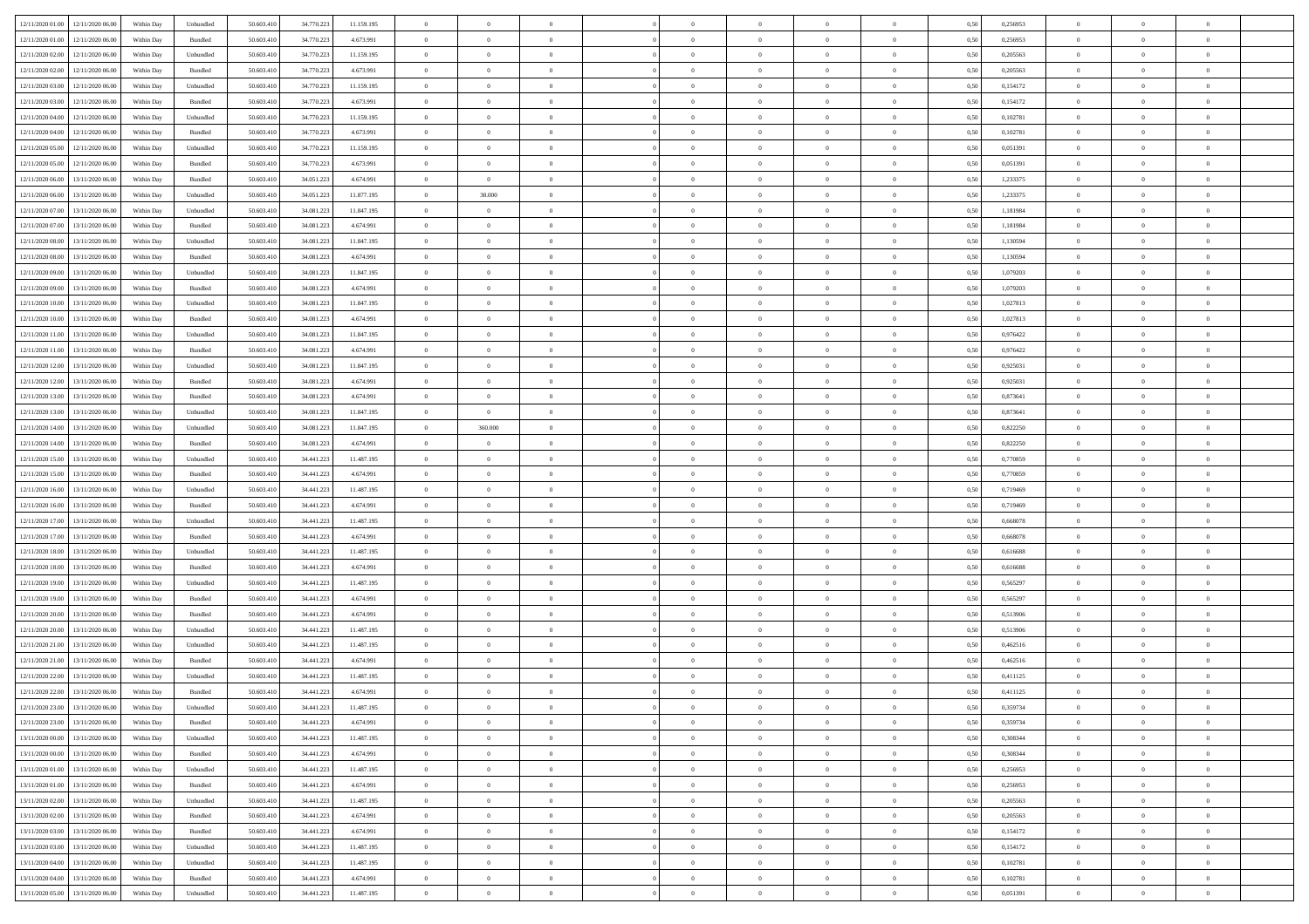| 12/11/2020 01:00 12/11/2020 06:00    | Within Day | Unbundled         | 50.603.410 | 34.770.223 | 11.159.195 | $\overline{0}$ | $\overline{0}$ |                | $\overline{0}$ | $\theta$       |                | $\theta$       | 0,50 | 0,256953 | $\theta$       | $\theta$       | $\overline{0}$ |  |
|--------------------------------------|------------|-------------------|------------|------------|------------|----------------|----------------|----------------|----------------|----------------|----------------|----------------|------|----------|----------------|----------------|----------------|--|
| 12/11/2020 01:00<br>12/11/2020 06.00 | Within Day | Bundled           | 50.603.41  | 34.770.22  | 4.673.991  | $\bf{0}$       | $\bf{0}$       | $\bf{0}$       | $\bf{0}$       | $\overline{0}$ | $\overline{0}$ | $\bf{0}$       | 0,50 | 0,256953 | $\,$ 0 $\,$    | $\bf{0}$       | $\overline{0}$ |  |
| 12/11/2020 02:00<br>12/11/2020 06:00 | Within Day | Unbundled         | 50.603.410 | 34.770.223 | 11.159.195 | $\overline{0}$ | $\bf{0}$       | $\overline{0}$ | $\bf{0}$       | $\overline{0}$ | $\overline{0}$ | $\bf{0}$       | 0.50 | 0,205563 | $\bf{0}$       | $\overline{0}$ | $\bf{0}$       |  |
| 12/11/2020 02:00<br>12/11/2020 06:00 | Within Day | Bundled           | 50.603.410 | 34.770.223 | 4.673.991  | $\bf{0}$       | $\overline{0}$ | $\overline{0}$ | $\overline{0}$ | $\overline{0}$ | $\overline{0}$ | $\bf{0}$       | 0,50 | 0,205563 | $\,$ 0 $\,$    | $\,$ 0 $\,$    | $\overline{0}$ |  |
| 12/11/2020 03:00<br>12/11/2020 06.00 | Within Day | Unbundled         | 50.603.41  | 34.770.223 | 11.159.195 | $\bf{0}$       | $\bf{0}$       | $\bf{0}$       | $\overline{0}$ | $\bf{0}$       | $\overline{0}$ | $\bf{0}$       | 0,50 | 0,154172 | $\,$ 0 $\,$    | $\bf{0}$       | $\overline{0}$ |  |
|                                      |            |                   | 50,603.41  | 34.770.22  | 4.673.991  |                |                |                |                |                | $\overline{0}$ |                |      |          |                |                |                |  |
| 12/11/2020 03:00<br>12/11/2020 06.00 | Within Day | Bundled           |            |            |            | $\overline{0}$ | $\bf{0}$       | $\overline{0}$ | $\bf{0}$       | $\overline{0}$ |                | $\bf{0}$       | 0.50 | 0,154172 | $\bf{0}$       | $\overline{0}$ | $\overline{0}$ |  |
| 12/11/2020 04:00<br>12/11/2020 06.00 | Within Day | Unbundled         | 50.603.41  | 34.770.223 | 11.159.195 | $\overline{0}$ | $\bf{0}$       | $\overline{0}$ | $\overline{0}$ | $\overline{0}$ | $\overline{0}$ | $\bf{0}$       | 0,50 | 0,102781 | $\,$ 0 $\,$    | $\bf{0}$       | $\overline{0}$ |  |
| 12/11/2020 04:00<br>12/11/2020 06.00 | Within Day | Bundled           | 50.603.41  | 34.770.22  | 4.673.991  | $\bf{0}$       | $\bf{0}$       | $\bf{0}$       | $\bf{0}$       | $\overline{0}$ | $\overline{0}$ | $\bf{0}$       | 0,50 | 0,102781 | $\,$ 0 $\,$    | $\bf{0}$       | $\overline{0}$ |  |
| 12/11/2020 05:00<br>12/11/2020 06.00 | Within Day | Unbundled         | 50,603.41  | 34.770.22  | 11.159.195 | $\overline{0}$ | $\bf{0}$       | $\overline{0}$ | $\bf{0}$       | $\bf{0}$       | $\overline{0}$ | $\bf{0}$       | 0.50 | 0.051391 | $\bf{0}$       | $\overline{0}$ | $\overline{0}$ |  |
| 12/11/2020 05:00<br>12/11/2020 06:00 | Within Day | Bundled           | 50.603.410 | 34.770.223 | 4.673.991  | $\bf{0}$       | $\bf{0}$       | $\overline{0}$ | $\overline{0}$ | $\overline{0}$ | $\overline{0}$ | $\bf{0}$       | 0,50 | 0,051391 | $\bf{0}$       | $\overline{0}$ | $\overline{0}$ |  |
| 12/11/2020 06:00<br>13/11/2020 06.00 | Within Day | Bundled           | 50.603.41  | 34.051.223 | 4.674.991  | $\bf{0}$       | $\bf{0}$       | $\bf{0}$       | $\bf{0}$       | $\overline{0}$ | $\overline{0}$ | $\bf{0}$       | 0,50 | 1,233375 | $\,$ 0 $\,$    | $\bf{0}$       | $\overline{0}$ |  |
| 12/11/2020 06:00<br>13/11/2020 06:00 | Within Day | Unbundled         | 50,603.41  | 34.051.223 | 11.877.195 | $\overline{0}$ | 30,000         | $\overline{0}$ | $\overline{0}$ | $\overline{0}$ | $\overline{0}$ | $\bf{0}$       | 0.50 | 1,233375 | $\bf{0}$       | $\,$ 0 $\,$    | $\,$ 0         |  |
| 12/11/2020 07:00<br>13/11/2020 06.00 | Within Day | Unbundled         | 50.603.41  | 34.081.223 | 11.847.195 | $\overline{0}$ | $\overline{0}$ | $\overline{0}$ | $\theta$       | $\overline{0}$ | $\overline{0}$ | $\bf{0}$       | 0,50 | 1,181984 | $\,$ 0 $\,$    | $\,$ 0 $\,$    | $\overline{0}$ |  |
| 12/11/2020 07:00<br>13/11/2020 06.00 | Within Day | Bundled           | 50.603.41  | 34.081.22  | 4.674.991  | $\bf{0}$       | $\overline{0}$ | $\bf{0}$       | $\bf{0}$       | $\bf{0}$       | $\overline{0}$ | $\bf{0}$       | 0,50 | 1,181984 | $\,$ 0 $\,$    | $\bf{0}$       | $\overline{0}$ |  |
|                                      |            |                   |            |            |            |                |                |                |                |                |                |                |      |          |                |                |                |  |
| 12/11/2020 08:00<br>13/11/2020 06.00 | Within Day | Unbundled         | 50.603.41  | 34.081.223 | 11.847.195 | $\overline{0}$ | $\bf{0}$       | $\overline{0}$ | $\bf{0}$       | $\overline{0}$ | $\overline{0}$ | $\bf{0}$       | 0.50 | 1.130594 | $\bf{0}$       | $\bf{0}$       | $\overline{0}$ |  |
| 12/11/2020 08:00<br>13/11/2020 06.00 | Within Day | Bundled           | 50.603.410 | 34.081.223 | 4.674.991  | $\overline{0}$ | $\bf{0}$       | $\overline{0}$ | $\overline{0}$ | $\overline{0}$ | $\overline{0}$ | $\bf{0}$       | 0,50 | 1,130594 | $\theta$       | $\theta$       | $\overline{0}$ |  |
| 12/11/2020 09:00<br>13/11/2020 06.00 | Within Day | Unbundled         | 50.603.41  | 34.081.22  | 11.847.195 | $\bf{0}$       | $\bf{0}$       | $\bf{0}$       | $\overline{0}$ | $\overline{0}$ | $\overline{0}$ | $\bf{0}$       | 0,50 | 1,079203 | $\,$ 0 $\,$    | $\bf{0}$       | $\overline{0}$ |  |
| 12/11/2020 09:00<br>13/11/2020 06:00 | Within Day | Bundled           | 50,603.41  | 34.081.22  | 4.674.991  | $\overline{0}$ | $\bf{0}$       | $\overline{0}$ | $\bf{0}$       | $\overline{0}$ | $\overline{0}$ | $\bf{0}$       | 0.50 | 1.079203 | $\bf{0}$       | $\overline{0}$ | $\bf{0}$       |  |
| 12/11/2020 10:00<br>13/11/2020 06.00 | Within Day | Unbundled         | 50.603.410 | 34.081.223 | 11.847.195 | $\bf{0}$       | $\bf{0}$       | $\overline{0}$ | $\overline{0}$ | $\overline{0}$ | $\overline{0}$ | $\bf{0}$       | 0,50 | 1,027813 | $\,$ 0 $\,$    | $\bf{0}$       | $\overline{0}$ |  |
| 12/11/2020 10:00<br>13/11/2020 06.00 | Within Day | Bundled           | 50.603.41  | 34.081.22  | 4.674.991  | $\bf{0}$       | $\bf{0}$       | $\bf{0}$       | $\bf{0}$       | $\overline{0}$ | $\overline{0}$ | $\bf{0}$       | 0,50 | 1,027813 | $\,$ 0 $\,$    | $\bf{0}$       | $\overline{0}$ |  |
| 12/11/2020 11:00<br>13/11/2020 06:00 | Within Day | Unbundled         | 50.603.410 | 34.081.223 | 11.847.195 | $\overline{0}$ | $\bf{0}$       | $\overline{0}$ | $\overline{0}$ | $\overline{0}$ | $\overline{0}$ | $\bf{0}$       | 0.50 | 0,976422 | $\bf{0}$       | $\,$ 0 $\,$    | $\,$ 0         |  |
| 12/11/2020 11:00<br>13/11/2020 06:00 | Within Day | Bundled           | 50.603.41  | 34.081.223 | 4.674.991  | $\overline{0}$ | $\overline{0}$ | $\overline{0}$ | $\overline{0}$ | $\overline{0}$ | $\overline{0}$ | $\bf{0}$       | 0,50 | 0,976422 | $\,$ 0 $\,$    | $\,$ 0 $\,$    | $\overline{0}$ |  |
| 12/11/2020 12:00<br>13/11/2020 06.00 | Within Day | Unbundled         | 50.603.41  | 34.081.223 | 11.847.195 | $\bf{0}$       | $\bf{0}$       | $\bf{0}$       | $\bf{0}$       | $\overline{0}$ | $\overline{0}$ | $\bf{0}$       | 0,50 | 0,925031 | $\,$ 0 $\,$    | $\bf{0}$       | $\overline{0}$ |  |
|                                      |            |                   |            |            |            |                |                |                |                |                |                |                |      |          |                |                |                |  |
| 12/11/2020 12:00<br>13/11/2020 06.00 | Within Day | Bundled           | 50,603.41  | 34.081.22  | 4.674.991  | $\overline{0}$ | $\bf{0}$       | $\overline{0}$ | $\bf{0}$       | $\overline{0}$ | $\overline{0}$ | $\bf{0}$       | 0.50 | 0.925031 | $\bf{0}$       | $\overline{0}$ | $\overline{0}$ |  |
| 12/11/2020 13:00<br>13/11/2020 06.00 | Within Day | Bundled           | 50.603.41  | 34.081.223 | 4.674.991  | $\overline{0}$ | $\overline{0}$ | $\overline{0}$ | $\overline{0}$ | $\overline{0}$ | $\overline{0}$ | $\bf{0}$       | 0,50 | 0,873641 | $\,$ 0 $\,$    | $\theta$       | $\overline{0}$ |  |
| 12/11/2020 13:00<br>13/11/2020 06.00 | Within Day | Unbundled         | 50.603.41  | 34.081.22  | 11.847.195 | $\bf{0}$       | $\bf{0}$       | $\bf{0}$       | $\bf{0}$       | $\overline{0}$ | $\overline{0}$ | $\bf{0}$       | 0,50 | 0,873641 | $\,$ 0 $\,$    | $\bf{0}$       | $\overline{0}$ |  |
| 12/11/2020 14:00<br>13/11/2020 06.00 | Within Day | Unbundled         | 50,603.41  | 34.081.22  | 11.847.195 | $\overline{0}$ | 360,000        | $\overline{0}$ | $\bf{0}$       | $\bf{0}$       | $\overline{0}$ | $\bf{0}$       | 0.50 | 0.822250 | $\bf{0}$       | $\overline{0}$ | $\overline{0}$ |  |
| 12/11/2020 14:00<br>13/11/2020 06:00 | Within Day | Bundled           | 50.603.410 | 34.081.223 | 4.674.991  | $\overline{0}$ | $\overline{0}$ | $\overline{0}$ | $\overline{0}$ | $\overline{0}$ | $\overline{0}$ | $\bf{0}$       | 0,50 | 0,822250 | $\,$ 0 $\,$    | $\overline{0}$ | $\overline{0}$ |  |
| 12/11/2020 15:00<br>13/11/2020 06.00 | Within Day | Unbundled         | 50.603.41  | 34.441.223 | 11.487.195 | $\bf{0}$       | $\bf{0}$       | $\bf{0}$       | $\bf{0}$       | $\overline{0}$ | $\overline{0}$ | $\bf{0}$       | 0,50 | 0,770859 | $\,$ 0 $\,$    | $\bf{0}$       | $\overline{0}$ |  |
| 12/11/2020 15:00<br>13/11/2020 06:00 | Within Day | Bundled           | 50,603.41  | 34.441.223 | 4.674.991  | $\overline{0}$ | $\bf{0}$       | $\overline{0}$ | $\overline{0}$ | $\overline{0}$ | $\overline{0}$ | $\bf{0}$       | 0.50 | 0.770859 | $\overline{0}$ | $\,$ 0 $\,$    | $\,$ 0         |  |
| 12/11/2020 16:00<br>13/11/2020 06:00 | Within Day | Unbundled         | 50.603.41  | 34.441.22  | 11.487.195 | $\overline{0}$ | $\overline{0}$ | $\overline{0}$ | $\overline{0}$ | $\overline{0}$ | $\overline{0}$ | $\bf{0}$       | 0.5( | 0.719469 | $\theta$       | $\overline{0}$ | $\overline{0}$ |  |
| 12/11/2020 16:00<br>13/11/2020 06.00 | Within Day | Bundled           | 50.603.41  | 34.441.223 | 4.674.991  | $\bf{0}$       | $\bf{0}$       | $\bf{0}$       | $\bf{0}$       | $\overline{0}$ | $\overline{0}$ | $\bf{0}$       | 0,50 | 0,719469 | $\,$ 0 $\,$    | $\bf{0}$       | $\overline{0}$ |  |
| 12/11/2020 17:00<br>13/11/2020 06.00 | Within Day | Unbundled         | 50,603.41  | 34.441.223 | 11.487.195 | $\overline{0}$ | $\bf{0}$       | $\overline{0}$ | $\bf{0}$       | $\overline{0}$ | $\overline{0}$ | $\bf{0}$       | 0.50 | 0.668078 | $\bf{0}$       | $\overline{0}$ | $\overline{0}$ |  |
| 12/11/2020 17:00<br>13/11/2020 06:00 | Within Day | Bundled           | 50.603.41  | 34.441.223 | 4.674.991  | $\overline{0}$ | $\overline{0}$ | $\overline{0}$ | $\overline{0}$ | $\overline{0}$ | $\overline{0}$ | $\bf{0}$       | 0.50 | 0,668078 | $\theta$       | $\theta$       | $\overline{0}$ |  |
|                                      |            |                   |            |            |            |                |                |                |                |                |                |                |      |          |                |                |                |  |
| 12/11/2020 18:00<br>13/11/2020 06.00 | Within Day | Unbundled         | 50.603.41  | 34.441.223 | 11.487.195 | $\bf{0}$       | $\bf{0}$       | $\bf{0}$       | $\bf{0}$       | $\overline{0}$ | $\overline{0}$ | $\bf{0}$       | 0,50 | 0,616688 | $\,$ 0 $\,$    | $\bf{0}$       | $\overline{0}$ |  |
| 12/11/2020 18:00<br>13/11/2020 06.00 | Within Day | Bundled           | 50,603.41  | 34.441.22  | 4.674.991  | $\overline{0}$ | $\bf{0}$       | $\overline{0}$ | $\bf{0}$       | $\overline{0}$ | $\overline{0}$ | $\bf{0}$       | 0.50 | 0.616688 | $\bf{0}$       | $\overline{0}$ | $\overline{0}$ |  |
| 12/11/2020 19:00<br>13/11/2020 06:00 | Within Day | Unbundled         | 50.603.41  | 34.441.22  | 11.487.195 | $\overline{0}$ | $\overline{0}$ | $\overline{0}$ | $\overline{0}$ | $\overline{0}$ | $\overline{0}$ | $\bf{0}$       | 0.50 | 0,565297 | $\theta$       | $\overline{0}$ | $\overline{0}$ |  |
| 12/11/2020 19:00<br>13/11/2020 06.00 | Within Day | Bundled           | 50.603.41  | 34.441.223 | 4.674.991  | $\bf{0}$       | $\bf{0}$       | $\bf{0}$       | $\bf{0}$       | $\overline{0}$ | $\bf{0}$       | $\bf{0}$       | 0,50 | 0,565297 | $\,$ 0 $\,$    | $\bf{0}$       | $\overline{0}$ |  |
| 12/11/2020 20:00<br>13/11/2020 06:00 | Within Day | Bundled           | 50,603.41  | 34.441.223 | 4.674.991  | $\overline{0}$ | $\bf{0}$       | $\overline{0}$ | $\overline{0}$ | $\bf{0}$       | $\overline{0}$ | $\bf{0}$       | 0.50 | 0,513906 | $\overline{0}$ | $\,$ 0 $\,$    | $\,$ 0         |  |
| 12/11/2020 20:00<br>13/11/2020 06:00 | Within Dav | Unbundled         | 50.603.41  | 34.441.223 | 11.487.195 | $\overline{0}$ | $\overline{0}$ | $\overline{0}$ | $\overline{0}$ | $\overline{0}$ | $\overline{0}$ | $\bf{0}$       | 0.5( | 0,513906 | $\theta$       | $\theta$       | $\overline{0}$ |  |
| 12/11/2020 21:00<br>13/11/2020 06.00 | Within Day | Unbundled         | 50.603.41  | 34.441.223 | 11.487.195 | $\bf{0}$       | $\bf{0}$       | $\bf{0}$       | $\bf{0}$       | $\overline{0}$ | $\overline{0}$ | $\bf{0}$       | 0,50 | 0,462516 | $\,$ 0 $\,$    | $\bf{0}$       | $\overline{0}$ |  |
| 12/11/2020 21:00<br>13/11/2020 06.00 | Within Day | Bundled           | 50,603.41  | 34.441.223 | 4.674.991  | $\overline{0}$ | $\bf{0}$       | $\overline{0}$ | $\bf{0}$       | $\overline{0}$ | $\overline{0}$ | $\bf{0}$       | 0.50 | 0.462516 | $\bf{0}$       | $\overline{0}$ | $\overline{0}$ |  |
| 12/11/2020 22.00<br>13/11/2020 06.00 | Within Day | Unbundled         | 50.603.41  | 34.441.22  | 11.487.195 | $\overline{0}$ | $\overline{0}$ | $\overline{0}$ | $\overline{0}$ | $\theta$       | $\overline{0}$ | $\overline{0}$ | 0.5( | 0,411125 | $\theta$       | $\theta$       | $\overline{0}$ |  |
| 12/11/2020 22:00<br>13/11/2020 06.00 | Within Day | Bundled           | 50.603.41  | 34.441.223 | 4.674.991  | $\bf{0}$       | $\bf{0}$       | $\bf{0}$       | $\bf{0}$       | $\overline{0}$ | $\overline{0}$ | $\bf{0}$       | 0,50 | 0,411125 | $\overline{0}$ | $\bf{0}$       | $\overline{0}$ |  |
| 12/11/2020 23:00 13/11/2020 06:00    | Within Day | ${\sf Unbundred}$ | 50.603.410 | 34.441.223 | 11.487.195 |                |                |                | $\overline{0}$ |                |                | $\bf{0}$       | 0,50 | 0,359734 |                |                |                |  |
|                                      |            |                   |            |            |            | $\bf{0}$       | $\bf{0}$       |                |                | $\bf{0}$       |                |                |      |          | $\bf{0}$       | $\bf{0}$       |                |  |
| 12/11/2020 23.00 13/11/2020 06.00    | Within Day | Bundled           | 50.603.410 | 34.441.223 | 4.674.991  | $\overline{0}$ | $\theta$       | $\Omega$       | $\theta$       | $\theta$       | $\overline{0}$ | $\bf{0}$       | 0,50 | 0,359734 | $\theta$       | $\theta$       | $\overline{0}$ |  |
| 13/11/2020 00:00<br>13/11/2020 06.00 | Within Day | Unbundled         | 50.603.41  | 34.441.223 | 11.487.195 | $\overline{0}$ | $\bf{0}$       | $\overline{0}$ | $\overline{0}$ | $\bf{0}$       | $\overline{0}$ | $\bf{0}$       | 0,50 | 0,308344 | $\bf{0}$       | $\overline{0}$ | $\bf{0}$       |  |
| 13/11/2020 00:00 13/11/2020 06:00    | Within Day | Bundled           | 50,603.410 | 34.441.223 | 4.674.991  | $\overline{0}$ | $\bf{0}$       | $\overline{0}$ | $\overline{0}$ | $\mathbf{0}$   | $\overline{0}$ | $\,$ 0 $\,$    | 0.50 | 0.308344 | $\overline{0}$ | $\bf{0}$       | $\,$ 0 $\,$    |  |
| 13/11/2020 01:00 13/11/2020 06:00    | Within Dav | Unbundled         | 50.603.410 | 34.441.223 | 11.487.195 | $\overline{0}$ | $\overline{0}$ | $\overline{0}$ | $\overline{0}$ | $\overline{0}$ | $\overline{0}$ | $\bf{0}$       | 0,50 | 0,256953 | $\overline{0}$ | $\theta$       | $\overline{0}$ |  |
| 13/11/2020 01:00<br>13/11/2020 06.00 | Within Day | Bundled           | 50.603.41  | 34.441.223 | 4.674.991  | $\overline{0}$ | $\bf{0}$       | $\overline{0}$ | $\bf{0}$       | $\overline{0}$ | $\bf{0}$       | $\bf{0}$       | 0,50 | 0,256953 | $\bf{0}$       | $\overline{0}$ | $\overline{0}$ |  |
| 13/11/2020 02.00<br>13/11/2020 06:00 | Within Day | Unbundled         | 50,603.41  | 34.441.223 | 11.487.195 | $\overline{0}$ | $\bf{0}$       | $\overline{0}$ | $\overline{0}$ | $\overline{0}$ | $\overline{0}$ | $\bf{0}$       | 0.50 | 0.205563 | $\,$ 0 $\,$    | $\overline{0}$ | $\overline{0}$ |  |
| 13/11/2020 02.00<br>13/11/2020 06:00 | Within Dav | Bundled           | 50.603.410 | 34.441.223 | 4.674.991  | $\overline{0}$ | $\overline{0}$ | $\overline{0}$ | $\overline{0}$ | $\overline{0}$ | $\overline{0}$ | $\bf{0}$       | 0.50 | 0,205563 | $\overline{0}$ | $\theta$       | $\overline{0}$ |  |
| 13/11/2020 03:00<br>13/11/2020 06.00 | Within Day | Bundled           | 50.603.41  | 34.441.223 | 4.674.991  | $\overline{0}$ | $\overline{0}$ | $\overline{0}$ | $\overline{0}$ | $\overline{0}$ | $\overline{0}$ | $\bf{0}$       | 0,50 | 0,154172 | $\bf{0}$       | $\overline{0}$ | $\overline{0}$ |  |
| 13/11/2020 03:00<br>13/11/2020 06:00 |            | Unbundled         | 50,603.410 | 34.441.223 | 11.487.195 | $\overline{0}$ | $\overline{0}$ | $\overline{0}$ |                | $\bf{0}$       | $\overline{0}$ |                | 0.50 | 0.154172 | $\mathbf{0}$   | $\bf{0}$       | $\,$ 0         |  |
|                                      | Within Day |                   |            |            |            |                |                |                | $\overline{0}$ |                |                | $\bf{0}$       |      |          |                |                |                |  |
| 13/11/2020 04:00<br>13/11/2020 06:00 | Within Dav | Unbundled         | 50.603.410 | 34.441.223 | 11.487.195 | $\overline{0}$ | $\overline{0}$ | $\overline{0}$ | $\overline{0}$ | $\overline{0}$ | $\overline{0}$ | $\bf{0}$       | 0.50 | 0,102781 | $\overline{0}$ | $\theta$       | $\overline{0}$ |  |
| 13/11/2020 04:00<br>13/11/2020 06.00 | Within Day | Bundled           | 50.603.41  | 34.441.223 | 4.674.991  | $\overline{0}$ | $\bf{0}$       | $\overline{0}$ | $\bf{0}$       | $\overline{0}$ | $\bf{0}$       | $\bf{0}$       | 0,50 | 0,102781 | $\bf{0}$       | $\bf{0}$       | $\overline{0}$ |  |
| 13/11/2020 05:00 13/11/2020 06:00    | Within Day | Unbundled         | 50.603.410 | 34.441.223 | 11.487.195 | $\overline{0}$ | $\bf{0}$       | $\overline{0}$ | $\overline{0}$ | $\,$ 0 $\,$    | $\overline{0}$ | $\bf{0}$       | 0,50 | 0,051391 | $\overline{0}$ | $\,$ 0 $\,$    | $\,$ 0 $\,$    |  |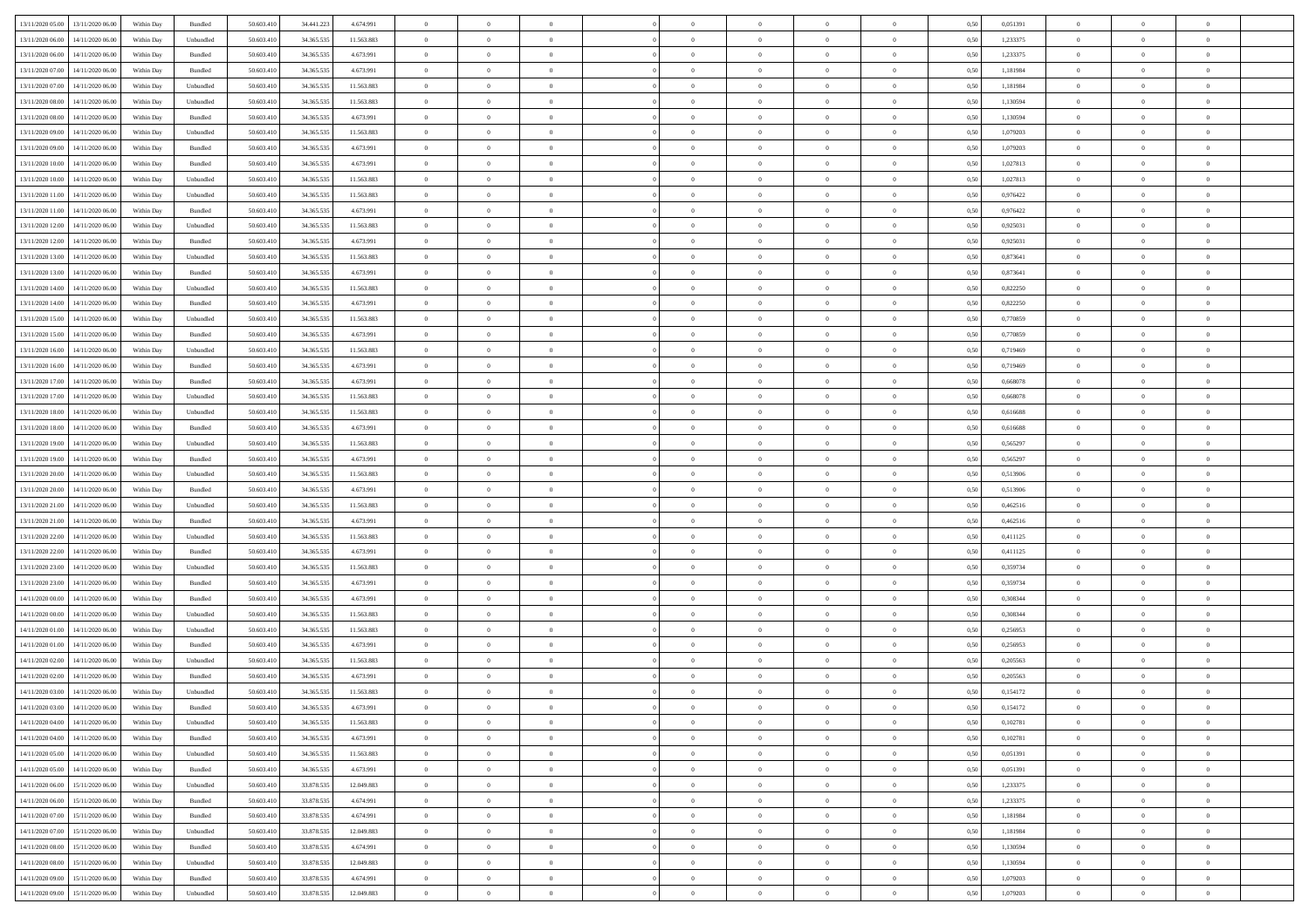| 13/11/2020 05:00 | 13/11/2020 06:00                  | Within Day | Bundled            | 50.603.410 | 34.441.223   | 4.674.991  | $\overline{0}$ | $\theta$       |                | $\overline{0}$ | $\bf{0}$       | $\overline{0}$ | $\theta$       | 0,50 | 0,051391 | $\theta$       | $\theta$       | $\theta$                 |  |
|------------------|-----------------------------------|------------|--------------------|------------|--------------|------------|----------------|----------------|----------------|----------------|----------------|----------------|----------------|------|----------|----------------|----------------|--------------------------|--|
| 13/11/2020 06.00 | 14/11/2020 06.00                  | Within Day | Unbundled          | 50.603.41  | 34.365.535   | 11.563.883 | $\overline{0}$ | $\,$ 0 $\,$    | $\overline{0}$ | $\overline{0}$ | $\,$ 0         | $\bf{0}$       | $\bf{0}$       | 0,50 | 1,233375 | $\,$ 0 $\,$    | $\overline{0}$ | $\overline{0}$           |  |
|                  |                                   |            |                    |            |              |            |                |                |                |                |                |                |                |      |          |                |                |                          |  |
| 13/11/2020 06.00 | 14/11/2020 06:00                  | Within Day | Bundled            | 50.603.410 | 34.365.535   | 4.673.991  | $\overline{0}$ | $\bf{0}$       | $\overline{0}$ | $\overline{0}$ | $\bf{0}$       | $\overline{0}$ | $\mathbf{0}$   | 0.50 | 1,233375 | $\bf{0}$       | $\overline{0}$ | $\overline{0}$           |  |
| 13/11/2020 07.00 | 14/11/2020 06.00                  | Within Day | Bundled            | 50.603.410 | 34.365.535   | 4.673.991  | $\overline{0}$ | $\overline{0}$ | $\overline{0}$ | $\overline{0}$ | $\,$ 0         | $\overline{0}$ | $\overline{0}$ | 0,50 | 1,181984 | $\,$ 0 $\,$    | $\overline{0}$ | $\overline{0}$           |  |
| 13/11/2020 07:00 | 14/11/2020 06.00                  | Within Day | Unbundled          | 50.603.41  | 34.365.535   | 11.563.883 | $\overline{0}$ | $\theta$       | $\overline{0}$ |                | $\bf{0}$       | $\overline{0}$ | $\bf{0}$       | 0,50 | 1,181984 | $\,$ 0 $\,$    | $\overline{0}$ | $\overline{0}$           |  |
| 13/11/2020 08:00 | 14/11/2020 06:00                  | Within Day | Unbundled          | 50.603.410 | 34, 365, 535 | 11.563.883 | $\overline{0}$ | $\overline{0}$ | $\overline{0}$ | $\overline{0}$ | $\bf{0}$       | $\overline{0}$ | $\bf{0}$       | 0.50 | 1.130594 | $\,0\,$        | $\theta$       | $\overline{0}$           |  |
| 13/11/2020 08:00 | 14/11/2020 06.00                  | Within Day | Bundled            | 50.603.410 | 34.365.535   | 4.673.991  | $\overline{0}$ | $\overline{0}$ | $\overline{0}$ | $\overline{0}$ | $\bf{0}$       | $\overline{0}$ | $\overline{0}$ | 0,50 | 1,130594 | $\,$ 0 $\,$    | $\theta$       | $\overline{0}$           |  |
| 13/11/2020 09:00 | 14/11/2020 06.00                  | Within Day | Unbundled          | 50.603.41  | 34.365.535   | 11.563.883 | $\overline{0}$ | $\theta$       | $\overline{0}$ |                | $\,$ 0         | $\bf{0}$       | $\bf{0}$       | 0,50 | 1,079203 | $\,$ 0 $\,$    | $\overline{0}$ | $\overline{0}$           |  |
| 13/11/2020 09:00 | 14/11/2020 06:00                  | Within Day | Bundled            | 50.603.410 | 34.365.535   | 4.673.991  | $\overline{0}$ | $\overline{0}$ | $\overline{0}$ | $\overline{0}$ | $\bf{0}$       | $\overline{0}$ | $\bf{0}$       | 0.50 | 1.079203 | $\,0\,$        | $\overline{0}$ | $\overline{0}$           |  |
| 13/11/2020 10:00 | 14/11/2020 06.00                  | Within Day | Bundled            | 50.603.410 | 34.365.535   | 4.673.991  | $\overline{0}$ | $\overline{0}$ | $\overline{0}$ | $\overline{0}$ | $\bf{0}$       | $\overline{0}$ | $\bf{0}$       | 0,50 | 1,027813 | $\,$ 0 $\,$    | $\overline{0}$ | $\overline{0}$           |  |
| 13/11/2020 10:00 | 14/11/2020 06.00                  | Within Day | Unbundled          | 50.603.41  | 34.365.535   | 11.563.883 | $\bf{0}$       | $\theta$       | $\overline{0}$ | $\overline{0}$ | $\,$ 0         | $\overline{0}$ | $\bf{0}$       | 0,50 | 1,027813 | $\,$ 0 $\,$    | $\overline{0}$ | $\overline{0}$           |  |
| 13/11/2020 11:00 | 14/11/2020 06:00                  | Within Day | Unbundled          | 50.603.410 | 34.365.535   | 11.563.883 | $\overline{0}$ | $\bf{0}$       | $\overline{0}$ | $\overline{0}$ | $\bf{0}$       | $\overline{0}$ | $\mathbf{0}$   | 0.50 | 0.976422 | $\,$ 0 $\,$    | $\overline{0}$ | $\bf{0}$                 |  |
| 13/11/2020 11:00 | 14/11/2020 06.00                  | Within Day | Bundled            | 50.603.410 | 34.365.535   | 4.673.991  | $\overline{0}$ | $\overline{0}$ | $\overline{0}$ | $\overline{0}$ | $\,$ 0         | $\overline{0}$ | $\overline{0}$ | 0,50 | 0,976422 | $\,$ 0 $\,$    | $\overline{0}$ | $\overline{0}$           |  |
| 13/11/2020 12:00 | 14/11/2020 06.00                  | Within Day | Unbundled          | 50.603.41  | 34.365.535   | 11.563.883 | $\overline{0}$ | $\theta$       | $\overline{0}$ |                | $\bf{0}$       | $\overline{0}$ | $\bf{0}$       | 0,50 | 0,925031 | $\,$ 0 $\,$    | $\overline{0}$ | $\overline{0}$           |  |
| 13/11/2020 12:00 | 14/11/2020 06:00                  | Within Day | Bundled            | 50.603.410 | 34.365.535   | 4.673.991  | $\overline{0}$ | $\overline{0}$ | $\overline{0}$ | $\overline{0}$ | $\bf{0}$       | $\overline{0}$ | $\bf{0}$       | 0.50 | 0.925031 | $\,0\,$        | $\theta$       | $\overline{0}$           |  |
|                  |                                   |            |                    |            |              |            | $\overline{0}$ | $\overline{0}$ | $\overline{0}$ | $\overline{0}$ |                | $\overline{0}$ | $\overline{0}$ |      |          |                | $\theta$       | $\overline{0}$           |  |
| 13/11/2020 13:00 | 14/11/2020 06.00                  | Within Day | Unbundled          | 50.603.410 | 34.365.535   | 11.563.883 |                |                |                |                | $\,$ 0         |                |                | 0,50 | 0,873641 | $\,0\,$        |                |                          |  |
| 13/11/2020 13:00 | 14/11/2020 06.00                  | Within Day | Bundled            | 50.603.41  | 34.365.535   | 4.673.991  | $\overline{0}$ | $\theta$       | $\overline{0}$ |                | $\,$ 0         | $\overline{0}$ | $\bf{0}$       | 0,50 | 0,873641 | $\,$ 0 $\,$    | $\overline{0}$ | $\overline{0}$           |  |
| 13/11/2020 14:00 | 14/11/2020 06:00                  | Within Day | Unbundled          | 50.603.410 | 34, 365, 535 | 11.563.883 | $\overline{0}$ | $\overline{0}$ | $\overline{0}$ | $\overline{0}$ | $\bf{0}$       | $\overline{0}$ | $\bf{0}$       | 0.50 | 0.822250 | $\,0\,$        | $\overline{0}$ | $\overline{\phantom{a}}$ |  |
| 13/11/2020 14:00 | 14/11/2020 06.00                  | Within Day | Bundled            | 50.603.410 | 34.365.535   | 4.673.991  | $\overline{0}$ | $\overline{0}$ | $\overline{0}$ | $\overline{0}$ | $\bf{0}$       | $\overline{0}$ | $\bf{0}$       | 0,50 | 0,822250 | $\,$ 0 $\,$    | $\overline{0}$ | $\overline{0}$           |  |
| 13/11/2020 15:00 | 14/11/2020 06.00                  | Within Day | Unbundled          | 50.603.41  | 34.365.535   | 11.563.883 | $\bf{0}$       | $\,$ 0 $\,$    | $\overline{0}$ | $\overline{0}$ | $\,$ 0         | $\bf{0}$       | $\bf{0}$       | 0,50 | 0,770859 | $\,$ 0 $\,$    | $\overline{0}$ | $\overline{0}$           |  |
| 13/11/2020 15:00 | 14/11/2020 06:00                  | Within Day | Bundled            | 50.603.410 | 34.365.535   | 4.673.991  | $\overline{0}$ | $\overline{0}$ | $\overline{0}$ | $\overline{0}$ | $\bf{0}$       | $\overline{0}$ | $\mathbf{0}$   | 0.50 | 0.770859 | $\,$ 0 $\,$    | $\overline{0}$ | $\overline{\phantom{a}}$ |  |
| 13/11/2020 16:00 | 14/11/2020 06.00                  | Within Day | Unbundled          | 50.603.410 | 34.365.535   | 11.563.883 | $\overline{0}$ | $\overline{0}$ | $\overline{0}$ | $\overline{0}$ | $\,$ 0         | $\overline{0}$ | $\overline{0}$ | 0,50 | 0,719469 | $\,$ 0 $\,$    | $\overline{0}$ | $\overline{0}$           |  |
| 13/11/2020 16.00 | 14/11/2020 06.00                  | Within Day | Bundled            | 50.603.41  | 34.365.535   | 4.673.991  | $\overline{0}$ | $\theta$       | $\overline{0}$ | $\overline{0}$ | $\,$ 0         | $\overline{0}$ | $\bf{0}$       | 0,50 | 0,719469 | $\,$ 0 $\,$    | $\overline{0}$ | $\overline{0}$           |  |
| 13/11/2020 17:00 | 14/11/2020 06:00                  | Within Day | Bundled            | 50.603.410 | 34, 365, 535 | 4.673.991  | $\overline{0}$ | $\overline{0}$ | $\overline{0}$ | $\overline{0}$ | $\bf{0}$       | $\overline{0}$ | $\bf{0}$       | 0.50 | 0.668078 | $\,0\,$        | $\theta$       | $\overline{0}$           |  |
| 13/11/2020 17.00 | 14/11/2020 06.00                  | Within Day | Unbundled          | 50.603.410 | 34.365.535   | 11.563.883 | $\overline{0}$ | $\overline{0}$ | $\overline{0}$ | $\overline{0}$ | $\,$ 0         | $\overline{0}$ | $\overline{0}$ | 0,50 | 0,668078 | $\,0\,$        | $\theta$       | $\overline{0}$           |  |
| 13/11/2020 18:00 | 14/11/2020 06.00                  | Within Day | Unbundled          | 50.603.41  | 34.365.535   | 11.563.883 | $\overline{0}$ | $\theta$       | $\overline{0}$ |                | $\,$ 0         | $\overline{0}$ | $\bf{0}$       | 0,50 | 0,616688 | $\,$ 0 $\,$    | $\overline{0}$ | $\overline{0}$           |  |
| 13/11/2020 18:00 | 14/11/2020 06:00                  | Within Day | Bundled            | 50.603.410 | 34, 365, 535 | 4.673.991  | $\overline{0}$ | $\overline{0}$ | $\overline{0}$ | $\overline{0}$ | $\bf{0}$       | $\overline{0}$ | $\bf{0}$       | 0.50 | 0.616688 | $\,0\,$        | $\overline{0}$ | $\overline{0}$           |  |
| 13/11/2020 19:00 | 14/11/2020 06.00                  | Within Day | Unbundled          | 50.603.410 | 34.365.535   | 11.563.883 | $\overline{0}$ | $\overline{0}$ | $\overline{0}$ | $\overline{0}$ | $\bf{0}$       | $\overline{0}$ | $\bf{0}$       | 0,50 | 0,565297 | $\,$ 0 $\,$    | $\overline{0}$ | $\overline{0}$           |  |
| 13/11/2020 19:00 | 14/11/2020 06.00                  | Within Day | Bundled            | 50.603.41  | 34.365.535   | 4.673.991  | $\bf{0}$       | $\overline{0}$ | $\overline{0}$ | $\overline{0}$ | $\,$ 0         | $\bf{0}$       | $\bf{0}$       | 0,50 | 0,565297 | $\,$ 0 $\,$    | $\overline{0}$ | $\overline{0}$           |  |
| 13/11/2020 20.00 | 14/11/2020 06:00                  | Within Day | Unbundled          | 50.603.410 | 34.365.535   | 11.563.883 | $\overline{0}$ | $\bf{0}$       | $\overline{0}$ | $\overline{0}$ | $\bf{0}$       | $\overline{0}$ | $\mathbf{0}$   | 0.50 | 0,513906 | $\,$ 0 $\,$    | $\overline{0}$ | $\bf{0}$                 |  |
|                  |                                   |            |                    |            |              |            |                | $\overline{0}$ | $\overline{0}$ |                | $\overline{0}$ |                |                |      |          | $\theta$       | $\overline{0}$ | $\overline{0}$           |  |
| 13/11/2020 20.00 | 14/11/2020 06.00                  | Within Dav | Bundled            | 50.603.410 | 34.365.535   | 4.673.991  | $\overline{0}$ |                |                | $\overline{0}$ |                | $\overline{0}$ | $\overline{0}$ | 0.50 | 0,513906 |                |                |                          |  |
| 13/11/2020 21:00 | 14/11/2020 06.00                  | Within Day | Unbundled          | 50.603.41  | 34.365.535   | 11.563.883 | $\overline{0}$ | $\,$ 0 $\,$    | $\overline{0}$ |                | $\,$ 0         | $\overline{0}$ | $\bf{0}$       | 0,50 | 0,462516 | $\,$ 0 $\,$    | $\overline{0}$ | $\overline{0}$           |  |
| 13/11/2020 21:00 | 14/11/2020 06.00                  | Within Day | Bundled            | 50.603.410 | 34.365.535   | 4.673.991  | $\overline{0}$ | $\overline{0}$ | $\overline{0}$ | $\overline{0}$ | $\bf{0}$       | $\overline{0}$ | $\bf{0}$       | 0.50 | 0.462516 | $\,0\,$        | $\overline{0}$ | $\overline{0}$           |  |
| 13/11/2020 22.00 | 14/11/2020 06.00                  | Within Dav | Unbundled          | 50.603.410 | 34.365.535   | 11.563.883 | $\overline{0}$ | $\overline{0}$ | $\Omega$       | $\Omega$       | $\mathbf{0}$   | $\overline{0}$ | $\overline{0}$ | 0.50 | 0,411125 | $\theta$       | $\overline{0}$ | $\overline{0}$           |  |
| 13/11/2020 22.00 | 14/11/2020 06.00                  | Within Day | Bundled            | 50.603.41  | 34.365.535   | 4.673.991  | $\overline{0}$ | $\,$ 0 $\,$    | $\overline{0}$ |                | $\,$ 0         | $\overline{0}$ | $\bf{0}$       | 0,50 | 0,411125 | $\,$ 0 $\,$    | $\overline{0}$ | $\overline{0}$           |  |
| 13/11/2020 23.00 | 14/11/2020 06:00                  | Within Day | Unbundled          | 50.603.410 | 34, 365, 535 | 11.563.883 | $\overline{0}$ | $\overline{0}$ | $\overline{0}$ | $\overline{0}$ | $\bf{0}$       | $\overline{0}$ | $\bf{0}$       | 0.50 | 0.359734 | $\,0\,$        | $\overline{0}$ | $\overline{0}$           |  |
| 13/11/2020 23.00 | 14/11/2020 06.00                  | Within Dav | Bundled            | 50.603.410 | 34.365.535   | 4.673.991  | $\overline{0}$ | $\overline{0}$ | $\overline{0}$ | $\overline{0}$ | $\overline{0}$ | $\overline{0}$ | $\overline{0}$ | 0.50 | 0,359734 | $\theta$       | $\overline{0}$ | $\overline{0}$           |  |
| 14/11/2020 00.00 | 14/11/2020 06.00                  | Within Day | Bundled            | 50.603.41  | 34.365.535   | 4.673.991  | $\overline{0}$ | $\overline{0}$ | $\overline{0}$ | $\bf{0}$       | $\bf{0}$       | $\bf{0}$       | $\bf{0}$       | 0,50 | 0,308344 | $\,$ 0 $\,$    | $\overline{0}$ | $\overline{0}$           |  |
| 14/11/2020 00:00 | 14/11/2020 06:00                  | Within Day | Unbundled          | 50.603.410 | 34.365.535   | 11.563.883 | $\overline{0}$ | $\bf{0}$       | $\overline{0}$ | $\overline{0}$ | $\bf{0}$       | $\overline{0}$ | $\mathbf{0}$   | 0.50 | 0.308344 | $\,$ 0 $\,$    | $\overline{0}$ | $\overline{0}$           |  |
| 14/11/2020 01:00 | 14/11/2020 06.00                  | Within Dav | Unbundled          | 50.603.410 | 34.365.535   | 11.563.883 | $\overline{0}$ | $\overline{0}$ | $\Omega$       | $\Omega$       | $\mathbf{0}$   | $\overline{0}$ | $\mathbf{0}$   | 0.50 | 0,256953 | $\theta$       | $\overline{0}$ | $\overline{0}$           |  |
| 14/11/2020 01:00 | 14/11/2020 06.00                  | Within Day | Bundled            | 50.603.41  | 34.365.535   | 4.673.991  | $\overline{0}$ | $\,$ 0 $\,$    | $\overline{0}$ | $\overline{0}$ | $\,$ 0         | $\overline{0}$ | $\bf{0}$       | 0,50 | 0,256953 | $\,$ 0 $\,$    | $\overline{0}$ | $\overline{0}$           |  |
| 14/11/2020 02.00 | 14/11/2020 06.00                  | Within Day | Unbundled          | 50,603.410 | 34.365.535   | 11.563.883 | $\overline{0}$ | $\overline{0}$ | $\overline{0}$ | $\overline{0}$ | $\bf{0}$       | $\overline{0}$ | $\bf{0}$       | 0.50 | 0.205563 | $\,0\,$        | $\theta$       | $\overline{0}$           |  |
| 14/11/2020 02.00 | 14/11/2020 06.00                  | Within Dav | Bundled            | 50.603.410 | 34.365.535   | 4.673.991  | $\overline{0}$ | $\theta$       | $\Omega$       | $\Omega$       | $\bf{0}$       | $\overline{0}$ | $\overline{0}$ | 0.50 | 0,205563 | $\theta$       | $\overline{0}$ | $\overline{0}$           |  |
| 14/11/2020 03:00 | 14/11/2020 06.00                  | Within Day | Unbundled          | 50.603.41  | 34.365.535   | 11.563.883 | $\bf{0}$       | $\,$ 0 $\,$    | $\overline{0}$ | $\bf{0}$       | $\,$ 0         | $\bf{0}$       | $\bf{0}$       | 0,50 | 0,154172 | $\,$ 0 $\,$    | $\overline{0}$ | $\overline{0}$           |  |
| 14/11/2020 03:00 | 14/11/2020 06.00                  | Within Day | $\mathbf B$ undled | 50.603.410 | 34.365.535   | 4.673.991  | $\bf{0}$       | $\bf{0}$       |                |                | $\Omega$       |                |                | 0,50 | 0,154172 | $\,$ 0         | $\theta$       |                          |  |
| 14/11/2020 04:00 | 14/11/2020 06.00                  | Within Day | Unbundled          | 50.603.410 | 34.365.535   | 11.563.883 | $\Omega$       | $\overline{0}$ | $\overline{0}$ | $\Omega$       | $\mathbf{0}$   | $\overline{0}$ | $\mathbf{0}$   | 0.50 | 0,102781 | $\theta$       | $\theta$       | $\overline{0}$           |  |
| 14/11/2020 04.00 | 14/11/2020 06.00                  | Within Day | Bundled            | 50.603.41  | 34.365.535   | 4.673.991  | $\bf{0}$       | $\overline{0}$ | $\overline{0}$ | $\bf{0}$       | $\overline{0}$ | $\overline{0}$ | $\mathbf{0}$   | 0,50 | 0,102781 | $\bf{0}$       | $\overline{0}$ | $\bf{0}$                 |  |
| 14/11/2020 05:00 | 14/11/2020 06.00                  | Within Day | Unbundled          | 50,603.410 | 34.365.535   | 11.563.883 | $\overline{0}$ | $\overline{0}$ | $\overline{0}$ | $\overline{0}$ | $\bf{0}$       | $\overline{0}$ | $\mathbf{0}$   | 0.50 | 0,051391 | $\overline{0}$ | $\bf{0}$       | $\bf{0}$                 |  |
|                  |                                   |            |                    |            |              |            |                |                |                |                |                |                |                |      |          |                |                |                          |  |
| 14/11/2020 05:00 | 14/11/2020 06:00                  | Within Dav | Bundled            | 50.603.410 | 34.365.535   | 4.673.991  | $\overline{0}$ | $\overline{0}$ | $\overline{0}$ | $\overline{0}$ | $\mathbf{0}$   | $\overline{0}$ | $\mathbf{0}$   | 0.50 | 0,051391 | $\overline{0}$ | $\theta$       | $\overline{0}$           |  |
| 14/11/2020 06.00 | 15/11/2020 06.00                  | Within Day | Unbundled          | 50.603.410 | 33.878.535   | 12.049.883 | $\bf{0}$       | $\overline{0}$ | $\overline{0}$ | $\overline{0}$ | $\bf{0}$       | $\overline{0}$ | $\bf{0}$       | 0,50 | 1,233375 | $\bf{0}$       | $\overline{0}$ | $\overline{0}$           |  |
| 14/11/2020 06.00 | 15/11/2020 06.00                  | Within Day | Bundled            | 50.603.410 | 33.878.535   | 4.674.991  | $\overline{0}$ | $\overline{0}$ | $\overline{0}$ | $\overline{0}$ | $\bf{0}$       | $\overline{0}$ | $\mathbf{0}$   | 0.50 | 1.233375 | $\,$ 0 $\,$    | $\overline{0}$ | $\overline{0}$           |  |
| 14/11/2020 07:00 | 15/11/2020 06:00                  | Within Day | Bundled            | 50.603.410 | 33.878.535   | 4.674.991  | $\overline{0}$ | $\overline{0}$ | $\overline{0}$ | $\overline{0}$ | $\overline{0}$ | $\overline{0}$ | $\overline{0}$ | 0.50 | 1,181984 | $\overline{0}$ | $\theta$       | $\overline{0}$           |  |
| 14/11/2020 07.00 | 15/11/2020 06.00                  | Within Day | Unbundled          | 50.603.41  | 33.878.535   | 12.049.883 | $\overline{0}$ | $\,$ 0         | $\overline{0}$ | $\bf{0}$       | $\,$ 0 $\,$    | $\overline{0}$ | $\bf{0}$       | 0,50 | 1,181984 | $\,$ 0 $\,$    | $\overline{0}$ | $\,$ 0                   |  |
| 14/11/2020 08:00 | 15/11/2020 06.00                  | Within Day | Bundled            | 50.603.410 | 33.878.535   | 4.674.991  | $\overline{0}$ | $\overline{0}$ | $\overline{0}$ | $\overline{0}$ | $\bf{0}$       | $\overline{0}$ | $\mathbf{0}$   | 0.50 | 1.130594 | $\mathbf{0}$   | $\,$ 0 $\,$    | $\overline{0}$           |  |
| 14/11/2020 08:00 | 15/11/2020 06:00                  | Within Day | Unbundled          | 50.603.410 | 33.878.535   | 12.049.883 | $\overline{0}$ | $\overline{0}$ | $\overline{0}$ | $\overline{0}$ | $\overline{0}$ | $\overline{0}$ | $\overline{0}$ | 0,50 | 1,130594 | $\overline{0}$ | $\theta$       | $\overline{0}$           |  |
| 14/11/2020 09:00 | 15/11/2020 06.00                  | Within Day | Bundled            | 50.603.41  | 33.878.535   | 4.674.991  | $\overline{0}$ | $\overline{0}$ | $\overline{0}$ | $\bf{0}$       | $\bf{0}$       | $\overline{0}$ | $\bf{0}$       | 0,50 | 1,079203 | $\bf{0}$       | $\,$ 0 $\,$    | $\bf{0}$                 |  |
|                  | 14/11/2020 09:00 15/11/2020 06:00 | Within Day | Unbundled          | 50.603.410 | 33.878.535   | 12.049.883 | $\overline{0}$ | $\overline{0}$ | $\overline{0}$ | $\overline{0}$ | $\bf{0}$       | $\overline{0}$ | $\,$ 0 $\,$    | 0,50 | 1,079203 | $\overline{0}$ | $\,$ 0 $\,$    | $\,$ 0 $\,$              |  |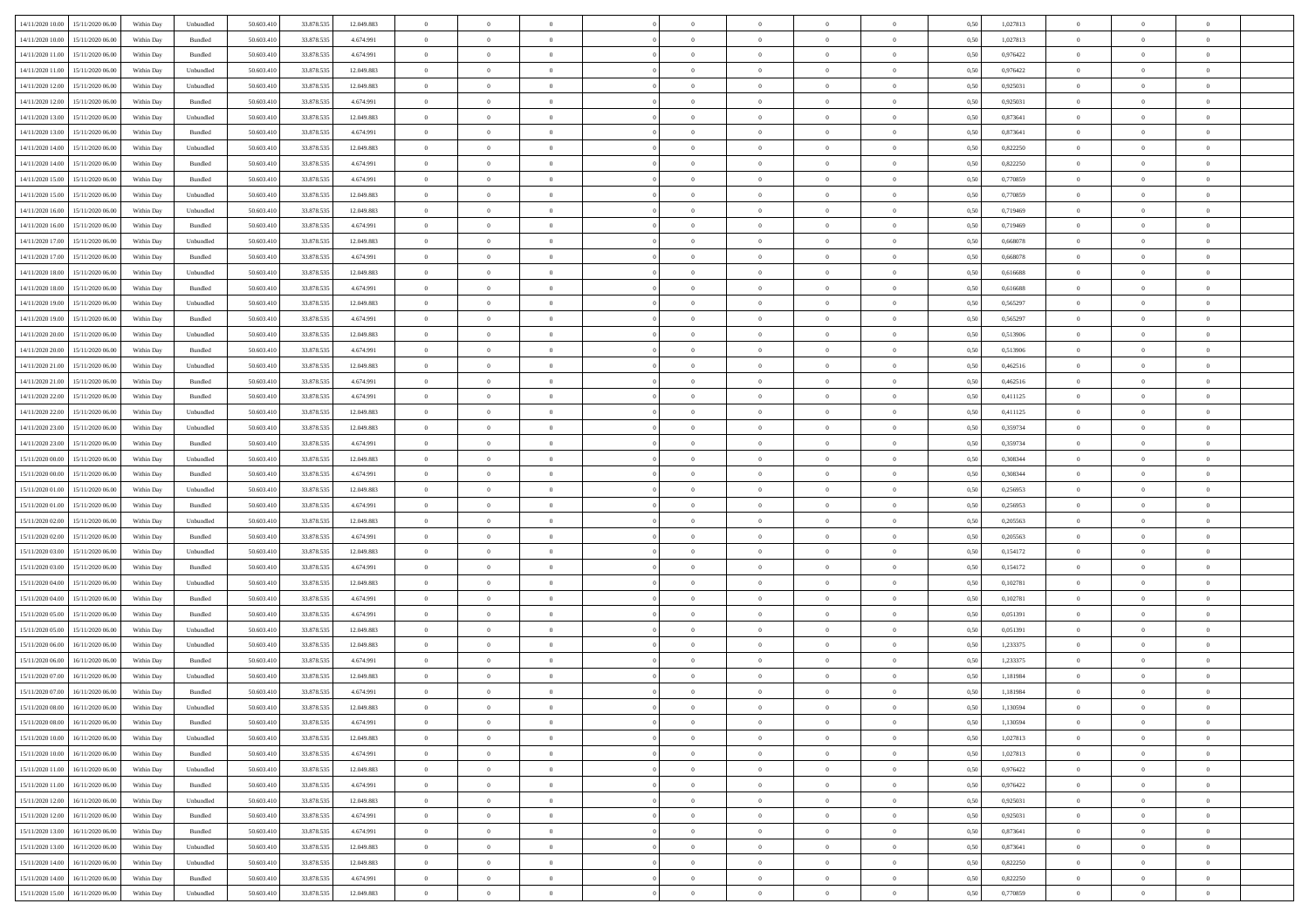| 14/11/2020 10:00                  | 15/11/2020 06:00 | Within Day | Unbundled                   | 50.603.410 | 33.878.535 | 12.049.883 | $\overline{0}$ | $\theta$       |                | $\overline{0}$ | $\bf{0}$       | $\overline{0}$ | $\theta$       | 0,50 | 1,027813 | $\theta$       | $\theta$       | $\theta$                 |  |
|-----------------------------------|------------------|------------|-----------------------------|------------|------------|------------|----------------|----------------|----------------|----------------|----------------|----------------|----------------|------|----------|----------------|----------------|--------------------------|--|
| 14/11/2020 10.00                  | 15/11/2020 06.00 | Within Day | Bundled                     | 50.603.41  | 33.878.535 | 4.674.991  | $\overline{0}$ | $\,$ 0 $\,$    | $\overline{0}$ | $\overline{0}$ | $\,$ 0         | $\bf{0}$       | $\bf{0}$       | 0,50 | 1,027813 | $\,$ 0 $\,$    | $\overline{0}$ | $\overline{0}$           |  |
|                                   |                  |            |                             |            |            |            |                |                |                |                |                |                |                |      |          |                |                |                          |  |
| 14/11/2020 11:00                  | 15/11/2020 06.00 | Within Day | Bundled                     | 50.603.410 | 33.878.535 | 4.674.991  | $\overline{0}$ | $\bf{0}$       | $\overline{0}$ | $\overline{0}$ | $\bf{0}$       | $\bf{0}$       | $\mathbf{0}$   | 0.50 | 0,976422 | $\bf{0}$       | $\overline{0}$ | $\overline{0}$           |  |
| 14/11/2020 11:00                  | 15/11/2020 06.00 | Within Day | Unbundled                   | 50.603.410 | 33.878.535 | 12.049.883 | $\overline{0}$ | $\overline{0}$ | $\overline{0}$ | $\overline{0}$ | $\,$ 0         | $\overline{0}$ | $\overline{0}$ | 0,50 | 0,976422 | $\,$ 0 $\,$    | $\overline{0}$ | $\overline{0}$           |  |
| 14/11/2020 12:00                  | 15/11/2020 06.00 | Within Day | Unbundled                   | 50.603.41  | 33.878.535 | 12.049.883 | $\overline{0}$ | $\theta$       | $\overline{0}$ |                | $\bf{0}$       | $\overline{0}$ | $\bf{0}$       | 0,50 | 0,925031 | $\,$ 0 $\,$    | $\overline{0}$ | $\overline{0}$           |  |
| 14/11/2020 12:00                  | 15/11/2020 06.00 | Within Day | Bundled                     | 50.603.410 | 33.878.535 | 4.674.991  | $\overline{0}$ | $\overline{0}$ | $\overline{0}$ | $\overline{0}$ | $\bf{0}$       | $\overline{0}$ | $\bf{0}$       | 0.50 | 0.925031 | $\,0\,$        | $\overline{0}$ | $\overline{0}$           |  |
| 14/11/2020 13:00                  | 15/11/2020 06.00 | Within Day | Unbundled                   | 50.603.410 | 33.878.535 | 12.049.883 | $\overline{0}$ | $\overline{0}$ | $\overline{0}$ | $\overline{0}$ | $\,$ 0         | $\overline{0}$ | $\overline{0}$ | 0,50 | 0,873641 | $\,0\,$        | $\theta$       | $\overline{0}$           |  |
| 14/11/2020 13:00                  | 15/11/2020 06.00 | Within Day | Bundled                     | 50.603.41  | 33.878.535 | 4.674.991  | $\overline{0}$ | $\theta$       | $\overline{0}$ |                | $\,$ 0         | $\bf{0}$       | $\bf{0}$       | 0,50 | 0,873641 | $\,$ 0 $\,$    | $\overline{0}$ | $\overline{0}$           |  |
| 14/11/2020 14:00                  | 15/11/2020 06:00 | Within Day | Unbundled                   | 50.603.410 | 33.878.535 | 12.049.883 | $\overline{0}$ | $\overline{0}$ | $\overline{0}$ | $\overline{0}$ | $\bf{0}$       | $\overline{0}$ | $\bf{0}$       | 0.50 | 0.822250 | $\,0\,$        | $\overline{0}$ | $\overline{0}$           |  |
| 14/11/2020 14:00                  | 15/11/2020 06.00 | Within Day | Bundled                     | 50.603.410 | 33.878.535 | 4.674.991  | $\overline{0}$ | $\overline{0}$ | $\overline{0}$ | $\overline{0}$ | $\bf{0}$       | $\overline{0}$ | $\bf{0}$       | 0,50 | 0,822250 | $\,$ 0 $\,$    | $\overline{0}$ | $\overline{0}$           |  |
| 14/11/2020 15:00                  | 15/11/2020 06.00 | Within Day | Bundled                     | 50.603.41  | 33.878.535 | 4.674.991  | $\bf{0}$       | $\theta$       | $\overline{0}$ | $\overline{0}$ | $\,$ 0         | $\overline{0}$ | $\bf{0}$       | 0,50 | 0,770859 | $\,$ 0 $\,$    | $\overline{0}$ | $\overline{0}$           |  |
|                                   | 15/11/2020 06:00 |            |                             | 50.603.410 |            | 12.049.883 | $\overline{0}$ | $\bf{0}$       | $\overline{0}$ | $\overline{0}$ |                | $\overline{0}$ |                | 0.50 | 0.770859 | $\bf{0}$       | $\overline{0}$ | $\bf{0}$                 |  |
| 14/11/2020 15:00                  |                  | Within Day | Unbundled                   |            | 33.878.535 |            |                |                |                |                | $\bf{0}$       |                | $\mathbf{0}$   |      |          |                |                |                          |  |
| 14/11/2020 16.00                  | 15/11/2020 06.00 | Within Day | Unbundled                   | 50.603.410 | 33.878.535 | 12.049.883 | $\overline{0}$ | $\overline{0}$ | $\overline{0}$ | $\overline{0}$ | $\,$ 0         | $\overline{0}$ | $\overline{0}$ | 0,50 | 0,719469 | $\,$ 0 $\,$    | $\overline{0}$ | $\overline{0}$           |  |
| 14/11/2020 16.00                  | 15/11/2020 06.00 | Within Day | Bundled                     | 50.603.41  | 33.878.535 | 4.674.991  | $\overline{0}$ | $\theta$       | $\overline{0}$ |                | $\bf{0}$       | $\overline{0}$ | $\bf{0}$       | 0,50 | 0,719469 | $\,$ 0 $\,$    | $\overline{0}$ | $\overline{0}$           |  |
| 14/11/2020 17:00                  | 15/11/2020 06.00 | Within Day | Unbundled                   | 50.603.410 | 33.878.535 | 12.049.883 | $\overline{0}$ | $\overline{0}$ | $\overline{0}$ | $\overline{0}$ | $\bf{0}$       | $\overline{0}$ | $\bf{0}$       | 0.50 | 0.668078 | $\,0\,$        | $\overline{0}$ | $\overline{0}$           |  |
| 14/11/2020 17.00                  | 15/11/2020 06.00 | Within Day | Bundled                     | 50.603.410 | 33.878.535 | 4.674.991  | $\overline{0}$ | $\overline{0}$ | $\overline{0}$ | $\overline{0}$ | $\,$ 0         | $\overline{0}$ | $\bf{0}$       | 0,50 | 0,668078 | $\,0\,$        | $\theta$       | $\overline{0}$           |  |
| 14/11/2020 18.00                  | 15/11/2020 06.00 | Within Day | Unbundled                   | 50.603.41  | 33.878.535 | 12.049.883 | $\overline{0}$ | $\theta$       | $\overline{0}$ |                | $\,$ 0         | $\overline{0}$ | $\bf{0}$       | 0,50 | 0,616688 | $\,$ 0 $\,$    | $\overline{0}$ | $\overline{0}$           |  |
| 14/11/2020 18.00                  | 15/11/2020 06:00 | Within Day | Bundled                     | 50.603.410 | 33.878.535 | 4.674.991  | $\overline{0}$ | $\overline{0}$ | $\overline{0}$ | $\overline{0}$ | $\bf{0}$       | $\overline{0}$ | $\bf{0}$       | 0.50 | 0.616688 | $\,0\,$        | $\overline{0}$ | $\overline{\phantom{a}}$ |  |
| 14/11/2020 19:00                  | 15/11/2020 06.00 | Within Day | Unbundled                   | 50.603.410 | 33.878.535 | 12.049.883 | $\overline{0}$ | $\overline{0}$ | $\overline{0}$ | $\overline{0}$ | $\bf{0}$       | $\overline{0}$ | $\bf{0}$       | 0,50 | 0,565297 | $\,$ 0 $\,$    | $\overline{0}$ | $\overline{0}$           |  |
| 14/11/2020 19:00                  | 15/11/2020 06.00 | Within Day | Bundled                     | 50.603.41  | 33.878.535 | 4.674.991  | $\bf{0}$       | $\,$ 0 $\,$    | $\overline{0}$ | $\overline{0}$ | $\,$ 0         | $\bf{0}$       | $\bf{0}$       | 0,50 | 0,565297 | $\,$ 0 $\,$    | $\overline{0}$ | $\overline{0}$           |  |
| 14/11/2020 20.00                  | 15/11/2020 06.00 | Within Day | Unbundled                   | 50.603.410 | 33.878.535 | 12.049.883 | $\overline{0}$ | $\overline{0}$ | $\overline{0}$ | $\overline{0}$ | $\bf{0}$       | $\overline{0}$ | $\mathbf{0}$   | 0.50 | 0,513906 | $\,$ 0 $\,$    | $\overline{0}$ | $\overline{\phantom{a}}$ |  |
| 14/11/2020 20.00                  | 15/11/2020 06.00 | Within Day | Bundled                     | 50.603.410 | 33.878.535 | 4.674.991  | $\overline{0}$ | $\overline{0}$ | $\overline{0}$ | $\overline{0}$ | $\,$ 0         | $\overline{0}$ | $\overline{0}$ | 0,50 | 0,513906 | $\,$ 0 $\,$    | $\overline{0}$ | $\overline{0}$           |  |
| 14/11/2020 21.00                  | 15/11/2020 06.00 | Within Day | Unbundled                   | 50.603.41  | 33.878.535 | 12.049.883 | $\overline{0}$ | $\theta$       | $\overline{0}$ | $\overline{0}$ | $\,$ 0         | $\overline{0}$ | $\bf{0}$       | 0,50 | 0,462516 | $\,$ 0 $\,$    | $\overline{0}$ | $\overline{0}$           |  |
|                                   |                  |            |                             |            |            |            |                |                |                |                |                |                |                |      |          |                |                |                          |  |
| 14/11/2020 21.00                  | 15/11/2020 06:00 | Within Day | Bundled                     | 50.603.410 | 33.878.535 | 4.674.991  | $\overline{0}$ | $\overline{0}$ | $\overline{0}$ | $\overline{0}$ | $\bf{0}$       | $\overline{0}$ | $\bf{0}$       | 0.50 | 0.462516 | $\,0\,$        | $\overline{0}$ | $\overline{0}$           |  |
| 14/11/2020 22.00                  | 15/11/2020 06.00 | Within Day | Bundled                     | 50.603.410 | 33.878.535 | 4.674.991  | $\overline{0}$ | $\overline{0}$ | $\overline{0}$ | $\overline{0}$ | $\,$ 0         | $\overline{0}$ | $\overline{0}$ | 0,50 | 0,411125 | $\,0\,$        | $\theta$       | $\overline{0}$           |  |
| 14/11/2020 22.00                  | 15/11/2020 06.00 | Within Day | Unbundled                   | 50.603.41  | 33.878.535 | 12.049.883 | $\overline{0}$ | $\theta$       | $\overline{0}$ |                | $\,$ 0         | $\overline{0}$ | $\bf{0}$       | 0,50 | 0,411125 | $\,$ 0 $\,$    | $\overline{0}$ | $\overline{0}$           |  |
| 14/11/2020 23.00                  | 15/11/2020 06:00 | Within Day | Unbundled                   | 50.603.410 | 33.878.535 | 12.049.883 | $\overline{0}$ | $\overline{0}$ | $\overline{0}$ | $\overline{0}$ | $\bf{0}$       | $\overline{0}$ | $\bf{0}$       | 0.50 | 0.359734 | $\,0\,$        | $\overline{0}$ | $\overline{0}$           |  |
| 14/11/2020 23.00                  | 15/11/2020 06.00 | Within Day | Bundled                     | 50.603.410 | 33.878.535 | 4.674.991  | $\overline{0}$ | $\overline{0}$ | $\overline{0}$ | $\overline{0}$ | $\bf{0}$       | $\overline{0}$ | $\bf{0}$       | 0,50 | 0,359734 | $\,$ 0 $\,$    | $\overline{0}$ | $\overline{0}$           |  |
| 15/11/2020 00:00                  | 15/11/2020 06.00 | Within Day | Unbundled                   | 50.603.41  | 33.878.535 | 12.049.883 | $\bf{0}$       | $\overline{0}$ | $\overline{0}$ | $\overline{0}$ | $\bf{0}$       | $\bf{0}$       | $\bf{0}$       | 0,50 | 0,308344 | $\,$ 0 $\,$    | $\overline{0}$ | $\overline{0}$           |  |
| 15/11/2020 00:00                  | 15/11/2020 06:00 | Within Day | Bundled                     | 50.603.410 | 33.878.535 | 4.674.991  | $\overline{0}$ | $\bf{0}$       | $\overline{0}$ | $\overline{0}$ | $\bf{0}$       | $\overline{0}$ | $\mathbf{0}$   | 0.50 | 0.308344 | $\bf{0}$       | $\overline{0}$ | $\bf{0}$                 |  |
| 15/11/2020 01:00                  | 15/11/2020 06.00 | Within Dav | Unbundled                   | 50.603.410 | 33.878.535 | 12.049.883 | $\overline{0}$ | $\overline{0}$ | $\overline{0}$ | $\overline{0}$ | $\overline{0}$ | $\overline{0}$ | $\overline{0}$ | 0.50 | 0,256953 | $\theta$       | $\overline{0}$ | $\overline{0}$           |  |
| 15/11/2020 01:00                  | 15/11/2020 06.00 | Within Day | Bundled                     | 50.603.41  | 33.878.535 | 4.674.991  | $\overline{0}$ | $\,$ 0 $\,$    | $\overline{0}$ | $\overline{0}$ | $\,$ 0         | $\overline{0}$ | $\bf{0}$       | 0,50 | 0,256953 | $\,$ 0 $\,$    | $\overline{0}$ | $\overline{0}$           |  |
| 15/11/2020 02:00                  | 15/11/2020 06.00 | Within Day | Unbundled                   | 50.603.410 | 33.878.535 | 12.049.883 | $\overline{0}$ | $\overline{0}$ | $\overline{0}$ | $\overline{0}$ | $\bf{0}$       | $\overline{0}$ | $\bf{0}$       | 0.50 | 0.205563 | $\,0\,$        | $\overline{0}$ | $\overline{0}$           |  |
| 15/11/2020 02.00                  | 15/11/2020 06.00 | Within Dav | Bundled                     | 50.603.410 | 33.878.535 | 4.674.991  | $\overline{0}$ | $\overline{0}$ | $\Omega$       | $\Omega$       | $\mathbf{0}$   | $\overline{0}$ | $\overline{0}$ | 0.50 | 0,205563 | $\theta$       | $\overline{0}$ | $\overline{0}$           |  |
| 15/11/2020 03:00                  | 15/11/2020 06.00 | Within Day | Unbundled                   | 50.603.41  | 33.878.535 | 12.049.883 | $\overline{0}$ | $\,$ 0 $\,$    | $\overline{0}$ |                | $\,$ 0         | $\overline{0}$ | $\bf{0}$       | 0,50 | 0,154172 | $\,$ 0 $\,$    | $\overline{0}$ | $\overline{0}$           |  |
|                                   | 15/11/2020 06:00 |            |                             | 50.603.410 |            | 4.674.991  |                |                |                |                |                | $\overline{0}$ |                |      |          |                |                |                          |  |
| 15/11/2020 03:00                  |                  | Within Day | Bundled                     |            | 33.878.535 |            | $\overline{0}$ | $\overline{0}$ | $\overline{0}$ | $\overline{0}$ | $\bf{0}$       |                | $\bf{0}$       | 0.50 | 0,154172 | $\,0\,$        | $\overline{0}$ | $\overline{\phantom{a}}$ |  |
| 15/11/2020 04:00                  | 15/11/2020 06.00 | Within Dav | Unbundled                   | 50.603.410 | 33.878.535 | 12.049.883 | $\overline{0}$ | $\overline{0}$ | $\overline{0}$ | $\overline{0}$ | $\overline{0}$ | $\overline{0}$ | $\overline{0}$ | 0.50 | 0,102781 | $\theta$       | $\overline{0}$ | $\overline{0}$           |  |
| 15/11/2020 04:00                  | 15/11/2020 06.00 | Within Day | Bundled                     | 50.603.41  | 33.878.535 | 4.674.991  | $\bf{0}$       | $\overline{0}$ | $\overline{0}$ | $\bf{0}$       | $\bf{0}$       | $\overline{0}$ | $\bf{0}$       | 0,50 | 0,102781 | $\,$ 0 $\,$    | $\overline{0}$ | $\overline{0}$           |  |
| 15/11/2020 05:00                  | 15/11/2020 06:00 | Within Day | Bundled                     | 50.603.410 | 33.878.535 | 4.674.991  | $\overline{0}$ | $\bf{0}$       | $\overline{0}$ | $\overline{0}$ | $\bf{0}$       | $\overline{0}$ | $\mathbf{0}$   | 0.50 | 0,051391 | $\,$ 0 $\,$    | $\overline{0}$ | $\overline{\phantom{a}}$ |  |
| 15/11/2020 05:00                  | 15/11/2020 06.00 | Within Dav | Unbundled                   | 50.603.410 | 33.878.535 | 12.049.883 | $\overline{0}$ | $\overline{0}$ | $\Omega$       | $\overline{0}$ | $\mathbf{0}$   | $\overline{0}$ | $\overline{0}$ | 0.50 | 0,051391 | $\theta$       | $\overline{0}$ | $\overline{0}$           |  |
| 15/11/2020 06.00                  | 16/11/2020 06.00 | Within Day | Unbundled                   | 50.603.41  | 33.878.535 | 12.049.883 | $\overline{0}$ | $\,$ 0 $\,$    | $\overline{0}$ | $\overline{0}$ | $\,$ 0         | $\overline{0}$ | $\bf{0}$       | 0,50 | 1,233375 | $\,$ 0 $\,$    | $\overline{0}$ | $\overline{0}$           |  |
| 15/11/2020 06:00                  | 16/11/2020 06:00 | Within Day | Bundled                     | 50.603.410 | 33.878.535 | 4.674.991  | $\overline{0}$ | $\overline{0}$ | $\overline{0}$ | $\overline{0}$ | $\bf{0}$       | $\overline{0}$ | $\bf{0}$       | 0.50 | 1.233375 | $\,0\,$        | $\overline{0}$ | $\overline{0}$           |  |
| 15/11/2020 07.00                  | 16/11/2020 06:00 | Within Dav | Unbundled                   | 50.603.410 | 33.878.535 | 12.049.883 | $\overline{0}$ | $\theta$       | $\Omega$       | $\Omega$       | $\bf{0}$       | $\overline{0}$ | $\overline{0}$ | 0.50 | 1,181984 | $\theta$       | $\overline{0}$ | $\overline{0}$           |  |
| 15/11/2020 07:00                  | 16/11/2020 06.00 | Within Day | Bundled                     | 50.603.41  | 33.878.535 | 4.674.991  | $\bf{0}$       | $\overline{0}$ | $\overline{0}$ | $\bf{0}$       | $\,$ 0         | $\overline{0}$ | $\bf{0}$       | 0,50 | 1,181984 | $\,$ 0 $\,$    | $\overline{0}$ | $\overline{0}$           |  |
| 15/11/2020 08:00                  | 16/11/2020 06:00 | Within Day | $\ensuremath{\mathsf{Unb}}$ | 50.603.410 | 33.878.535 | 12.049.883 | $\bf{0}$       | $\bf{0}$       |                | $^{\circ}$     | $\bf{0}$       |                |                | 0,50 | 1,130594 | $\bf{0}$       | $\theta$       |                          |  |
| 15/11/2020 08:00 16/11/2020 06:00 |                  | Within Day | Bundled                     | 50.603.410 | 33.878.535 | 4.674.991  | $\Omega$       | $\overline{0}$ | $\overline{0}$ | $\Omega$       | $\mathbf{0}$   | $\overline{0}$ | $\overline{0}$ | 0.50 | 1,130594 | $\theta$       | $\theta$       | $\overline{0}$           |  |
| 15/11/2020 10:00                  | 16/11/2020 06.00 | Within Day | Unbundled                   | 50.603.41  | 33.878.535 | 12.049.883 | $\bf{0}$       | $\overline{0}$ | $\overline{0}$ | $\bf{0}$       | $\overline{0}$ | $\overline{0}$ | $\mathbf{0}$   | 0,50 | 1,027813 | $\bf{0}$       | $\overline{0}$ | $\bf{0}$                 |  |
|                                   | 16/11/2020 06:00 |            |                             | 50,603.410 |            | 4.674.991  |                |                |                | $\overline{0}$ |                |                |                | 0.50 |          | $\overline{0}$ |                |                          |  |
| 15/11/2020 10:00                  |                  | Within Day | Bundled                     |            | 33.878.535 |            | $\overline{0}$ | $\overline{0}$ | $\overline{0}$ |                | $\bf{0}$       | $\overline{0}$ | $\mathbf{0}$   |      | 1,027813 |                | $\bf{0}$       | $\bf{0}$                 |  |
| 15/11/2020 11:00                  | 16/11/2020 06:00 | Within Day | Unbundled                   | 50.603.410 | 33.878.535 | 12.049.883 | $\overline{0}$ | $\overline{0}$ | $\overline{0}$ | $\overline{0}$ | $\overline{0}$ | $\overline{0}$ | $\overline{0}$ | 0.50 | 0,976422 | $\overline{0}$ | $\theta$       | $\overline{0}$           |  |
| 15/11/2020 11:00                  | 16/11/2020 06.00 | Within Day | Bundled                     | 50.603.410 | 33.878.535 | 4.674.991  | $\bf{0}$       | $\overline{0}$ | $\overline{0}$ | $\overline{0}$ | $\bf{0}$       | $\overline{0}$ | $\bf{0}$       | 0,50 | 0,976422 | $\bf{0}$       | $\overline{0}$ | $\overline{0}$           |  |
| 15/11/2020 12:00                  | 16/11/2020 06.00 | Within Day | Unbundled                   | 50.603.410 | 33.878.535 | 12.049.883 | $\overline{0}$ | $\overline{0}$ | $\overline{0}$ | $\overline{0}$ | $\bf{0}$       | $\overline{0}$ | $\mathbf{0}$   | 0.50 | 0.925031 | $\,$ 0 $\,$    | $\overline{0}$ | $\overline{0}$           |  |
| 15/11/2020 12:00                  | 16/11/2020 06:00 | Within Day | Bundled                     | 50.603.410 | 33.878.535 | 4.674.991  | $\overline{0}$ | $\overline{0}$ | $\overline{0}$ | $\overline{0}$ | $\overline{0}$ | $\overline{0}$ | $\overline{0}$ | 0.50 | 0.925031 | $\overline{0}$ | $\theta$       | $\overline{0}$           |  |
| 15/11/2020 13:00                  | 16/11/2020 06.00 | Within Day | Bundled                     | 50.603.41  | 33.878.535 | 4.674.991  | $\overline{0}$ | $\,$ 0         | $\overline{0}$ | $\bf{0}$       | $\,$ 0 $\,$    | $\bf{0}$       | $\bf{0}$       | 0,50 | 0,873641 | $\,$ 0 $\,$    | $\overline{0}$ | $\,$ 0                   |  |
| 15/11/2020 13:00                  | 16/11/2020 06:00 | Within Day | Unbundled                   | 50.603.410 | 33.878.535 | 12.049.883 | $\overline{0}$ | $\overline{0}$ | $\overline{0}$ | $\overline{0}$ | $\bf{0}$       | $\overline{0}$ | $\mathbf{0}$   | 0.50 | 0.873641 | $\mathbf{0}$   | $\bf{0}$       | $\overline{0}$           |  |
| 15/11/2020 14:00                  | 16/11/2020 06:00 | Within Day | Unbundled                   | 50.603.410 | 33.878.535 | 12.049.883 | $\overline{0}$ | $\overline{0}$ | $\overline{0}$ | $\overline{0}$ | $\overline{0}$ | $\overline{0}$ | $\overline{0}$ | 0,50 | 0,822250 | $\overline{0}$ | $\theta$       | $\overline{0}$           |  |
| 15/11/2020 14:00                  | 16/11/2020 06.00 | Within Day | Bundled                     | 50.603.41  | 33.878.535 | 4.674.991  | $\overline{0}$ | $\overline{0}$ | $\overline{0}$ | $\bf{0}$       | $\bf{0}$       | $\bf{0}$       | $\bf{0}$       | 0,50 | 0,822250 | $\overline{0}$ | $\overline{0}$ | $\bf{0}$                 |  |
| 15/11/2020 15:00 16/11/2020 06:00 |                  | Within Day | Unbundled                   | 50.603.410 | 33.878.535 | 12.049.883 | $\overline{0}$ | $\overline{0}$ | $\overline{0}$ | $\overline{0}$ | $\bf{0}$       | $\overline{0}$ | $\,$ 0 $\,$    | 0,50 | 0,770859 | $\overline{0}$ | $\,$ 0 $\,$    | $\,$ 0 $\,$              |  |
|                                   |                  |            |                             |            |            |            |                |                |                |                |                |                |                |      |          |                |                |                          |  |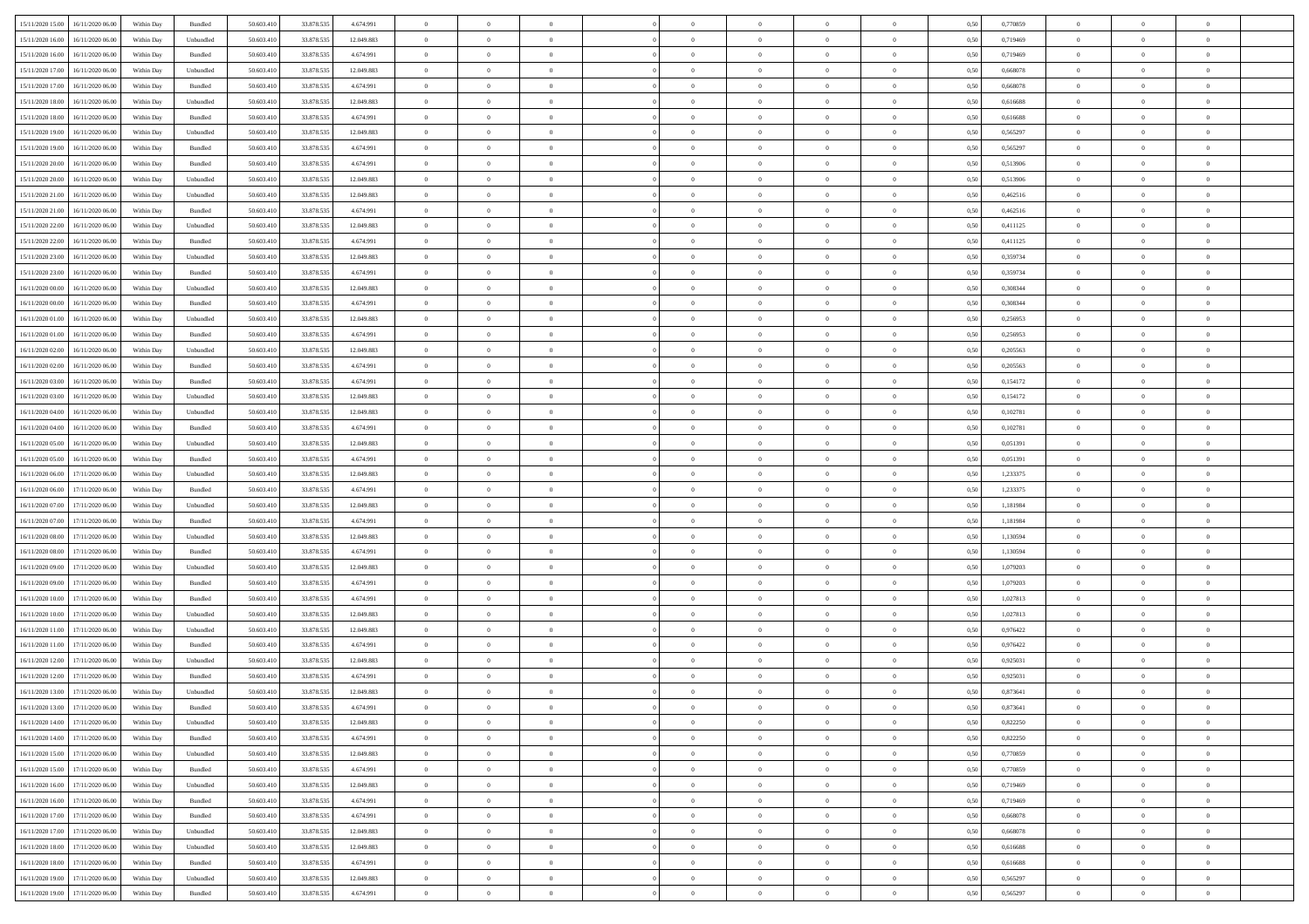| 15/11/2020 15:00                  | 16/11/2020 06:00                  | Within Day | Bundled            | 50.603.410 | 33.878.535 | 4.674.991  | $\overline{0}$ | $\theta$       |                | $\overline{0}$ | $\bf{0}$       | $\overline{0}$ | $\theta$       | 0,50 | 0,770859 | $\theta$       | $\theta$       | $\theta$                 |  |
|-----------------------------------|-----------------------------------|------------|--------------------|------------|------------|------------|----------------|----------------|----------------|----------------|----------------|----------------|----------------|------|----------|----------------|----------------|--------------------------|--|
| 15/11/2020 16.00                  | 16/11/2020 06.00                  | Within Day | Unbundled          | 50.603.41  | 33.878.535 | 12.049.883 | $\overline{0}$ | $\theta$       | $\overline{0}$ | $\overline{0}$ | $\,$ 0         | $\bf{0}$       | $\bf{0}$       | 0,50 | 0,719469 | $\,$ 0 $\,$    | $\overline{0}$ | $\overline{0}$           |  |
|                                   |                                   |            |                    |            |            |            |                |                |                |                |                |                |                |      |          |                |                |                          |  |
| 15/11/2020 16.00                  | 16/11/2020 06:00                  | Within Day | Bundled            | 50.603.410 | 33.878.535 | 4.674.991  | $\overline{0}$ | $\overline{0}$ | $\overline{0}$ | $\overline{0}$ | $\bf{0}$       | $\overline{0}$ | $\mathbf{0}$   | 0.50 | 0,719469 | $\bf{0}$       | $\overline{0}$ | $\overline{0}$           |  |
| 15/11/2020 17.00                  | 16/11/2020 06.00                  | Within Day | Unbundled          | 50.603.410 | 33.878.535 | 12.049.883 | $\overline{0}$ | $\overline{0}$ | $\overline{0}$ | $\overline{0}$ | $\,$ 0         | $\overline{0}$ | $\overline{0}$ | 0,50 | 0,668078 | $\,$ 0 $\,$    | $\overline{0}$ | $\overline{0}$           |  |
| 15/11/2020 17:00                  | 16/11/2020 06.00                  | Within Day | Bundled            | 50.603.41  | 33.878.535 | 4.674.991  | $\overline{0}$ | $\theta$       | $\overline{0}$ |                | $\bf{0}$       | $\overline{0}$ | $\bf{0}$       | 0,50 | 0,668078 | $\,$ 0 $\,$    | $\overline{0}$ | $\overline{0}$           |  |
| 15/11/2020 18:00                  | 16/11/2020 06:00                  | Within Day | Unbundled          | 50.603.410 | 33.878.535 | 12.049.883 | $\overline{0}$ | $\overline{0}$ | $\overline{0}$ | $\overline{0}$ | $\bf{0}$       | $\overline{0}$ | $\bf{0}$       | 0.50 | 0.616688 | $\,0\,$        | $\theta$       | $\overline{0}$           |  |
| 15/11/2020 18.00                  | 16/11/2020 06.00                  | Within Day | Bundled            | 50.603.410 | 33.878.535 | 4.674.991  | $\overline{0}$ | $\overline{0}$ | $\overline{0}$ | $\overline{0}$ | $\,$ 0         | $\overline{0}$ | $\overline{0}$ | 0,50 | 0,616688 | $\,0\,$        | $\theta$       | $\overline{0}$           |  |
| 15/11/2020 19:00                  | 16/11/2020 06.00                  | Within Day | Unbundled          | 50.603.41  | 33.878.535 | 12.049.883 | $\overline{0}$ | $\theta$       | $\overline{0}$ |                | $\,$ 0         | $\bf{0}$       | $\bf{0}$       | 0,50 | 0,565297 | $\,$ 0 $\,$    | $\overline{0}$ | $\overline{0}$           |  |
| 15/11/2020 19:00                  | 16/11/2020 06:00                  | Within Day | Bundled            | 50.603.410 | 33.878.535 | 4.674.991  | $\overline{0}$ | $\overline{0}$ | $\overline{0}$ | $\overline{0}$ | $\bf{0}$       | $\overline{0}$ | $\bf{0}$       | 0.50 | 0.565297 | $\,0\,$        | $\overline{0}$ | $\overline{0}$           |  |
| 15/11/2020 20.00                  | 16/11/2020 06.00                  | Within Day | Bundled            | 50.603.410 | 33.878.535 | 4.674.991  | $\overline{0}$ | $\overline{0}$ | $\overline{0}$ | $\overline{0}$ | $\bf{0}$       | $\overline{0}$ | $\bf{0}$       | 0,50 | 0,513906 | $\,$ 0 $\,$    | $\overline{0}$ | $\overline{0}$           |  |
| 15/11/2020 20.00                  | 16/11/2020 06.00                  | Within Day | Unbundled          | 50.603.41  | 33.878.535 | 12.049.883 | $\bf{0}$       | $\theta$       | $\overline{0}$ | $\overline{0}$ | $\,$ 0         | $\overline{0}$ | $\bf{0}$       | 0,50 | 0,513906 | $\,$ 0 $\,$    | $\overline{0}$ | $\overline{0}$           |  |
| 15/11/2020 21.00                  | 16/11/2020 06:00                  | Within Day | Unbundled          | 50.603.410 | 33.878.535 | 12.049.883 | $\overline{0}$ | $\overline{0}$ | $\overline{0}$ | $\overline{0}$ | $\bf{0}$       | $\overline{0}$ | $\mathbf{0}$   | 0.50 | 0.462516 | $\,$ 0 $\,$    | $\overline{0}$ | $\bf{0}$                 |  |
| 15/11/2020 21.00                  | 16/11/2020 06.00                  | Within Day | Bundled            | 50.603.410 | 33.878.535 | 4.674.991  | $\overline{0}$ | $\overline{0}$ | $\overline{0}$ | $\overline{0}$ | $\,$ 0         | $\overline{0}$ | $\overline{0}$ | 0,50 | 0,462516 | $\,$ 0 $\,$    | $\overline{0}$ | $\overline{0}$           |  |
| 15/11/2020 22.00                  | 16/11/2020 06.00                  | Within Day | Unbundled          | 50.603.41  | 33.878.535 | 12.049.883 | $\overline{0}$ | $\theta$       | $\overline{0}$ |                | $\bf{0}$       | $\overline{0}$ | $\bf{0}$       | 0,50 | 0,411125 | $\,$ 0 $\,$    | $\overline{0}$ | $\overline{0}$           |  |
|                                   |                                   |            |                    |            |            |            |                |                |                |                |                |                |                |      |          |                |                |                          |  |
| 15/11/2020 22.00                  | 16/11/2020 06:00                  | Within Day | Bundled            | 50.603.410 | 33.878.535 | 4.674.991  | $\overline{0}$ | $\overline{0}$ | $\overline{0}$ | $\overline{0}$ | $\bf{0}$       | $\overline{0}$ | $\bf{0}$       | 0.50 | 0,411125 | $\,0\,$        | $\theta$       | $\overline{0}$           |  |
| 15/11/2020 23.00                  | 16/11/2020 06.00                  | Within Day | Unbundled          | 50.603.410 | 33.878.535 | 12.049.883 | $\overline{0}$ | $\overline{0}$ | $\overline{0}$ | $\overline{0}$ | $\,$ 0         | $\overline{0}$ | $\overline{0}$ | 0,50 | 0,359734 | $\,0\,$        | $\theta$       | $\overline{0}$           |  |
| 15/11/2020 23.00                  | 16/11/2020 06.00                  | Within Day | Bundled            | 50.603.41  | 33.878.535 | 4.674.991  | $\overline{0}$ | $\theta$       | $\overline{0}$ |                | $\,$ 0         | $\overline{0}$ | $\bf{0}$       | 0,50 | 0,359734 | $\,$ 0 $\,$    | $\overline{0}$ | $\overline{0}$           |  |
| 16/11/2020 00.00                  | 16/11/2020 06:00                  | Within Day | Unbundled          | 50.603.410 | 33.878.535 | 12.049.883 | $\overline{0}$ | $\overline{0}$ | $\overline{0}$ | $\overline{0}$ | $\bf{0}$       | $\overline{0}$ | $\bf{0}$       | 0.50 | 0.308344 | $\,0\,$        | $\overline{0}$ | $\overline{\phantom{a}}$ |  |
| 16/11/2020 00.00                  | 16/11/2020 06.00                  | Within Day | Bundled            | 50.603.410 | 33.878.535 | 4.674.991  | $\overline{0}$ | $\overline{0}$ | $\overline{0}$ | $\overline{0}$ | $\,$ 0         | $\overline{0}$ | $\bf{0}$       | 0,50 | 0,308344 | $\,$ 0 $\,$    | $\overline{0}$ | $\overline{0}$           |  |
| 16/11/2020 01:00                  | 16/11/2020 06.00                  | Within Day | Unbundled          | 50.603.41  | 33.878.535 | 12.049.883 | $\bf{0}$       | $\,$ 0 $\,$    | $\overline{0}$ | $\overline{0}$ | $\,$ 0         | $\overline{0}$ | $\bf{0}$       | 0,50 | 0,256953 | $\,$ 0 $\,$    | $\overline{0}$ | $\overline{0}$           |  |
| 16/11/2020 01:00                  | 16/11/2020 06:00                  | Within Day | Bundled            | 50.603.410 | 33.878.535 | 4.674.991  | $\overline{0}$ | $\overline{0}$ | $\overline{0}$ | $\overline{0}$ | $\bf{0}$       | $\overline{0}$ | $\mathbf{0}$   | 0.50 | 0,256953 | $\,$ 0 $\,$    | $\overline{0}$ | $\overline{\phantom{a}}$ |  |
| 16/11/2020 02.00                  | 16/11/2020 06.00                  | Within Day | Unbundled          | 50.603.410 | 33.878.535 | 12.049.883 | $\overline{0}$ | $\overline{0}$ | $\overline{0}$ | $\overline{0}$ | $\,$ 0         | $\overline{0}$ | $\overline{0}$ | 0,50 | 0,205563 | $\,$ 0 $\,$    | $\overline{0}$ | $\overline{0}$           |  |
| 16/11/2020 02:00                  | 16/11/2020 06.00                  | Within Day | Bundled            | 50.603.41  | 33.878.535 | 4.674.991  | $\overline{0}$ | $\theta$       | $\overline{0}$ | $\overline{0}$ | $\,$ 0         | $\overline{0}$ | $\bf{0}$       | 0,50 | 0,205563 | $\,$ 0 $\,$    | $\overline{0}$ | $\overline{0}$           |  |
| 16/11/2020 03:00                  | 16/11/2020 06:00                  | Within Day | Bundled            | 50.603.410 | 33.878.535 | 4.674.991  | $\overline{0}$ | $\overline{0}$ | $\overline{0}$ | $\overline{0}$ | $\bf{0}$       | $\overline{0}$ | $\bf{0}$       | 0.50 | 0,154172 | $\,0\,$        | $\theta$       | $\overline{0}$           |  |
| 16/11/2020 03.00                  | 16/11/2020 06.00                  | Within Day | Unbundled          | 50.603.410 | 33.878.535 | 12.049.883 | $\overline{0}$ | $\overline{0}$ | $\overline{0}$ | $\overline{0}$ | $\,$ 0         | $\overline{0}$ | $\overline{0}$ | 0,50 | 0,154172 | $\,0\,$        | $\theta$       | $\overline{0}$           |  |
| 16/11/2020 04:00                  | 16/11/2020 06.00                  | Within Day | Unbundled          | 50.603.41  | 33.878.535 | 12.049.883 | $\overline{0}$ | $\theta$       | $\overline{0}$ |                | $\,$ 0         | $\overline{0}$ | $\bf{0}$       | 0,50 | 0,102781 | $\,$ 0 $\,$    | $\overline{0}$ | $\overline{0}$           |  |
| 16/11/2020 04.00                  | 16/11/2020 06:00                  | Within Day | Bundled            | 50.603.410 | 33.878.535 | 4.674.991  | $\overline{0}$ | $\overline{0}$ | $\overline{0}$ | $\overline{0}$ | $\bf{0}$       | $\overline{0}$ | $\bf{0}$       | 0.50 | 0.102781 | $\,0\,$        | $\overline{0}$ | $\overline{0}$           |  |
|                                   |                                   |            |                    |            |            |            | $\overline{0}$ | $\overline{0}$ | $\overline{0}$ | $\overline{0}$ |                | $\overline{0}$ |                |      |          | $\,$ 0 $\,$    |                | $\overline{0}$           |  |
| 16/11/2020 05:00                  | 16/11/2020 06.00                  | Within Day | Unbundled          | 50.603.410 | 33.878.535 | 12.049.883 |                |                |                |                | $\bf{0}$       |                | $\bf{0}$       | 0,50 | 0,051391 |                | $\overline{0}$ |                          |  |
| 16/11/2020 05:00                  | 16/11/2020 06.00                  | Within Day | Bundled            | 50.603.41  | 33.878.535 | 4.674.991  | $\bf{0}$       | $\overline{0}$ | $\overline{0}$ | $\overline{0}$ | $\bf{0}$       | $\overline{0}$ | $\bf{0}$       | 0,50 | 0,051391 | $\,$ 0 $\,$    | $\overline{0}$ | $\overline{0}$           |  |
| 16/11/2020 06.00                  | 17/11/2020 06:00                  | Within Day | Unbundled          | 50.603.410 | 33.878.535 | 12.049.883 | $\overline{0}$ | $\bf{0}$       | $\overline{0}$ | $\overline{0}$ | $\bf{0}$       | $\overline{0}$ | $\mathbf{0}$   | 0.50 | 1,233375 | $\,$ 0 $\,$    | $\overline{0}$ | $\overline{\phantom{a}}$ |  |
| 16/11/2020 06:00                  | 17/11/2020 06.00                  | Within Dav | Bundled            | 50.603.410 | 33.878.535 | 4.674.991  | $\overline{0}$ | $\overline{0}$ | $\overline{0}$ | $\overline{0}$ | $\mathbf{0}$   | $\overline{0}$ | $\overline{0}$ | 0.50 | 1,233375 | $\theta$       | $\overline{0}$ | $\overline{0}$           |  |
| 16/11/2020 07.00                  | 17/11/2020 06.00                  | Within Day | Unbundled          | 50.603.41  | 33.878.535 | 12.049.883 | $\overline{0}$ | $\theta$       | $\overline{0}$ | $\overline{0}$ | $\,$ 0         | $\overline{0}$ | $\bf{0}$       | 0,50 | 1,181984 | $\,$ 0 $\,$    | $\overline{0}$ | $\overline{0}$           |  |
| 16/11/2020 07:00                  | 17/11/2020 06:00                  | Within Day | Bundled            | 50.603.410 | 33.878.535 | 4.674.991  | $\overline{0}$ | $\overline{0}$ | $\overline{0}$ | $\overline{0}$ | $\bf{0}$       | $\overline{0}$ | $\bf{0}$       | 0.50 | 1.181984 | $\,0\,$        | $\overline{0}$ | $\overline{0}$           |  |
| 16/11/2020 08:00                  | 17/11/2020 06.00                  | Within Dav | Unbundled          | 50.603.410 | 33.878.535 | 12.049.883 | $\overline{0}$ | $\theta$       | $\Omega$       | $\Omega$       | $\mathbf{0}$   | $\overline{0}$ | $\overline{0}$ | 0.50 | 1,130594 | $\theta$       | $\overline{0}$ | $\overline{0}$           |  |
| 16/11/2020 08:00                  | 17/11/2020 06.00                  | Within Day | Bundled            | 50.603.41  | 33.878.535 | 4.674.991  | $\overline{0}$ | $\theta$       | $\overline{0}$ |                | $\,$ 0         | $\overline{0}$ | $\bf{0}$       | 0,50 | 1,130594 | $\,$ 0 $\,$    | $\overline{0}$ | $\overline{0}$           |  |
| 16/11/2020 09:00                  | 17/11/2020 06:00                  | Within Day | Unbundled          | 50.603.410 | 33.878.535 | 12.049.883 | $\overline{0}$ | $\overline{0}$ | $\overline{0}$ | $\overline{0}$ | $\bf{0}$       | $\overline{0}$ | $\bf{0}$       | 0.50 | 1.079203 | $\,0\,$        | $\overline{0}$ | $\overline{0}$           |  |
| 16/11/2020 09:00                  | 17/11/2020 06.00                  | Within Dav | Bundled            | 50.603.410 | 33.878.535 | 4.674.991  | $\overline{0}$ | $\overline{0}$ | $\overline{0}$ | $\overline{0}$ | $\overline{0}$ | $\overline{0}$ | $\overline{0}$ | 0.50 | 1,079203 | $\theta$       | $\overline{0}$ | $\overline{0}$           |  |
| 16/11/2020 10:00                  | 17/11/2020 06.00                  | Within Day | Bundled            | 50.603.41  | 33.878.535 | 4.674.991  | $\overline{0}$ | $\overline{0}$ | $\overline{0}$ | $\overline{0}$ | $\bf{0}$       | $\bf{0}$       | $\bf{0}$       | 0,50 | 1,027813 | $\,$ 0 $\,$    | $\overline{0}$ | $\overline{0}$           |  |
| 16/11/2020 10:00                  | 17/11/2020 06:00                  | Within Day | Unbundled          | 50.603.410 | 33.878.535 | 12.049.883 | $\overline{0}$ | $\overline{0}$ | $\overline{0}$ | $\overline{0}$ | $\bf{0}$       | $\overline{0}$ | $\mathbf{0}$   | 0.50 | 1,027813 | $\,$ 0 $\,$    | $\overline{0}$ | $\overline{0}$           |  |
| 16/11/2020 11:00                  | 17/11/2020 06.00                  | Within Dav | Unbundled          | 50.603.410 | 33.878.535 | 12.049.883 | $\overline{0}$ | $\overline{0}$ | $\Omega$       | $\Omega$       | $\mathbf{0}$   | $\overline{0}$ | $\overline{0}$ | 0.50 | 0,976422 | $\theta$       | $\overline{0}$ | $\overline{0}$           |  |
| 16/11/2020 11:00                  | 17/11/2020 06.00                  | Within Day | Bundled            | 50.603.41  | 33.878.535 | 4.674.991  | $\overline{0}$ | $\,$ 0 $\,$    | $\overline{0}$ | $\overline{0}$ | $\,$ 0         | $\overline{0}$ | $\bf{0}$       | 0,50 | 0,976422 | $\,$ 0 $\,$    | $\overline{0}$ | $\overline{0}$           |  |
| 16/11/2020 12:00                  | 17/11/2020 06.00                  | Within Day | Unbundled          | 50.603.410 | 33.878.535 | 12.049.883 | $\overline{0}$ | $\overline{0}$ | $\overline{0}$ | $\overline{0}$ | $\bf{0}$       | $\overline{0}$ | $\bf{0}$       | 0.50 | 0,925031 | $\,0\,$        | $\theta$       | $\overline{0}$           |  |
|                                   | 17/11/2020 06.00                  | Within Dav | Bundled            | 50.603.410 | 33.878.535 | 4.674.991  | $\overline{0}$ | $\theta$       | $\Omega$       | $\Omega$       | $\bf{0}$       | $\overline{0}$ | $\mathbf{0}$   | 0.50 | 0,925031 | $\theta$       | $\overline{0}$ | $\overline{0}$           |  |
| 16/11/2020 12:00                  |                                   |            |                    |            |            |            |                |                |                |                |                |                |                |      |          |                |                |                          |  |
| 16/11/2020 13:00                  | 17/11/2020 06.00                  | Within Day | Unbundled          | 50.603.41  | 33.878.535 | 12.049.883 | $\overline{0}$ | $\,$ 0 $\,$    | $\overline{0}$ | $\bf{0}$       | $\,$ 0         | $\bf{0}$       | $\bf{0}$       | 0,50 | 0,873641 | $\,$ 0 $\,$    | $\overline{0}$ | $\overline{0}$           |  |
| 16/11/2020 13:00                  | 17/11/2020 06.00                  | Within Day | $\mathbf B$ undled | 50.603.410 | 33.878.535 | 4.674.991  | $\bf{0}$       | $\bf{0}$       |                |                |                |                |                | 0.50 | 0,873641 | $\bf{0}$       | $\theta$       |                          |  |
| 16/11/2020 14:00 17/11/2020 06:00 |                                   | Within Day | Unbundled          | 50.603.410 | 33.878.535 | 12.049.883 | $\Omega$       | $\overline{0}$ | $\overline{0}$ | $\Omega$       | $\mathbf{0}$   | $\overline{0}$ | $\mathbf{0}$   | 0.50 | 0,822250 | $\theta$       | $\theta$       | $\overline{0}$           |  |
| 16/11/2020 14:00                  | 17/11/2020 06.00                  | Within Day | Bundled            | 50.603.41  | 33.878.535 | 4.674.991  | $\bf{0}$       | $\overline{0}$ | $\overline{0}$ | $\bf{0}$       | $\overline{0}$ | $\overline{0}$ | $\mathbf{0}$   | 0,50 | 0,822250 | $\bf{0}$       | $\overline{0}$ | $\bf{0}$                 |  |
| 16/11/2020 15:00                  | 17/11/2020 06:00                  | Within Day | Unbundled          | 50,603.410 | 33.878.535 | 12.049.883 | $\overline{0}$ | $\overline{0}$ | $\overline{0}$ | $\overline{0}$ | $\bf{0}$       | $\overline{0}$ | $\mathbf{0}$   | 0.50 | 0.770859 | $\overline{0}$ | $\bf{0}$       | $\bf{0}$                 |  |
| 16/11/2020 15:00                  | 17/11/2020 06.00                  | Within Dav | Bundled            | 50.603.410 | 33.878.535 | 4.674.991  | $\overline{0}$ | $\overline{0}$ | $\overline{0}$ | $\overline{0}$ | $\mathbf{0}$   | $\overline{0}$ | $\mathbf{0}$   | 0.50 | 0,770859 | $\overline{0}$ | $\theta$       | $\overline{0}$           |  |
| 16/11/2020 16.00                  | 17/11/2020 06.00                  | Within Day | Unbundled          | 50.603.410 | 33.878.535 | 12.049.883 | $\bf{0}$       | $\overline{0}$ | $\overline{0}$ | $\overline{0}$ | $\bf{0}$       | $\bf{0}$       | $\bf{0}$       | 0,50 | 0,719469 | $\bf{0}$       | $\overline{0}$ | $\overline{0}$           |  |
| 16/11/2020 16.00                  | 17/11/2020 06.00                  | Within Day | Bundled            | 50.603.410 | 33.878.535 | 4.674.991  | $\overline{0}$ | $\overline{0}$ | $\overline{0}$ | $\overline{0}$ | $\bf{0}$       | $\overline{0}$ | $\mathbf{0}$   | 0.50 | 0.719469 | $\,$ 0 $\,$    | $\overline{0}$ | $\overline{0}$           |  |
| 16/11/2020 17:00                  | 17/11/2020 06:00                  | Within Day | Bundled            | 50.603.410 | 33.878.535 | 4.674.991  | $\overline{0}$ | $\overline{0}$ | $\overline{0}$ | $\overline{0}$ | $\overline{0}$ | $\overline{0}$ | $\overline{0}$ | 0.50 | 0,668078 | $\overline{0}$ | $\theta$       | $\overline{0}$           |  |
| 16/11/2020 17:00                  | 17/11/2020 06.00                  | Within Day | Unbundled          | 50.603.41  | 33.878.535 | 12.049.883 | $\overline{0}$ | $\,$ 0         | $\overline{0}$ | $\bf{0}$       | $\,$ 0 $\,$    | $\bf{0}$       | $\bf{0}$       | 0,50 | 0,668078 | $\,$ 0 $\,$    | $\overline{0}$ | $\,$ 0                   |  |
| 16/11/2020 18:00                  | 17/11/2020 06:00                  | Within Day | Unbundled          | 50.603.410 | 33.878.535 | 12.049.883 | $\overline{0}$ | $\overline{0}$ | $\overline{0}$ | $\overline{0}$ | $\bf{0}$       | $\overline{0}$ | $\mathbf{0}$   | 0.50 | 0.616688 | $\mathbf{0}$   | $\,$ 0 $\,$    | $\overline{0}$           |  |
| 16/11/2020 18:00                  | 17/11/2020 06:00                  | Within Dav | Bundled            | 50.603.410 | 33.878.535 | 4.674.991  | $\overline{0}$ | $\overline{0}$ | $\overline{0}$ | $\overline{0}$ | $\overline{0}$ | $\overline{0}$ | $\overline{0}$ | 0,50 | 0,616688 | $\overline{0}$ | $\theta$       | $\overline{0}$           |  |
|                                   |                                   |            |                    |            |            |            |                | $\overline{0}$ |                | $\bf{0}$       | $\bf{0}$       |                |                |      |          | $\bf{0}$       | $\,$ 0 $\,$    | $\bf{0}$                 |  |
| 16/11/2020 19.00                  | 17/11/2020 06.00                  | Within Day | Unbundled          | 50.603.41  | 33.878.535 | 12.049.883 | $\overline{0}$ |                | $\overline{0}$ |                |                | $\bf{0}$       | $\bf{0}$       | 0,50 | 0,565297 |                |                |                          |  |
|                                   | 16/11/2020 19:00 17/11/2020 06:00 | Within Day | Bundled            | 50.603.410 | 33.878.535 | 4.674.991  | $\,$ 0 $\,$    | $\overline{0}$ | $\overline{0}$ | $\overline{0}$ | $\bf{0}$       | $\overline{0}$ | $\,$ 0 $\,$    | 0,50 | 0,565297 | $\overline{0}$ | $\,$ 0 $\,$    | $\,$ 0 $\,$              |  |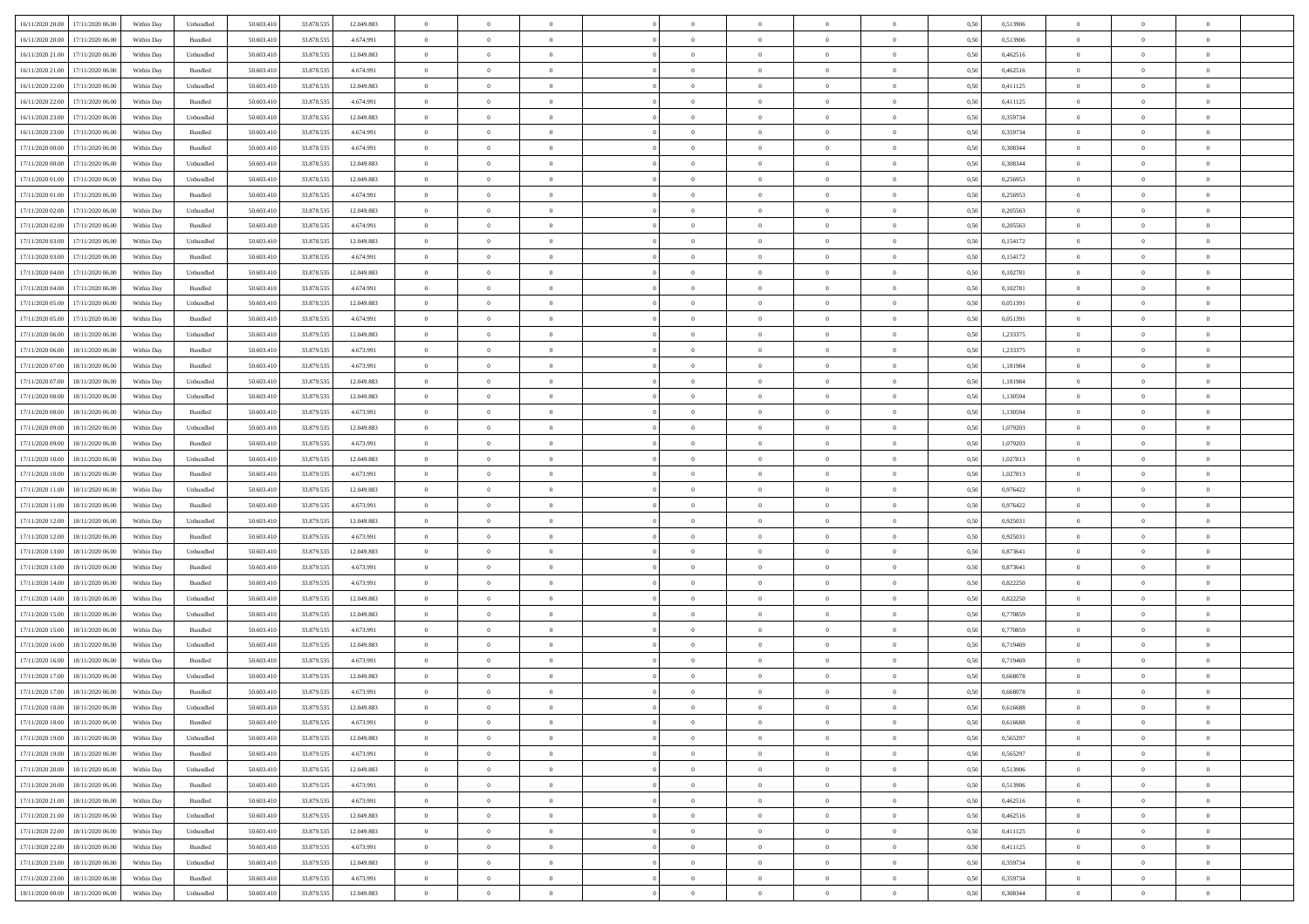| 16/11/2020 20.00                  | 17/11/2020 06:00                  | Within Day | Unbundled                   | 50.603.410 | 33.878.535 | 12.049.883 | $\overline{0}$ | $\theta$       |                | $\overline{0}$ | $\bf{0}$       | $\overline{0}$ | $\theta$       | 0,50 | 0,513906 | $\theta$       | $\theta$       | $\theta$                 |  |
|-----------------------------------|-----------------------------------|------------|-----------------------------|------------|------------|------------|----------------|----------------|----------------|----------------|----------------|----------------|----------------|------|----------|----------------|----------------|--------------------------|--|
| 16/11/2020 20.00                  | 17/11/2020 06.00                  | Within Day | Bundled                     | 50.603.41  | 33.878.535 | 4.674.991  | $\overline{0}$ | $\theta$       | $\overline{0}$ | $\overline{0}$ | $\,$ 0         | $\overline{0}$ | $\bf{0}$       | 0,50 | 0,513906 | $\,$ 0 $\,$    | $\overline{0}$ | $\overline{0}$           |  |
|                                   |                                   |            |                             |            |            |            |                |                |                |                |                |                |                |      |          |                |                |                          |  |
| 16/11/2020 21.00                  | 17/11/2020 06.00                  | Within Day | Unbundled                   | 50.603.410 | 33.878.535 | 12.049.883 | $\overline{0}$ | $\overline{0}$ | $\overline{0}$ | $\overline{0}$ | $\bf{0}$       | $\overline{0}$ | $\mathbf{0}$   | 0.50 | 0.462516 | $\bf{0}$       | $\overline{0}$ | $\overline{0}$           |  |
| 16/11/2020 21.00                  | 17/11/2020 06.00                  | Within Day | Bundled                     | 50.603.410 | 33.878.535 | 4.674.991  | $\overline{0}$ | $\overline{0}$ | $\overline{0}$ | $\overline{0}$ | $\,$ 0         | $\overline{0}$ | $\overline{0}$ | 0,50 | 0,462516 | $\,$ 0 $\,$    | $\overline{0}$ | $\overline{0}$           |  |
| 16/11/2020 22.00                  | 17/11/2020 06.00                  | Within Day | Unbundled                   | 50.603.41  | 33.878.535 | 12.049.883 | $\overline{0}$ | $\theta$       | $\overline{0}$ |                | $\bf{0}$       | $\overline{0}$ | $\bf{0}$       | 0,50 | 0,411125 | $\,$ 0 $\,$    | $\overline{0}$ | $\overline{0}$           |  |
| 16/11/2020 22:00                  | 17/11/2020 06:00                  | Within Day | Bundled                     | 50.603.410 | 33.878.535 | 4.674.991  | $\overline{0}$ | $\overline{0}$ | $\overline{0}$ | $\overline{0}$ | $\bf{0}$       | $\overline{0}$ | $\bf{0}$       | 0.50 | 0,411125 | $\,0\,$        | $\theta$       | $\overline{0}$           |  |
| 16/11/2020 23.00                  | 17/11/2020 06.00                  | Within Day | Unbundled                   | 50.603.410 | 33.878.535 | 12.049.883 | $\overline{0}$ | $\overline{0}$ | $\overline{0}$ | $\overline{0}$ | $\bf{0}$       | $\overline{0}$ | $\overline{0}$ | 0,50 | 0,359734 | $\,$ 0 $\,$    | $\theta$       | $\overline{0}$           |  |
| 16/11/2020 23.00                  | 17/11/2020 06.00                  | Within Day | Bundled                     | 50.603.41  | 33.878.535 | 4.674.991  | $\overline{0}$ | $\theta$       | $\overline{0}$ | $\overline{0}$ | $\,$ 0         | $\overline{0}$ | $\bf{0}$       | 0,50 | 0,359734 | $\,$ 0 $\,$    | $\overline{0}$ | $\overline{0}$           |  |
| 17/11/2020 00:00                  | 17/11/2020 06:00                  | Within Day | Bundled                     | 50.603.410 | 33.878.535 | 4.674.991  | $\overline{0}$ | $\overline{0}$ | $\overline{0}$ | $\overline{0}$ | $\bf{0}$       | $\overline{0}$ | $\bf{0}$       | 0.50 | 0.308344 | $\,0\,$        | $\overline{0}$ | $\overline{0}$           |  |
| 17/11/2020 00.00                  | 17/11/2020 06.00                  | Within Day | Unbundled                   | 50.603.410 | 33.878.535 | 12.049.883 | $\overline{0}$ | $\overline{0}$ | $\overline{0}$ | $\overline{0}$ | $\bf{0}$       | $\overline{0}$ | $\bf{0}$       | 0,50 | 0,308344 | $\,$ 0 $\,$    | $\overline{0}$ | $\overline{0}$           |  |
| 17/11/2020 01:00                  | 17/11/2020 06.00                  | Within Day | Unbundled                   | 50.603.41  | 33.878.535 | 12.049.883 | $\bf{0}$       | $\theta$       | $\overline{0}$ | $\overline{0}$ | $\,$ 0         | $\overline{0}$ | $\bf{0}$       | 0,50 | 0,256953 | $\,$ 0 $\,$    | $\overline{0}$ | $\overline{0}$           |  |
| 17/11/2020 01:00                  | 17/11/2020 06:00                  | Within Day | Bundled                     | 50.603.410 | 33.878.535 | 4.674.991  | $\overline{0}$ | $\overline{0}$ | $\overline{0}$ | $\overline{0}$ | $\bf{0}$       | $\overline{0}$ | $\mathbf{0}$   | 0.50 | 0,256953 | $\,$ 0 $\,$    | $\overline{0}$ | $\bf{0}$                 |  |
|                                   |                                   |            |                             |            |            |            |                |                |                |                |                |                |                |      |          |                |                |                          |  |
| 17/11/2020 02.00                  | 17/11/2020 06.00                  | Within Day | Unbundled                   | 50.603.410 | 33.878.535 | 12.049.883 | $\overline{0}$ | $\overline{0}$ | $\overline{0}$ | $\overline{0}$ | $\,$ 0         | $\overline{0}$ | $\overline{0}$ | 0,50 | 0,205563 | $\,$ 0 $\,$    | $\overline{0}$ | $\overline{0}$           |  |
| 17/11/2020 02:00                  | 17/11/2020 06.00                  | Within Day | Bundled                     | 50.603.41  | 33.878.535 | 4.674.991  | $\overline{0}$ | $\theta$       | $\overline{0}$ | $\overline{0}$ | $\bf{0}$       | $\overline{0}$ | $\bf{0}$       | 0,50 | 0,205563 | $\,$ 0 $\,$    | $\overline{0}$ | $\overline{0}$           |  |
| 17/11/2020 03:00                  | 17/11/2020 06:00                  | Within Day | Unbundled                   | 50.603.410 | 33.878.535 | 12.049.883 | $\overline{0}$ | $\overline{0}$ | $\overline{0}$ | $\overline{0}$ | $\bf{0}$       | $\overline{0}$ | $\bf{0}$       | 0.50 | 0,154172 | $\,0\,$        | $\theta$       | $\overline{0}$           |  |
| 17/11/2020 03.00                  | 17/11/2020 06.00                  | Within Day | Bundled                     | 50.603.410 | 33.878.535 | 4.674.991  | $\overline{0}$ | $\overline{0}$ | $\overline{0}$ | $\overline{0}$ | $\bf{0}$       | $\overline{0}$ | $\overline{0}$ | 0,50 | 0,154172 | $\,0\,$        | $\theta$       | $\overline{0}$           |  |
| 17/11/2020 04:00                  | 17/11/2020 06.00                  | Within Day | Unbundled                   | 50.603.41  | 33.878.535 | 12.049.883 | $\overline{0}$ | $\theta$       | $\overline{0}$ |                | $\,$ 0         | $\overline{0}$ | $\bf{0}$       | 0,50 | 0,102781 | $\,$ 0 $\,$    | $\overline{0}$ | $\overline{0}$           |  |
| 17/11/2020 04:00                  | 17/11/2020 06:00                  | Within Day | Bundled                     | 50.603.410 | 33.878.535 | 4.674.991  | $\overline{0}$ | $\overline{0}$ | $\overline{0}$ | $\overline{0}$ | $\bf{0}$       | $\overline{0}$ | $\bf{0}$       | 0.50 | 0.102781 | $\,0\,$        | $\overline{0}$ | $\overline{\phantom{a}}$ |  |
| 17/11/2020 05:00                  | 17/11/2020 06.00                  | Within Day | Unbundled                   | 50.603.410 | 33.878.535 | 12.049.883 | $\overline{0}$ | $\overline{0}$ | $\overline{0}$ | $\overline{0}$ | $\bf{0}$       | $\overline{0}$ | $\bf{0}$       | 0,50 | 0,051391 | $\,$ 0 $\,$    | $\overline{0}$ | $\overline{0}$           |  |
| 17/11/2020 05:00                  | 17/11/2020 06.00                  | Within Day | Bundled                     | 50.603.41  | 33.878.535 | 4.674.991  | $\bf{0}$       | $\,$ 0 $\,$    | $\overline{0}$ | $\overline{0}$ | $\,$ 0         | $\overline{0}$ | $\bf{0}$       | 0,50 | 0,051391 | $\,$ 0 $\,$    | $\overline{0}$ | $\overline{0}$           |  |
| 17/11/2020 06.00                  | 18/11/2020 06:00                  | Within Day | Unbundled                   | 50.603.410 | 33.879.535 | 12.049.883 | $\overline{0}$ | $\overline{0}$ | $\overline{0}$ | $\overline{0}$ | $\bf{0}$       | $\overline{0}$ | $\mathbf{0}$   | 0.50 | 1,233375 | $\,$ 0 $\,$    | $\overline{0}$ | $\overline{\phantom{a}}$ |  |
| 17/11/2020 06.00                  | 18/11/2020 06.00                  | Within Day | Bundled                     | 50.603.410 | 33.879.535 | 4.673.991  | $\overline{0}$ | $\overline{0}$ | $\overline{0}$ | $\overline{0}$ | $\,$ 0         | $\overline{0}$ | $\overline{0}$ | 0,50 | 1,233375 | $\,$ 0 $\,$    | $\overline{0}$ | $\overline{0}$           |  |
| 17/11/2020 07.00                  | 18/11/2020 06.00                  | Within Day | Bundled                     | 50.603.41  | 33.879.535 | 4.673.991  | $\overline{0}$ | $\theta$       | $\overline{0}$ | $\overline{0}$ | $\,$ 0         | $\overline{0}$ | $\bf{0}$       | 0,50 | 1,181984 | $\,$ 0 $\,$    | $\overline{0}$ | $\overline{0}$           |  |
|                                   |                                   |            |                             |            |            |            |                |                |                |                |                |                |                |      |          |                |                |                          |  |
| 17/11/2020 07:00                  | 18/11/2020 06:00                  | Within Day | Unbundled                   | 50.603.410 | 33.879.535 | 12.049.883 | $\overline{0}$ | $\overline{0}$ | $\overline{0}$ | $\overline{0}$ | $\bf{0}$       | $\overline{0}$ | $\bf{0}$       | 0.50 | 1.181984 | $\,0\,$        | $\theta$       | $\overline{0}$           |  |
| 17/11/2020 08:00                  | 18/11/2020 06.00                  | Within Day | Unbundled                   | 50.603.410 | 33.879.535 | 12.049.883 | $\overline{0}$ | $\overline{0}$ | $\overline{0}$ | $\overline{0}$ | $\,$ 0         | $\overline{0}$ | $\overline{0}$ | 0,50 | 1,130594 | $\,0\,$        | $\theta$       | $\overline{0}$           |  |
| 17/11/2020 08:00                  | 18/11/2020 06.00                  | Within Day | Bundled                     | 50.603.41  | 33.879.535 | 4.673.991  | $\overline{0}$ | $\theta$       | $\overline{0}$ |                | $\,$ 0         | $\overline{0}$ | $\bf{0}$       | 0,50 | 1,130594 | $\,$ 0 $\,$    | $\overline{0}$ | $\overline{0}$           |  |
| 17/11/2020 09:00                  | 18/11/2020 06:00                  | Within Day | Unbundled                   | 50.603.410 | 33.879.535 | 12.049.883 | $\overline{0}$ | $\overline{0}$ | $\overline{0}$ | $\overline{0}$ | $\bf{0}$       | $\overline{0}$ | $\bf{0}$       | 0.50 | 1.079203 | $\,0\,$        | $\overline{0}$ | $\overline{0}$           |  |
| 17/11/2020 09:00                  | 18/11/2020 06:00                  | Within Day | Bundled                     | 50.603.410 | 33.879.535 | 4.673.991  | $\overline{0}$ | $\overline{0}$ | $\overline{0}$ | $\overline{0}$ | $\bf{0}$       | $\overline{0}$ | $\bf{0}$       | 0,50 | 1,079203 | $\,$ 0 $\,$    | $\overline{0}$ | $\overline{0}$           |  |
| 17/11/2020 10:00                  | 18/11/2020 06.00                  | Within Day | Unbundled                   | 50.603.41  | 33.879.535 | 12.049.883 | $\overline{0}$ | $\overline{0}$ | $\overline{0}$ | $\overline{0}$ | $\bf{0}$       | $\bf{0}$       | $\bf{0}$       | 0,50 | 1,027813 | $\,$ 0 $\,$    | $\overline{0}$ | $\overline{0}$           |  |
| 17/11/2020 10:00                  | 18/11/2020 06:00                  | Within Day | Bundled                     | 50.603.410 | 33.879.535 | 4.673.991  | $\overline{0}$ | $\bf{0}$       | $\overline{0}$ | $\overline{0}$ | $\bf{0}$       | $\overline{0}$ | $\mathbf{0}$   | 0.50 | 1,027813 | $\,$ 0 $\,$    | $\overline{0}$ | $\bf{0}$                 |  |
| 17/11/2020 11:00                  | 18/11/2020 06:00                  | Within Dav | Unbundled                   | 50.603.410 | 33.879.535 | 12.049.883 | $\overline{0}$ | $\overline{0}$ | $\overline{0}$ | $\overline{0}$ | $\mathbf{0}$   | $\overline{0}$ | $\overline{0}$ | 0.50 | 0,976422 | $\theta$       | $\overline{0}$ | $\overline{0}$           |  |
| 17/11/2020 11:00                  | 18/11/2020 06.00                  | Within Day | Bundled                     | 50.603.41  | 33.879.535 | 4.673.991  | $\overline{0}$ | $\theta$       | $\overline{0}$ | $\overline{0}$ | $\,$ 0         | $\overline{0}$ | $\bf{0}$       | 0,50 | 0,976422 | $\,$ 0 $\,$    | $\overline{0}$ | $\overline{0}$           |  |
| 17/11/2020 12:00                  | 18/11/2020 06:00                  | Within Day | Unbundled                   | 50.603.410 | 33.879.535 | 12.049.883 | $\overline{0}$ | $\overline{0}$ | $\overline{0}$ | $\overline{0}$ | $\bf{0}$       | $\overline{0}$ | $\bf{0}$       | 0.50 | 0.925031 | $\,0\,$        | $\overline{0}$ | $\overline{0}$           |  |
| 17/11/2020 12:00                  | 18/11/2020 06:00                  | Within Dav | Bundled                     | 50.603.410 | 33.879.535 | 4.673.991  | $\overline{0}$ | $\overline{0}$ | $\Omega$       | $\Omega$       | $\mathbf{0}$   | $\overline{0}$ | $\overline{0}$ | 0.50 | 0.925031 | $\theta$       | $\overline{0}$ | $\overline{0}$           |  |
| 17/11/2020 13:00                  | 18/11/2020 06.00                  | Within Day | Unbundled                   | 50.603.41  | 33.879.535 | 12.049.883 | $\overline{0}$ | $\,$ 0 $\,$    | $\overline{0}$ |                | $\,$ 0         | $\overline{0}$ | $\bf{0}$       | 0,50 | 0,873641 | $\,$ 0 $\,$    | $\overline{0}$ | $\overline{0}$           |  |
| 17/11/2020 13:00                  | 18/11/2020 06:00                  |            | Bundled                     | 50.603.410 |            | 4.673.991  |                | $\overline{0}$ | $\overline{0}$ | $\overline{0}$ | $\bf{0}$       | $\overline{0}$ |                | 0.50 | 0.873641 | $\,0\,$        | $\overline{0}$ | $\overline{\phantom{a}}$ |  |
|                                   |                                   | Within Day |                             |            | 33.879.535 |            | $\overline{0}$ |                |                |                |                |                | $\bf{0}$       |      |          |                |                |                          |  |
| 17/11/2020 14:00                  | 18/11/2020 06.00                  | Within Dav | Bundled                     | 50.603.410 | 33.879.535 | 4.673.991  | $\overline{0}$ | $\overline{0}$ | $\overline{0}$ | $\overline{0}$ | $\overline{0}$ | $\overline{0}$ | $\overline{0}$ | 0.50 | 0,822250 | $\theta$       | $\overline{0}$ | $\overline{0}$           |  |
| 17/11/2020 14:00                  | 18/11/2020 06.00                  | Within Day | Unbundled                   | 50.603.41  | 33.879.535 | 12.049.883 | $\bf{0}$       | $\overline{0}$ | $\overline{0}$ | $\bf{0}$       | $\bf{0}$       | $\bf{0}$       | $\bf{0}$       | 0,50 | 0,822250 | $\,$ 0 $\,$    | $\overline{0}$ | $\overline{0}$           |  |
| 17/11/2020 15:00                  | 18/11/2020 06:00                  | Within Day | Unbundled                   | 50.603.410 | 33.879.535 | 12.049.883 | $\overline{0}$ | $\overline{0}$ | $\overline{0}$ | $\overline{0}$ | $\bf{0}$       | $\overline{0}$ | $\mathbf{0}$   | 0.50 | 0.770859 | $\,$ 0 $\,$    | $\overline{0}$ | $\overline{\phantom{a}}$ |  |
| 17/11/2020 15:00                  | 18/11/2020 06:00                  | Within Dav | Bundled                     | 50.603.410 | 33.879.535 | 4.673.991  | $\overline{0}$ | $\overline{0}$ | $\Omega$       | $\overline{0}$ | $\mathbf{0}$   | $\overline{0}$ | $\overline{0}$ | 0.50 | 0,770859 | $\theta$       | $\overline{0}$ | $\overline{0}$           |  |
| 17/11/2020 16:00                  | 18/11/2020 06.00                  | Within Day | Unbundled                   | 50.603.41  | 33.879.535 | 12.049.883 | $\overline{0}$ | $\,$ 0 $\,$    | $\overline{0}$ | $\overline{0}$ | $\,$ 0         | $\overline{0}$ | $\bf{0}$       | 0,50 | 0,719469 | $\,$ 0 $\,$    | $\overline{0}$ | $\overline{0}$           |  |
| 17/11/2020 16:00                  | 18/11/2020 06.00                  | Within Day | Bundled                     | 50.603.410 | 33.879.535 | 4.673.991  | $\overline{0}$ | $\overline{0}$ | $\overline{0}$ | $\overline{0}$ | $\bf{0}$       | $\overline{0}$ | $\overline{0}$ | 0.50 | 0,719469 | $\,0\,$        | $\theta$       | $\overline{0}$           |  |
| 17/11/2020 17.00                  | 18/11/2020 06:00                  | Within Dav | Unbundled                   | 50.603.410 | 33.879.535 | 12.049.883 | $\overline{0}$ | $\theta$       | $\Omega$       | $\Omega$       | $\bf{0}$       | $\overline{0}$ | $\mathbf{0}$   | 0.50 | 0,668078 | $\theta$       | $\overline{0}$ | $\overline{0}$           |  |
| 17/11/2020 17:00                  | 18/11/2020 06.00                  | Within Day | Bundled                     | 50.603.41  | 33.879.535 | 4.673.991  | $\bf{0}$       | $\overline{0}$ | $\overline{0}$ | $\bf{0}$       | $\,$ 0         | $\bf{0}$       | $\bf{0}$       | 0,50 | 0,668078 | $\,$ 0 $\,$    | $\overline{0}$ | $\overline{0}$           |  |
| 17/11/2020 18:00                  | 18/11/2020 06:00                  | Within Day | $\ensuremath{\mathsf{Unb}}$ | 50.603.410 | 33.879.535 | 12.049.883 | $\bf{0}$       | $\bf{0}$       |                | $^{\circ}$     | $\bf{0}$       |                |                | 0.50 | 0.616688 | $\,$ 0         | $\bf{0}$       |                          |  |
| 17/11/2020 18:00 18/11/2020 06:00 |                                   | Within Day | Bundled                     | 50.603.410 | 33.879.535 | 4.673.991  | $\Omega$       | $\overline{0}$ | $\Omega$       | $\Omega$       | $\mathbf{0}$   | $\overline{0}$ | $\mathbf{0}$   | 0.50 | 0,616688 | $\theta$       | $\theta$       | $\overline{0}$           |  |
| 17/11/2020 19:00                  | 18/11/2020 06.00                  | Within Day | Unbundled                   | 50.603.41  | 33.879.535 | 12.049.883 | $\bf{0}$       | $\overline{0}$ | $\overline{0}$ | $\bf{0}$       | $\overline{0}$ | $\overline{0}$ | $\mathbf{0}$   | 0,50 | 0,565297 | $\bf{0}$       | $\overline{0}$ | $\bf{0}$                 |  |
|                                   | 18/11/2020 06:00                  |            |                             | 50,603.410 | 33.879.535 | 4.673.991  |                |                |                |                |                |                |                | 0.50 | 0.565297 | $\overline{0}$ |                |                          |  |
| 17/11/2020 19:00                  |                                   | Within Day | Bundled                     |            |            |            | $\overline{0}$ | $\overline{0}$ | $\overline{0}$ | $\overline{0}$ | $\bf{0}$       | $\overline{0}$ | $\mathbf{0}$   |      |          |                | $\bf{0}$       | $\bf{0}$                 |  |
| 17/11/2020 20.00                  | 18/11/2020 06:00                  | Within Day | Unbundled                   | 50.603.410 | 33.879.535 | 12.049.883 | $\overline{0}$ | $\overline{0}$ | $\overline{0}$ | $\overline{0}$ | $\mathbf{0}$   | $\overline{0}$ | $\mathbf{0}$   | 0.50 | 0,513906 | $\overline{0}$ | $\theta$       | $\overline{0}$           |  |
| 17/11/2020 20.00                  | 18/11/2020 06.00                  | Within Day | Bundled                     | 50.603.410 | 33.879.535 | 4.673.991  | $\bf{0}$       | $\overline{0}$ | $\overline{0}$ | $\overline{0}$ | $\bf{0}$       | $\bf{0}$       | $\bf{0}$       | 0,50 | 0,513906 | $\bf{0}$       | $\overline{0}$ | $\overline{0}$           |  |
| 17/11/2020 21.00                  | 18/11/2020 06:00                  | Within Day | Bundled                     | 50.603.410 | 33.879.535 | 4.673.991  | $\overline{0}$ | $\overline{0}$ | $\overline{0}$ | $\overline{0}$ | $\bf{0}$       | $\overline{0}$ | $\mathbf{0}$   | 0.50 | 0.462516 | $\,$ 0 $\,$    | $\overline{0}$ | $\overline{0}$           |  |
| 17/11/2020 21.00                  | 18/11/2020 06:00                  | Within Day | Unbundled                   | 50.603.410 | 33.879.535 | 12.049.883 | $\overline{0}$ | $\overline{0}$ | $\overline{0}$ | $\overline{0}$ | $\overline{0}$ | $\overline{0}$ | $\overline{0}$ | 0.50 | 0,462516 | $\overline{0}$ | $\theta$       | $\overline{0}$           |  |
| 17/11/2020 22.00                  | 18/11/2020 06.00                  | Within Day | Unbundled                   | 50.603.41  | 33.879.535 | 12.049.883 | $\overline{0}$ | $\,$ 0         | $\overline{0}$ | $\bf{0}$       | $\,$ 0 $\,$    | $\overline{0}$ | $\bf{0}$       | 0,50 | 0,411125 | $\,$ 0 $\,$    | $\overline{0}$ | $\,$ 0                   |  |
| 17/11/2020 22.00                  | 18/11/2020 06:00                  | Within Day | Bundled                     | 50.603.410 | 33.879.535 | 4.673.991  | $\overline{0}$ | $\overline{0}$ | $\overline{0}$ | $\overline{0}$ | $\bf{0}$       | $\overline{0}$ | $\mathbf{0}$   | 0.50 | 0.411125 | $\mathbf{0}$   | $\,$ 0 $\,$    | $\overline{0}$           |  |
| 17/11/2020 23.00                  | 18/11/2020 06:00                  | Within Day | Unbundled                   | 50.603.410 | 33.879.535 | 12.049.883 | $\overline{0}$ | $\overline{0}$ | $\overline{0}$ | $\overline{0}$ | $\overline{0}$ | $\overline{0}$ | $\overline{0}$ | 0,50 | 0,359734 | $\overline{0}$ | $\theta$       | $\overline{0}$           |  |
| 17/11/2020 23.00                  | 18/11/2020 06.00                  | Within Day | Bundled                     | 50.603.41  | 33.879.535 | 4.673.991  | $\overline{0}$ | $\overline{0}$ | $\overline{0}$ | $\bf{0}$       | $\bf{0}$       | $\overline{0}$ | $\bf{0}$       | 0,50 | 0,359734 | $\bf{0}$       | $\,$ 0 $\,$    | $\bf{0}$                 |  |
|                                   | 18/11/2020 00:00 18/11/2020 06:00 | Within Day | Unbundled                   | 50.603.410 | 33.879.535 | 12.049.883 | $\overline{0}$ | $\overline{0}$ | $\overline{0}$ | $\overline{0}$ | $\bf{0}$       | $\overline{0}$ | $\,$ 0 $\,$    | 0,50 | 0,308344 | $\overline{0}$ | $\,$ 0 $\,$    | $\,$ 0 $\,$              |  |
|                                   |                                   |            |                             |            |            |            |                |                |                |                |                |                |                |      |          |                |                |                          |  |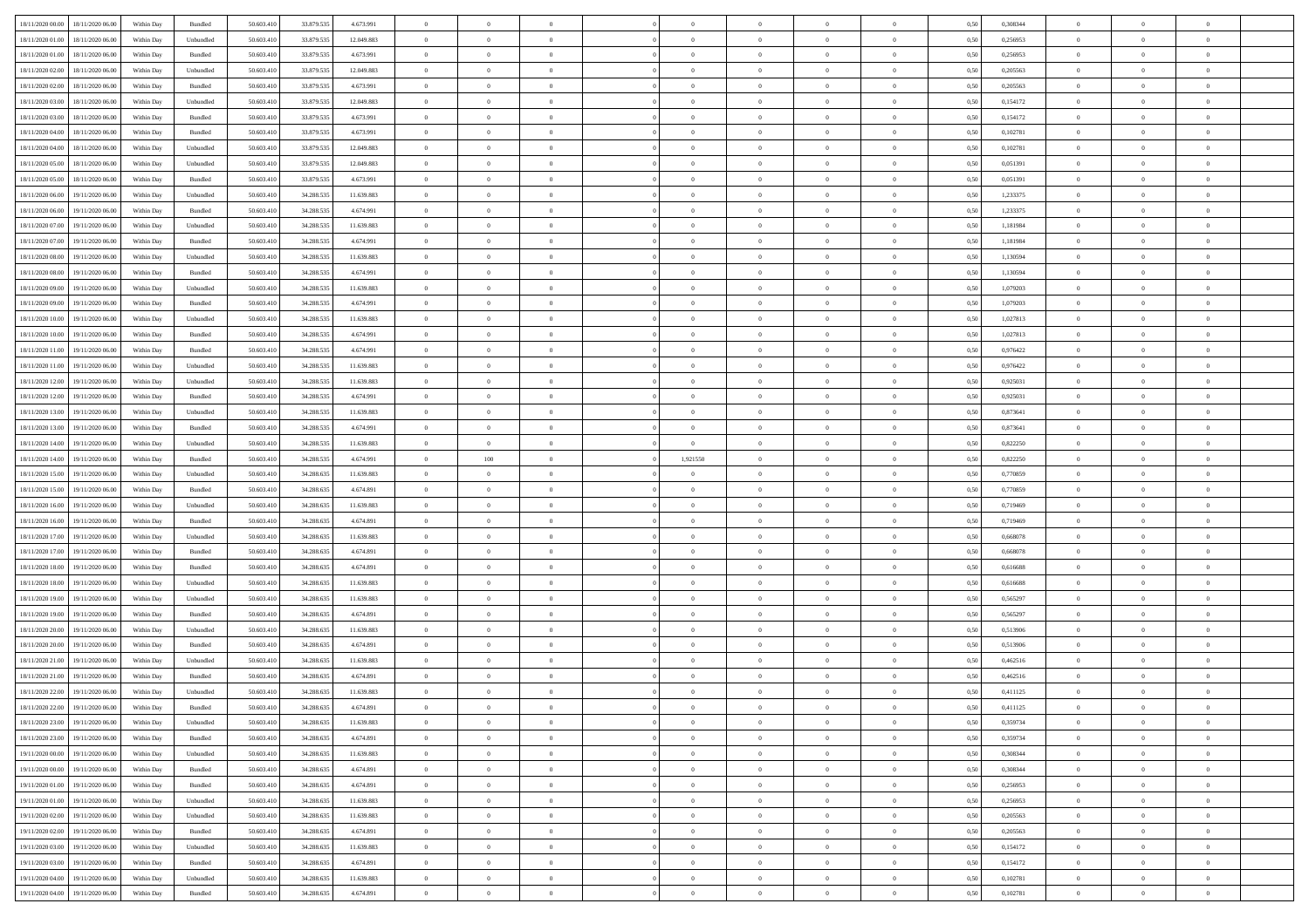| 18/11/2020 00:00                  | 18/11/2020 06:00 | Within Day | Bundled   | 50.603.410 | 33.879.535     | 4.673.991  | $\overline{0}$ | $\theta$       |                | $\overline{0}$ | $\bf{0}$       | $\overline{0}$ | $\theta$       | 0,50 | 0,308344 | $\theta$       | $\theta$       | $\theta$                 |  |
|-----------------------------------|------------------|------------|-----------|------------|----------------|------------|----------------|----------------|----------------|----------------|----------------|----------------|----------------|------|----------|----------------|----------------|--------------------------|--|
| 18/11/2020 01:00                  | 18/11/2020 06.00 | Within Day | Unbundled | 50.603.41  | 33.879.535     | 12.049.883 | $\overline{0}$ | $\theta$       | $\overline{0}$ | $\overline{0}$ | $\,$ 0         | $\overline{0}$ | $\bf{0}$       | 0,50 | 0,256953 | $\,$ 0 $\,$    | $\overline{0}$ | $\overline{0}$           |  |
|                                   |                  |            |           |            |                |            |                |                |                |                |                |                |                |      |          |                |                |                          |  |
| 18/11/2020 01:00                  | 18/11/2020 06:00 | Within Day | Bundled   | 50.603.410 | 33.879.535     | 4.673.991  | $\overline{0}$ | $\overline{0}$ | $\overline{0}$ | $\overline{0}$ | $\bf{0}$       | $\overline{0}$ | $\mathbf{0}$   | 0.50 | 0,256953 | $\bf{0}$       | $\overline{0}$ | $\overline{0}$           |  |
| 18/11/2020 02.00                  | 18/11/2020 06.00 | Within Day | Unbundled | 50.603.410 | 33.879.535     | 12.049.883 | $\overline{0}$ | $\overline{0}$ | $\overline{0}$ | $\overline{0}$ | $\,$ 0         | $\overline{0}$ | $\overline{0}$ | 0,50 | 0,205563 | $\,$ 0 $\,$    | $\overline{0}$ | $\overline{0}$           |  |
| 18/11/2020 02.00                  | 18/11/2020 06.00 | Within Day | Bundled   | 50.603.41  | 33.879.535     | 4.673.991  | $\overline{0}$ | $\theta$       | $\overline{0}$ |                | $\overline{0}$ | $\overline{0}$ | $\bf{0}$       | 0,50 | 0,205563 | $\,$ 0 $\,$    | $\overline{0}$ | $\overline{0}$           |  |
| 18/11/2020 03:00                  | 18/11/2020 06:00 | Within Day | Unbundled | 50.603.410 | 33.879.535     | 12.049.883 | $\overline{0}$ | $\overline{0}$ | $\overline{0}$ | $\overline{0}$ | $\bf{0}$       | $\overline{0}$ | $\bf{0}$       | 0.50 | 0,154172 | $\,0\,$        | $\theta$       | $\overline{0}$           |  |
| 18/11/2020 03:00                  | 18/11/2020 06.00 | Within Day | Bundled   | 50.603.410 | 33.879.535     | 4.673.991  | $\overline{0}$ | $\overline{0}$ | $\overline{0}$ | $\overline{0}$ | $\,$ 0         | $\overline{0}$ | $\overline{0}$ | 0,50 | 0,154172 | $\,0\,$        | $\theta$       | $\overline{0}$           |  |
| 18/11/2020 04:00                  | 18/11/2020 06.00 | Within Day | Bundled   | 50.603.41  | 33.879.535     | 4.673.991  | $\overline{0}$ | $\theta$       | $\overline{0}$ |                | $\,$ 0         | $\bf{0}$       | $\bf{0}$       | 0,50 | 0,102781 | $\,$ 0 $\,$    | $\overline{0}$ | $\overline{0}$           |  |
| 18/11/2020 04:00                  | 18/11/2020 06:00 | Within Day | Unbundled | 50.603.410 | 33.879.535     | 12.049.883 | $\overline{0}$ | $\overline{0}$ | $\overline{0}$ | $\overline{0}$ | $\bf{0}$       | $\overline{0}$ | $\bf{0}$       | 0.50 | 0.102781 | $\,0\,$        | $\overline{0}$ | $\overline{0}$           |  |
| 18/11/2020 05:00                  | 18/11/2020 06.00 | Within Day | Unbundled | 50.603.410 | 33.879.535     | 12.049.883 | $\overline{0}$ | $\overline{0}$ | $\overline{0}$ | $\overline{0}$ | $\bf{0}$       | $\overline{0}$ | $\bf{0}$       | 0,50 | 0,051391 | $\,$ 0 $\,$    | $\overline{0}$ | $\overline{0}$           |  |
| 18/11/2020 05:00                  | 18/11/2020 06.00 | Within Day | Bundled   | 50.603.41  | 33.879.535     | 4.673.991  | $\bf{0}$       | $\theta$       | $\overline{0}$ | $\overline{0}$ | $\,$ 0         | $\overline{0}$ | $\bf{0}$       | 0,50 | 0,051391 | $\,$ 0 $\,$    | $\overline{0}$ | $\overline{0}$           |  |
| 18/11/2020 06:00                  | 19/11/2020 06:00 | Within Day | Unbundled | 50.603.410 | 34.288.535     | 11.639.883 | $\overline{0}$ | $\overline{0}$ | $\overline{0}$ | $\overline{0}$ | $\bf{0}$       | $\overline{0}$ | $\mathbf{0}$   | 0.50 | 1,233375 | $\,$ 0 $\,$    | $\overline{0}$ | $\bf{0}$                 |  |
| 18/11/2020 06:00                  | 19/11/2020 06.00 | Within Day | Bundled   | 50.603.410 | 34.288.535     | 4.674.991  | $\overline{0}$ | $\overline{0}$ | $\overline{0}$ | $\overline{0}$ | $\,$ 0         | $\overline{0}$ | $\overline{0}$ | 0,50 | 1,233375 | $\,$ 0 $\,$    | $\overline{0}$ | $\overline{0}$           |  |
| 18/11/2020 07:00                  | 19/11/2020 06.00 | Within Day | Unbundled | 50.603.41  | 34.288.535     | 11.639.883 | $\overline{0}$ | $\theta$       | $\overline{0}$ |                | $\bf{0}$       | $\overline{0}$ | $\bf{0}$       | 0,50 | 1,181984 | $\,$ 0 $\,$    | $\overline{0}$ | $\overline{0}$           |  |
|                                   |                  |            |           |            |                |            |                |                |                |                |                |                |                |      |          |                |                |                          |  |
| 18/11/2020 07:00                  | 19/11/2020 06:00 | Within Day | Bundled   | 50.603.410 | 34.288.535     | 4.674.991  | $\overline{0}$ | $\overline{0}$ | $\overline{0}$ | $\overline{0}$ | $\bf{0}$       | $\overline{0}$ | $\bf{0}$       | 0.50 | 1.181984 | $\,0\,$        | $\theta$       | $\overline{0}$           |  |
| 18/11/2020 08:00                  | 19/11/2020 06.00 | Within Day | Unbundled | 50.603.410 | 34.288.535     | 11.639.883 | $\overline{0}$ | $\overline{0}$ | $\overline{0}$ | $\overline{0}$ | $\,$ 0         | $\overline{0}$ | $\overline{0}$ | 0,50 | 1,130594 | $\,0\,$        | $\theta$       | $\overline{0}$           |  |
| 18/11/2020 08:00                  | 19/11/2020 06.00 | Within Day | Bundled   | 50.603.41  | 34.288.535     | 4.674.991  | $\overline{0}$ | $\theta$       | $\overline{0}$ |                | $\,$ 0         | $\overline{0}$ | $\bf{0}$       | 0,50 | 1,130594 | $\,$ 0 $\,$    | $\overline{0}$ | $\overline{0}$           |  |
| 18/11/2020 09:00                  | 19/11/2020 06:00 | Within Day | Unbundled | 50.603.410 | 34.288.535     | 11.639.883 | $\overline{0}$ | $\overline{0}$ | $\overline{0}$ | $\overline{0}$ | $\bf{0}$       | $\overline{0}$ | $\bf{0}$       | 0.50 | 1.079203 | $\,0\,$        | $\overline{0}$ | $\overline{\phantom{a}}$ |  |
| 18/11/2020 09:00                  | 19/11/2020 06.00 | Within Day | Bundled   | 50.603.410 | 34.288.535     | 4.674.991  | $\overline{0}$ | $\overline{0}$ | $\overline{0}$ | $\overline{0}$ | $\,$ 0         | $\overline{0}$ | $\bf{0}$       | 0,50 | 1,079203 | $\,$ 0 $\,$    | $\overline{0}$ | $\overline{0}$           |  |
| 18/11/2020 10:00                  | 19/11/2020 06.00 | Within Day | Unbundled | 50.603.41  | 34.288.535     | 11.639.883 | $\bf{0}$       | $\,$ 0 $\,$    | $\overline{0}$ | $\overline{0}$ | $\,$ 0         | $\bf{0}$       | $\bf{0}$       | 0,50 | 1,027813 | $\,$ 0 $\,$    | $\overline{0}$ | $\overline{0}$           |  |
| 18/11/2020 10:00                  | 19/11/2020 06:00 | Within Day | Bundled   | 50.603.410 | 34.288.535     | 4.674.991  | $\overline{0}$ | $\overline{0}$ | $\overline{0}$ | $\overline{0}$ | $\bf{0}$       | $\overline{0}$ | $\mathbf{0}$   | 0.50 | 1,027813 | $\bf{0}$       | $\overline{0}$ | $\overline{0}$           |  |
| 18/11/2020 11:00                  | 19/11/2020 06.00 | Within Day | Bundled   | 50.603.410 | 34.288.535     | 4.674.991  | $\overline{0}$ | $\overline{0}$ | $\overline{0}$ | $\overline{0}$ | $\,$ 0         | $\overline{0}$ | $\overline{0}$ | 0,50 | 0,976422 | $\,$ 0 $\,$    | $\overline{0}$ | $\overline{0}$           |  |
| 18/11/2020 11:00                  | 19/11/2020 06.00 | Within Day | Unbundled | 50.603.41  | 34.288.535     | 11.639.883 | $\overline{0}$ | $\theta$       | $\overline{0}$ | $\overline{0}$ | $\,$ 0         | $\overline{0}$ | $\bf{0}$       | 0,50 | 0,976422 | $\,$ 0 $\,$    | $\overline{0}$ | $\overline{0}$           |  |
| 18/11/2020 12:00                  | 19/11/2020 06:00 | Within Day | Unbundled | 50.603.410 | 34.288.535     | 11.639.883 | $\overline{0}$ | $\overline{0}$ | $\overline{0}$ | $\overline{0}$ | $\bf{0}$       | $\overline{0}$ | $\bf{0}$       | 0.50 | 0.925031 | $\,0\,$        | $\theta$       | $\overline{0}$           |  |
| 18/11/2020 12:00                  | 19/11/2020 06.00 | Within Day | Bundled   | 50.603.410 | 34.288.535     | 4.674.991  | $\overline{0}$ | $\overline{0}$ | $\overline{0}$ | $\overline{0}$ | $\,$ 0         | $\overline{0}$ | $\overline{0}$ | 0,50 | 0,925031 | $\,0\,$        | $\theta$       | $\overline{0}$           |  |
|                                   |                  |            |           |            |                |            |                |                |                |                |                |                |                |      |          |                |                |                          |  |
| 18/11/2020 13:00                  | 19/11/2020 06.00 | Within Day | Unbundled | 50.603.41  | 34.288.535     | 11.639.883 | $\overline{0}$ | $\theta$       | $\overline{0}$ |                | $\bf{0}$       | $\overline{0}$ | $\bf{0}$       | 0,50 | 0,873641 | $\,$ 0 $\,$    | $\overline{0}$ | $\overline{0}$           |  |
| 18/11/2020 13:00                  | 19/11/2020 06:00 | Within Day | Bundled   | 50.603.410 | 34.288.535     | 4.674.991  | $\overline{0}$ | $\overline{0}$ | $\overline{0}$ | $\overline{0}$ | $\bf{0}$       | $\overline{0}$ | $\bf{0}$       | 0.50 | 0.873641 | $\,0\,$        | $\overline{0}$ | $\overline{0}$           |  |
| 18/11/2020 14:00                  | 19/11/2020 06.00 | Within Day | Unbundled | 50.603.410 | 34.288.535     | 11.639.883 | $\overline{0}$ | $\overline{0}$ | $\overline{0}$ | $\overline{0}$ | $\bf{0}$       | $\overline{0}$ | $\bf{0}$       | 0,50 | 0,822250 | $\,$ 0 $\,$    | $\overline{0}$ | $\overline{0}$           |  |
| 18/11/2020 14:00                  | 19/11/2020 06.00 | Within Day | Bundled   | 50.603.41  | 34.288.535     | 4.674.991  | $\bf{0}$       | $100\,$        | $\overline{0}$ | 1,921550       | $\bf{0}$       | $\bf{0}$       | $\bf{0}$       | 0,50 | 0,822250 | $\,$ 0 $\,$    | $\overline{0}$ | $\overline{0}$           |  |
| 18/11/2020 15:00                  | 19/11/2020 06:00 | Within Day | Unbundled | 50.603.410 | 34.288.635     | 11.639.883 | $\overline{0}$ | $\overline{0}$ | $\overline{0}$ | $\overline{0}$ | $\bf{0}$       | $\overline{0}$ | $\mathbf{0}$   | 0.50 | 0.770859 | $\bf{0}$       | $\overline{0}$ | $\overline{\phantom{a}}$ |  |
| 18/11/2020 15:00                  | 19/11/2020 06:00 | Within Dav | Bundled   | 50.603.410 | 34.288.635     | 4.674.891  | $\overline{0}$ | $\overline{0}$ | $\overline{0}$ | $\overline{0}$ | $\mathbf{0}$   | $\overline{0}$ | $\overline{0}$ | 0.50 | 0,770859 | $\theta$       | $\overline{0}$ | $\overline{0}$           |  |
| 18/11/2020 16.00                  | 19/11/2020 06.00 | Within Day | Unbundled | 50.603.41  | 34.288.635     | 11.639.883 | $\overline{0}$ | $\theta$       | $\overline{0}$ | $\overline{0}$ | $\,$ 0         | $\overline{0}$ | $\bf{0}$       | 0,50 | 0,719469 | $\,$ 0 $\,$    | $\overline{0}$ | $\overline{0}$           |  |
| 18/11/2020 16:00                  | 19/11/2020 06:00 | Within Day | Bundled   | 50.603.410 | 34.288.635     | 4.674.891  | $\overline{0}$ | $\overline{0}$ | $\overline{0}$ | $\overline{0}$ | $\bf{0}$       | $\overline{0}$ | $\bf{0}$       | 0.50 | 0,719469 | $\,0\,$        | $\theta$       | $\overline{0}$           |  |
| 18/11/2020 17:00                  | 19/11/2020 06.00 | Within Dav | Unbundled | 50.603.410 | 34.288.635     | 11.639.883 | $\overline{0}$ | $\overline{0}$ | $\Omega$       | $\Omega$       | $\mathbf{0}$   | $\overline{0}$ | $\overline{0}$ | 0.50 | 0,668078 | $\theta$       | $\overline{0}$ | $\overline{0}$           |  |
| 18/11/2020 17:00                  | 19/11/2020 06.00 | Within Day | Bundled   | 50.603.41  | 34.288.635     | 4.674.891  | $\overline{0}$ | $\theta$       | $\overline{0}$ |                | $\,$ 0         | $\overline{0}$ | $\bf{0}$       | 0,50 | 0,668078 | $\,$ 0 $\,$    | $\overline{0}$ | $\overline{0}$           |  |
| 18/11/2020 18:00                  | 19/11/2020 06:00 | Within Day | Bundled   | 50.603.410 | 34.288.635     | 4.674.891  | $\overline{0}$ | $\overline{0}$ | $\overline{0}$ | $\overline{0}$ | $\bf{0}$       | $\overline{0}$ | $\bf{0}$       | 0.50 | 0.616688 | $\,0\,$        | $\overline{0}$ | $\overline{0}$           |  |
| 18/11/2020 18:00                  | 19/11/2020 06.00 | Within Dav | Unbundled | 50.603.410 | 34.288.635     | 11.639.883 | $\overline{0}$ | $\overline{0}$ | $\overline{0}$ | $\overline{0}$ | $\overline{0}$ | $\overline{0}$ | $\overline{0}$ | 0.50 | 0,616688 | $\theta$       | $\overline{0}$ | $\overline{0}$           |  |
|                                   | 19/11/2020 06.00 | Within Day | Unbundled | 50.603.41  | 34.288.635     | 11.639.883 | $\bf{0}$       | $\overline{0}$ | $\overline{0}$ | $\overline{0}$ | $\bf{0}$       | $\bf{0}$       | $\bf{0}$       | 0,50 | 0,565297 | $\,$ 0 $\,$    | $\overline{0}$ | $\overline{0}$           |  |
| 18/11/2020 19:00                  |                  |            |           |            |                |            |                |                |                |                |                |                |                |      |          |                |                |                          |  |
| 18/11/2020 19:00                  | 19/11/2020 06:00 | Within Day | Bundled   | 50.603.410 | 34.288.635     | 4.674.891  | $\overline{0}$ | $\overline{0}$ | $\overline{0}$ | $\overline{0}$ | $\bf{0}$       | $\overline{0}$ | $\mathbf{0}$   | 0.50 | 0.565297 | $\,$ 0 $\,$    | $\overline{0}$ | $\overline{0}$           |  |
| 18/11/2020 20:00                  | 19/11/2020 06.00 | Within Dav | Unbundled | 50.603.410 | 34.288.635     | 11.639.883 | $\overline{0}$ | $\overline{0}$ | $\Omega$       | $\Omega$       | $\mathbf{0}$   | $\overline{0}$ | $\overline{0}$ | 0.50 | 0,513906 | $\theta$       | $\overline{0}$ | $\overline{0}$           |  |
| 18/11/2020 20:00                  | 19/11/2020 06.00 | Within Day | Bundled   | 50.603.41  | 34.288.635     | 4.674.891  | $\overline{0}$ | $\theta$       | $\overline{0}$ | $\overline{0}$ | $\,$ 0         | $\overline{0}$ | $\bf{0}$       | 0,50 | 0,513906 | $\,$ 0 $\,$    | $\overline{0}$ | $\overline{0}$           |  |
| 18/11/2020 21:00                  | 19/11/2020 06:00 | Within Day | Unbundled | 50.603.410 | 34.288.635     | 11.639.883 | $\overline{0}$ | $\overline{0}$ | $\overline{0}$ | $\overline{0}$ | $\bf{0}$       | $\overline{0}$ | $\overline{0}$ | 0.50 | 0.462516 | $\,0\,$        | $\theta$       | $\overline{0}$           |  |
| 18/11/2020 21:00                  | 19/11/2020 06:00 | Within Dav | Bundled   | 50.603.410 | 34.288.635     | 4.674.891  | $\overline{0}$ | $\Omega$       | $\Omega$       | $\Omega$       | $\bf{0}$       | $\overline{0}$ | $\overline{0}$ | 0.50 | 0,462516 | $\theta$       | $\overline{0}$ | $\overline{0}$           |  |
| 18/11/2020 22.00                  | 19/11/2020 06.00 | Within Day | Unbundled | 50.603.41  | 34.288.635     | 11.639.883 | $\overline{0}$ | $\,$ 0 $\,$    | $\overline{0}$ | $\bf{0}$       | $\,$ 0         | $\bf{0}$       | $\bf{0}$       | 0,50 | 0,411125 | $\,$ 0 $\,$    | $\overline{0}$ | $\overline{0}$           |  |
| 18/11/2020 22:00                  | 19/11/2020 06.00 | Within Day | Bundled   | 50.603.410 | $34.288.635\,$ | 4.674.891  | $\bf{0}$       | $\bf{0}$       |                |                |                |                |                | 0,50 | 0,411125 | $\bf{0}$       | $\theta$       |                          |  |
| 18/11/2020 23:00 19/11/2020 06:00 |                  | Within Day | Unbundled | 50.603.410 | 34.288.635     | 11.639.883 | $\Omega$       | $\overline{0}$ | $\overline{0}$ | $\Omega$       | $\mathbf{0}$   | $\overline{0}$ | $\mathbf{0}$   | 0.50 | 0,359734 | $\theta$       | $\theta$       | $\overline{0}$           |  |
| 18/11/2020 23.00                  | 19/11/2020 06.00 | Within Day | Bundled   | 50.603.41  | 34.288.635     | 4.674.891  | $\overline{0}$ | $\overline{0}$ | $\overline{0}$ | $\bf{0}$       | $\overline{0}$ | $\overline{0}$ | $\mathbf{0}$   | 0,50 | 0,359734 | $\bf{0}$       | $\overline{0}$ | $\bf{0}$                 |  |
| 19/11/2020 00:00                  | 19/11/2020 06.00 | Within Day | Unbundled | 50,603.410 | 34.288.635     | 11.639.883 | $\overline{0}$ | $\overline{0}$ | $\overline{0}$ | $\overline{0}$ | $\bf{0}$       | $\overline{0}$ | $\mathbf{0}$   | 0.50 | 0.308344 | $\overline{0}$ | $\bf{0}$       | $\bf{0}$                 |  |
| 19/11/2020 00:00                  | 19/11/2020 06:00 | Within Dav | Bundled   | 50.603.410 | 34.288.635     | 4.674.891  | $\overline{0}$ | $\overline{0}$ | $\overline{0}$ | $\overline{0}$ | $\mathbf{0}$   | $\overline{0}$ | $\mathbf{0}$   | 0.50 | 0,308344 | $\overline{0}$ | $\theta$       | $\overline{0}$           |  |
| 19/11/2020 01.00                  | 19/11/2020 06.00 | Within Day | Bundled   | 50.603.410 | 34.288.635     | 4.674.891  | $\overline{0}$ | $\overline{0}$ | $\overline{0}$ | $\overline{0}$ | $\bf{0}$       | $\bf{0}$       | $\bf{0}$       | 0,50 | 0,256953 | $\bf{0}$       | $\overline{0}$ | $\overline{0}$           |  |
|                                   |                  |            |           |            |                |            |                |                |                |                |                |                |                |      |          |                |                | $\overline{0}$           |  |
| 19/11/2020 01:00                  | 19/11/2020 06:00 | Within Day | Unbundled | 50.603.410 | 34.288.635     | 11.639.883 | $\overline{0}$ | $\overline{0}$ | $\overline{0}$ | $\overline{0}$ | $\bf{0}$       | $\overline{0}$ | $\mathbf{0}$   | 0.50 | 0.256953 | $\,$ 0 $\,$    | $\overline{0}$ |                          |  |
| 19/11/2020 02.00                  | 19/11/2020 06:00 | Within Day | Unbundled | 50.603.410 | 34.288.635     | 11.639.883 | $\overline{0}$ | $\overline{0}$ | $\overline{0}$ | $\overline{0}$ | $\overline{0}$ | $\overline{0}$ | $\overline{0}$ | 0.50 | 0,205563 | $\overline{0}$ | $\theta$       | $\overline{0}$           |  |
| 19/11/2020 02:00                  | 19/11/2020 06.00 | Within Day | Bundled   | 50.603.41  | 34.288.635     | 4.674.891  | $\overline{0}$ | $\,$ 0         | $\overline{0}$ | $\bf{0}$       | $\bf{0}$       | $\bf{0}$       | $\bf{0}$       | 0,50 | 0,205563 | $\,$ 0 $\,$    | $\overline{0}$ | $\,$ 0                   |  |
| 19/11/2020 03:00                  | 19/11/2020 06:00 | Within Day | Unbundled | 50.603.410 | 34.288.635     | 11.639.883 | $\overline{0}$ | $\overline{0}$ | $\overline{0}$ | $\overline{0}$ | $\bf{0}$       | $\overline{0}$ | $\mathbf{0}$   | 0.50 | 0,154172 | $\mathbf{0}$   | $\,$ 0 $\,$    | $\overline{0}$           |  |
| 19/11/2020 03:00                  | 19/11/2020 06:00 | Within Dav | Bundled   | 50.603.410 | 34.288.635     | 4.674.891  | $\overline{0}$ | $\overline{0}$ | $\overline{0}$ | $\overline{0}$ | $\overline{0}$ | $\overline{0}$ | $\overline{0}$ | 0,50 | 0,154172 | $\overline{0}$ | $\theta$       | $\overline{0}$           |  |
| 19/11/2020 04:00                  | 19/11/2020 06.00 | Within Day | Unbundled | 50.603.41  | 34.288.635     | 11.639.883 | $\overline{0}$ | $\overline{0}$ | $\overline{0}$ | $\bf{0}$       | $\bf{0}$       | $\bf{0}$       | $\bf{0}$       | 0,50 | 0,102781 | $\bf{0}$       | $\,$ 0 $\,$    | $\bf{0}$                 |  |
| 19/11/2020 04:00                  | 19/11/2020 06:00 | Within Day | Bundled   | 50.603.410 | 34.288.635     | 4.674.891  | $\overline{0}$ | $\overline{0}$ | $\overline{0}$ | $\overline{0}$ | $\bf{0}$       | $\overline{0}$ | $\,$ 0 $\,$    | 0,50 | 0,102781 | $\overline{0}$ | $\,$ 0 $\,$    | $\,$ 0 $\,$              |  |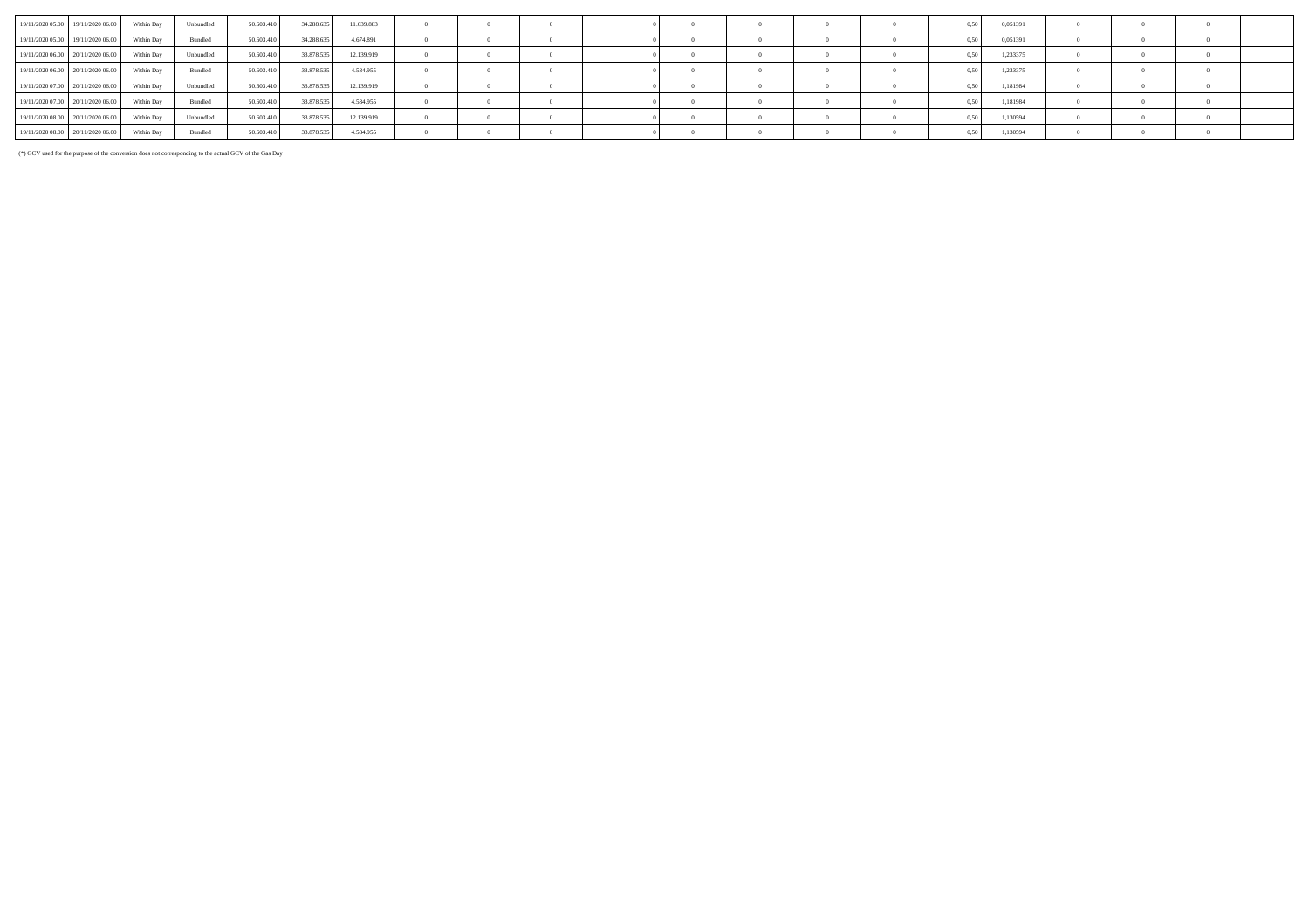|                                   | 19/11/2020 05:00 19/11/2020 06:00 | Within Day | <b>Unbundled</b> | 50.603.410 | 34 288 635 | 11.639.883 |  |  |  |  | 0.50 | 0.051391 |  |  |
|-----------------------------------|-----------------------------------|------------|------------------|------------|------------|------------|--|--|--|--|------|----------|--|--|
|                                   | 19/11/2020 05:00 19/11/2020 06:00 | Within Day | Bundled          | 50.603.410 | 34.288.635 | 4.674.891  |  |  |  |  |      | 0.051391 |  |  |
|                                   | 19/11/2020 06:00 20/11/2020 06:00 | Within Dav | Unbundled        | 50.603.410 | 33,878,535 | 12.139.919 |  |  |  |  | 0.50 | 1,233375 |  |  |
|                                   | 19/11/2020 06:00 20/11/2020 06:00 | Within Day | Bundled          | 50.603.410 | 33,878,535 | 4.584.955  |  |  |  |  |      | 1,233375 |  |  |
| 19/11/2020 07:00 20/11/2020 06:00 |                                   | Within Dav | Unbundled        | 50.603.410 | 33,878,535 | 12.139.919 |  |  |  |  | 0.50 | 1,181984 |  |  |
| 19/11/2020 07:00 20/11/2020 06:00 |                                   | Within Day | Bundled          | 50.603.410 | 33,878,535 | 4.584.955  |  |  |  |  | 0.50 | 1,181984 |  |  |
|                                   | 19/11/2020 08:00 20/11/2020 06:00 | Within Dav | Unbundled        | 50.603.410 | 33 878 535 | 12.139.919 |  |  |  |  |      | 1.130594 |  |  |
| 19/11/2020 08:00 20/11/2020 06:00 |                                   | Within Dav | Bundled          | 50.603.410 | 33,878,535 | 4.584.955  |  |  |  |  |      | 1,130594 |  |  |

(\*) GCV used for the purpose of the conversion does not corresponding to the actual GCV of the Gas Day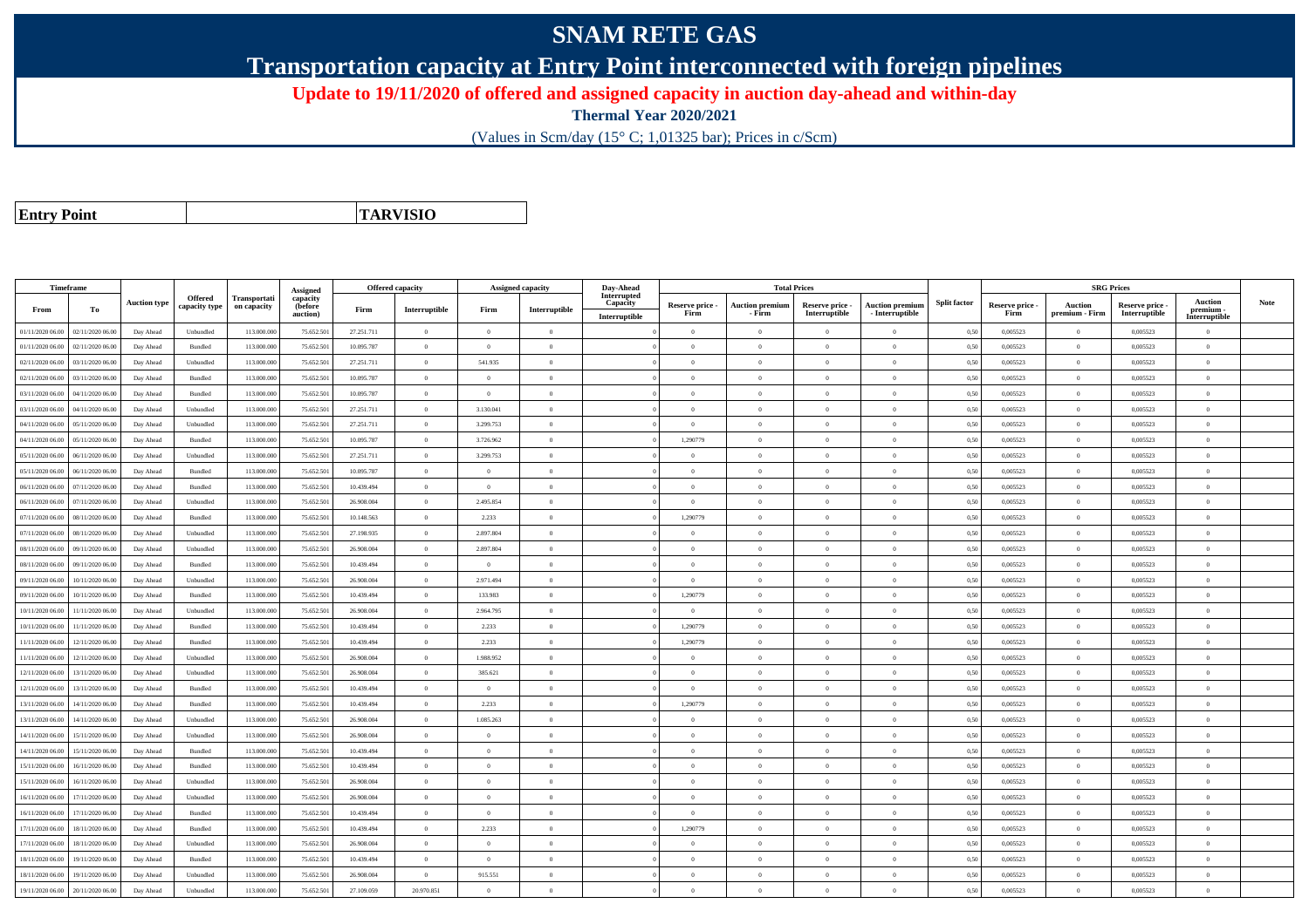## **SNAM RETE GAS**

**Transportation capacity at Entry Point interconnected with foreign pipelines**

**Update to 19/11/2020 of offered and assigned capacity in auction day-ahead and within-day**

**Thermal Year 2020/2021**

(Values in Scm/day (15° C; 1,01325 bar); Prices in c/Scm)

**Entry Point**

**TARVISIO**

|                  | Timeframe        |                     |                          |                             | Assigned                               | <b>Offered capacity</b> |                |                | <b>Assigned capacity</b>                | Day-Ahead                                |                         | <b>Total Prices</b>              |                                  |                                           |                     |                         | <b>SRG Prices</b>                |                                  |                                       |             |
|------------------|------------------|---------------------|--------------------------|-----------------------------|----------------------------------------|-------------------------|----------------|----------------|-----------------------------------------|------------------------------------------|-------------------------|----------------------------------|----------------------------------|-------------------------------------------|---------------------|-------------------------|----------------------------------|----------------------------------|---------------------------------------|-------------|
| From             | To               | <b>Auction type</b> | Offered<br>capacity type | Transportati<br>on capacity | capacity<br><b>(before</b><br>auction) | Firm                    | Interruptible  | Firm           | $\label{prop:1} \textbf{Interruptible}$ | Interrupted<br>Capacity<br>Interruptible | Reserve price -<br>Firm | <b>Auction premium</b><br>- Firm | Reserve price -<br>Interruptible | <b>Auction premium</b><br>- Interruptible | <b>Split factor</b> | Reserve price -<br>Firm | <b>Auction</b><br>premium - Firm | Reserve price -<br>Interruptible | Auction<br>premium -<br>Interruptible | <b>Note</b> |
| 01/11/2020 06.00 | 02/11/2020 06.00 | Day Ahead           | Unbundled                | 113.000.000                 | 75.652.50                              | 27.251.711              | $\overline{0}$ | $\overline{0}$ | $\overline{0}$                          |                                          | $\overline{0}$          | $\bf{0}$                         | $\overline{0}$                   | $\theta$                                  | 0,50                | 0,005523                | $\overline{0}$                   | 0,005523                         | $\overline{0}$                        |             |
| 01/11/2020 06.00 | 02/11/2020 06:00 | Day Ahead           | Bundled                  | 113,000,000                 | 75.652.50                              | 10.095.787              | $\overline{0}$ | $\theta$       | $\Omega$                                |                                          | $\Omega$                |                                  | $\theta$                         | $\theta$                                  | 0,50                | 0.005523                | $\overline{0}$                   | 0.005523                         | $\Omega$                              |             |
| 02/11/2020 06.00 | 03/11/2020 06.00 | Day Ahead           | Unbundled                | 113.000.000                 | 75.652.50                              | 27.251.711              | $\overline{0}$ | 541.935        | $\overline{0}$                          |                                          | $\overline{0}$          | $\theta$                         | $\overline{0}$                   | $\mathbf{0}$                              | 0,50                | 0,005523                | $\overline{0}$                   | 0,005523                         | $\bf{0}$                              |             |
| 02/11/2020 06.00 | 03/11/2020 06.00 | Day Ahead           | Bundled                  | 113.000.000                 | 75.652.50                              | 10.095.787              | $\overline{0}$ | $\Omega$       | $\overline{0}$                          |                                          | $\Omega$                | $\theta$                         | $\overline{0}$                   | $\mathbf{0}$                              | 0,50                | 0,005523                | $\overline{0}$                   | 0,005523                         | $\Omega$                              |             |
| 03/11/2020 06:00 | 04/11/2020 06.00 | Day Ahead           | Bundled                  | 113,000,000                 | 75.652.50                              | 10.095.787              | $\overline{0}$ | $\Omega$       | $\overline{0}$                          |                                          | $\overline{0}$          | $\theta$                         | $\overline{0}$                   | $\overline{0}$                            | 0.50                | 0.005523                | $\overline{0}$                   | 0.005523                         | $\Omega$                              |             |
| 03/11/2020 06:00 | 04/11/2020 06.00 | Day Ahead           | Unbundled                | 113.000.000                 | 75.652.50                              | 27.251.711              | $\overline{0}$ | 3.130.041      | $\Omega$                                |                                          | $\Omega$                |                                  | $\Omega$                         | $\Omega$                                  | 0.50                | 0,005523                | $\overline{0}$                   | 0,005523                         | $\Omega$                              |             |
| 04/11/2020 06:00 | 05/11/2020 06:00 | Day Ahead           | Unbundled                | 113,000,000                 | 75.652.50                              | 27.251.711              | $\overline{0}$ | 3.299.753      | $\overline{0}$                          |                                          | $\overline{0}$          | $\theta$                         | $\overline{0}$                   | $\overline{0}$                            | 0.50                | 0.005523                | $\overline{0}$                   | 0.005523                         | $\bf{0}$                              |             |
| 04/11/2020 06.00 | 05/11/2020 06.00 | Day Ahead           | Bundled                  | 113.000.000                 | 75.652.50                              | 10.095.787              | $\overline{0}$ | 3.726.962      | $\overline{0}$                          |                                          | 1,290779                | $\theta$                         | $\overline{0}$                   | $\mathbf{0}$                              | 0,50                | 0,005523                | $\overline{0}$                   | 0,005523                         | $\Omega$                              |             |
| 05/11/2020 06.00 | 06/11/2020 06.00 | Day Ahead           | Unbundled                | 113.000.000                 | 75.652.50                              | 27.251.711              | $\overline{0}$ | 3.299.753      | $\overline{0}$                          |                                          | $\Omega$                |                                  | $\overline{0}$                   | $\Omega$                                  | 0,50                | 0,005523                | $\overline{0}$                   | 0,005523                         | $\Omega$                              |             |
| 05/11/2020 06.00 | 06/11/2020 06.00 | Day Ahead           | Bundled                  | 113.000.000                 | 75.652.50                              | 10.095.787              | $\overline{0}$ | $\overline{0}$ | $\overline{0}$                          |                                          | $\overline{0}$          | $\theta$                         | $\overline{0}$                   | $\overline{0}$                            | 0,50                | 0,005523                | $\overline{0}$                   | 0,005523                         | $\bf{0}$                              |             |
| 06/11/2020 06.00 | 07/11/2020 06.00 | Day Ahead           | Bundled                  | 113.000.000                 | 75.652.50                              | 10.439.494              | $\overline{0}$ | $\overline{0}$ | $\overline{0}$                          |                                          | $\overline{0}$          | $\theta$                         | $\overline{0}$                   | $\overline{0}$                            | 0,50                | 0,005523                | $\overline{0}$                   | 0,005523                         | $\bf{0}$                              |             |
| 06/11/2020 06:00 | 07/11/2020 06.00 | Day Ahead           | Unbundled                | 113,000,000                 | 75.652.50                              | 26,908,004              | $\overline{0}$ | 2.495.854      | $\theta$                                |                                          | $\Omega$                | $\theta$                         | $\Omega$                         | $\theta$                                  | 0.50                | 0.005523                | $\overline{0}$                   | 0.005523                         | $\Omega$                              |             |
| 07/11/2020 06.00 | 08/11/2020 06.0  | Day Ahead           | Bundled                  | 113.000.000                 | 75.652.50                              | 10.148.563              | $\overline{0}$ | 2.233          | $\overline{0}$                          |                                          | 1,290779                |                                  | $\overline{0}$                   | $\mathbf{0}$                              | 0,50                | 0,005523                | $\overline{0}$                   | 0,005523                         | $\Omega$                              |             |
| 07/11/2020 06.00 | 08/11/2020 06.00 | Day Ahead           | Unbundled                | 113.000.000                 | 75.652.50                              | 27.198.935              | $\overline{0}$ | 2.897.804      | $\Omega$                                |                                          | $\Omega$                | $\theta$                         | $\Omega$                         | $\Omega$                                  | 0,50                | 0,005523                | $\overline{0}$                   | 0,005523                         | $\Omega$                              |             |
| 08/11/2020 06:00 | 09/11/2020 06:00 | Day Ahead           | Unbundled                | 113,000,000                 | 75.652.50                              | 26,908,004              | $\overline{0}$ | 2.897.804      | $\Omega$                                |                                          | $\Omega$                | $\theta$                         | $\theta$                         | $\theta$                                  | 0.50                | 0.005523                | $\overline{0}$                   | 0.005523                         | $\theta$                              |             |
| 08/11/2020 06:00 | 09/11/2020 06.00 | Day Ahead           | Bundled                  | 113.000.000                 | 75.652.50                              | 10.439.494              | $\overline{0}$ | $\overline{0}$ | $\overline{0}$                          |                                          | $\overline{0}$          | $\theta$                         | $\overline{0}$                   | $\mathbf{0}$                              | 0.50                | 0,005523                | $\overline{0}$                   | 0,005523                         | $\bf{0}$                              |             |
| 09/11/2020 06.00 | 10/11/2020 06.00 | Day Ahead           | Unbundled                | 113.000.000                 | 75.652.50                              | 26.908.004              | $\overline{0}$ | 2.971.494      | $\overline{0}$                          |                                          | $\overline{0}$          | $\theta$                         | $\overline{0}$                   | $\overline{0}$                            | 0,50                | 0,005523                | $\overline{0}$                   | 0,005523                         | $\bf{0}$                              |             |
| 09/11/2020 06.00 | 10/11/2020 06.00 | Day Ahead           | Bundled                  | 113.000.000                 | 75.652.50                              | 10.439.494              | $\overline{0}$ | 133.983        | $\overline{0}$                          |                                          | 1,290779                | $\theta$                         | $\overline{0}$                   | $\overline{0}$                            | 0,50                | 0,005523                | $\overline{0}$                   | 0,005523                         | $\overline{0}$                        |             |
| 10/11/2020 06:00 | 11/11/2020 06.00 | Day Ahead           | Unbundled                | 113.000.000                 | 75.652.50                              | 26.908.004              | $\overline{0}$ | 2.964.795      | $\overline{0}$                          |                                          | $\Omega$                |                                  | $\overline{0}$                   | $\theta$                                  | 0,50                | 0,005523                | $\overline{0}$                   | 0,005523                         | $\theta$                              |             |
| 10/11/2020 06.00 | 11/11/2020 06.00 | Day Ahead           | Bundled                  | 113.000.000                 | 75.652.50                              | 10.439.494              | $\overline{0}$ | 2.233          | $\overline{0}$                          |                                          | 1,290779                | $\theta$                         | $\overline{0}$                   | $\overline{0}$                            | 0,50                | 0,005523                | $\overline{0}$                   | 0,005523                         | $\theta$                              |             |
| 11/11/2020 06:00 | 12/11/2020 06.00 | Day Ahead           | Bundled                  | 113.000.000                 | 75.652.50                              | 10.439.494              | $\overline{0}$ | 2.233          | $\Omega$                                |                                          | 1,290779                | $\theta$                         | $\overline{0}$                   | $\Omega$                                  | 0,50                | 0,005523                | $\overline{0}$                   | 0,005523                         | $\Omega$                              |             |
| 11/11/2020 06:00 | 12/11/2020 06:00 | Day Ahead           | Unbundled                | 113,000,000                 | 75.652.50                              | 26,908,004              | $\overline{0}$ | 1.988.952      | $\Omega$                                |                                          | $\Omega$                |                                  | $\theta$                         | $\Omega$                                  | 0.50                | 0.005523                | $\Omega$                         | 0.005523                         | $\theta$                              |             |
| 12/11/2020 06:00 | 13/11/2020 06:00 | Day Ahead           | Unbundled                | 113,000,000                 | 75.652.50                              | 26,908,004              | $\overline{0}$ | 385.621        | $\Omega$                                |                                          | $\Omega$                | $\theta$                         | $\theta$                         | $\Omega$                                  | 0.50                | 0.005523                | $\overline{0}$                   | 0.005523                         | $\Omega$                              |             |
| 12/11/2020 06:00 | 13/11/2020 06:00 | Day Ahead           | Bundled                  | 113.000.000                 | 75.652.50                              | 10.439.494              | $\overline{0}$ | $\overline{0}$ | $\overline{0}$                          |                                          | $\overline{0}$          | $\theta$                         | $\overline{0}$                   | $\mathbf{0}$                              | 0.50                | 0.005523                | $\overline{0}$                   | 0.005523                         | $\bf{0}$                              |             |
| 13/11/2020 06:00 | 14/11/2020 06:00 | Day Ahead           | Bundled                  | 113,000,000                 | 75.652.50                              | 10.439.494              | $\overline{0}$ | 2.233          | $\overline{0}$                          |                                          | 1.290779                | $\theta$                         | $\overline{0}$                   | $\overline{0}$                            | 0.50                | 0.005523                | $\overline{0}$                   | 0.005523                         | $\Omega$                              |             |
| 13/11/2020 06.00 | 14/11/2020 06.00 | Day Ahead           | Unbundled                | 113.000.000                 | 75.652.50                              | 26.908.004              | $\overline{0}$ | 1.085.263      | $\overline{0}$                          |                                          | $\Omega$                | $\theta$                         | $\overline{0}$                   | $\overline{0}$                            | 0,50                | 0,005523                | $\,$ 0 $\,$                      | 0,005523                         | $\Omega$                              |             |
| 14/11/2020 06.00 | 15/11/2020 06.00 | Day Ahead           | Unbundled                | 113.000.000                 | 75.652.50                              | 26.908.004              | $\overline{0}$ | $\overline{0}$ | $\overline{0}$                          |                                          | $\Omega$                | $\theta$                         | $\overline{0}$                   | $\mathbf{0}$                              | 0,50                | 0,005523                | $\overline{0}$                   | 0,005523                         | $\bf{0}$                              |             |
| 14/11/2020 06.00 | 15/11/2020 06.00 | Day Ahead           | Bundled                  | 113.000.000                 | 75.652.50                              | 10.439.494              | $\overline{0}$ | $\theta$       | $\Omega$                                |                                          | $\Omega$                | $\theta$                         | $\overline{0}$                   | $\Omega$                                  | 0,50                | 0,005523                | $\overline{0}$                   | 0,005523                         | $\Omega$                              |             |
| 15/11/2020 06.00 | 16/11/2020 06.00 | Day Ahead           | Bundled                  | 113.000.000                 | 75.652.50                              | 10.439.494              | $\overline{0}$ | $\overline{0}$ | $\overline{0}$                          |                                          | $\overline{0}$          | $\theta$                         | $\overline{0}$                   | $\mathbf{0}$                              | 0,50                | 0,005523                | $\overline{0}$                   | 0,005523                         | $\bf{0}$                              |             |
| 15/11/2020 06:00 | 16/11/2020 06.00 | Day Ahead           | Unbundled                | 113.000.000                 | 75.652.501                             | 26,908,004              | $\overline{0}$ | $\Omega$       | $\Omega$                                |                                          | $\Omega$                | $\theta$                         | $\Omega$                         | $\theta$                                  | 0,50                | 0.005523                | $\overline{0}$                   | 0.005523                         | $\theta$                              |             |
| 16/11/2020 06.00 | 17/11/2020 06.00 | Day Ahead           | Unbundled                | 113.000.000                 | 75.652.50                              | 26.908.004              | $\overline{0}$ | $\overline{0}$ | $\overline{0}$                          |                                          | $\overline{0}$          | $\theta$                         | $\overline{0}$                   | $\overline{0}$                            | 0,50                | 0,005523                | $\overline{0}$                   | 0,005523                         | $\bf{0}$                              |             |
| 16/11/2020 06:00 | 17/11/2020 06.00 | Day Ahead           | Bundled                  | 113.000.000                 | 75.652.50                              | 10.439.494              | $\overline{0}$ | $\theta$       | $\Omega$                                |                                          | $\theta$                |                                  | $\theta$                         | $\theta$                                  | 0.50                | 0,005523                | $\overline{0}$                   | 0,005523                         | $\Omega$                              |             |
| 17/11/2020 06.00 | 18/11/2020 06:00 | Day Ahead           | Bundled                  | 113,000,000                 | 75.652.50                              | 10.439.494              | $\overline{0}$ | 2.233          | $\overline{0}$                          |                                          | 1.290779                | $\theta$                         | $\overline{0}$                   | $\overline{0}$                            | 0.50                | 0.005523                | $\overline{0}$                   | 0.005523                         | $\Omega$                              |             |
| 17/11/2020 06.00 | 18/11/2020 06.00 | Day Ahead           | Unbundled                | 113.000.000                 | 75.652.50                              | 26.908.004              | $\overline{0}$ | $\overline{0}$ | $\overline{0}$                          |                                          | $\theta$                | $\theta$                         | $\overline{0}$                   | $\mathbf{0}$                              | 0,50                | 0,005523                | $\overline{0}$                   | 0,005523                         | $\overline{0}$                        |             |
| 18/11/2020 06.00 | 19/11/2020 06.00 | Day Ahead           | Bundled                  | 113.000.000                 | 75.652.501                             | 10.439.494              | $\overline{0}$ | $\overline{0}$ | $\overline{0}$                          |                                          | $\Omega$                |                                  | $\overline{0}$                   | $\Omega$                                  | 0,50                | 0,005523                | $\overline{0}$                   | 0,005523                         | $\Omega$                              |             |
| 18/11/2020 06.00 | 19/11/2020 06.0  | Day Ahead           | Unbundled                | 113.000.000                 | 75.652.50                              | 26.908.004              | $\overline{0}$ | 915.551        | $\overline{0}$                          |                                          | $\overline{0}$          | $\theta$                         | $\overline{0}$                   | $\overline{0}$                            | 0,50                | 0,005523                | $\overline{0}$                   | 0,005523                         | $\bf{0}$                              |             |
| 19/11/2020 06:00 | 20/11/2020 06:00 | Day Ahead           | Unbundled                | 113.000.000                 | 75.652.501                             | 27.109.059              | 20.970.851     | $\Omega$       | $\Omega$                                |                                          | $\Omega$                |                                  | $\Omega$                         | $\theta$                                  | 0,50                | 0,005523                | $\Omega$                         | 0,005523                         | $\Omega$                              |             |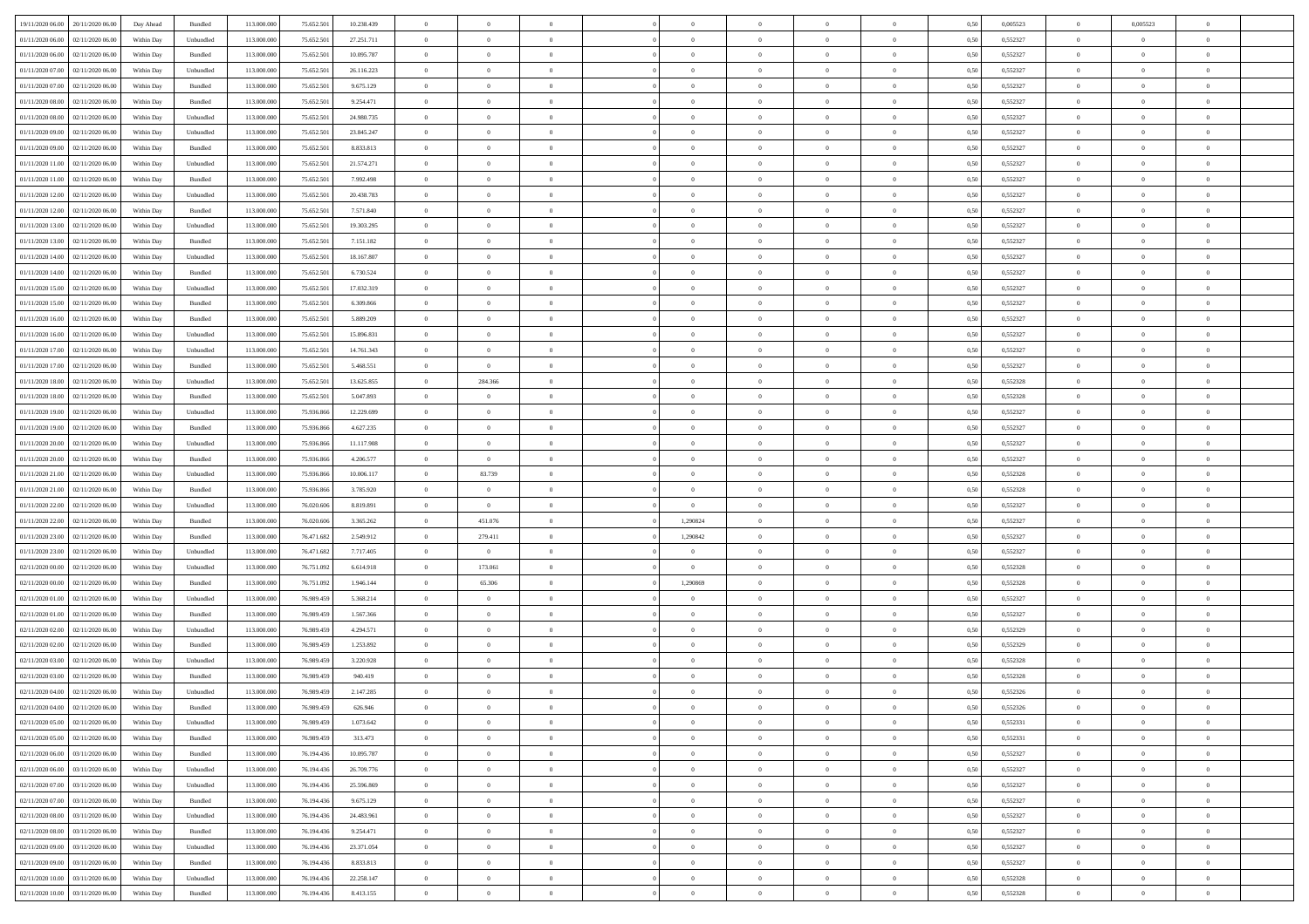| 19/11/2020 06:00<br>20/11/2020 06:00 | Day Ahead  | Bundled   | 113.000.000 | 75.652.501 | 10.238.439 | $\overline{0}$ | $\overline{0}$   | $\overline{0}$ | $\theta$       | $\theta$       |                | $\overline{0}$ | 0,50 | 0,005523 | $\theta$       | 0,005523       | $\overline{0}$ |  |
|--------------------------------------|------------|-----------|-------------|------------|------------|----------------|------------------|----------------|----------------|----------------|----------------|----------------|------|----------|----------------|----------------|----------------|--|
|                                      |            |           |             |            |            |                |                  |                |                |                |                |                |      |          |                |                |                |  |
| 01/11/2020 06.00<br>02/11/2020 06.0  | Within Day | Unbundled | 113.000.000 | 75.652.501 | 27.251.711 | $\overline{0}$ | $\overline{0}$   | $\overline{0}$ | $\,$ 0 $\,$    | $\bf{0}$       | $\overline{0}$ | $\bf{0}$       | 0,50 | 0,552327 | $\,$ 0 $\,$    | $\overline{0}$ | $\overline{0}$ |  |
| 01/11/2020 06.00<br>02/11/2020 06.00 | Within Day | Bundled   | 113,000,000 | 75.652.501 | 10.095.787 | $\overline{0}$ | $\overline{0}$   | $\overline{0}$ | $\bf{0}$       | $\bf{0}$       | $\overline{0}$ | $\mathbf{0}$   | 0.50 | 0,552327 | $\bf{0}$       | $\overline{0}$ | $\overline{0}$ |  |
| 01/11/2020 07.00<br>02/11/2020 06.00 | Within Day | Unbundled | 113.000.000 | 75.652.501 | 26.116.223 | $\overline{0}$ | $\overline{0}$   | $\overline{0}$ | $\overline{0}$ | $\overline{0}$ | $\overline{0}$ | $\bf{0}$       | 0,50 | 0,552327 | $\theta$       | $\theta$       | $\overline{0}$ |  |
| 01/11/2020 07.00<br>02/11/2020 06.0  | Within Day | Bundled   | 113.000.000 | 75.652.501 | 9.675.129  | $\bf{0}$       | $\overline{0}$   | $\bf{0}$       | $\overline{0}$ | $\overline{0}$ | $\overline{0}$ | $\bf{0}$       | 0,50 | 0,552327 | $\,$ 0 $\,$    | $\theta$       | $\overline{0}$ |  |
| 01/11/2020 08:00<br>02/11/2020 06.00 | Within Day | Bundled   | 113,000,000 | 75.652.501 | 9.254.471  | $\overline{0}$ | $\overline{0}$   | $\overline{0}$ | $\overline{0}$ | $\overline{0}$ | $\overline{0}$ | $\mathbf{0}$   | 0.50 | 0.552327 | $\bf{0}$       | $\theta$       | $\overline{0}$ |  |
|                                      |            |           |             |            |            |                | $\overline{0}$   | $\overline{0}$ | $\overline{0}$ | $\overline{0}$ | $\overline{0}$ |                |      |          | $\theta$       | $\theta$       | $\overline{0}$ |  |
| 01/11/2020 08:00<br>02/11/2020 06.00 | Within Day | Unbundled | 113.000.000 | 75.652.501 | 24.980.735 | $\overline{0}$ |                  |                |                |                |                | $\bf{0}$       | 0,50 | 0,552327 |                |                |                |  |
| 01/11/2020 09:00<br>02/11/2020 06.0  | Within Day | Unbundled | 113.000.000 | 75.652.501 | 23.845.247 | $\overline{0}$ | $\overline{0}$   | $\overline{0}$ | $\overline{0}$ | $\bf{0}$       | $\overline{0}$ | $\bf{0}$       | 0,50 | 0,552327 | $\,$ 0 $\,$    | $\bf{0}$       | $\overline{0}$ |  |
| 01/11/2020 09.00<br>02/11/2020 06:00 | Within Day | Bundled   | 113,000,000 | 75.652.501 | 8.833.813  | $\overline{0}$ | $\overline{0}$   | $\overline{0}$ | $\bf{0}$       | $\overline{0}$ | $\overline{0}$ | $\mathbf{0}$   | 0.50 | 0.552327 | $\,$ 0 $\,$    | $\overline{0}$ | $\overline{0}$ |  |
| 01/11/2020 11:00<br>02/11/2020 06.00 | Within Day | Unbundled | 113.000.000 | 75.652.501 | 21.574.271 | $\overline{0}$ | $\overline{0}$   | $\overline{0}$ | $\bf{0}$       | $\overline{0}$ | $\overline{0}$ | $\bf{0}$       | 0,50 | 0,552327 | $\,$ 0 $\,$    | $\theta$       | $\overline{0}$ |  |
| 01/11/2020 11:00<br>02/11/2020 06.0  | Within Day | Bundled   | 113.000.000 | 75.652.501 | 7.992.498  | $\overline{0}$ | $\overline{0}$   | $\overline{0}$ | $\bf{0}$       | $\overline{0}$ | $\overline{0}$ | $\bf{0}$       | 0,50 | 0,552327 | $\,$ 0 $\,$    | $\bf{0}$       | $\overline{0}$ |  |
| 01/11/2020 12:00<br>02/11/2020 06.00 | Within Day | Unbundled | 113,000,000 | 75.652.501 | 20.438.783 | $\overline{0}$ | $\overline{0}$   | $\overline{0}$ | $\bf{0}$       | $\bf{0}$       | $\overline{0}$ | $\,$ 0 $\,$    | 0.50 | 0.552327 | $\bf{0}$       | $\overline{0}$ | $\bf{0}$       |  |
| 01/11/2020 12:00                     |            |           | 113.000.000 |            |            | $\overline{0}$ | $\overline{0}$   | $\overline{0}$ | $\overline{0}$ | $\overline{0}$ | $\overline{0}$ | $\bf{0}$       |      | 0,552327 | $\theta$       | $\theta$       | $\overline{0}$ |  |
| 02/11/2020 06.00                     | Within Day | Bundled   |             | 75.652.501 | 7.571.840  |                |                  |                |                |                |                |                | 0,50 |          |                |                |                |  |
| 01/11/2020 13.00<br>02/11/2020 06.0  | Within Day | Unbundled | 113.000.000 | 75.652.501 | 19.303.295 | $\overline{0}$ | $\overline{0}$   | $\overline{0}$ | $\bf{0}$       | $\bf{0}$       | $\overline{0}$ | $\bf{0}$       | 0,50 | 0,552327 | $\,$ 0 $\,$    | $\bf{0}$       | $\overline{0}$ |  |
| 01/11/2020 13.00<br>02/11/2020 06.00 | Within Day | Bundled   | 113,000,000 | 75.652.501 | 7.151.182  | $\overline{0}$ | $\overline{0}$   | $\overline{0}$ | $\overline{0}$ | $\overline{0}$ | $\overline{0}$ | $\mathbf{0}$   | 0.50 | 0.552327 | $\bf{0}$       | $\theta$       | $\overline{0}$ |  |
| 01/11/2020 14:00<br>02/11/2020 06.00 | Within Day | Unbundled | 113.000.000 | 75.652.501 | 18.167.807 | $\overline{0}$ | $\overline{0}$   | $\overline{0}$ | $\overline{0}$ | $\overline{0}$ | $\overline{0}$ | $\bf{0}$       | 0,50 | 0,552327 | $\theta$       | $\theta$       | $\overline{0}$ |  |
| 01/11/2020 14:00<br>02/11/2020 06.0  | Within Day | Bundled   | 113.000.000 | 75.652.501 | 6.730.524  | $\overline{0}$ | $\overline{0}$   | $\overline{0}$ | $\bf{0}$       | $\overline{0}$ | $\overline{0}$ | $\bf{0}$       | 0,50 | 0,552327 | $\,$ 0 $\,$    | $\bf{0}$       | $\overline{0}$ |  |
| 01/11/2020 15:00<br>02/11/2020 06:00 | Within Day | Unbundled | 113,000,000 | 75.652.501 | 17.032.319 | $\overline{0}$ | $\overline{0}$   | $\overline{0}$ | $\overline{0}$ | $\bf{0}$       | $\overline{0}$ | $\mathbf{0}$   | 0.50 | 0.552327 | $\,$ 0 $\,$    | $\overline{0}$ | $\overline{0}$ |  |
| 01/11/2020 15.00<br>02/11/2020 06.00 | Within Day | Bundled   | 113.000.000 | 75.652.501 | 6.309.866  | $\overline{0}$ | $\overline{0}$   | $\overline{0}$ | $\overline{0}$ | $\overline{0}$ | $\overline{0}$ | $\bf{0}$       | 0,50 | 0,552327 | $\,$ 0 $\,$    | $\theta$       | $\overline{0}$ |  |
|                                      |            |           |             |            |            |                |                  |                |                |                |                |                |      |          |                |                |                |  |
| 01/11/2020 16.00<br>02/11/2020 06.0  | Within Day | Bundled   | 113.000.000 | 75.652.501 | 5.889.209  | $\overline{0}$ | $\overline{0}$   | $\overline{0}$ | $\bf{0}$       | $\bf{0}$       | $\overline{0}$ | $\bf{0}$       | 0,50 | 0,552327 | $\,$ 0 $\,$    | $\bf{0}$       | $\overline{0}$ |  |
| 01/11/2020 16.00<br>02/11/2020 06.00 | Within Day | Unbundled | 113,000,000 | 75.652.501 | 15.896.831 | $\overline{0}$ | $\overline{0}$   | $\overline{0}$ | $\bf{0}$       | $\bf{0}$       | $\overline{0}$ | $\,$ 0 $\,$    | 0.50 | 0.552327 | $\bf{0}$       | $\overline{0}$ | $\overline{0}$ |  |
| 01/11/2020 17.00<br>02/11/2020 06.00 | Within Day | Unbundled | 113.000.000 | 75.652.501 | 14.761.343 | $\overline{0}$ | $\overline{0}$   | $\overline{0}$ | $\overline{0}$ | $\overline{0}$ | $\overline{0}$ | $\,$ 0 $\,$    | 0,50 | 0,552327 | $\theta$       | $\theta$       | $\overline{0}$ |  |
| 01/11/2020 17.00<br>02/11/2020 06.0  | Within Day | Bundled   | 113.000.000 | 75.652.501 | 5.468.551  | $\overline{0}$ | $\overline{0}$   | $\overline{0}$ | $\bf{0}$       | $\bf{0}$       | $\overline{0}$ | $\bf{0}$       | 0,50 | 0,552327 | $\,$ 0 $\,$    | $\bf{0}$       | $\overline{0}$ |  |
| 01/11/2020 18.00<br>02/11/2020 06.00 | Within Day | Unbundled | 113,000,000 | 75.652.501 | 13.625.855 | $\overline{0}$ | 284.366          | $\overline{0}$ | $\overline{0}$ | $\overline{0}$ | $\overline{0}$ | $\mathbf{0}$   | 0.50 | 0.552328 | $\,$ 0 $\,$    | $\theta$       | $\overline{0}$ |  |
| 01/11/2020 18.00<br>02/11/2020 06.00 | Within Day | Bundled   | 113.000.000 | 75.652.501 | 5.047.893  | $\overline{0}$ | $\overline{0}$   | $\overline{0}$ | $\overline{0}$ | $\overline{0}$ | $\overline{0}$ | $\bf{0}$       | 0,50 | 0,552328 | $\theta$       | $\theta$       | $\overline{0}$ |  |
|                                      |            |           |             |            |            |                |                  |                |                |                |                |                |      |          |                |                |                |  |
| 01/11/2020 19:00<br>02/11/2020 06.0  | Within Day | Unbundled | 113.000.000 | 75.936.866 | 12.229.699 | $\overline{0}$ | $\overline{0}$   | $\overline{0}$ | $\overline{0}$ | $\overline{0}$ | $\overline{0}$ | $\bf{0}$       | 0,50 | 0,552327 | $\,$ 0 $\,$    | $\bf{0}$       | $\overline{0}$ |  |
| 01/11/2020 19.00<br>02/11/2020 06:00 | Within Day | Bundled   | 113,000,000 | 75.936.866 | 4.627.235  | $\overline{0}$ | $\overline{0}$   | $\overline{0}$ | $\bf{0}$       | $\overline{0}$ | $\overline{0}$ | $\mathbf{0}$   | 0.50 | 0.552327 | $\,$ 0 $\,$    | $\overline{0}$ | $\overline{0}$ |  |
| 01/11/2020 20.00<br>02/11/2020 06.00 | Within Day | Unbundled | 113.000.000 | 75.936.866 | 11.117.908 | $\overline{0}$ | $\overline{0}$   | $\overline{0}$ | $\overline{0}$ | $\overline{0}$ | $\overline{0}$ | $\bf{0}$       | 0,50 | 0,552327 | $\theta$       | $\theta$       | $\overline{0}$ |  |
| 01/11/2020 20.00<br>02/11/2020 06.0  | Within Day | Bundled   | 113.000.000 | 75.936.866 | 4.206.577  | $\overline{0}$ | $\overline{0}$   | $\overline{0}$ | $\,$ 0 $\,$    | $\bf{0}$       | $\overline{0}$ | $\bf{0}$       | 0,50 | 0,552327 | $\,$ 0 $\,$    | $\bf{0}$       | $\overline{0}$ |  |
| 01/11/2020 21.00<br>02/11/2020 06.00 | Within Day | Unbundled | 113,000,000 | 75.936.866 | 10.006.117 | $\overline{0}$ | 83.739           | $\overline{0}$ | $\bf{0}$       | $\bf{0}$       | $\overline{0}$ | $\,$ 0 $\,$    | 0.50 | 0.552328 | $\bf{0}$       | $\overline{0}$ | $\overline{0}$ |  |
| 01/11/2020 21.00<br>02/11/2020 06:00 | Within Day | Bundled   | 113.000.000 | 75.936.866 | 3.785.920  | $\overline{0}$ | $\overline{0}$   | $\overline{0}$ | $\overline{0}$ | $\overline{0}$ | $\overline{0}$ | $\overline{0}$ | 0.50 | 0,552328 | $\theta$       | $\theta$       | $\overline{0}$ |  |
|                                      |            |           |             |            |            |                |                  |                |                | $\overline{0}$ | $\overline{0}$ |                |      |          |                |                |                |  |
| 01/11/2020 22.00<br>02/11/2020 06.0  | Within Day | Unbundled | 113.000.000 | 76.020.606 | 8.819.891  | $\overline{0}$ | $\overline{0}$   | $\overline{0}$ | $\overline{0}$ |                |                | $\bf{0}$       | 0,50 | 0,552327 | $\,$ 0 $\,$    | $\bf{0}$       | $\overline{0}$ |  |
| 01/11/2020 22.00<br>02/11/2020 06.00 | Within Day | Bundled   | 113,000,000 | 76.020,606 | 3.365.262  | $\overline{0}$ | 451.076          | $\overline{0}$ | 1.290824       | $\overline{0}$ | $\overline{0}$ | $\mathbf{0}$   | 0.50 | 0.552327 | $\,$ 0 $\,$    | $\theta$       | $\overline{0}$ |  |
| 01/11/2020 23.00<br>02/11/2020 06.00 | Within Day | Bundled   | 113.000.000 | 76.471.682 | 2.549.912  | $\overline{0}$ | 279.411          | $\overline{0}$ | 1,290842       | $\overline{0}$ | $\Omega$       | $\overline{0}$ | 0.50 | 0,552327 | $\theta$       | $\theta$       | $\overline{0}$ |  |
| 01/11/2020 23.00<br>02/11/2020 06.0  | Within Day | Unbundled | 113.000.000 | 76.471.682 | 7.717.405  | $\overline{0}$ | $\overline{0}$   | $\overline{0}$ | $\overline{0}$ | $\overline{0}$ | $\overline{0}$ | $\bf{0}$       | 0,50 | 0,552327 | $\,$ 0 $\,$    | $\bf{0}$       | $\overline{0}$ |  |
| 02/11/2020 00.00<br>02/11/2020 06:00 | Within Day | Unbundled | 113,000,000 | 76.751.092 | 6.614.918  | $\overline{0}$ | 173,061          | $\overline{0}$ | $\overline{0}$ | $\overline{0}$ | $\overline{0}$ | $\mathbf{0}$   | 0.50 | 0.552328 | $\,$ 0 $\,$    | $\overline{0}$ | $\overline{0}$ |  |
| 02/11/2020 00.00<br>02/11/2020 06.00 | Within Day | Bundled   | 113.000.000 | 76.751.092 | 1.946.144  | $\overline{0}$ | 65.306           | $\overline{0}$ | 1,290869       | $\overline{0}$ | $\overline{0}$ | $\overline{0}$ | 0.50 | 0,552328 | $\theta$       | $\theta$       | $\overline{0}$ |  |
| 02/11/2020 01:00<br>02/11/2020 06.0  | Within Day | Unbundled | 113.000.000 | 76.989.459 | 5.368.214  | $\overline{0}$ | $\bf{0}$         | $\overline{0}$ | $\bf{0}$       | $\bf{0}$       | $\overline{0}$ | $\bf{0}$       | 0,50 | 0,552327 | $\,$ 0 $\,$    | $\bf{0}$       | $\overline{0}$ |  |
|                                      |            |           |             |            |            |                |                  |                |                |                |                |                |      |          |                |                |                |  |
| 02/11/2020 01:00<br>02/11/2020 06.00 | Within Day | Bundled   | 113,000,000 | 76,989,459 | 1.567.366  | $\overline{0}$ | $\overline{0}$   | $\overline{0}$ | $\bf{0}$       | $\bf{0}$       | $\overline{0}$ | $\mathbf{0}$   | 0.50 | 0.552327 | $\bf{0}$       | $\overline{0}$ | $\overline{0}$ |  |
| 02/11/2020 02.00<br>02/11/2020 06.00 | Within Day | Unbundled | 113.000.000 | 76.989.459 | 4.294.571  | $\overline{0}$ | $\overline{0}$   | $\overline{0}$ | $\overline{0}$ | $\overline{0}$ | $\overline{0}$ | $\overline{0}$ | 0.50 | 0,552329 | $\theta$       | $\theta$       | $\overline{0}$ |  |
| 02/11/2020 02.00<br>02/11/2020 06.0  | Within Day | Bundled   | 113.000.000 | 76.989.459 | 1.253.892  | $\overline{0}$ | $\overline{0}$   | $\overline{0}$ | $\bf{0}$       | $\overline{0}$ | $\overline{0}$ | $\bf{0}$       | 0,50 | 0,552329 | $\,$ 0 $\,$    | $\bf{0}$       | $\overline{0}$ |  |
| 02/11/2020 03.00<br>02/11/2020 06.00 | Within Day | Unbundled | 113,000,000 | 76,989,459 | 3.220.928  | $\overline{0}$ | $\overline{0}$   | $\overline{0}$ | $\overline{0}$ | $\overline{0}$ | $\overline{0}$ | $\mathbf{0}$   | 0.50 | 0.552328 | $\,$ 0 $\,$    | $\theta$       | $\overline{0}$ |  |
| 02/11/2020 03:00<br>02/11/2020 06.00 | Within Day | Bundled   | 113.000.000 | 76,989,459 | 940,419    | $\overline{0}$ | $\overline{0}$   | $\overline{0}$ | $\overline{0}$ | $\overline{0}$ | $\Omega$       | $\overline{0}$ | 0.50 | 0,552328 | $\theta$       | $\theta$       | $\overline{0}$ |  |
| 02/11/2020 04:00<br>02/11/2020 06.00 | Within Day | Unbundled | 113.000.000 | 76.989.459 | 2.147.285  | $\overline{0}$ | $\overline{0}$   | $\bf{0}$       | $\,$ 0 $\,$    | $\,0\,$        | $\overline{0}$ | $\bf{0}$       | 0,50 | 0,552326 | $\,$ 0 $\,$    | $\bf{0}$       | $\overline{0}$ |  |
| 02/11/2020 04:00 02/11/2020 06:00    | Within Day | Bundled   | 113.000.000 | 76.989.459 | 626.946    |                |                  |                |                |                |                |                | 0,50 | 0,552326 | $\theta$       | $\overline{0}$ |                |  |
|                                      |            |           |             |            |            | $\bf{0}$       | $\boldsymbol{0}$ |                | $\bf{0}$       |                |                |                |      |          |                |                |                |  |
| 02/11/2020 05:00<br>02/11/2020 06:00 | Within Day | Unbundled | 113.000.000 | 76.989.459 | 1.073.642  | $\overline{0}$ | $\overline{0}$   | $\overline{0}$ | $\overline{0}$ | $\overline{0}$ | $\overline{0}$ | $\overline{0}$ | 0,50 | 0,552331 | $\theta$       | $\theta$       | $\overline{0}$ |  |
| 02/11/2020 05:00<br>02/11/2020 06.0  | Within Day | Bundled   | 113.000.000 | 76.989.459 | 313.473    | $\overline{0}$ | $\overline{0}$   | $\overline{0}$ | $\bf{0}$       | $\overline{0}$ | $\overline{0}$ | $\mathbf{0}$   | 0,50 | 0,552331 | $\overline{0}$ | $\overline{0}$ | $\bf{0}$       |  |
| 02/11/2020 06.00<br>03/11/2020 06.00 | Within Day | Bundled   | 113.000.000 | 76.194.436 | 10.095.787 | $\overline{0}$ | $\overline{0}$   | $\overline{0}$ | $\,$ 0 $\,$    | $\bf{0}$       | $\overline{0}$ | $\mathbf{0}$   | 0.50 | 0.552327 | $\overline{0}$ | $\bf{0}$       | $\bf{0}$       |  |
| 02/11/2020 06:00<br>03/11/2020 06:00 | Within Dav | Unbundled | 113.000.000 | 76.194.436 | 26.709.776 | $\overline{0}$ | $\overline{0}$   | $\overline{0}$ | $\overline{0}$ | $\overline{0}$ | $\overline{0}$ | $\mathbf{0}$   | 0,50 | 0,552327 | $\overline{0}$ | $\theta$       | $\overline{0}$ |  |
| 02/11/2020 07.00<br>03/11/2020 06.00 | Within Day | Unbundled | 113.000.000 | 76.194.436 | 25.596.869 | $\overline{0}$ | $\overline{0}$   | $\overline{0}$ | $\bf{0}$       | $\bf{0}$       | $\overline{0}$ | $\mathbf{0}$   | 0,50 | 0,552327 | $\overline{0}$ | $\bf{0}$       | $\overline{0}$ |  |
|                                      |            |           | 113.000.000 |            |            |                |                  | $\overline{0}$ |                | $\overline{0}$ | $\overline{0}$ |                | 0.50 | 0.552327 | $\,$ 0 $\,$    | $\theta$       | $\,$ 0         |  |
| 02/11/2020 07.00<br>03/11/2020 06.00 | Within Day | Bundled   |             | 76.194.436 | 9.675.129  | $\overline{0}$ | $\overline{0}$   |                | $\bf{0}$       |                |                | $\mathbf{0}$   |      |          |                |                |                |  |
| 02/11/2020 08:00<br>03/11/2020 06:00 | Within Day | Unbundled | 113.000.000 | 76.194.436 | 24.483.961 | $\overline{0}$ | $\overline{0}$   | $\overline{0}$ | $\overline{0}$ | $\overline{0}$ | $\overline{0}$ | $\mathbf{0}$   | 0,50 | 0,552327 | $\overline{0}$ | $\theta$       | $\overline{0}$ |  |
| 02/11/2020 08:00<br>03/11/2020 06.00 | Within Day | Bundled   | 113.000.000 | 76.194.436 | 9.254.471  | $\overline{0}$ | $\overline{0}$   | $\overline{0}$ | $\bf{0}$       | $\overline{0}$ | $\overline{0}$ | $\,$ 0 $\,$    | 0,50 | 0,552327 | $\bf{0}$       | $\bf{0}$       | $\overline{0}$ |  |
| 02/11/2020 09.00<br>03/11/2020 06.00 | Within Day | Unbundled | 113.000.000 | 76.194.436 | 23.371.054 | $\overline{0}$ | $\overline{0}$   | $\overline{0}$ | $\bf{0}$       | $\overline{0}$ | $\overline{0}$ | $\,$ 0 $\,$    | 0.50 | 0.552327 | $\overline{0}$ | $\bf{0}$       | $\,$ 0         |  |
| 03/11/2020 06:00<br>02/11/2020 09:00 | Within Dav | Bundled   | 113.000.000 | 76.194.436 | 8.833.813  | $\overline{0}$ | $\overline{0}$   | $\overline{0}$ | $\overline{0}$ | $\overline{0}$ | $\overline{0}$ | $\mathbf{0}$   | 0,50 | 0,552327 | $\overline{0}$ | $\theta$       | $\overline{0}$ |  |
| 02/11/2020 10.00<br>03/11/2020 06.0  | Within Day | Unbundled | 113.000.000 | 76.194.436 | 22.258.147 | $\overline{0}$ | $\overline{0}$   | $\overline{0}$ | $\overline{0}$ | $\bf{0}$       | $\overline{0}$ | $\,$ 0 $\,$    | 0,50 | 0,552328 | $\bf{0}$       | $\bf{0}$       | $\overline{0}$ |  |
|                                      |            |           |             |            |            |                |                  |                |                |                |                |                |      |          |                |                |                |  |
| 02/11/2020 10:00 03/11/2020 06:00    | Within Day | Bundled   | 113.000.000 | 76.194.436 | 8.413.155  | $\,$ 0 $\,$    | $\overline{0}$   | $\overline{0}$ | $\bf{0}$       | $\,$ 0         | $\overline{0}$ | $\,$ 0 $\,$    | 0,50 | 0,552328 | $\overline{0}$ | $\,$ 0 $\,$    | $\,$ 0 $\,$    |  |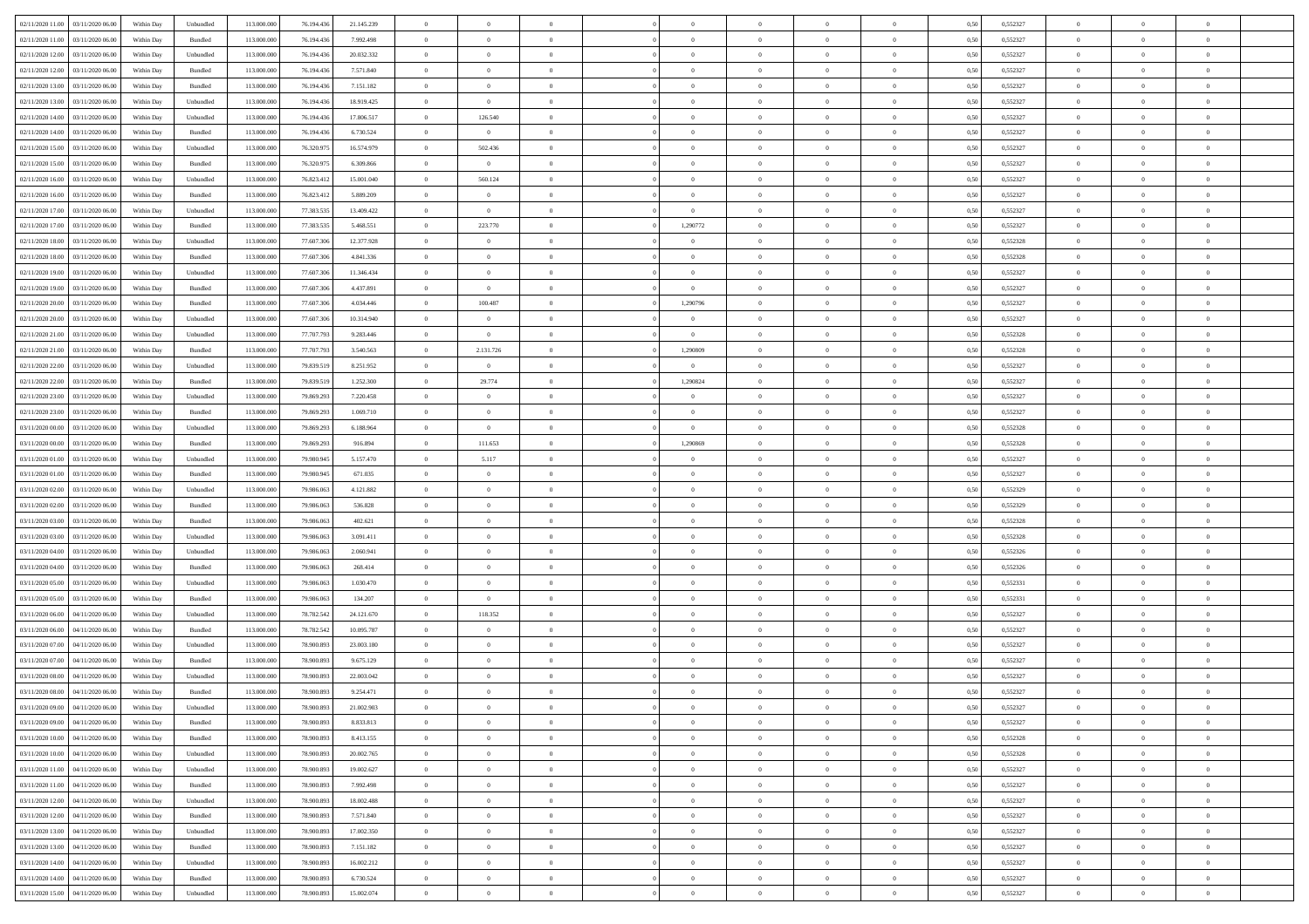| 02/11/2020 11:00<br>03/11/2020 06:00 | Within Day | Unbundled | 113.000.000 | 76.194.436 | 21.145.239 | $\overline{0}$ | $\overline{0}$ | $\overline{0}$ | $\theta$       | $\theta$       |                | $\overline{0}$ | 0,50 | 0,552327 | $\theta$       | $\theta$       | $\theta$       |  |
|--------------------------------------|------------|-----------|-------------|------------|------------|----------------|----------------|----------------|----------------|----------------|----------------|----------------|------|----------|----------------|----------------|----------------|--|
|                                      |            |           |             |            |            |                |                |                |                |                |                |                |      |          |                |                |                |  |
| 02/11/2020 11:00<br>03/11/2020 06.00 | Within Day | Bundled   | 113.000.000 | 76.194.436 | 7.992.498  | $\overline{0}$ | $\overline{0}$ | $\overline{0}$ | $\,$ 0 $\,$    | $\bf{0}$       | $\overline{0}$ | $\mathbf{0}$   | 0,50 | 0,552327 | $\,$ 0 $\,$    | $\bf{0}$       | $\overline{0}$ |  |
| 02/11/2020 12.00<br>03/11/2020 06.00 | Within Day | Unbundled | 113,000,000 | 76.194.436 | 20.032.332 | $\overline{0}$ | $\overline{0}$ | $\overline{0}$ | $\bf{0}$       | $\bf{0}$       | $\overline{0}$ | $\,$ 0 $\,$    | 0.50 | 0,552327 | $\bf{0}$       | $\overline{0}$ | $\bf{0}$       |  |
| 02/11/2020 12:00<br>03/11/2020 06.00 | Within Day | Bundled   | 113.000.000 | 76.194.436 | 7.571.840  | $\overline{0}$ | $\overline{0}$ | $\overline{0}$ | $\overline{0}$ | $\overline{0}$ | $\overline{0}$ | $\,$ 0 $\,$    | 0,50 | 0,552327 | $\,$ 0 $\,$    | $\overline{0}$ | $\overline{0}$ |  |
| 02/11/2020 13.00<br>03/11/2020 06.00 | Within Day | Bundled   | 113.000.000 | 76.194.436 | 7.151.182  | $\overline{0}$ | $\overline{0}$ | $\overline{0}$ | $\bf{0}$       | $\bf{0}$       | $\overline{0}$ | $\bf{0}$       | 0,50 | 0,552327 | $\,$ 0 $\,$    | $\bf{0}$       | $\overline{0}$ |  |
| 02/11/2020 13:00<br>03/11/2020 06.00 | Within Day | Unbundled | 113,000,000 | 76.194.436 | 18.919.425 | $\overline{0}$ | $\overline{0}$ | $\overline{0}$ | $\bf{0}$       | $\bf{0}$       | $\overline{0}$ | $\mathbf{0}$   | 0.50 | 0.552327 | $\,$ 0 $\,$    | $\theta$       | $\overline{0}$ |  |
| 02/11/2020 14:00<br>03/11/2020 06.00 | Within Day | Unbundled | 113.000.000 | 76.194.436 | 17.806.517 | $\overline{0}$ | 126.540        | $\overline{0}$ | $\bf{0}$       | $\overline{0}$ | $\overline{0}$ | $\bf{0}$       | 0,50 | 0,552327 | $\,$ 0 $\,$    | $\theta$       | $\overline{0}$ |  |
|                                      |            |           |             |            |            |                |                |                |                |                |                |                |      |          |                |                |                |  |
| 02/11/2020 14:00<br>03/11/2020 06.00 | Within Day | Bundled   | 113.000.000 | 76.194.436 | 6.730.524  | $\overline{0}$ | $\overline{0}$ | $\overline{0}$ | $\,$ 0 $\,$    | $\bf{0}$       | $\overline{0}$ | $\bf{0}$       | 0,50 | 0,552327 | $\,$ 0 $\,$    | $\bf{0}$       | $\overline{0}$ |  |
| 02/11/2020 15.00<br>03/11/2020 06:00 | Within Day | Unbundled | 113,000,000 | 76.320.975 | 16.574.979 | $\overline{0}$ | 502.436        | $\overline{0}$ | $\bf{0}$       | $\bf{0}$       | $\overline{0}$ | $\mathbf{0}$   | 0.50 | 0.552327 | $\bf{0}$       | $\overline{0}$ | $\bf{0}$       |  |
| 02/11/2020 15:00<br>03/11/2020 06.00 | Within Day | Bundled   | 113.000.000 | 76.320.975 | 6.309.866  | $\overline{0}$ | $\overline{0}$ | $\overline{0}$ | $\bf{0}$       | $\bf{0}$       | $\overline{0}$ | $\bf{0}$       | 0,50 | 0,552327 | $\,$ 0         | $\,$ 0 $\,$    | $\overline{0}$ |  |
| 02/11/2020 16.00<br>03/11/2020 06.00 | Within Day | Unbundled | 113.000.000 | 76.823.412 | 15.001.040 | $\overline{0}$ | 560.124        | $\overline{0}$ | $\,$ 0 $\,$    | $\bf{0}$       | $\overline{0}$ | $\bf{0}$       | 0,50 | 0,552327 | $\,$ 0 $\,$    | $\bf{0}$       | $\overline{0}$ |  |
| 02/11/2020 16.00<br>03/11/2020 06:00 | Within Day | Bundled   | 113,000,000 | 76.823.412 | 5.889.209  | $\overline{0}$ | $\overline{0}$ | $\overline{0}$ | $\bf{0}$       | $\bf{0}$       | $\overline{0}$ | $\,$ 0 $\,$    | 0.50 | 0.552327 | $\bf{0}$       | $\overline{0}$ | $\,$ 0         |  |
| 02/11/2020 17.00<br>03/11/2020 06.00 | Within Day | Unbundled | 113.000.000 | 77.383.535 | 13.409.422 | $\overline{0}$ | $\overline{0}$ | $\overline{0}$ | $\overline{0}$ | $\overline{0}$ | $\overline{0}$ | $\,$ 0 $\,$    | 0,50 | 0,552327 | $\,$ 0 $\,$    | $\theta$       | $\overline{0}$ |  |
|                                      |            |           |             |            |            |                |                |                |                |                |                |                |      |          |                |                |                |  |
| 02/11/2020 17.00<br>03/11/2020 06.00 | Within Day | Bundled   | 113.000.000 | 77.383.535 | 5.468.551  | $\overline{0}$ | 223.770        | $\overline{0}$ | 1,290772       | $\bf{0}$       | $\overline{0}$ | $\bf{0}$       | 0,50 | 0,552327 | $\,$ 0 $\,$    | $\bf{0}$       | $\overline{0}$ |  |
| 02/11/2020 18.00<br>03/11/2020 06.00 | Within Day | Unbundled | 113,000,000 | 77,607,306 | 12.377.928 | $\overline{0}$ | $\overline{0}$ | $\overline{0}$ | $\overline{0}$ | $\bf{0}$       | $\overline{0}$ | $\mathbf{0}$   | 0.50 | 0.552328 | $\,$ 0 $\,$    | $\bf{0}$       | $\overline{0}$ |  |
| 02/11/2020 18:00<br>03/11/2020 06.00 | Within Day | Bundled   | 113.000.000 | 77.607.306 | 4.841.336  | $\overline{0}$ | $\overline{0}$ | $\overline{0}$ | $\bf{0}$       | $\overline{0}$ | $\overline{0}$ | $\bf{0}$       | 0,50 | 0,552328 | $\overline{0}$ | $\theta$       | $\overline{0}$ |  |
| 02/11/2020 19:00<br>03/11/2020 06.00 | Within Day | Unbundled | 113.000.000 | 77.607.306 | 11.346.434 | $\overline{0}$ | $\overline{0}$ | $\overline{0}$ | $\,$ 0 $\,$    | $\bf{0}$       | $\overline{0}$ | $\bf{0}$       | 0,50 | 0,552327 | $\,$ 0 $\,$    | $\bf{0}$       | $\overline{0}$ |  |
| 02/11/2020 19:00<br>03/11/2020 06:00 | Within Day | Bundled   | 113,000,000 | 77,607,306 | 4.437.891  | $\overline{0}$ | $\overline{0}$ | $\overline{0}$ | $\bf{0}$       | $\bf{0}$       | $\overline{0}$ | $\mathbf{0}$   | 0.50 | 0.552327 | $\bf{0}$       | $\overline{0}$ | $\bf{0}$       |  |
| 02/11/2020 20.00<br>03/11/2020 06.00 | Within Day | Bundled   | 113.000.000 | 77.607.306 | 4.034.446  | $\overline{0}$ | 100.487        | $\overline{0}$ | 1,290796       | $\overline{0}$ | $\overline{0}$ | $\bf{0}$       | 0,50 | 0,552327 | $\,$ 0 $\,$    | $\,$ 0 $\,$    | $\overline{0}$ |  |
|                                      |            |           |             |            |            |                |                |                |                |                |                |                |      |          |                |                |                |  |
| 02/11/2020 20.00<br>03/11/2020 06.00 | Within Day | Unbundled | 113.000.000 | 77.607.306 | 10.314.940 | $\overline{0}$ | $\overline{0}$ | $\overline{0}$ | $\bf{0}$       | $\bf{0}$       | $\overline{0}$ | $\bf{0}$       | 0,50 | 0,552327 | $\,$ 0 $\,$    | $\bf{0}$       | $\overline{0}$ |  |
| 02/11/2020 21.00<br>03/11/2020 06.00 | Within Day | Unbundled | 113,000,000 | 77,707,793 | 9.283.446  | $\overline{0}$ | $\overline{0}$ | $\overline{0}$ | $\bf{0}$       | $\bf{0}$       | $\overline{0}$ | $\,$ 0 $\,$    | 0.50 | 0.552328 | $\bf{0}$       | $\overline{0}$ | $\,$ 0         |  |
| 02/11/2020 21.00<br>03/11/2020 06.00 | Within Day | Bundled   | 113.000.000 | 77.707.793 | 3.540.563  | $\overline{0}$ | 2.131.726      | $\overline{0}$ | 1,290809       | $\overline{0}$ | $\overline{0}$ | $\,$ 0 $\,$    | 0,50 | 0,552328 | $\theta$       | $\overline{0}$ | $\overline{0}$ |  |
| 02/11/2020 22.00<br>03/11/2020 06.00 | Within Day | Unbundled | 113.000.000 | 79.839.519 | 8.251.952  | $\overline{0}$ | $\overline{0}$ | $\overline{0}$ | $\overline{0}$ | $\bf{0}$       | $\overline{0}$ | $\bf{0}$       | 0,50 | 0,552327 | $\,$ 0 $\,$    | $\bf{0}$       | $\overline{0}$ |  |
| 02/11/2020 22.00<br>03/11/2020 06.00 | Within Day | Bundled   | 113,000,000 | 79.839.519 | 1.252.300  | $\overline{0}$ | 29.774         | $\overline{0}$ | 1.290824       | $\overline{0}$ | $\overline{0}$ | $\mathbf{0}$   | 0.50 | 0.552327 | $\,$ 0 $\,$    | $\overline{0}$ | $\overline{0}$ |  |
| 02/11/2020 23.00<br>03/11/2020 06.00 | Within Day | Unbundled | 113.000.000 | 79.869.293 | 7.220.458  | $\overline{0}$ | $\overline{0}$ | $\overline{0}$ | $\bf{0}$       | $\overline{0}$ | $\overline{0}$ | $\bf{0}$       | 0,50 | 0,552327 | $\,$ 0 $\,$    | $\theta$       | $\overline{0}$ |  |
|                                      |            |           |             |            |            |                |                |                |                |                |                |                |      |          |                |                |                |  |
| 02/11/2020 23.00<br>03/11/2020 06.00 | Within Day | Bundled   | 113.000.000 | 79.869.293 | 1.069.710  | $\overline{0}$ | $\overline{0}$ | $\overline{0}$ | $\bf{0}$       | $\bf{0}$       | $\overline{0}$ | $\bf{0}$       | 0,50 | 0,552327 | $\,$ 0 $\,$    | $\bf{0}$       | $\overline{0}$ |  |
| 03/11/2020 00.00<br>03/11/2020 06:00 | Within Day | Unbundled | 113,000,000 | 79,869,293 | 6.188.964  | $\overline{0}$ | $\overline{0}$ | $\overline{0}$ | $\bf{0}$       | $\bf{0}$       | $\overline{0}$ | $\mathbf{0}$   | 0.50 | 0.552328 | $\bf{0}$       | $\overline{0}$ | $\bf{0}$       |  |
| 03/11/2020 00:00<br>03/11/2020 06.00 | Within Day | Bundled   | 113.000.000 | 79.869.293 | 916.894    | $\overline{0}$ | 111.653        | $\overline{0}$ | 1,290869       | $\overline{0}$ | $\overline{0}$ | $\bf{0}$       | 0,50 | 0,552328 | $\,$ 0         | $\overline{0}$ | $\overline{0}$ |  |
| 03/11/2020 01:00<br>03/11/2020 06.00 | Within Day | Unbundled | 113.000.000 | 79.980.945 | 5.157.470  | $\overline{0}$ | 5.117          | $\overline{0}$ | $\bf{0}$       | $\bf{0}$       | $\overline{0}$ | $\mathbf{0}$   | 0,50 | 0,552327 | $\overline{0}$ | $\bf{0}$       | $\overline{0}$ |  |
| 03/11/2020 01:00<br>03/11/2020 06:00 | Within Day | Bundled   | 113,000,000 | 79,980,945 | 671.035    | $\overline{0}$ | $\overline{0}$ | $\overline{0}$ | $\bf{0}$       | $\bf{0}$       | $\overline{0}$ | $\,$ 0 $\,$    | 0.50 | 0.552327 | $\bf{0}$       | $\overline{0}$ | $\,$ 0         |  |
| 03/11/2020 02.00<br>03/11/2020 06:00 | Within Day | Unbundled | 113.000.000 | 79,986,063 | 4.121.882  | $\overline{0}$ | $\overline{0}$ | $\overline{0}$ | $\overline{0}$ | $\overline{0}$ | $\overline{0}$ | $\overline{0}$ | 0.50 | 0,552329 | $\theta$       | $\theta$       | $\overline{0}$ |  |
| 03/11/2020 02.00<br>03/11/2020 06.00 | Within Day | Bundled   | 113.000.000 | 79.986.063 | 536.828    | $\overline{0}$ | $\overline{0}$ | $\overline{0}$ | $\,$ 0 $\,$    | $\bf{0}$       | $\overline{0}$ | $\bf{0}$       | 0,50 | 0,552329 | $\,$ 0 $\,$    | $\bf{0}$       | $\overline{0}$ |  |
|                                      |            |           |             |            |            |                |                |                |                |                |                |                |      |          |                |                |                |  |
| 03/11/2020 03.00<br>03/11/2020 06.00 | Within Day | Bundled   | 113,000,000 | 79,986,063 | 402.621    | $\overline{0}$ | $\overline{0}$ | $\bf{0}$       | $\bf{0}$       | $\bf{0}$       | $\overline{0}$ | $\mathbf{0}$   | 0.50 | 0.552328 | $\,$ 0 $\,$    | $\bf{0}$       | $\overline{0}$ |  |
| 03/11/2020 03:00<br>03/11/2020 06.00 | Within Day | Unbundled | 113.000.000 | 79.986.063 | 3.091.411  | $\overline{0}$ | $\overline{0}$ | $\overline{0}$ | $\overline{0}$ | $\overline{0}$ | $\overline{0}$ | $\overline{0}$ | 0.50 | 0,552328 | $\theta$       | $\theta$       | $\overline{0}$ |  |
| 03/11/2020 04:00<br>03/11/2020 06.00 | Within Day | Unbundled | 113.000.000 | 79.986.063 | 2.060.941  | $\overline{0}$ | $\overline{0}$ | $\overline{0}$ | $\,$ 0 $\,$    | $\bf{0}$       | $\overline{0}$ | $\bf{0}$       | 0,50 | 0,552326 | $\,$ 0 $\,$    | $\bf{0}$       | $\overline{0}$ |  |
| 03/11/2020 04:00<br>03/11/2020 06:00 | Within Day | Bundled   | 113,000,000 | 79.986.063 | 268,414    | $\overline{0}$ | $\overline{0}$ | $\overline{0}$ | $\bf{0}$       | $\bf{0}$       | $\overline{0}$ | $\mathbf{0}$   | 0.50 | 0.552326 | $\bf{0}$       | $\overline{0}$ | $\bf{0}$       |  |
| 03/11/2020 05:00<br>03/11/2020 06.00 | Within Day | Unbundled | 113.000.000 | 79,986,063 | 1.030.470  | $\overline{0}$ | $\overline{0}$ | $\overline{0}$ | $\overline{0}$ | $\overline{0}$ | $\overline{0}$ | $\overline{0}$ | 0.50 | 0,552331 | $\overline{0}$ | $\overline{0}$ | $\overline{0}$ |  |
| 03/11/2020 05:00<br>03/11/2020 06.00 | Within Day | Bundled   | 113.000.000 | 79.986.063 | 134.207    | $\overline{0}$ | $\overline{0}$ | $\overline{0}$ | $\overline{0}$ | $\bf{0}$       | $\overline{0}$ | $\mathbf{0}$   | 0,50 | 0,552331 | $\overline{0}$ | $\bf{0}$       | $\overline{0}$ |  |
| 03/11/2020 06.00<br>04/11/2020 06:00 |            | Unbundled | 113,000,000 |            |            |                | 118.352        |                |                | $\bf{0}$       |                | $\,$ 0 $\,$    | 0.50 | 0.552327 | $\bf{0}$       | $\overline{0}$ | $\,$ 0         |  |
|                                      | Within Day |           |             | 78.782.542 | 24.121.670 | $\overline{0}$ |                | $\overline{0}$ | $\bf{0}$       |                | $\overline{0}$ |                |      |          |                |                |                |  |
| 03/11/2020 06:00<br>04/11/2020 06.00 | Within Day | Bundled   | 113.000.000 | 78.782.542 | 10.095.787 | $\overline{0}$ | $\overline{0}$ | $\overline{0}$ | $\overline{0}$ | $\overline{0}$ | $\overline{0}$ | $\overline{0}$ | 0.50 | 0,552327 | $\overline{0}$ | $\theta$       | $\overline{0}$ |  |
| 03/11/2020 07.00<br>04/11/2020 06.00 | Within Day | Unbundled | 113.000.000 | 78.900.893 | 23.003.180 | $\overline{0}$ | $\overline{0}$ | $\overline{0}$ | $\overline{0}$ | $\bf{0}$       | $\overline{0}$ | $\bf{0}$       | 0,50 | 0,552327 | $\,$ 0 $\,$    | $\bf{0}$       | $\overline{0}$ |  |
| 03/11/2020 07.00<br>04/11/2020 06.00 | Within Day | Bundled   | 113,000,000 | 78,900,893 | 9.675.129  | $\overline{0}$ | $\overline{0}$ | $\overline{0}$ | $\overline{0}$ | $\bf{0}$       | $\overline{0}$ | $\mathbf{0}$   | 0.50 | 0.552327 | $\bf{0}$       | $\theta$       | $\overline{0}$ |  |
| 03/11/2020 08:00<br>04/11/2020 06.00 | Within Day | Unbundled | 113.000.000 | 78,900,893 | 22.003.042 | $\overline{0}$ | $\overline{0}$ | $\overline{0}$ | $\overline{0}$ | $\overline{0}$ | $\Omega$       | $\overline{0}$ | 0.50 | 0,552327 | $\theta$       | $\theta$       | $\overline{0}$ |  |
| 03/11/2020 08:00<br>04/11/2020 06.00 | Within Day | Bundled   | 113.000.000 | 78.900.893 | 9.254.471  | $\overline{0}$ | $\overline{0}$ | $\overline{0}$ | $\overline{0}$ | $\bf{0}$       | $\overline{0}$ | $\bf{0}$       | 0,50 | 0,552327 | $\overline{0}$ | $\bf{0}$       | $\overline{0}$ |  |
| 03/11/2020 09:00 04/11/2020 06:00    | Within Day | Unbundled | 113.000.000 | 78.900.893 | 21.002.903 | $\bf{0}$       | $\,$ 0 $\,$    |                | $\bf{0}$       |                |                | $\theta$       | 0,50 | 0,552327 | $\theta$       | $\bf{0}$       |                |  |
|                                      |            |           |             |            |            |                |                |                |                |                |                |                |      |          |                |                |                |  |
| 03/11/2020 09:00 04/11/2020 06:00    | Within Dav | Bundled   | 113.000.000 | 78.900.893 | 8.833.813  | $\overline{0}$ | $\overline{0}$ | $\overline{0}$ | $\overline{0}$ | $\overline{0}$ | $\overline{0}$ | $\overline{0}$ | 0,50 | 0,552327 | $\theta$       | $\theta$       | $\overline{0}$ |  |
| 03/11/2020 10:00<br>04/11/2020 06.00 | Within Day | Bundled   | 113.000.000 | 78.900.893 | 8.413.155  | $\overline{0}$ | $\overline{0}$ | $\overline{0}$ | $\bf{0}$       | $\overline{0}$ | $\overline{0}$ | $\mathbf{0}$   | 0,50 | 0,552328 | $\overline{0}$ | $\overline{0}$ | $\bf{0}$       |  |
| 03/11/2020 10:00<br>04/11/2020 06.00 | Within Day | Unbundled | 113.000.000 | 78,900,893 | 20.002.765 | $\overline{0}$ | $\overline{0}$ | $\overline{0}$ | $\,$ 0 $\,$    | $\bf{0}$       | $\overline{0}$ | $\mathbf{0}$   | 0.50 | 0.552328 | $\overline{0}$ | $\bf{0}$       | $\bf{0}$       |  |
| 03/11/2020 11:00<br>04/11/2020 06:00 | Within Dav | Unbundled | 113.000.000 | 78.900.893 | 19.002.627 | $\overline{0}$ | $\overline{0}$ | $\overline{0}$ | $\overline{0}$ | $\overline{0}$ | $\overline{0}$ | $\mathbf{0}$   | 0,50 | 0,552327 | $\overline{0}$ | $\theta$       | $\overline{0}$ |  |
| 03/11/2020 11:00<br>04/11/2020 06.00 | Within Day | Bundled   | 113.000.000 | 78.900.893 | 7.992.498  | $\overline{0}$ | $\overline{0}$ | $\overline{0}$ | $\bf{0}$       | $\bf{0}$       | $\overline{0}$ | $\mathbf{0}$   | 0,50 | 0,552327 | $\overline{0}$ | $\bf{0}$       | $\overline{0}$ |  |
| 03/11/2020 12:00<br>04/11/2020 06.00 | Within Day | Unbundled | 113.000.000 | 78,900,893 | 18.002.488 | $\overline{0}$ | $\overline{0}$ | $\overline{0}$ | $\bf{0}$       | $\overline{0}$ | $\overline{0}$ | $\mathbf{0}$   | 0.50 | 0.552327 | $\,$ 0 $\,$    | $\theta$       | $\,$ 0         |  |
|                                      |            |           |             |            |            |                |                |                |                |                |                |                |      |          |                |                |                |  |
| 03/11/2020 12:00<br>04/11/2020 06.00 | Within Day | Bundled   | 113.000.000 | 78.900.893 | 7.571.840  | $\overline{0}$ | $\overline{0}$ | $\overline{0}$ | $\overline{0}$ | $\overline{0}$ | $\overline{0}$ | $\mathbf{0}$   | 0,50 | 0,552327 | $\overline{0}$ | $\theta$       | $\overline{0}$ |  |
| 03/11/2020 13.00<br>04/11/2020 06.00 | Within Day | Unbundled | 113.000.000 | 78.900.893 | 17.002.350 | $\overline{0}$ | $\overline{0}$ | $\overline{0}$ | $\bf{0}$       | $\overline{0}$ | $\overline{0}$ | $\,$ 0 $\,$    | 0,50 | 0,552327 | $\bf{0}$       | $\bf{0}$       | $\overline{0}$ |  |
| 03/11/2020 13:00<br>04/11/2020 06.00 | Within Day | Bundled   | 113.000.000 | 78,900,893 | 7.151.182  | $\overline{0}$ | $\overline{0}$ | $\overline{0}$ | $\bf{0}$       | $\overline{0}$ | $\overline{0}$ | $\,$ 0 $\,$    | 0.50 | 0.552327 | $\overline{0}$ | $\bf{0}$       | $\,$ 0         |  |
| 03/11/2020 14:00<br>04/11/2020 06:00 | Within Dav | Unbundled | 113.000.000 | 78.900.893 | 16.002.212 | $\overline{0}$ | $\overline{0}$ | $\overline{0}$ | $\overline{0}$ | $\overline{0}$ | $\overline{0}$ | $\mathbf{0}$   | 0,50 | 0,552327 | $\overline{0}$ | $\theta$       | $\overline{0}$ |  |
| 03/11/2020 14:00<br>04/11/2020 06.00 | Within Day | Bundled   | 113.000.000 | 78.900.893 | 6.730.524  | $\overline{0}$ | $\overline{0}$ | $\overline{0}$ | $\overline{0}$ | $\bf{0}$       | $\overline{0}$ | $\mathbf{0}$   | 0,50 | 0,552327 | $\bf{0}$       | $\bf{0}$       | $\overline{0}$ |  |
| 03/11/2020 15.00 04/11/2020 06.00    | Within Day | Unbundled | 113.000.000 | 78.900.893 | 15.002.074 | $\,$ 0 $\,$    | $\overline{0}$ | $\overline{0}$ | $\bf{0}$       | $\,$ 0         | $\overline{0}$ | $\,$ 0 $\,$    | 0,50 | 0,552327 | $\overline{0}$ | $\,$ 0 $\,$    | $\,$ 0 $\,$    |  |
|                                      |            |           |             |            |            |                |                |                |                |                |                |                |      |          |                |                |                |  |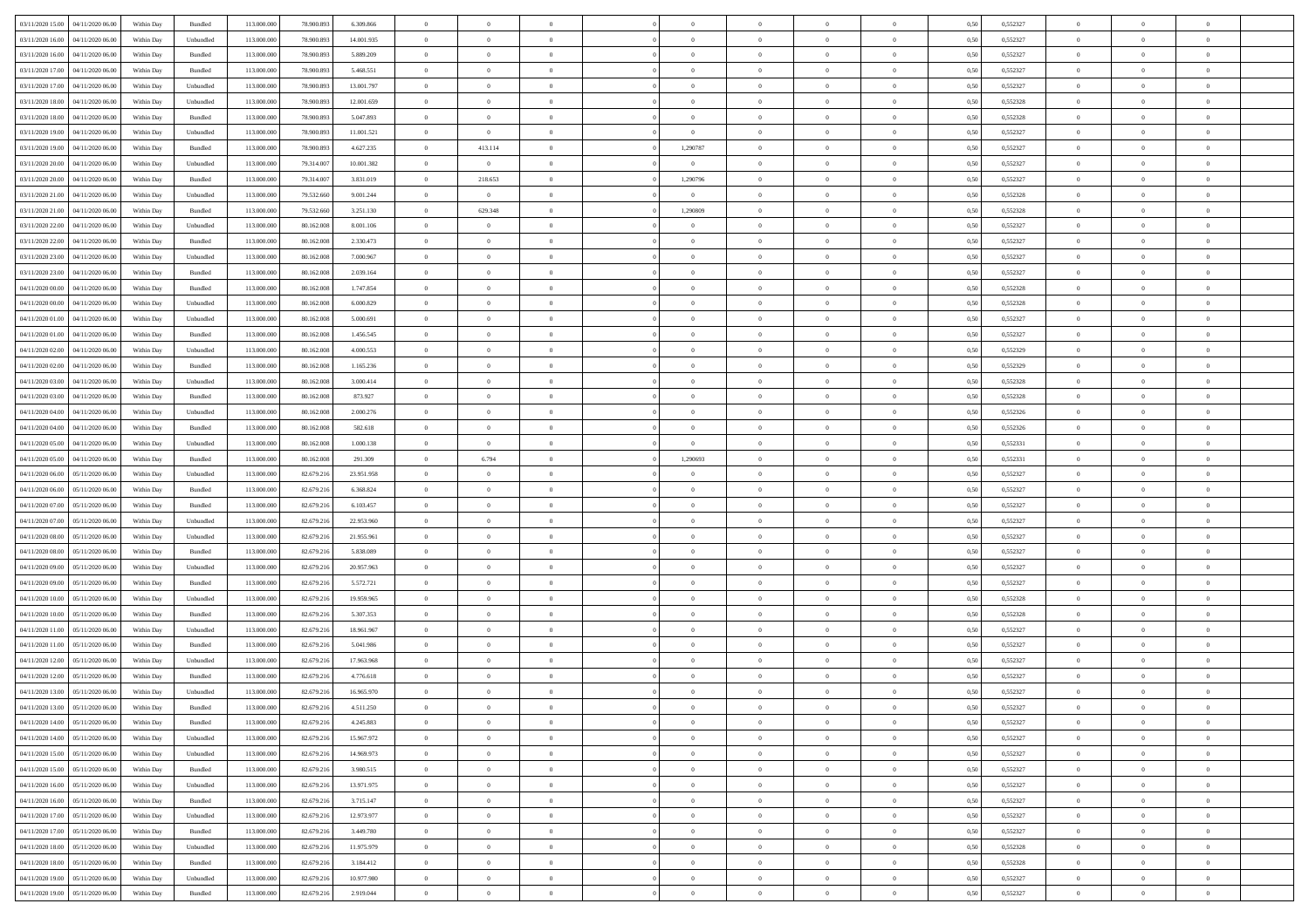| 03/11/2020 15:00<br>04/11/2020 06.00 | Within Day | Bundled            | 113.000.000 | 78.900.893 | 6.309.866  | $\overline{0}$ | $\overline{0}$ | $\overline{0}$ | $\theta$       | $\theta$       |                | $\overline{0}$ | 0,50 | 0,552327 | $\theta$       | $\theta$       | $\theta$       |  |
|--------------------------------------|------------|--------------------|-------------|------------|------------|----------------|----------------|----------------|----------------|----------------|----------------|----------------|------|----------|----------------|----------------|----------------|--|
|                                      |            |                    |             |            |            |                |                |                |                |                |                |                |      |          |                |                |                |  |
| 03/11/2020 16.00<br>04/11/2020 06.00 | Within Day | Unbundled          | 113.000.000 | 78.900.893 | 14.001.935 | $\overline{0}$ | $\overline{0}$ | $\overline{0}$ | $\,$ 0 $\,$    | $\bf{0}$       | $\overline{0}$ | $\mathbf{0}$   | 0,50 | 0,552327 | $\overline{0}$ | $\bf{0}$       | $\overline{0}$ |  |
| 03/11/2020 16.00<br>04/11/2020 06:00 | Within Day | Bundled            | 113,000,000 | 78,900,893 | 5.889.209  | $\overline{0}$ | $\overline{0}$ | $\overline{0}$ | $\bf{0}$       | $\bf{0}$       | $\overline{0}$ | $\,$ 0 $\,$    | 0.50 | 0.552327 | $\bf{0}$       | $\overline{0}$ | $\bf{0}$       |  |
| 03/11/2020 17.00<br>04/11/2020 06.00 | Within Day | Bundled            | 113.000.000 | 78.900.893 | 5.468.551  | $\overline{0}$ | $\overline{0}$ | $\overline{0}$ | $\overline{0}$ | $\overline{0}$ | $\overline{0}$ | $\,$ 0 $\,$    | 0,50 | 0,552327 | $\theta$       | $\overline{0}$ | $\overline{0}$ |  |
| 03/11/2020 17.00<br>04/11/2020 06.00 | Within Day | Unbundled          | 113.000.000 | 78.900.893 | 13.001.797 | $\overline{0}$ | $\overline{0}$ | $\overline{0}$ | $\bf{0}$       | $\overline{0}$ | $\overline{0}$ | $\bf{0}$       | 0,50 | 0,552327 | $\,$ 0 $\,$    | $\bf{0}$       | $\overline{0}$ |  |
| 03/11/2020 18.00<br>04/11/2020 06:00 | Within Day | Unbundled          | 113,000,000 | 78,900,893 | 12.001.659 | $\overline{0}$ | $\overline{0}$ | $\overline{0}$ | $\bf{0}$       | $\bf{0}$       | $\overline{0}$ | $\mathbf{0}$   | 0.50 | 0.552328 | $\,$ 0 $\,$    | $\theta$       | $\overline{0}$ |  |
| 03/11/2020 18.00<br>04/11/2020 06.00 | Within Day | Bundled            | 113.000.000 | 78.900.893 | 5.047.893  | $\overline{0}$ | $\overline{0}$ | $\overline{0}$ | $\overline{0}$ | $\overline{0}$ | $\overline{0}$ | $\bf{0}$       | 0,50 | 0,552328 | $\,$ 0 $\,$    | $\theta$       | $\overline{0}$ |  |
| 03/11/2020 19:00<br>04/11/2020 06.00 | Within Day | Unbundled          | 113.000.000 | 78.900.893 | 11.001.521 | $\overline{0}$ | $\overline{0}$ | $\overline{0}$ | $\overline{0}$ | $\bf{0}$       | $\overline{0}$ | $\bf{0}$       | 0,50 | 0,552327 | $\,$ 0 $\,$    | $\bf{0}$       | $\overline{0}$ |  |
|                                      |            |                    |             |            |            |                |                |                |                |                |                |                |      |          |                |                |                |  |
| 03/11/2020 19.00<br>04/11/2020 06:00 | Within Day | Bundled            | 113,000,000 | 78,900,893 | 4.627.235  | $\overline{0}$ | 413.114        | $\overline{0}$ | 1.290787       | $\bf{0}$       | $\overline{0}$ | $\mathbf{0}$   | 0.50 | 0.552327 | $\bf{0}$       | $\overline{0}$ | $\bf{0}$       |  |
| 03/11/2020 20.00<br>04/11/2020 06.00 | Within Day | Unbundled          | 113.000.000 | 79.314.007 | 10.001.382 | $\overline{0}$ | $\overline{0}$ | $\overline{0}$ | $\bf{0}$       | $\overline{0}$ | $\overline{0}$ | $\bf{0}$       | 0,50 | 0,552327 | $\,$ 0         | $\,$ 0 $\,$    | $\overline{0}$ |  |
| 03/11/2020 20.00<br>04/11/2020 06.00 | Within Day | Bundled            | 113.000.000 | 79.314.007 | 3.831.019  | $\overline{0}$ | 218.653        | $\overline{0}$ | 1,290796       | $\bf{0}$       | $\overline{0}$ | $\bf{0}$       | 0,50 | 0,552327 | $\,$ 0 $\,$    | $\bf{0}$       | $\overline{0}$ |  |
| 03/11/2020 21.00<br>04/11/2020 06:00 | Within Day | Unbundled          | 113,000,000 | 79.532.660 | 9.001.244  | $\overline{0}$ | $\sim$ 0       | $\overline{0}$ | $\overline{0}$ | $\bf{0}$       | $\overline{0}$ | $\,$ 0 $\,$    | 0.50 | 0.552328 | $\bf{0}$       | $\overline{0}$ | $\,$ 0         |  |
| 03/11/2020 21.00<br>04/11/2020 06.00 | Within Day | Bundled            | 113.000.000 | 79.532.660 | 3.251.130  | $\overline{0}$ | 629.348        | $\overline{0}$ | 1,290809       | $\overline{0}$ | $\overline{0}$ | $\,$ 0 $\,$    | 0,50 | 0,552328 | $\,$ 0 $\,$    | $\theta$       | $\overline{0}$ |  |
| 03/11/2020 22.00<br>04/11/2020 06.00 | Within Day | Unbundled          | 113.000.000 | 80.162.008 | 8.001.106  | $\overline{0}$ | $\overline{0}$ | $\overline{0}$ | $\bf{0}$       | $\bf{0}$       | $\overline{0}$ | $\bf{0}$       | 0,50 | 0,552327 | $\,$ 0 $\,$    | $\bf{0}$       | $\overline{0}$ |  |
| 03/11/2020 22.00<br>04/11/2020 06.00 | Within Day | Bundled            | 113,000,000 | 80.162.008 | 2.330.473  | $\overline{0}$ | $\overline{0}$ | $\overline{0}$ | $\bf{0}$       | $\overline{0}$ | $\overline{0}$ | $\mathbf{0}$   | 0.50 | 0.552327 | $\,$ 0 $\,$    | $\theta$       | $\overline{0}$ |  |
| 03/11/2020 23.00                     |            |                    | 113.000.000 |            |            | $\overline{0}$ |                | $\overline{0}$ |                | $\overline{0}$ | $\overline{0}$ | $\bf{0}$       |      | 0,552327 | $\theta$       | $\theta$       | $\overline{0}$ |  |
| 04/11/2020 06.00                     | Within Day | Unbundled          |             | 80.162.008 | 7.000.967  |                | $\overline{0}$ |                | $\bf{0}$       |                |                |                | 0,50 |          |                |                |                |  |
| 03/11/2020 23.00<br>04/11/2020 06.00 | Within Day | Bundled            | 113.000.000 | 80.162.008 | 2.039.164  | $\overline{0}$ | $\overline{0}$ | $\overline{0}$ | $\,$ 0 $\,$    | $\bf{0}$       | $\overline{0}$ | $\bf{0}$       | 0,50 | 0,552327 | $\,$ 0 $\,$    | $\bf{0}$       | $\overline{0}$ |  |
| 04/11/2020 00.00<br>04/11/2020 06.00 | Within Day | Bundled            | 113,000,000 | 80.162.008 | 1.747.854  | $\overline{0}$ | $\overline{0}$ | $\overline{0}$ | $\bf{0}$       | $\bf{0}$       | $\overline{0}$ | $\mathbf{0}$   | 0.50 | 0.552328 | $\bf{0}$       | $\overline{0}$ | $\bf{0}$       |  |
| 04/11/2020 00.00<br>04/11/2020 06.00 | Within Day | Unbundled          | 113.000.000 | 80.162.008 | 6.000.829  | $\overline{0}$ | $\overline{0}$ | $\overline{0}$ | $\bf{0}$       | $\overline{0}$ | $\overline{0}$ | $\bf{0}$       | 0,50 | 0,552328 | $\,$ 0 $\,$    | $\,$ 0 $\,$    | $\overline{0}$ |  |
| 04/11/2020 01:00<br>04/11/2020 06.00 | Within Day | Unbundled          | 113.000.000 | 80.162.008 | 5.000.691  | $\overline{0}$ | $\overline{0}$ | $\overline{0}$ | $\,$ 0 $\,$    | $\bf{0}$       | $\overline{0}$ | $\mathbf{0}$   | 0,50 | 0,552327 | $\,$ 0 $\,$    | $\bf{0}$       | $\overline{0}$ |  |
| 04/11/2020 01.00<br>04/11/2020 06.00 | Within Day | Bundled            | 113,000,000 | 80.162.008 | 1.456.545  | $\overline{0}$ | $\overline{0}$ | $\overline{0}$ | $\bf{0}$       | $\overline{0}$ | $\overline{0}$ | $\,$ 0 $\,$    | 0.50 | 0.552327 | $\bf{0}$       | $\overline{0}$ | $\,$ 0         |  |
| 04/11/2020 02.00<br>04/11/2020 06.00 | Within Day | Unbundled          | 113.000.000 | 80.162.008 | 4.000.553  | $\overline{0}$ | $\overline{0}$ | $\overline{0}$ | $\overline{0}$ | $\overline{0}$ | $\overline{0}$ | $\,$ 0 $\,$    | 0,50 | 0,552329 | $\theta$       | $\overline{0}$ | $\overline{0}$ |  |
|                                      |            |                    |             |            |            |                | $\overline{0}$ |                | $\overline{0}$ | $\bf{0}$       | $\overline{0}$ | $\bf{0}$       |      |          | $\,$ 0 $\,$    | $\bf{0}$       | $\overline{0}$ |  |
| 04/11/2020 02.00<br>04/11/2020 06.00 | Within Day | Bundled            | 113.000.000 | 80.162.008 | 1.165.236  | $\overline{0}$ |                | $\overline{0}$ |                |                |                |                | 0,50 | 0,552329 |                |                |                |  |
| 04/11/2020 03.00<br>04/11/2020 06.00 | Within Day | Unbundled          | 113,000,000 | 80.162.008 | 3.000.414  | $\overline{0}$ | $\overline{0}$ | $\overline{0}$ | $\bf{0}$       | $\bf{0}$       | $\overline{0}$ | $\mathbf{0}$   | 0.50 | 0.552328 | $\,$ 0 $\,$    | $\overline{0}$ | $\overline{0}$ |  |
| 04/11/2020 03.00<br>04/11/2020 06.00 | Within Day | Bundled            | 113.000.000 | 80.162.008 | 873.927    | $\overline{0}$ | $\overline{0}$ | $\overline{0}$ | $\bf{0}$       | $\overline{0}$ | $\overline{0}$ | $\bf{0}$       | 0,50 | 0,552328 | $\,$ 0 $\,$    | $\theta$       | $\overline{0}$ |  |
| 04/11/2020 04.00<br>04/11/2020 06.00 | Within Day | Unbundled          | 113.000.000 | 80.162.008 | 2.000.276  | $\overline{0}$ | $\overline{0}$ | $\overline{0}$ | $\,$ 0 $\,$    | $\bf{0}$       | $\overline{0}$ | $\bf{0}$       | 0,50 | 0,552326 | $\,$ 0 $\,$    | $\bf{0}$       | $\overline{0}$ |  |
| 04/11/2020 04.00<br>04/11/2020 06.00 | Within Day | Bundled            | 113,000,000 | 80.162.008 | 582.618    | $\overline{0}$ | $\overline{0}$ | $\overline{0}$ | $\bf{0}$       | $\bf{0}$       | $\overline{0}$ | $\mathbf{0}$   | 0.50 | 0.552326 | $\bf{0}$       | $\overline{0}$ | $\bf{0}$       |  |
| 04/11/2020 05:00<br>04/11/2020 06.00 | Within Day | Unbundled          | 113.000.000 | 80.162.008 | 1.000.138  | $\overline{0}$ | $\overline{0}$ | $\overline{0}$ | $\overline{0}$ | $\overline{0}$ | $\overline{0}$ | $\bf{0}$       | 0,50 | 0,552331 | $\,$ 0         | $\theta$       | $\overline{0}$ |  |
| 04/11/2020 05.00<br>04/11/2020 06.00 | Within Day | Bundled            | 113.000.000 | 80.162.008 | 291.309    | $\overline{0}$ | 6.794          | $\overline{0}$ | 1,290693       | $\bf{0}$       | $\overline{0}$ | $\mathbf{0}$   | 0,50 | 0,552331 | $\overline{0}$ | $\bf{0}$       | $\overline{0}$ |  |
| 04/11/2020 06.00<br>05/11/2020 06:00 | Within Day | Unbundled          | 113,000,000 | 82.679.216 | 23.951.958 | $\overline{0}$ | $\overline{0}$ | $\overline{0}$ | $\bf{0}$       | $\bf{0}$       | $\overline{0}$ | $\,$ 0 $\,$    | 0.50 | 0.552327 | $\bf{0}$       | $\overline{0}$ | $\,$ 0         |  |
|                                      |            |                    |             |            |            |                |                |                |                |                |                |                |      |          |                |                |                |  |
| 04/11/2020 06:00<br>05/11/2020 06:00 | Within Day | Bundled            | 113.000.000 | 82.679.216 | 6.368.824  | $\overline{0}$ | $\overline{0}$ | $\overline{0}$ | $\overline{0}$ | $\overline{0}$ | $\overline{0}$ | $\overline{0}$ | 0.50 | 0,552327 | $\theta$       | $\theta$       | $\overline{0}$ |  |
| 04/11/2020 07.00<br>05/11/2020 06.00 | Within Day | Bundled            | 113.000.000 | 82.679.216 | 6.103.457  | $\overline{0}$ | $\overline{0}$ | $\overline{0}$ | $\,$ 0 $\,$    | $\bf{0}$       | $\overline{0}$ | $\bf{0}$       | 0,50 | 0,552327 | $\,$ 0 $\,$    | $\bf{0}$       | $\overline{0}$ |  |
| 04/11/2020 07.00<br>05/11/2020 06.00 | Within Day | Unbundled          | 113,000,000 | 82.679.216 | 22.953.960 | $\overline{0}$ | $\overline{0}$ | $\overline{0}$ | $\bf{0}$       | $\bf{0}$       | $\overline{0}$ | $\mathbf{0}$   | 0.50 | 0.552327 | $\,$ 0 $\,$    | $\bf{0}$       | $\overline{0}$ |  |
| 04/11/2020 08:00<br>05/11/2020 06.00 | Within Day | Unbundled          | 113.000.000 | 82.679.216 | 21.955.961 | $\overline{0}$ | $\overline{0}$ | $\overline{0}$ | $\overline{0}$ | $\overline{0}$ | $\overline{0}$ | $\overline{0}$ | 0.50 | 0,552327 | $\theta$       | $\theta$       | $\overline{0}$ |  |
| 04/11/2020 08.00<br>05/11/2020 06.00 | Within Day | Bundled            | 113.000.000 | 82.679.216 | 5.838.089  | $\overline{0}$ | $\overline{0}$ | $\overline{0}$ | $\,$ 0 $\,$    | $\bf{0}$       | $\overline{0}$ | $\bf{0}$       | 0,50 | 0,552327 | $\,$ 0 $\,$    | $\bf{0}$       | $\overline{0}$ |  |
| 04/11/2020 09.00<br>05/11/2020 06:00 | Within Day | Unbundled          | 113,000,000 | 82.679.216 | 20.957.963 | $\overline{0}$ | $\overline{0}$ | $\overline{0}$ | $\bf{0}$       | $\bf{0}$       | $\overline{0}$ | $\mathbf{0}$   | 0.50 | 0.552327 | $\bf{0}$       | $\overline{0}$ | $\bf{0}$       |  |
| 04/11/2020 09:00<br>05/11/2020 06.00 | Within Day | Bundled            | 113.000.000 | 82.679.216 | 5.572.721  | $\overline{0}$ | $\overline{0}$ | $\overline{0}$ | $\overline{0}$ | $\overline{0}$ | $\overline{0}$ | $\overline{0}$ | 0.50 | 0,552327 | $\overline{0}$ | $\overline{0}$ | $\overline{0}$ |  |
| 04/11/2020 10.00<br>05/11/2020 06.00 | Within Day | Unbundled          | 113.000.000 | 82.679.216 | 19.959.965 | $\overline{0}$ | $\overline{0}$ | $\overline{0}$ | $\overline{0}$ | $\bf{0}$       | $\overline{0}$ | $\mathbf{0}$   | 0,50 | 0,552328 | $\overline{0}$ | $\bf{0}$       | $\overline{0}$ |  |
|                                      |            |                    |             |            |            |                |                |                |                |                |                |                |      |          |                |                |                |  |
| 04/11/2020 10.00<br>05/11/2020 06.00 | Within Day | Bundled            | 113.000.000 | 82.679.216 | 5.307.353  | $\overline{0}$ | $\overline{0}$ | $\overline{0}$ | $\bf{0}$       | $\bf{0}$       | $\overline{0}$ | $\,$ 0 $\,$    | 0.50 | 0.552328 | $\bf{0}$       | $\overline{0}$ | $\,$ 0         |  |
| 04/11/2020 11:00<br>05/11/2020 06:00 | Within Day | Unbundled          | 113.000.000 | 82.679.216 | 18.961.967 | $\overline{0}$ | $\overline{0}$ | $\overline{0}$ | $\overline{0}$ | $\overline{0}$ | $\overline{0}$ | $\overline{0}$ | 0.50 | 0,552327 | $\overline{0}$ | $\theta$       | $\overline{0}$ |  |
| 04/11/2020 11.00<br>05/11/2020 06.00 | Within Day | Bundled            | 113.000.000 | 82.679.216 | 5.041.986  | $\overline{0}$ | $\overline{0}$ | $\overline{0}$ | $\overline{0}$ | $\bf{0}$       | $\overline{0}$ | $\bf{0}$       | 0,50 | 0,552327 | $\,$ 0 $\,$    | $\bf{0}$       | $\overline{0}$ |  |
| 04/11/2020 12.00<br>05/11/2020 06.00 | Within Day | Unbundled          | 113,000,000 | 82.679.216 | 17.963.968 | $\overline{0}$ | $\overline{0}$ | $\overline{0}$ | $\bf{0}$       | $\bf{0}$       | $\overline{0}$ | $\mathbf{0}$   | 0.50 | 0.552327 | $\bf{0}$       | $\theta$       | $\overline{0}$ |  |
| 04/11/2020 12:00<br>05/11/2020 06.00 | Within Day | Bundled            | 113.000.000 | 82.679.216 | 4.776.618  | $\overline{0}$ | $\overline{0}$ | $\overline{0}$ | $\overline{0}$ | $\overline{0}$ | $\Omega$       | $\overline{0}$ | 0.50 | 0,552327 | $\theta$       | $\theta$       | $\overline{0}$ |  |
| 04/11/2020 13:00<br>05/11/2020 06.00 | Within Day | Unbundled          | 113.000.000 | 82.679.216 | 16.965.970 | $\overline{0}$ | $\overline{0}$ | $\overline{0}$ | $\overline{0}$ | $\bf{0}$       | $\overline{0}$ | $\bf{0}$       | 0,50 | 0,552327 | $\overline{0}$ | $\bf{0}$       | $\overline{0}$ |  |
| 04/11/2020 13:00 05/11/2020 06:00    | Within Day | $\mathbf B$ undled | 113.000.000 | 82.679.216 | 4.511.250  | $\bf{0}$       | $\,$ 0 $\,$    |                | $\bf{0}$       |                |                | $\Omega$       | 0,50 | 0,552327 | $\theta$       | $\bf{0}$       |                |  |
| 04/11/2020 14:00 05/11/2020 06:00    | Within Dav | Bundled            | 113.000.000 | 82.679.216 | 4.245.883  | $\overline{0}$ | $\overline{0}$ | $\overline{0}$ | $\overline{0}$ | $\overline{0}$ | $\overline{0}$ | $\overline{0}$ | 0,50 | 0,552327 | $\theta$       | $\theta$       | $\overline{0}$ |  |
|                                      |            |                    |             |            |            |                |                |                |                |                |                |                |      |          |                | $\overline{0}$ | $\bf{0}$       |  |
| 04/11/2020 14.00<br>05/11/2020 06.00 | Within Day | Unbundled          | 113.000.000 | 82.679.216 | 15.967.972 | $\overline{0}$ | $\overline{0}$ | $\overline{0}$ | $\bf{0}$       | $\overline{0}$ | $\overline{0}$ | $\mathbf{0}$   | 0,50 | 0,552327 | $\overline{0}$ |                |                |  |
| 04/11/2020 15.00<br>05/11/2020 06.00 | Within Day | Unbundled          | 113.000.000 | 82.679.216 | 14.969.973 | $\overline{0}$ | $\overline{0}$ | $\overline{0}$ | $\,$ 0 $\,$    | $\bf{0}$       | $\overline{0}$ | $\mathbf{0}$   | 0.50 | 0.552327 | $\overline{0}$ | $\bf{0}$       | $\bf{0}$       |  |
| 05/11/2020 06:00<br>04/11/2020 15:00 | Within Dav | Bundled            | 113.000.000 | 82.679.216 | 3.980.515  | $\overline{0}$ | $\overline{0}$ | $\overline{0}$ | $\overline{0}$ | $\overline{0}$ | $\overline{0}$ | $\mathbf{0}$   | 0,50 | 0,552327 | $\overline{0}$ | $\theta$       | $\overline{0}$ |  |
| 04/11/2020 16.00<br>05/11/2020 06.00 | Within Day | Unbundled          | 113.000.000 | 82.679.216 | 13.971.975 | $\overline{0}$ | $\overline{0}$ | $\overline{0}$ | $\bf{0}$       | $\bf{0}$       | $\overline{0}$ | $\mathbf{0}$   | 0,50 | 0,552327 | $\overline{0}$ | $\bf{0}$       | $\overline{0}$ |  |
| 04/11/2020 16.00<br>05/11/2020 06.00 | Within Day | Bundled            | 113.000.000 | 82.679.216 | 3.715.147  | $\overline{0}$ | $\overline{0}$ | $\overline{0}$ | $\bf{0}$       | $\overline{0}$ | $\overline{0}$ | $\mathbf{0}$   | 0.50 | 0.552327 | $\,$ 0 $\,$    | $\theta$       | $\,$ 0         |  |
| 04/11/2020 17.00<br>05/11/2020 06:00 | Within Day | Unbundled          | 113.000.000 | 82.679.216 | 12.973.977 | $\overline{0}$ | $\overline{0}$ | $\overline{0}$ | $\overline{0}$ | $\overline{0}$ | $\overline{0}$ | $\mathbf{0}$   | 0,50 | 0,552327 | $\overline{0}$ | $\theta$       | $\overline{0}$ |  |
| 04/11/2020 17.00<br>05/11/2020 06.00 | Within Day | Bundled            | 113.000.000 | 82.679.216 | 3.449.780  | $\overline{0}$ | $\overline{0}$ | $\overline{0}$ | $\bf{0}$       | $\overline{0}$ | $\overline{0}$ | $\,$ 0 $\,$    | 0,50 | 0,552327 | $\bf{0}$       | $\bf{0}$       | $\overline{0}$ |  |
|                                      |            | Unbundled          | 113.000.000 |            | 11.975.979 |                |                |                |                | $\overline{0}$ |                |                | 0.50 | 0.552328 |                |                | $\,$ 0         |  |
| 04/11/2020 18.00<br>05/11/2020 06.00 | Within Day |                    |             | 82.679.216 |            | $\overline{0}$ | $\overline{0}$ | $\overline{0}$ | $\bf{0}$       |                | $\overline{0}$ | $\,$ 0 $\,$    |      |          | $\overline{0}$ | $\bf{0}$       |                |  |
| 05/11/2020 06:00<br>04/11/2020 18:00 | Within Dav | Bundled            | 113.000.000 | 82.679.216 | 3.184.412  | $\overline{0}$ | $\overline{0}$ | $\overline{0}$ | $\overline{0}$ | $\overline{0}$ | $\overline{0}$ | $\mathbf{0}$   | 0,50 | 0,552328 | $\overline{0}$ | $\theta$       | $\overline{0}$ |  |
| 04/11/2020 19.00<br>05/11/2020 06.00 | Within Day | Unbundled          | 113.000.000 | 82.679.216 | 10.977.980 | $\overline{0}$ | $\overline{0}$ | $\overline{0}$ | $\overline{0}$ | $\bf{0}$       | $\overline{0}$ | $\mathbf{0}$   | 0,50 | 0,552327 | $\bf{0}$       | $\bf{0}$       | $\bf{0}$       |  |
| 04/11/2020 19.00 05/11/2020 06.00    | Within Day | Bundled            | 113.000.000 | 82.679.216 | 2.919.044  | $\,$ 0 $\,$    | $\overline{0}$ | $\overline{0}$ | $\bf{0}$       | $\,$ 0         | $\overline{0}$ | $\,0\,$        | 0,50 | 0,552327 | $\overline{0}$ | $\,$ 0 $\,$    | $\,$ 0 $\,$    |  |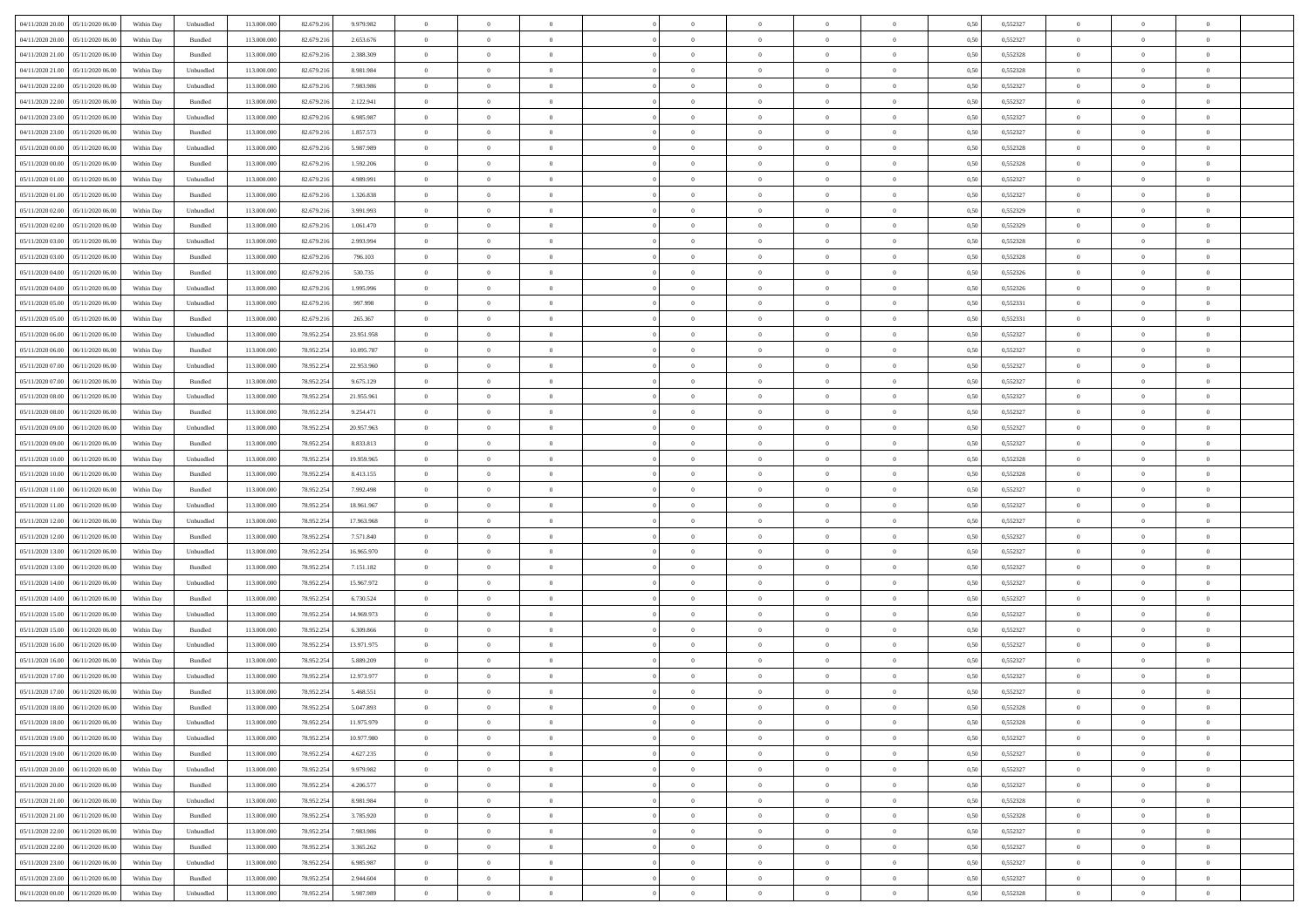| 04/11/2020 20:00<br>05/11/2020 06:00 | Within Day | Unbundled          | 113.000.000 | 82.679.216 | 9.979.982  | $\overline{0}$ | $\overline{0}$ | $\overline{0}$ | $\theta$       | $\theta$       |                | $\overline{0}$ | 0,50 | 0,552327 | $\theta$       | $\theta$       | $\theta$       |  |
|--------------------------------------|------------|--------------------|-------------|------------|------------|----------------|----------------|----------------|----------------|----------------|----------------|----------------|------|----------|----------------|----------------|----------------|--|
|                                      |            |                    |             |            |            |                |                |                |                |                |                |                |      |          |                |                |                |  |
| 04/11/2020 20.00<br>05/11/2020 06.00 | Within Day | Bundled            | 113.000.000 | 82.679.216 | 2.653.676  | $\overline{0}$ | $\overline{0}$ | $\overline{0}$ | $\,$ 0 $\,$    | $\bf{0}$       | $\overline{0}$ | $\mathbf{0}$   | 0,50 | 0,552327 | $\,$ 0 $\,$    | $\bf{0}$       | $\overline{0}$ |  |
| 04/11/2020 21.00<br>05/11/2020 06.00 | Within Day | Bundled            | 113,000,000 | 82.679.216 | 2.388.309  | $\overline{0}$ | $\overline{0}$ | $\overline{0}$ | $\bf{0}$       | $\bf{0}$       | $\overline{0}$ | $\,$ 0 $\,$    | 0.50 | 0.552328 | $\bf{0}$       | $\overline{0}$ | $\bf{0}$       |  |
| 04/11/2020 21.00<br>05/11/2020 06.00 | Within Day | Unbundled          | 113.000.000 | 82.679.216 | 8.981.984  | $\overline{0}$ | $\overline{0}$ | $\overline{0}$ | $\bf{0}$       | $\overline{0}$ | $\overline{0}$ | $\,$ 0 $\,$    | 0,50 | 0,552328 | $\,$ 0 $\,$    | $\overline{0}$ | $\overline{0}$ |  |
| 04/11/2020 22.00<br>05/11/2020 06.00 | Within Day | Unbundled          | 113.000.000 | 82.679.216 | 7.983.986  | $\overline{0}$ | $\overline{0}$ | $\overline{0}$ | $\bf{0}$       | $\bf{0}$       | $\overline{0}$ | $\bf{0}$       | 0,50 | 0,552327 | $\,$ 0 $\,$    | $\bf{0}$       | $\overline{0}$ |  |
| 04/11/2020 22.00<br>05/11/2020 06.00 | Within Day | Bundled            | 113,000,000 | 82.679.216 | 2.122.941  | $\overline{0}$ | $\overline{0}$ | $\overline{0}$ | $\bf{0}$       | $\bf{0}$       | $\overline{0}$ | $\mathbf{0}$   | 0.50 | 0.552327 | $\,$ 0 $\,$    | $\overline{0}$ | $\overline{0}$ |  |
| 04/11/2020 23.00<br>05/11/2020 06.00 | Within Day | Unbundled          | 113.000.000 | 82.679.216 | 6.985.987  | $\overline{0}$ | $\overline{0}$ | $\overline{0}$ | $\bf{0}$       | $\overline{0}$ | $\overline{0}$ | $\bf{0}$       | 0,50 | 0,552327 | $\,$ 0 $\,$    | $\theta$       | $\overline{0}$ |  |
|                                      |            |                    |             |            |            |                |                |                |                |                |                |                |      |          |                |                |                |  |
| 04/11/2020 23.00<br>05/11/2020 06.00 | Within Day | Bundled            | 113.000.000 | 82.679.216 | 1.857.573  | $\overline{0}$ | $\overline{0}$ | $\overline{0}$ | $\,$ 0 $\,$    | $\bf{0}$       | $\overline{0}$ | $\bf{0}$       | 0,50 | 0,552327 | $\,$ 0 $\,$    | $\bf{0}$       | $\overline{0}$ |  |
| 05/11/2020 00.00<br>05/11/2020 06:00 | Within Day | Unbundled          | 113,000,000 | 82.679.216 | 5.987.989  | $\overline{0}$ | $\overline{0}$ | $\overline{0}$ | $\bf{0}$       | $\bf{0}$       | $\overline{0}$ | $\mathbf{0}$   | 0.50 | 0.552328 | $\bf{0}$       | $\overline{0}$ | $\bf{0}$       |  |
| 05/11/2020 00:00<br>05/11/2020 06.00 | Within Day | Bundled            | 113.000.000 | 82.679.216 | 1.592.206  | $\overline{0}$ | $\overline{0}$ | $\overline{0}$ | $\bf{0}$       | $\bf{0}$       | $\overline{0}$ | $\bf{0}$       | 0,50 | 0,552328 | $\,$ 0         | $\,$ 0 $\,$    | $\overline{0}$ |  |
| 05/11/2020 01:00<br>05/11/2020 06.00 | Within Day | Unbundled          | 113.000.000 | 82.679.216 | 4.989.991  | $\overline{0}$ | $\overline{0}$ | $\overline{0}$ | $\,$ 0 $\,$    | $\bf{0}$       | $\overline{0}$ | $\bf{0}$       | 0,50 | 0,552327 | $\,$ 0 $\,$    | $\bf{0}$       | $\overline{0}$ |  |
| 05/11/2020 01:00<br>05/11/2020 06:00 | Within Day | Bundled            | 113,000,000 | 82.679.216 | 1.326.838  | $\overline{0}$ | $\overline{0}$ | $\overline{0}$ | $\bf{0}$       | $\bf{0}$       | $\overline{0}$ | $\,$ 0 $\,$    | 0.50 | 0.552327 | $\bf{0}$       | $\overline{0}$ | $\,$ 0         |  |
| 05/11/2020 02.00<br>05/11/2020 06.00 | Within Day | Unbundled          | 113.000.000 | 82.679.216 | 3.991.993  | $\overline{0}$ | $\overline{0}$ | $\overline{0}$ | $\overline{0}$ | $\overline{0}$ | $\overline{0}$ | $\,$ 0 $\,$    | 0,50 | 0,552329 | $\,$ 0 $\,$    | $\theta$       | $\overline{0}$ |  |
|                                      |            |                    |             |            |            |                | $\overline{0}$ |                |                |                | $\overline{0}$ | $\bf{0}$       |      |          | $\,$ 0 $\,$    | $\bf{0}$       | $\overline{0}$ |  |
| 05/11/2020 02.00<br>05/11/2020 06.00 | Within Day | Bundled            | 113.000.000 | 82.679.216 | 1.061.470  | $\overline{0}$ |                | $\overline{0}$ | $\bf{0}$       | $\bf{0}$       |                |                | 0,50 | 0,552329 |                |                |                |  |
| 05/11/2020 03.00<br>05/11/2020 06.00 | Within Day | Unbundled          | 113,000,000 | 82.679.216 | 2.993.994  | $\overline{0}$ | $\overline{0}$ | $\overline{0}$ | $\bf{0}$       | $\bf{0}$       | $\overline{0}$ | $\mathbf{0}$   | 0.50 | 0.552328 | $\,$ 0 $\,$    | $\bf{0}$       | $\overline{0}$ |  |
| 05/11/2020 03:00<br>05/11/2020 06.00 | Within Day | Bundled            | 113.000.000 | 82.679.216 | 796.103    | $\overline{0}$ | $\overline{0}$ | $\overline{0}$ | $\bf{0}$       | $\overline{0}$ | $\overline{0}$ | $\bf{0}$       | 0,50 | 0,552328 | $\theta$       | $\theta$       | $\overline{0}$ |  |
| 05/11/2020 04.00<br>05/11/2020 06.00 | Within Day | Bundled            | 113.000.000 | 82.679.216 | 530.735    | $\overline{0}$ | $\overline{0}$ | $\overline{0}$ | $\,$ 0 $\,$    | $\bf{0}$       | $\overline{0}$ | $\bf{0}$       | 0,50 | 0,552326 | $\,$ 0 $\,$    | $\bf{0}$       | $\overline{0}$ |  |
| 05/11/2020 04:00<br>05/11/2020 06:00 | Within Day | Unbundled          | 113,000,000 | 82.679.216 | 1.995.996  | $\overline{0}$ | $\overline{0}$ | $\overline{0}$ | $\bf{0}$       | $\bf{0}$       | $\overline{0}$ | $\mathbf{0}$   | 0.50 | 0.552326 | $\bf{0}$       | $\overline{0}$ | $\bf{0}$       |  |
| 05/11/2020 05.00<br>05/11/2020 06.00 | Within Day | Unbundled          | 113.000.000 | 82.679.216 | 997.998    | $\overline{0}$ | $\overline{0}$ | $\overline{0}$ | $\bf{0}$       | $\overline{0}$ | $\overline{0}$ | $\bf{0}$       | 0,50 | 0,552331 | $\,$ 0 $\,$    | $\,$ 0 $\,$    | $\overline{0}$ |  |
| 05/11/2020 05:00<br>05/11/2020 06.00 | Within Day | Bundled            | 113.000.000 | 82.679.216 | 265.367    | $\overline{0}$ | $\overline{0}$ | $\overline{0}$ | $\,$ 0 $\,$    | $\bf{0}$       | $\overline{0}$ | $\bf{0}$       | 0,50 | 0,552331 | $\,$ 0 $\,$    | $\bf{0}$       | $\overline{0}$ |  |
|                                      |            |                    |             |            |            |                |                |                |                |                |                |                |      |          |                |                |                |  |
| 05/11/2020 06.00<br>06/11/2020 06.00 | Within Day | Unbundled          | 113,000,000 | 78.952.254 | 23.951.958 | $\overline{0}$ | $\overline{0}$ | $\overline{0}$ | $\bf{0}$       | $\overline{0}$ | $\overline{0}$ | $\,$ 0 $\,$    | 0.50 | 0.552327 | $\bf{0}$       | $\overline{0}$ | $\,$ 0         |  |
| 05/11/2020 06.00<br>06/11/2020 06:00 | Within Day | Bundled            | 113.000.000 | 78.952.254 | 10.095.787 | $\overline{0}$ | $\overline{0}$ | $\overline{0}$ | $\bf{0}$       | $\overline{0}$ | $\overline{0}$ | $\,$ 0 $\,$    | 0,50 | 0,552327 | $\theta$       | $\overline{0}$ | $\overline{0}$ |  |
| 05/11/2020 07.00<br>06/11/2020 06.00 | Within Day | Unbundled          | 113.000.000 | 78.952.254 | 22.953.960 | $\overline{0}$ | $\overline{0}$ | $\overline{0}$ | $\overline{0}$ | $\bf{0}$       | $\overline{0}$ | $\bf{0}$       | 0,50 | 0,552327 | $\,$ 0 $\,$    | $\bf{0}$       | $\overline{0}$ |  |
| 05/11/2020 07.00<br>06/11/2020 06:00 | Within Day | Bundled            | 113,000,000 | 78.952.254 | 9.675.129  | $\overline{0}$ | $\overline{0}$ | $\overline{0}$ | $\bf{0}$       | $\bf{0}$       | $\overline{0}$ | $\mathbf{0}$   | 0.50 | 0.552327 | $\,$ 0 $\,$    | $\overline{0}$ | $\overline{0}$ |  |
| 05/11/2020 08:00<br>06/11/2020 06.00 | Within Day | Unbundled          | 113.000.000 | 78.952.254 | 21.955.961 | $\overline{0}$ | $\overline{0}$ | $\overline{0}$ | $\bf{0}$       | $\overline{0}$ | $\overline{0}$ | $\bf{0}$       | 0,50 | 0,552327 | $\,$ 0 $\,$    | $\theta$       | $\overline{0}$ |  |
| 05/11/2020 08:00<br>06/11/2020 06.00 | Within Day | Bundled            | 113.000.000 | 78.952.254 | 9.254.471  | $\overline{0}$ | $\overline{0}$ | $\overline{0}$ | $\,$ 0 $\,$    | $\bf{0}$       | $\overline{0}$ | $\bf{0}$       | 0,50 | 0,552327 | $\,$ 0 $\,$    | $\bf{0}$       | $\overline{0}$ |  |
| 05/11/2020 09.00<br>06/11/2020 06:00 | Within Day | Unbundled          | 113,000,000 | 78.952.254 | 20.957.963 | $\overline{0}$ | $\overline{0}$ | $\overline{0}$ | $\bf{0}$       | $\bf{0}$       | $\overline{0}$ | $\mathbf{0}$   | 0.50 | 0.552327 | $\bf{0}$       | $\overline{0}$ | $\bf{0}$       |  |
| 05/11/2020 09:00                     |            |                    | 113.000.000 | 78.952.254 |            | $\overline{0}$ | $\overline{0}$ | $\overline{0}$ |                | $\overline{0}$ | $\overline{0}$ | $\bf{0}$       |      |          | $\,$ 0         | $\theta$       | $\overline{0}$ |  |
| 06/11/2020 06.00                     | Within Day | Bundled            |             |            | 8.833.813  |                |                |                | $\bf{0}$       |                |                |                | 0,50 | 0,552327 |                |                |                |  |
| 05/11/2020 10:00<br>06/11/2020 06.00 | Within Day | Unbundled          | 113.000.000 | 78.952.254 | 19.959.965 | $\overline{0}$ | $\overline{0}$ | $\overline{0}$ | $\overline{0}$ | $\bf{0}$       | $\overline{0}$ | $\mathbf{0}$   | 0,50 | 0,552328 | $\overline{0}$ | $\bf{0}$       | $\overline{0}$ |  |
| 05/11/2020 10:00<br>06/11/2020 06:00 | Within Day | Bundled            | 113,000,000 | 78.952.254 | 8.413.155  | $\overline{0}$ | $\overline{0}$ | $\overline{0}$ | $\bf{0}$       | $\bf{0}$       | $\overline{0}$ | $\,$ 0 $\,$    | 0.50 | 0.552328 | $\bf{0}$       | $\overline{0}$ | $\,$ 0         |  |
| 05/11/2020 11:00<br>06/11/2020 06:00 | Within Day | Bundled            | 113.000.000 | 78.952.254 | 7.992.498  | $\overline{0}$ | $\overline{0}$ | $\overline{0}$ | $\overline{0}$ | $\overline{0}$ | $\overline{0}$ | $\overline{0}$ | 0.50 | 0,552327 | $\theta$       | $\theta$       | $\overline{0}$ |  |
| 05/11/2020 11:00<br>06/11/2020 06.00 | Within Day | Unbundled          | 113.000.000 | 78.952.254 | 18.961.967 | $\overline{0}$ | $\overline{0}$ | $\overline{0}$ | $\,$ 0 $\,$    | $\bf{0}$       | $\overline{0}$ | $\bf{0}$       | 0,50 | 0,552327 | $\,$ 0 $\,$    | $\bf{0}$       | $\overline{0}$ |  |
| 05/11/2020 12.00<br>06/11/2020 06.00 | Within Day | Unbundled          | 113,000,000 | 78.952.254 | 17.963.968 | $\overline{0}$ | $\overline{0}$ | $\overline{0}$ | $\bf{0}$       | $\bf{0}$       | $\overline{0}$ | $\mathbf{0}$   | 0.50 | 0.552327 | $\,$ 0 $\,$    | $\bf{0}$       | $\overline{0}$ |  |
| 05/11/2020 12:00<br>06/11/2020 06.00 | Within Day | Bundled            | 113.000.000 | 78.952.254 | 7.571.840  | $\overline{0}$ | $\overline{0}$ | $\overline{0}$ | $\overline{0}$ | $\overline{0}$ | $\overline{0}$ | $\overline{0}$ | 0.50 | 0,552327 | $\theta$       | $\theta$       | $\overline{0}$ |  |
| 05/11/2020 13:00<br>06/11/2020 06.00 | Within Day | Unbundled          | 113.000.000 | 78.952.254 | 16.965.970 | $\overline{0}$ | $\overline{0}$ | $\overline{0}$ | $\,$ 0 $\,$    | $\bf{0}$       | $\overline{0}$ | $\bf{0}$       | 0,50 | 0,552327 | $\,$ 0 $\,$    | $\bf{0}$       | $\overline{0}$ |  |
| 06/11/2020 06:00                     |            | Bundled            | 113,000,000 | 78.952.254 |            |                |                | $\overline{0}$ |                | $\bf{0}$       | $\overline{0}$ |                | 0.50 | 0.552327 | $\bf{0}$       | $\overline{0}$ | $\bf{0}$       |  |
| 05/11/2020 13:00                     | Within Day |                    |             |            | 7.151.182  | $\overline{0}$ | $\overline{0}$ |                | $\bf{0}$       |                |                | $\mathbf{0}$   |      |          |                |                |                |  |
| 05/11/2020 14:00<br>06/11/2020 06.00 | Within Day | Unbundled          | 113.000.000 | 78.952.254 | 15.967.972 | $\overline{0}$ | $\overline{0}$ | $\overline{0}$ | $\overline{0}$ | $\overline{0}$ | $\overline{0}$ | $\overline{0}$ | 0.50 | 0,552327 | $\overline{0}$ | $\overline{0}$ | $\overline{0}$ |  |
| 05/11/2020 14:00<br>06/11/2020 06.00 | Within Day | Bundled            | 113.000.000 | 78.952.254 | 6.730.524  | $\overline{0}$ | $\overline{0}$ | $\overline{0}$ | $\overline{0}$ | $\bf{0}$       | $\overline{0}$ | $\mathbf{0}$   | 0,50 | 0,552327 | $\overline{0}$ | $\bf{0}$       | $\overline{0}$ |  |
| 05/11/2020 15:00<br>06/11/2020 06.00 | Within Day | Unbundled          | 113.000.000 | 78.952.254 | 14.969.973 | $\overline{0}$ | $\overline{0}$ | $\overline{0}$ | $\bf{0}$       | $\bf{0}$       | $\overline{0}$ | $\,$ 0 $\,$    | 0.50 | 0.552327 | $\bf{0}$       | $\overline{0}$ | $\,$ 0         |  |
| 05/11/2020 15:00<br>06/11/2020 06:00 | Within Day | Bundled            | 113.000.000 | 78.952.254 | 6.309.866  | $\overline{0}$ | $\overline{0}$ | $\overline{0}$ | $\overline{0}$ | $\overline{0}$ | $\overline{0}$ | $\overline{0}$ | 0.50 | 0,552327 | $\overline{0}$ | $\theta$       | $\overline{0}$ |  |
| 05/11/2020 16.00<br>06/11/2020 06.00 | Within Day | Unbundled          | 113.000.000 | 78.952.254 | 13.971.975 | $\overline{0}$ | $\overline{0}$ | $\overline{0}$ | $\overline{0}$ | $\bf{0}$       | $\overline{0}$ | $\bf{0}$       | 0,50 | 0,552327 | $\,$ 0 $\,$    | $\bf{0}$       | $\overline{0}$ |  |
| 05/11/2020 16.00<br>06/11/2020 06.00 | Within Day | Bundled            | 113,000,000 | 78.952.254 | 5.889.209  | $\overline{0}$ | $\overline{0}$ | $\overline{0}$ | $\bf{0}$       | $\bf{0}$       | $\overline{0}$ | $\mathbf{0}$   | 0.50 | 0.552327 | $\bf{0}$       | $\theta$       | $\overline{0}$ |  |
| 05/11/2020 17.00<br>06/11/2020 06:00 | Within Day | Unbundled          | 113.000.000 | 78.952.254 | 12.973.977 | $\overline{0}$ | $\overline{0}$ | $\overline{0}$ | $\overline{0}$ | $\overline{0}$ | $\Omega$       | $\overline{0}$ | 0.50 | 0,552327 | $\theta$       | $\theta$       | $\overline{0}$ |  |
| 05/11/2020 17.00<br>06/11/2020 06.00 | Within Day | Bundled            | 113.000.000 | 78.952.254 | 5.468.551  | $\overline{0}$ | $\overline{0}$ | $\overline{0}$ | $\overline{0}$ | $\bf{0}$       | $\overline{0}$ | $\bf{0}$       | 0,50 | 0,552327 | $\overline{0}$ | $\bf{0}$       | $\overline{0}$ |  |
|                                      |            |                    |             |            |            |                |                |                |                |                |                |                |      |          |                |                |                |  |
|                                      | Within Day | $\mathbf B$ undled | 113.000.000 | 78.952.254 | 5.047.893  | $\bf{0}$       | $\,$ 0 $\,$    |                | $\bf{0}$       |                |                | $\Omega$       | 0,50 | 0,552328 | $\theta$       | $\bf{0}$       |                |  |
| 05/11/2020 18:00 06/11/2020 06:00    | Within Day | Unbundled          | 113.000.000 | 78.952.254 | 11.975.979 | $\overline{0}$ | $\overline{0}$ | $\overline{0}$ | $\overline{0}$ | $\overline{0}$ | $\overline{0}$ | $\overline{0}$ | 0,50 | 0,552328 | $\theta$       | $\theta$       | $\overline{0}$ |  |
| 05/11/2020 19:00<br>06/11/2020 06.00 | Within Day | Unbundled          | 113.000.000 | 78.952.254 | 10.977.980 | $\overline{0}$ | $\overline{0}$ | $\overline{0}$ | $\bf{0}$       | $\overline{0}$ | $\overline{0}$ | $\bf{0}$       | 0,50 | 0,552327 | $\overline{0}$ | $\overline{0}$ | $\bf{0}$       |  |
| 05/11/2020 19:00<br>06/11/2020 06.00 | Within Day | Bundled            | 113.000.000 | 78.952.254 | 4.627.235  | $\overline{0}$ | $\overline{0}$ | $\overline{0}$ | $\,$ 0 $\,$    | $\bf{0}$       | $\overline{0}$ | $\mathbf{0}$   | 0.50 | 0.552327 | $\overline{0}$ | $\bf{0}$       | $\bf{0}$       |  |
| 05/11/2020 20:00<br>06/11/2020 06:00 | Within Dav | Unbundled          | 113.000.000 | 78.952.254 | 9.979.982  | $\overline{0}$ | $\overline{0}$ | $\overline{0}$ | $\overline{0}$ | $\overline{0}$ | $\overline{0}$ | $\mathbf{0}$   | 0,50 | 0,552327 | $\overline{0}$ | $\theta$       | $\overline{0}$ |  |
| 05/11/2020 20.00<br>06/11/2020 06.00 | Within Day | Bundled            | 113.000.000 | 78.952.254 | 4.206.577  | $\overline{0}$ | $\overline{0}$ | $\overline{0}$ | $\bf{0}$       | $\bf{0}$       | $\overline{0}$ | $\mathbf{0}$   | 0,50 | 0,552327 | $\,$ 0         | $\bf{0}$       | $\overline{0}$ |  |
|                                      |            |                    |             |            |            |                |                |                |                |                |                |                |      |          |                |                |                |  |
| 05/11/2020 21.00<br>06/11/2020 06.00 | Within Day | Unbundled          | 113.000.000 | 78.952.254 | 8.981.984  | $\overline{0}$ | $\overline{0}$ | $\overline{0}$ | $\bf{0}$       | $\bf{0}$       | $\overline{0}$ | $\mathbf{0}$   | 0.50 | 0.552328 | $\,$ 0 $\,$    | $\theta$       | $\,$ 0         |  |
| 05/11/2020 21:00<br>06/11/2020 06:00 | Within Day | Bundled            | 113.000.000 | 78.952.254 | 3.785.920  | $\overline{0}$ | $\overline{0}$ | $\overline{0}$ | $\overline{0}$ | $\overline{0}$ | $\overline{0}$ | $\mathbf{0}$   | 0,50 | 0,552328 | $\overline{0}$ | $\theta$       | $\overline{0}$ |  |
| 05/11/2020 22.00<br>06/11/2020 06.00 | Within Day | Unbundled          | 113.000.000 | 78.952.254 | 7.983.986  | $\overline{0}$ | $\overline{0}$ | $\overline{0}$ | $\bf{0}$       | $\overline{0}$ | $\overline{0}$ | $\,$ 0 $\,$    | 0,50 | 0,552327 | $\bf{0}$       | $\bf{0}$       | $\overline{0}$ |  |
| 05/11/2020 22.00<br>06/11/2020 06.00 | Within Day | Bundled            | 113.000.000 | 78.952.254 | 3.365.262  | $\overline{0}$ | $\overline{0}$ | $\overline{0}$ | $\bf{0}$       | $\overline{0}$ | $\overline{0}$ | $\,$ 0 $\,$    | 0.50 | 0.552327 | $\overline{0}$ | $\bf{0}$       | $\,$ 0         |  |
| 05/11/2020 23:00<br>06/11/2020 06:00 | Within Dav | Unbundled          | 113.000.000 | 78.952.254 | 6.985.987  | $\overline{0}$ | $\overline{0}$ | $\overline{0}$ | $\overline{0}$ | $\overline{0}$ | $\overline{0}$ | $\mathbf{0}$   | 0,50 | 0,552327 | $\overline{0}$ | $\theta$       | $\overline{0}$ |  |
| 05/11/2020 23.00<br>06/11/2020 06.0  | Within Day | Bundled            | 113.000.000 | 78.952.254 | 2.944.604  | $\overline{0}$ | $\overline{0}$ | $\overline{0}$ | $\overline{0}$ | $\bf{0}$       | $\overline{0}$ | $\mathbf{0}$   | 0,50 | 0,552327 | $\bf{0}$       | $\bf{0}$       | $\bf{0}$       |  |
| 06/11/2020 00.00 06/11/2020 06.00    |            | Unbundled          | 113.000.000 |            | 5.987.989  | $\,$ 0 $\,$    | $\overline{0}$ | $\overline{0}$ | $\bf{0}$       | $\,$ 0         | $\overline{0}$ | $\,0\,$        | 0,50 | 0,552328 | $\overline{0}$ | $\,$ 0 $\,$    | $\,$ 0 $\,$    |  |
|                                      | Within Day |                    |             | 78.952.254 |            |                |                |                |                |                |                |                |      |          |                |                |                |  |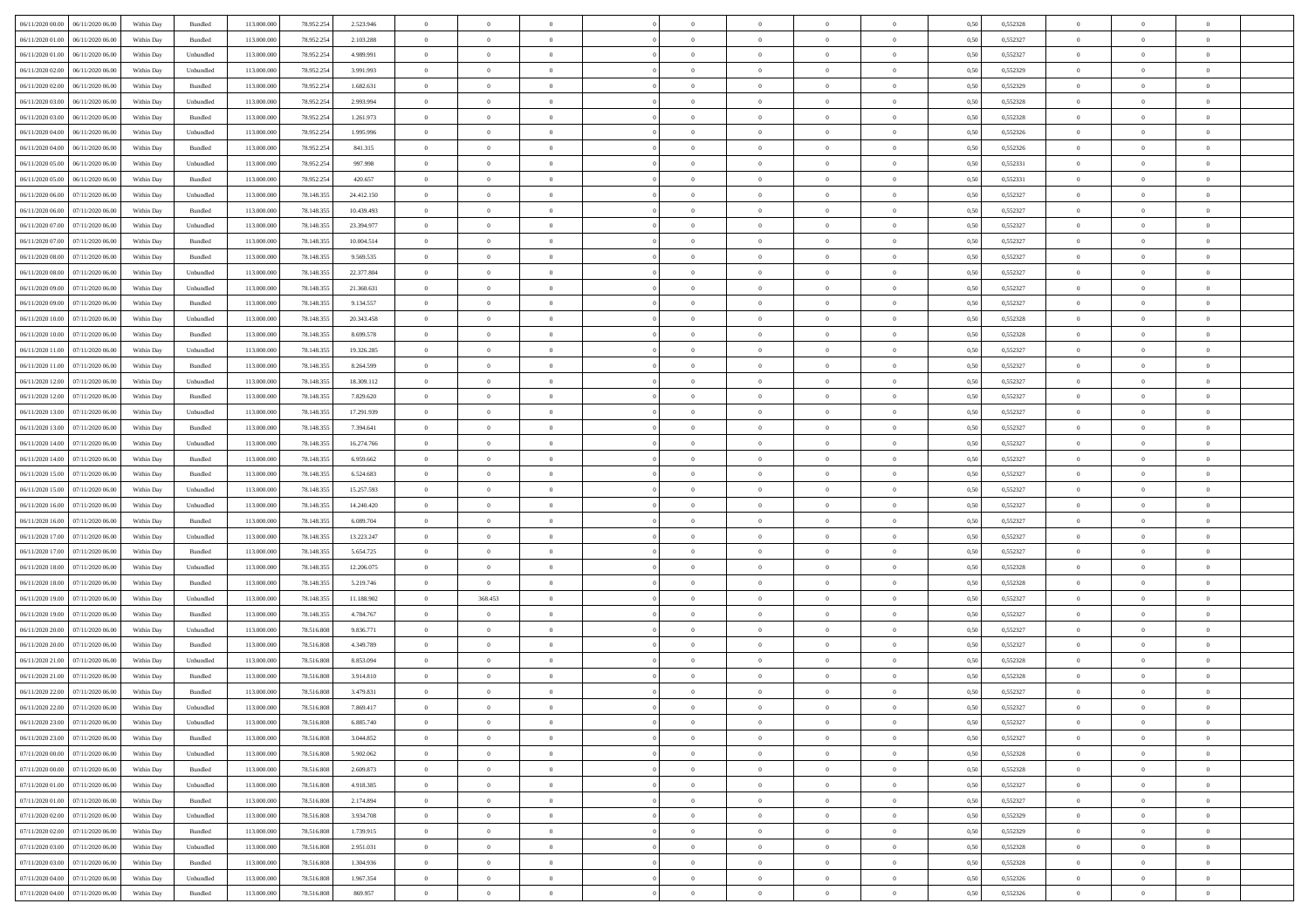| 06/11/2020 00:00<br>06/11/2020 06:00 | Within Day | Bundled           | 113.000.000 | 78.952.254 | 2.523.946  | $\overline{0}$ | $\overline{0}$   | $\overline{0}$ | $\theta$       |                |                | $\overline{0}$ | 0,50 | 0,552328 | $\theta$       | $\theta$       | $\theta$       |  |
|--------------------------------------|------------|-------------------|-------------|------------|------------|----------------|------------------|----------------|----------------|----------------|----------------|----------------|------|----------|----------------|----------------|----------------|--|
|                                      |            |                   |             |            |            |                | $\overline{0}$   |                |                |                |                |                |      |          |                | $\theta$       | $\overline{0}$ |  |
| 06/11/2020 01:00<br>06/11/2020 06.00 | Within Day | Bundled           | 113.000.000 | 78.952.254 | 2.103.288  | $\bf{0}$       |                  | $\overline{0}$ | $\bf{0}$       | $\bf{0}$       | $\overline{0}$ | $\bf{0}$       | 0,50 | 0,552327 | $\,$ 0 $\,$    |                |                |  |
| 06/11/2020 01:00<br>06/11/2020 06.00 | Within Day | Unbundled         | 113,000,000 | 78.952.254 | 4.989.991  | $\overline{0}$ | $\overline{0}$   | $\overline{0}$ | $\bf{0}$       | $\bf{0}$       | $\overline{0}$ | $\mathbf{0}$   | 0.50 | 0,552327 | $\bf{0}$       | $\overline{0}$ | $\overline{0}$ |  |
| 06/11/2020 02.00<br>06/11/2020 06.00 | Within Day | Unbundled         | 113.000.000 | 78.952.254 | 3.991.993  | $\overline{0}$ | $\overline{0}$   | $\overline{0}$ | $\overline{0}$ | $\overline{0}$ | $\overline{0}$ | $\bf{0}$       | 0,50 | 0,552329 | $\theta$       | $\theta$       | $\overline{0}$ |  |
| 06/11/2020 02.00<br>06/11/2020 06.00 | Within Day | Bundled           | 113.000.000 | 78.952.254 | 1.682.631  | $\bf{0}$       | $\overline{0}$   | $\bf{0}$       | $\overline{0}$ | $\overline{0}$ | $\overline{0}$ | $\bf{0}$       | 0,50 | 0,552329 | $\,$ 0 $\,$    | $\theta$       | $\overline{0}$ |  |
| 06/11/2020 03.00<br>06/11/2020 06:00 | Within Day | Unbundled         | 113,000,000 | 78.952.254 | 2.993.994  | $\overline{0}$ | $\overline{0}$   | $\overline{0}$ | $\bf{0}$       | $\overline{0}$ | $\overline{0}$ | $\mathbf{0}$   | 0.50 | 0.552328 | $\bf{0}$       | $\theta$       | $\overline{0}$ |  |
| 06/11/2020 03.00<br>06/11/2020 06.00 | Within Day | Bundled           | 113.000.000 | 78.952.254 | 1.261.973  | $\overline{0}$ | $\overline{0}$   | $\overline{0}$ | $\overline{0}$ | $\overline{0}$ | $\overline{0}$ | $\bf{0}$       | 0,50 | 0,552328 | $\theta$       | $\theta$       | $\overline{0}$ |  |
| 06/11/2020 04:00<br>06/11/2020 06.00 | Within Day | Unbundled         | 113.000.000 | 78.952.254 | 1.995.996  | $\bf{0}$       | $\overline{0}$   | $\overline{0}$ | $\overline{0}$ | $\overline{0}$ | $\overline{0}$ | $\bf{0}$       | 0,50 | 0,552326 | $\,$ 0 $\,$    | $\bf{0}$       | $\overline{0}$ |  |
| 06/11/2020 04.00<br>06/11/2020 06:00 | Within Day | Bundled           | 113,000,000 | 78.952.254 | 841.315    | $\overline{0}$ | $\overline{0}$   | $\overline{0}$ | $\bf{0}$       | $\bf{0}$       | $\overline{0}$ | $\mathbf{0}$   | 0.50 | 0.552326 | $\,$ 0 $\,$    | $\overline{0}$ | $\overline{0}$ |  |
| 06/11/2020 05.00<br>06/11/2020 06.00 | Within Day | Unbundled         | 113.000.000 | 78.952.254 | 997.998    | $\overline{0}$ | $\overline{0}$   | $\overline{0}$ | $\overline{0}$ | $\overline{0}$ | $\overline{0}$ | $\bf{0}$       | 0,50 | 0,552331 | $\,$ 0 $\,$    | $\theta$       | $\overline{0}$ |  |
|                                      |            |                   |             |            |            |                |                  |                |                |                |                |                |      |          |                |                |                |  |
| 06/11/2020 05.00<br>06/11/2020 06.00 | Within Day | Bundled           | 113.000.000 | 78.952.254 | 420.657    | $\overline{0}$ | $\overline{0}$   | $\overline{0}$ | $\bf{0}$       | $\bf{0}$       | $\overline{0}$ | $\bf{0}$       | 0,50 | 0,552331 | $\,$ 0 $\,$    | $\bf{0}$       | $\overline{0}$ |  |
| 06/11/2020 06.00<br>07/11/2020 06.00 | Within Day | Unbundled         | 113.000.000 | 78.148.355 | 24.412.150 | $\overline{0}$ | $\overline{0}$   | $\overline{0}$ | $\bf{0}$       | $\bf{0}$       | $\overline{0}$ | $\,$ 0 $\,$    | 0.50 | 0.552327 | $\bf{0}$       | $\overline{0}$ | $\bf{0}$       |  |
| 06/11/2020 06.00<br>07/11/2020 06.00 | Within Day | Bundled           | 113.000.000 | 78.148.355 | 10.439.493 | $\overline{0}$ | $\overline{0}$   | $\overline{0}$ | $\overline{0}$ | $\overline{0}$ | $\overline{0}$ | $\bf{0}$       | 0,50 | 0,552327 | $\theta$       | $\theta$       | $\overline{0}$ |  |
| 06/11/2020 07.00<br>07/11/2020 06.00 | Within Day | Unbundled         | 113.000.000 | 78.148.355 | 23.394.977 | $\overline{0}$ | $\overline{0}$   | $\bf{0}$       | $\bf{0}$       | $\bf{0}$       | $\overline{0}$ | $\bf{0}$       | 0,50 | 0,552327 | $\,$ 0 $\,$    | $\bf{0}$       | $\overline{0}$ |  |
| 06/11/2020 07.00<br>07/11/2020 06.00 | Within Day | Bundled           | 113,000,000 | 78.148.355 | 10.004.514 | $\overline{0}$ | $\overline{0}$   | $\overline{0}$ | $\bf{0}$       | $\overline{0}$ | $\overline{0}$ | $\mathbf{0}$   | 0.50 | 0.552327 | $\bf{0}$       | $\theta$       | $\overline{0}$ |  |
| 06/11/2020 08:00<br>07/11/2020 06.00 | Within Day | Bundled           | 113.000.000 | 78.148.355 | 9.569.535  | $\overline{0}$ | $\overline{0}$   | $\overline{0}$ | $\overline{0}$ | $\overline{0}$ | $\overline{0}$ | $\bf{0}$       | 0,50 | 0,552327 | $\theta$       | $\theta$       | $\overline{0}$ |  |
| 06/11/2020 08.00<br>07/11/2020 06.00 | Within Day | Unbundled         | 113.000.000 | 78.148.355 | 22.377.804 | $\overline{0}$ | $\overline{0}$   | $\overline{0}$ | $\bf{0}$       | $\overline{0}$ | $\overline{0}$ | $\bf{0}$       | 0,50 | 0,552327 | $\,$ 0 $\,$    | $\bf{0}$       | $\overline{0}$ |  |
| 06/11/2020 09.00<br>07/11/2020 06:00 | Within Day | Unbundled         | 113,000,000 | 78.148.355 | 21.360.631 | $\overline{0}$ | $\overline{0}$   | $\overline{0}$ | $\bf{0}$       | $\bf{0}$       | $\overline{0}$ | $\mathbf{0}$   | 0.50 | 0.552327 | $\,$ 0 $\,$    | $\overline{0}$ | $\overline{0}$ |  |
| 06/11/2020 09:00<br>07/11/2020 06.00 | Within Day | Bundled           | 113.000.000 | 78.148.355 | 9.134.557  | $\overline{0}$ | $\overline{0}$   | $\overline{0}$ | $\overline{0}$ | $\overline{0}$ | $\overline{0}$ | $\bf{0}$       | 0,50 | 0,552327 | $\,$ 0 $\,$    | $\theta$       | $\overline{0}$ |  |
|                                      |            |                   |             |            |            |                |                  |                |                |                |                |                |      |          |                |                |                |  |
| 06/11/2020 10:00<br>07/11/2020 06.00 | Within Day | Unbundled         | 113.000.000 | 78.148.355 | 20.343.458 | $\overline{0}$ | $\overline{0}$   | $\overline{0}$ | $\bf{0}$       | $\bf{0}$       | $\overline{0}$ | $\bf{0}$       | 0,50 | 0,552328 | $\,$ 0 $\,$    | $\bf{0}$       | $\overline{0}$ |  |
| 06/11/2020 10:00<br>07/11/2020 06.00 | Within Day | Bundled           | 113,000,000 | 78.148.355 | 8.699.578  | $\overline{0}$ | $\overline{0}$   | $\overline{0}$ | $\bf{0}$       | $\bf{0}$       | $\overline{0}$ | $\mathbf{0}$   | 0.50 | 0.552328 | $\bf{0}$       | $\overline{0}$ | $\overline{0}$ |  |
| 06/11/2020 11:00<br>07/11/2020 06.00 | Within Day | Unbundled         | 113.000.000 | 78.148.355 | 19.326.285 | $\overline{0}$ | $\overline{0}$   | $\overline{0}$ | $\overline{0}$ | $\overline{0}$ | $\overline{0}$ | $\,$ 0 $\,$    | 0,50 | 0,552327 | $\theta$       | $\theta$       | $\overline{0}$ |  |
| 06/11/2020 11:00<br>07/11/2020 06.00 | Within Day | Bundled           | 113.000.000 | 78.148.355 | 8.264.599  | $\overline{0}$ | $\overline{0}$   | $\overline{0}$ | $\bf{0}$       | $\bf{0}$       | $\overline{0}$ | $\bf{0}$       | 0,50 | 0,552327 | $\,$ 0 $\,$    | $\bf{0}$       | $\overline{0}$ |  |
| 06/11/2020 12:00<br>07/11/2020 06.00 | Within Day | Unbundled         | 113,000,000 | 78.148.355 | 18.309.112 | $\overline{0}$ | $\overline{0}$   | $\overline{0}$ | $\bf{0}$       | $\overline{0}$ | $\overline{0}$ | $\mathbf{0}$   | 0.50 | 0.552327 | $\,$ 0 $\,$    | $\theta$       | $\overline{0}$ |  |
| 06/11/2020 12.00<br>07/11/2020 06.00 | Within Day | Bundled           | 113.000.000 | 78.148.355 | 7.829.620  | $\overline{0}$ | $\overline{0}$   | $\overline{0}$ | $\overline{0}$ | $\overline{0}$ | $\overline{0}$ | $\bf{0}$       | 0,50 | 0,552327 | $\theta$       | $\theta$       | $\overline{0}$ |  |
| 06/11/2020 13:00<br>07/11/2020 06.00 | Within Day | Unbundled         | 113.000.000 | 78.148.355 | 17.291.939 | $\overline{0}$ | $\overline{0}$   | $\overline{0}$ | $\overline{0}$ | $\overline{0}$ | $\overline{0}$ | $\bf{0}$       | 0,50 | 0,552327 | $\,$ 0 $\,$    | $\bf{0}$       | $\overline{0}$ |  |
| 06/11/2020 13.00<br>07/11/2020 06:00 | Within Day | Bundled           | 113,000,000 | 78.148.355 | 7.394.641  | $\overline{0}$ | $\overline{0}$   | $\overline{0}$ | $\bf{0}$       | $\bf{0}$       | $\overline{0}$ | $\mathbf{0}$   | 0.50 | 0.552327 | $\,$ 0 $\,$    | $\overline{0}$ | $\overline{0}$ |  |
| 06/11/2020 14:00<br>07/11/2020 06.00 | Within Day | Unbundled         | 113.000.000 | 78.148.355 | 16.274.766 | $\overline{0}$ | $\overline{0}$   | $\overline{0}$ | $\overline{0}$ | $\overline{0}$ | $\overline{0}$ | $\bf{0}$       | 0,50 | 0,552327 | $\theta$       | $\theta$       | $\overline{0}$ |  |
| 06/11/2020 14:00<br>07/11/2020 06.00 | Within Day | Bundled           | 113.000.000 | 78.148.355 | 6.959.662  | $\overline{0}$ | $\overline{0}$   | $\overline{0}$ | $\,$ 0 $\,$    | $\bf{0}$       | $\overline{0}$ | $\bf{0}$       | 0,50 | 0,552327 | $\,$ 0 $\,$    | $\bf{0}$       | $\overline{0}$ |  |
| 07/11/2020 06:00                     |            |                   | 113,000,000 | 78.148.355 | 6.524.683  |                |                  | $\overline{0}$ |                |                | $\overline{0}$ |                |      | 0.552327 |                |                |                |  |
| 06/11/2020 15.00                     | Within Day | Bundled           |             |            |            | $\overline{0}$ | $\overline{0}$   |                | $\bf{0}$       | $\bf{0}$       |                | $\mathbf{0}$   | 0.50 |          | $\bf{0}$       | $\overline{0}$ | $\bf{0}$       |  |
| 06/11/2020 15:00<br>07/11/2020 06.00 | Within Day | Unbundled         | 113.000.000 | 78.148.355 | 15.257.593 | $\overline{0}$ | $\overline{0}$   | $\overline{0}$ | $\overline{0}$ | $\overline{0}$ | $\overline{0}$ | $\overline{0}$ | 0.50 | 0,552327 | $\theta$       | $\theta$       | $\overline{0}$ |  |
| 06/11/2020 16.00<br>07/11/2020 06.00 | Within Day | Unbundled         | 113.000.000 | 78.148.355 | 14.240.420 | $\overline{0}$ | $\overline{0}$   | $\overline{0}$ | $\bf{0}$       | $\overline{0}$ | $\overline{0}$ | $\bf{0}$       | 0,50 | 0,552327 | $\,$ 0 $\,$    | $\bf{0}$       | $\overline{0}$ |  |
| 06/11/2020 16.00<br>07/11/2020 06.00 | Within Day | Bundled           | 113,000,000 | 78.148.355 | 6.089.704  | $\overline{0}$ | $\overline{0}$   | $\overline{0}$ | $\bf{0}$       | $\overline{0}$ | $\overline{0}$ | $\mathbf{0}$   | 0.50 | 0.552327 | $\,$ 0 $\,$    | $\theta$       | $\overline{0}$ |  |
| 06/11/2020 17.00<br>07/11/2020 06.00 | Within Day | Unbundled         | 113.000.000 | 78.148.355 | 13.223.247 | $\overline{0}$ | $\overline{0}$   | $\overline{0}$ | $\overline{0}$ | $\overline{0}$ | $\Omega$       | $\overline{0}$ | 0.50 | 0,552327 | $\theta$       | $\theta$       | $\overline{0}$ |  |
| 06/11/2020 17.00<br>07/11/2020 06.00 | Within Day | Bundled           | 113.000.000 | 78.148.355 | 5.654.725  | $\overline{0}$ | $\overline{0}$   | $\overline{0}$ | $\bf{0}$       | $\overline{0}$ | $\overline{0}$ | $\bf{0}$       | 0,50 | 0,552327 | $\,$ 0 $\,$    | $\bf{0}$       | $\overline{0}$ |  |
| 06/11/2020 18.00<br>07/11/2020 06:00 | Within Day | Unbundled         | 113,000,000 | 78.148.355 | 12.206.075 | $\overline{0}$ | $\overline{0}$   | $\overline{0}$ | $\bf{0}$       | $\bf{0}$       | $\overline{0}$ | $\mathbf{0}$   | 0.50 | 0.552328 | $\,$ 0 $\,$    | $\overline{0}$ | $\overline{0}$ |  |
| 06/11/2020 18.00<br>07/11/2020 06.00 | Within Day | Bundled           | 113.000.000 | 78.148.355 | 5.219.746  | $\overline{0}$ | $\overline{0}$   | $\overline{0}$ | $\overline{0}$ | $\overline{0}$ | $\overline{0}$ | $\overline{0}$ | 0.50 | 0,552328 | $\theta$       | $\theta$       | $\overline{0}$ |  |
| 06/11/2020 19:00<br>07/11/2020 06.00 | Within Day | Unbundled         | 113.000.000 | 78.148.355 | 11.188.902 | $\overline{0}$ | 368.453          | $\overline{0}$ | $\,$ 0 $\,$    | $\bf{0}$       | $\overline{0}$ | $\bf{0}$       | 0,50 | 0,552327 | $\,$ 0 $\,$    | $\bf{0}$       | $\overline{0}$ |  |
| 06/11/2020 19.00<br>07/11/2020 06.00 | Within Day | Bundled           | 113,000,000 | 78.148.355 | 4.784.767  | $\overline{0}$ | $\overline{0}$   | $\overline{0}$ | $\bf{0}$       | $\bf{0}$       | $\overline{0}$ | $\mathbf{0}$   | 0.50 | 0.552327 | $\bf{0}$       | $\overline{0}$ | $\overline{0}$ |  |
| 06/11/2020 20:00<br>07/11/2020 06.00 | Within Day | Unbundled         | 113.000.000 | 78.516.808 | 9.836.771  | $\overline{0}$ | $\overline{0}$   | $\overline{0}$ | $\overline{0}$ | $\overline{0}$ | $\Omega$       | $\overline{0}$ | 0.50 | 0,552327 | $\theta$       | $\theta$       | $\overline{0}$ |  |
|                                      |            |                   |             |            |            |                | $\overline{0}$   |                | $\bf{0}$       | $\bf{0}$       | $\overline{0}$ | $\bf{0}$       |      |          | $\,$ 0 $\,$    | $\bf{0}$       | $\overline{0}$ |  |
| 06/11/2020 20.00<br>07/11/2020 06.00 | Within Day | Bundled           | 113.000.000 | 78.516.808 | 4.349.789  | $\overline{0}$ |                  | $\overline{0}$ |                |                |                |                | 0,50 | 0,552327 |                |                |                |  |
| 06/11/2020 21.00<br>07/11/2020 06.00 | Within Day | Unbundled         | 113,000,000 | 78.516.808 | 8.853.094  | $\overline{0}$ | $\overline{0}$   | $\overline{0}$ | $\bf{0}$       | $\overline{0}$ | $\overline{0}$ | $\mathbf{0}$   | 0.50 | 0.552328 | $\,$ 0 $\,$    | $\theta$       | $\overline{0}$ |  |
| 06/11/2020 21.00<br>07/11/2020 06.00 | Within Day | Bundled           | 113.000.000 | 78.516.808 | 3.914.810  | $\overline{0}$ | $\overline{0}$   | $\overline{0}$ | $\overline{0}$ | $\overline{0}$ | $\Omega$       | $\overline{0}$ | 0.50 | 0,552328 | $\theta$       | $\theta$       | $\overline{0}$ |  |
| 06/11/2020 22.00<br>07/11/2020 06.00 | Within Day | Bundled           | 113.000.000 | 78.516.808 | 3.479.831  | $\overline{0}$ | $\bf{0}$         | $\bf{0}$       | $\overline{0}$ | $\bf{0}$       | $\overline{0}$ | $\bf{0}$       | 0,50 | 0,552327 | $\overline{0}$ | $\bf{0}$       | $\overline{0}$ |  |
| 06/11/2020 22:00 07/11/2020 06:00    | Within Day | ${\sf Unbundred}$ | 113.000.000 | 78.516.808 | 7.869.417  | $\bf{0}$       | $\boldsymbol{0}$ |                | $\bf{0}$       |                |                |                | 0,50 | 0,552327 | $\theta$       | $\overline{0}$ |                |  |
| 06/11/2020 23:00 07/11/2020 06:00    | Within Day | Unbundled         | 113.000.000 | 78.516.808 | 6.885.740  | $\overline{0}$ | $\overline{0}$   | $\overline{0}$ | $\overline{0}$ | $\overline{0}$ | $\overline{0}$ | $\overline{0}$ | 0,50 | 0,552327 | $\theta$       | $\theta$       | $\overline{0}$ |  |
| 06/11/2020 23.00<br>07/11/2020 06.00 | Within Day | Bundled           | 113.000.000 | 78.516.808 | 3.044.852  | $\overline{0}$ | $\overline{0}$   | $\overline{0}$ | $\bf{0}$       | $\overline{0}$ | $\overline{0}$ | $\,$ 0 $\,$    | 0,50 | 0,552327 | $\overline{0}$ | $\overline{0}$ | $\bf{0}$       |  |
| 07/11/2020 00:00<br>07/11/2020 06:00 | Within Day | Unbundled         | 113.000.000 | 78.516.808 | 5.902.062  | $\overline{0}$ | $\overline{0}$   | $\overline{0}$ | $\,$ 0 $\,$    | $\bf{0}$       | $\overline{0}$ | $\mathbf{0}$   | 0.50 | 0.552328 | $\overline{0}$ | $\bf{0}$       | $\bf{0}$       |  |
| 07/11/2020 00:00<br>07/11/2020 06:00 | Within Dav | Bundled           | 113.000.000 | 78.516.808 | 2.609.873  | $\overline{0}$ | $\overline{0}$   | $\overline{0}$ | $\overline{0}$ | $\overline{0}$ | $\overline{0}$ | $\mathbf{0}$   | 0,50 | 0,552328 | $\overline{0}$ | $\theta$       | $\overline{0}$ |  |
| 07/11/2020 01:00<br>07/11/2020 06.00 | Within Day | Unbundled         | 113.000.000 | 78.516.808 | 4.918.385  | $\overline{0}$ | $\overline{0}$   | $\overline{0}$ | $\bf{0}$       | $\bf{0}$       | $\overline{0}$ | $\mathbf{0}$   | 0,50 | 0,552327 | $\,$ 0         | $\bf{0}$       | $\overline{0}$ |  |
|                                      |            |                   | 113.000.000 |            |            |                | $\overline{0}$   | $\overline{0}$ |                | $\overline{0}$ | $\overline{0}$ |                | 0.50 | 0.552327 | $\,$ 0 $\,$    | $\theta$       | $\,$ 0         |  |
| 07/11/2020 01.00<br>07/11/2020 06.00 | Within Day | Bundled           |             | 78.516.808 | 2.174.894  | $\overline{0}$ |                  |                | $\bf{0}$       |                |                | $\mathbf{0}$   |      |          |                |                |                |  |
| 07/11/2020 02.00<br>07/11/2020 06:00 | Within Day | Unbundled         | 113.000.000 | 78.516.808 | 3.934.708  | $\overline{0}$ | $\overline{0}$   | $\overline{0}$ | $\overline{0}$ | $\overline{0}$ | $\overline{0}$ | $\mathbf{0}$   | 0,50 | 0,552329 | $\overline{0}$ | $\theta$       | $\overline{0}$ |  |
| 07/11/2020 02.00<br>07/11/2020 06.00 | Within Day | Bundled           | 113.000.000 | 78.516.808 | 1.739.915  | $\overline{0}$ | $\overline{0}$   | $\overline{0}$ | $\bf{0}$       | $\overline{0}$ | $\overline{0}$ | $\,$ 0 $\,$    | 0,50 | 0,552329 | $\bf{0}$       | $\overline{0}$ | $\overline{0}$ |  |
| 07/11/2020 03.00<br>07/11/2020 06.00 | Within Day | Unbundled         | 113.000.000 | 78,516,808 | 2.951.031  | $\overline{0}$ | $\overline{0}$   | $\overline{0}$ | $\bf{0}$       | $\overline{0}$ | $\overline{0}$ | $\,$ 0 $\,$    | 0.50 | 0.552328 | $\overline{0}$ | $\bf{0}$       | $\,$ 0         |  |
| 07/11/2020 03:00<br>07/11/2020 06:00 | Within Dav | Bundled           | 113.000.000 | 78.516.808 | 1.304.936  | $\overline{0}$ | $\overline{0}$   | $\overline{0}$ | $\overline{0}$ | $\overline{0}$ | $\overline{0}$ | $\mathbf{0}$   | 0,50 | 0,552328 | $\overline{0}$ | $\theta$       | $\overline{0}$ |  |
| 07/11/2020 04:00<br>07/11/2020 06.00 | Within Day | Unbundled         | 113.000.000 | 78.516.808 | 1.967.354  | $\overline{0}$ | $\overline{0}$   | $\overline{0}$ | $\overline{0}$ | $\bf{0}$       | $\overline{0}$ | $\,$ 0 $\,$    | 0,50 | 0,552326 | $\bf{0}$       | $\bf{0}$       | $\bf{0}$       |  |
| 07/11/2020 04.00 07/11/2020 06.00    | Within Day | Bundled           | 113.000.000 | 78.516.808 | 869.957    | $\,$ 0 $\,$    | $\overline{0}$   | $\overline{0}$ | $\bf{0}$       | $\,$ 0         | $\overline{0}$ | $\,0\,$        | 0,50 | 0,552326 | $\overline{0}$ | $\,$ 0 $\,$    | $\,$ 0 $\,$    |  |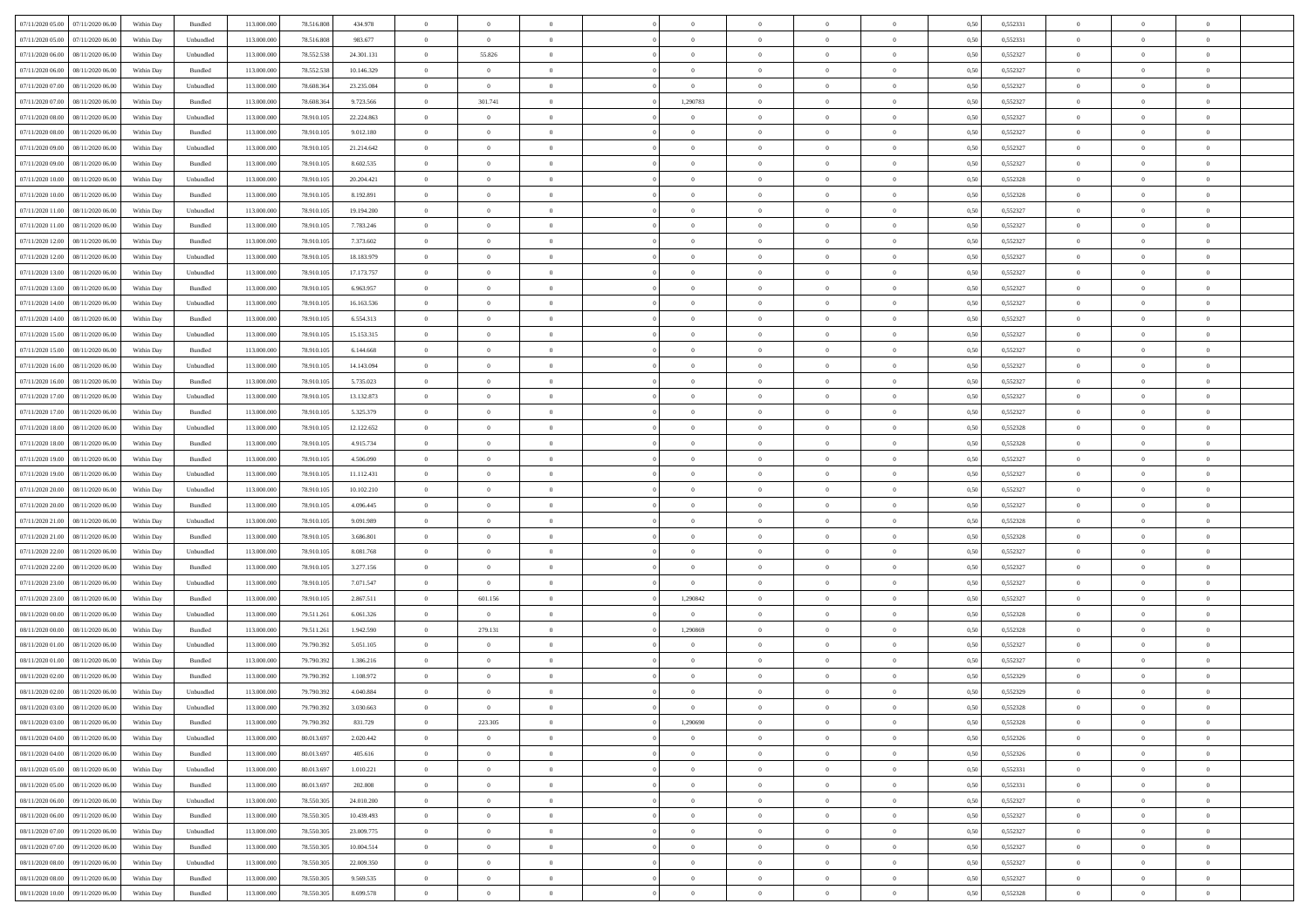| 07/11/2020 05:00<br>07/11/2020 06:00 | Within Day | Bundled   | 113.000.000 | 78.516.808 | 434.978    | $\overline{0}$ | $\overline{0}$ | $\Omega$       | $\theta$       | $\Omega$       | $\Omega$       | $\overline{0}$ | 0,50 | 0,552331 | $\theta$       | $\Omega$       | $\theta$       |  |
|--------------------------------------|------------|-----------|-------------|------------|------------|----------------|----------------|----------------|----------------|----------------|----------------|----------------|------|----------|----------------|----------------|----------------|--|
| 07/11/2020 05.00<br>07/11/2020 06.00 | Within Day | Unbundled | 113.000.000 | 78.516.808 | 983.677    | $\overline{0}$ | $\overline{0}$ | $\overline{0}$ | $\theta$       | $\overline{0}$ | $\overline{0}$ | $\,$ 0 $\,$    | 0,50 | 0,552331 | $\theta$       | $\theta$       | $\overline{0}$ |  |
| 07/11/2020 06.00<br>08/11/2020 06.00 | Within Day | Unbundled | 113.000.000 | 78.552.538 | 24.301.131 | $\overline{0}$ | 55.826         | $\overline{0}$ | $\bf{0}$       | $\bf{0}$       | $\overline{0}$ | $\mathbf{0}$   | 0,50 | 0,552327 | $\bf{0}$       | $\overline{0}$ | $\overline{0}$ |  |
|                                      |            |           |             |            |            |                |                |                |                |                |                |                |      |          |                |                |                |  |
| 07/11/2020 06.00<br>08/11/2020 06:00 | Within Day | Bundled   | 113.000.000 | 78.552.538 | 10.146.329 | $\overline{0}$ | $\overline{0}$ | $\overline{0}$ | $\overline{0}$ | $\overline{0}$ | $\overline{0}$ | $\mathbf{0}$   | 0.50 | 0,552327 | $\overline{0}$ | $\theta$       | $\overline{0}$ |  |
| 07/11/2020 07.00<br>08/11/2020 06.00 | Within Day | Unbundled | 113.000.000 | 78.608.364 | 23.235.084 | $\overline{0}$ | $\overline{0}$ | $\overline{0}$ | $\overline{0}$ | $\overline{0}$ | $\overline{0}$ | $\,$ 0 $\,$    | 0,50 | 0,552327 | $\theta$       | $\theta$       | $\overline{0}$ |  |
| 07/11/2020 07.00<br>08/11/2020 06.00 | Within Day | Bundled   | 113.000.000 | 78.608.364 | 9.723.566  | $\overline{0}$ | 301.741        | $\overline{0}$ | 1,290783       | $\overline{0}$ | $\overline{0}$ | $\overline{0}$ | 0,50 | 0,552327 | $\bf{0}$       | $\overline{0}$ | $\bf{0}$       |  |
| 07/11/2020 08:00<br>08/11/2020 06:00 | Within Dav | Unbundled | 113.000.000 | 78.910.105 | 22.224.863 | $\overline{0}$ | $\overline{0}$ | $\overline{0}$ | $\overline{0}$ | $\overline{0}$ | $\overline{0}$ | $\mathbf{0}$   | 0.5( | 0,552327 | $\overline{0}$ | $\overline{0}$ | $\overline{0}$ |  |
|                                      |            |           |             |            |            |                |                |                |                |                |                |                |      |          |                |                |                |  |
| 07/11/2020 08.00<br>08/11/2020 06.00 | Within Day | Bundled   | 113.000.000 | 78.910.105 | 9.012.180  | $\overline{0}$ | $\overline{0}$ | $\overline{0}$ | $\theta$       | $\overline{0}$ | $\overline{0}$ | $\,$ 0 $\,$    | 0,50 | 0,552327 | $\theta$       | $\theta$       | $\overline{0}$ |  |
| 07/11/2020 09.00<br>08/11/2020 06.00 | Within Day | Unbundled | 113.000.000 | 78.910.105 | 21.214.642 | $\overline{0}$ | $\overline{0}$ | $\overline{0}$ | $\bf{0}$       | $\bf{0}$       | $\overline{0}$ | $\mathbf{0}$   | 0,50 | 0,552327 | $\,$ 0 $\,$    | $\overline{0}$ | $\overline{0}$ |  |
| 07/11/2020 09:00<br>08/11/2020 06:00 | Within Day | Bundled   | 113.000.000 | 78.910.105 | 8.602.535  | $\overline{0}$ | $\overline{0}$ | $\overline{0}$ | $\overline{0}$ | $\overline{0}$ | $\overline{0}$ | $\mathbf{0}$   | 0.50 | 0,552327 | $\overline{0}$ | $\overline{0}$ | $\overline{0}$ |  |
| 07/11/2020 10.00<br>08/11/2020 06.00 |            | Unbundled | 113.000.000 | 78.910.105 | 20.204.421 |                | $\overline{0}$ |                | $\overline{0}$ | $\overline{0}$ | $\overline{0}$ | $\,$ 0 $\,$    |      | 0,552328 | $\theta$       | $\theta$       | $\overline{0}$ |  |
|                                      | Within Day |           |             |            |            | $\overline{0}$ |                | $\overline{0}$ |                |                |                |                | 0,50 |          |                |                |                |  |
| 07/11/2020 10.00<br>08/11/2020 06.00 | Within Day | Bundled   | 113.000.000 | 78.910.105 | 8.192.891  | $\overline{0}$ | $\overline{0}$ | $\overline{0}$ | $\bf{0}$       | $\bf{0}$       | $\overline{0}$ | $\mathbf{0}$   | 0,50 | 0,552328 | $\bf{0}$       | $\overline{0}$ | $\bf{0}$       |  |
| 07/11/2020 11:00<br>08/11/2020 06:00 | Within Day | Unbundled | 113.000.000 | 78.910.105 | 19.194.200 | $\overline{0}$ | $\overline{0}$ | $\overline{0}$ | $\overline{0}$ | $\overline{0}$ | $\overline{0}$ | $\mathbf{0}$   | 0.5( | 0,552327 | $\overline{0}$ | $\theta$       | $\overline{0}$ |  |
| 07/11/2020 11.00<br>08/11/2020 06.00 | Within Day | Bundled   | 113.000.000 | 78.910.105 | 7.783.246  | $\overline{0}$ | $\overline{0}$ | $\overline{0}$ | $\theta$       | $\overline{0}$ | $\overline{0}$ | $\,$ 0 $\,$    | 0,50 | 0,552327 | $\theta$       | $\theta$       | $\overline{0}$ |  |
|                                      |            |           |             |            |            |                |                |                |                |                |                |                |      |          |                |                |                |  |
| 07/11/2020 12.00<br>08/11/2020 06.00 | Within Day | Bundled   | 113.000.000 | 78.910.105 | 7.373.602  | $\overline{0}$ | $\overline{0}$ | $\overline{0}$ | $\bf{0}$       | $\overline{0}$ | $\overline{0}$ | $\mathbf{0}$   | 0,50 | 0,552327 | $\bf{0}$       | $\overline{0}$ | $\overline{0}$ |  |
| 07/11/2020 12:00<br>08/11/2020 06.00 | Within Dav | Unbundled | 113.000.000 | 78.910.105 | 18.183.979 | $\overline{0}$ | $\overline{0}$ | $\overline{0}$ | $\overline{0}$ | $\overline{0}$ | $\overline{0}$ | $\mathbf{0}$   | 0.5( | 0,552327 | $\overline{0}$ | $\overline{0}$ | $\overline{0}$ |  |
| 07/11/2020 13.00<br>08/11/2020 06.00 | Within Day | Unbundled | 113.000.000 | 78.910.105 | 17.173.757 | $\overline{0}$ | $\overline{0}$ | $\overline{0}$ | $\overline{0}$ | $\overline{0}$ | $\overline{0}$ | $\bf{0}$       | 0,50 | 0,552327 | $\theta$       | $\theta$       | $\overline{0}$ |  |
| 07/11/2020 13.00<br>08/11/2020 06.00 | Within Day | Bundled   | 113.000.000 | 78.910.105 | 6.963.957  | $\overline{0}$ | $\overline{0}$ | $\overline{0}$ | $\bf{0}$       | $\bf{0}$       | $\overline{0}$ | $\mathbf{0}$   | 0,50 | 0,552327 | $\bf{0}$       | $\overline{0}$ | $\bf{0}$       |  |
|                                      |            |           |             |            |            |                |                |                |                |                |                |                |      |          |                |                |                |  |
| 07/11/2020 14:00<br>08/11/2020 06:00 | Within Day | Unbundled | 113.000.000 | 78.910.105 | 16.163.536 | $\overline{0}$ | $\overline{0}$ | $\overline{0}$ | $\overline{0}$ | $\overline{0}$ | $\overline{0}$ | $\mathbf{0}$   | 0.50 | 0,552327 | $\overline{0}$ | $\theta$       | $\overline{0}$ |  |
| 07/11/2020 14.00<br>08/11/2020 06.00 | Within Day | Bundled   | 113.000.000 | 78.910.105 | 6.554.313  | $\overline{0}$ | $\overline{0}$ | $\overline{0}$ | $\overline{0}$ | $\overline{0}$ | $\overline{0}$ | $\,$ 0 $\,$    | 0,50 | 0,552327 | $\theta$       | $\theta$       | $\overline{0}$ |  |
| 07/11/2020 15.00<br>08/11/2020 06.00 | Within Day | Unbundled | 113.000.000 | 78.910.105 | 15.153.315 | $\overline{0}$ | $\overline{0}$ | $\overline{0}$ | $\bf{0}$       | $\bf{0}$       | $\overline{0}$ | $\mathbf{0}$   | 0,50 | 0,552327 | $\bf{0}$       | $\overline{0}$ | $\bf{0}$       |  |
| 07/11/2020 15.00<br>08/11/2020 06:00 | Within Day | Bundled   | 113.000.000 | 78.910.105 | 6.144.668  | $\overline{0}$ | $\overline{0}$ | $\overline{0}$ | $\overline{0}$ | $\overline{0}$ | $\overline{0}$ | $\mathbf{0}$   | 0.50 | 0,552327 | $\overline{0}$ | $\overline{0}$ | $\overline{0}$ |  |
|                                      |            |           |             |            |            |                | $\overline{0}$ |                |                |                |                |                |      |          | $\theta$       | $\theta$       |                |  |
| 07/11/2020 16.00<br>08/11/2020 06.00 | Within Day | Unbundled | 113.000.000 | 78.910.105 | 14.143.094 | $\overline{0}$ |                | $\overline{0}$ | $\overline{0}$ | $\overline{0}$ | $\overline{0}$ | $\,$ 0 $\,$    | 0,50 | 0,552327 |                |                | $\overline{0}$ |  |
| 07/11/2020 16.00<br>08/11/2020 06.00 | Within Day | Bundled   | 113.000.000 | 78.910.105 | 5.735.023  | $\overline{0}$ | $\overline{0}$ | $\overline{0}$ | $\bf{0}$       | $\overline{0}$ | $\overline{0}$ | $\overline{0}$ | 0,50 | 0,552327 | $\bf{0}$       | $\overline{0}$ | $\bf{0}$       |  |
| 07/11/2020 17.00<br>08/11/2020 06.00 | Within Dav | Unbundled | 113.000.000 | 78.910.105 | 13.132.873 | $\overline{0}$ | $\overline{0}$ | $\overline{0}$ | $\overline{0}$ | $\overline{0}$ | $\overline{0}$ | $\mathbf{0}$   | 0.5( | 0,552327 | $\overline{0}$ | $\overline{0}$ | $\overline{0}$ |  |
| 07/11/2020 17.00<br>08/11/2020 06.00 | Within Day | Bundled   | 113.000.000 | 78.910.105 | 5.325.379  | $\overline{0}$ | $\overline{0}$ | $\overline{0}$ | $\overline{0}$ | $\overline{0}$ | $\overline{0}$ | $\bf{0}$       | 0,50 | 0,552327 | $\theta$       | $\theta$       | $\overline{0}$ |  |
|                                      |            |           |             |            |            |                |                |                |                |                |                |                |      |          |                |                |                |  |
| 07/11/2020 18.00<br>08/11/2020 06.00 | Within Day | Unbundled | 113.000.000 | 78.910.105 | 12.122.652 | $\overline{0}$ | $\overline{0}$ | $\overline{0}$ | $\bf{0}$       | $\bf{0}$       | $\overline{0}$ | $\mathbf{0}$   | 0,50 | 0,552328 | $\overline{0}$ | $\bf{0}$       | $\overline{0}$ |  |
| 07/11/2020 18.00<br>08/11/2020 06:00 | Within Day | Bundled   | 113.000.000 | 78.910.105 | 4.915.734  | $\overline{0}$ | $\overline{0}$ | $\overline{0}$ | $\overline{0}$ | $\overline{0}$ | $\overline{0}$ | $\mathbf{0}$   | 0.5( | 0,552328 | $\overline{0}$ | $\theta$       | $\overline{0}$ |  |
| 07/11/2020 19.00<br>08/11/2020 06.00 | Within Day | Bundled   | 113.000.000 | 78.910.105 | 4.506.090  | $\overline{0}$ | $\overline{0}$ | $\overline{0}$ | $\overline{0}$ | $\overline{0}$ | $\overline{0}$ | $\,$ 0 $\,$    | 0,50 | 0,552327 | $\,$ 0 $\,$    | $\theta$       | $\overline{0}$ |  |
| 07/11/2020 19.00<br>08/11/2020 06.00 | Within Day | Unbundled | 113.000.000 | 78.910.105 | 11.112.431 | $\overline{0}$ | $\overline{0}$ | $\overline{0}$ | $\bf{0}$       | $\bf{0}$       | $\overline{0}$ | $\mathbf{0}$   | 0,50 | 0,552327 | $\bf{0}$       | $\overline{0}$ | $\bf{0}$       |  |
|                                      |            |           |             | 78.910.105 |            |                | $\overline{0}$ |                |                | $\overline{0}$ | $\theta$       |                |      |          |                | $\theta$       | $\overline{0}$ |  |
| 07/11/2020 20.00<br>08/11/2020 06.00 | Within Day | Unbundled | 113.000.000 |            | 10.102.210 | $\overline{0}$ |                | $\overline{0}$ | $\overline{0}$ |                |                | $\bf{0}$       | 0,50 | 0,552327 | $\,$ 0 $\,$    |                |                |  |
| 07/11/2020 20.00<br>08/11/2020 06.00 | Within Day | Bundled   | 113.000.000 | 78.910.105 | 4.096.445  | $\overline{0}$ | $\overline{0}$ | $\overline{0}$ | $\overline{0}$ | $\overline{0}$ | $\overline{0}$ | $\,$ 0 $\,$    | 0,50 | 0,552327 | $\theta$       | $\theta$       | $\overline{0}$ |  |
| 07/11/2020 21.00<br>08/11/2020 06.00 | Within Day | Unbundled | 113.000.000 | 78.910.105 | 9.091.989  | $\overline{0}$ | $\overline{0}$ | $\overline{0}$ | $\bf{0}$       | $\overline{0}$ | $\overline{0}$ | $\mathbf{0}$   | 0,50 | 0,552328 | $\bf{0}$       | $\overline{0}$ | $\bf{0}$       |  |
| 07/11/2020 21.00<br>08/11/2020 06.00 | Within Day | Bundled   | 113,000,000 | 78.910.105 | 3.686.801  | $\overline{0}$ | $\overline{0}$ | $\overline{0}$ | $\overline{0}$ | $\overline{0}$ | $\Omega$       | $\mathbf{0}$   | 0.50 | 0.552328 | $\,$ 0         | $\theta$       | $\overline{0}$ |  |
| 07/11/2020 22.00<br>08/11/2020 06.00 | Within Day | Unbundled | 113.000.000 | 78.910.105 | 8.081.768  | $\overline{0}$ | $\overline{0}$ | $\overline{0}$ | $\overline{0}$ | $\overline{0}$ | $\overline{0}$ | $\bf{0}$       | 0,50 | 0,552327 | $\theta$       | $\theta$       | $\overline{0}$ |  |
|                                      |            |           |             |            |            |                |                |                |                |                |                |                |      |          |                |                |                |  |
| 07/11/2020 22.00<br>08/11/2020 06.00 | Within Day | Bundled   | 113.000.000 | 78.910.105 | 3.277.156  | $\overline{0}$ | $\overline{0}$ | $\overline{0}$ | $\bf{0}$       | $\bf{0}$       | $\overline{0}$ | $\mathbf{0}$   | 0,50 | 0,552327 | $\bf{0}$       | $\overline{0}$ | $\bf{0}$       |  |
| 07/11/2020 23.00<br>08/11/2020 06.00 | Within Day | Unbundled | 113,000,000 | 78.910.105 | 7.071.547  | $\overline{0}$ | $\overline{0}$ | $\overline{0}$ | $\overline{0}$ | $\overline{0}$ | $\theta$       | $\overline{0}$ | 0.5( | 0.552327 | $\bf{0}$       | $\theta$       | $\overline{0}$ |  |
| 07/11/2020 23.00<br>08/11/2020 06.00 | Within Day | Bundled   | 113.000.000 | 78.910.105 | 2.867.511  | $\overline{0}$ | 601.156        | $\overline{0}$ | 1,290842       | $\overline{0}$ | $\overline{0}$ | $\,$ 0 $\,$    | 0,50 | 0,552327 | $\,$ 0 $\,$    | $\,$ 0 $\,$    | $\overline{0}$ |  |
| 08/11/2020 00.00<br>08/11/2020 06.00 | Within Day | Unbundled | 113.000.000 | 79.511.261 | 6.061.326  | $\overline{0}$ | $\overline{0}$ | $\overline{0}$ | $\bf{0}$       | $\bf{0}$       | $\overline{0}$ | $\mathbf{0}$   | 0,50 | 0,552328 | $\bf{0}$       | $\overline{0}$ | $\bf{0}$       |  |
|                                      |            |           |             |            |            |                |                |                |                |                |                |                |      |          |                |                |                |  |
| 08/11/2020 00:00<br>08/11/2020 06.00 | Within Day | Bundled   | 113.000.000 | 79.511.261 | 1.942.590  | $\overline{0}$ | 279.131        | $\overline{0}$ | 1,290869       | $\overline{0}$ | $\theta$       | $\bf{0}$       | 0.50 | 0,552328 | $\overline{0}$ | $\theta$       | $\overline{0}$ |  |
| 08/11/2020 01.00<br>08/11/2020 06.00 | Within Day | Unbundled | 113.000.000 | 79.790.392 | 5.051.105  | $\overline{0}$ | $\overline{0}$ | $\overline{0}$ | $\overline{0}$ | $\overline{0}$ | $\overline{0}$ | $\,$ 0 $\,$    | 0,50 | 0,552327 | $\,$ 0 $\,$    | $\theta$       | $\overline{0}$ |  |
| 08/11/2020 01.00<br>08/11/2020 06.00 | Within Day | Bundled   | 113.000.000 | 79.790.392 | 1.386.216  | $\overline{0}$ | $\overline{0}$ | $\overline{0}$ | $\bf{0}$       | $\bf{0}$       | $\overline{0}$ | $\overline{0}$ | 0,50 | 0,552327 | $\bf{0}$       | $\overline{0}$ | $\bf{0}$       |  |
|                                      |            |           | 113,000,000 |            |            | $\overline{0}$ | $\overline{0}$ | $\overline{0}$ | $\overline{0}$ | $\overline{0}$ | $\theta$       | $\overline{0}$ | 0.50 | 0.552329 | $\overline{0}$ | $\theta$       | $\overline{0}$ |  |
| 08/11/2020 02:00<br>08/11/2020 06.0  | Within Day | Bundled   |             | 79.790.392 | 1.108.972  |                |                |                |                |                |                |                |      |          |                |                |                |  |
| 08/11/2020 02.00<br>08/11/2020 06:00 | Within Day | Unbundled | 113.000.000 | 79.790.392 | 4.040.884  | $\overline{0}$ | $\overline{0}$ | $\overline{0}$ | $\bf{0}$       | $\bf{0}$       | $\overline{0}$ | $\mathbf{0}$   | 0,50 | 0,552329 | $\bf{0}$       | $\bf{0}$       | $\overline{0}$ |  |
| 08/11/2020 03:00 08/11/2020 06:00    | Within Day | Unbundled | 113.000.000 | 79.790.392 | 3.030.663  | $\bf{0}$       | $\bf{0}$       |                | $\bf{0}$       |                |                |                | 0,50 | 0,552328 | $\bf{0}$       | $\bf{0}$       |                |  |
| 08/11/2020 03.00<br>08/11/2020 06:00 | Within Day | Bundled   | 113,000,000 | 79.790.392 | 831.729    | $\overline{0}$ | 223,305        | $\overline{0}$ | 1.290690       | $\overline{0}$ | $\Omega$       | $\overline{0}$ | 0.50 | 0.552328 | $\overline{0}$ | $\Omega$       | $\theta$       |  |
| 08/11/2020 04.00<br>08/11/2020 06.00 | Within Day | Unbundled | 113.000.000 | 80.013.697 | 2.020.442  | $\overline{0}$ | $\overline{0}$ | $\overline{0}$ | $\bf{0}$       | $\overline{0}$ | $\overline{0}$ | $\,$ 0 $\,$    | 0,50 | 0,552326 | $\,$ 0 $\,$    | $\theta$       | $\bf{0}$       |  |
|                                      |            |           |             |            |            |                |                |                |                |                |                |                |      |          |                |                |                |  |
| 08/11/2020 04.00<br>08/11/2020 06:00 | Within Day | Bundled   | 113.000.000 | 80.013.697 | 405.616    | $\overline{0}$ | $\overline{0}$ | $\overline{0}$ | $\bf{0}$       | $\overline{0}$ | $\overline{0}$ | $\mathbf{0}$   | 0,50 | 0,552326 | $\overline{0}$ | $\bf{0}$       | $\overline{0}$ |  |
| 08/11/2020 05:00<br>08/11/2020 06.00 | Within Day | Unbundled | 113.000.000 | 80.013.697 | 1.010.221  | $\overline{0}$ | $\overline{0}$ | $\overline{0}$ | $\overline{0}$ | $\overline{0}$ | $\overline{0}$ | $\mathbf{0}$   | 0.50 | 0,552331 | $\bf{0}$       | $\theta$       | $\overline{0}$ |  |
| 08/11/2020 05.00<br>08/11/2020 06.00 | Within Day | Bundled   | 113.000.000 | 80.013.697 | 202.808    | $\overline{0}$ | $\overline{0}$ | $\overline{0}$ | $\bf{0}$       | $\bf{0}$       | $\overline{0}$ | $\,$ 0 $\,$    | 0,50 | 0,552331 | $\,$ 0 $\,$    | $\theta$       | $\overline{0}$ |  |
| 08/11/2020 06.00<br>09/11/2020 06.00 | Within Day | Unbundled | 113.000.000 | 78.550.305 | 24.010.200 | $\overline{0}$ | $\overline{0}$ | $\overline{0}$ | $\overline{0}$ | $\bf{0}$       | $\overline{0}$ | $\mathbf{0}$   | 0,50 | 0,552327 | $\overline{0}$ | $\bf{0}$       | $\overline{0}$ |  |
|                                      |            |           |             |            |            |                |                |                |                |                |                |                |      |          |                |                |                |  |
| 08/11/2020 06.00<br>09/11/2020 06.00 | Within Day | Bundled   | 113.000.000 | 78.550.305 | 10.439.493 | $\overline{0}$ | $\overline{0}$ | $\overline{0}$ | $\overline{0}$ | $\overline{0}$ | $\overline{0}$ | $\mathbf{0}$   | 0.50 | 0,552327 | $\bf{0}$       | $\theta$       | $\overline{0}$ |  |
| 08/11/2020 07.00<br>09/11/2020 06.00 | Within Day | Unbundled | 113.000.000 | 78.550.305 | 23.009.775 | $\overline{0}$ | $\overline{0}$ | $\overline{0}$ | $\bf{0}$       | $\bf{0}$       | $\overline{0}$ | $\,$ 0 $\,$    | 0,50 | 0,552327 | $\,$ 0 $\,$    | $\theta$       | $\overline{0}$ |  |
| 08/11/2020 07.00<br>09/11/2020 06.00 | Within Day | Bundled   | 113.000.000 | 78.550.305 | 10.004.514 | $\overline{0}$ | $\overline{0}$ | $\overline{0}$ | $\bf{0}$       | $\bf{0}$       | $\overline{0}$ | $\mathbf{0}$   | 0,50 | 0,552327 | $\overline{0}$ | $\overline{0}$ | $\bf{0}$       |  |
| 08/11/2020 08:00<br>09/11/2020 06.00 | Within Day | Unbundled | 113.000.000 | 78,550,305 | 22.009.350 | $\overline{0}$ | $\overline{0}$ | $\overline{0}$ | $\overline{0}$ | $\overline{0}$ | $\overline{0}$ | $\mathbf{0}$   | 0.50 | 0,552327 | $\bf{0}$       | $\theta$       | $\overline{0}$ |  |
|                                      |            |           |             |            |            |                |                |                |                |                |                |                |      |          |                |                |                |  |
| 08/11/2020 08:00<br>09/11/2020 06.00 | Within Day | Bundled   | 113.000.000 | 78.550.305 | 9.569.535  | $\overline{0}$ | $\overline{0}$ | $\overline{0}$ | $\bf{0}$       | $\bf{0}$       | $\overline{0}$ | $\,$ 0 $\,$    | 0,50 | 0,552327 | $\,$ 0 $\,$    | $\,0\,$        | $\overline{0}$ |  |
| 08/11/2020 10:00 09/11/2020 06:00    | Within Day | Bundled   | 113.000.000 | 78.550.305 | 8.699.578  | $\overline{0}$ | $\overline{0}$ | $\overline{0}$ | $\bf{0}$       | $\bf{0}$       | $\overline{0}$ | $\mathbf{0}$   | 0,50 | 0,552328 | $\overline{0}$ | $\bf{0}$       | $\overline{0}$ |  |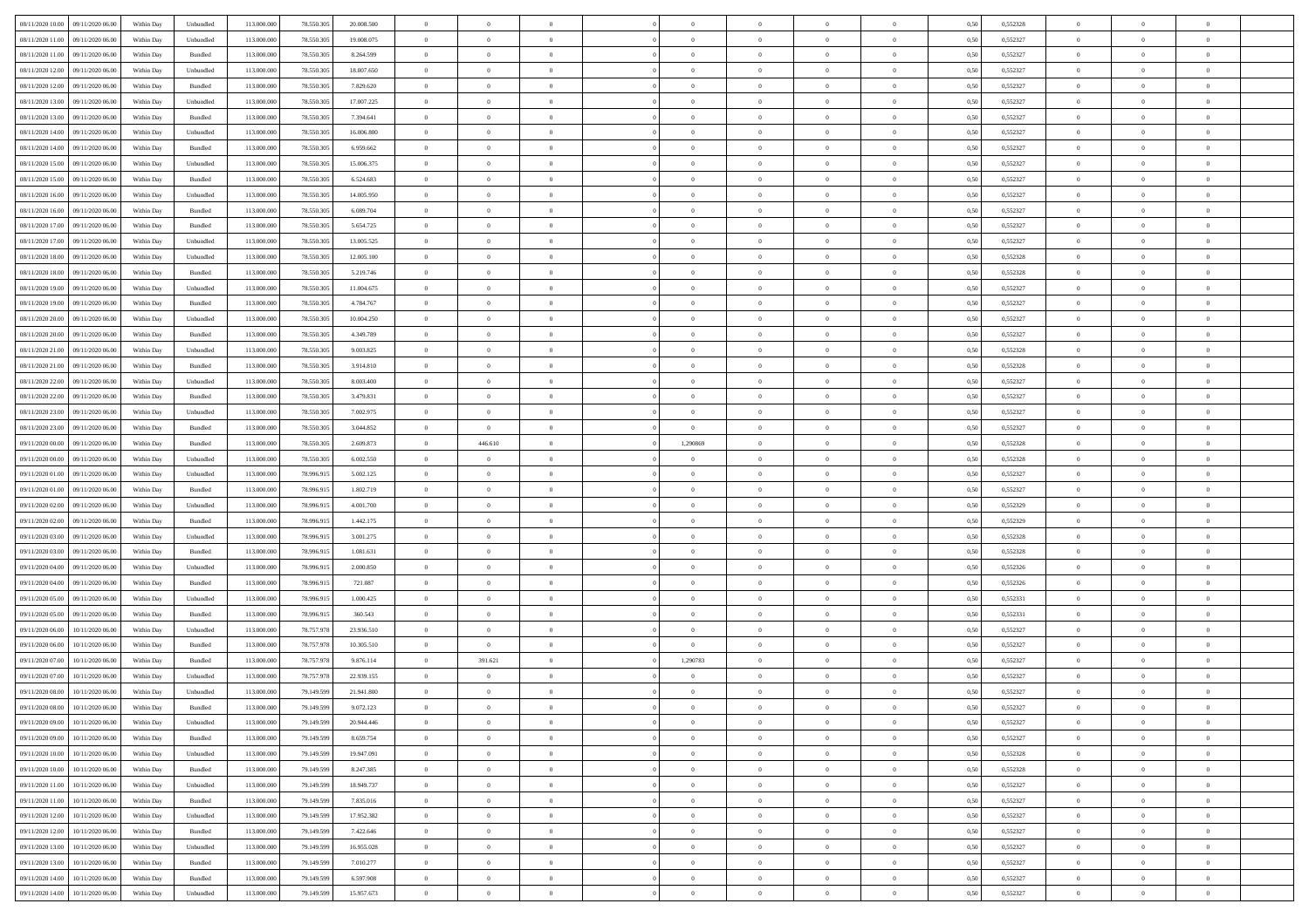| 08/11/2020 10:00<br>09/11/2020 06:00 | Within Day | Unbundled | 113.000.000 | 78.550.305 | 20.008.500 | $\overline{0}$ | $\overline{0}$ | $\overline{0}$ | $\theta$       | $\theta$       |                | $\overline{0}$ | 0,50 | 0,552328 | $\theta$       | $\theta$       | $\theta$       |  |
|--------------------------------------|------------|-----------|-------------|------------|------------|----------------|----------------|----------------|----------------|----------------|----------------|----------------|------|----------|----------------|----------------|----------------|--|
|                                      |            |           |             |            |            |                |                |                |                |                | $\overline{0}$ |                |      |          |                |                |                |  |
| 08/11/2020 11:00<br>09/11/2020 06.0  | Within Day | Unbundled | 113.000.000 | 78.550.305 | 19.008.075 | $\overline{0}$ | $\overline{0}$ | $\overline{0}$ | $\,$ 0 $\,$    | $\bf{0}$       |                | $\mathbf{0}$   | 0,50 | 0,552327 | $\,$ 0 $\,$    | $\bf{0}$       | $\overline{0}$ |  |
| 08/11/2020 11:00<br>09/11/2020 06.00 | Within Day | Bundled   | 113,000,000 | 78.550.305 | 8.264.599  | $\overline{0}$ | $\overline{0}$ | $\overline{0}$ | $\bf{0}$       | $\bf{0}$       | $\overline{0}$ | $\,$ 0 $\,$    | 0.50 | 0.552327 | $\bf{0}$       | $\overline{0}$ | $\bf{0}$       |  |
| 08/11/2020 12:00<br>09/11/2020 06.00 | Within Day | Unbundled | 113.000.000 | 78.550.305 | 18.007.650 | $\overline{0}$ | $\overline{0}$ | $\overline{0}$ | $\overline{0}$ | $\overline{0}$ | $\overline{0}$ | $\,$ 0 $\,$    | 0,50 | 0,552327 | $\theta$       | $\overline{0}$ | $\overline{0}$ |  |
| 08/11/2020 12.00<br>09/11/2020 06.0  | Within Day | Bundled   | 113.000.000 | 78.550.305 | 7.829.620  | $\overline{0}$ | $\overline{0}$ | $\overline{0}$ | $\bf{0}$       | $\bf{0}$       | $\overline{0}$ | $\bf{0}$       | 0,50 | 0,552327 | $\,$ 0 $\,$    | $\bf{0}$       | $\overline{0}$ |  |
| 08/11/2020 13:00<br>09/11/2020 06:00 | Within Day | Unbundled | 113,000,000 | 78,550,305 | 17.007.225 | $\overline{0}$ | $\overline{0}$ | $\overline{0}$ | $\bf{0}$       | $\bf{0}$       | $\overline{0}$ | $\mathbf{0}$   | 0.50 | 0.552327 | $\,$ 0 $\,$    | $\theta$       | $\overline{0}$ |  |
| 08/11/2020 13.00<br>09/11/2020 06.00 | Within Day | Bundled   | 113.000.000 | 78.550.305 | 7.394.641  | $\overline{0}$ | $\overline{0}$ | $\overline{0}$ | $\overline{0}$ | $\overline{0}$ | $\overline{0}$ | $\bf{0}$       | 0,50 | 0,552327 | $\theta$       | $\theta$       | $\overline{0}$ |  |
| 08/11/2020 14:00<br>09/11/2020 06.0  | Within Day | Unbundled | 113.000.000 | 78.550.305 | 16.006.800 | $\overline{0}$ | $\overline{0}$ | $\overline{0}$ | $\,$ 0 $\,$    | $\bf{0}$       | $\overline{0}$ | $\bf{0}$       | 0,50 | 0,552327 | $\,$ 0 $\,$    | $\bf{0}$       | $\overline{0}$ |  |
| 08/11/2020 14.00<br>09/11/2020 06:00 | Within Day | Bundled   | 113,000,000 | 78.550.305 | 6.959.662  | $\overline{0}$ | $\overline{0}$ | $\overline{0}$ | $\bf{0}$       | $\bf{0}$       | $\overline{0}$ | $\mathbf{0}$   | 0.50 | 0.552327 | $\bf{0}$       | $\overline{0}$ | $\bf{0}$       |  |
| 08/11/2020 15:00<br>09/11/2020 06.00 | Within Day | Unbundled | 113.000.000 | 78.550.305 | 15.006.375 | $\overline{0}$ | $\overline{0}$ | $\overline{0}$ | $\bf{0}$       | $\bf{0}$       | $\overline{0}$ | $\bf{0}$       | 0,50 | 0,552327 | $\,$ 0         | $\,$ 0 $\,$    | $\overline{0}$ |  |
|                                      |            |           |             |            |            |                |                |                |                |                |                |                |      |          |                |                |                |  |
| 08/11/2020 15:00<br>09/11/2020 06.0  | Within Day | Bundled   | 113.000.000 | 78.550.305 | 6.524.683  | $\overline{0}$ | $\overline{0}$ | $\overline{0}$ | $\,$ 0 $\,$    | $\bf{0}$       | $\overline{0}$ | $\bf{0}$       | 0,50 | 0,552327 | $\,$ 0 $\,$    | $\bf{0}$       | $\overline{0}$ |  |
| 08/11/2020 16:00<br>09/11/2020 06:00 | Within Day | Unbundled | 113,000,000 | 78.550.305 | 14,005,950 | $\overline{0}$ | $\overline{0}$ | $\overline{0}$ | $\bf{0}$       | $\bf{0}$       | $\overline{0}$ | $\,$ 0 $\,$    | 0.50 | 0.552327 | $\bf{0}$       | $\overline{0}$ | $\,$ 0         |  |
| 08/11/2020 16:00<br>09/11/2020 06.00 | Within Day | Bundled   | 113.000.000 | 78.550.305 | 6.089.704  | $\overline{0}$ | $\overline{0}$ | $\overline{0}$ | $\overline{0}$ | $\overline{0}$ | $\overline{0}$ | $\,$ 0 $\,$    | 0,50 | 0,552327 | $\,$ 0 $\,$    | $\theta$       | $\overline{0}$ |  |
| 08/11/2020 17.00<br>09/11/2020 06.0  | Within Day | Bundled   | 113.000.000 | 78.550.305 | 5.654.725  | $\overline{0}$ | $\overline{0}$ | $\overline{0}$ | $\bf{0}$       | $\bf{0}$       | $\overline{0}$ | $\bf{0}$       | 0,50 | 0,552327 | $\,$ 0 $\,$    | $\bf{0}$       | $\overline{0}$ |  |
| 08/11/2020 17.00<br>09/11/2020 06:00 | Within Day | Unbundled | 113,000,000 | 78,550,305 | 13.005.525 | $\overline{0}$ | $\overline{0}$ | $\overline{0}$ | $\bf{0}$       | $\bf{0}$       | $\overline{0}$ | $\mathbf{0}$   | 0.50 | 0.552327 | $\,$ 0 $\,$    | $\theta$       | $\overline{0}$ |  |
| 08/11/2020 18.00<br>09/11/2020 06.00 | Within Day | Unbundled | 113.000.000 | 78.550.305 | 12.005.100 | $\overline{0}$ | $\overline{0}$ | $\overline{0}$ | $\bf{0}$       | $\overline{0}$ | $\overline{0}$ | $\bf{0}$       | 0,50 | 0,552328 | $\theta$       | $\theta$       | $\overline{0}$ |  |
| 08/11/2020 18:00<br>09/11/2020 06.0  | Within Day | Bundled   | 113.000.000 | 78.550.305 | 5.219.746  | $\overline{0}$ | $\overline{0}$ | $\overline{0}$ | $\,$ 0 $\,$    | $\bf{0}$       | $\overline{0}$ | $\bf{0}$       | 0,50 | 0,552328 | $\,$ 0 $\,$    | $\bf{0}$       | $\overline{0}$ |  |
| 08/11/2020 19.00<br>09/11/2020 06:00 | Within Day | Unbundled | 113,000,000 | 78.550.305 | 11.004.675 | $\overline{0}$ | $\overline{0}$ | $\overline{0}$ | $\bf{0}$       | $\bf{0}$       | $\overline{0}$ | $\mathbf{0}$   | 0.50 | 0.552327 | $\bf{0}$       | $\overline{0}$ | $\bf{0}$       |  |
| 08/11/2020 19:00<br>09/11/2020 06.00 | Within Day | Bundled   | 113.000.000 | 78.550.305 | 4.784.767  | $\overline{0}$ | $\overline{0}$ | $\overline{0}$ | $\bf{0}$       | $\overline{0}$ | $\overline{0}$ | $\bf{0}$       | 0,50 | 0,552327 | $\,$ 0 $\,$    | $\bf{0}$       | $\overline{0}$ |  |
|                                      |            |           |             |            |            |                |                |                |                |                |                |                |      |          |                |                |                |  |
| 08/11/2020 20.00<br>09/11/2020 06.0  | Within Day | Unbundled | 113.000.000 | 78.550.305 | 10.004.250 | $\overline{0}$ | $\overline{0}$ | $\overline{0}$ | $\,$ 0 $\,$    | $\bf{0}$       | $\overline{0}$ | $\bf{0}$       | 0,50 | 0,552327 | $\,$ 0 $\,$    | $\bf{0}$       | $\overline{0}$ |  |
| 08/11/2020 20.00<br>09/11/2020 06:00 | Within Day | Bundled   | 113,000,000 | 78.550.305 | 4.349.789  | $\overline{0}$ | $\overline{0}$ | $\overline{0}$ | $\bf{0}$       | $\overline{0}$ | $\overline{0}$ | $\,$ 0 $\,$    | 0.50 | 0.552327 | $\bf{0}$       | $\overline{0}$ | $\,$ 0         |  |
| 08/11/2020 21.00<br>09/11/2020 06.00 | Within Day | Unbundled | 113.000.000 | 78.550.305 | 9.003.825  | $\overline{0}$ | $\overline{0}$ | $\overline{0}$ | $\overline{0}$ | $\overline{0}$ | $\overline{0}$ | $\,$ 0 $\,$    | 0,50 | 0,552328 | $\theta$       | $\theta$       | $\overline{0}$ |  |
| 08/11/2020 21.00<br>09/11/2020 06.0  | Within Day | Bundled   | 113.000.000 | 78.550.305 | 3.914.810  | $\overline{0}$ | $\overline{0}$ | $\overline{0}$ | $\overline{0}$ | $\bf{0}$       | $\overline{0}$ | $\bf{0}$       | 0,50 | 0,552328 | $\,$ 0 $\,$    | $\bf{0}$       | $\overline{0}$ |  |
| 08/11/2020 22.00<br>09/11/2020 06:00 | Within Day | Unbundled | 113,000,000 | 78,550,305 | 8.003.400  | $\overline{0}$ | $\overline{0}$ | $\overline{0}$ | $\bf{0}$       | $\bf{0}$       | $\overline{0}$ | $\mathbf{0}$   | 0.50 | 0.552327 | $\,$ 0 $\,$    | $\overline{0}$ | $\overline{0}$ |  |
| 08/11/2020 22.00<br>09/11/2020 06.00 | Within Day | Bundled   | 113.000.000 | 78.550.305 | 3.479.831  | $\overline{0}$ | $\overline{0}$ | $\overline{0}$ | $\bf{0}$       | $\overline{0}$ | $\overline{0}$ | $\bf{0}$       | 0,50 | 0,552327 | $\,$ 0 $\,$    | $\theta$       | $\overline{0}$ |  |
| 08/11/2020 23.00<br>09/11/2020 06.0  | Within Day | Unbundled | 113.000.000 | 78.550.305 | 7.002.975  | $\overline{0}$ | $\overline{0}$ | $\overline{0}$ | $\,$ 0 $\,$    | $\bf{0}$       | $\overline{0}$ | $\bf{0}$       | 0,50 | 0,552327 | $\,$ 0 $\,$    | $\bf{0}$       | $\overline{0}$ |  |
| 08/11/2020 23.00<br>09/11/2020 06:00 | Within Day | Bundled   | 113,000,000 | 78.550.305 | 3.044.852  | $\overline{0}$ | $\overline{0}$ | $\overline{0}$ | $\bf{0}$       | $\bf{0}$       | $\overline{0}$ | $\mathbf{0}$   | 0.50 | 0.552327 | $\bf{0}$       | $\overline{0}$ | $\bf{0}$       |  |
| 09/11/2020 00.00<br>09/11/2020 06.00 | Within Day | Bundled   | 113.000.000 | 78.550.305 | 2.609.873  | $\overline{0}$ | 446.610        | $\overline{0}$ | 1,290869       | $\overline{0}$ | $\overline{0}$ | $\bf{0}$       | 0,50 | 0,552328 | $\,$ 0         | $\theta$       | $\overline{0}$ |  |
| 09/11/2020 00.00<br>09/11/2020 06.0  | Within Day | Unbundled | 113.000.000 | 78.550.305 | 6.002.550  | $\overline{0}$ | $\overline{0}$ | $\overline{0}$ | $\bf{0}$       | $\bf{0}$       | $\overline{0}$ | $\mathbf{0}$   | 0,50 | 0,552328 | $\overline{0}$ | $\bf{0}$       | $\overline{0}$ |  |
|                                      |            |           |             |            |            |                |                |                |                |                |                |                |      |          |                |                |                |  |
| 09/11/2020 01.00<br>09/11/2020 06:00 | Within Day | Unbundled | 113,000,000 | 78,996,915 | 5.002.125  | $\overline{0}$ | $\overline{0}$ | $\overline{0}$ | $\bf{0}$       | $\bf{0}$       | $\overline{0}$ | $\,$ 0 $\,$    | 0.50 | 0.552327 | $\bf{0}$       | $\overline{0}$ | $\,$ 0         |  |
| 09/11/2020 01:00<br>09/11/2020 06:00 | Within Day | Bundled   | 113.000.000 | 78.996.915 | 1.802.719  | $\overline{0}$ | $\overline{0}$ | $\overline{0}$ | $\overline{0}$ | $\overline{0}$ | $\overline{0}$ | $\overline{0}$ | 0.50 | 0,552327 | $\theta$       | $\theta$       | $\overline{0}$ |  |
| 09/11/2020 02.00<br>09/11/2020 06.0  | Within Day | Unbundled | 113.000.000 | 78.996.915 | 4.001.700  | $\overline{0}$ | $\overline{0}$ | $\overline{0}$ | $\,$ 0 $\,$    | $\bf{0}$       | $\overline{0}$ | $\bf{0}$       | 0,50 | 0,552329 | $\,$ 0 $\,$    | $\bf{0}$       | $\overline{0}$ |  |
| 09/11/2020 02.00<br>09/11/2020 06.00 | Within Day | Bundled   | 113,000,000 | 78.996.915 | 1.442.175  | $\overline{0}$ | $\overline{0}$ | $\overline{0}$ | $\bf{0}$       | $\bf{0}$       | $\overline{0}$ | $\mathbf{0}$   | 0.50 | 0.552329 | $\,$ 0 $\,$    | $\bf{0}$       | $\overline{0}$ |  |
| 09/11/2020 03:00<br>09/11/2020 06:00 | Within Day | Unbundled | 113.000.000 | 78.996.915 | 3.001.275  | $\overline{0}$ | $\overline{0}$ | $\overline{0}$ | $\overline{0}$ | $\overline{0}$ | $\overline{0}$ | $\overline{0}$ | 0.50 | 0,552328 | $\theta$       | $\theta$       | $\overline{0}$ |  |
| 09/11/2020 03:00<br>09/11/2020 06.0  | Within Day | Bundled   | 113.000.000 | 78.996.915 | 1.081.631  | $\overline{0}$ | $\overline{0}$ | $\overline{0}$ | $\,$ 0 $\,$    | $\bf{0}$       | $\overline{0}$ | $\bf{0}$       | 0,50 | 0,552328 | $\,$ 0 $\,$    | $\bf{0}$       | $\overline{0}$ |  |
| 09/11/2020 04.00<br>09/11/2020 06:00 | Within Day | Unbundled | 113,000,000 | 78,996,915 | 2.000.850  | $\overline{0}$ | $\overline{0}$ | $\overline{0}$ | $\bf{0}$       | $\bf{0}$       | $\overline{0}$ | $\mathbf{0}$   | 0.50 | 0.552326 | $\bf{0}$       | $\overline{0}$ | $\bf{0}$       |  |
| 09/11/2020 04:00<br>09/11/2020 06.00 | Within Day | Bundled   | 113.000.000 | 78,996.915 | 721.087    | $\overline{0}$ | $\overline{0}$ | $\overline{0}$ | $\overline{0}$ | $\overline{0}$ | $\overline{0}$ | $\overline{0}$ | 0.50 | 0,552326 | $\theta$       | $\overline{0}$ | $\overline{0}$ |  |
| 09/11/2020 05.00<br>09/11/2020 06.0  | Within Day | Unbundled | 113.000.000 | 78.996.915 | 1.000.425  | $\overline{0}$ | $\overline{0}$ | $\overline{0}$ | $\overline{0}$ | $\bf{0}$       | $\overline{0}$ | $\mathbf{0}$   | 0,50 | 0,552331 | $\overline{0}$ | $\bf{0}$       | $\overline{0}$ |  |
| 09/11/2020 05.00<br>09/11/2020 06:00 | Within Day | Bundled   | 113,000,000 | 78.996.915 | 360,543    | $\overline{0}$ | $\overline{0}$ | $\overline{0}$ | $\bf{0}$       | $\bf{0}$       | $\overline{0}$ | $\,$ 0 $\,$    | 0.50 | 0.552331 | $\bf{0}$       | $\overline{0}$ | $\,$ 0         |  |
| 09/11/2020 06:00<br>10/11/2020 06.00 | Within Day | Unbundled | 113.000.000 | 78.757.978 | 23.936.510 | $\overline{0}$ | $\overline{0}$ | $\overline{0}$ | $\overline{0}$ | $\overline{0}$ | $\overline{0}$ | $\overline{0}$ | 0.50 | 0,552327 | $\theta$       | $\theta$       | $\overline{0}$ |  |
|                                      |            |           |             |            |            |                |                |                |                |                |                |                |      |          |                |                |                |  |
| 09/11/2020 06.00<br>10/11/2020 06.00 | Within Day | Bundled   | 113.000.000 | 78.757.978 | 10.305.510 | $\overline{0}$ | $\overline{0}$ | $\overline{0}$ | $\overline{0}$ | $\bf{0}$       | $\overline{0}$ | $\bf{0}$       | 0,50 | 0,552327 | $\,$ 0 $\,$    | $\bf{0}$       | $\overline{0}$ |  |
| 09/11/2020 07.00<br>10/11/2020 06.00 | Within Day | Bundled   | 113,000,000 | 78.757.978 | 9.876.114  | $\overline{0}$ | 391.621        | $\overline{0}$ | 1.290783       | $\overline{0}$ | $\overline{0}$ | $\mathbf{0}$   | 0.50 | 0.552327 | $\,$ 0 $\,$    | $\theta$       | $\overline{0}$ |  |
| 09/11/2020 07.00<br>10/11/2020 06.00 | Within Day | Unbundled | 113.000.000 | 78.757.978 | 22.939.155 | $\overline{0}$ | $\overline{0}$ | $\overline{0}$ | $\overline{0}$ | $\overline{0}$ | $\Omega$       | $\overline{0}$ | 0.50 | 0,552327 | $\theta$       | $\theta$       | $\overline{0}$ |  |
| 09/11/2020 08:00<br>10/11/2020 06.00 | Within Day | Unbundled | 113.000.000 | 79.149.599 | 21.941.800 | $\overline{0}$ | $\overline{0}$ | $\overline{0}$ | $\overline{0}$ | $\bf{0}$       | $\overline{0}$ | $\bf{0}$       | 0,50 | 0,552327 | $\overline{0}$ | $\bf{0}$       | $\overline{0}$ |  |
| 09/11/2020 08:00<br>10/11/2020 06:00 | Within Day | Bundled   | 113.000.000 | 79.149.599 | 9.072.123  | $\bf{0}$       | $\,$ 0 $\,$    |                | $\bf{0}$       |                |                |                | 0,50 | 0,552327 | $\theta$       | $\bf{0}$       |                |  |
| 09/11/2020 09:00 10/11/2020 06:00    | Within Dav | Unbundled | 113.000.000 | 79.149.599 | 20.944.446 | $\overline{0}$ | $\overline{0}$ | $\overline{0}$ | $\overline{0}$ | $\overline{0}$ | $\overline{0}$ | $\overline{0}$ | 0,50 | 0,552327 | $\theta$       | $\theta$       | $\overline{0}$ |  |
| 09/11/2020 09:00<br>10/11/2020 06.00 | Within Day | Bundled   | 113.000.000 | 79.149.599 | 8.659.754  | $\overline{0}$ | $\overline{0}$ | $\overline{0}$ | $\bf{0}$       | $\overline{0}$ | $\overline{0}$ | $\mathbf{0}$   | 0,50 | 0,552327 | $\overline{0}$ | $\overline{0}$ | $\bf{0}$       |  |
| 09/11/2020 10.00<br>10/11/2020 06.00 | Within Day | Unbundled | 113.000.000 | 79.149.599 | 19.947.091 | $\overline{0}$ | $\overline{0}$ | $\overline{0}$ | $\,$ 0 $\,$    | $\bf{0}$       | $\overline{0}$ | $\mathbf{0}$   | 0.50 | 0.552328 | $\overline{0}$ | $\bf{0}$       | $\bf{0}$       |  |
| 10/11/2020 06:00<br>09/11/2020 10:00 | Within Dav | Bundled   | 113.000.000 | 79.149.599 | 8.247.385  | $\overline{0}$ | $\overline{0}$ | $\overline{0}$ | $\overline{0}$ | $\overline{0}$ | $\overline{0}$ | $\mathbf{0}$   | 0,50 | 0,552328 | $\overline{0}$ | $\theta$       | $\overline{0}$ |  |
| 09/11/2020 11:00<br>10/11/2020 06.00 | Within Day | Unbundled | 113.000.000 | 79.149.599 | 18.949.737 | $\overline{0}$ | $\overline{0}$ | $\overline{0}$ | $\bf{0}$       | $\bf{0}$       | $\overline{0}$ | $\mathbf{0}$   | 0,50 | 0,552327 | $\overline{0}$ | $\bf{0}$       | $\overline{0}$ |  |
|                                      |            |           |             |            |            |                |                |                |                |                |                |                |      |          |                |                |                |  |
| 09/11/2020 11.00<br>10/11/2020 06.00 | Within Day | Bundled   | 113.000.000 | 79.149.599 | 7.835.016  | $\overline{0}$ | $\overline{0}$ | $\overline{0}$ | $\bf{0}$       | $\overline{0}$ | $\overline{0}$ | $\mathbf{0}$   | 0.50 | 0.552327 | $\,$ 0 $\,$    | $\theta$       | $\,$ 0         |  |
| 09/11/2020 12:00<br>10/11/2020 06:00 | Within Day | Unbundled | 113.000.000 | 79.149.599 | 17.952.382 | $\overline{0}$ | $\overline{0}$ | $\overline{0}$ | $\overline{0}$ | $\overline{0}$ | $\overline{0}$ | $\mathbf{0}$   | 0,50 | 0,552327 | $\overline{0}$ | $\theta$       | $\overline{0}$ |  |
| 09/11/2020 12.00<br>10/11/2020 06.00 | Within Day | Bundled   | 113.000.000 | 79.149.599 | 7.422.646  | $\overline{0}$ | $\overline{0}$ | $\overline{0}$ | $\bf{0}$       | $\overline{0}$ | $\overline{0}$ | $\,$ 0 $\,$    | 0,50 | 0,552327 | $\bf{0}$       | $\bf{0}$       | $\overline{0}$ |  |
| 09/11/2020 13.00<br>10/11/2020 06.00 | Within Day | Unbundled | 113.000.000 | 79.149.599 | 16.955.028 | $\overline{0}$ | $\overline{0}$ | $\overline{0}$ | $\bf{0}$       | $\overline{0}$ | $\overline{0}$ | $\,$ 0 $\,$    | 0.50 | 0.552327 | $\overline{0}$ | $\bf{0}$       | $\,$ 0         |  |
| 10/11/2020 06:00<br>09/11/2020 13:00 | Within Dav | Bundled   | 113.000.000 | 79.149.599 | 7.010.277  | $\overline{0}$ | $\overline{0}$ | $\overline{0}$ | $\overline{0}$ | $\overline{0}$ | $\overline{0}$ | $\mathbf{0}$   | 0,50 | 0,552327 | $\overline{0}$ | $\theta$       | $\overline{0}$ |  |
| 09/11/2020 14.00<br>10/11/2020 06.00 | Within Day | Bundled   | 113.000.000 | 79.149.599 | 6.597.908  | $\overline{0}$ | $\overline{0}$ | $\overline{0}$ | $\overline{0}$ | $\bf{0}$       | $\overline{0}$ | $\mathbf{0}$   | 0,50 | 0,552327 | $\bf{0}$       | $\bf{0}$       | $\overline{0}$ |  |
| 09/11/2020 14:00 10/11/2020 06:00    | Within Day | Unbundled | 113.000.000 | 79.149.599 | 15.957.673 | $\overline{0}$ | $\overline{0}$ | $\overline{0}$ | $\bf{0}$       | $\,$ 0         | $\overline{0}$ | $\,0\,$        | 0,50 | 0,552327 | $\overline{0}$ | $\,$ 0 $\,$    | $\,$ 0 $\,$    |  |
|                                      |            |           |             |            |            |                |                |                |                |                |                |                |      |          |                |                |                |  |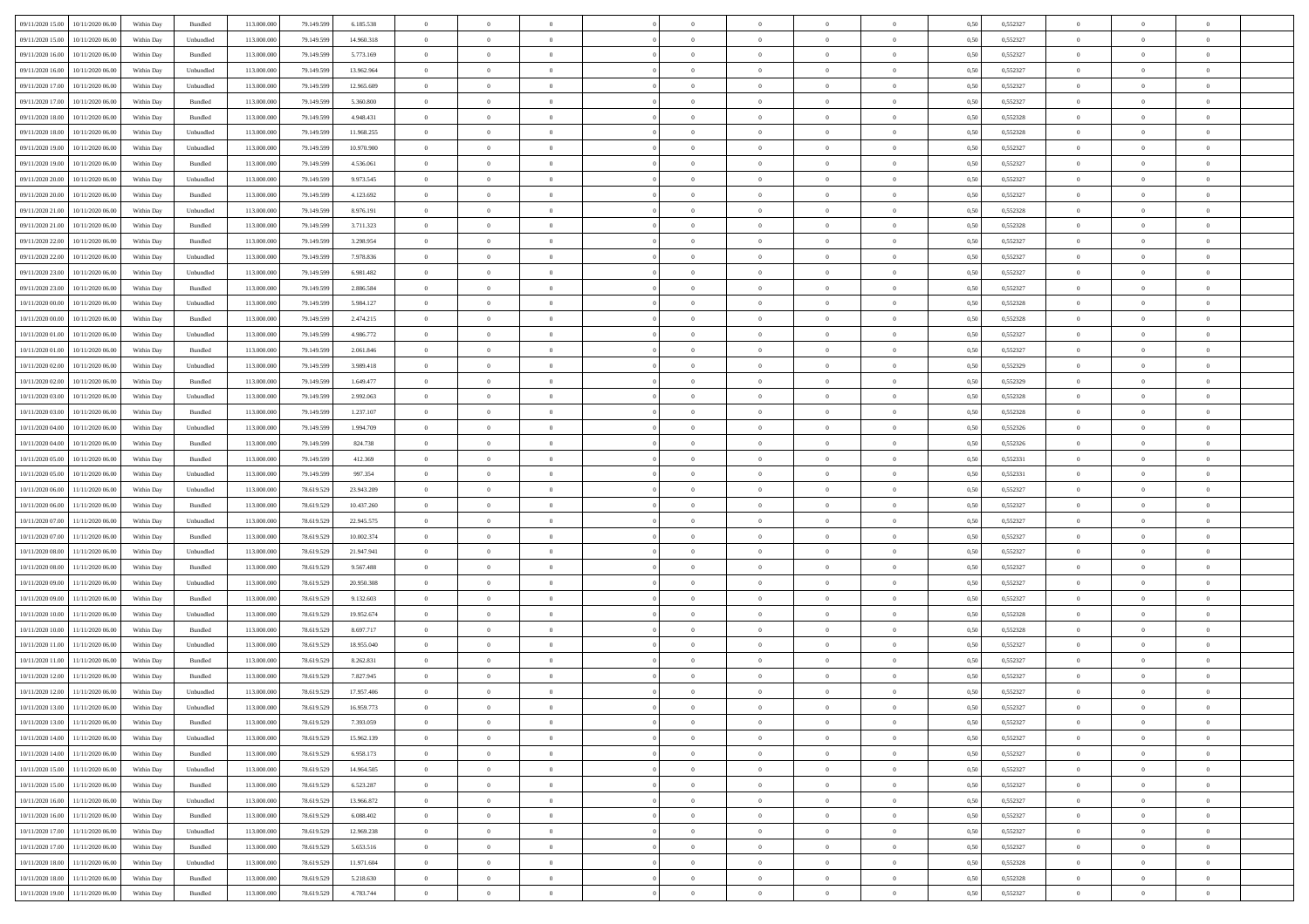| 09/11/2020 15:00 10/11/2020 06:00    | Within Day | Bundled                     | 113.000.000 | 79.149.599 | 6.185.538  | $\overline{0}$ | $\overline{0}$ |                | $\overline{0}$ | $\theta$       |                | $\theta$       | 0,50 | 0,552327 | $\theta$       | $\theta$       | $\overline{0}$ |  |
|--------------------------------------|------------|-----------------------------|-------------|------------|------------|----------------|----------------|----------------|----------------|----------------|----------------|----------------|------|----------|----------------|----------------|----------------|--|
| 09/11/2020 15:00<br>10/11/2020 06.00 | Within Day | Unbundled                   | 113.000.00  | 79.149.59  | 14.960.318 | $\bf{0}$       | $\bf{0}$       | $\bf{0}$       | $\bf{0}$       | $\overline{0}$ | $\overline{0}$ | $\bf{0}$       | 0,50 | 0,552327 | $\,$ 0 $\,$    | $\bf{0}$       | $\overline{0}$ |  |
| 09/11/2020 16.00<br>10/11/2020 06:00 | Within Day | Bundled                     | 113,000,000 | 79.149.599 | 5.773.169  | $\overline{0}$ | $\bf{0}$       | $\overline{0}$ | $\bf{0}$       | $\bf{0}$       | $\overline{0}$ | $\bf{0}$       | 0.50 | 0,552327 | $\bf{0}$       | $\overline{0}$ | $\overline{0}$ |  |
| 09/11/2020 16:00                     |            |                             | 113.000.000 |            |            | $\overline{0}$ | $\overline{0}$ | $\overline{0}$ | $\theta$       | $\theta$       | $\overline{0}$ |                |      | 0,552327 | $\theta$       | $\theta$       | $\overline{0}$ |  |
| 10/11/2020 06.00                     | Within Day | Unbundled                   |             | 79.149.599 | 13.962.964 |                |                |                |                |                |                | $\bf{0}$       | 0,50 |          |                |                |                |  |
| 09/11/2020 17.00<br>10/11/2020 06.00 | Within Day | Unbundled                   | 113.000.00  | 79.149.599 | 12.965.609 | $\bf{0}$       | $\overline{0}$ | $\bf{0}$       | $\overline{0}$ | $\theta$       | $\overline{0}$ | $\bf{0}$       | 0,50 | 0,552327 | $\,$ 0 $\,$    | $\bf{0}$       | $\overline{0}$ |  |
| 09/11/2020 17.00<br>10/11/2020 06.00 | Within Day | Bundled                     | 113,000,000 | 79.149.599 | 5,360,800  | $\overline{0}$ | $\bf{0}$       | $\overline{0}$ | $\bf{0}$       | $\overline{0}$ | $\overline{0}$ | $\bf{0}$       | 0.50 | 0.552327 | $\,$ 0 $\,$    | $\theta$       | $\overline{0}$ |  |
| 09/11/2020 18:00<br>10/11/2020 06.00 | Within Day | Bundled                     | 113.000.000 | 79.149.599 | 4.948.431  | $\overline{0}$ | $\overline{0}$ | $\overline{0}$ | $\overline{0}$ | $\overline{0}$ | $\overline{0}$ | $\bf{0}$       | 0,50 | 0,552328 | $\,$ 0 $\,$    | $\theta$       | $\overline{0}$ |  |
|                                      |            |                             |             |            |            |                |                |                |                |                |                |                |      |          |                |                |                |  |
| 09/11/2020 18:00<br>10/11/2020 06.00 | Within Day | Unbundled                   | 113.000.00  | 79.149.59  | 11.968.255 | $\bf{0}$       | $\bf{0}$       | $\bf{0}$       | $\overline{0}$ | $\overline{0}$ | $\overline{0}$ | $\bf{0}$       | 0,50 | 0,552328 | $\,$ 0 $\,$    | $\bf{0}$       | $\overline{0}$ |  |
| 09/11/2020 19:00<br>10/11/2020 06:00 | Within Day | Unbundled                   | 113,000,000 | 79.149.599 | 10.970.900 | $\overline{0}$ | $\bf{0}$       | $\overline{0}$ | $\bf{0}$       | $\overline{0}$ | $\overline{0}$ | $\bf{0}$       | 0.50 | 0.552327 | $\bf{0}$       | $\overline{0}$ | $\overline{0}$ |  |
| 09/11/2020 19:00<br>10/11/2020 06.00 | Within Day | Bundled                     | 113.000.000 | 79.149.599 | 4.536.061  | $\overline{0}$ | $\bf{0}$       | $\overline{0}$ | $\overline{0}$ | $\overline{0}$ | $\overline{0}$ | $\bf{0}$       | 0,50 | 0,552327 | $\,$ 0 $\,$    | $\bf{0}$       | $\overline{0}$ |  |
| 09/11/2020 20:00<br>10/11/2020 06.00 | Within Day | Unbundled                   | 113.000.00  | 79.149.599 | 9.973.545  | $\bf{0}$       | $\bf{0}$       | $\bf{0}$       | $\bf{0}$       | $\bf{0}$       | $\overline{0}$ | $\bf{0}$       | 0,50 | 0,552327 | $\,$ 0 $\,$    | $\bf{0}$       | $\overline{0}$ |  |
|                                      |            |                             |             |            |            |                |                |                |                |                |                |                |      |          |                |                |                |  |
| 09/11/2020 20.00<br>10/11/2020 06.00 | Within Day | Bundled                     | 113,000,000 | 79.149.599 | 4.123.692  | $\overline{0}$ | $\bf{0}$       | $\overline{0}$ | $\overline{0}$ | $\bf{0}$       | $\overline{0}$ | $\bf{0}$       | 0.50 | 0,552327 | $\bf{0}$       | $\overline{0}$ | $\,$ 0         |  |
| 09/11/2020 21.00<br>10/11/2020 06.00 | Within Day | Unbundled                   | 113.000.000 | 79.149.599 | 8.976.191  | $\overline{0}$ | $\overline{0}$ | $\overline{0}$ | $\theta$       | $\theta$       | $\overline{0}$ | $\bf{0}$       | 0,50 | 0,552328 | $\,$ 0 $\,$    | $\theta$       | $\overline{0}$ |  |
| 09/11/2020 21.00<br>10/11/2020 06.00 | Within Day | Bundled                     | 113.000.00  | 79.149.599 | 3.711.323  | $\bf{0}$       | $\overline{0}$ | $\bf{0}$       | $\bf{0}$       | $\bf{0}$       | $\overline{0}$ | $\bf{0}$       | 0,50 | 0,552328 | $\,$ 0 $\,$    | $\bf{0}$       | $\overline{0}$ |  |
| 09/11/2020 22.00<br>10/11/2020 06.00 | Within Day | Bundled                     | 113,000,000 | 79.149.599 | 3.298.954  | $\overline{0}$ | $\bf{0}$       | $\overline{0}$ | $\bf{0}$       | $\overline{0}$ | $\theta$       | $\bf{0}$       | 0.50 | 0.552327 | $\,$ 0 $\,$    | $\theta$       | $\overline{0}$ |  |
| 09/11/2020 22.00<br>10/11/2020 06.00 | Within Day | Unbundled                   | 113.000.000 | 79.149.599 | 7.978.836  | $\overline{0}$ | $\overline{0}$ | $\overline{0}$ | $\overline{0}$ | $\overline{0}$ | $\overline{0}$ | $\bf{0}$       | 0,50 | 0,552327 | $\theta$       | $\theta$       | $\overline{0}$ |  |
|                                      |            |                             |             |            |            |                |                |                |                |                |                |                |      |          |                |                |                |  |
| 09/11/2020 23.00<br>10/11/2020 06.00 | Within Day | Unbundled                   | 113.000.00  | 79.149.599 | 6.981.482  | $\bf{0}$       | $\bf{0}$       | $\bf{0}$       | $\overline{0}$ | $\bf{0}$       | $\overline{0}$ | $\bf{0}$       | 0,50 | 0,552327 | $\,$ 0 $\,$    | $\bf{0}$       | $\overline{0}$ |  |
| 09/11/2020 23.00<br>10/11/2020 06:00 | Within Day | Bundled                     | 113,000,000 | 79.149.599 | 2.886.584  | $\overline{0}$ | $\bf{0}$       | $\overline{0}$ | $\bf{0}$       | $\overline{0}$ | $\overline{0}$ | $\bf{0}$       | 0.50 | 0.552327 | $\bf{0}$       | $\overline{0}$ | $\overline{0}$ |  |
| 10/11/2020 00:00<br>10/11/2020 06.00 | Within Day | Unbundled                   | 113.000.000 | 79.149.599 | 5.984.127  | $\bf{0}$       | $\bf{0}$       | $\overline{0}$ | $\overline{0}$ | $\overline{0}$ | $\overline{0}$ | $\bf{0}$       | 0,50 | 0,552328 | $\,$ 0 $\,$    | $\bf{0}$       | $\overline{0}$ |  |
| 10/11/2020 00:00<br>10/11/2020 06.00 | Within Day | Bundled                     | 113.000.00  | 79.149.599 | 2.474.215  | $\bf{0}$       | $\bf{0}$       | $\bf{0}$       | $\bf{0}$       | $\overline{0}$ | $\overline{0}$ | $\bf{0}$       | 0,50 | 0,552328 | $\,$ 0 $\,$    | $\bf{0}$       | $\overline{0}$ |  |
|                                      |            |                             |             |            |            |                |                |                |                |                |                |                |      |          |                |                |                |  |
| 10/11/2020 01:00<br>10/11/2020 06.00 | Within Day | Unbundled                   | 113,000,000 | 79.149.599 | 4.986.772  | $\overline{0}$ | $\bf{0}$       | $\overline{0}$ | $\overline{0}$ | $\bf{0}$       | $\overline{0}$ | $\bf{0}$       | 0.50 | 0,552327 | $\bf{0}$       | $\overline{0}$ | $\,$ 0         |  |
| 10/11/2020 01:00<br>10/11/2020 06:00 | Within Day | Bundled                     | 113.000.000 | 79.149.599 | 2.061.846  | $\overline{0}$ | $\overline{0}$ | $\overline{0}$ | $\theta$       | $\theta$       | $\overline{0}$ | $\bf{0}$       | 0,50 | 0,552327 | $\theta$       | $\theta$       | $\overline{0}$ |  |
| 10/11/2020 02.00<br>10/11/2020 06.00 | Within Day | Unbundled                   | 113.000.00  | 79.149.599 | 3.989.418  | $\bf{0}$       | $\bf{0}$       | $\bf{0}$       | $\bf{0}$       | $\overline{0}$ | $\overline{0}$ | $\bf{0}$       | 0,50 | 0,552329 | $\,$ 0 $\,$    | $\bf{0}$       | $\overline{0}$ |  |
| 10/11/2020 02.00<br>10/11/2020 06.00 | Within Day | Bundled                     | 113,000,000 | 79.149.599 | 1.649.477  | $\overline{0}$ | $\bf{0}$       | $\overline{0}$ | $\bf{0}$       | $\overline{0}$ | $\overline{0}$ | $\bf{0}$       | 0.50 | 0.552329 | $\bf{0}$       | $\theta$       | $\overline{0}$ |  |
| 10/11/2020 03:00<br>10/11/2020 06.00 | Within Day | Unbundled                   | 113.000.000 | 79.149.599 | 2.992.063  | $\overline{0}$ | $\overline{0}$ | $\overline{0}$ | $\overline{0}$ | $\overline{0}$ | $\overline{0}$ | $\bf{0}$       | 0,50 | 0,552328 | $\,$ 0 $\,$    | $\theta$       | $\overline{0}$ |  |
|                                      |            |                             |             |            |            |                |                |                |                |                |                |                |      |          |                |                |                |  |
| 10/11/2020 03:00<br>10/11/2020 06.00 | Within Day | Bundled                     | 113.000.00  | 79.149.599 | 1.237.107  | $\bf{0}$       | $\overline{0}$ | $\bf{0}$       | $\overline{0}$ | $\bf{0}$       | $\overline{0}$ | $\bf{0}$       | 0,50 | 0,552328 | $\,$ 0 $\,$    | $\bf{0}$       | $\overline{0}$ |  |
| 10/11/2020 04:00<br>10/11/2020 06:00 | Within Day | Unbundled                   | 113,000,000 | 79.149.599 | 1.994.709  | $\overline{0}$ | $\bf{0}$       | $\overline{0}$ | $\bf{0}$       | $\overline{0}$ | $\overline{0}$ | $\bf{0}$       | 0.50 | 0.552326 | $\bf{0}$       | $\overline{0}$ | $\overline{0}$ |  |
| 10/11/2020 04:00<br>10/11/2020 06.00 | Within Day | Bundled                     | 113.000.000 | 79.149.599 | 824.738    | $\overline{0}$ | $\bf{0}$       | $\overline{0}$ | $\overline{0}$ | $\overline{0}$ | $\overline{0}$ | $\bf{0}$       | 0,50 | 0,552326 | $\,$ 0 $\,$    | $\theta$       | $\overline{0}$ |  |
| 10/11/2020 05:00<br>10/11/2020 06.00 | Within Day | Bundled                     | 113.000.00  | 79.149.599 | 412.369    | $\bf{0}$       | $\bf{0}$       | $\bf{0}$       | $\bf{0}$       | $\overline{0}$ | $\overline{0}$ | $\bf{0}$       | 0,50 | 0,552331 | $\,$ 0 $\,$    | $\bf{0}$       | $\overline{0}$ |  |
|                                      |            |                             |             |            |            |                |                |                |                |                |                |                |      |          |                |                |                |  |
| 10/11/2020 05:00<br>10/11/2020 06:00 | Within Day | Unbundled                   | 113,000,000 | 79.149.599 | 997.354    | $\overline{0}$ | $\bf{0}$       | $\overline{0}$ | $\overline{0}$ | $\bf{0}$       | $\overline{0}$ | $\bf{0}$       | 0.50 | 0.552331 | $\bf{0}$       | $\overline{0}$ | $\,$ 0         |  |
| 10/11/2020 06:00<br>11/11/2020 06.00 | Within Day | Unbundled                   | 113.000.000 | 78.619.529 | 23.943.209 | $\overline{0}$ | $\overline{0}$ | $\overline{0}$ | $\overline{0}$ | $\overline{0}$ | $\overline{0}$ | $\bf{0}$       | 0.5( | 0,552327 | $\theta$       | $\theta$       | $\overline{0}$ |  |
| 10/11/2020 06:00<br>11/11/2020 06.00 | Within Day | Bundled                     | 113.000.00  | 78.619.529 | 10.437.260 | $\bf{0}$       | $\bf{0}$       | $\bf{0}$       | $\bf{0}$       | $\overline{0}$ | $\overline{0}$ | $\bf{0}$       | 0,50 | 0,552327 | $\,$ 0 $\,$    | $\bf{0}$       | $\overline{0}$ |  |
| 10/11/2020 07:00<br>11/11/2020 06.00 | Within Day | Unbundled                   | 113,000,000 | 78.619.529 | 22.945.575 | $\overline{0}$ | $\bf{0}$       | $\overline{0}$ | $\bf{0}$       | $\overline{0}$ | $\overline{0}$ | $\bf{0}$       | 0.50 | 0.552327 | $\,$ 0 $\,$    | $\bf{0}$       | $\overline{0}$ |  |
| 10/11/2020 07.00<br>11/11/2020 06.00 | Within Dav | Bundled                     | 113.000.000 | 78.619.529 | 10.002.374 | $\overline{0}$ | $\overline{0}$ | $\overline{0}$ | $\overline{0}$ | $\overline{0}$ | $\overline{0}$ | $\bf{0}$       | 0.50 | 0,552327 | $\theta$       | $\theta$       | $\overline{0}$ |  |
|                                      |            |                             |             |            |            |                |                |                |                |                |                |                |      |          |                |                |                |  |
| 10/11/2020 08:00<br>11/11/2020 06.00 | Within Day | Unbundled                   | 113.000.00  | 78.619.529 | 21.947.941 | $\bf{0}$       | $\bf{0}$       | $\bf{0}$       | $\bf{0}$       | $\overline{0}$ | $\overline{0}$ | $\bf{0}$       | 0,50 | 0,552327 | $\,$ 0 $\,$    | $\bf{0}$       | $\overline{0}$ |  |
| 10/11/2020 08:00<br>11/11/2020 06:00 | Within Day | Bundled                     | 113,000,00  | 78.619.529 | 9.567.488  | $\overline{0}$ | $\bf{0}$       | $\overline{0}$ | $\bf{0}$       | $\overline{0}$ | $\overline{0}$ | $\bf{0}$       | 0.50 | 0.552327 | $\bf{0}$       | $\overline{0}$ | $\overline{0}$ |  |
| 10/11/2020 09:00<br>11/11/2020 06.00 | Within Day | Unbundled                   | 113.000.000 | 78.619.529 | 20.950.308 | $\overline{0}$ | $\overline{0}$ | $\overline{0}$ | $\overline{0}$ | $\overline{0}$ | $\overline{0}$ | $\bf{0}$       | 0.50 | 0,552327 | $\theta$       | $\theta$       | $\overline{0}$ |  |
| 10/11/2020 09:00<br>11/11/2020 06.00 | Within Day | Bundled                     | 113.000.00  | 78.619.529 | 9.132.603  | $\bf{0}$       | $\bf{0}$       | $\bf{0}$       | $\bf{0}$       | $\overline{0}$ | $\overline{0}$ | $\bf{0}$       | 0,50 | 0,552327 | $\,$ 0 $\,$    | $\bf{0}$       | $\overline{0}$ |  |
|                                      |            |                             | 113,000,000 |            |            |                |                | $\overline{0}$ |                |                | $\overline{0}$ |                | 0.50 |          | $\,$ 0 $\,$    |                |                |  |
| 10/11/2020 10:00<br>11/11/2020 06.00 | Within Day | Unbundled                   |             | 78.619.529 | 19.952.674 | $\overline{0}$ | $\bf{0}$       |                | $\overline{0}$ | $\bf{0}$       |                | $\bf{0}$       |      | 0,552328 |                | $\overline{0}$ | $\overline{0}$ |  |
| 10/11/2020 10:00<br>11/11/2020 06:00 | Within Dav | Bundled                     | 113.000.000 | 78.619.529 | 8.697.717  | $\overline{0}$ | $\overline{0}$ | $\overline{0}$ | $\overline{0}$ | $\overline{0}$ | $\overline{0}$ | $\bf{0}$       | 0.5( | 0,552328 | $\theta$       | $\theta$       | $\overline{0}$ |  |
| 10/11/2020 11:00<br>11/11/2020 06.00 | Within Day | Unbundled                   | 113.000.00  | 78.619.529 | 18.955.040 | $\bf{0}$       | $\bf{0}$       | $\bf{0}$       | $\bf{0}$       | $\overline{0}$ | $\overline{0}$ | $\bf{0}$       | 0,50 | 0,552327 | $\,$ 0 $\,$    | $\bf{0}$       | $\overline{0}$ |  |
| 10/11/2020 11:00<br>11/11/2020 06.00 | Within Day | Bundled                     | 113,000,000 | 78.619.529 | 8.262.831  | $\overline{0}$ | $\overline{0}$ | $\overline{0}$ | $\bf{0}$       | $\overline{0}$ | $\Omega$       | $\bf{0}$       | 0.50 | 0.552327 | $\bf{0}$       | $\theta$       | $\overline{0}$ |  |
| 10/11/2020 12:00<br>11/11/2020 06.00 | Within Dav | Bundled                     | 113.000.000 | 78.619.529 | 7.827.945  | $\overline{0}$ | $\overline{0}$ | $\overline{0}$ | $\overline{0}$ | $\theta$       | $\overline{0}$ | $\overline{0}$ | 0.5( | 0,552327 | $\theta$       | $\theta$       | $\overline{0}$ |  |
|                                      |            |                             |             |            |            |                |                |                |                |                |                |                |      |          |                |                |                |  |
| 10/11/2020 12:00<br>11/11/2020 06.00 | Within Day | Unbundled                   | 113.000.00  | 78.619.529 | 17.957.406 | $\bf{0}$       | $\bf{0}$       | $\bf{0}$       | $\bf{0}$       | $\bf{0}$       | $\overline{0}$ | $\bf{0}$       | 0,50 | 0,552327 | $\,$ 0 $\,$    | $\overline{0}$ | $\overline{0}$ |  |
| 10/11/2020 13:00 11/11/2020 06:00    | Within Day | $\ensuremath{\mathsf{Unb}}$ | 113.000.000 | 78.619.529 | 16 959 773 | $\bf{0}$       | $\theta$       |                | $\overline{0}$ |                |                |                | 0,50 | 0,552327 | $\bf{0}$       | $\bf{0}$       |                |  |
| 10/11/2020 13:00 11/11/2020 06:00    | Within Day | Bundled                     | 113.000.000 | 78.619.529 | 7.393.059  | $\overline{0}$ | $\theta$       | $\Omega$       | $\theta$       | $\theta$       | $\overline{0}$ | $\bf{0}$       | 0,50 | 0,552327 | $\theta$       | $\theta$       | $\overline{0}$ |  |
| 10/11/2020 14:00<br>11/11/2020 06.00 | Within Day | Unbundled                   | 113.000.00  | 78.619.529 | 15.962.139 | $\overline{0}$ | $\bf{0}$       | $\overline{0}$ | $\overline{0}$ | $\bf{0}$       | $\overline{0}$ | $\bf{0}$       | 0,50 | 0,552327 | $\bf{0}$       | $\overline{0}$ | $\bf{0}$       |  |
| 10/11/2020 14:00 11/11/2020 06:00    | Within Day | Bundled                     | 113,000,000 | 78.619.529 | 6.958.173  | $\overline{0}$ | $\bf{0}$       | $\overline{0}$ | $\overline{0}$ | $\overline{0}$ | $\overline{0}$ | $\,$ 0 $\,$    | 0.50 | 0,552327 | $\overline{0}$ | $\bf{0}$       | $\,$ 0 $\,$    |  |
|                                      |            |                             |             |            |            |                |                |                |                |                |                |                |      |          |                |                |                |  |
| 10/11/2020 15:00 11/11/2020 06:00    | Within Dav | Unbundled                   | 113.000.000 | 78.619.529 | 14.964.505 | $\overline{0}$ | $\overline{0}$ | $\overline{0}$ | $\overline{0}$ | $\overline{0}$ | $\overline{0}$ | $\bf{0}$       | 0.50 | 0,552327 | $\overline{0}$ | $\theta$       | $\overline{0}$ |  |
| 10/11/2020 15:00<br>11/11/2020 06.00 | Within Day | Bundled                     | 113.000.000 | 78.619.529 | 6.523.287  | $\overline{0}$ | $\bf{0}$       | $\overline{0}$ | $\bf{0}$       | $\overline{0}$ | $\bf{0}$       | $\bf{0}$       | 0,50 | 0,552327 | $\bf{0}$       | $\bf{0}$       | $\overline{0}$ |  |
| 10/11/2020 16:00<br>11/11/2020 06:00 | Within Day | Unbundled                   | 113,000,000 | 78.619.529 | 13.966.872 | $\overline{0}$ | $\bf{0}$       | $\overline{0}$ | $\overline{0}$ | $\overline{0}$ | $\overline{0}$ | $\bf{0}$       | 0.50 | 0.552327 | $\,$ 0 $\,$    | $\theta$       | $\,$ 0         |  |
| 10/11/2020 16:00<br>11/11/2020 06:00 | Within Dav | Bundled                     | 113.000.000 | 78.619.529 | 6.088.402  | $\overline{0}$ | $\overline{0}$ | $\overline{0}$ | $\overline{0}$ | $\overline{0}$ | $\overline{0}$ | $\bf{0}$       | 0.50 | 0,552327 | $\overline{0}$ | $\theta$       | $\overline{0}$ |  |
|                                      |            |                             |             |            |            |                |                |                |                |                |                |                |      |          |                |                |                |  |
| 10/11/2020 17:00<br>11/11/2020 06.00 | Within Day | Unbundled                   | 113.000.00  | 78.619.529 | 12.969.238 | $\overline{0}$ | $\overline{0}$ | $\overline{0}$ | $\overline{0}$ | $\overline{0}$ | $\overline{0}$ | $\bf{0}$       | 0,50 | 0,552327 | $\bf{0}$       | $\overline{0}$ | $\overline{0}$ |  |
| 11/11/2020 06:00<br>10/11/2020 17.00 | Within Day | Bundled                     | 113,000,000 | 78.619.529 | 5.653.516  | $\overline{0}$ | $\overline{0}$ | $\overline{0}$ | $\overline{0}$ | $\bf{0}$       | $\overline{0}$ | $\bf{0}$       | 0.50 | 0.552327 | $\mathbf{0}$   | $\,$ 0 $\,$    | $\,$ 0         |  |
| 10/11/2020 18:00 11/11/2020 06:00    | Within Dav | Unbundled                   | 113.000.000 | 78.619.529 | 11.971.604 | $\overline{0}$ | $\overline{0}$ | $\overline{0}$ | $\overline{0}$ | $\overline{0}$ | $\overline{0}$ | $\bf{0}$       | 0.50 | 0,552328 | $\overline{0}$ | $\theta$       | $\overline{0}$ |  |
| 10/11/2020 18:00<br>11/11/2020 06.00 | Within Day | Bundled                     | 113.000.00  | 78.619.529 | 5.218.630  | $\overline{0}$ | $\bf{0}$       | $\overline{0}$ | $\bf{0}$       | $\overline{0}$ | $\bf{0}$       | $\bf{0}$       | 0,50 | 0,552328 | $\bf{0}$       | $\bf{0}$       | $\overline{0}$ |  |
|                                      |            |                             |             |            |            |                |                |                |                |                |                |                |      |          |                |                |                |  |
| 10/11/2020 19:00 11/11/2020 06:00    | Within Day | Bundled                     | 113.000.000 | 78.619.529 | 4.783.744  | $\overline{0}$ | $\bf{0}$       | $\overline{0}$ | $\overline{0}$ | $\,$ 0 $\,$    | $\overline{0}$ | $\bf{0}$       | 0,50 | 0,552327 | $\overline{0}$ | $\,$ 0 $\,$    | $\,$ 0 $\,$    |  |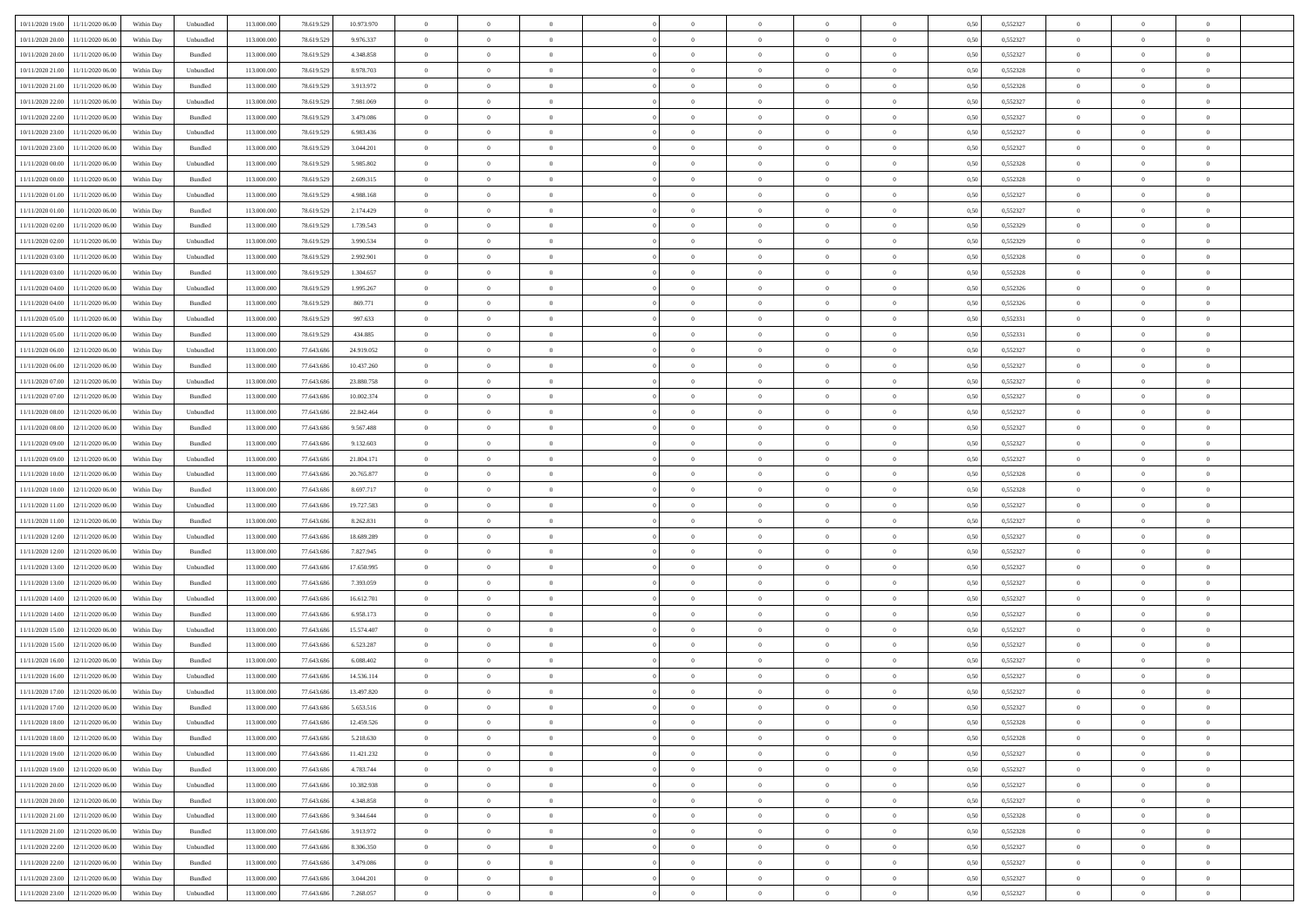| 10/11/2020 19:00                  | 11/11/2020 06:00                  | Within Day | Unbundled          | 113.000.000 | 78.619.529 | 10.973.970 | $\overline{0}$ | $\theta$       |                | $\overline{0}$ | $\bf{0}$       | $\overline{0}$ | $\theta$       | 0,50 | 0,552327 | $\theta$       | $\theta$       | $\theta$                 |  |
|-----------------------------------|-----------------------------------|------------|--------------------|-------------|------------|------------|----------------|----------------|----------------|----------------|----------------|----------------|----------------|------|----------|----------------|----------------|--------------------------|--|
| 10/11/2020 20.00                  | 11/11/2020 06.00                  | Within Day | Unbundled          | 113.000.00  | 78.619.529 | 9.976.337  | $\overline{0}$ | $\,$ 0 $\,$    | $\overline{0}$ | $\overline{0}$ | $\,$ 0         | $\bf{0}$       | $\bf{0}$       | 0,50 | 0,552327 | $\,$ 0 $\,$    | $\overline{0}$ | $\overline{0}$           |  |
|                                   |                                   |            |                    |             |            |            |                |                |                |                |                |                |                |      |          |                |                |                          |  |
| 10/11/2020 20:00                  | 11/11/2020 06:00                  | Within Day | Bundled            | 113.000.000 | 78.619.529 | 4.348.858  | $\overline{0}$ | $\bf{0}$       | $\overline{0}$ | $\overline{0}$ | $\bf{0}$       | $\overline{0}$ | $\mathbf{0}$   | 0.50 | 0,552327 | $\bf{0}$       | $\overline{0}$ | $\overline{0}$           |  |
| 10/11/2020 21:00                  | 11/11/2020 06.00                  | Within Day | Unbundled          | 113.000.000 | 78.619.529 | 8.978.703  | $\overline{0}$ | $\overline{0}$ | $\overline{0}$ | $\overline{0}$ | $\,$ 0         | $\overline{0}$ | $\overline{0}$ | 0,50 | 0,552328 | $\,$ 0 $\,$    | $\overline{0}$ | $\overline{0}$           |  |
| 10/11/2020 21:00                  | 11/11/2020 06.00                  | Within Day | Bundled            | 113.000.00  | 78.619.529 | 3.913.972  | $\overline{0}$ | $\theta$       | $\overline{0}$ |                | $\bf{0}$       | $\overline{0}$ | $\bf{0}$       | 0,50 | 0,552328 | $\,$ 0 $\,$    | $\overline{0}$ | $\overline{0}$           |  |
| 10/11/2020 22.00                  | 11/11/2020 06:00                  | Within Day | Unbundled          | 113,000,000 | 78.619.529 | 7.981.069  | $\overline{0}$ | $\overline{0}$ | $\overline{0}$ | $\overline{0}$ | $\bf{0}$       | $\overline{0}$ | $\bf{0}$       | 0.50 | 0.552327 | $\,0\,$        | $\theta$       | $\overline{0}$           |  |
| 10/11/2020 22.00                  | 11/11/2020 06.00                  | Within Day | Bundled            | 113.000.000 | 78.619.529 | 3.479.086  | $\overline{0}$ | $\overline{0}$ | $\overline{0}$ | $\overline{0}$ | $\bf{0}$       | $\overline{0}$ | $\overline{0}$ | 0,50 | 0,552327 | $\,$ 0 $\,$    | $\theta$       | $\overline{0}$           |  |
| 10/11/2020 23.00                  | 11/11/2020 06.00                  | Within Day | Unbundled          | 113.000.000 | 78.619.529 | 6.983.436  | $\overline{0}$ | $\theta$       | $\overline{0}$ |                | $\,$ 0         | $\overline{0}$ | $\bf{0}$       | 0,50 | 0,552327 | $\,$ 0 $\,$    | $\overline{0}$ | $\overline{0}$           |  |
| 10/11/2020 23.00                  | 11/11/2020 06:00                  | Within Day | Bundled            | 113,000,000 | 78.619.529 | 3.044.201  | $\overline{0}$ | $\overline{0}$ | $\overline{0}$ | $\overline{0}$ | $\bf{0}$       | $\overline{0}$ | $\bf{0}$       | 0.50 | 0.552327 | $\,0\,$        | $\overline{0}$ | $\overline{0}$           |  |
| 11/11/2020 00.00                  | 11/11/2020 06.00                  | Within Day | Unbundled          | 113.000.000 | 78.619.529 | 5.985.802  | $\overline{0}$ | $\overline{0}$ | $\overline{0}$ | $\overline{0}$ | $\bf{0}$       | $\overline{0}$ | $\bf{0}$       | 0,50 | 0,552328 | $\,$ 0 $\,$    | $\overline{0}$ | $\overline{0}$           |  |
| 11/11/2020 00.00                  | 11/11/2020 06.00                  | Within Day | Bundled            | 113.000.000 | 78.619.529 | 2.609.315  | $\bf{0}$       | $\theta$       | $\overline{0}$ | $\overline{0}$ | $\,$ 0         | $\overline{0}$ | $\bf{0}$       | 0,50 | 0,552328 | $\,$ 0 $\,$    | $\overline{0}$ | $\overline{0}$           |  |
| 11/11/2020 01:00                  | 11/11/2020 06:00                  | Within Day | Unbundled          | 113,000,000 | 78.619.529 | 4.988.168  | $\overline{0}$ | $\overline{0}$ | $\overline{0}$ | $\overline{0}$ | $\bf{0}$       | $\overline{0}$ | $\mathbf{0}$   | 0.50 | 0,552327 | $\,$ 0 $\,$    | $\overline{0}$ | $\bf{0}$                 |  |
| 11/11/2020 01:00                  | 11/11/2020 06.00                  | Within Day | Bundled            | 113.000.000 | 78.619.529 | 2.174.429  | $\overline{0}$ | $\overline{0}$ | $\overline{0}$ | $\overline{0}$ | $\,$ 0         | $\overline{0}$ | $\overline{0}$ | 0,50 | 0,552327 | $\,$ 0 $\,$    | $\overline{0}$ | $\overline{0}$           |  |
| 11/11/2020 02.00                  | 11/11/2020 06.00                  | Within Day | Bundled            | 113.000.00  | 78.619.529 | 1.739.543  | $\overline{0}$ | $\theta$       | $\overline{0}$ |                | $\bf{0}$       | $\overline{0}$ | $\bf{0}$       | 0,50 | 0,552329 | $\,$ 0 $\,$    | $\overline{0}$ | $\overline{0}$           |  |
| 11/11/2020 02:00                  | 11/11/2020 06.00                  | Within Day | Unbundled          | 113,000,000 | 78.619.529 | 3.990.534  | $\overline{0}$ | $\overline{0}$ | $\overline{0}$ | $\overline{0}$ | $\,$ 0         | $\overline{0}$ | $\bf{0}$       | 0.50 | 0.552329 | $\,0\,$        | $\theta$       | $\overline{0}$           |  |
|                                   |                                   |            |                    |             |            |            | $\overline{0}$ | $\overline{0}$ | $\overline{0}$ | $\overline{0}$ |                | $\overline{0}$ | $\overline{0}$ |      |          | $\,$ 0 $\,$    | $\theta$       | $\overline{0}$           |  |
| 11/11/2020 03.00                  | 11/11/2020 06.00                  | Within Day | Unbundled          | 113.000.000 | 78.619.529 | 2.992.901  |                |                |                |                | $\,$ 0         |                |                | 0,50 | 0,552328 |                |                |                          |  |
| 11/11/2020 03.00                  | 11/11/2020 06.00                  | Within Day | Bundled            | 113.000.000 | 78.619.529 | 1.304.657  | $\overline{0}$ | $\theta$       | $\overline{0}$ |                | $\,$ 0         | $\overline{0}$ | $\bf{0}$       | 0,50 | 0,552328 | $\,$ 0 $\,$    | $\overline{0}$ | $\overline{0}$           |  |
| 11/11/2020 04:00                  | 11/11/2020 06:00                  | Within Day | Unbundled          | 113,000,000 | 78.619.529 | 1.995.267  | $\overline{0}$ | $\overline{0}$ | $\overline{0}$ | $\overline{0}$ | $\bf{0}$       | $\overline{0}$ | $\bf{0}$       | 0.50 | 0.552326 | $\,0\,$        | $\overline{0}$ | $\overline{\phantom{a}}$ |  |
| 11/11/2020 04:00                  | 11/11/2020 06.00                  | Within Day | Bundled            | 113.000.000 | 78.619.529 | 869.771    | $\overline{0}$ | $\overline{0}$ | $\overline{0}$ | $\overline{0}$ | $\,$ 0         | $\overline{0}$ | $\bf{0}$       | 0,50 | 0,552326 | $\,$ 0 $\,$    | $\overline{0}$ | $\overline{0}$           |  |
| 11/11/2020 05:00                  | 11/11/2020 06.00                  | Within Day | Unbundled          | 113.000.000 | 78.619.529 | 997.633    | $\bf{0}$       | $\,$ 0 $\,$    | $\overline{0}$ | $\overline{0}$ | $\,$ 0         | $\bf{0}$       | $\bf{0}$       | 0,50 | 0,552331 | $\,$ 0 $\,$    | $\overline{0}$ | $\overline{0}$           |  |
| 11/11/2020 05:00                  | 11/11/2020 06:00                  | Within Day | Bundled            | 113.000.000 | 78.619.529 | 434,885    | $\overline{0}$ | $\overline{0}$ | $\overline{0}$ | $\overline{0}$ | $\bf{0}$       | $\overline{0}$ | $\mathbf{0}$   | 0.50 | 0,552331 | $\,$ 0 $\,$    | $\overline{0}$ | $\overline{\phantom{a}}$ |  |
| 11/11/2020 06.00                  | 12/11/2020 06.00                  | Within Day | Unbundled          | 113.000.000 | 77.643.686 | 24.919.052 | $\overline{0}$ | $\overline{0}$ | $\overline{0}$ | $\overline{0}$ | $\,$ 0         | $\overline{0}$ | $\overline{0}$ | 0,50 | 0,552327 | $\,$ 0 $\,$    | $\overline{0}$ | $\overline{0}$           |  |
| 11/11/2020 06:00                  | 12/11/2020 06.00                  | Within Day | Bundled            | 113.000.000 | 77.643.686 | 10.437.260 | $\overline{0}$ | $\theta$       | $\overline{0}$ | $\overline{0}$ | $\,$ 0         | $\overline{0}$ | $\bf{0}$       | 0,50 | 0,552327 | $\,$ 0 $\,$    | $\overline{0}$ | $\overline{0}$           |  |
| 11/11/2020 07:00                  | 12/11/2020 06:00                  | Within Day | Unbundled          | 113,000,000 | 77.643.686 | 23,880,758 | $\overline{0}$ | $\overline{0}$ | $\overline{0}$ | $\overline{0}$ | $\bf{0}$       | $\overline{0}$ | $\bf{0}$       | 0.50 | 0.552327 | $\,0\,$        | $\theta$       | $\overline{0}$           |  |
| 11/11/2020 07.00                  | 12/11/2020 06.00                  | Within Day | Bundled            | 113.000.000 | 77.643.686 | 10.002.374 | $\overline{0}$ | $\overline{0}$ | $\overline{0}$ | $\overline{0}$ | $\,$ 0         | $\overline{0}$ | $\overline{0}$ | 0,50 | 0,552327 | $\,0\,$        | $\theta$       | $\overline{0}$           |  |
| 11/11/2020 08:00                  | 12/11/2020 06.00                  | Within Day | Unbundled          | 113.000.000 | 77.643.686 | 22.842.464 | $\overline{0}$ | $\theta$       | $\overline{0}$ |                | $\,$ 0         | $\overline{0}$ | $\bf{0}$       | 0,50 | 0,552327 | $\,$ 0 $\,$    | $\overline{0}$ | $\overline{0}$           |  |
| 11/11/2020 08:00                  | 12/11/2020 06:00                  | Within Day | Bundled            | 113,000,000 | 77.643.686 | 9.567.488  | $\overline{0}$ | $\overline{0}$ | $\overline{0}$ | $\overline{0}$ | $\bf{0}$       | $\overline{0}$ | $\bf{0}$       | 0.50 | 0.552327 | $\,0\,$        | $\overline{0}$ | $\overline{0}$           |  |
| 11/11/2020 09:00                  | 12/11/2020 06.00                  | Within Day | Bundled            | 113.000.000 | 77.643.686 | 9.132.603  | $\overline{0}$ | $\overline{0}$ | $\overline{0}$ | $\overline{0}$ | $\bf{0}$       | $\overline{0}$ | $\bf{0}$       | 0,50 | 0,552327 | $\,$ 0 $\,$    | $\overline{0}$ | $\overline{0}$           |  |
|                                   | 12/11/2020 06.00                  | Within Day | Unbundled          | 113.000.00  | 77.643.686 | 21.804.171 | $\overline{0}$ | $\overline{0}$ | $\overline{0}$ | $\overline{0}$ | $\,$ 0         | $\bf{0}$       | $\bf{0}$       | 0,50 | 0,552327 | $\,$ 0 $\,$    | $\overline{0}$ | $\overline{0}$           |  |
| 11/11/2020 09:00                  |                                   |            |                    |             |            |            |                |                |                |                |                |                |                |      |          |                |                |                          |  |
| 11/11/2020 10:00                  | 12/11/2020 06:00                  | Within Day | Unbundled          | 113,000,000 | 77.643.686 | 20.765.877 | $\overline{0}$ | $\bf{0}$       | $\overline{0}$ | $\overline{0}$ | $\bf{0}$       | $\overline{0}$ | $\mathbf{0}$   | 0.50 | 0,552328 | $\,$ 0 $\,$    | $\overline{0}$ | $\bf{0}$                 |  |
| 11/11/2020 10:00                  | 12/11/2020 06:00                  | Within Dav | Bundled            | 113.000.000 | 77.643.686 | 8.697.717  | $\overline{0}$ | $\overline{0}$ | $\overline{0}$ | $\overline{0}$ | $\overline{0}$ | $\overline{0}$ | $\overline{0}$ | 0.50 | 0,552328 | $\theta$       | $\overline{0}$ | $\overline{0}$           |  |
| 11/11/2020 11:00                  | 12/11/2020 06.00                  | Within Day | Unbundled          | 113.000.00  | 77.643.686 | 19.727.583 | $\overline{0}$ | $\theta$       | $\overline{0}$ |                | $\,$ 0         | $\overline{0}$ | $\bf{0}$       | 0,50 | 0,552327 | $\,$ 0 $\,$    | $\overline{0}$ | $\overline{0}$           |  |
| 11/11/2020 11:00                  | 12/11/2020 06.00                  | Within Day | Bundled            | 113,000,000 | 77.643.686 | 8.262.831  | $\overline{0}$ | $\overline{0}$ | $\overline{0}$ | $\overline{0}$ | $\bf{0}$       | $\overline{0}$ | $\bf{0}$       | 0.50 | 0.552327 | $\,0\,$        | $\overline{0}$ | $\overline{0}$           |  |
| 11/11/2020 12:00                  | 12/11/2020 06:00                  | Within Dav | Unbundled          | 113.000.000 | 77.643.686 | 18.689.289 | $\overline{0}$ | $\theta$       | $\Omega$       | $\Omega$       | $\mathbf{0}$   | $\overline{0}$ | $\overline{0}$ | 0.50 | 0,552327 | $\theta$       | $\overline{0}$ | $\overline{0}$           |  |
| 11/11/2020 12:00                  | 12/11/2020 06.00                  | Within Day | Bundled            | 113.000.000 | 77.643.686 | 7.827.945  | $\overline{0}$ | $\theta$       | $\overline{0}$ |                | $\,$ 0         | $\overline{0}$ | $\bf{0}$       | 0,50 | 0,552327 | $\,$ 0 $\,$    | $\overline{0}$ | $\overline{0}$           |  |
| 11/11/2020 13:00                  | 12/11/2020 06:00                  | Within Day | Unbundled          | 113,000,000 | 77.643.686 | 17.650.995 | $\overline{0}$ | $\overline{0}$ | $\overline{0}$ | $\overline{0}$ | $\bf{0}$       | $\overline{0}$ | $\bf{0}$       | 0.50 | 0.552327 | $\,0\,$        | $\overline{0}$ | $\overline{0}$           |  |
| 11/11/2020 13:00                  | 12/11/2020 06.00                  | Within Dav | Bundled            | 113.000.000 | 77.643.686 | 7.393.059  | $\overline{0}$ | $\overline{0}$ | $\overline{0}$ | $\overline{0}$ | $\overline{0}$ | $\overline{0}$ | $\overline{0}$ | 0.50 | 0,552327 | $\theta$       | $\overline{0}$ | $\overline{0}$           |  |
| 11/11/2020 14:00                  | 12/11/2020 06.00                  | Within Day | Unbundled          | 113.000.00  | 77.643.686 | 16.612.701 | $\overline{0}$ | $\overline{0}$ | $\overline{0}$ | $\overline{0}$ | $\bf{0}$       | $\bf{0}$       | $\bf{0}$       | 0,50 | 0,552327 | $\,$ 0 $\,$    | $\overline{0}$ | $\overline{0}$           |  |
| 11/11/2020 14:00                  | 12/11/2020 06:00                  | Within Day | Bundled            | 113,000,000 | 77.643.686 | 6.958.173  | $\overline{0}$ | $\bf{0}$       | $\overline{0}$ | $\overline{0}$ | $\bf{0}$       | $\overline{0}$ | $\mathbf{0}$   | 0.50 | 0,552327 | $\,$ 0 $\,$    | $\overline{0}$ | $\overline{0}$           |  |
| 11/11/2020 15:00                  | 12/11/2020 06:00                  | Within Dav | Unbundled          | 113.000.000 | 77.643.686 | 15.574.407 | $\overline{0}$ | $\overline{0}$ | $\Omega$       | $\Omega$       | $\mathbf{0}$   | $\overline{0}$ | $\mathbf{0}$   | 0.50 | 0,552327 | $\theta$       | $\overline{0}$ | $\overline{0}$           |  |
| 11/11/2020 15:00                  | 12/11/2020 06.00                  | Within Day | Bundled            | 113.000.00  | 77.643.686 | 6.523.287  | $\overline{0}$ | $\,$ 0 $\,$    | $\overline{0}$ | $\overline{0}$ | $\,$ 0         | $\overline{0}$ | $\bf{0}$       | 0,50 | 0,552327 | $\,$ 0 $\,$    | $\overline{0}$ | $\overline{0}$           |  |
| 11/11/2020 16:00                  | 12/11/2020 06.00                  | Within Day | Bundled            | 113.000.000 | 77.643.686 | 6.088.402  | $\overline{0}$ | $\overline{0}$ | $\overline{0}$ | $\overline{0}$ | $\bf{0}$       | $\overline{0}$ | $\bf{0}$       | 0.50 | 0.552327 | $\,0\,$        | $\theta$       | $\overline{0}$           |  |
| 11/11/2020 16.00                  | 12/11/2020 06:00                  | Within Dav | Unbundled          | 113.000.000 | 77.643.686 | 14.536.114 | $\overline{0}$ | $\Omega$       | $\Omega$       | $\Omega$       | $\bf{0}$       | $\overline{0}$ | $\mathbf{0}$   | 0.50 | 0,552327 | $\theta$       | $\overline{0}$ | $\overline{0}$           |  |
| 11/11/2020 17:00                  | 12/11/2020 06.00                  | Within Day | Unbundled          | 113.000.000 | 77.643.686 | 13.497.820 | $\overline{0}$ | $\,$ 0 $\,$    | $\overline{0}$ | $\bf{0}$       | $\,$ 0         | $\overline{0}$ | $\bf{0}$       | 0,50 | 0,552327 | $\,$ 0 $\,$    | $\overline{0}$ | $\overline{0}$           |  |
| 11/11/2020 17:00                  | 12/11/2020 06:00                  | Within Day | $\mathbf B$ undled | 113.000.000 | 77.643.686 | 5.653.516  | $\bf{0}$       | $\bf{0}$       |                |                |                |                |                | 0,50 | 0,552327 | $\,$ 0         | $\theta$       |                          |  |
| 11/11/2020 18:00 12/11/2020 06:00 |                                   | Within Day | Unbundled          | 113.000.000 | 77.643.686 | 12.459.526 | $\Omega$       | $\overline{0}$ | $\overline{0}$ | $\Omega$       | $\mathbf{0}$   | $\overline{0}$ | $\mathbf{0}$   | 0.50 | 0,552328 | $\theta$       | $\theta$       | $\overline{0}$           |  |
|                                   |                                   |            |                    |             |            |            |                | $\overline{0}$ |                | $\bf{0}$       |                |                |                |      |          |                | $\overline{0}$ | $\bf{0}$                 |  |
| 11/11/2020 18:00                  | 12/11/2020 06.00                  | Within Day | Bundled            | 113.000.000 | 77.643.686 | 5.218.630  | $\overline{0}$ |                | $\overline{0}$ |                | $\overline{0}$ | $\overline{0}$ | $\mathbf{0}$   | 0,50 | 0,552328 | $\overline{0}$ |                |                          |  |
| 11/11/2020 19:00                  | 12/11/2020 06.00                  | Within Day | Unbundled          | 113,000,000 | 77.643.686 | 11.421.232 | $\overline{0}$ | $\overline{0}$ | $\overline{0}$ | $\overline{0}$ | $\bf{0}$       | $\overline{0}$ | $\mathbf{0}$   | 0.50 | 0,552327 | $\overline{0}$ | $\bf{0}$       | $\bf{0}$                 |  |
| 11/11/2020 19:00                  | 12/11/2020 06:00                  | Within Dav | Bundled            | 113.000.000 | 77.643.686 | 4.783.744  | $\overline{0}$ | $\overline{0}$ | $\overline{0}$ | $\overline{0}$ | $\mathbf{0}$   | $\overline{0}$ | $\mathbf{0}$   | 0.50 | 0,552327 | $\overline{0}$ | $\theta$       | $\overline{0}$           |  |
| 11/11/2020 20.00                  | 12/11/2020 06.00                  | Within Day | Unbundled          | 113.000.000 | 77.643.686 | 10.382.938 | $\overline{0}$ | $\overline{0}$ | $\overline{0}$ | $\overline{0}$ | $\bf{0}$       | $\bf{0}$       | $\bf{0}$       | 0,50 | 0,552327 | $\bf{0}$       | $\overline{0}$ | $\overline{0}$           |  |
| 11/11/2020 20:00                  | 12/11/2020 06.00                  | Within Day | Bundled            | 113.000.000 | 77.643.686 | 4.348.858  | $\overline{0}$ | $\overline{0}$ | $\overline{0}$ | $\overline{0}$ | $\bf{0}$       | $\overline{0}$ | $\mathbf{0}$   | 0.50 | 0.552327 | $\,$ 0 $\,$    | $\theta$       | $\overline{0}$           |  |
| 11/11/2020 21:00                  | 12/11/2020 06:00                  | Within Day | Unbundled          | 113.000.000 | 77.643.686 | 9.344.644  | $\overline{0}$ | $\overline{0}$ | $\overline{0}$ | $\overline{0}$ | $\overline{0}$ | $\overline{0}$ | $\overline{0}$ | 0.50 | 0,552328 | $\overline{0}$ | $\theta$       | $\overline{0}$           |  |
| 11/11/2020 21.00                  | 12/11/2020 06.00                  | Within Day | Bundled            | 113.000.000 | 77.643.686 | 3.913.972  | $\overline{0}$ | $\,$ 0         | $\overline{0}$ | $\bf{0}$       | $\,$ 0 $\,$    | $\bf{0}$       | $\bf{0}$       | 0,50 | 0,552328 | $\,$ 0 $\,$    | $\overline{0}$ | $\,$ 0                   |  |
| 11/11/2020 22.00                  | 12/11/2020 06.00                  | Within Day | Unbundled          | 113,000,000 | 77.643.686 | 8,306,350  | $\overline{0}$ | $\overline{0}$ | $\overline{0}$ | $\overline{0}$ | $\bf{0}$       | $\overline{0}$ | $\mathbf{0}$   | 0.50 | 0.552327 | $\mathbf{0}$   | $\,$ 0 $\,$    | $\overline{0}$           |  |
| 11/11/2020 22.00                  | 12/11/2020 06:00                  | Within Dav | Bundled            | 113.000.000 | 77.643.686 | 3.479.086  | $\overline{0}$ | $\overline{0}$ | $\overline{0}$ | $\overline{0}$ | $\overline{0}$ | $\overline{0}$ | $\overline{0}$ | 0,50 | 0,552327 | $\overline{0}$ | $\theta$       | $\overline{0}$           |  |
| 11/11/2020 23.00                  | 12/11/2020 06.00                  | Within Day | Bundled            | 113.000.000 | 77.643.686 | 3.044.201  | $\overline{0}$ | $\overline{0}$ | $\overline{0}$ | $\bf{0}$       | $\bf{0}$       | $\bf{0}$       | $\bf{0}$       | 0,50 | 0,552327 | $\bf{0}$       | $\,$ 0 $\,$    | $\bf{0}$                 |  |
|                                   | 11/11/2020 23:00 12/11/2020 06:00 | Within Day | Unbundled          | 113.000.000 | 77.643.686 | 7.268.057  | $\overline{0}$ | $\overline{0}$ | $\overline{0}$ | $\overline{0}$ | $\bf{0}$       | $\overline{0}$ | $\,$ 0 $\,$    | 0,50 | 0,552327 | $\overline{0}$ | $\,$ 0 $\,$    | $\,$ 0 $\,$              |  |
|                                   |                                   |            |                    |             |            |            |                |                |                |                |                |                |                |      |          |                |                |                          |  |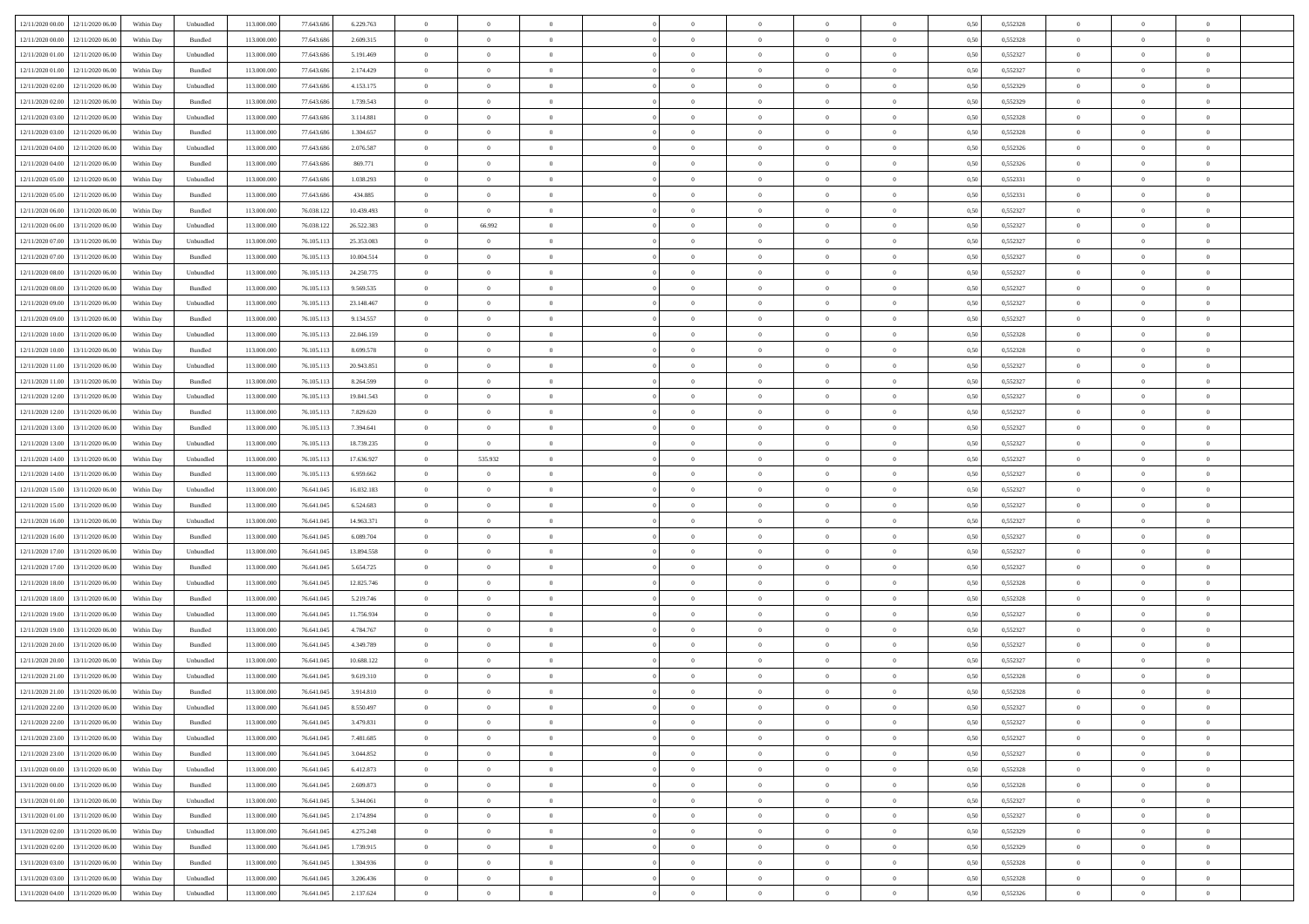| 12/11/2020 00:00 12/11/2020 06:00    | Within Day | Unbundled                   | 113.000.000 | 77.643.686 | 6.229.763  | $\overline{0}$ | $\overline{0}$ |                | $\overline{0}$ | $\theta$       |                | $\theta$       | 0,50 | 0,552328 | $\theta$       | $\theta$       | $\overline{0}$ |  |
|--------------------------------------|------------|-----------------------------|-------------|------------|------------|----------------|----------------|----------------|----------------|----------------|----------------|----------------|------|----------|----------------|----------------|----------------|--|
| 12/11/2020 00:00<br>12/11/2020 06.00 | Within Day | Bundled                     | 113.000.00  | 77.643.68  | 2.609.315  | $\bf{0}$       | $\bf{0}$       | $\bf{0}$       | $\bf{0}$       | $\overline{0}$ | $\overline{0}$ | $\bf{0}$       | 0,50 | 0,552328 | $\,$ 0 $\,$    | $\bf{0}$       | $\overline{0}$ |  |
| 12/11/2020 01:00<br>12/11/2020 06:00 | Within Day | Unbundled                   | 113,000,000 | 77.643.686 | 5.191.469  | $\overline{0}$ | $\bf{0}$       | $\overline{0}$ | $\bf{0}$       | $\bf{0}$       | $\overline{0}$ | $\bf{0}$       | 0.50 | 0,552327 | $\bf{0}$       | $\overline{0}$ | $\overline{0}$ |  |
| 12/11/2020 01:00<br>12/11/2020 06.00 | Within Day | Bundled                     | 113.000.000 | 77.643.686 | 2.174.429  | $\overline{0}$ | $\overline{0}$ | $\overline{0}$ | $\overline{0}$ | $\theta$       | $\overline{0}$ | $\bf{0}$       | 0,50 | 0,552327 | $\,$ 0 $\,$    | $\theta$       | $\overline{0}$ |  |
|                                      |            |                             |             |            |            |                | $\overline{0}$ |                |                |                |                |                |      |          |                |                | $\overline{0}$ |  |
| 12/11/2020 02.00<br>12/11/2020 06.00 | Within Day | Unbundled                   | 113.000.00  | 77.643.68  | 4.153.175  | $\bf{0}$       |                | $\bf{0}$       | $\overline{0}$ | $\bf{0}$       | $\overline{0}$ | $\bf{0}$       | 0,50 | 0,552329 | $\,$ 0 $\,$    | $\bf{0}$       |                |  |
| 12/11/2020 02:00<br>12/11/2020 06.00 | Within Day | Bundled                     | 113,000,000 | 77.643.686 | 1.739.543  | $\overline{0}$ | $\bf{0}$       | $\overline{0}$ | $\bf{0}$       | $\overline{0}$ | $\overline{0}$ | $\bf{0}$       | 0.50 | 0.552329 | $\bf{0}$       | $\theta$       | $\overline{0}$ |  |
| 12/11/2020 03:00<br>12/11/2020 06.00 | Within Day | Unbundled                   | 113.000.000 | 77.643.686 | 3.114.881  | $\bf{0}$       | $\overline{0}$ | $\overline{0}$ | $\overline{0}$ | $\overline{0}$ | $\overline{0}$ | $\bf{0}$       | 0,50 | 0,552328 | $\,$ 0 $\,$    | $\theta$       | $\overline{0}$ |  |
| 12/11/2020 03:00<br>12/11/2020 06.00 | Within Day | Bundled                     | 113.000.00  | 77.643.68  | 1.304.657  | $\bf{0}$       | $\bf{0}$       | $\bf{0}$       | $\bf{0}$       | $\overline{0}$ | $\overline{0}$ | $\bf{0}$       | 0,50 | 0,552328 | $\,$ 0 $\,$    | $\bf{0}$       | $\overline{0}$ |  |
| 12/11/2020 04:00<br>12/11/2020 06:00 | Within Day | Unbundled                   | 113,000,00  | 77.643.686 | 2.076.587  | $\overline{0}$ | $\bf{0}$       | $\overline{0}$ | $\bf{0}$       | $\overline{0}$ | $\overline{0}$ | $\bf{0}$       | 0.50 | 0.552326 | $\bf{0}$       | $\overline{0}$ | $\overline{0}$ |  |
| 12/11/2020 04:00<br>12/11/2020 06.00 | Within Day | Bundled                     | 113.000.000 | 77.643.686 | 869.771    | $\bf{0}$       | $\bf{0}$       | $\overline{0}$ | $\overline{0}$ | $\overline{0}$ | $\overline{0}$ | $\bf{0}$       | 0,50 | 0,552326 | $\,$ 0 $\,$    | $\bf{0}$       | $\overline{0}$ |  |
|                                      |            |                             |             |            |            | $\bf{0}$       | $\bf{0}$       |                |                | $\overline{0}$ | $\overline{0}$ |                |      |          | $\,$ 0 $\,$    | $\bf{0}$       | $\overline{0}$ |  |
| 12/11/2020 05:00<br>12/11/2020 06.00 | Within Day | Unbundled                   | 113.000.00  | 77.643.68  | 1.038.293  |                |                | $\bf{0}$       | $\bf{0}$       |                |                | $\bf{0}$       | 0,50 | 0,552331 |                |                |                |  |
| 12/11/2020 05:00<br>12/11/2020 06.00 | Within Day | Bundled                     | 113,000,000 | 77.643.686 | 434,885    | $\overline{0}$ | $\bf{0}$       | $\overline{0}$ | $\overline{0}$ | $\bf{0}$       | $\overline{0}$ | $\bf{0}$       | 0.50 | 0,552331 | $\bf{0}$       | $\overline{0}$ | $\,$ 0         |  |
| 12/11/2020 06:00<br>13/11/2020 06:00 | Within Day | Bundled                     | 113.000.000 | 76.038.122 | 10.439.493 | $\overline{0}$ | $\bf{0}$       | $\overline{0}$ | $\theta$       | $\theta$       | $\overline{0}$ | $\bf{0}$       | 0,50 | 0,552327 | $\,$ 0 $\,$    | $\theta$       | $\overline{0}$ |  |
| 12/11/2020 06:00<br>13/11/2020 06.00 | Within Day | Unbundled                   | 113.000.00  | 76.038.12  | 26.522.383 | $\bf{0}$       | 66.992         | $\bf{0}$       | $\bf{0}$       | $\bf{0}$       | $\overline{0}$ | $\bf{0}$       | 0,50 | 0,552327 | $\,$ 0 $\,$    | $\bf{0}$       | $\overline{0}$ |  |
| 12/11/2020 07:00<br>13/11/2020 06.00 | Within Day | Unbundled                   | 113,000,000 | 76.105.113 | 25.353.083 | $\overline{0}$ | $\overline{0}$ | $\overline{0}$ | $\bf{0}$       | $\overline{0}$ | $\overline{0}$ | $\bf{0}$       | 0.50 | 0.552327 | $\,$ 0 $\,$    | $\theta$       | $\overline{0}$ |  |
| 12/11/2020 07:00<br>13/11/2020 06.00 | Within Day | Bundled                     | 113.000.000 | 76.105.113 | 10.004.514 | $\overline{0}$ | $\overline{0}$ | $\overline{0}$ | $\overline{0}$ | $\overline{0}$ | $\overline{0}$ | $\bf{0}$       | 0,50 | 0,552327 | $\,$ 0 $\,$    | $\theta$       | $\overline{0}$ |  |
| 12/11/2020 08:00<br>13/11/2020 06.00 | Within Day | Unbundled                   | 113.000.00  | 76.105.11  | 24.250.775 | $\bf{0}$       | $\bf{0}$       | $\bf{0}$       | $\overline{0}$ | $\bf{0}$       | $\overline{0}$ | $\bf{0}$       | 0,50 | 0,552327 | $\,$ 0 $\,$    | $\bf{0}$       | $\overline{0}$ |  |
| 12/11/2020 08:00<br>13/11/2020 06:00 | Within Day | Bundled                     | 113,000,00  | 76.105.113 | 9.569.535  | $\overline{0}$ | $\bf{0}$       | $\overline{0}$ | $\bf{0}$       | $\overline{0}$ | $\overline{0}$ | $\bf{0}$       | 0.50 | 0.552327 | $\bf{0}$       | $\overline{0}$ | $\overline{0}$ |  |
|                                      |            |                             |             |            |            |                |                |                |                |                |                |                |      |          |                |                |                |  |
| 12/11/2020 09:00<br>13/11/2020 06.00 | Within Day | Unbundled                   | 113.000.000 | 76.105.113 | 23.148.467 | $\bf{0}$       | $\bf{0}$       | $\overline{0}$ | $\overline{0}$ | $\overline{0}$ | $\overline{0}$ | $\bf{0}$       | 0,50 | 0,552327 | $\,$ 0 $\,$    | $\bf{0}$       | $\overline{0}$ |  |
| 12/11/2020 09:00<br>13/11/2020 06.00 | Within Day | Bundled                     | 113.000.00  | 76.105.113 | 9.134.557  | $\bf{0}$       | $\bf{0}$       | $\bf{0}$       | $\bf{0}$       | $\overline{0}$ | $\overline{0}$ | $\bf{0}$       | 0,50 | 0,552327 | $\,$ 0 $\,$    | $\bf{0}$       | $\overline{0}$ |  |
| 12/11/2020 10:00<br>13/11/2020 06.00 | Within Day | Unbundled                   | 113,000,000 | 76.105.113 | 22.046.159 | $\overline{0}$ | $\bf{0}$       | $\overline{0}$ | $\overline{0}$ | $\bf{0}$       | $\overline{0}$ | $\bf{0}$       | 0.50 | 0,552328 | $\bf{0}$       | $\overline{0}$ | $\,$ 0         |  |
| 12/11/2020 10:00<br>13/11/2020 06:00 | Within Day | Bundled                     | 113.000.000 | 76.105.113 | 8.699.578  | $\overline{0}$ | $\overline{0}$ | $\overline{0}$ | $\theta$       | $\theta$       | $\overline{0}$ | $\bf{0}$       | 0,50 | 0,552328 | $\,$ 0 $\,$    | $\theta$       | $\overline{0}$ |  |
| 12/11/2020 11:00<br>13/11/2020 06.00 | Within Day | Unbundled                   | 113.000.00  | 76.105.113 | 20.943.851 | $\bf{0}$       | $\bf{0}$       | $\bf{0}$       | $\bf{0}$       | $\overline{0}$ | $\overline{0}$ | $\bf{0}$       | 0,50 | 0,552327 | $\,$ 0 $\,$    | $\bf{0}$       | $\overline{0}$ |  |
| 12/11/2020 11:00<br>13/11/2020 06.00 | Within Day | Bundled                     | 113,000,000 | 76.105.113 | 8.264.599  | $\overline{0}$ | $\bf{0}$       | $\overline{0}$ | $\bf{0}$       | $\overline{0}$ | $\overline{0}$ | $\bf{0}$       | 0.50 | 0.552327 | $\bf{0}$       | $\theta$       | $\overline{0}$ |  |
| 12/11/2020 12:00<br>13/11/2020 06.00 | Within Day | Unbundled                   | 113.000.000 | 76.105.113 | 19.841.543 | $\overline{0}$ | $\overline{0}$ | $\overline{0}$ | $\overline{0}$ | $\overline{0}$ | $\overline{0}$ | $\bf{0}$       | 0,50 | 0,552327 | $\,$ 0 $\,$    | $\theta$       | $\overline{0}$ |  |
|                                      |            |                             |             |            |            |                |                |                |                |                | $\overline{0}$ |                |      |          |                |                |                |  |
| 12/11/2020 12:00<br>13/11/2020 06.00 | Within Day | Bundled                     | 113.000.00  | 76.105.11  | 7.829.620  | $\bf{0}$       | $\bf{0}$       | $\bf{0}$       | $\overline{0}$ | $\overline{0}$ |                | $\bf{0}$       | 0,50 | 0,552327 | $\,$ 0 $\,$    | $\bf{0}$       | $\overline{0}$ |  |
| 12/11/2020 13:00<br>13/11/2020 06:00 | Within Day | Bundled                     | 113,000,000 | 76.105.113 | 7.394.641  | $\overline{0}$ | $\bf{0}$       | $\overline{0}$ | $\bf{0}$       | $\overline{0}$ | $\overline{0}$ | $\bf{0}$       | 0.50 | 0.552327 | $\bf{0}$       | $\overline{0}$ | $\overline{0}$ |  |
| 12/11/2020 13:00<br>13/11/2020 06.00 | Within Day | Unbundled                   | 113.000.000 | 76.105.113 | 18.739.235 | $\overline{0}$ | $\bf{0}$       | $\overline{0}$ | $\overline{0}$ | $\overline{0}$ | $\overline{0}$ | $\bf{0}$       | 0,50 | 0,552327 | $\,$ 0 $\,$    | $\bf{0}$       | $\overline{0}$ |  |
| 12/11/2020 14:00<br>13/11/2020 06.00 | Within Day | Unbundled                   | 113.000.00  | 76.105.113 | 17.636.927 | $\bf{0}$       | 535.932        | $\bf{0}$       | $\bf{0}$       | $\overline{0}$ | $\overline{0}$ | $\bf{0}$       | 0,50 | 0,552327 | $\,$ 0 $\,$    | $\bf{0}$       | $\overline{0}$ |  |
| 12/11/2020 14:00<br>13/11/2020 06.00 | Within Day | Bundled                     | 113,000,000 | 76.105.113 | 6.959.662  | $\overline{0}$ | $\bf{0}$       | $\overline{0}$ | $\overline{0}$ | $\bf{0}$       | $\overline{0}$ | $\bf{0}$       | 0.50 | 0,552327 | $\bf{0}$       | $\overline{0}$ | $\,$ 0         |  |
| 12/11/2020 15:00<br>13/11/2020 06:00 | Within Day | Unbundled                   | 113.000.000 | 76.641.045 | 16.032.183 | $\overline{0}$ | $\overline{0}$ | $\overline{0}$ | $\overline{0}$ | $\overline{0}$ | $\overline{0}$ | $\bf{0}$       | 0.5( | 0,552327 | $\theta$       | $\theta$       | $\overline{0}$ |  |
| 12/11/2020 15:00<br>13/11/2020 06.00 | Within Day | Bundled                     | 113.000.00  | 76.641.04  | 6.524.683  | $\bf{0}$       | $\bf{0}$       | $\bf{0}$       | $\bf{0}$       | $\overline{0}$ | $\overline{0}$ | $\bf{0}$       | 0,50 | 0,552327 | $\,$ 0 $\,$    | $\bf{0}$       | $\overline{0}$ |  |
| 12/11/2020 16:00<br>13/11/2020 06.00 | Within Day | Unbundled                   | 113,000,000 | 76.641.045 | 14,963,371 | $\overline{0}$ | $\bf{0}$       | $\overline{0}$ | $\bf{0}$       | $\overline{0}$ | $\overline{0}$ | $\bf{0}$       | 0.50 | 0.552327 | $\bf{0}$       | $\bf{0}$       | $\overline{0}$ |  |
|                                      |            |                             |             |            |            |                |                |                |                |                |                |                |      |          |                |                |                |  |
| 12/11/2020 16:00<br>13/11/2020 06.00 | Within Day | Bundled                     | 113.000.000 | 76.641.045 | 6.089.704  | $\overline{0}$ | $\overline{0}$ | $\overline{0}$ | $\overline{0}$ | $\overline{0}$ | $\overline{0}$ | $\bf{0}$       | 0.5( | 0,552327 | $\theta$       | $\theta$       | $\overline{0}$ |  |
| 12/11/2020 17:00<br>13/11/2020 06.00 | Within Day | Unbundled                   | 113.000.00  | 76.641.045 | 13.894.558 | $\bf{0}$       | $\bf{0}$       | $\bf{0}$       | $\bf{0}$       | $\overline{0}$ | $\overline{0}$ | $\bf{0}$       | 0,50 | 0,552327 | $\,$ 0 $\,$    | $\bf{0}$       | $\overline{0}$ |  |
| 12/11/2020 17.00<br>13/11/2020 06:00 | Within Day | Bundled                     | 113,000,000 | 76.641.04  | 5.654.725  | $\overline{0}$ | $\bf{0}$       | $\overline{0}$ | $\bf{0}$       | $\overline{0}$ | $\overline{0}$ | $\bf{0}$       | 0.50 | 0.552327 | $\bf{0}$       | $\overline{0}$ | $\overline{0}$ |  |
| 12/11/2020 18:00<br>13/11/2020 06.00 | Within Day | Unbundled                   | 113.000.000 | 76.641.045 | 12.825.746 | $\overline{0}$ | $\overline{0}$ | $\overline{0}$ | $\overline{0}$ | $\overline{0}$ | $\overline{0}$ | $\bf{0}$       | 0.50 | 0,552328 | $\theta$       | $\theta$       | $\overline{0}$ |  |
| 12/11/2020 18:00<br>13/11/2020 06.00 | Within Day | Bundled                     | 113.000.00  | 76.641.04  | 5.219.746  | $\bf{0}$       | $\bf{0}$       | $\bf{0}$       | $\bf{0}$       | $\overline{0}$ | $\overline{0}$ | $\bf{0}$       | 0,50 | 0,552328 | $\,$ 0 $\,$    | $\bf{0}$       | $\overline{0}$ |  |
| 12/11/2020 19:00<br>13/11/2020 06.00 | Within Day | Unbundled                   | 113,000,000 | 76.641.045 | 11.756.934 | $\overline{0}$ | $\bf{0}$       | $\overline{0}$ | $\overline{0}$ | $\bf{0}$       | $\overline{0}$ | $\bf{0}$       | 0.50 | 0,552327 | $\bf{0}$       | $\overline{0}$ | $\overline{0}$ |  |
| 12/11/2020 19:00<br>13/11/2020 06.00 | Within Day | Bundled                     | 113.000.000 | 76.641.045 | 4.784.767  | $\overline{0}$ | $\overline{0}$ | $\overline{0}$ | $\overline{0}$ | $\overline{0}$ | $\overline{0}$ | $\bf{0}$       | 0.5( | 0,552327 | $\theta$       | $\theta$       | $\overline{0}$ |  |
| 12/11/2020 20:00<br>13/11/2020 06.00 | Within Day | Bundled                     | 113.000.00  | 76.641.045 | 4.349.789  | $\bf{0}$       | $\bf{0}$       | $\bf{0}$       | $\bf{0}$       | $\overline{0}$ | $\overline{0}$ | $\bf{0}$       | 0,50 | 0,552327 | $\,$ 0 $\,$    | $\bf{0}$       | $\overline{0}$ |  |
| 12/11/2020 20:00<br>13/11/2020 06.00 |            | Unbundled                   | 113,000,000 | 76.641.04: | 10.688.122 | $\overline{0}$ | $\bf{0}$       | $\overline{0}$ | $\bf{0}$       | $\overline{0}$ | $\overline{0}$ | $\bf{0}$       | 0.50 | 0.552327 | $\bf{0}$       | $\bf{0}$       | $\overline{0}$ |  |
|                                      | Within Day |                             |             |            |            |                |                |                |                |                |                |                |      |          |                |                |                |  |
| 12/11/2020 21:00<br>13/11/2020 06.00 | Within Day | Unbundled                   | 113.000.000 | 76.641.045 | 9.619.310  | $\overline{0}$ | $\overline{0}$ | $\overline{0}$ | $\theta$       | $\theta$       | $\overline{0}$ | $\overline{0}$ | 0.5( | 0,552328 | $\theta$       | $\theta$       | $\overline{0}$ |  |
| 12/11/2020 21:00<br>13/11/2020 06.00 | Within Day | Bundled                     | 113.000.00  | 76.641.045 | 3.914.810  | $\bf{0}$       | $\bf{0}$       | $\bf{0}$       | $\bf{0}$       | $\bf{0}$       | $\overline{0}$ | $\bf{0}$       | 0,50 | 0,552328 | $\,$ 0 $\,$    | $\bf{0}$       | $\overline{0}$ |  |
| 12/11/2020 22:00 13/11/2020 06:00    | Within Day | $\ensuremath{\mathsf{Unb}}$ | 113.000.000 | 76.641.045 | 8.550.497  | $\bf{0}$       | $\theta$       |                | $\Omega$       | $\Omega$       |                | $\bf{0}$       | 0,50 | 0,552327 | $\bf{0}$       | $\bf{0}$       |                |  |
| 12/11/2020 22.00 13/11/2020 06.00    | Within Day | Bundled                     | 113.000.000 | 76.641.045 | 3.479.831  | $\overline{0}$ | $\theta$       | $\Omega$       | $\theta$       | $\theta$       | $\overline{0}$ | $\bf{0}$       | 0,50 | 0,552327 | $\theta$       | $\theta$       | $\overline{0}$ |  |
| 12/11/2020 23.00<br>13/11/2020 06.00 | Within Day | Unbundled                   | 113.000.00  | 76.641.045 | 7.481.685  | $\overline{0}$ | $\bf{0}$       | $\overline{0}$ | $\overline{0}$ | $\bf{0}$       | $\overline{0}$ | $\bf{0}$       | 0,50 | 0,552327 | $\bf{0}$       | $\overline{0}$ | $\bf{0}$       |  |
| 12/11/2020 23:00 13/11/2020 06:00    | Within Day | Bundled                     | 113,000,000 | 76.641.045 | 3.044.852  | $\overline{0}$ | $\bf{0}$       | $\overline{0}$ | $\overline{0}$ | $\overline{0}$ | $\overline{0}$ | $\,$ 0 $\,$    | 0.50 | 0,552327 | $\overline{0}$ | $\bf{0}$       | $\,$ 0 $\,$    |  |
| 13/11/2020 00:00 13/11/2020 06:00    | Within Dav | Unbundled                   | 113.000.000 | 76.641.045 | 6.412.873  | $\overline{0}$ | $\overline{0}$ | $\overline{0}$ | $\overline{0}$ | $\overline{0}$ | $\overline{0}$ | $\bf{0}$       | 0.50 | 0,552328 | $\overline{0}$ | $\theta$       | $\overline{0}$ |  |
| 13/11/2020 00:00<br>13/11/2020 06.00 | Within Day | Bundled                     | 113.000.000 | 76.641.045 | 2.609.873  | $\overline{0}$ | $\bf{0}$       | $\overline{0}$ | $\bf{0}$       | $\overline{0}$ | $\bf{0}$       | $\bf{0}$       | 0,50 | 0,552328 | $\bf{0}$       | $\bf{0}$       | $\overline{0}$ |  |
|                                      |            |                             |             |            |            |                |                |                |                |                |                |                |      |          |                |                |                |  |
| 13/11/2020 01:00<br>13/11/2020 06:00 | Within Day | Unbundled                   | 113,000,000 | 76.641.045 | 5.344.061  | $\overline{0}$ | $\bf{0}$       | $\overline{0}$ | $\overline{0}$ | $\overline{0}$ | $\overline{0}$ | $\bf{0}$       | 0.50 | 0.552327 | $\,$ 0 $\,$    | $\theta$       | $\overline{0}$ |  |
| 13/11/2020 01:00<br>13/11/2020 06:00 | Within Dav | Bundled                     | 113.000.000 | 76.641.045 | 2.174.894  | $\overline{0}$ | $\overline{0}$ | $\overline{0}$ | $\overline{0}$ | $\overline{0}$ | $\overline{0}$ | $\bf{0}$       | 0.50 | 0,552327 | $\overline{0}$ | $\theta$       | $\overline{0}$ |  |
| 13/11/2020 02:00<br>13/11/2020 06.00 | Within Day | Unbundled                   | 113.000.00  | 76.641.045 | 4.275.248  | $\overline{0}$ | $\overline{0}$ | $\overline{0}$ | $\overline{0}$ | $\overline{0}$ | $\overline{0}$ | $\bf{0}$       | 0,50 | 0,552329 | $\bf{0}$       | $\overline{0}$ | $\overline{0}$ |  |
| 13/11/2020 02:00<br>13/11/2020 06:00 | Within Day | Bundled                     | 113,000,000 | 76.641.045 | 1.739.915  | $\overline{0}$ | $\overline{0}$ | $\overline{0}$ | $\overline{0}$ | $\bf{0}$       | $\overline{0}$ | $\bf{0}$       | 0.50 | 0.552329 | $\mathbf{0}$   | $\,$ 0 $\,$    | $\,$ 0         |  |
| 13/11/2020 03:00 13/11/2020 06:00    | Within Dav | Bundled                     | 113.000.000 | 76.641.045 | 1.304.936  | $\overline{0}$ | $\overline{0}$ | $\overline{0}$ | $\overline{0}$ | $\overline{0}$ | $\overline{0}$ | $\bf{0}$       | 0,50 | 0,552328 | $\overline{0}$ | $\theta$       | $\overline{0}$ |  |
| 13/11/2020 03:00<br>13/11/2020 06.00 | Within Day | Unbundled                   | 113.000.00  | 76.641.045 | 3.206.436  | $\overline{0}$ | $\bf{0}$       | $\overline{0}$ | $\bf{0}$       | $\overline{0}$ | $\bf{0}$       | $\bf{0}$       | 0,50 | 0,552328 | $\bf{0}$       | $\bf{0}$       | $\overline{0}$ |  |
|                                      |            |                             |             |            |            |                |                | $\overline{0}$ |                | $\,$ 0 $\,$    | $\overline{0}$ |                |      |          | $\overline{0}$ | $\,$ 0 $\,$    | $\,$ 0 $\,$    |  |
| 13/11/2020 04:00 13/11/2020 06:00    | Within Day | Unbundled                   | 113.000.000 | 76.641.045 | 2.137.624  | $\,$ 0 $\,$    | $\bf{0}$       |                | $\overline{0}$ |                |                | $\bf{0}$       | 0,50 | 0,552326 |                |                |                |  |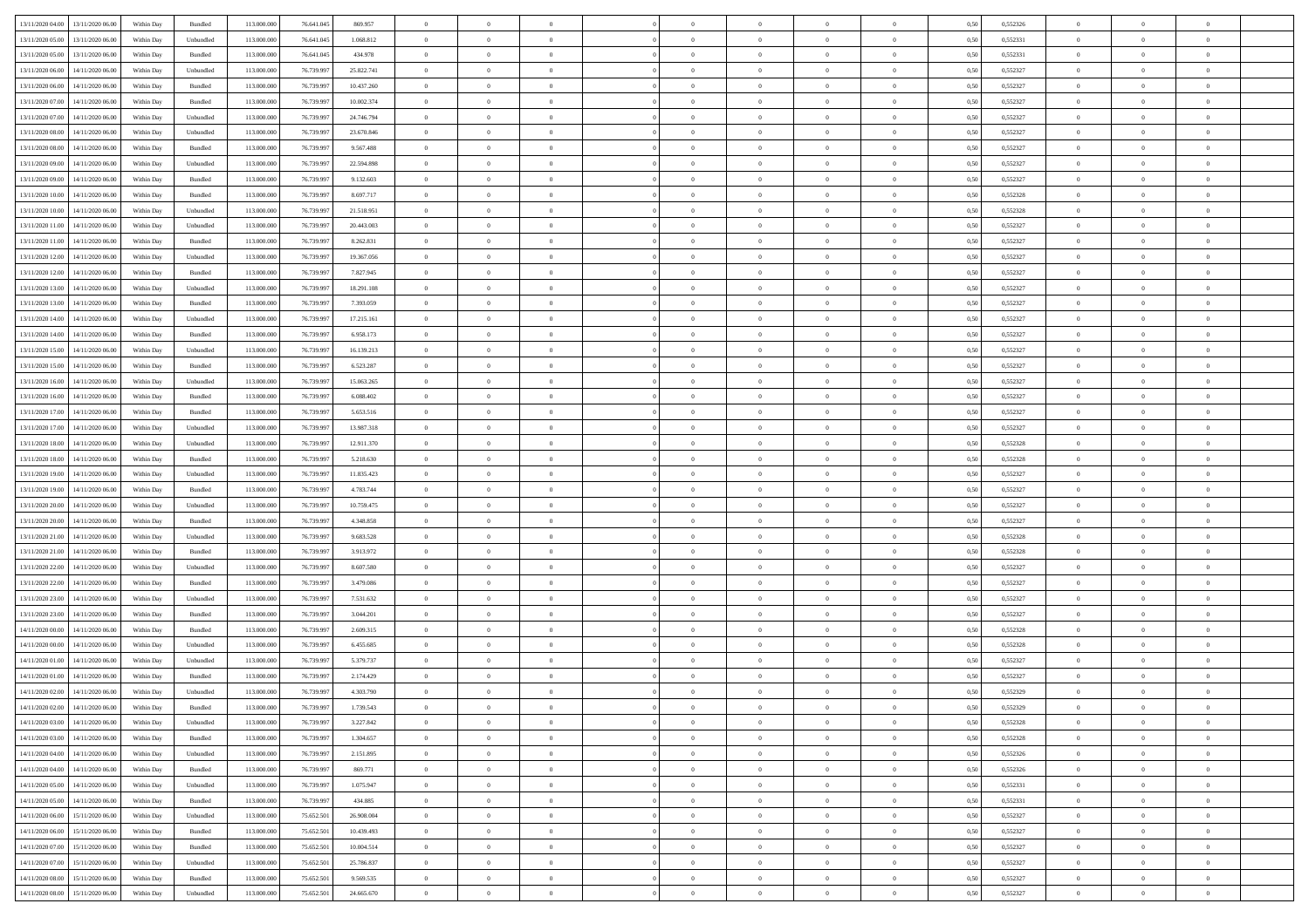| 13/11/2020 04:00 13/11/2020 06:00    | Within Day | Bundled            | 113.000.000 | 76.641.045 | 869.957    | $\overline{0}$ | $\overline{0}$ |                | $\overline{0}$ | $\theta$       |                | $\theta$       | 0,50 | 0,552326 | $\theta$       | $\theta$       | $\overline{0}$ |  |
|--------------------------------------|------------|--------------------|-------------|------------|------------|----------------|----------------|----------------|----------------|----------------|----------------|----------------|------|----------|----------------|----------------|----------------|--|
| 13/11/2020 05:00<br>13/11/2020 06.00 | Within Day | Unbundled          | 113.000.00  | 76.641.04  | 1.068.812  | $\bf{0}$       | $\bf{0}$       | $\bf{0}$       | $\bf{0}$       | $\overline{0}$ | $\overline{0}$ | $\bf{0}$       | 0,50 | 0,552331 | $\,$ 0 $\,$    | $\bf{0}$       | $\overline{0}$ |  |
| 13/11/2020 05:00<br>13/11/2020 06:00 | Within Day | Bundled            | 113,000,000 | 76.641.045 | 434,978    | $\overline{0}$ | $\bf{0}$       | $\overline{0}$ | $\bf{0}$       | $\overline{0}$ | $\overline{0}$ | $\bf{0}$       | 0.50 | 0,552331 | $\overline{0}$ | $\overline{0}$ | $\bf{0}$       |  |
|                                      |            |                    |             |            |            | $\overline{0}$ | $\overline{0}$ | $\overline{0}$ | $\overline{0}$ | $\theta$       | $\overline{0}$ |                |      |          | $\,$ 0 $\,$    | $\,$ 0 $\,$    | $\overline{0}$ |  |
| 13/11/2020 06:00<br>14/11/2020 06:00 | Within Day | Unbundled          | 113.000.000 | 76.739.997 | 25.822.741 |                |                |                |                |                |                | $\bf{0}$       | 0,50 | 0,552327 |                |                |                |  |
| 13/11/2020 06:00<br>14/11/2020 06.00 | Within Day | Bundled            | 113.000.00  | 76.739.99  | 10.437.260 | $\bf{0}$       | $\overline{0}$ | $\bf{0}$       | $\overline{0}$ | $\bf{0}$       | $\overline{0}$ | $\bf{0}$       | 0,50 | 0,552327 | $\,$ 0 $\,$    | $\bf{0}$       | $\overline{0}$ |  |
| 13/11/2020 07:00<br>14/11/2020 06.00 | Within Day | Bundled            | 113,000,000 | 76.739.99  | 10,002.374 | $\overline{0}$ | $\bf{0}$       | $\overline{0}$ | $\bf{0}$       | $\overline{0}$ | $\overline{0}$ | $\bf{0}$       | 0.50 | 0.552327 | $\bf{0}$       | $\overline{0}$ | $\overline{0}$ |  |
| 13/11/2020 07:00<br>14/11/2020 06.00 | Within Day | Unbundled          | 113.000.000 | 76.739.997 | 24.746.794 | $\overline{0}$ | $\overline{0}$ | $\overline{0}$ | $\overline{0}$ | $\overline{0}$ | $\overline{0}$ | $\bf{0}$       | 0,50 | 0,552327 | $\,$ 0 $\,$    | $\theta$       | $\overline{0}$ |  |
|                                      |            |                    |             |            |            |                |                |                |                |                |                |                |      |          |                |                |                |  |
| 13/11/2020 08:00<br>14/11/2020 06.00 | Within Day | Unbundled          | 113.000.00  | 76.739.99  | 23.670.846 | $\bf{0}$       | $\bf{0}$       | $\bf{0}$       | $\overline{0}$ | $\overline{0}$ | $\overline{0}$ | $\bf{0}$       | 0,50 | 0,552327 | $\,$ 0 $\,$    | $\bf{0}$       | $\overline{0}$ |  |
| 13/11/2020 08:00<br>14/11/2020 06:00 | Within Day | Bundled            | 113,000,000 | 76.739.997 | 9.567.488  | $\overline{0}$ | $\bf{0}$       | $\overline{0}$ | $\bf{0}$       | $\overline{0}$ | $\overline{0}$ | $\bf{0}$       | 0.50 | 0.552327 | $\bf{0}$       | $\overline{0}$ | $\overline{0}$ |  |
| 13/11/2020 09:00<br>14/11/2020 06.00 | Within Day | Unbundled          | 113.000.000 | 76.739.997 | 22.594.898 | $\bf{0}$       | $\bf{0}$       | $\overline{0}$ | $\overline{0}$ | $\overline{0}$ | $\overline{0}$ | $\bf{0}$       | 0,50 | 0,552327 | $\,$ 0         | $\bf{0}$       | $\overline{0}$ |  |
| 13/11/2020 09:00<br>14/11/2020 06.00 | Within Day | Bundled            | 113.000.00  | 76.739.99  | 9.132.603  | $\bf{0}$       | $\bf{0}$       | $\bf{0}$       | $\bf{0}$       | $\overline{0}$ | $\overline{0}$ | $\bf{0}$       | 0,50 | 0,552327 | $\,$ 0 $\,$    | $\bf{0}$       | $\overline{0}$ |  |
|                                      |            |                    |             |            |            |                |                |                |                |                |                |                |      |          |                |                |                |  |
| 13/11/2020 10:00<br>14/11/2020 06:00 | Within Day | Bundled            | 113,000,000 | 76.739.997 | 8.697.717  | $\overline{0}$ | $\bf{0}$       | $\overline{0}$ | $\overline{0}$ | $\overline{0}$ | $\overline{0}$ | $\bf{0}$       | 0.50 | 0,552328 | $\overline{0}$ | $\,$ 0 $\,$    | $\,$ 0         |  |
| 13/11/2020 10:00<br>14/11/2020 06.00 | Within Day | Unbundled          | 113.000.000 | 76.739.997 | 21.518.951 | $\overline{0}$ | $\bf{0}$       | $\overline{0}$ | $\theta$       | $\theta$       | $\overline{0}$ | $\bf{0}$       | 0,50 | 0,552328 | $\,$ 0 $\,$    | $\,$ 0 $\,$    | $\overline{0}$ |  |
| 13/11/2020 11:00<br>14/11/2020 06.00 | Within Day | Unbundled          | 113.000.00  | 76.739.99  | 20.443.003 | $\bf{0}$       | $\bf{0}$       | $\bf{0}$       | $\bf{0}$       | $\bf{0}$       | $\overline{0}$ | $\bf{0}$       | 0,50 | 0,552327 | $\,$ 0 $\,$    | $\bf{0}$       | $\overline{0}$ |  |
| 13/11/2020 11:00<br>14/11/2020 06.00 | Within Day | Bundled            | 113,000,000 | 76.739.997 | 8.262.831  | $\overline{0}$ | $\bf{0}$       | $\overline{0}$ | $\bf{0}$       | $\overline{0}$ | $\overline{0}$ | $\bf{0}$       | 0.50 | 0.552327 | $\,$ 0 $\,$    | $\bf{0}$       | $\overline{0}$ |  |
| 13/11/2020 12:00<br>14/11/2020 06.00 | Within Day | Unbundled          | 113.000.000 | 76.739.997 | 19.367.056 | $\overline{0}$ | $\overline{0}$ | $\overline{0}$ | $\overline{0}$ | $\overline{0}$ | $\overline{0}$ | $\bf{0}$       | 0,50 | 0,552327 | $\,$ 0 $\,$    | $\theta$       | $\overline{0}$ |  |
|                                      |            |                    |             |            |            |                |                |                |                |                |                |                |      |          |                |                |                |  |
| 13/11/2020 12:00<br>14/11/2020 06.00 | Within Day | Bundled            | 113.000.00  | 76.739.99  | 7.827.945  | $\bf{0}$       | $\bf{0}$       | $\bf{0}$       | $\overline{0}$ | $\bf{0}$       | $\overline{0}$ | $\bf{0}$       | 0,50 | 0,552327 | $\,$ 0 $\,$    | $\bf{0}$       | $\overline{0}$ |  |
| 13/11/2020 13:00<br>14/11/2020 06:00 | Within Day | Unbundled          | 113,000,000 | 76.739.99  | 18.291.108 | $\overline{0}$ | $\bf{0}$       | $\overline{0}$ | $\bf{0}$       | $\bf{0}$       | $\overline{0}$ | $\bf{0}$       | 0.50 | 0.552327 | $\bf{0}$       | $\overline{0}$ | $\bf{0}$       |  |
| 13/11/2020 13:00<br>14/11/2020 06.00 | Within Day | Bundled            | 113.000.000 | 76.739.997 | 7.393.059  | $\bf{0}$       | $\bf{0}$       | $\overline{0}$ | $\overline{0}$ | $\overline{0}$ | $\overline{0}$ | $\bf{0}$       | 0,50 | 0,552327 | $\,$ 0 $\,$    | $\bf{0}$       | $\overline{0}$ |  |
| 13/11/2020 14:00<br>14/11/2020 06.00 | Within Day | Unbundled          | 113.000.00  | 76.739.99  | 17.215.161 | $\bf{0}$       | $\bf{0}$       | $\bf{0}$       | $\bf{0}$       | $\overline{0}$ | $\overline{0}$ | $\bf{0}$       | 0,50 | 0,552327 | $\,$ 0 $\,$    | $\bf{0}$       | $\overline{0}$ |  |
|                                      |            |                    |             |            |            |                |                |                |                |                |                |                |      |          |                |                |                |  |
| 13/11/2020 14:00<br>14/11/2020 06:00 | Within Day | Bundled            | 113,000,000 | 76.739.997 | 6.958.173  | $\overline{0}$ | $\bf{0}$       | $\overline{0}$ | $\overline{0}$ | $\bf{0}$       | $\overline{0}$ | $\bf{0}$       | 0.50 | 0,552327 | $\bf{0}$       | $\overline{0}$ | $\,$ 0         |  |
| 13/11/2020 15:00<br>14/11/2020 06.00 | Within Day | Unbundled          | 113.000.000 | 76.739.997 | 16.139.213 | $\overline{0}$ | $\overline{0}$ | $\overline{0}$ | $\theta$       | $\theta$       | $\overline{0}$ | $\bf{0}$       | 0,50 | 0,552327 | $\,$ 0 $\,$    | $\theta$       | $\overline{0}$ |  |
| 13/11/2020 15:00<br>14/11/2020 06.00 | Within Day | Bundled            | 113.000.00  | 76.739.99  | 6.523.287  | $\bf{0}$       | $\bf{0}$       | $\bf{0}$       | $\bf{0}$       | $\overline{0}$ | $\overline{0}$ | $\bf{0}$       | 0,50 | 0,552327 | $\,$ 0 $\,$    | $\bf{0}$       | $\overline{0}$ |  |
| 13/11/2020 16:00<br>14/11/2020 06.00 | Within Day | Unbundled          | 113,000,000 | 76.739.997 | 15.063.265 | $\overline{0}$ | $\bf{0}$       | $\overline{0}$ | $\bf{0}$       | $\overline{0}$ | $\overline{0}$ | $\bf{0}$       | 0.50 | 0.552327 | $\bf{0}$       | $\overline{0}$ | $\overline{0}$ |  |
| 13/11/2020 16:00<br>14/11/2020 06.00 | Within Day | Bundled            | 113.000.000 | 76.739.997 | 6.088.402  | $\overline{0}$ | $\overline{0}$ | $\overline{0}$ | $\overline{0}$ | $\overline{0}$ | $\overline{0}$ | $\bf{0}$       | 0,50 | 0,552327 | $\,$ 0 $\,$    | $\theta$       | $\overline{0}$ |  |
|                                      |            |                    |             |            |            |                |                |                |                |                |                |                |      |          |                |                |                |  |
| 13/11/2020 17:00<br>14/11/2020 06.00 | Within Day | Bundled            | 113.000.00  | 76.739.99  | 5.653.516  | $\bf{0}$       | $\overline{0}$ | $\bf{0}$       | $\overline{0}$ | $\overline{0}$ | $\overline{0}$ | $\bf{0}$       | 0,50 | 0,552327 | $\,$ 0 $\,$    | $\bf{0}$       | $\overline{0}$ |  |
| 13/11/2020 17:00<br>14/11/2020 06:00 | Within Day | Unbundled          | 113,000,000 | 76.739.997 | 13,987.318 | $\overline{0}$ | $\bf{0}$       | $\overline{0}$ | $\bf{0}$       | $\overline{0}$ | $\overline{0}$ | $\bf{0}$       | 0.50 | 0.552327 | $\bf{0}$       | $\overline{0}$ | $\overline{0}$ |  |
| 13/11/2020 18:00<br>14/11/2020 06.00 | Within Day | Unbundled          | 113.000.000 | 76.739.997 | 12.911.370 | $\overline{0}$ | $\bf{0}$       | $\overline{0}$ | $\overline{0}$ | $\overline{0}$ | $\overline{0}$ | $\bf{0}$       | 0,50 | 0,552328 | $\,$ 0 $\,$    | $\overline{0}$ | $\overline{0}$ |  |
| 13/11/2020 18:00<br>14/11/2020 06.00 | Within Day | Bundled            | 113.000.00  | 76.739.99  | 5.218.630  | $\bf{0}$       | $\bf{0}$       | $\bf{0}$       | $\bf{0}$       | $\overline{0}$ | $\overline{0}$ | $\bf{0}$       | 0,50 | 0,552328 | $\,$ 0 $\,$    | $\bf{0}$       | $\overline{0}$ |  |
|                                      |            |                    |             |            |            |                |                |                |                |                |                |                |      |          |                |                |                |  |
| 13/11/2020 19:00<br>14/11/2020 06:00 | Within Day | Unbundled          | 113,000,000 | 76.739.997 | 11.835.423 | $\overline{0}$ | $\bf{0}$       | $\overline{0}$ | $\bf{0}$       | $\overline{0}$ | $\overline{0}$ | $\bf{0}$       | 0.50 | 0,552327 | $\overline{0}$ | $\,$ 0 $\,$    | $\,$ 0         |  |
| 13/11/2020 19:00<br>14/11/2020 06.00 | Within Day | Bundled            | 113.000.000 | 76.739.997 | 4.783.744  | $\overline{0}$ | $\overline{0}$ | $\overline{0}$ | $\overline{0}$ | $\overline{0}$ | $\overline{0}$ | $\bf{0}$       | 0.50 | 0,552327 | $\theta$       | $\overline{0}$ | $\overline{0}$ |  |
| 13/11/2020 20:00<br>14/11/2020 06.00 | Within Day | Unbundled          | 113.000.00  | 76.739.99  | 10.759.475 | $\bf{0}$       | $\bf{0}$       | $\bf{0}$       | $\bf{0}$       | $\overline{0}$ | $\overline{0}$ | $\bf{0}$       | 0,50 | 0,552327 | $\,$ 0 $\,$    | $\bf{0}$       | $\overline{0}$ |  |
| 13/11/2020 20:00<br>14/11/2020 06.00 | Within Day | Bundled            | 113,000,000 | 76.739.997 | 4,348,858  | $\overline{0}$ | $\bf{0}$       | $\overline{0}$ | $\bf{0}$       | $\overline{0}$ | $\overline{0}$ | $\bf{0}$       | 0.50 | 0.552327 | $\bf{0}$       | $\bf{0}$       | $\overline{0}$ |  |
| 13/11/2020 21:00<br>14/11/2020 06.00 | Within Dav | Unbundled          | 113.000.000 | 76.739.997 | 9.683.528  | $\overline{0}$ | $\overline{0}$ | $\overline{0}$ | $\overline{0}$ | $\overline{0}$ | $\overline{0}$ | $\bf{0}$       | 0.50 | 0,552328 | $\theta$       | $\theta$       | $\overline{0}$ |  |
|                                      |            |                    |             |            |            |                |                |                |                |                |                |                |      |          |                |                |                |  |
| 13/11/2020 21:00<br>14/11/2020 06.00 | Within Day | Bundled            | 113.000.00  | 76.739.99  | 3.913.972  | $\bf{0}$       | $\bf{0}$       | $\bf{0}$       | $\bf{0}$       | $\overline{0}$ | $\overline{0}$ | $\bf{0}$       | 0,50 | 0,552328 | $\,$ 0 $\,$    | $\bf{0}$       | $\overline{0}$ |  |
| 13/11/2020 22.00<br>14/11/2020 06.00 | Within Day | Unbundled          | 113,000,000 | 76.739.99  | 8.607.580  | $\overline{0}$ | $\bf{0}$       | $\overline{0}$ | $\bf{0}$       | $\overline{0}$ | $\overline{0}$ | $\bf{0}$       | 0.50 | 0.552327 | $\bf{0}$       | $\overline{0}$ | $\overline{0}$ |  |
| 13/11/2020 22.00<br>14/11/2020 06.00 | Within Day | Bundled            | 113.000.000 | 76.739.997 | 3.479.086  | $\overline{0}$ | $\overline{0}$ | $\overline{0}$ | $\overline{0}$ | $\overline{0}$ | $\overline{0}$ | $\bf{0}$       | 0.50 | 0,552327 | $\theta$       | $\overline{0}$ | $\overline{0}$ |  |
| 13/11/2020 23.00<br>14/11/2020 06.00 | Within Day | Unbundled          | 113.000.00  | 76.739.99  | 7.531.632  | $\bf{0}$       | $\bf{0}$       | $\bf{0}$       | $\bf{0}$       | $\overline{0}$ | $\overline{0}$ | $\bf{0}$       | 0,50 | 0,552327 | $\,$ 0 $\,$    | $\bf{0}$       | $\overline{0}$ |  |
| 13/11/2020 23.00<br>14/11/2020 06:00 | Within Day | Bundled            | 113,000,000 | 76.739.997 | 3.044.201  | $\overline{0}$ | $\bf{0}$       | $\overline{0}$ | $\overline{0}$ | $\bf{0}$       | $\overline{0}$ | $\bf{0}$       | 0.50 | 0,552327 | $\bf{0}$       | $\overline{0}$ | $\,$ 0         |  |
|                                      |            |                    |             |            |            |                |                |                |                |                |                |                |      |          |                |                |                |  |
| 14/11/2020 00.00<br>14/11/2020 06.00 | Within Day | Bundled            | 113.000.000 | 76.739.997 | 2.609.315  | $\overline{0}$ | $\overline{0}$ | $\overline{0}$ | $\overline{0}$ | $\overline{0}$ | $\overline{0}$ | $\bf{0}$       | 0.5( | 0,552328 | $\theta$       | $\theta$       | $\overline{0}$ |  |
| 14/11/2020 00:00<br>14/11/2020 06.00 | Within Day | Unbundled          | 113.000.00  | 76.739.99  | 6.455.685  | $\bf{0}$       | $\bf{0}$       | $\bf{0}$       | $\bf{0}$       | $\overline{0}$ | $\overline{0}$ | $\bf{0}$       | 0,50 | 0,552328 | $\,$ 0 $\,$    | $\bf{0}$       | $\overline{0}$ |  |
| 14/11/2020 01:00<br>14/11/2020 06.00 | Within Day | Unbundled          | 113,000,000 | 76.739.997 | 5.379.737  | $\overline{0}$ | $\bf{0}$       | $\overline{0}$ | $\bf{0}$       | $\overline{0}$ | $\overline{0}$ | $\bf{0}$       | 0.50 | 0.552327 | $\bf{0}$       | $\overline{0}$ | $\overline{0}$ |  |
| 14/11/2020 01:00<br>14/11/2020 06.00 | Within Day | Bundled            | 113.000.000 | 76.739.997 | 2.174.429  | $\overline{0}$ | $\overline{0}$ | $\overline{0}$ | $\overline{0}$ | $\theta$       | $\overline{0}$ | $\overline{0}$ | 0.5( | 0,552327 | $\theta$       | $\theta$       | $\overline{0}$ |  |
| 14/11/2020 02:00<br>14/11/2020 06.00 | Within Day | Unbundled          | 113.000.000 | 76.739.997 | 4.303.790  | $\bf{0}$       | $\bf{0}$       | $\bf{0}$       | $\bf{0}$       | $\bf{0}$       | $\overline{0}$ | $\bf{0}$       | 0,50 | 0,552329 | $\overline{0}$ | $\bf{0}$       | $\overline{0}$ |  |
|                                      |            |                    |             |            |            |                |                |                |                |                |                |                |      |          |                |                |                |  |
| 14/11/2020 02:00 14/11/2020 06:00    | Within Day | $\mathbf B$ undled | 113.000.000 | 76.739.997 | 1.739.543  | $\bf{0}$       | $\bf{0}$       |                | $\overline{0}$ | $\bf{0}$       |                |                | 0,50 | 0,552329 | $\bf{0}$       | $\bf{0}$       |                |  |
| 14/11/2020 03:00 14/11/2020 06:00    | Within Day | Unbundled          | 113.000.000 | 76.739.997 | 3.227.842  | $\overline{0}$ | $\theta$       | $\Omega$       | $\theta$       | $\overline{0}$ | $\overline{0}$ | $\bf{0}$       | 0,50 | 0,552328 | $\theta$       | $\theta$       | $\overline{0}$ |  |
| 14/11/2020 03:00<br>14/11/2020 06.00 | Within Day | Bundled            | 113.000.00  | 76.739.99  | 1.304.657  | $\overline{0}$ | $\bf{0}$       | $\overline{0}$ | $\overline{0}$ | $\bf{0}$       | $\overline{0}$ | $\bf{0}$       | 0,50 | 0,552328 | $\bf{0}$       | $\overline{0}$ | $\bf{0}$       |  |
| 14/11/2020 04:00 14/11/2020 06:00    | Within Day | Unbundled          | 113,000,000 | 76.739.997 | 2.151.895  | $\overline{0}$ | $\bf{0}$       | $\overline{0}$ | $\overline{0}$ | $\overline{0}$ | $\overline{0}$ | $\,$ 0 $\,$    | 0.50 | 0,552326 | $\overline{0}$ | $\bf{0}$       | $\,$ 0 $\,$    |  |
|                                      |            |                    |             |            |            |                | $\overline{0}$ |                |                | $\overline{0}$ |                |                |      |          | $\overline{0}$ | $\theta$       | $\overline{0}$ |  |
| 14/11/2020 04:00 14/11/2020 06:00    | Within Dav | Bundled            | 113.000.000 | 76.739.997 | 869.771    | $\overline{0}$ |                | $\overline{0}$ | $\overline{0}$ |                | $\overline{0}$ | $\bf{0}$       | 0.50 | 0,552326 |                |                |                |  |
| 14/11/2020 05:00<br>14/11/2020 06.00 | Within Day | Unbundled          | 113.000.000 | 76.739.997 | 1.075.947  | $\overline{0}$ | $\bf{0}$       | $\overline{0}$ | $\bf{0}$       | $\overline{0}$ | $\bf{0}$       | $\bf{0}$       | 0,50 | 0,552331 | $\bf{0}$       | $\overline{0}$ | $\overline{0}$ |  |
| 14/11/2020 06:00<br>14/11/2020 05:00 | Within Day | Bundled            | 113,000,000 | 76.739.997 | 434,885    | $\overline{0}$ | $\bf{0}$       | $\overline{0}$ | $\overline{0}$ | $\overline{0}$ | $\overline{0}$ | $\bf{0}$       | 0.50 | 0.552331 | $\,$ 0 $\,$    | $\theta$       | $\overline{0}$ |  |
| 14/11/2020 06.00<br>15/11/2020 06:00 | Within Dav | Unbundled          | 113.000.000 | 75.652.501 | 26.908.004 | $\overline{0}$ | $\overline{0}$ | $\overline{0}$ | $\overline{0}$ | $\overline{0}$ | $\overline{0}$ | $\bf{0}$       | 0.50 | 0,552327 | $\overline{0}$ | $\theta$       | $\overline{0}$ |  |
| 14/11/2020 06:00<br>15/11/2020 06.00 | Within Day | Bundled            | 113.000.00  | 75.652.501 | 10.439.493 | $\overline{0}$ | $\overline{0}$ | $\overline{0}$ | $\overline{0}$ | $\overline{0}$ | $\overline{0}$ | $\bf{0}$       | 0,50 | 0,552327 | $\bf{0}$       | $\overline{0}$ | $\overline{0}$ |  |
|                                      |            |                    |             |            |            |                |                |                |                |                |                |                |      |          |                |                |                |  |
| 14/11/2020 07:00<br>15/11/2020 06:00 | Within Day | Bundled            | 113,000,000 | 75.652.501 | 10,004.514 | $\overline{0}$ | $\overline{0}$ | $\overline{0}$ | $\overline{0}$ | $\bf{0}$       | $\overline{0}$ | $\bf{0}$       | 0.50 | 0.552327 | $\mathbf{0}$   | $\bf{0}$       | $\,$ 0         |  |
| 14/11/2020 07:00 15/11/2020 06:00    | Within Dav | Unbundled          | 113.000.000 | 75.652.501 | 25.786.837 | $\overline{0}$ | $\overline{0}$ | $\overline{0}$ | $\overline{0}$ | $\overline{0}$ | $\overline{0}$ | $\bf{0}$       | 0.50 | 0,552327 | $\overline{0}$ | $\theta$       | $\overline{0}$ |  |
| 14/11/2020 08:00<br>15/11/2020 06.00 | Within Day | Bundled            | 113.000.00  | 75.652.50  | 9.569.535  | $\overline{0}$ | $\bf{0}$       | $\overline{0}$ | $\bf{0}$       | $\overline{0}$ | $\bf{0}$       | $\bf{0}$       | 0,50 | 0,552327 | $\bf{0}$       | $\bf{0}$       | $\overline{0}$ |  |
| 14/11/2020 08:00 15/11/2020 06:00    | Within Day | Unbundled          | 113.000.000 | 75.652.501 | 24.665.670 | $\overline{0}$ | $\bf{0}$       | $\overline{0}$ | $\overline{0}$ | $\,$ 0 $\,$    | $\overline{0}$ | $\bf{0}$       | 0,50 | 0,552327 | $\overline{0}$ | $\,$ 0 $\,$    | $\,$ 0 $\,$    |  |
|                                      |            |                    |             |            |            |                |                |                |                |                |                |                |      |          |                |                |                |  |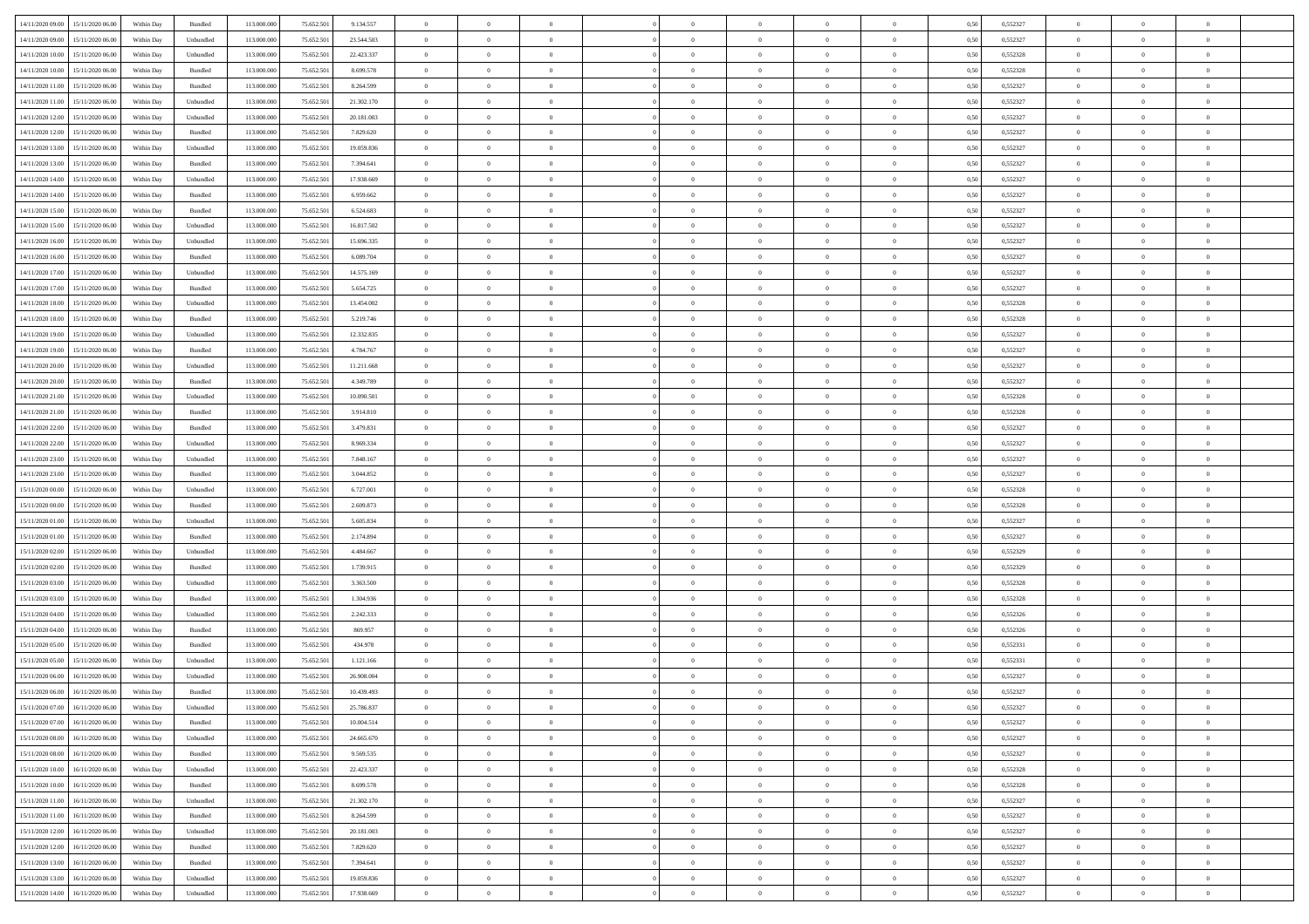| 14/11/2020 09:00 15/11/2020 06:00    | Within Day | Bundled                     | 113.000.000 | 75.652.501 | 9.134.557  | $\overline{0}$ | $\overline{0}$ |                | $\overline{0}$ | $\theta$       |                | $\theta$       | 0,50 | 0,552327 | $\theta$       | $\theta$       | $\overline{0}$ |  |
|--------------------------------------|------------|-----------------------------|-------------|------------|------------|----------------|----------------|----------------|----------------|----------------|----------------|----------------|------|----------|----------------|----------------|----------------|--|
| 14/11/2020 09:00<br>15/11/2020 06.00 | Within Day | Unbundled                   | 113.000.00  | 75.652.50  | 23.544.503 | $\bf{0}$       | $\bf{0}$       | $\bf{0}$       | $\bf{0}$       | $\overline{0}$ | $\overline{0}$ | $\bf{0}$       | 0,50 | 0,552327 | $\,$ 0 $\,$    | $\bf{0}$       | $\overline{0}$ |  |
| 14/11/2020 10:00<br>15/11/2020 06:00 | Within Day | Unbundled                   | 113,000,000 | 75.652.501 | 22.423.337 | $\overline{0}$ | $\bf{0}$       | $\overline{0}$ | $\bf{0}$       | $\overline{0}$ | $\overline{0}$ | $\bf{0}$       | 0.50 | 0,552328 | $\overline{0}$ | $\overline{0}$ | $\bf{0}$       |  |
| 14/11/2020 10:00<br>15/11/2020 06:00 | Within Day | Bundled                     | 113.000.000 | 75.652.501 | 8.699.578  | $\bf{0}$       | $\overline{0}$ | $\overline{0}$ | $\theta$       | $\theta$       | $\overline{0}$ | $\bf{0}$       | 0,50 | 0,552328 | $\,$ 0 $\,$    | $\,$ 0 $\,$    | $\overline{0}$ |  |
| 14/11/2020 11:00<br>15/11/2020 06.00 | Within Day | Bundled                     | 113.000.00  | 75.652.50  | 8.264.599  | $\bf{0}$       | $\overline{0}$ | $\bf{0}$       | $\overline{0}$ | $\bf{0}$       | $\overline{0}$ | $\bf{0}$       | 0,50 | 0,552327 | $\,$ 0 $\,$    | $\bf{0}$       | $\overline{0}$ |  |
| 14/11/2020 11:00<br>15/11/2020 06.00 | Within Day | Unbundled                   | 113,000,000 | 75.652.50  | 21.302.170 | $\overline{0}$ | $\bf{0}$       | $\overline{0}$ | $\bf{0}$       | $\overline{0}$ | $\overline{0}$ | $\bf{0}$       | 0.50 | 0.552327 | $\bf{0}$       | $\overline{0}$ | $\overline{0}$ |  |
|                                      |            |                             | 113.000.000 |            |            | $\overline{0}$ | $\overline{0}$ | $\overline{0}$ | $\overline{0}$ | $\overline{0}$ | $\overline{0}$ |                |      |          | $\,$ 0 $\,$    | $\theta$       | $\overline{0}$ |  |
| 14/11/2020 12:00<br>15/11/2020 06.00 | Within Day | Unbundled                   |             | 75.652.50  | 20.181.003 |                |                |                |                |                |                | $\bf{0}$       | 0,50 | 0,552327 |                |                |                |  |
| 14/11/2020 12:00<br>15/11/2020 06.00 | Within Day | Bundled                     | 113.000.00  | 75.652.50  | 7.829.620  | $\bf{0}$       | $\bf{0}$       | $\bf{0}$       | $\overline{0}$ | $\overline{0}$ | $\overline{0}$ | $\bf{0}$       | 0,50 | 0,552327 | $\,$ 0 $\,$    | $\bf{0}$       | $\overline{0}$ |  |
| 14/11/2020 13:00<br>15/11/2020 06.00 | Within Day | Unbundled                   | 113,000,000 | 75.652.50  | 19.059.836 | $\overline{0}$ | $\bf{0}$       | $\overline{0}$ | $\bf{0}$       | $\overline{0}$ | $\overline{0}$ | $\bf{0}$       | 0.50 | 0.552327 | $\bf{0}$       | $\overline{0}$ | $\overline{0}$ |  |
| 14/11/2020 13:00<br>15/11/2020 06.00 | Within Day | Bundled                     | 113.000.000 | 75.652.501 | 7.394.641  | $\bf{0}$       | $\bf{0}$       | $\overline{0}$ | $\overline{0}$ | $\overline{0}$ | $\overline{0}$ | $\bf{0}$       | 0,50 | 0,552327 | $\,$ 0 $\,$    | $\bf{0}$       | $\overline{0}$ |  |
| 14/11/2020 14:00<br>15/11/2020 06.00 | Within Day | Unbundled                   | 113.000.00  | 75.652.50  | 17.938.669 | $\bf{0}$       | $\bf{0}$       | $\bf{0}$       | $\bf{0}$       | $\overline{0}$ | $\overline{0}$ | $\bf{0}$       | 0,50 | 0,552327 | $\,$ 0 $\,$    | $\bf{0}$       | $\overline{0}$ |  |
| 14/11/2020 14:00<br>15/11/2020 06:00 | Within Day | Bundled                     | 113,000,000 | 75.652.501 | 6.959.662  | $\overline{0}$ | $\bf{0}$       | $\overline{0}$ | $\overline{0}$ | $\overline{0}$ | $\overline{0}$ | $\bf{0}$       | 0.50 | 0,552327 | $\overline{0}$ | $\,$ 0 $\,$    | $\,$ 0         |  |
| 14/11/2020 15:00<br>15/11/2020 06.00 | Within Day | Bundled                     | 113.000.000 | 75.652.501 | 6.524.683  | $\overline{0}$ | $\bf{0}$       | $\overline{0}$ | $\theta$       | $\theta$       | $\overline{0}$ | $\bf{0}$       | 0,50 | 0,552327 | $\,$ 0 $\,$    | $\,$ 0 $\,$    | $\overline{0}$ |  |
| 14/11/2020 15:00<br>15/11/2020 06.00 | Within Day | Unbundled                   | 113.000.00  | 75.652.50  | 16.817.502 | $\bf{0}$       | $\bf{0}$       | $\bf{0}$       | $\bf{0}$       | $\bf{0}$       | $\overline{0}$ | $\bf{0}$       | 0,50 | 0,552327 | $\,$ 0 $\,$    | $\bf{0}$       | $\overline{0}$ |  |
| 14/11/2020 16:00<br>15/11/2020 06.00 | Within Day | Unbundled                   | 113,000,000 | 75.652.50  | 15.696.335 | $\overline{0}$ | $\bf{0}$       | $\overline{0}$ | $\bf{0}$       | $\overline{0}$ | $\overline{0}$ | $\bf{0}$       | 0.50 | 0.552327 | $\,$ 0 $\,$    | $\bf{0}$       | $\overline{0}$ |  |
|                                      |            |                             |             |            |            | $\overline{0}$ | $\overline{0}$ | $\overline{0}$ | $\overline{0}$ | $\overline{0}$ | $\overline{0}$ |                |      |          |                | $\theta$       | $\overline{0}$ |  |
| 14/11/2020 16.00<br>15/11/2020 06.00 | Within Day | Bundled                     | 113.000.000 | 75.652.501 | 6.089.704  |                |                |                |                |                |                | $\bf{0}$       | 0,50 | 0,552327 | $\,$ 0 $\,$    |                |                |  |
| 14/11/2020 17:00<br>15/11/2020 06.00 | Within Day | Unbundled                   | 113.000.00  | 75.652.50  | 14.575.169 | $\bf{0}$       | $\bf{0}$       | $\bf{0}$       | $\overline{0}$ | $\bf{0}$       | $\overline{0}$ | $\bf{0}$       | 0,50 | 0,552327 | $\,$ 0 $\,$    | $\bf{0}$       | $\overline{0}$ |  |
| 14/11/2020 17:00<br>15/11/2020 06.00 | Within Day | Bundled                     | 113,000,00  | 75.652.50  | 5.654.725  | $\overline{0}$ | $\bf{0}$       | $\overline{0}$ | $\bf{0}$       | $\bf{0}$       | $\overline{0}$ | $\bf{0}$       | 0.50 | 0.552327 | $\bf{0}$       | $\overline{0}$ | $\bf{0}$       |  |
| 14/11/2020 18:00<br>15/11/2020 06.00 | Within Day | Unbundled                   | 113.000.000 | 75.652.501 | 13.454.002 | $\bf{0}$       | $\bf{0}$       | $\overline{0}$ | $\overline{0}$ | $\overline{0}$ | $\overline{0}$ | $\bf{0}$       | 0,50 | 0,552328 | $\,$ 0 $\,$    | $\bf{0}$       | $\overline{0}$ |  |
| 14/11/2020 18:00<br>15/11/2020 06.00 | Within Day | Bundled                     | 113.000.00  | 75.652.50  | 5.219.746  | $\bf{0}$       | $\bf{0}$       | $\bf{0}$       | $\bf{0}$       | $\overline{0}$ | $\overline{0}$ | $\bf{0}$       | 0,50 | 0,552328 | $\,$ 0 $\,$    | $\bf{0}$       | $\overline{0}$ |  |
| 14/11/2020 19:00<br>15/11/2020 06.00 | Within Day | Unbundled                   | 113,000,000 | 75.652.501 | 12.332.835 | $\overline{0}$ | $\bf{0}$       | $\overline{0}$ | $\overline{0}$ | $\bf{0}$       | $\overline{0}$ | $\bf{0}$       | 0.50 | 0,552327 | $\bf{0}$       | $\overline{0}$ | $\,$ 0         |  |
| 14/11/2020 19:00<br>15/11/2020 06:00 | Within Day | Bundled                     | 113.000.000 | 75.652.501 | 4.784.767  | $\overline{0}$ | $\overline{0}$ | $\overline{0}$ | $\theta$       | $\theta$       | $\overline{0}$ | $\bf{0}$       | 0,50 | 0,552327 | $\,$ 0 $\,$    | $\theta$       | $\overline{0}$ |  |
| 14/11/2020 20.00<br>15/11/2020 06.00 | Within Day | Unbundled                   | 113.000.00  | 75.652.50  | 11.211.668 | $\bf{0}$       | $\bf{0}$       | $\bf{0}$       | $\bf{0}$       | $\overline{0}$ | $\overline{0}$ | $\bf{0}$       | 0,50 | 0,552327 | $\,$ 0 $\,$    | $\bf{0}$       | $\overline{0}$ |  |
| 14/11/2020 20:00<br>15/11/2020 06.00 | Within Day | Bundled                     | 113,000,000 | 75.652.50  | 4.349.789  | $\overline{0}$ | $\bf{0}$       | $\overline{0}$ | $\bf{0}$       | $\overline{0}$ | $\overline{0}$ | $\bf{0}$       | 0.50 | 0.552327 | $\bf{0}$       | $\overline{0}$ | $\overline{0}$ |  |
| 14/11/2020 21:00<br>15/11/2020 06.00 | Within Day | Unbundled                   | 113.000.000 | 75.652.501 | 10.090.501 | $\overline{0}$ | $\overline{0}$ | $\overline{0}$ | $\overline{0}$ | $\overline{0}$ | $\overline{0}$ | $\bf{0}$       | 0,50 | 0,552328 | $\,$ 0 $\,$    | $\theta$       | $\overline{0}$ |  |
|                                      |            |                             |             |            |            |                |                |                |                |                |                |                |      |          |                |                |                |  |
| 14/11/2020 21.00<br>15/11/2020 06.00 | Within Day | Bundled                     | 113.000.00  | 75.652.50  | 3.914.810  | $\bf{0}$       | $\overline{0}$ | $\bf{0}$       | $\overline{0}$ | $\overline{0}$ | $\overline{0}$ | $\bf{0}$       | 0,50 | 0,552328 | $\,$ 0 $\,$    | $\bf{0}$       | $\overline{0}$ |  |
| 14/11/2020 22.00<br>15/11/2020 06.00 | Within Day | Bundled                     | 113,000,000 | 75.652.50  | 3.479.831  | $\overline{0}$ | $\bf{0}$       | $\overline{0}$ | $\bf{0}$       | $\overline{0}$ | $\overline{0}$ | $\bf{0}$       | 0.50 | 0.552327 | $\bf{0}$       | $\overline{0}$ | $\overline{0}$ |  |
| 14/11/2020 22.00<br>15/11/2020 06:00 | Within Day | Unbundled                   | 113.000.000 | 75.652.501 | 8.969.334  | $\overline{0}$ | $\bf{0}$       | $\overline{0}$ | $\overline{0}$ | $\overline{0}$ | $\overline{0}$ | $\bf{0}$       | 0,50 | 0,552327 | $\,$ 0 $\,$    | $\overline{0}$ | $\overline{0}$ |  |
| 14/11/2020 23.00<br>15/11/2020 06.00 | Within Day | Unbundled                   | 113.000.00  | 75.652.50  | 7.848.167  | $\bf{0}$       | $\bf{0}$       | $\bf{0}$       | $\bf{0}$       | $\overline{0}$ | $\overline{0}$ | $\bf{0}$       | 0,50 | 0,552327 | $\,$ 0 $\,$    | $\bf{0}$       | $\overline{0}$ |  |
| 14/11/2020 23.00<br>15/11/2020 06:00 | Within Day | Bundled                     | 113,000,000 | 75.652.501 | 3.044.852  | $\overline{0}$ | $\bf{0}$       | $\overline{0}$ | $\bf{0}$       | $\bf{0}$       | $\overline{0}$ | $\bf{0}$       | 0.50 | 0,552327 | $\overline{0}$ | $\,$ 0 $\,$    | $\,$ 0         |  |
| 15/11/2020 00:00<br>15/11/2020 06:00 | Within Day | Unbundled                   | 113.000.000 | 75.652.501 | 6.727.001  | $\overline{0}$ | $\overline{0}$ | $\overline{0}$ | $\overline{0}$ | $\overline{0}$ | $\overline{0}$ | $\bf{0}$       | 0.50 | 0,552328 | $\theta$       | $\theta$       | $\overline{0}$ |  |
| 15/11/2020 00:00<br>15/11/2020 06.00 | Within Day | Bundled                     | 113.000.00  | 75.652.50  | 2.609.873  | $\bf{0}$       | $\bf{0}$       | $\bf{0}$       | $\bf{0}$       | $\overline{0}$ | $\overline{0}$ | $\bf{0}$       | 0,50 | 0,552328 | $\,$ 0 $\,$    | $\bf{0}$       | $\overline{0}$ |  |
| 15/11/2020 01:00<br>15/11/2020 06.00 | Within Day | Unbundled                   | 113,000,000 | 75.652.501 | 5.605.834  | $\overline{0}$ | $\bf{0}$       | $\overline{0}$ | $\bf{0}$       | $\overline{0}$ | $\overline{0}$ | $\bf{0}$       | 0.50 | 0.552327 | $\bf{0}$       | $\bf{0}$       | $\overline{0}$ |  |
| 15/11/2020 01:00<br>15/11/2020 06:00 | Within Day | Bundled                     | 113.000.000 | 75.652.501 | 2.174.894  | $\overline{0}$ | $\overline{0}$ | $\overline{0}$ | $\overline{0}$ | $\overline{0}$ | $\overline{0}$ | $\bf{0}$       | 0.50 | 0,552327 | $\theta$       | $\theta$       | $\overline{0}$ |  |
| 15/11/2020 02.00<br>15/11/2020 06.00 | Within Day | Unbundled                   | 113.000.00  | 75.652.50  | 4.484.667  | $\bf{0}$       | $\bf{0}$       | $\bf{0}$       | $\bf{0}$       | $\overline{0}$ | $\overline{0}$ | $\bf{0}$       | 0,50 | 0,552329 | $\,$ 0 $\,$    | $\bf{0}$       | $\overline{0}$ |  |
| 15/11/2020 02.00<br>15/11/2020 06.00 | Within Day | Bundled                     | 113,000,000 | 75.652.50  | 1.739.915  | $\overline{0}$ | $\bf{0}$       | $\overline{0}$ | $\bf{0}$       | $\overline{0}$ | $\overline{0}$ | $\bf{0}$       | 0.50 | 0.552329 | $\bf{0}$       | $\overline{0}$ | $\overline{0}$ |  |
|                                      |            |                             |             |            |            |                | $\overline{0}$ |                |                | $\overline{0}$ |                |                |      |          | $\theta$       | $\overline{0}$ | $\overline{0}$ |  |
| 15/11/2020 03:00<br>15/11/2020 06:00 | Within Day | Unbundled                   | 113.000.000 | 75.652.501 | 3.363.500  | $\overline{0}$ |                | $\overline{0}$ | $\overline{0}$ |                | $\overline{0}$ | $\bf{0}$       | 0.50 | 0,552328 |                |                |                |  |
| 15/11/2020 03:00<br>15/11/2020 06.00 | Within Day | Bundled                     | 113.000.00  | 75.652.50  | 1.304.936  | $\bf{0}$       | $\bf{0}$       | $\bf{0}$       | $\bf{0}$       | $\overline{0}$ | $\overline{0}$ | $\bf{0}$       | 0,50 | 0,552328 | $\,$ 0 $\,$    | $\bf{0}$       | $\overline{0}$ |  |
| 15/11/2020 04:00<br>15/11/2020 06:00 | Within Day | Unbundled                   | 113,000,000 | 75.652.501 | 2.242.333  | $\overline{0}$ | $\bf{0}$       | $\overline{0}$ | $\overline{0}$ | $\bf{0}$       | $\overline{0}$ | $\bf{0}$       | 0.50 | 0,552326 | $\bf{0}$       | $\overline{0}$ | $\,$ 0         |  |
| 15/11/2020 04:00<br>15/11/2020 06:00 | Within Day | Bundled                     | 113.000.000 | 75.652.501 | 869.957    | $\overline{0}$ | $\overline{0}$ | $\overline{0}$ | $\overline{0}$ | $\overline{0}$ | $\overline{0}$ | $\bf{0}$       | 0.5( | 0,552326 | $\theta$       | $\theta$       | $\overline{0}$ |  |
| 15/11/2020 05:00<br>15/11/2020 06.00 | Within Day | Bundled                     | 113.000.00  | 75.652.501 | 434.978    | $\bf{0}$       | $\bf{0}$       | $\bf{0}$       | $\bf{0}$       | $\overline{0}$ | $\overline{0}$ | $\bf{0}$       | 0,50 | 0,552331 | $\,$ 0 $\,$    | $\bf{0}$       | $\overline{0}$ |  |
| 15/11/2020 05:00<br>15/11/2020 06.00 | Within Day | Unbundled                   | 113,000,00  | 75.652.50  | 1.121.166  | $\overline{0}$ | $\bf{0}$       | $\overline{0}$ | $\bf{0}$       | $\overline{0}$ | $\overline{0}$ | $\bf{0}$       | 0.50 | 0.552331 | $\bf{0}$       | $\overline{0}$ | $\overline{0}$ |  |
| 15/11/2020 06:00<br>16/11/2020 06:00 | Within Day | Unbundled                   | 113.000.000 | 75.652.501 | 26.908.004 | $\overline{0}$ | $\overline{0}$ | $\overline{0}$ | $\theta$       | $\theta$       | $\overline{0}$ | $\overline{0}$ | 0.5( | 0,552327 | $\theta$       | $\theta$       | $\overline{0}$ |  |
| 15/11/2020 06:00<br>16/11/2020 06.00 | Within Day | Bundled                     | 113.000.00  | 75.652.50  | 10.439.493 | $\bf{0}$       | $\bf{0}$       | $\bf{0}$       | $\bf{0}$       | $\bf{0}$       | $\overline{0}$ | $\bf{0}$       | 0,50 | 0,552327 | $\,$ 0 $\,$    | $\bf{0}$       | $\overline{0}$ |  |
| 15/11/2020 07:00 16/11/2020 06:00    | Within Day | $\ensuremath{\mathsf{Unb}}$ | 113.000.000 | 75.652.501 | 25.786.837 | $\bf{0}$       | $\bf{0}$       |                | $\overline{0}$ | $\bf{0}$       |                |                | 0,50 | 0,552327 | $\bf{0}$       | $\bf{0}$       |                |  |
| 15/11/2020 07:00 16/11/2020 06:00    | Within Day | Bundled                     | 113.000.000 | 75.652.501 | 10.004.514 | $\overline{0}$ | $\theta$       | $\Omega$       | $\theta$       | $\theta$       | $\overline{0}$ | $\bf{0}$       | 0,50 | 0,552327 | $\theta$       | $\theta$       | $\overline{0}$ |  |
| 15/11/2020 08:00<br>16/11/2020 06.00 | Within Day | Unbundled                   | 113.000.00  | 75.652.50  | 24.665.670 | $\overline{0}$ | $\bf{0}$       | $\overline{0}$ | $\overline{0}$ | $\bf{0}$       | $\overline{0}$ | $\bf{0}$       | 0,50 | 0,552327 | $\bf{0}$       | $\overline{0}$ | $\bf{0}$       |  |
|                                      |            |                             |             |            |            |                |                |                |                |                |                |                |      |          |                |                |                |  |
| 15/11/2020 08:00 16/11/2020 06:00    | Within Day | Bundled                     | 113,000,000 | 75.652.501 | 9.569.535  | $\overline{0}$ | $\bf{0}$       | $\overline{0}$ | $\overline{0}$ | $\overline{0}$ | $\overline{0}$ | $\,$ 0 $\,$    | 0.50 | 0,552327 | $\overline{0}$ | $\bf{0}$       | $\,$ 0 $\,$    |  |
| 15/11/2020 10:00 16/11/2020 06:00    | Within Dav | Unbundled                   | 113.000.000 | 75.652.501 | 22.423.337 | $\overline{0}$ | $\overline{0}$ | $\overline{0}$ | $\overline{0}$ | $\overline{0}$ | $\overline{0}$ | $\bf{0}$       | 0.50 | 0,552328 | $\overline{0}$ | $\theta$       | $\overline{0}$ |  |
| 15/11/2020 10:00<br>16/11/2020 06.00 | Within Day | Bundled                     | 113.000.000 | 75.652.501 | 8.699.578  | $\overline{0}$ | $\bf{0}$       | $\overline{0}$ | $\bf{0}$       | $\overline{0}$ | $\bf{0}$       | $\bf{0}$       | 0,50 | 0,552328 | $\bf{0}$       | $\overline{0}$ | $\overline{0}$ |  |
| 15/11/2020 11:00<br>16/11/2020 06:00 | Within Day | Unbundled                   | 113,000,000 | 75.652.501 | 21.302.170 | $\overline{0}$ | $\bf{0}$       | $\overline{0}$ | $\overline{0}$ | $\overline{0}$ | $\overline{0}$ | $\bf{0}$       | 0.50 | 0.552327 | $\,$ 0 $\,$    | $\theta$       | $\overline{0}$ |  |
| 15/11/2020 11:00<br>16/11/2020 06:00 | Within Dav | Bundled                     | 113.000.000 | 75.652.501 | 8.264.599  | $\overline{0}$ | $\overline{0}$ | $\overline{0}$ | $\overline{0}$ | $\overline{0}$ | $\overline{0}$ | $\bf{0}$       | 0.50 | 0,552327 | $\overline{0}$ | $\theta$       | $\overline{0}$ |  |
| 15/11/2020 12:00<br>16/11/2020 06.00 | Within Day | Unbundled                   | 113.000.00  | 75.652.501 | 20.181.003 | $\overline{0}$ | $\overline{0}$ | $\overline{0}$ | $\overline{0}$ | $\overline{0}$ | $\overline{0}$ | $\bf{0}$       | 0,50 | 0,552327 | $\bf{0}$       | $\overline{0}$ | $\overline{0}$ |  |
| 15/11/2020 12:00<br>16/11/2020 06:00 | Within Day | Bundled                     | 113,000,000 | 75.652.501 | 7.829.620  | $\overline{0}$ | $\overline{0}$ | $\overline{0}$ | $\overline{0}$ | $\bf{0}$       | $\overline{0}$ | $\bf{0}$       | 0.50 | 0.552327 | $\mathbf{0}$   | $\bf{0}$       | $\,$ 0         |  |
| 15/11/2020 13:00 16/11/2020 06:00    | Within Dav | Bundled                     | 113.000.000 | 75.652.501 | 7.394.641  | $\overline{0}$ | $\overline{0}$ | $\overline{0}$ | $\overline{0}$ | $\overline{0}$ | $\overline{0}$ | $\bf{0}$       | 0.50 | 0,552327 | $\overline{0}$ | $\theta$       | $\overline{0}$ |  |
|                                      |            |                             |             |            |            |                |                |                |                |                |                |                |      |          |                |                |                |  |
| 15/11/2020 13:00<br>16/11/2020 06.00 | Within Day | Unbundled                   | 113.000.00  | 75.652.50  | 19.059.836 | $\overline{0}$ | $\bf{0}$       | $\overline{0}$ | $\bf{0}$       | $\overline{0}$ | $\bf{0}$       | $\bf{0}$       | 0,50 | 0,552327 | $\bf{0}$       | $\bf{0}$       | $\overline{0}$ |  |
| 15/11/2020 14:00 16/11/2020 06:00    | Within Day | Unbundled                   | 113.000.000 | 75.652.501 | 17.938.669 | $\overline{0}$ | $\bf{0}$       | $\overline{0}$ | $\overline{0}$ | $\,$ 0 $\,$    | $\overline{0}$ | $\bf{0}$       | 0,50 | 0,552327 | $\overline{0}$ | $\,$ 0 $\,$    | $\,$ 0 $\,$    |  |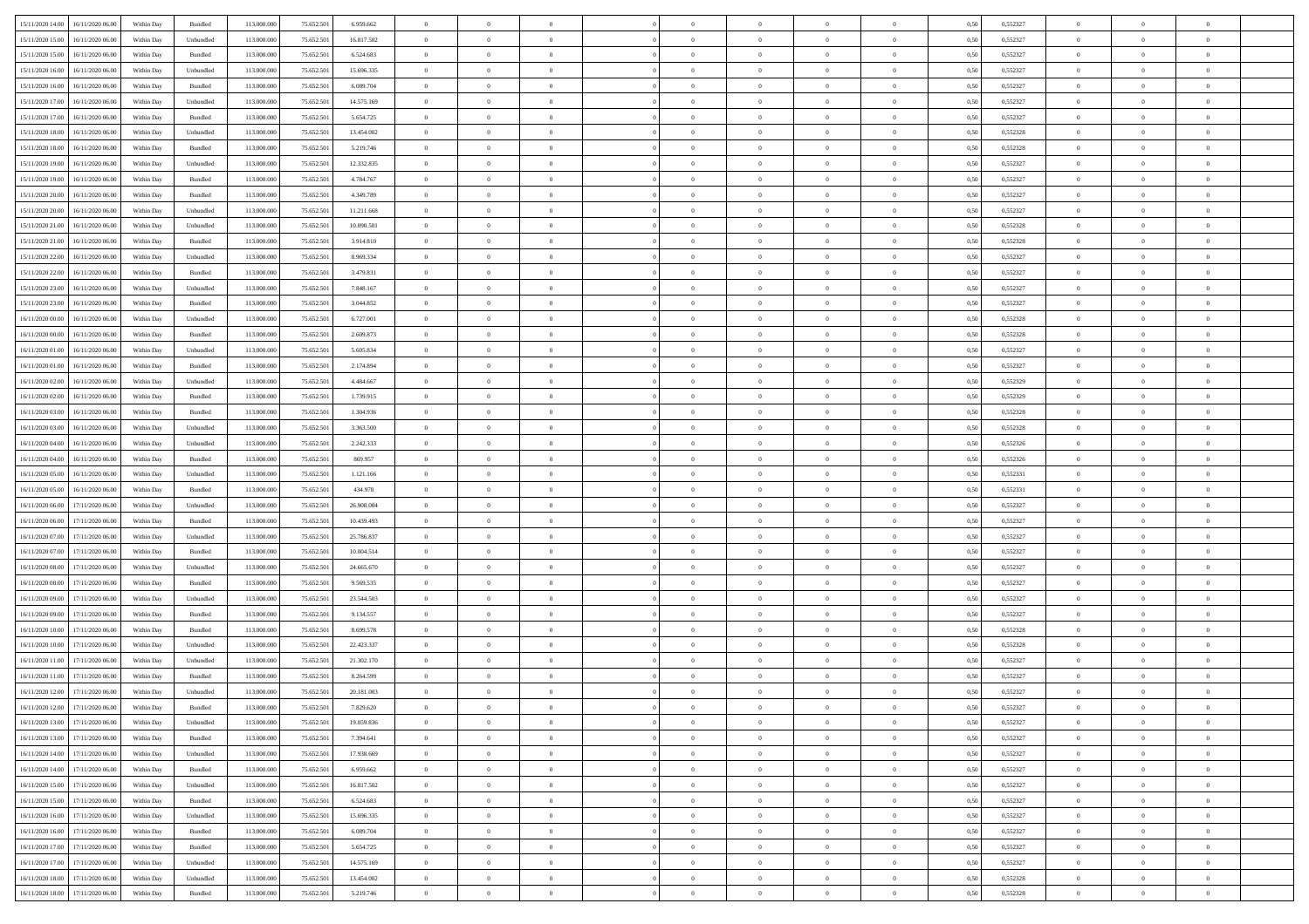| 15/11/2020 14:00 16/11/2020 06:00    | Within Day | Bundled   | 113.000.000 | 75.652.501 | 6.959.662  | $\overline{0}$ | $\overline{0}$ |                | $\overline{0}$ | $\theta$       |                | $\theta$       | 0,50 | 0,552327 | $\theta$       | $\theta$       | $\overline{0}$ |  |
|--------------------------------------|------------|-----------|-------------|------------|------------|----------------|----------------|----------------|----------------|----------------|----------------|----------------|------|----------|----------------|----------------|----------------|--|
| 15/11/2020 15:00<br>16/11/2020 06.00 | Within Day | Unbundled | 113.000.00  | 75.652.50  | 16.817.502 | $\bf{0}$       | $\bf{0}$       | $\bf{0}$       | $\bf{0}$       | $\overline{0}$ | $\overline{0}$ | $\bf{0}$       | 0,50 | 0,552327 | $\,$ 0 $\,$    | $\bf{0}$       | $\overline{0}$ |  |
| 15/11/2020 15:00<br>16/11/2020 06:00 | Within Day | Bundled   | 113,000,000 | 75.652.501 | 6.524.683  | $\overline{0}$ | $\bf{0}$       | $\overline{0}$ | $\bf{0}$       | $\bf{0}$       | $\overline{0}$ | $\bf{0}$       | 0.50 | 0,552327 | $\bf{0}$       | $\overline{0}$ | $\overline{0}$ |  |
| 15/11/2020 16:00                     |            |           | 113.000.000 |            |            | $\overline{0}$ | $\overline{0}$ | $\overline{0}$ | $\overline{0}$ | $\theta$       | $\overline{0}$ |                |      | 0,552327 | $\theta$       | $\theta$       | $\overline{0}$ |  |
| 16/11/2020 06.00                     | Within Day | Unbundled |             | 75.652.501 | 15.696.335 |                |                |                |                |                |                | $\bf{0}$       | 0,50 |          |                |                |                |  |
| 15/11/2020 16.00<br>16/11/2020 06.00 | Within Day | Bundled   | 113.000.00  | 75.652.50  | 6.089.704  | $\bf{0}$       | $\overline{0}$ | $\bf{0}$       | $\overline{0}$ | $\theta$       | $\overline{0}$ | $\bf{0}$       | 0,50 | 0,552327 | $\,$ 0 $\,$    | $\bf{0}$       | $\overline{0}$ |  |
| 15/11/2020 17:00<br>16/11/2020 06.00 | Within Day | Unbundled | 113,000,000 | 75.652.50  | 14.575.169 | $\overline{0}$ | $\bf{0}$       | $\overline{0}$ | $\bf{0}$       | $\overline{0}$ | $\overline{0}$ | $\bf{0}$       | 0.50 | 0.552327 | $\,$ 0 $\,$    | $\theta$       | $\overline{0}$ |  |
| 15/11/2020 17:00<br>16/11/2020 06.00 | Within Day | Bundled   | 113.000.000 | 75.652.501 | 5.654.725  | $\bf{0}$       | $\overline{0}$ | $\overline{0}$ | $\overline{0}$ | $\overline{0}$ | $\overline{0}$ | $\bf{0}$       | 0,50 | 0,552327 | $\,$ 0 $\,$    | $\theta$       | $\overline{0}$ |  |
|                                      |            |           |             |            |            |                |                |                |                |                |                |                |      |          |                |                |                |  |
| 15/11/2020 18:00<br>16/11/2020 06.00 | Within Day | Unbundled | 113.000.00  | 75.652.50  | 13.454.002 | $\bf{0}$       | $\bf{0}$       | $\bf{0}$       | $\overline{0}$ | $\overline{0}$ | $\overline{0}$ | $\bf{0}$       | 0,50 | 0,552328 | $\,$ 0 $\,$    | $\bf{0}$       | $\overline{0}$ |  |
| 15/11/2020 18:00<br>16/11/2020 06:00 | Within Day | Bundled   | 113,000,000 | 75.652.50  | 5.219.746  | $\overline{0}$ | $\bf{0}$       | $\overline{0}$ | $\bf{0}$       | $\overline{0}$ | $\overline{0}$ | $\bf{0}$       | 0.50 | 0.552328 | $\bf{0}$       | $\overline{0}$ | $\overline{0}$ |  |
| 15/11/2020 19:00<br>16/11/2020 06.00 | Within Day | Unbundled | 113.000.000 | 75.652.501 | 12.332.835 | $\bf{0}$       | $\bf{0}$       | $\overline{0}$ | $\overline{0}$ | $\overline{0}$ | $\overline{0}$ | $\bf{0}$       | 0,50 | 0,552327 | $\,$ 0 $\,$    | $\bf{0}$       | $\overline{0}$ |  |
| 15/11/2020 19:00<br>16/11/2020 06.00 | Within Day | Bundled   | 113.000.00  | 75.652.50  | 4.784.767  | $\bf{0}$       | $\bf{0}$       | $\bf{0}$       | $\bf{0}$       | $\overline{0}$ | $\overline{0}$ | $\bf{0}$       | 0,50 | 0,552327 | $\,$ 0 $\,$    | $\bf{0}$       | $\overline{0}$ |  |
|                                      |            |           |             |            |            |                |                |                |                |                |                |                |      |          |                |                |                |  |
| 15/11/2020 20:00<br>16/11/2020 06.00 | Within Day | Bundled   | 113,000,000 | 75.652.501 | 4.349.789  | $\overline{0}$ | $\bf{0}$       | $\overline{0}$ | $\overline{0}$ | $\bf{0}$       | $\overline{0}$ | $\bf{0}$       | 0.50 | 0,552327 | $\bf{0}$       | $\overline{0}$ | $\,$ 0         |  |
| 15/11/2020 20.00<br>16/11/2020 06.00 | Within Day | Unbundled | 113.000.000 | 75.652.50  | 11.211.668 | $\overline{0}$ | $\overline{0}$ | $\overline{0}$ | $\theta$       | $\theta$       | $\overline{0}$ | $\bf{0}$       | 0,50 | 0,552327 | $\,$ 0 $\,$    | $\theta$       | $\overline{0}$ |  |
| 15/11/2020 21.00<br>16/11/2020 06.00 | Within Day | Unbundled | 113.000.00  | 75.652.50  | 10.090.501 | $\bf{0}$       | $\overline{0}$ | $\bf{0}$       | $\bf{0}$       | $\bf{0}$       | $\overline{0}$ | $\bf{0}$       | 0,50 | 0,552328 | $\,$ 0 $\,$    | $\bf{0}$       | $\overline{0}$ |  |
| 15/11/2020 21.00<br>16/11/2020 06.00 | Within Day | Bundled   | 113,000,000 | 75.652.50  | 3.914.810  | $\overline{0}$ | $\bf{0}$       | $\overline{0}$ | $\bf{0}$       | $\overline{0}$ | $\theta$       | $\bf{0}$       | 0.50 | 0.552328 | $\,$ 0 $\,$    | $\theta$       | $\overline{0}$ |  |
| 15/11/2020 22.00<br>16/11/2020 06.00 | Within Day | Unbundled | 113.000.000 | 75.652.501 | 8.969.334  | $\overline{0}$ | $\overline{0}$ | $\overline{0}$ | $\overline{0}$ | $\overline{0}$ | $\overline{0}$ | $\bf{0}$       | 0,50 | 0,552327 | $\theta$       | $\theta$       | $\overline{0}$ |  |
|                                      |            |           |             |            |            |                |                |                |                |                |                |                |      |          |                |                |                |  |
| 15/11/2020 22.00<br>16/11/2020 06.00 | Within Day | Bundled   | 113.000.00  | 75.652.50  | 3.479.831  | $\bf{0}$       | $\bf{0}$       | $\bf{0}$       | $\overline{0}$ | $\overline{0}$ | $\overline{0}$ | $\bf{0}$       | 0,50 | 0,552327 | $\,$ 0 $\,$    | $\bf{0}$       | $\overline{0}$ |  |
| 15/11/2020 23:00<br>16/11/2020 06:00 | Within Day | Unbundled | 113,000,00  | 75.652.50  | 7.848.167  | $\overline{0}$ | $\bf{0}$       | $\overline{0}$ | $\bf{0}$       | $\overline{0}$ | $\overline{0}$ | $\bf{0}$       | 0.50 | 0.552327 | $\bf{0}$       | $\overline{0}$ | $\bf{0}$       |  |
| 15/11/2020 23.00<br>16/11/2020 06.00 | Within Day | Bundled   | 113.000.000 | 75.652.501 | 3.044.852  | $\bf{0}$       | $\bf{0}$       | $\overline{0}$ | $\overline{0}$ | $\overline{0}$ | $\overline{0}$ | $\bf{0}$       | 0,50 | 0,552327 | $\,$ 0 $\,$    | $\bf{0}$       | $\overline{0}$ |  |
| 16/11/2020 00:00<br>16/11/2020 06.00 | Within Day | Unbundled | 113.000.00  | 75.652.50  | 6.727.001  | $\bf{0}$       | $\bf{0}$       | $\bf{0}$       | $\bf{0}$       | $\overline{0}$ | $\overline{0}$ | $\bf{0}$       | 0,50 | 0,552328 | $\,$ 0 $\,$    | $\bf{0}$       | $\overline{0}$ |  |
|                                      |            |           |             |            |            |                |                |                |                |                |                |                |      |          |                |                |                |  |
| 16/11/2020 00:00<br>16/11/2020 06.00 | Within Day | Bundled   | 113,000,000 | 75.652.501 | 2.609.873  | $\overline{0}$ | $\bf{0}$       | $\overline{0}$ | $\overline{0}$ | $\bf{0}$       | $\overline{0}$ | $\bf{0}$       | 0.50 | 0,552328 | $\bf{0}$       | $\overline{0}$ | $\,$ 0         |  |
| 16/11/2020 01:00<br>16/11/2020 06.00 | Within Day | Unbundled | 113.000.000 | 75.652.501 | 5.605.834  | $\overline{0}$ | $\overline{0}$ | $\overline{0}$ | $\theta$       | $\theta$       | $\overline{0}$ | $\bf{0}$       | 0,50 | 0,552327 | $\theta$       | $\theta$       | $\overline{0}$ |  |
| 16/11/2020 01:00<br>16/11/2020 06.00 | Within Day | Bundled   | 113.000.00  | 75.652.50  | 2.174.894  | $\bf{0}$       | $\bf{0}$       | $\bf{0}$       | $\bf{0}$       | $\overline{0}$ | $\overline{0}$ | $\bf{0}$       | 0,50 | 0,552327 | $\,$ 0 $\,$    | $\bf{0}$       | $\overline{0}$ |  |
| 16/11/2020 02.00<br>16/11/2020 06.00 | Within Day | Unbundled | 113,000,000 | 75.652.50  | 4.484.667  | $\overline{0}$ | $\bf{0}$       | $\overline{0}$ | $\bf{0}$       | $\overline{0}$ | $\overline{0}$ | $\bf{0}$       | 0.50 | 0.552329 | $\bf{0}$       | $\theta$       | $\overline{0}$ |  |
| 16/11/2020 02.00<br>16/11/2020 06.00 | Within Day | Bundled   | 113.000.000 | 75.652.501 | 1.739.915  | $\overline{0}$ | $\overline{0}$ | $\overline{0}$ | $\overline{0}$ | $\overline{0}$ | $\overline{0}$ | $\bf{0}$       | 0,50 | 0,552329 | $\,$ 0 $\,$    | $\theta$       | $\overline{0}$ |  |
|                                      |            |           |             |            |            |                |                |                |                |                |                |                |      |          |                |                |                |  |
| 16/11/2020 03:00<br>16/11/2020 06.00 | Within Day | Bundled   | 113.000.00  | 75.652.50  | 1.304.936  | $\bf{0}$       | $\overline{0}$ | $\bf{0}$       | $\overline{0}$ | $\bf{0}$       | $\overline{0}$ | $\bf{0}$       | 0,50 | 0,552328 | $\,$ 0 $\,$    | $\bf{0}$       | $\overline{0}$ |  |
| 16/11/2020 03.00<br>16/11/2020 06:00 | Within Day | Unbundled | 113,000,000 | 75.652.50  | 3.363.500  | $\overline{0}$ | $\bf{0}$       | $\overline{0}$ | $\bf{0}$       | $\overline{0}$ | $\overline{0}$ | $\bf{0}$       | 0.50 | 0.552328 | $\bf{0}$       | $\overline{0}$ | $\overline{0}$ |  |
| 16/11/2020 04:00<br>16/11/2020 06.00 | Within Day | Unbundled | 113.000.000 | 75.652.501 | 2.242.333  | $\overline{0}$ | $\bf{0}$       | $\overline{0}$ | $\overline{0}$ | $\overline{0}$ | $\overline{0}$ | $\bf{0}$       | 0,50 | 0,552326 | $\,$ 0 $\,$    | $\theta$       | $\overline{0}$ |  |
| 16/11/2020 04:00<br>16/11/2020 06.00 | Within Day | Bundled   | 113.000.00  | 75.652.50  | 869.957    | $\bf{0}$       | $\bf{0}$       | $\bf{0}$       | $\bf{0}$       | $\overline{0}$ | $\overline{0}$ | $\bf{0}$       | 0,50 | 0,552326 | $\,$ 0 $\,$    | $\bf{0}$       | $\overline{0}$ |  |
|                                      |            |           |             |            |            |                |                |                |                |                |                |                |      |          |                |                |                |  |
| 16/11/2020 05:00<br>16/11/2020 06.00 | Within Day | Unbundled | 113,000,000 | 75.652.501 | 1.121.166  | $\overline{0}$ | $\bf{0}$       | $\overline{0}$ | $\overline{0}$ | $\bf{0}$       | $\overline{0}$ | $\bf{0}$       | 0.50 | 0.552331 | $\bf{0}$       | $\overline{0}$ | $\,$ 0         |  |
| 16/11/2020 05:00<br>16/11/2020 06:00 | Within Day | Bundled   | 113.000.000 | 75.652.50  | 434,978    | $\overline{0}$ | $\overline{0}$ | $\overline{0}$ | $\overline{0}$ | $\overline{0}$ | $\overline{0}$ | $\bf{0}$       | 0.5( | 0,552331 | $\theta$       | $\theta$       | $\overline{0}$ |  |
| 16/11/2020 06.00<br>17/11/2020 06.00 | Within Day | Unbundled | 113.000.00  | 75.652.50  | 26.908.004 | $\bf{0}$       | $\bf{0}$       | $\bf{0}$       | $\bf{0}$       | $\overline{0}$ | $\overline{0}$ | $\bf{0}$       | 0,50 | 0,552327 | $\,$ 0 $\,$    | $\bf{0}$       | $\overline{0}$ |  |
| 16/11/2020 06:00<br>17/11/2020 06.00 | Within Day | Bundled   | 113,000,000 | 75.652.50  | 10.439.493 | $\overline{0}$ | $\bf{0}$       | $\overline{0}$ | $\bf{0}$       | $\overline{0}$ | $\overline{0}$ | $\bf{0}$       | 0.50 | 0.552327 | $\bf{0}$       | $\bf{0}$       | $\overline{0}$ |  |
| 16/11/2020 07.00<br>17/11/2020 06.00 | Within Dav | Unbundled | 113.000.000 | 75.652.501 | 25.786.837 | $\overline{0}$ | $\overline{0}$ | $\overline{0}$ | $\overline{0}$ | $\overline{0}$ | $\overline{0}$ | $\bf{0}$       | 0.50 | 0,552327 | $\theta$       | $\theta$       | $\overline{0}$ |  |
|                                      |            |           |             |            |            |                |                |                |                |                |                |                |      |          |                |                |                |  |
| 16/11/2020 07:00<br>17/11/2020 06.00 | Within Day | Bundled   | 113.000.00  | 75.652.50  | 10.004.514 | $\bf{0}$       | $\bf{0}$       | $\bf{0}$       | $\bf{0}$       | $\overline{0}$ | $\overline{0}$ | $\bf{0}$       | 0,50 | 0,552327 | $\,$ 0 $\,$    | $\bf{0}$       | $\overline{0}$ |  |
| 16/11/2020 08:00<br>17/11/2020 06:00 | Within Day | Unbundled | 113,000,00  | 75.652.50  | 24,665,670 | $\overline{0}$ | $\bf{0}$       | $\overline{0}$ | $\bf{0}$       | $\overline{0}$ | $\overline{0}$ | $\bf{0}$       | 0.50 | 0.552327 | $\bf{0}$       | $\overline{0}$ | $\overline{0}$ |  |
| 16/11/2020 08:00<br>17/11/2020 06.00 | Within Dav | Bundled   | 113.000.000 | 75.652.501 | 9.569.535  | $\overline{0}$ | $\overline{0}$ | $\overline{0}$ | $\overline{0}$ | $\overline{0}$ | $\overline{0}$ | $\bf{0}$       | 0.50 | 0,552327 | $\theta$       | $\theta$       | $\overline{0}$ |  |
| 16/11/2020 09:00<br>17/11/2020 06.00 | Within Day | Unbundled | 113.000.00  | 75.652.50  | 23.544.503 | $\bf{0}$       | $\bf{0}$       | $\bf{0}$       | $\bf{0}$       | $\overline{0}$ | $\overline{0}$ | $\bf{0}$       | 0,50 | 0,552327 | $\,$ 0 $\,$    | $\bf{0}$       | $\overline{0}$ |  |
| 16/11/2020 09:00<br>17/11/2020 06.00 | Within Day | Bundled   | 113,000,000 | 75.652.501 | 9.134.557  | $\overline{0}$ | $\bf{0}$       | $\overline{0}$ | $\overline{0}$ | $\bf{0}$       | $\overline{0}$ | $\bf{0}$       | 0.50 | 0,552327 | $\bf{0}$       | $\overline{0}$ | $\,$ 0         |  |
|                                      |            |           |             |            |            |                |                |                |                |                |                |                |      |          |                |                |                |  |
| 16/11/2020 10:00<br>17/11/2020 06.00 | Within Dav | Bundled   | 113.000.000 | 75.652.501 | 8.699.578  | $\overline{0}$ | $\overline{0}$ | $\overline{0}$ | $\overline{0}$ | $\overline{0}$ | $\overline{0}$ | $\bf{0}$       | 0.5( | 0,552328 | $\theta$       | $\theta$       | $\overline{0}$ |  |
| 16/11/2020 10:00<br>17/11/2020 06.00 | Within Day | Unbundled | 113.000.00  | 75.652.50  | 22.423.337 | $\bf{0}$       | $\bf{0}$       | $\bf{0}$       | $\bf{0}$       | $\overline{0}$ | $\overline{0}$ | $\bf{0}$       | 0,50 | 0,552328 | $\,$ 0 $\,$    | $\bf{0}$       | $\overline{0}$ |  |
| 16/11/2020 11:00<br>17/11/2020 06.00 | Within Day | Unbundled | 113,000,00  | 75.652.50  | 21.302.170 | $\overline{0}$ | $\overline{0}$ | $\overline{0}$ | $\bf{0}$       | $\overline{0}$ | $\overline{0}$ | $\bf{0}$       | 0.50 | 0.552327 | $\bf{0}$       | $\theta$       | $\overline{0}$ |  |
| 16/11/2020 11:00<br>17/11/2020 06.00 | Within Day | Bundled   | 113.000.000 | 75.652.50  | 8.264.599  | $\overline{0}$ | $\overline{0}$ | $\overline{0}$ | $\theta$       | $\theta$       | $\overline{0}$ | $\overline{0}$ | 0.5( | 0,552327 | $\theta$       | $\theta$       | $\overline{0}$ |  |
| 16/11/2020 12:00<br>17/11/2020 06.00 | Within Day | Unbundled | 113.000.00  | 75.652.50  | 20.181.003 | $\bf{0}$       | $\bf{0}$       | $\bf{0}$       | $\bf{0}$       | $\bf{0}$       | $\overline{0}$ | $\bf{0}$       | 0,50 | 0,552327 | $\,$ 0 $\,$    | $\overline{0}$ | $\overline{0}$ |  |
|                                      |            |           |             |            |            |                |                |                |                |                |                |                |      |          |                |                |                |  |
| 16/11/2020 12:00 17/11/2020 06:00    | Within Day | Bundled   | 113.000.000 | 75.652.501 | 7.829.620  | $\bf{0}$       | $\theta$       |                | $\overline{0}$ | $\Omega$       |                | $\bf{0}$       | 0,50 | 0,552327 | $\bf{0}$       | $\bf{0}$       |                |  |
| 16/11/2020 13:00 17/11/2020 06:00    | Within Day | Unbundled | 113.000.000 | 75.652.501 | 19.059.836 | $\overline{0}$ | $\theta$       | $\Omega$       | $\theta$       | $\overline{0}$ | $\overline{0}$ | $\bf{0}$       | 0,50 | 0,552327 | $\theta$       | $\theta$       | $\overline{0}$ |  |
| 16/11/2020 13:00<br>17/11/2020 06.00 | Within Day | Bundled   | 113.000.00  | 75.652.50  | 7.394.641  | $\overline{0}$ | $\bf{0}$       | $\overline{0}$ | $\overline{0}$ | $\bf{0}$       | $\overline{0}$ | $\bf{0}$       | 0,50 | 0,552327 | $\bf{0}$       | $\overline{0}$ | $\bf{0}$       |  |
| 16/11/2020 14:00 17/11/2020 06:00    | Within Day | Unbundled | 113,000,000 | 75.652.501 | 17.938.669 | $\overline{0}$ | $\bf{0}$       | $\overline{0}$ | $\overline{0}$ | $\overline{0}$ | $\overline{0}$ | $\,$ 0 $\,$    | 0.50 | 0,552327 | $\overline{0}$ | $\bf{0}$       | $\,$ 0 $\,$    |  |
|                                      |            |           |             |            |            |                | $\overline{0}$ |                |                | $\overline{0}$ |                |                |      |          | $\overline{0}$ | $\theta$       | $\overline{0}$ |  |
| 16/11/2020 14:00 17/11/2020 06:00    | Within Dav | Bundled   | 113.000.000 | 75.652.501 | 6.959.662  | $\overline{0}$ |                | $\overline{0}$ | $\overline{0}$ |                | $\overline{0}$ | $\bf{0}$       | 0.50 | 0,552327 |                |                |                |  |
| 16/11/2020 15:00<br>17/11/2020 06.00 | Within Day | Unbundled | 113.000.000 | 75.652.501 | 16.817.502 | $\overline{0}$ | $\bf{0}$       | $\overline{0}$ | $\bf{0}$       | $\overline{0}$ | $\bf{0}$       | $\bf{0}$       | 0,50 | 0,552327 | $\bf{0}$       | $\overline{0}$ | $\overline{0}$ |  |
| 17/11/2020 06:00<br>16/11/2020 15:00 | Within Day | Bundled   | 113,000,000 | 75.652.501 | 6.524.683  | $\overline{0}$ | $\bf{0}$       | $\overline{0}$ | $\overline{0}$ | $\overline{0}$ | $\overline{0}$ | $\bf{0}$       | 0.50 | 0.552327 | $\,$ 0 $\,$    | $\overline{0}$ | $\,$ 0         |  |
| 16/11/2020 16:00<br>17/11/2020 06:00 | Within Dav | Unbundled | 113.000.000 | 75.652.501 | 15.696.335 | $\overline{0}$ | $\overline{0}$ | $\overline{0}$ | $\overline{0}$ | $\overline{0}$ | $\overline{0}$ | $\bf{0}$       | 0.50 | 0,552327 | $\overline{0}$ | $\theta$       | $\overline{0}$ |  |
| 16/11/2020 16:00<br>17/11/2020 06.00 | Within Day | Bundled   | 113.000.00  | 75.652.501 | 6.089.704  | $\overline{0}$ | $\overline{0}$ | $\overline{0}$ | $\overline{0}$ | $\overline{0}$ | $\overline{0}$ | $\bf{0}$       | 0,50 | 0,552327 | $\bf{0}$       | $\overline{0}$ | $\overline{0}$ |  |
|                                      |            |           |             |            |            |                |                |                |                |                |                |                |      |          |                |                |                |  |
| 17/11/2020 06:00<br>16/11/2020 17.00 | Within Day | Bundled   | 113,000,000 | 75.652.501 | 5.654.725  | $\overline{0}$ | $\overline{0}$ | $\overline{0}$ | $\overline{0}$ | $\bf{0}$       | $\overline{0}$ | $\bf{0}$       | 0.50 | 0.552327 | $\mathbf{0}$   | $\bf{0}$       | $\,$ 0         |  |
| 16/11/2020 17:00 17/11/2020 06:00    | Within Dav | Unbundled | 113.000.000 | 75.652.501 | 14.575.169 | $\overline{0}$ | $\overline{0}$ | $\overline{0}$ | $\overline{0}$ | $\overline{0}$ | $\overline{0}$ | $\bf{0}$       | 0.50 | 0,552327 | $\overline{0}$ | $\theta$       | $\overline{0}$ |  |
| 16/11/2020 18:00<br>17/11/2020 06.00 | Within Day | Unbundled | 113.000.00  | 75.652.50  | 13.454.002 | $\overline{0}$ | $\bf{0}$       | $\overline{0}$ | $\bf{0}$       | $\overline{0}$ | $\bf{0}$       | $\bf{0}$       | 0,50 | 0,552328 | $\bf{0}$       | $\bf{0}$       | $\overline{0}$ |  |
| 16/11/2020 18:00 17/11/2020 06:00    | Within Day | Bundled   | 113.000.000 | 75.652.501 | 5.219.746  | $\,$ 0 $\,$    | $\bf{0}$       | $\overline{0}$ | $\overline{0}$ | $\,$ 0 $\,$    | $\overline{0}$ | $\bf{0}$       | 0,50 | 0,552328 | $\overline{0}$ | $\,$ 0 $\,$    | $\,$ 0 $\,$    |  |
|                                      |            |           |             |            |            |                |                |                |                |                |                |                |      |          |                |                |                |  |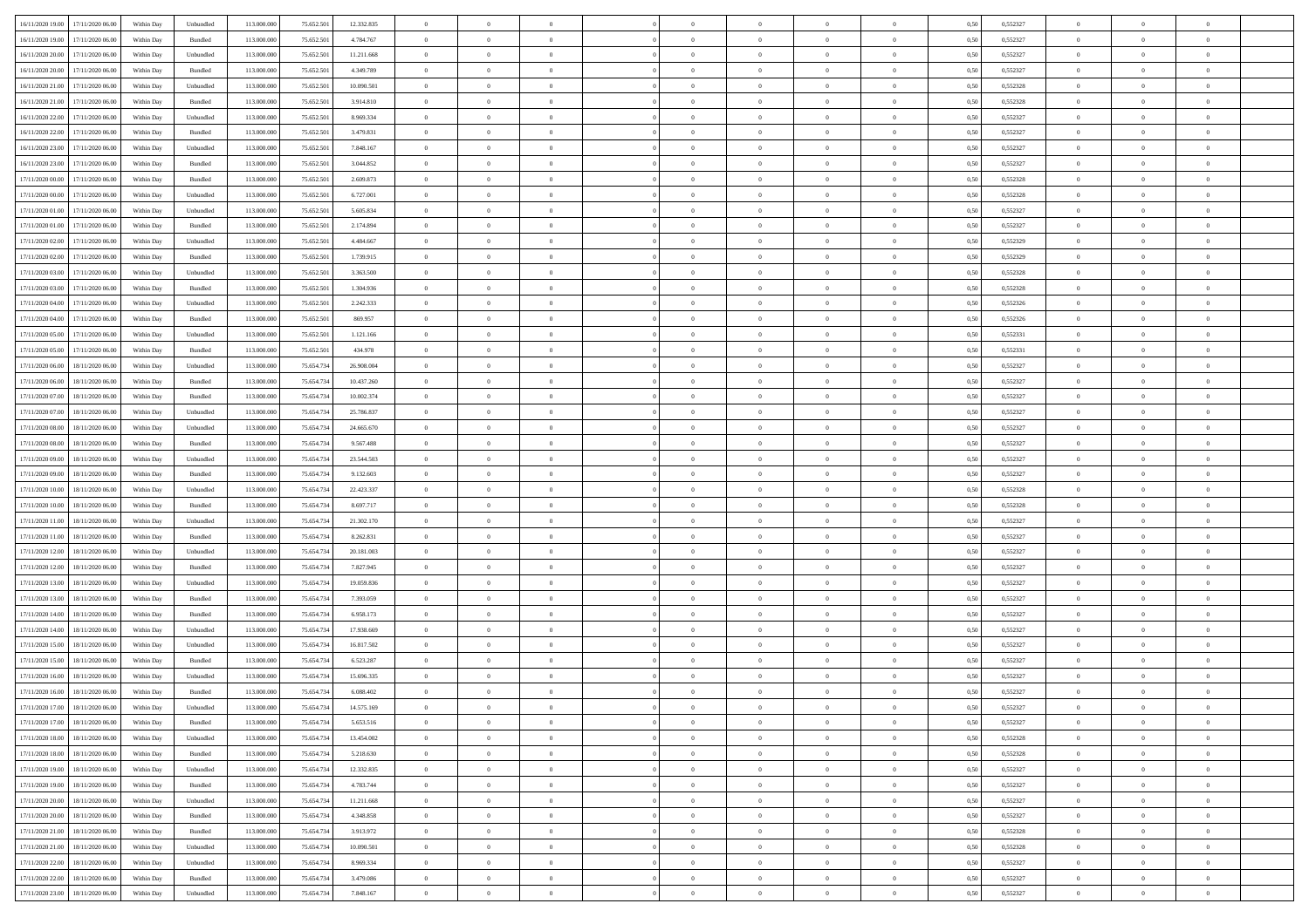| 16/11/2020 19:00 17/11/2020 06:00    | Within Day | Unbundled                   | 113.000.000 | 75.652.501 | 12.332.835 | $\overline{0}$ | $\overline{0}$ |                | $\overline{0}$ | $\theta$       |                | $\theta$       | 0,50 | 0,552327 | $\theta$       | $\theta$       | $\overline{0}$ |  |
|--------------------------------------|------------|-----------------------------|-------------|------------|------------|----------------|----------------|----------------|----------------|----------------|----------------|----------------|------|----------|----------------|----------------|----------------|--|
| 16/11/2020 19:00<br>17/11/2020 06.00 | Within Day | Bundled                     | 113.000.00  | 75.652.50  | 4.784.767  | $\bf{0}$       | $\bf{0}$       | $\bf{0}$       | $\bf{0}$       | $\overline{0}$ | $\overline{0}$ | $\bf{0}$       | 0,50 | 0,552327 | $\,$ 0 $\,$    | $\bf{0}$       | $\overline{0}$ |  |
| 16/11/2020 20:00<br>17/11/2020 06:00 | Within Day | Unbundled                   | 113,000,000 | 75.652.501 | 11.211.668 | $\overline{0}$ | $\bf{0}$       | $\overline{0}$ | $\bf{0}$       | $\bf{0}$       | $\overline{0}$ | $\bf{0}$       | 0.50 | 0,552327 | $\bf{0}$       | $\overline{0}$ | $\bf{0}$       |  |
| 16/11/2020 20:00<br>17/11/2020 06:00 | Within Day | Bundled                     | 113.000.000 | 75.652.501 | 4.349.789  | $\overline{0}$ | $\overline{0}$ | $\overline{0}$ | $\overline{0}$ | $\theta$       | $\overline{0}$ | $\bf{0}$       | 0,50 | 0,552327 | $\theta$       | $\theta$       | $\overline{0}$ |  |
| 16/11/2020 21:00<br>17/11/2020 06.00 | Within Day | Unbundled                   | 113.000.00  | 75.652.50  | 10.090.501 | $\bf{0}$       | $\overline{0}$ | $\bf{0}$       | $\overline{0}$ | $\bf{0}$       | $\overline{0}$ | $\bf{0}$       | 0,50 | 0,552328 | $\,$ 0 $\,$    | $\bf{0}$       | $\overline{0}$ |  |
|                                      |            |                             |             |            |            |                |                |                |                |                |                |                |      |          |                |                |                |  |
| 16/11/2020 21:00<br>17/11/2020 06.00 | Within Day | Bundled                     | 113,000,000 | 75.652.50  | 3.914.810  | $\overline{0}$ | $\bf{0}$       | $\overline{0}$ | $\bf{0}$       | $\overline{0}$ | $\overline{0}$ | $\bf{0}$       | 0.50 | 0.552328 | $\,$ 0 $\,$    | $\theta$       | $\overline{0}$ |  |
| 16/11/2020 22.00<br>17/11/2020 06.00 | Within Day | Unbundled                   | 113.000.000 | 75.652.501 | 8.969.334  | $\overline{0}$ | $\overline{0}$ | $\overline{0}$ | $\overline{0}$ | $\overline{0}$ | $\overline{0}$ | $\bf{0}$       | 0,50 | 0,552327 | $\,$ 0 $\,$    | $\theta$       | $\overline{0}$ |  |
| 16/11/2020 22.00<br>17/11/2020 06.00 | Within Day | Bundled                     | 113.000.00  | 75.652.50  | 3.479.831  | $\bf{0}$       | $\bf{0}$       | $\bf{0}$       | $\overline{0}$ | $\overline{0}$ | $\overline{0}$ | $\bf{0}$       | 0,50 | 0,552327 | $\,$ 0 $\,$    | $\bf{0}$       | $\overline{0}$ |  |
| 16/11/2020 23:00<br>17/11/2020 06:00 | Within Day | Unbundled                   | 113,000,00  | 75.652.50  | 7.848.167  | $\overline{0}$ | $\bf{0}$       | $\overline{0}$ | $\bf{0}$       | $\overline{0}$ | $\overline{0}$ | $\bf{0}$       | 0.50 | 0.552327 | $\bf{0}$       | $\overline{0}$ | $\overline{0}$ |  |
| 16/11/2020 23:00<br>17/11/2020 06.00 | Within Day | Bundled                     | 113.000.000 | 75.652.501 | 3.044.852  | $\bf{0}$       | $\bf{0}$       | $\overline{0}$ | $\overline{0}$ | $\overline{0}$ | $\overline{0}$ | $\bf{0}$       | 0,50 | 0,552327 | $\,$ 0 $\,$    | $\bf{0}$       | $\overline{0}$ |  |
| 17/11/2020 00:00<br>17/11/2020 06.00 | Within Day | Bundled                     | 113.000.00  | 75.652.50  | 2.609.873  | $\bf{0}$       | $\bf{0}$       | $\bf{0}$       | $\bf{0}$       | $\overline{0}$ | $\overline{0}$ | $\bf{0}$       | 0,50 | 0,552328 | $\,$ 0 $\,$    | $\bf{0}$       | $\overline{0}$ |  |
| 17/11/2020 00:00<br>17/11/2020 06.00 | Within Day | Unbundled                   | 113,000,000 | 75.652.501 | 6.727.001  | $\overline{0}$ | $\bf{0}$       | $\overline{0}$ | $\overline{0}$ | $\bf{0}$       | $\overline{0}$ | $\bf{0}$       | 0.50 | 0,552328 | $\bf{0}$       | $\overline{0}$ | $\,$ 0         |  |
| 17/11/2020 01:00<br>17/11/2020 06.00 | Within Day | Unbundled                   | 113.000.000 | 75.652.501 | 5.605.834  | $\overline{0}$ | $\overline{0}$ | $\overline{0}$ | $\theta$       | $\theta$       | $\overline{0}$ | $\bf{0}$       | 0,50 | 0,552327 | $\,$ 0 $\,$    | $\theta$       | $\overline{0}$ |  |
|                                      |            |                             |             |            |            |                |                |                |                |                |                |                |      |          |                |                |                |  |
| 17/11/2020 01:00<br>17/11/2020 06.00 | Within Day | Bundled                     | 113.000.00  | 75.652.50  | 2.174.894  | $\bf{0}$       | $\overline{0}$ | $\bf{0}$       | $\bf{0}$       | $\bf{0}$       | $\overline{0}$ | $\bf{0}$       | 0,50 | 0,552327 | $\,$ 0 $\,$    | $\bf{0}$       | $\overline{0}$ |  |
| 17/11/2020 02.00<br>17/11/2020 06.00 | Within Day | Unbundled                   | 113,000,000 | 75.652.50  | 4.484.667  | $\overline{0}$ | $\bf{0}$       | $\overline{0}$ | $\bf{0}$       | $\overline{0}$ | $\overline{0}$ | $\bf{0}$       | 0.50 | 0.552329 | $\,$ 0 $\,$    | $\theta$       | $\overline{0}$ |  |
| 17/11/2020 02.00<br>17/11/2020 06.00 | Within Day | Bundled                     | 113.000.000 | 75.652.501 | 1.739.915  | $\overline{0}$ | $\overline{0}$ | $\overline{0}$ | $\overline{0}$ | $\overline{0}$ | $\overline{0}$ | $\bf{0}$       | 0,50 | 0,552329 | $\theta$       | $\theta$       | $\overline{0}$ |  |
| 17/11/2020 03:00<br>17/11/2020 06.00 | Within Day | Unbundled                   | 113.000.00  | 75.652.50  | 3.363.500  | $\bf{0}$       | $\bf{0}$       | $\bf{0}$       | $\overline{0}$ | $\bf{0}$       | $\overline{0}$ | $\bf{0}$       | 0,50 | 0,552328 | $\,$ 0 $\,$    | $\bf{0}$       | $\overline{0}$ |  |
| 17/11/2020 03:00<br>17/11/2020 06:00 | Within Day | Bundled                     | 113,000,00  | 75.652.50  | 1.304.936  | $\overline{0}$ | $\bf{0}$       | $\overline{0}$ | $\bf{0}$       | $\overline{0}$ | $\overline{0}$ | $\bf{0}$       | 0.50 | 0.552328 | $\bf{0}$       | $\overline{0}$ | $\overline{0}$ |  |
| 17/11/2020 04:00<br>17/11/2020 06.00 | Within Day | Unbundled                   | 113.000.000 | 75.652.501 | 2.242.333  | $\bf{0}$       | $\bf{0}$       | $\overline{0}$ | $\overline{0}$ | $\overline{0}$ | $\overline{0}$ | $\bf{0}$       | 0,50 | 0,552326 | $\,$ 0 $\,$    | $\bf{0}$       | $\overline{0}$ |  |
| 17/11/2020 04:00<br>17/11/2020 06.00 | Within Day | Bundled                     | 113.000.00  | 75.652.50  | 869.957    | $\bf{0}$       | $\bf{0}$       | $\bf{0}$       | $\bf{0}$       | $\overline{0}$ | $\overline{0}$ | $\bf{0}$       | 0,50 | 0,552326 | $\,$ 0 $\,$    | $\bf{0}$       | $\overline{0}$ |  |
|                                      |            |                             |             |            |            |                |                |                |                |                |                |                |      |          |                |                |                |  |
| 17/11/2020 05:00<br>17/11/2020 06.00 | Within Day | Unbundled                   | 113,000,000 | 75.652.501 | 1.121.166  | $\overline{0}$ | $\bf{0}$       | $\overline{0}$ | $\overline{0}$ | $\bf{0}$       | $\overline{0}$ | $\bf{0}$       | 0.50 | 0,552331 | $\bf{0}$       | $\overline{0}$ | $\,$ 0         |  |
| 17/11/2020 05:00<br>17/11/2020 06:00 | Within Day | Bundled                     | 113.000.000 | 75.652.501 | 434.978    | $\overline{0}$ | $\overline{0}$ | $\overline{0}$ | $\theta$       | $\theta$       | $\overline{0}$ | $\bf{0}$       | 0,50 | 0,552331 | $\,$ 0 $\,$    | $\theta$       | $\overline{0}$ |  |
| 17/11/2020 06.00<br>18/11/2020 06.00 | Within Day | Unbundled                   | 113.000.00  | 75.654.73  | 26.908.004 | $\bf{0}$       | $\bf{0}$       | $\bf{0}$       | $\bf{0}$       | $\overline{0}$ | $\overline{0}$ | $\bf{0}$       | 0,50 | 0,552327 | $\,$ 0 $\,$    | $\bf{0}$       | $\overline{0}$ |  |
| 17/11/2020 06.00<br>18/11/2020 06.00 | Within Day | Bundled                     | 113,000,000 | 75.654.73  | 10.437.260 | $\overline{0}$ | $\bf{0}$       | $\overline{0}$ | $\bf{0}$       | $\overline{0}$ | $\overline{0}$ | $\bf{0}$       | 0.50 | 0.552327 | $\bf{0}$       | $\theta$       | $\overline{0}$ |  |
| 17/11/2020 07:00<br>18/11/2020 06.00 | Within Day | Bundled                     | 113.000.000 | 75.654.734 | 10.002.374 | $\overline{0}$ | $\overline{0}$ | $\overline{0}$ | $\overline{0}$ | $\overline{0}$ | $\overline{0}$ | $\bf{0}$       | 0,50 | 0,552327 | $\,$ 0 $\,$    | $\theta$       | $\overline{0}$ |  |
| 17/11/2020 07:00<br>18/11/2020 06.00 | Within Day | Unbundled                   | 113.000.00  | 75.654.73  | 25.786.837 | $\bf{0}$       | $\overline{0}$ | $\bf{0}$       | $\overline{0}$ | $\overline{0}$ | $\overline{0}$ | $\bf{0}$       | 0,50 | 0,552327 | $\,$ 0 $\,$    | $\bf{0}$       | $\overline{0}$ |  |
| 17/11/2020 08:00<br>18/11/2020 06:00 | Within Day | Unbundled                   | 113,000,000 | 75.654.73  | 24,665,670 | $\overline{0}$ | $\bf{0}$       | $\overline{0}$ | $\bf{0}$       | $\overline{0}$ | $\overline{0}$ | $\bf{0}$       | 0.50 | 0.552327 | $\bf{0}$       | $\overline{0}$ | $\overline{0}$ |  |
| 17/11/2020 08:00<br>18/11/2020 06.00 | Within Day | Bundled                     | 113.000.000 | 75.654.734 | 9.567.488  | $\overline{0}$ | $\bf{0}$       | $\overline{0}$ | $\overline{0}$ | $\overline{0}$ | $\overline{0}$ | $\bf{0}$       | 0,50 | 0,552327 | $\,$ 0 $\,$    | $\bf{0}$       | $\overline{0}$ |  |
|                                      |            |                             |             |            |            |                |                |                |                |                |                |                |      |          |                |                |                |  |
| 17/11/2020 09:00<br>18/11/2020 06.00 | Within Day | Unbundled                   | 113.000.00  | 75.654.73  | 23.544.503 | $\bf{0}$       | $\bf{0}$       | $\bf{0}$       | $\bf{0}$       | $\overline{0}$ | $\overline{0}$ | $\bf{0}$       | 0,50 | 0,552327 | $\,$ 0 $\,$    | $\bf{0}$       | $\overline{0}$ |  |
| 17/11/2020 09:00<br>18/11/2020 06.00 | Within Day | Bundled                     | 113,000,000 | 75.654.734 | 9.132.603  | $\overline{0}$ | $\bf{0}$       | $\overline{0}$ | $\overline{0}$ | $\bf{0}$       | $\overline{0}$ | $\bf{0}$       | 0.50 | 0.552327 | $\bf{0}$       | $\overline{0}$ | $\,$ 0         |  |
| 17/11/2020 10:00<br>18/11/2020 06:00 | Within Day | Unbundled                   | 113.000.000 | 75.654.73  | 22.423.337 | $\overline{0}$ | $\overline{0}$ | $\overline{0}$ | $\overline{0}$ | $\overline{0}$ | $\overline{0}$ | $\bf{0}$       | 0.5( | 0,552328 | $\theta$       | $\theta$       | $\overline{0}$ |  |
| 17/11/2020 10:00<br>18/11/2020 06.00 | Within Day | Bundled                     | 113.000.00  | 75.654.73  | 8.697.717  | $\bf{0}$       | $\bf{0}$       | $\bf{0}$       | $\bf{0}$       | $\overline{0}$ | $\overline{0}$ | $\bf{0}$       | 0,50 | 0,552328 | $\,$ 0 $\,$    | $\bf{0}$       | $\overline{0}$ |  |
| 17/11/2020 11:00<br>18/11/2020 06.00 | Within Day | Unbundled                   | 113,000,000 | 75.654.734 | 21.302.170 | $\overline{0}$ | $\bf{0}$       | $\overline{0}$ | $\bf{0}$       | $\overline{0}$ | $\overline{0}$ | $\bf{0}$       | 0.50 | 0.552327 | $\bf{0}$       | $\bf{0}$       | $\overline{0}$ |  |
| 17/11/2020 11:00<br>18/11/2020 06.00 | Within Day | Bundled                     | 113.000.000 | 75.654.734 | 8.262.831  | $\overline{0}$ | $\overline{0}$ | $\overline{0}$ | $\overline{0}$ | $\overline{0}$ | $\overline{0}$ | $\bf{0}$       | 0.5( | 0,552327 | $\theta$       | $\theta$       | $\overline{0}$ |  |
| 17/11/2020 12:00<br>18/11/2020 06.00 | Within Day | Unbundled                   | 113.000.00  | 75.654.73  | 20.181.003 | $\bf{0}$       | $\bf{0}$       | $\bf{0}$       | $\bf{0}$       | $\overline{0}$ | $\overline{0}$ | $\bf{0}$       | 0,50 | 0,552327 | $\,$ 0 $\,$    | $\bf{0}$       | $\overline{0}$ |  |
| 17/11/2020 12:00<br>18/11/2020 06:00 | Within Day | Bundled                     | 113,000,00  | 75.654.73  | 7.827.945  | $\overline{0}$ | $\bf{0}$       | $\overline{0}$ | $\bf{0}$       | $\overline{0}$ | $\overline{0}$ | $\bf{0}$       | 0.50 | 0.552327 | $\bf{0}$       | $\overline{0}$ | $\overline{0}$ |  |
|                                      |            |                             |             |            |            |                |                |                |                |                |                |                |      |          |                |                |                |  |
| 17/11/2020 13:00<br>18/11/2020 06:00 | Within Day | Unbundled                   | 113.000.000 | 75.654.734 | 19.059.836 | $\overline{0}$ | $\overline{0}$ | $\overline{0}$ | $\overline{0}$ | $\overline{0}$ | $\overline{0}$ | $\bf{0}$       | 0.50 | 0,552327 | $\theta$       | $\theta$       | $\overline{0}$ |  |
| 17/11/2020 13:00<br>18/11/2020 06.00 | Within Day | Bundled                     | 113.000.00  | 75.654.73  | 7.393.059  | $\bf{0}$       | $\bf{0}$       | $\bf{0}$       | $\bf{0}$       | $\overline{0}$ | $\overline{0}$ | $\bf{0}$       | 0,50 | 0,552327 | $\,$ 0 $\,$    | $\bf{0}$       | $\overline{0}$ |  |
| 17/11/2020 14:00<br>18/11/2020 06.00 | Within Day | Bundled                     | 113,000,000 | 75.654.734 | 6.958.173  | $\overline{0}$ | $\bf{0}$       | $\overline{0}$ | $\overline{0}$ | $\bf{0}$       | $\overline{0}$ | $\bf{0}$       | 0.50 | 0,552327 | $\bf{0}$       | $\overline{0}$ | $\,$ 0         |  |
| 17/11/2020 14:00<br>18/11/2020 06:00 | Within Dav | Unbundled                   | 113.000.000 | 75.654.734 | 17.938.669 | $\overline{0}$ | $\overline{0}$ | $\overline{0}$ | $\overline{0}$ | $\overline{0}$ | $\overline{0}$ | $\bf{0}$       | 0.5( | 0,552327 | $\theta$       | $\theta$       | $\overline{0}$ |  |
| 17/11/2020 15:00<br>18/11/2020 06.00 | Within Day | Unbundled                   | 113.000.00  | 75.654.73  | 16.817.502 | $\bf{0}$       | $\bf{0}$       | $\bf{0}$       | $\bf{0}$       | $\overline{0}$ | $\overline{0}$ | $\bf{0}$       | 0,50 | 0,552327 | $\,$ 0 $\,$    | $\bf{0}$       | $\overline{0}$ |  |
| 17/11/2020 15:00<br>18/11/2020 06.00 | Within Day | Bundled                     | 113,000,000 | 75.654.73  | 6.523.287  | $\overline{0}$ | $\overline{0}$ | $\overline{0}$ | $\bf{0}$       | $\overline{0}$ | $\overline{0}$ | $\bf{0}$       | 0.50 | 0.552327 | $\bf{0}$       | $\theta$       | $\overline{0}$ |  |
| 17/11/2020 16:00<br>18/11/2020 06.00 | Within Dav | Unbundled                   | 113.000.000 | 75.654.73  | 15.696.335 | $\overline{0}$ | $\overline{0}$ | $\overline{0}$ | $\theta$       | $\theta$       | $\overline{0}$ | $\overline{0}$ | 0.5( | 0,552327 | $\theta$       | $\theta$       | $\overline{0}$ |  |
| 17/11/2020 16:00<br>18/11/2020 06.00 | Within Day | Bundled                     | 113.000.00  | 75.654.73  | 6.088.402  | $\bf{0}$       | $\bf{0}$       | $\bf{0}$       | $\bf{0}$       | $\bf{0}$       | $\overline{0}$ | $\bf{0}$       | 0,50 | 0,552327 | $\,$ 0 $\,$    | $\bf{0}$       | $\overline{0}$ |  |
| 17/11/2020 17:00 18/11/2020 06:00    | Within Day | $\ensuremath{\mathsf{Unb}}$ | 113.000.000 | 75.654.734 | 14.575.169 | $\bf{0}$       | $\theta$       |                | $\Omega$       | $\Omega$       |                | $\bf{0}$       | 0,50 | 0,552327 | $\bf{0}$       | $\bf{0}$       |                |  |
|                                      |            |                             |             |            |            |                |                |                |                |                |                |                |      |          |                |                |                |  |
| 17/11/2020 17:00 18/11/2020 06:00    | Within Day | Bundled                     | 113.000.000 | 75.654.734 | 5.653.516  | $\overline{0}$ | $\theta$       | $\Omega$       | $\theta$       | $\theta$       | $\overline{0}$ | $\bf{0}$       | 0,50 | 0,552327 | $\theta$       | $\theta$       | $\overline{0}$ |  |
| 17/11/2020 18:00<br>18/11/2020 06.00 | Within Day | Unbundled                   | 113.000.00  | 75.654.73  | 13.454.002 | $\overline{0}$ | $\bf{0}$       | $\overline{0}$ | $\overline{0}$ | $\bf{0}$       | $\overline{0}$ | $\bf{0}$       | 0,50 | 0,552328 | $\bf{0}$       | $\overline{0}$ | $\bf{0}$       |  |
| 17/11/2020 18:00 18/11/2020 06:00    | Within Day | Bundled                     | 113,000,000 | 75.654.734 | 5.218.630  | $\overline{0}$ | $\bf{0}$       | $\overline{0}$ | $\overline{0}$ | $\overline{0}$ | $\overline{0}$ | $\,$ 0 $\,$    | 0.50 | 0,552328 | $\overline{0}$ | $\bf{0}$       | $\,$ 0 $\,$    |  |
| 17/11/2020 19:00 18/11/2020 06:00    | Within Dav | Unbundled                   | 113.000.000 | 75.654.734 | 12.332.835 | $\overline{0}$ | $\overline{0}$ | $\overline{0}$ | $\overline{0}$ | $\overline{0}$ | $\overline{0}$ | $\bf{0}$       | 0.50 | 0,552327 | $\overline{0}$ | $\theta$       | $\overline{0}$ |  |
| 17/11/2020 19:00<br>18/11/2020 06.00 | Within Day | Bundled                     | 113.000.000 | 75.654.734 | 4.783.744  | $\overline{0}$ | $\bf{0}$       | $\overline{0}$ | $\bf{0}$       | $\overline{0}$ | $\bf{0}$       | $\bf{0}$       | 0,50 | 0,552327 | $\bf{0}$       | $\overline{0}$ | $\overline{0}$ |  |
| 17/11/2020 20:00<br>18/11/2020 06:00 | Within Day | Unbundled                   | 113,000,000 | 75.654.734 | 11.211.668 | $\overline{0}$ | $\bf{0}$       | $\overline{0}$ | $\overline{0}$ | $\overline{0}$ | $\overline{0}$ | $\bf{0}$       | 0.50 | 0.552327 | $\,$ 0 $\,$    | $\theta$       | $\overline{0}$ |  |
| 17/11/2020 20:00<br>18/11/2020 06:00 | Within Dav | Bundled                     | 113.000.000 | 75.654.734 | 4.348.858  | $\overline{0}$ | $\overline{0}$ | $\overline{0}$ | $\overline{0}$ | $\overline{0}$ | $\overline{0}$ | $\bf{0}$       | 0.50 | 0,552327 | $\overline{0}$ | $\theta$       | $\overline{0}$ |  |
|                                      |            |                             |             |            |            |                |                |                |                |                |                |                |      |          |                |                |                |  |
| 17/11/2020 21.00<br>18/11/2020 06.00 | Within Day | Bundled                     | 113.000.00  | 75.654.73  | 3.913.972  | $\overline{0}$ | $\overline{0}$ | $\overline{0}$ | $\overline{0}$ | $\overline{0}$ | $\overline{0}$ | $\bf{0}$       | 0,50 | 0,552328 | $\bf{0}$       | $\overline{0}$ | $\overline{0}$ |  |
| 17/11/2020 21.00 18/11/2020 06.00    | Within Day | Unbundled                   | 113,000,000 | 75.654.734 | 10,090.501 | $\overline{0}$ | $\overline{0}$ | $\overline{0}$ | $\overline{0}$ | $\bf{0}$       | $\overline{0}$ | $\bf{0}$       | 0.50 | 0.552328 | $\mathbf{0}$   | $\bf{0}$       | $\,$ 0         |  |
| 17/11/2020 22.00 18/11/2020 06.00    | Within Dav | Unbundled                   | 113.000.000 | 75.654.734 | 8.969.334  | $\overline{0}$ | $\overline{0}$ | $\overline{0}$ | $\overline{0}$ | $\overline{0}$ | $\overline{0}$ | $\bf{0}$       | 0.50 | 0,552327 | $\overline{0}$ | $\theta$       | $\overline{0}$ |  |
| 17/11/2020 22.00<br>18/11/2020 06.00 | Within Day | Bundled                     | 113.000.00  | 75.654.73  | 3.479.086  | $\overline{0}$ | $\bf{0}$       | $\overline{0}$ | $\bf{0}$       | $\overline{0}$ | $\bf{0}$       | $\bf{0}$       | 0,50 | 0,552327 | $\bf{0}$       | $\bf{0}$       | $\overline{0}$ |  |
| 17/11/2020 23.00 18/11/2020 06.00    | Within Day | Unbundled                   | 113.000.000 | 75.654.734 | 7.848.167  | $\overline{0}$ | $\bf{0}$       | $\overline{0}$ | $\overline{0}$ | $\,$ 0 $\,$    | $\overline{0}$ | $\bf{0}$       | 0,50 | 0,552327 | $\overline{0}$ | $\,$ 0 $\,$    | $\,$ 0 $\,$    |  |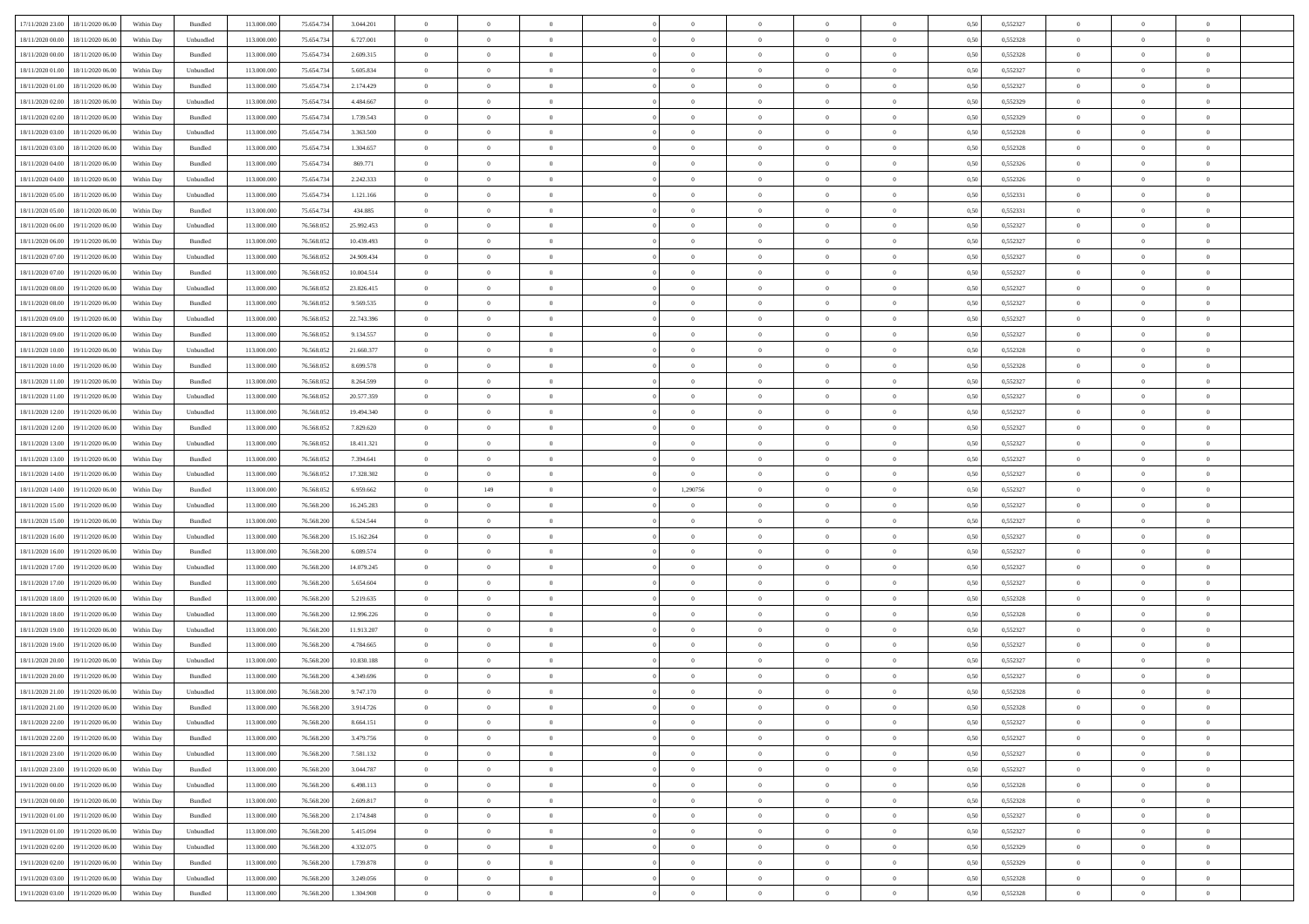| 17/11/2020 23.00 18/11/2020 06.00    | Within Day | Bundled   | 113.000.000 | 75.654.734 | 3.044.201  | $\overline{0}$ | $\overline{0}$ |                | $\overline{0}$ | $\theta$       |                | $\theta$       | 0,50 | 0,552327 | $\theta$       | $\theta$       | $\overline{0}$ |  |
|--------------------------------------|------------|-----------|-------------|------------|------------|----------------|----------------|----------------|----------------|----------------|----------------|----------------|------|----------|----------------|----------------|----------------|--|
| 18/11/2020 00:00<br>18/11/2020 06.00 | Within Day | Unbundled | 113.000.00  | 75.654.73  | 6.727.001  | $\bf{0}$       | $\bf{0}$       | $\bf{0}$       | $\bf{0}$       | $\overline{0}$ | $\overline{0}$ | $\bf{0}$       | 0,50 | 0,552328 | $\,$ 0 $\,$    | $\bf{0}$       | $\overline{0}$ |  |
| 18/11/2020 00:00<br>18/11/2020 06:00 | Within Day | Bundled   | 113,000,000 | 75.654.734 | 2.609.315  | $\overline{0}$ | $\bf{0}$       | $\overline{0}$ | $\bf{0}$       | $\bf{0}$       | $\overline{0}$ | $\bf{0}$       | 0.50 | 0,552328 | $\bf{0}$       | $\overline{0}$ | $\overline{0}$ |  |
| 18/11/2020 01:00<br>18/11/2020 06.00 | Within Day | Unbundled | 113.000.000 | 75.654.734 | 5.605.834  | $\overline{0}$ | $\overline{0}$ | $\overline{0}$ | $\theta$       | $\theta$       | $\overline{0}$ | $\bf{0}$       | 0,50 | 0,552327 | $\theta$       | $\theta$       | $\overline{0}$ |  |
|                                      |            |           |             |            |            |                | $\overline{0}$ |                |                |                |                |                |      |          |                |                | $\overline{0}$ |  |
| 18/11/2020 01:00<br>18/11/2020 06.00 | Within Day | Bundled   | 113.000.00  | 75.654.73  | 2.174.429  | $\bf{0}$       |                | $\bf{0}$       | $\overline{0}$ | $\theta$       | $\overline{0}$ | $\bf{0}$       | 0,50 | 0,552327 | $\,$ 0 $\,$    | $\bf{0}$       |                |  |
| 18/11/2020 02:00<br>18/11/2020 06.00 | Within Day | Unbundled | 113,000,000 | 75.654.73  | 4.484.667  | $\overline{0}$ | $\overline{0}$ | $\overline{0}$ | $\bf{0}$       | $\overline{0}$ | $\theta$       | $\bf{0}$       | 0.50 | 0.552329 | $\,$ 0 $\,$    | $\theta$       | $\overline{0}$ |  |
| 18/11/2020 02.00<br>18/11/2020 06.00 | Within Day | Bundled   | 113.000.000 | 75.654.734 | 1.739.543  | $\overline{0}$ | $\overline{0}$ | $\overline{0}$ | $\overline{0}$ | $\overline{0}$ | $\overline{0}$ | $\bf{0}$       | 0,50 | 0,552329 | $\,$ 0 $\,$    | $\theta$       | $\overline{0}$ |  |
| 18/11/2020 03:00<br>18/11/2020 06.00 | Within Day | Unbundled | 113.000.00  | 75.654.73  | 3.363.500  | $\bf{0}$       | $\bf{0}$       | $\bf{0}$       | $\overline{0}$ | $\overline{0}$ | $\overline{0}$ | $\bf{0}$       | 0,50 | 0,552328 | $\,$ 0 $\,$    | $\bf{0}$       | $\overline{0}$ |  |
| 18/11/2020 03.00<br>18/11/2020 06:00 | Within Day | Bundled   | 113,000,000 | 75.654.73  | 1.304.657  | $\overline{0}$ | $\bf{0}$       | $\overline{0}$ | $\bf{0}$       | $\overline{0}$ | $\overline{0}$ | $\bf{0}$       | 0.50 | 0.552328 | $\bf{0}$       | $\overline{0}$ | $\overline{0}$ |  |
| 18/11/2020 04:00<br>18/11/2020 06.00 | Within Day | Bundled   | 113.000.000 | 75.654.734 | 869.771    | $\bf{0}$       | $\bf{0}$       | $\overline{0}$ | $\overline{0}$ | $\overline{0}$ | $\overline{0}$ | $\bf{0}$       | 0,50 | 0,552326 | $\,$ 0 $\,$    | $\bf{0}$       | $\overline{0}$ |  |
|                                      |            |           |             |            |            |                |                |                |                |                |                |                |      |          |                |                |                |  |
| 18/11/2020 04:00<br>18/11/2020 06.00 | Within Day | Unbundled | 113.000.00  | 75.654.73  | 2.242.333  | $\bf{0}$       | $\bf{0}$       | $\bf{0}$       | $\bf{0}$       | $\bf{0}$       | $\overline{0}$ | $\bf{0}$       | 0,50 | 0,552326 | $\,$ 0 $\,$    | $\bf{0}$       | $\overline{0}$ |  |
| 18/11/2020 05:00<br>18/11/2020 06:00 | Within Day | Unbundled | 113,000,000 | 75.654.734 | 1.121.166  | $\overline{0}$ | $\bf{0}$       | $\overline{0}$ | $\overline{0}$ | $\bf{0}$       | $\overline{0}$ | $\bf{0}$       | 0.50 | 0,552331 | $\bf{0}$       | $\overline{0}$ | $\,$ 0         |  |
| 18/11/2020 05:00<br>18/11/2020 06.00 | Within Day | Bundled   | 113.000.000 | 75.654.734 | 434.885    | $\overline{0}$ | $\overline{0}$ | $\overline{0}$ | $\theta$       | $\theta$       | $\overline{0}$ | $\bf{0}$       | 0,50 | 0,552331 | $\,$ 0 $\,$    | $\theta$       | $\overline{0}$ |  |
| 18/11/2020 06:00<br>19/11/2020 06.00 | Within Day | Unbundled | 113.000.00  | 76.568.052 | 25.992.453 | $\bf{0}$       | $\overline{0}$ | $\bf{0}$       | $\bf{0}$       | $\bf{0}$       | $\overline{0}$ | $\bf{0}$       | 0,50 | 0,552327 | $\,$ 0 $\,$    | $\bf{0}$       | $\overline{0}$ |  |
| 18/11/2020 06:00<br>19/11/2020 06.00 | Within Day | Bundled   | 113,000,000 | 76.568.052 | 10.439.493 | $\overline{0}$ | $\overline{0}$ | $\overline{0}$ | $\bf{0}$       | $\overline{0}$ | $\theta$       | $\bf{0}$       | 0.50 | 0.552327 | $\,$ 0 $\,$    | $\theta$       | $\overline{0}$ |  |
| 18/11/2020 07:00<br>19/11/2020 06.00 | Within Day | Unbundled | 113.000.000 | 76.568.052 | 24.909.434 | $\overline{0}$ | $\overline{0}$ | $\overline{0}$ | $\overline{0}$ | $\overline{0}$ | $\overline{0}$ | $\bf{0}$       | 0,50 | 0,552327 | $\theta$       | $\theta$       | $\overline{0}$ |  |
|                                      |            |           |             |            |            |                |                |                |                |                |                |                |      |          |                |                |                |  |
| 18/11/2020 07:00<br>19/11/2020 06.00 | Within Day | Bundled   | 113.000.00  | 76.568.052 | 10.004.514 | $\bf{0}$       | $\bf{0}$       | $\bf{0}$       | $\overline{0}$ | $\bf{0}$       | $\overline{0}$ | $\bf{0}$       | 0,50 | 0,552327 | $\,$ 0 $\,$    | $\bf{0}$       | $\overline{0}$ |  |
| 18/11/2020 08:00<br>19/11/2020 06:00 | Within Day | Unbundled | 113,000,00  | 76.568.052 | 23.826.415 | $\overline{0}$ | $\bf{0}$       | $\overline{0}$ | $\bf{0}$       | $\overline{0}$ | $\overline{0}$ | $\bf{0}$       | 0.50 | 0.552327 | $\bf{0}$       | $\overline{0}$ | $\overline{0}$ |  |
| 18/11/2020 08:00<br>19/11/2020 06.00 | Within Day | Bundled   | 113.000.000 | 76.568.052 | 9.569.535  | $\bf{0}$       | $\bf{0}$       | $\overline{0}$ | $\overline{0}$ | $\overline{0}$ | $\overline{0}$ | $\bf{0}$       | 0,50 | 0,552327 | $\,$ 0 $\,$    | $\bf{0}$       | $\overline{0}$ |  |
| 18/11/2020 09:00<br>19/11/2020 06.00 | Within Day | Unbundled | 113.000.00  | 76.568.052 | 22.743.396 | $\bf{0}$       | $\bf{0}$       | $\bf{0}$       | $\bf{0}$       | $\overline{0}$ | $\overline{0}$ | $\bf{0}$       | 0,50 | 0,552327 | $\,$ 0 $\,$    | $\bf{0}$       | $\overline{0}$ |  |
| 18/11/2020 09:00<br>19/11/2020 06.00 | Within Day | Bundled   | 113,000,000 | 76.568.052 | 9.134.557  | $\overline{0}$ | $\bf{0}$       | $\overline{0}$ | $\overline{0}$ | $\bf{0}$       | $\overline{0}$ | $\bf{0}$       | 0.50 | 0,552327 | $\bf{0}$       | $\overline{0}$ | $\,$ 0         |  |
| 18/11/2020 10:00<br>19/11/2020 06.00 | Within Day | Unbundled | 113.000.000 | 76.568.052 | 21.660.377 | $\overline{0}$ | $\overline{0}$ | $\overline{0}$ | $\theta$       | $\theta$       | $\overline{0}$ | $\bf{0}$       | 0,50 | 0,552328 | $\theta$       | $\theta$       | $\overline{0}$ |  |
|                                      |            |           |             |            |            |                |                |                |                |                |                |                |      |          |                |                |                |  |
| 18/11/2020 10:00<br>19/11/2020 06.00 | Within Day | Bundled   | 113.000.00  | 76.568.052 | 8.699.578  | $\bf{0}$       | $\bf{0}$       | $\bf{0}$       | $\bf{0}$       | $\overline{0}$ | $\overline{0}$ | $\bf{0}$       | 0,50 | 0,552328 | $\,$ 0 $\,$    | $\bf{0}$       | $\overline{0}$ |  |
| 18/11/2020 11:00<br>19/11/2020 06.00 | Within Day | Bundled   | 113,000,000 | 76.568.052 | 8.264.599  | $\overline{0}$ | $\overline{0}$ | $\overline{0}$ | $\bf{0}$       | $\overline{0}$ | $\overline{0}$ | $\bf{0}$       | 0.50 | 0.552327 | $\bf{0}$       | $\theta$       | $\overline{0}$ |  |
| 18/11/2020 11:00<br>19/11/2020 06.00 | Within Day | Unbundled | 113.000.000 | 76.568.052 | 20.577.359 | $\overline{0}$ | $\overline{0}$ | $\overline{0}$ | $\overline{0}$ | $\overline{0}$ | $\overline{0}$ | $\bf{0}$       | 0,50 | 0,552327 | $\,$ 0 $\,$    | $\theta$       | $\overline{0}$ |  |
| 18/11/2020 12:00<br>19/11/2020 06.00 | Within Day | Unbundled | 113.000.00  | 76.568.052 | 19.494.340 | $\bf{0}$       | $\overline{0}$ | $\bf{0}$       | $\overline{0}$ | $\bf{0}$       | $\overline{0}$ | $\bf{0}$       | 0,50 | 0,552327 | $\,$ 0 $\,$    | $\bf{0}$       | $\overline{0}$ |  |
| 18/11/2020 12:00<br>19/11/2020 06:00 | Within Day | Bundled   | 113,000,000 | 76.568.052 | 7.829.620  | $\overline{0}$ | $\bf{0}$       | $\overline{0}$ | $\bf{0}$       | $\overline{0}$ | $\overline{0}$ | $\bf{0}$       | 0.50 | 0.552327 | $\bf{0}$       | $\overline{0}$ | $\overline{0}$ |  |
| 18/11/2020 13:00<br>19/11/2020 06.00 | Within Day | Unbundled | 113.000.000 | 76.568.052 | 18.411.321 | $\overline{0}$ | $\bf{0}$       | $\overline{0}$ | $\overline{0}$ | $\overline{0}$ | $\overline{0}$ | $\bf{0}$       | 0,50 | 0,552327 | $\,$ 0 $\,$    | $\theta$       | $\overline{0}$ |  |
|                                      |            |           |             |            |            |                |                |                |                |                |                |                |      |          |                |                |                |  |
| 18/11/2020 13:00<br>19/11/2020 06.00 | Within Day | Bundled   | 113.000.00  | 76.568.052 | 7.394.641  | $\bf{0}$       | $\bf{0}$       | $\bf{0}$       | $\bf{0}$       | $\overline{0}$ | $\overline{0}$ | $\bf{0}$       | 0,50 | 0,552327 | $\,$ 0 $\,$    | $\bf{0}$       | $\overline{0}$ |  |
| 18/11/2020 14:00<br>19/11/2020 06.00 | Within Day | Unbundled | 113,000,000 | 76.568.052 | 17.328.302 | $\overline{0}$ | $\bf{0}$       | $\overline{0}$ | $\overline{0}$ | $\bf{0}$       | $\overline{0}$ | $\bf{0}$       | 0.50 | 0.552327 | $\bf{0}$       | $\overline{0}$ | $\,$ 0         |  |
| 18/11/2020 14:00<br>19/11/2020 06:00 | Within Day | Bundled   | 113.000.000 | 76.568.052 | 6.959.662  | $\overline{0}$ | 149            | $\overline{0}$ | 1,290756       | $\overline{0}$ | $\overline{0}$ | $\bf{0}$       | 0.5( | 0,552327 | $\theta$       | $\theta$       | $\overline{0}$ |  |
| 18/11/2020 15:00<br>19/11/2020 06.00 | Within Day | Unbundled | 113.000.00  | 76.568.20  | 16.245.283 | $\bf{0}$       | $\overline{0}$ | $\bf{0}$       | $\overline{0}$ | $\overline{0}$ | $\overline{0}$ | $\bf{0}$       | 0,50 | 0,552327 | $\,$ 0 $\,$    | $\bf{0}$       | $\overline{0}$ |  |
| 18/11/2020 15:00<br>19/11/2020 06.00 | Within Day | Bundled   | 113,000,000 | 76.568.200 | 6.524.544  | $\overline{0}$ | $\bf{0}$       | $\overline{0}$ | $\bf{0}$       | $\overline{0}$ | $\overline{0}$ | $\bf{0}$       | 0.50 | 0.552327 | $\,$ 0 $\,$    | $\bf{0}$       | $\overline{0}$ |  |
| 18/11/2020 16:00<br>19/11/2020 06.00 | Within Dav | Unbundled | 113.000.000 | 76.568.200 | 15.162.264 | $\overline{0}$ | $\overline{0}$ | $\overline{0}$ | $\overline{0}$ | $\overline{0}$ | $\overline{0}$ | $\bf{0}$       | 0.50 | 0,552327 | $\theta$       | $\theta$       | $\overline{0}$ |  |
| 18/11/2020 16:00<br>19/11/2020 06.00 | Within Day | Bundled   | 113.000.00  | 76.568.200 | 6.089.574  | $\bf{0}$       | $\bf{0}$       | $\bf{0}$       | $\bf{0}$       | $\overline{0}$ | $\overline{0}$ | $\bf{0}$       | 0,50 | 0,552327 | $\,$ 0 $\,$    | $\bf{0}$       | $\overline{0}$ |  |
| 19/11/2020 06:00                     |            | Unbundled | 113,000,000 |            | 14.079.245 |                |                |                |                |                | $\overline{0}$ |                |      | 0.552327 |                |                |                |  |
| 18/11/2020 17.00                     | Within Day |           |             | 76.568.20  |            | $\overline{0}$ | $\bf{0}$       | $\overline{0}$ | $\bf{0}$       | $\overline{0}$ |                | $\bf{0}$       | 0.50 |          | $\bf{0}$       | $\overline{0}$ | $\overline{0}$ |  |
| 18/11/2020 17:00<br>19/11/2020 06:00 | Within Dav | Bundled   | 113.000.000 | 76.568.200 | 5.654.604  | $\overline{0}$ | $\overline{0}$ | $\overline{0}$ | $\overline{0}$ | $\overline{0}$ | $\overline{0}$ | $\bf{0}$       | 0.50 | 0,552327 | $\theta$       | $\theta$       | $\overline{0}$ |  |
| 18/11/2020 18:00<br>19/11/2020 06.00 | Within Day | Bundled   | 113.000.00  | 76.568.20  | 5.219.635  | $\bf{0}$       | $\bf{0}$       | $\bf{0}$       | $\bf{0}$       | $\overline{0}$ | $\overline{0}$ | $\bf{0}$       | 0,50 | 0,552328 | $\,$ 0 $\,$    | $\bf{0}$       | $\overline{0}$ |  |
| 18/11/2020 18:00<br>19/11/2020 06.00 | Within Day | Unbundled | 113,000,000 | 76,568,200 | 12.996.226 | $\overline{0}$ | $\bf{0}$       | $\overline{0}$ | $\overline{0}$ | $\bf{0}$       | $\overline{0}$ | $\bf{0}$       | 0.50 | 0,552328 | $\bf{0}$       | $\overline{0}$ | $\,$ 0         |  |
| 18/11/2020 19:00<br>19/11/2020 06.00 | Within Day | Unbundled | 113.000.000 | 76.568.200 | 11.913.207 | $\overline{0}$ | $\overline{0}$ | $\overline{0}$ | $\overline{0}$ | $\overline{0}$ | $\overline{0}$ | $\bf{0}$       | 0.5( | 0,552327 | $\theta$       | $\theta$       | $\overline{0}$ |  |
| 18/11/2020 19:00<br>19/11/2020 06.00 | Within Day | Bundled   | 113.000.00  | 76.568.200 | 4.784.665  | $\bf{0}$       | $\bf{0}$       | $\bf{0}$       | $\bf{0}$       | $\overline{0}$ | $\overline{0}$ | $\bf{0}$       | 0,50 | 0,552327 | $\,$ 0 $\,$    | $\bf{0}$       | $\overline{0}$ |  |
| 18/11/2020 20:00<br>19/11/2020 06.00 | Within Day | Unbundled | 113,000,00  | 76.568.20  | 10.830.188 | $\overline{0}$ | $\overline{0}$ | $\overline{0}$ | $\bf{0}$       | $\overline{0}$ | $\Omega$       | $\bf{0}$       | 0.50 | 0.552327 | $\bf{0}$       | $\theta$       | $\overline{0}$ |  |
| 18/11/2020 20:00<br>19/11/2020 06.00 | Within Dav | Bundled   | 113.000.000 | 76.568.200 | 4.349.696  | $\overline{0}$ | $\overline{0}$ | $\overline{0}$ | $\theta$       | $\theta$       | $\overline{0}$ | $\overline{0}$ | 0.5( | 0,552327 | $\theta$       | $\theta$       | $\overline{0}$ |  |
|                                      |            |           |             |            |            |                |                |                |                |                |                |                |      |          |                |                |                |  |
| 18/11/2020 21:00<br>19/11/2020 06.00 | Within Day | Unbundled | 113.000.00  | 76.568.200 | 9.747.170  | $\bf{0}$       | $\bf{0}$       | $\bf{0}$       | $\bf{0}$       | $\bf{0}$       | $\overline{0}$ | $\bf{0}$       | 0,50 | 0,552328 | $\,$ 0 $\,$    | $\bf{0}$       | $\overline{0}$ |  |
| 18/11/2020 21:00 19/11/2020 06:00    | Within Day | Bundled   | 113.000.000 | 76.568.200 | 3.914.726  | $\bf{0}$       | $\theta$       |                | $\Omega$       | $\Omega$       |                |                | 0,50 | 0,552328 | $\bf{0}$       | $\bf{0}$       |                |  |
| 18/11/2020 22:00 19/11/2020 06:00    | Within Day | Unbundled | 113.000.000 | 76.568.200 | 8.664.151  | $\overline{0}$ | $\theta$       | $\Omega$       | $\theta$       | $\theta$       | $\overline{0}$ | $\bf{0}$       | 0,50 | 0,552327 | $\theta$       | $\theta$       | $\overline{0}$ |  |
| 18/11/2020 22.00<br>19/11/2020 06.00 | Within Day | Bundled   | 113.000.00  | 76.568.200 | 3.479.756  | $\overline{0}$ | $\bf{0}$       | $\overline{0}$ | $\overline{0}$ | $\bf{0}$       | $\overline{0}$ | $\bf{0}$       | 0,50 | 0,552327 | $\bf{0}$       | $\overline{0}$ | $\bf{0}$       |  |
| 18/11/2020 23:00 19/11/2020 06:00    | Within Day | Unbundled | 113,000,000 | 76.568.200 | 7.581.132  | $\overline{0}$ | $\bf{0}$       | $\overline{0}$ | $\overline{0}$ | $\overline{0}$ | $\overline{0}$ | $\,$ 0 $\,$    | 0.50 | 0,552327 | $\overline{0}$ | $\bf{0}$       | $\,$ 0 $\,$    |  |
| 18/11/2020 23.00 19/11/2020 06.00    | Within Dav | Bundled   | 113.000.000 | 76.568.200 | 3.044.787  | $\overline{0}$ | $\overline{0}$ | $\overline{0}$ | $\overline{0}$ | $\overline{0}$ | $\overline{0}$ | $\bf{0}$       | 0.50 | 0,552327 | $\overline{0}$ | $\theta$       | $\overline{0}$ |  |
|                                      |            |           |             |            |            |                |                |                |                |                |                |                |      |          |                |                |                |  |
| 19/11/2020 00:00<br>19/11/2020 06.00 | Within Day | Unbundled | 113.000.000 | 76.568.200 | 6.498.113  | $\overline{0}$ | $\bf{0}$       | $\overline{0}$ | $\bf{0}$       | $\overline{0}$ | $\bf{0}$       | $\bf{0}$       | 0,50 | 0,552328 | $\bf{0}$       | $\overline{0}$ | $\overline{0}$ |  |
| 19/11/2020 00:00<br>19/11/2020 06:00 | Within Day | Bundled   | 113,000,000 | 76,568,200 | 2.609.817  | $\overline{0}$ | $\bf{0}$       | $\overline{0}$ | $\overline{0}$ | $\overline{0}$ | $\overline{0}$ | $\bf{0}$       | 0.50 | 0.552328 | $\,$ 0 $\,$    | $\theta$       | $\overline{0}$ |  |
| 19/11/2020 01:00<br>19/11/2020 06:00 | Within Dav | Bundled   | 113.000.000 | 76.568.200 | 2.174.848  | $\overline{0}$ | $\overline{0}$ | $\overline{0}$ | $\overline{0}$ | $\overline{0}$ | $\overline{0}$ | $\bf{0}$       | 0.50 | 0,552327 | $\overline{0}$ | $\theta$       | $\overline{0}$ |  |
| 19/11/2020 01:00<br>19/11/2020 06.00 | Within Day | Unbundled | 113.000.00  | 76.568.200 | 5.415.094  | $\overline{0}$ | $\overline{0}$ | $\overline{0}$ | $\overline{0}$ | $\overline{0}$ | $\overline{0}$ | $\bf{0}$       | 0,50 | 0,552327 | $\bf{0}$       | $\overline{0}$ | $\overline{0}$ |  |
| 19/11/2020 02.00<br>19/11/2020 06:00 | Within Day | Unbundled | 113,000,000 | 76,568,200 | 4.332.075  | $\overline{0}$ | $\overline{0}$ | $\overline{0}$ | $\overline{0}$ | $\bf{0}$       | $\overline{0}$ | $\bf{0}$       | 0.50 | 0.552329 | $\mathbf{0}$   | $\bf{0}$       | $\,$ 0         |  |
| 19/11/2020 02:00 19/11/2020 06:00    | Within Dav | Bundled   | 113.000.000 | 76.568.200 | 1.739.878  | $\overline{0}$ | $\overline{0}$ | $\overline{0}$ | $\overline{0}$ | $\overline{0}$ | $\overline{0}$ | $\bf{0}$       | 0,50 | 0,552329 | $\overline{0}$ | $\theta$       | $\overline{0}$ |  |
|                                      |            |           |             |            |            |                |                |                |                |                |                |                |      |          |                |                |                |  |
| 19/11/2020 03:00<br>19/11/2020 06.00 | Within Day | Unbundled | 113.000.00  | 76.568.200 | 3.249.056  | $\overline{0}$ | $\bf{0}$       | $\overline{0}$ | $\bf{0}$       | $\overline{0}$ | $\bf{0}$       | $\bf{0}$       | 0,50 | 0,552328 | $\bf{0}$       | $\bf{0}$       | $\overline{0}$ |  |
| 19/11/2020 03:00 19/11/2020 06:00    | Within Day | Bundled   | 113.000.000 | 76.568.200 | 1.304.908  | $\overline{0}$ | $\bf{0}$       | $\overline{0}$ | $\overline{0}$ | $\,$ 0 $\,$    | $\overline{0}$ | $\bf{0}$       | 0,50 | 0,552328 | $\overline{0}$ | $\,$ 0 $\,$    | $\,$ 0 $\,$    |  |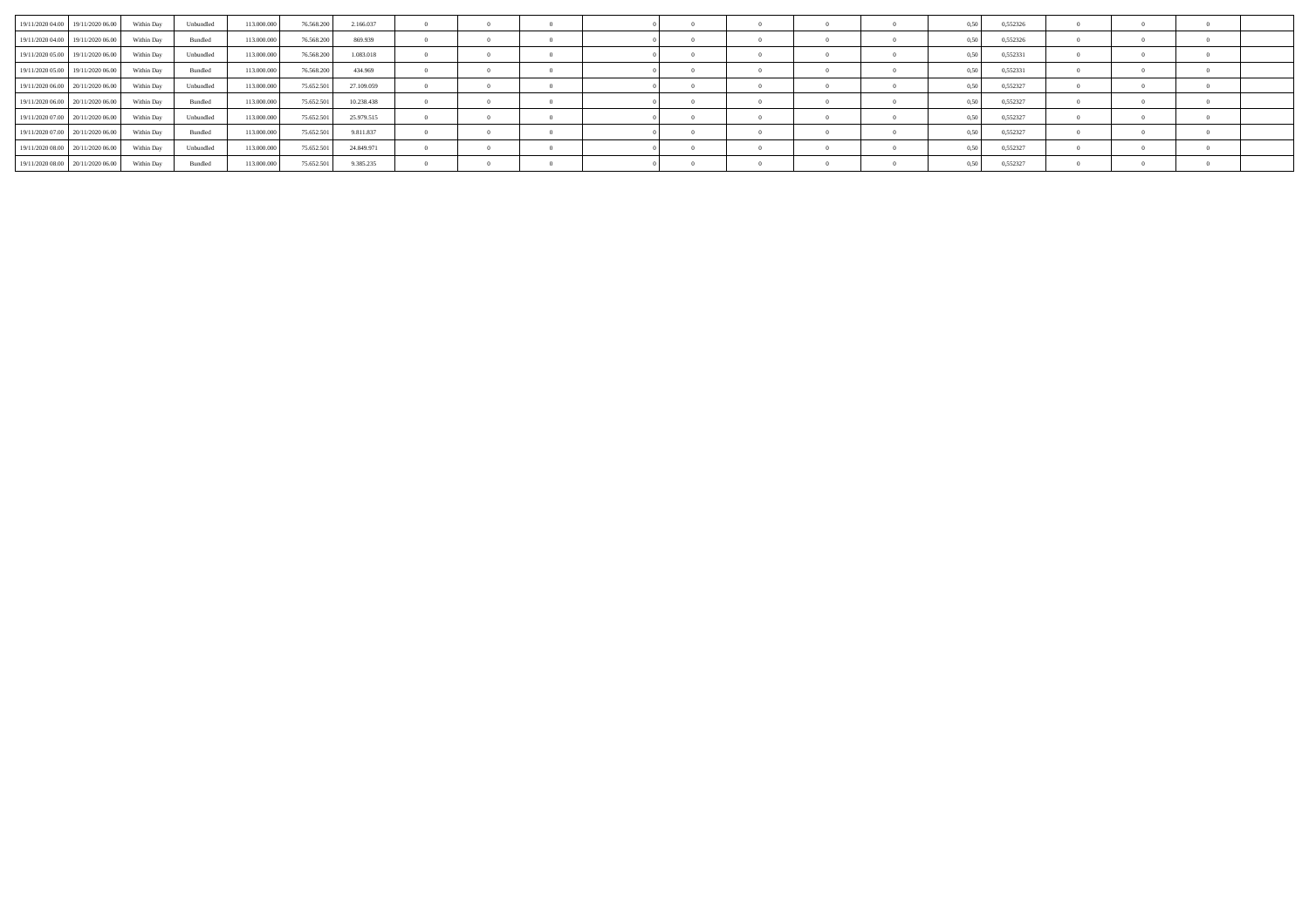| 19/11/2020 04:00 19/11/2020 06:00 | Within Day | Unbundled | 113,000,000 | 76,568,200 | 2.166.037  |  |  |  |  |      | 0,552326 |  |  |
|-----------------------------------|------------|-----------|-------------|------------|------------|--|--|--|--|------|----------|--|--|
| 19/11/2020 04:00 19/11/2020 06:00 | Within Dav | Bundled   | 113,000,000 | 76.568.200 | 869,939    |  |  |  |  |      | 0,552326 |  |  |
| 19/11/2020 05:00 19/11/2020 06:00 | Within Day | Unbundled | 113,000,000 | 76.568.200 | 1.083.018  |  |  |  |  |      | 0,552331 |  |  |
| 19/11/2020 05:00 19/11/2020 06:00 | Within Dav | Bundled   | 113,000,000 | 76.568.200 | 434,969    |  |  |  |  |      | 0,552331 |  |  |
| 19/11/2020 06:00 20/11/2020 06:00 | Within Day | Unbundled | 113,000,000 | 75.652.501 | 27.109.059 |  |  |  |  |      | 0,552327 |  |  |
| 19/11/2020 06:00 20/11/2020 06:00 | Within Day | Bundled   | 113.000.000 | 75.652.501 | 10.238.438 |  |  |  |  |      | 0,552327 |  |  |
| 19/11/2020 07:00 20/11/2020 06:00 | Within Day | Unbundled | 113,000,000 | 75.652.501 | 25.979.515 |  |  |  |  |      | 0,552327 |  |  |
| 19/11/2020 07:00 20/11/2020 06:00 | Within Dav | Bundled   | 113,000,000 | 75.652.501 | 9.811.837  |  |  |  |  |      | 0,552327 |  |  |
| 19/11/2020 08:00 20/11/2020 06:00 | Within Day | Unbundled | 113,000,000 | 75.652.501 | 24.849.971 |  |  |  |  |      | 0,552327 |  |  |
| 19/11/2020 08:00 20/11/2020 06:00 | Within Day | Bundled   | 113.000.000 | 75.652.501 | 9.385.235  |  |  |  |  | 0.50 | 0,552327 |  |  |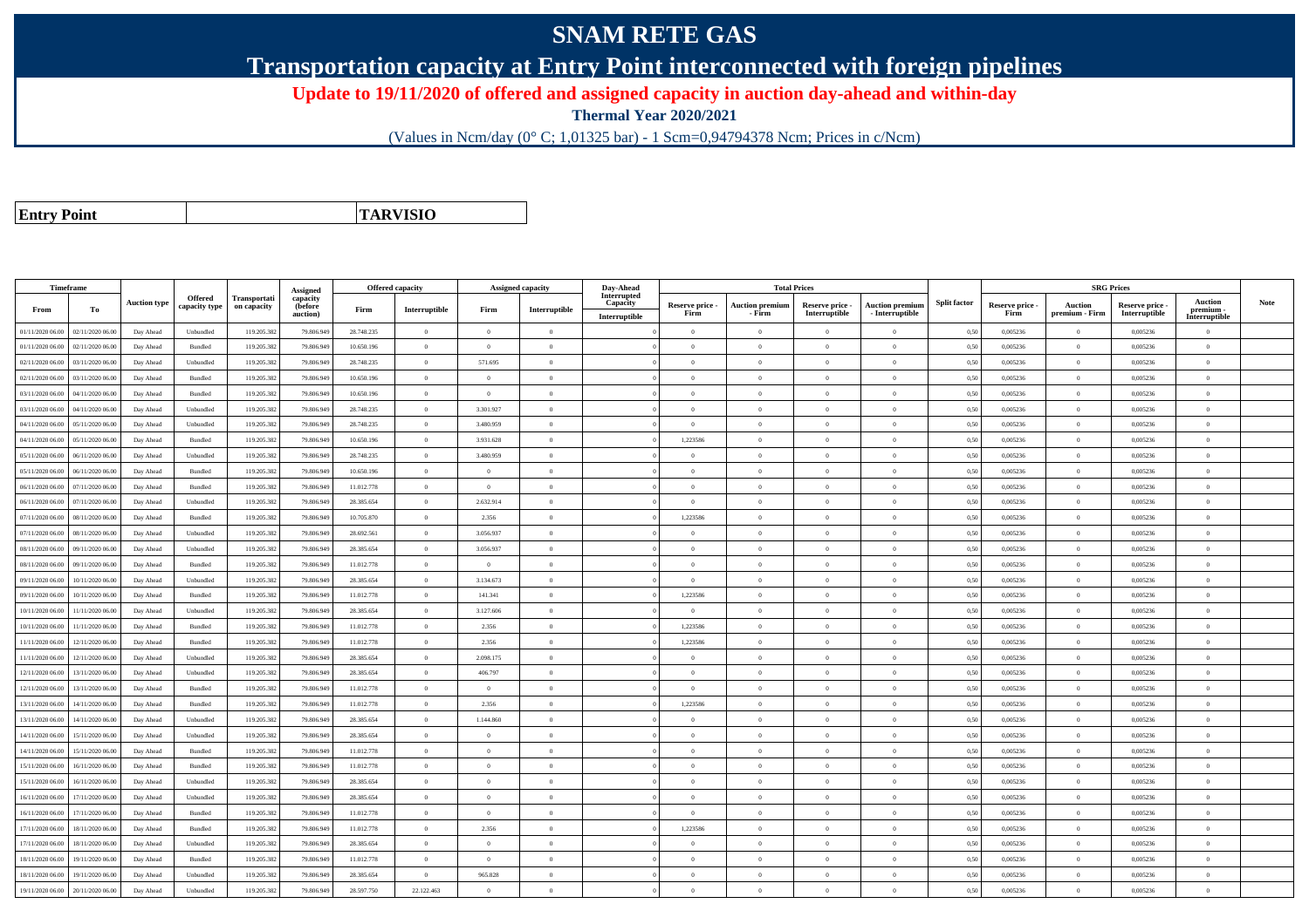## **SNAM RETE GAS**

**Transportation capacity at Entry Point interconnected with foreign pipelines**

**Update to 19/11/2020 of offered and assigned capacity in auction day-ahead and within-day**

**Thermal Year 2020/2021**

(Values in Ncm/day (0° C; 1,01325 bar) - 1 Scm=0,94794378 Ncm; Prices in c/Ncm)

**Entry Point**

**TARVISIO**

|                  | Timeframe        |                     |                          |                             |                                             |            | <b>Offered capacity</b> |                | <b>Assigned capacity</b> | Day-Ahead                                |                         | <b>Total Prices</b>              |                                  |                                      |                     |                         | <b>SRG Prices</b>                |                                |                                            |             |
|------------------|------------------|---------------------|--------------------------|-----------------------------|---------------------------------------------|------------|-------------------------|----------------|--------------------------|------------------------------------------|-------------------------|----------------------------------|----------------------------------|--------------------------------------|---------------------|-------------------------|----------------------------------|--------------------------------|--------------------------------------------|-------------|
| From             | To               | <b>Auction type</b> | Offered<br>capacity type | Transportati<br>on capacity | Assigned<br>capacity<br>(before<br>auction) | Firm       | Interruptible           | Firm           | Interruptible            | Interrupted<br>Capacity<br>Interruptible | Reserve price -<br>Firm | <b>Auction premium</b><br>- Firm | Reserve price -<br>Interruptible | Auction premiun<br>$-$ Interruptible | <b>Split factor</b> | Reserve price -<br>Firm | <b>Auction</b><br>premium - Firm | Reserve price<br>Interruptible | <b>Auction</b><br>premium<br>Interruptible | <b>Note</b> |
| 01/11/2020 06:00 | 02/11/2020 06.00 | Day Ahead           | Unbundled                | 119.205.382                 | 79.806.949                                  | 28.748.235 | $\overline{0}$          | $\overline{0}$ | $\overline{0}$           |                                          | $\Omega$                | $\theta$                         | $\overline{0}$                   | $\theta$                             | 0,50                | 0,005236                | $\overline{0}$                   | 0,005236                       | $\bf{0}$                                   |             |
| 01/11/2020 06.00 | 02/11/2020 06.00 | Day Ahead           | Bundled                  | 119.205.382                 | 79.806.949                                  | 10.650.196 | $\overline{0}$          | $\Omega$       | $\Omega$                 |                                          | $\Omega$                | $\theta$                         | $\overline{0}$                   | $\Omega$                             | 0,50                | 0,005236                | $\overline{0}$                   | 0,005236                       | $\Omega$                                   |             |
| 02/11/2020 06.00 | 03/11/2020 06.00 | Day Ahead           | Unbundled                | 119.205.382                 | 79.806.949                                  | 28.748.235 | $\theta$                | 571.695        | $\Omega$                 |                                          | $\Omega$                |                                  | $\Omega$                         | $\theta$                             | 0,50                | 0,005236                | $\Omega$                         | 0,005236                       | $\Omega$                                   |             |
| 02/11/2020 06:00 | 03/11/2020 06.00 | Day Ahead           | Bundled                  | 119.205.382                 | 79,806,949                                  | 10.650.196 | $\overline{0}$          | $\overline{0}$ | $\overline{0}$           |                                          | $\Omega$                | $\theta$                         | $\theta$                         | $\theta$                             | 0.50                | 0.005236                | $\overline{0}$                   | 0.005236                       | $\theta$                                   |             |
| 03/11/2020 06:00 | 04/11/2020 06.00 | Day Ahead           | Bundled                  | 119.205.382                 | 79.806.949                                  | 10.650.196 | $\overline{0}$          | $\theta$       | $\overline{0}$           |                                          | $\Omega$                | $\theta$                         | $\overline{0}$                   | $\mathbf{0}$                         | 0,50                | 0,005236                | $\overline{0}$                   | 0,005236                       | $\Omega$                                   |             |
| 03/11/2020 06:00 | 04/11/2020 06:00 | Day Ahead           | Unbundled                | 119.205.382                 | 79,806,949                                  | 28.748.235 | $\overline{0}$          | 3.301.927      | $\Omega$                 |                                          | $\theta$                | $\theta$                         | $\Omega$                         | $\theta$                             | 0.50                | 0.005236                | $\overline{0}$                   | 0.005236                       | $\theta$                                   |             |
| 04/11/2020 06.00 | 05/11/2020 06.00 | Day Ahead           | Unbundled                | 119.205.382                 | 79.806.949                                  | 28.748.235 | $\overline{0}$          | 3.480.959      | $\overline{0}$           |                                          | $\Omega$                | $\theta$                         | $\Omega$                         | $\theta$                             | 0.50                | 0,005236                | $\overline{0}$                   | 0,005236                       | $\Omega$                                   |             |
| 04/11/2020 06.00 | 05/11/2020 06.00 | Day Ahead           | Bundled                  | 119.205.382                 | 79.806.949                                  | 10.650.196 | $\overline{0}$          | 3.931.628      | $\overline{0}$           |                                          | 1,223586                | $\theta$                         | $\overline{0}$                   | $\mathbf{0}$                         | 0,50                | 0,005236                | $\overline{0}$                   | 0,005236                       | $\bf{0}$                                   |             |
| 05/11/2020 06:00 | 06/11/2020 06:00 | Day Ahead           | Unbundled                | 119.205.382                 | 79,806,949                                  | 28,748,235 | $\overline{0}$          | 3.480.959      | $\Omega$                 |                                          | $\Omega$                |                                  | $\Omega$                         | $\theta$                             | 0.50                | 0.005236                | $\Omega$                         | 0.005236                       | $\Omega$                                   |             |
| 05/11/2020 06.00 | 06/11/2020 06.0  | Day Ahead           | Bundled                  | 119.205.382                 | 79.806.949                                  | 10.650.196 | $\overline{0}$          | $\Omega$       | $\Omega$                 |                                          | $\Omega$                |                                  | $\Omega$                         | $\theta$                             | 0,50                | 0,005236                | $\theta$                         | 0,005236                       | $\Omega$                                   |             |
| 06/11/2020 06:00 | 07/11/2020 06.00 | Day Ahead           | Bundled                  | 119.205.382                 | 79.806.949                                  | 11.012.778 | $\overline{0}$          | $\theta$       | $\Omega$                 |                                          | $\Omega$                | $\theta$                         | $\overline{0}$                   | $\theta$                             | 0,50                | 0,005236                | $\overline{0}$                   | 0,005236                       | $\Omega$                                   |             |
| 06/11/2020 06.00 | 07/11/2020 06:00 | Day Ahead           | Unbundled                | 119.205.382                 | 79,806,949                                  | 28,385,654 | $\overline{0}$          | 2.632.914      | $\overline{0}$           |                                          | $\overline{0}$          | $\Omega$                         | $\overline{0}$                   | $\theta$                             | 0.50                | 0.005236                | $\overline{0}$                   | 0.005236                       | $\theta$                                   |             |
| 07/11/2020 06:00 | 08/11/2020 06:00 | Day Ahead           | Bundled                  | 119.205.382                 | 79,806,949                                  | 10,705.870 | $\overline{0}$          | 2.356          | $\Omega$                 |                                          | 1,223586                |                                  | $\Omega$                         | $\theta$                             | 0.50                | 0.005236                | $\overline{0}$                   | 0,005236                       | $\Omega$                                   |             |
| 07/11/2020 06.00 | 08/11/2020 06.00 | Day Ahead           | Unbundled                | 119.205.382                 | 79.806.949                                  | 28.692.561 | $\overline{0}$          | 3.056.937      | $\overline{0}$           |                                          | $\Omega$                | $\theta$                         | $\overline{0}$                   | $\mathbf{0}$                         | 0,50                | 0,005236                | $\overline{0}$                   | 0,005236                       | $\Omega$                                   |             |
| 08/11/2020 06.00 | 09/11/2020 06:00 | Day Ahead           | Unbundled                | 119.205.382                 | 79.806.949                                  | 28.385.654 | $\overline{0}$          | 3.056.937      | $\Omega$                 |                                          | $\Omega$                | $\theta$                         | $\overline{0}$                   | $\Omega$                             | 0,50                | 0,005236                | $\overline{0}$                   | 0,005236                       | $\Omega$                                   |             |
| 08/11/2020 06:00 | 09/11/2020 06.00 | Day Ahead           | Bundled                  | 119.205.382                 | 79.806.949                                  | 11.012.778 | $\theta$                | $\theta$       | $\Omega$                 |                                          | $\Omega$                |                                  | $\Omega$                         | $\theta$                             | 0,50                | 0,005236                | $\overline{0}$                   | 0,005236                       | $\Omega$                                   |             |
| 09/11/2020 06:00 | 10/11/2020 06:00 | Day Ahead           | Unbundled                | 119.205.382                 | 79,806,949                                  | 28.385.654 | $\overline{0}$          | 3.134.673      | $\overline{0}$           |                                          | $\Omega$                | $\Omega$                         | $\theta$                         | $\theta$                             | 0,50                | 0,005236                | $\overline{0}$                   | 0,005236                       | $\theta$                                   |             |
| 09/11/2020 06.00 | 10/11/2020 06.00 | Day Ahead           | Bundled                  | 119.205.382                 | 79.806.949                                  | 11.012.778 | $\overline{0}$          | 141.341        | $\overline{0}$           |                                          | 1,223586                | $\theta$                         | $\overline{0}$                   | $\mathbf{0}$                         | 0,50                | 0,005236                | $\overline{0}$                   | 0,005236                       | $\Omega$                                   |             |
| 10/11/2020 06:00 | 11/11/2020 06:00 | Day Ahead           | Unbundled                | 119.205.382                 | 79,806,949                                  | 28,385,654 | $\overline{0}$          | 3.127.606      | $\Omega$                 |                                          | $\Omega$                |                                  | $\Omega$                         | $\theta$                             | 0.50                | 0.005236                | $\Omega$                         | 0.005236                       | $\sqrt{2}$                                 |             |
| 10/11/2020 06.00 | 11/11/2020 06.00 | Day Ahead           | Bundled                  | 119.205.382                 | 79,806,949                                  | 11.012.778 | $\overline{0}$          | 2.356          | $\overline{0}$           |                                          | 1.223586                | $\theta$                         | $\overline{0}$                   | $\overline{0}$                       | 0.50                | 0.005236                | $\overline{0}$                   | 0.005236                       | $\Omega$                                   |             |
| 11/11/2020 06.00 | 12/11/2020 06.00 | Day Ahead           | Bundled                  | 119.205.382                 | 79.806.949                                  | 11.012.778 | $\overline{0}$          | 2.356          | $\overline{0}$           |                                          | 1,223586                | $\theta$                         | $\overline{0}$                   | $\mathbf{0}$                         | 0,50                | 0,005236                | $\overline{0}$                   | 0,005236                       | $\bf{0}$                                   |             |
| 11/11/2020 06:00 | 12/11/2020 06:00 | Day Ahead           | Unbundled                | 119.205.382                 | 79,806,949                                  | 28 385 654 | $\overline{0}$          | 2.098.175      | $\Omega$                 |                                          | $\Omega$                | $\sqrt{ }$                       | $\Omega$                         | $\Omega$                             | 0.50                | 0.005236                | $\Omega$                         | 0.005236                       | $\Omega$                                   |             |
| 12/11/2020 06.00 | 13/11/2020 06.00 | Day Ahead           | Unbundled                | 119.205.382                 | 79.806.949                                  | 28.385.654 | $\overline{0}$          | 406.797        | $\theta$                 |                                          | $\Omega$                | $\sqrt{2}$                       | $\Omega$                         | $\theta$                             | 0,50                | 0,005236                | $\Omega$                         | 0,005236                       | $\Omega$                                   |             |
| 12/11/2020 06.00 | 13/11/2020 06:00 | Day Ahead           | Bundled                  | 119.205.382                 | 79.806.949                                  | 11.012.778 | $\overline{0}$          | $\Omega$       | $\Omega$                 |                                          | $\Omega$                |                                  | $\overline{0}$                   | $\Omega$                             | 0,50                | 0,005236                | $\overline{0}$                   | 0,005236                       | $\Omega$                                   |             |
| 13/11/2020 06.00 | 14/11/2020 06.00 | Day Ahead           | Bundled                  | 119.205.382                 | 79,806,949                                  | 11.012.778 | $\overline{0}$          | 2.356          | $\theta$                 |                                          | 1.223586                | $\theta$                         | $\overline{0}$                   | $\theta$                             | 0.50                | 0.005236                | $\overline{0}$                   | 0.005236                       | $\Omega$                                   |             |
| 13/11/2020 06.00 | 14/11/2020 06.0  | Day Ahead           | Unbundled                | 119.205.382                 | 79.806.949                                  | 28.385.654 | $\overline{0}$          | 1.144.860      | $\overline{0}$           |                                          | $\Omega$                | $\Omega$                         | $\overline{0}$                   | $\theta$                             | 0.50                | 0,005236                | $\overline{0}$                   | 0,005236                       | $\Omega$                                   |             |
| 14/11/2020 06.00 | 15/11/2020 06:00 | Day Ahead           | Unbundled                | 119.205.382                 | 79,806,949                                  | 28,385,654 | $\overline{0}$          | $\overline{0}$ | $\overline{0}$           |                                          | $\overline{0}$          | $\theta$                         | $\overline{0}$                   | $\overline{0}$                       | 0.50                | 0.005236                | $\overline{0}$                   | 0.005236                       | $\bf{0}$                                   |             |
| 14/11/2020 06.00 | 15/11/2020 06.00 | Day Ahead           | Bundled                  | 119.205.382                 | 79.806.949                                  | 11.012.778 | $\overline{0}$          | $\Omega$       | $\Omega$                 |                                          | $\Omega$                | $\theta$                         | $\overline{0}$                   | $\Omega$                             | 0,50                | 0,005236                | $\overline{0}$                   | 0,005236                       | $\Omega$                                   |             |
| 15/11/2020 06.00 | 16/11/2020 06.0  | Day Ahead           | Bundled                  | 119.205.382                 | 79.806.949                                  | 11.012.778 | $\overline{0}$          | $\overline{0}$ | $\overline{0}$           |                                          | $\overline{0}$          | $\theta$                         | $\overline{0}$                   | $\mathbf{0}$                         | 0,50                | 0,005236                | $\overline{0}$                   | 0,005236                       | $\bf{0}$                                   |             |
| 15/11/2020 06:00 | 16/11/2020 06.00 | Day Ahead           | Unbundled                | 119.205.382                 | 79,806,949                                  | 28.385.654 | $\overline{0}$          | $\theta$       | $\Omega$                 |                                          | $\Omega$                | $\theta$                         | $\Omega$                         | $\overline{0}$                       | 0,50                | 0,005236                | $\overline{0}$                   | 0.005236                       | $\theta$                                   |             |
| 16/11/2020 06.00 | 17/11/2020 06.00 | Day Ahead           | Unbundled                | 119.205.382                 | 79.806.949                                  | 28.385.654 | $\overline{0}$          | $\overline{0}$ | $\overline{0}$           |                                          | $\overline{0}$          | $\theta$                         | $\overline{0}$                   | $\mathbf{0}$                         | 0,50                | 0,005236                | $\overline{0}$                   | 0,005236                       | $\bf{0}$                                   |             |
| 16/11/2020 06:00 | 17/11/2020 06.00 | Day Ahead           | Bundled                  | 119.205.382                 | 79.806.949                                  | 11.012.778 | $\theta$                | $\Omega$       | $\Omega$                 |                                          | $\Omega$                |                                  | $\Omega$                         | $\Omega$                             | 0.50                | 0,005236                | $\overline{0}$                   | 0,005236                       | $\Omega$                                   |             |
| 17/11/2020 06.00 | 18/11/2020 06:00 | Day Ahead           | Bundled                  | 119.205.382                 | 79,806,949                                  | 11.012.778 | $\overline{0}$          | 2.356          | $\Omega$                 |                                          | 1.223586                | $\theta$                         | $\theta$                         | $\theta$                             | 0.50                | 0.005236                | $\overline{0}$                   | 0.005236                       | $\Omega$                                   |             |
| 17/11/2020 06.00 | 18/11/2020 06.00 | Day Ahead           | Unbundled                | 119.205.382                 | 79.806.949                                  | 28.385.654 | $\overline{0}$          | $\theta$       | $\overline{0}$           |                                          | $\Omega$                | $\theta$                         | $\overline{0}$                   | $\theta$                             | 0.50                | 0.005236                | $\overline{0}$                   | 0.005236                       | $\bf{0}$                                   |             |
| 18/11/2020 06.00 | 19/11/2020 06.00 | Day Ahead           | Bundled                  | 119.205.382                 | 79.806.949                                  | 11.012.778 | $\overline{0}$          | $\overline{0}$ | $\overline{0}$           |                                          | $\Omega$                |                                  | $\overline{0}$                   | $\theta$                             | 0,50                | 0,005236                | $\overline{0}$                   | 0,005236                       | $\Omega$                                   |             |
| 18/11/2020 06.00 | 19/11/2020 06.0  | Day Ahead           | Unbundled                | 119.205.382                 | 79.806.949                                  | 28.385.654 | $\overline{0}$          | 965.828        | $\overline{0}$           |                                          | $\Omega$                | $\theta$                         | $\overline{0}$                   | $\mathbf{0}$                         | 0,50                | 0,005236                | $\overline{0}$                   | 0,005236                       | $\bf{0}$                                   |             |
| 19/11/2020 06:00 | 20/11/2020 06:00 | Day Ahead           | Unbundled                | 119.205.382                 | 79.806.949                                  | 28.597.750 | 22.122.463              | $\Omega$       | $\Omega$                 |                                          | $\Omega$                |                                  | $\Omega$                         | $\theta$                             | 0,50                | 0,005236                | $\Omega$                         | 0,005236                       | $\Omega$                                   |             |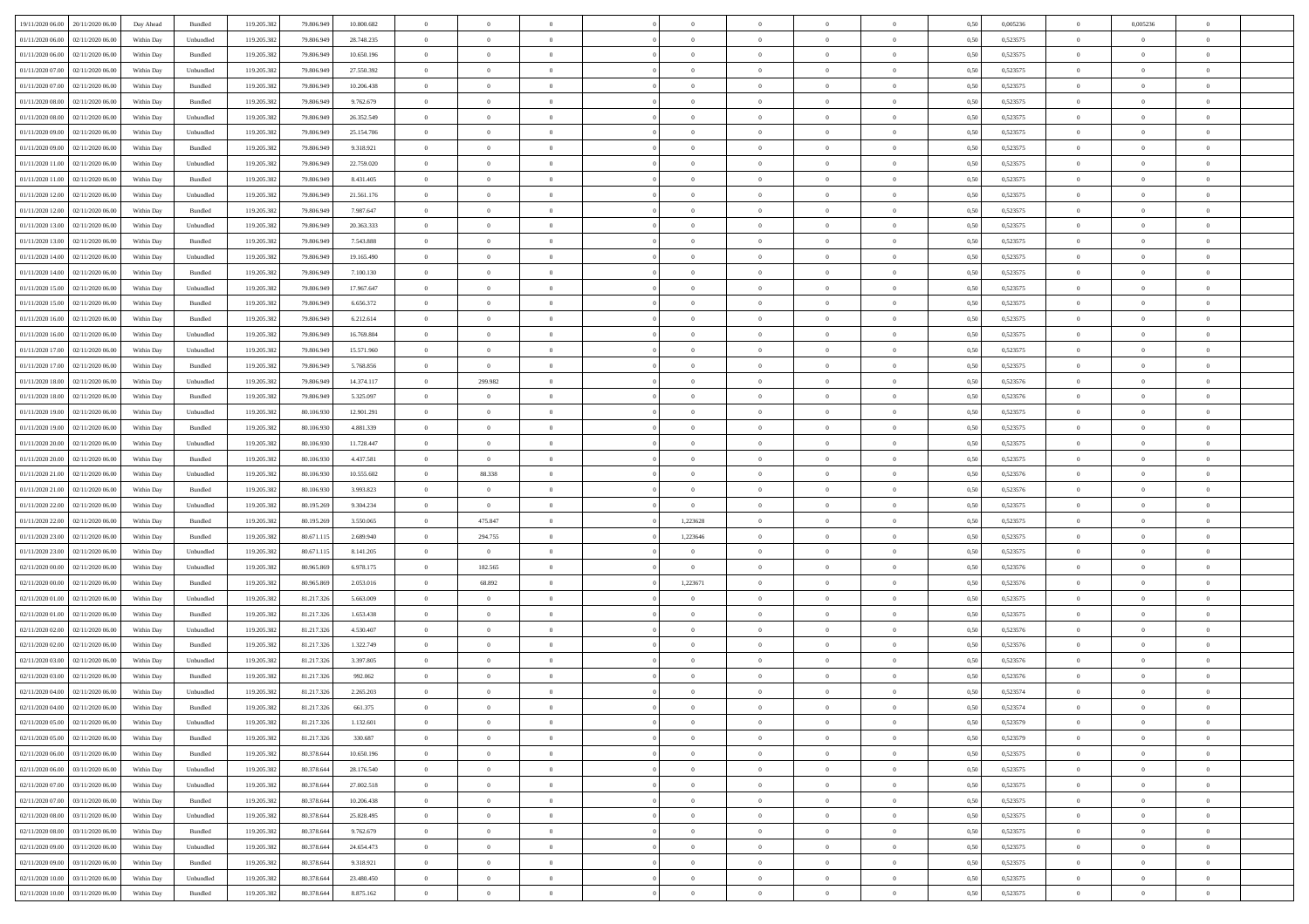| 19/11/2020 06:00 20/11/2020 06:00       | Day Ahead  | Bundled   | 119.205.382 | 79.806.949 | 10.800.682 | $\overline{0}$ | $\overline{0}$ |                | $\overline{0}$ | $\theta$       |                | $\theta$       | 0,50 | 0,005236 | $\theta$       | 0,005236       | $\theta$       |  |
|-----------------------------------------|------------|-----------|-------------|------------|------------|----------------|----------------|----------------|----------------|----------------|----------------|----------------|------|----------|----------------|----------------|----------------|--|
| 01/11/2020 06.00<br>02/11/2020 06.00    | Within Day | Unbundled | 119.205.38  | 79.806.94  | 28.748.235 | $\bf{0}$       | $\bf{0}$       | $\bf{0}$       | $\bf{0}$       | $\overline{0}$ | $\overline{0}$ | $\bf{0}$       | 0,50 | 0,523575 | $\,$ 0 $\,$    | $\overline{0}$ | $\overline{0}$ |  |
| $01/11/2020\ 06.00$<br>02/11/2020 06.00 | Within Day | Bundled   | 119.205.382 | 79,806,949 | 10.650.196 | $\overline{0}$ | $\bf{0}$       | $\overline{0}$ | $\bf{0}$       | $\bf{0}$       | $\overline{0}$ | $\bf{0}$       | 0.50 | 0,523575 | $\overline{0}$ | $\overline{0}$ | $\overline{0}$ |  |
| 01/11/2020 07:00<br>02/11/2020 06.00    | Within Day | Unbundled | 119.205.382 | 79.806.949 | 27.550.392 | $\overline{0}$ | $\overline{0}$ | $\overline{0}$ | $\theta$       | $\theta$       | $\overline{0}$ | $\bf{0}$       | 0,50 | 0,523575 | $\,$ 0 $\,$    | $\theta$       | $\overline{0}$ |  |
| 01/11/2020 07:00<br>02/11/2020 06.00    | Within Day | Bundled   | 119.205.38  | 79.806.949 | 10.206.438 | $\bf{0}$       | $\overline{0}$ | $\bf{0}$       | $\overline{0}$ | $\bf{0}$       | $\overline{0}$ | $\bf{0}$       | 0,50 | 0,523575 | $\,$ 0 $\,$    | $\bf{0}$       | $\overline{0}$ |  |
|                                         |            |           |             |            |            |                |                |                |                |                |                |                |      |          |                |                |                |  |
| 01/11/2020 08:00<br>02/11/2020 06.00    | Within Day | Bundled   | 119,205.38  | 79,806,949 | 9.762.679  | $\overline{0}$ | $\bf{0}$       | $\overline{0}$ | $\bf{0}$       | $\overline{0}$ | $\overline{0}$ | $\bf{0}$       | 0.50 | 0.523575 | $\,$ 0 $\,$    | $\theta$       | $\overline{0}$ |  |
| 01/11/2020 08:00<br>02/11/2020 06.00    | Within Day | Unbundled | 119.205.38  | 79.806.949 | 26.352.549 | $\overline{0}$ | $\overline{0}$ | $\overline{0}$ | $\overline{0}$ | $\overline{0}$ | $\overline{0}$ | $\bf{0}$       | 0,50 | 0,523575 | $\,$ 0 $\,$    | $\theta$       | $\overline{0}$ |  |
| 01/11/2020 09:00<br>02/11/2020 06.00    | Within Day | Unbundled | 119.205.38  | 79.806.94  | 25.154.706 | $\bf{0}$       | $\bf{0}$       | $\bf{0}$       | $\overline{0}$ | $\overline{0}$ | $\overline{0}$ | $\bf{0}$       | 0,50 | 0,523575 | $\,$ 0 $\,$    | $\bf{0}$       | $\overline{0}$ |  |
| 01/11/2020 09:00<br>02/11/2020 06:00    | Within Day | Bundled   | 119,205.38  | 79,806,949 | 9.318.921  | $\overline{0}$ | $\bf{0}$       | $\overline{0}$ | $\bf{0}$       | $\overline{0}$ | $\overline{0}$ | $\bf{0}$       | 0.50 | 0.523575 | $\bf{0}$       | $\overline{0}$ | $\overline{0}$ |  |
| 01/11/2020 11:00<br>02/11/2020 06.00    | Within Day | Unbundled | 119.205.382 | 79.806.949 | 22.759.020 | $\bf{0}$       | $\bf{0}$       | $\overline{0}$ | $\overline{0}$ | $\overline{0}$ | $\overline{0}$ | $\bf{0}$       | 0,50 | 0,523575 | $\,$ 0 $\,$    | $\bf{0}$       | $\overline{0}$ |  |
| 01/11/2020 11:00<br>02/11/2020 06.00    | Within Day | Bundled   | 119.205.38  | 79.806.949 | 8.431.405  | $\bf{0}$       | $\bf{0}$       | $\bf{0}$       | $\bf{0}$       | $\bf{0}$       | $\overline{0}$ | $\bf{0}$       | 0,50 | 0,523575 | $\,$ 0 $\,$    | $\bf{0}$       | $\overline{0}$ |  |
| 01/11/2020 12:00<br>02/11/2020 06.00    | Within Day | Unbundled | 119.205.382 | 79,806,949 | 21.561.176 | $\overline{0}$ | $\bf{0}$       | $\overline{0}$ | $\overline{0}$ | $\bf{0}$       | $\overline{0}$ | $\bf{0}$       | 0.50 | 0,523575 | $\bf{0}$       | $\overline{0}$ | $\,$ 0         |  |
| 01/11/2020 12:00<br>02/11/2020 06.00    | Within Day | Bundled   | 119.205.38  | 79.806.949 | 7.987.647  | $\overline{0}$ | $\overline{0}$ | $\overline{0}$ | $\theta$       | $\theta$       | $\overline{0}$ | $\bf{0}$       | 0,50 | 0,523575 | $\,$ 0 $\,$    | $\theta$       | $\overline{0}$ |  |
|                                         |            |           |             |            |            |                |                |                |                |                |                |                |      |          |                |                |                |  |
| 01/11/2020 13:00<br>02/11/2020 06.00    | Within Day | Unbundled | 119.205.38  | 79.806.949 | 20.363.333 | $\bf{0}$       | $\overline{0}$ | $\bf{0}$       | $\overline{0}$ | $\bf{0}$       | $\overline{0}$ | $\bf{0}$       | 0,50 | 0,523575 | $\,$ 0 $\,$    | $\bf{0}$       | $\overline{0}$ |  |
| 01/11/2020 13:00<br>02/11/2020 06.00    | Within Day | Bundled   | 119.205.382 | 79,806,949 | 7.543.888  | $\overline{0}$ | $\bf{0}$       | $\overline{0}$ | $\bf{0}$       | $\overline{0}$ | $\overline{0}$ | $\bf{0}$       | 0.50 | 0.523575 | $\,$ 0 $\,$    | $\theta$       | $\overline{0}$ |  |
| 01/11/2020 14:00<br>02/11/2020 06.00    | Within Day | Unbundled | 119.205.382 | 79.806.949 | 19.165.490 | $\overline{0}$ | $\overline{0}$ | $\overline{0}$ | $\overline{0}$ | $\overline{0}$ | $\overline{0}$ | $\bf{0}$       | 0,50 | 0,523575 | $\theta$       | $\theta$       | $\overline{0}$ |  |
| 01/11/2020 14:00<br>02/11/2020 06.00    | Within Day | Bundled   | 119.205.38  | 79.806.949 | 7.100.130  | $\bf{0}$       | $\bf{0}$       | $\bf{0}$       | $\overline{0}$ | $\bf{0}$       | $\overline{0}$ | $\bf{0}$       | 0,50 | 0,523575 | $\,$ 0 $\,$    | $\bf{0}$       | $\overline{0}$ |  |
| 01/11/2020 15:00<br>02/11/2020 06:00    | Within Day | Unbundled | 119,205.38  | 79,806.949 | 17.967.647 | $\overline{0}$ | $\bf{0}$       | $\overline{0}$ | $\bf{0}$       | $\overline{0}$ | $\overline{0}$ | $\bf{0}$       | 0.50 | 0.523575 | $\bf{0}$       | $\overline{0}$ | $\overline{0}$ |  |
| 01/11/2020 15:00<br>02/11/2020 06.00    | Within Day | Bundled   | 119.205.382 | 79.806.949 | 6.656.372  | $\bf{0}$       | $\bf{0}$       | $\overline{0}$ | $\overline{0}$ | $\overline{0}$ | $\overline{0}$ | $\bf{0}$       | 0,50 | 0,523575 | $\,$ 0 $\,$    | $\bf{0}$       | $\overline{0}$ |  |
| 01/11/2020 16.00<br>02/11/2020 06.00    | Within Day | Bundled   | 119.205.38  | 79.806.949 | 6.212.614  | $\bf{0}$       | $\bf{0}$       | $\bf{0}$       | $\bf{0}$       | $\overline{0}$ | $\overline{0}$ | $\bf{0}$       | 0,50 | 0,523575 | $\,$ 0 $\,$    | $\bf{0}$       | $\overline{0}$ |  |
|                                         |            |           |             |            |            |                |                |                |                |                |                |                |      |          |                |                |                |  |
| 01/11/2020 16.00<br>02/11/2020 06.00    | Within Day | Unbundled | 119.205.382 | 79,806,949 | 16,769,804 | $\overline{0}$ | $\bf{0}$       | $\overline{0}$ | $\overline{0}$ | $\bf{0}$       | $\overline{0}$ | $\bf{0}$       | 0.50 | 0,523575 | $\bf{0}$       | $\overline{0}$ | $\,$ 0         |  |
| 01/11/2020 17.00<br>02/11/2020 06:00    | Within Day | Unbundled | 119.205.382 | 79.806.949 | 15.571.960 | $\overline{0}$ | $\overline{0}$ | $\overline{0}$ | $\theta$       | $\theta$       | $\overline{0}$ | $\bf{0}$       | 0,50 | 0,523575 | $\theta$       | $\theta$       | $\overline{0}$ |  |
| 01/11/2020 17:00<br>02/11/2020 06.00    | Within Day | Bundled   | 119.205.38  | 79.806.949 | 5.768.856  | $\bf{0}$       | $\bf{0}$       | $\bf{0}$       | $\bf{0}$       | $\overline{0}$ | $\overline{0}$ | $\bf{0}$       | 0,50 | 0,523575 | $\,$ 0 $\,$    | $\bf{0}$       | $\overline{0}$ |  |
| 01/11/2020 18:00<br>02/11/2020 06.00    | Within Day | Unbundled | 119,205.38  | 79,806,949 | 14.374.117 | $\overline{0}$ | 299.982        | $\overline{0}$ | $\bf{0}$       | $\overline{0}$ | $\overline{0}$ | $\bf{0}$       | 0.50 | 0.523576 | $\,$ 0 $\,$    | $\theta$       | $\overline{0}$ |  |
| 01/11/2020 18:00<br>02/11/2020 06.00    | Within Day | Bundled   | 119.205.382 | 79.806.949 | 5.325.097  | $\overline{0}$ | $\overline{0}$ | $\overline{0}$ | $\overline{0}$ | $\overline{0}$ | $\overline{0}$ | $\bf{0}$       | 0,50 | 0,523576 | $\,$ 0 $\,$    | $\theta$       | $\overline{0}$ |  |
| 01/11/2020 19:00<br>02/11/2020 06.00    | Within Day | Unbundled | 119.205.38  | 80.106.93  | 12.901.291 | $\bf{0}$       | $\overline{0}$ | $\bf{0}$       | $\overline{0}$ | $\bf{0}$       | $\overline{0}$ | $\bf{0}$       | 0,50 | 0,523575 | $\,$ 0 $\,$    | $\bf{0}$       | $\overline{0}$ |  |
| 01/11/2020 19:00<br>02/11/2020 06:00    | Within Day | Bundled   | 119,205.38  | 80.106.930 | 4.881.339  | $\overline{0}$ | $\bf{0}$       | $\overline{0}$ | $\bf{0}$       | $\overline{0}$ | $\overline{0}$ | $\bf{0}$       | 0.50 | 0.523575 | $\bf{0}$       | $\overline{0}$ | $\overline{0}$ |  |
| 01/11/2020 20.00<br>02/11/2020 06.00    | Within Day | Unbundled | 119.205.382 | 80.106.930 | 11.728.447 | $\overline{0}$ | $\bf{0}$       | $\overline{0}$ | $\overline{0}$ | $\overline{0}$ | $\overline{0}$ | $\bf{0}$       | 0,50 | 0,523575 | $\,$ 0 $\,$    | $\theta$       | $\overline{0}$ |  |
|                                         |            |           |             |            |            |                |                |                |                |                |                |                |      |          |                |                |                |  |
| 01/11/2020 20.00<br>02/11/2020 06.00    | Within Day | Bundled   | 119.205.38  | 80.106.93  | 4.437.581  | $\bf{0}$       | $\bf{0}$       | $\bf{0}$       | $\bf{0}$       | $\overline{0}$ | $\overline{0}$ | $\bf{0}$       | 0,50 | 0,523575 | $\,$ 0 $\,$    | $\bf{0}$       | $\overline{0}$ |  |
| 01/11/2020 21.00<br>02/11/2020 06.00    | Within Day | Unbundled | 119.205.382 | 80.106.930 | 10.555.602 | $\overline{0}$ | 88.338         | $\overline{0}$ | $\bf{0}$       | $\bf{0}$       | $\overline{0}$ | $\bf{0}$       | 0.50 | 0,523576 | $\bf{0}$       | $\overline{0}$ | $\,$ 0         |  |
| 01/11/2020 21:00<br>02/11/2020 06:00    | Within Day | Bundled   | 119.205.382 | 80,106,930 | 3.993.823  | $\overline{0}$ | $\overline{0}$ | $\overline{0}$ | $\overline{0}$ | $\overline{0}$ | $\overline{0}$ | $\bf{0}$       | 0.5( | 0,523576 | $\theta$       | $\theta$       | $\overline{0}$ |  |
| 01/11/2020 22.00<br>02/11/2020 06.00    | Within Day | Unbundled | 119.205.38  | 80.195.269 | 9.304.234  | $\bf{0}$       | $\overline{0}$ | $\bf{0}$       | $\bf{0}$       | $\overline{0}$ | $\overline{0}$ | $\bf{0}$       | 0,50 | 0,523575 | $\,$ 0 $\,$    | $\bf{0}$       | $\overline{0}$ |  |
| 01/11/2020 22.00<br>02/11/2020 06.00    | Within Day | Bundled   | 119.205.382 | 80.195.269 | 3.550,065  | $\overline{0}$ | 475.847        | $\overline{0}$ | 1,223628       | $\overline{0}$ | $\overline{0}$ | $\bf{0}$       | 0.50 | 0.523575 | $\,$ 0 $\,$    | $\bf{0}$       | $\overline{0}$ |  |
| 01/11/2020 23.00<br>02/11/2020 06.00    | Within Dav | Bundled   | 119.205.38  | 80.671.115 | 2.689.940  | $\overline{0}$ | 294.755        | $\overline{0}$ | 1,223646       | $\overline{0}$ | $\overline{0}$ | $\bf{0}$       | 0.5( | 0,523575 | $\theta$       | $\theta$       | $\overline{0}$ |  |
| 01/11/2020 23.00<br>02/11/2020 06.00    | Within Day | Unbundled | 119.205.38  | 80.671.11: | 8.141.205  | $\bf{0}$       | $\bf{0}$       | $\bf{0}$       | $\overline{0}$ | $\bf{0}$       | $\overline{0}$ | $\bf{0}$       | 0,50 | 0,523575 | $\,$ 0 $\,$    | $\bf{0}$       | $\overline{0}$ |  |
| 02/11/2020 00:00<br>02/11/2020 06:00    | Within Day | Unbundled | 119,205.38  | 80.965.869 | 6.978.175  | $\overline{0}$ | 182.565        | $\overline{0}$ | $\overline{0}$ | $\overline{0}$ | $\overline{0}$ | $\bf{0}$       | 0.50 | 0.523576 | $\bf{0}$       | $\overline{0}$ | $\overline{0}$ |  |
| 02/11/2020 00:00<br>02/11/2020 06.00    | Within Dav | Bundled   | 119.205.38  | 80.965.869 | 2.053.016  | $\overline{0}$ | 68.892         | $\overline{0}$ | 1,223671       | $\overline{0}$ | $\overline{0}$ | $\bf{0}$       | 0.50 | 0,523576 | $\theta$       | $\theta$       | $\overline{0}$ |  |
|                                         |            |           |             |            |            |                |                |                |                |                |                |                |      |          |                |                |                |  |
| 02/11/2020 01:00<br>02/11/2020 06.00    | Within Day | Unbundled | 119.205.38  | 81.217.326 | 5.663.009  | $\bf{0}$       | $\bf{0}$       | $\overline{0}$ | $\bf{0}$       | $\overline{0}$ | $\overline{0}$ | $\bf{0}$       | 0,50 | 0,523575 | $\,$ 0 $\,$    | $\bf{0}$       | $\overline{0}$ |  |
| 02/11/2020 01:00<br>02/11/2020 06.00    | Within Day | Bundled   | 119.205.382 | 81.217.326 | 1.653.438  | $\overline{0}$ | $\bf{0}$       | $\overline{0}$ | $\bf{0}$       | $\bf{0}$       | $\overline{0}$ | $\bf{0}$       | 0.50 | 0,523575 | $\bf{0}$       | $\overline{0}$ | $\overline{0}$ |  |
| 02/11/2020 02:00<br>02/11/2020 06:00    | Within Day | Unbundled | 119.205.382 | 81.217.326 | 4.530.407  | $\overline{0}$ | $\overline{0}$ | $\overline{0}$ | $\overline{0}$ | $\overline{0}$ | $\overline{0}$ | $\bf{0}$       | 0.5( | 0,523576 | $\theta$       | $\theta$       | $\overline{0}$ |  |
| 02/11/2020 02.00<br>02/11/2020 06.00    | Within Day | Bundled   | 119.205.38  | 81.217.32  | 1.322.749  | $\bf{0}$       | $\bf{0}$       | $\bf{0}$       | $\bf{0}$       | $\overline{0}$ | $\overline{0}$ | $\bf{0}$       | 0,50 | 0,523576 | $\,$ 0 $\,$    | $\bf{0}$       | $\overline{0}$ |  |
| 02/11/2020 03:00<br>02/11/2020 06.00    | Within Day | Unbundled | 119.205.38  | 81.217.32  | 3.397.805  | $\overline{0}$ | $\overline{0}$ | $\overline{0}$ | $\bf{0}$       | $\overline{0}$ | $\overline{0}$ | $\bf{0}$       | 0.50 | 0,523576 | $\bf{0}$       | $\theta$       | $\overline{0}$ |  |
| 02/11/2020 03:00<br>02/11/2020 06.00    | Within Dav | Bundled   | 119.205.38  | 81.217.326 | 992.062    | $\overline{0}$ | $\overline{0}$ | $\Omega$       | $\overline{0}$ | $\theta$       | $\overline{0}$ | $\overline{0}$ | 0.5( | 0,523576 | $\theta$       | $\theta$       | $\overline{0}$ |  |
| 02/11/2020 04:00<br>02/11/2020 06.00    | Within Day | Unbundled | 119.205.38  | 81.217.326 | 2.265.203  | $\bf{0}$       | $\bf{0}$       | $\bf{0}$       | $\bf{0}$       | $\bf{0}$       | $\overline{0}$ | $\bf{0}$       | 0,50 | 0,523574 | $\,$ 0 $\,$    | $\bf{0}$       | $\overline{0}$ |  |
| 02/11/2020 04:00 02/11/2020 06:00       | Within Day | Bundled   | 119.205.382 | 81.217.326 | 661.375    | $\bf{0}$       | $\theta$       |                | $\overline{0}$ |                |                |                | 0,50 | 0,523574 | $\bf{0}$       | $\bf{0}$       |                |  |
| 02/11/2020 05:00 02/11/2020 06:00       |            |           |             |            |            | $\overline{0}$ | $\theta$       | $\Omega$       |                | $\theta$       |                |                |      |          | $\theta$       | $\theta$       | $\overline{0}$ |  |
|                                         | Within Day | Unbundled | 119.205.382 | 81.217.326 | 1.132.601  |                |                |                | $\theta$       |                | $\overline{0}$ | $\bf{0}$       | 0,50 | 0,523579 |                |                |                |  |
| 02/11/2020 05:00<br>02/11/2020 06.00    | Within Day | Bundled   | 119.205.38  | 81.217.326 | 330.687    | $\overline{0}$ | $\bf{0}$       | $\overline{0}$ | $\overline{0}$ | $\bf{0}$       | $\overline{0}$ | $\bf{0}$       | 0,50 | 0,523579 | $\bf{0}$       | $\overline{0}$ | $\bf{0}$       |  |
| 02/11/2020 06:00 03/11/2020 06:00       | Within Day | Bundled   | 119.205.382 | 80.378.644 | 10.650.196 | $\overline{0}$ | $\bf{0}$       | $\overline{0}$ | $\overline{0}$ | $\overline{0}$ | $\overline{0}$ | $\,$ 0 $\,$    | 0.50 | 0,523575 | $\overline{0}$ | $\bf{0}$       | $\,$ 0 $\,$    |  |
| 02/11/2020 06:00 03/11/2020 06:00       | Within Dav | Unbundled | 119.205.382 | 80.378.644 | 28.176.540 | $\overline{0}$ | $\overline{0}$ | $\overline{0}$ | $\overline{0}$ | $\overline{0}$ | $\overline{0}$ | $\bf{0}$       | 0.50 | 0,523575 | $\theta$       | $\theta$       | $\overline{0}$ |  |
| 02/11/2020 07:00<br>03/11/2020 06:00    | Within Day | Unbundled | 119.205.382 | 80.378.644 | 27.002.518 | $\overline{0}$ | $\bf{0}$       | $\overline{0}$ | $\bf{0}$       | $\overline{0}$ | $\bf{0}$       | $\bf{0}$       | 0,50 | 0,523575 | $\bf{0}$       | $\bf{0}$       | $\overline{0}$ |  |
| 02/11/2020 07:00 03/11/2020 06:00       | Within Day | Bundled   | 119.205.382 | 80.378.644 | 10.206.438 | $\overline{0}$ | $\bf{0}$       | $\overline{0}$ | $\overline{0}$ | $\overline{0}$ | $\overline{0}$ | $\bf{0}$       | 0.50 | 0.523575 | $\,$ 0 $\,$    | $\theta$       | $\overline{0}$ |  |
| 02/11/2020 08:00<br>03/11/2020 06:00    | Within Dav | Unbundled | 119.205.382 | 80.378.644 | 25.828.495 | $\overline{0}$ | $\overline{0}$ | $\overline{0}$ | $\overline{0}$ | $\overline{0}$ | $\overline{0}$ | $\bf{0}$       | 0.50 | 0,523575 | $\overline{0}$ | $\theta$       | $\overline{0}$ |  |
| 02/11/2020 08:00<br>03/11/2020 06.00    | Within Day | Bundled   | 119.205.38  | 80.378.644 | 9.762.679  | $\overline{0}$ | $\overline{0}$ | $\overline{0}$ | $\overline{0}$ | $\overline{0}$ | $\overline{0}$ | $\bf{0}$       | 0,50 | 0,523575 | $\bf{0}$       | $\bf{0}$       | $\overline{0}$ |  |
|                                         |            |           |             |            |            |                |                |                |                |                |                |                |      |          |                |                |                |  |
| 02/11/2020 09:00 03/11/2020 06:00       | Within Day | Unbundled | 119.205.38  | 80.378.644 | 24.654.473 | $\overline{0}$ | $\overline{0}$ | $\overline{0}$ | $\overline{0}$ | $\bf{0}$       | $\overline{0}$ | $\bf{0}$       | 0.50 | 0.523575 | $\overline{0}$ | $\,$ 0 $\,$    | $\,$ 0         |  |
| 02/11/2020 09:00 03/11/2020 06:00       | Within Dav | Bundled   | 119.205.382 | 80.378.644 | 9.318.921  | $\overline{0}$ | $\overline{0}$ | $\overline{0}$ | $\overline{0}$ | $\overline{0}$ | $\overline{0}$ | $\bf{0}$       | 0,50 | 0,523575 | $\overline{0}$ | $\theta$       | $\overline{0}$ |  |
| 02/11/2020 10:00<br>03/11/2020 06.00    | Within Day | Unbundled | 119.205.38  | 80.378.644 | 23.480.450 | $\overline{0}$ | $\bf{0}$       | $\overline{0}$ | $\bf{0}$       | $\overline{0}$ | $\bf{0}$       | $\bf{0}$       | 0,50 | 0,523575 | $\bf{0}$       | $\bf{0}$       | $\overline{0}$ |  |
| 02/11/2020 10:00 03/11/2020 06:00       | Within Day | Bundled   | 119.205.382 | 80.378.644 | 8.875.162  | $\overline{0}$ | $\bf{0}$       | $\overline{0}$ | $\overline{0}$ | $\,$ 0 $\,$    | $\overline{0}$ | $\bf{0}$       | 0,50 | 0,523575 | $\overline{0}$ | $\,$ 0 $\,$    | $\,$ 0 $\,$    |  |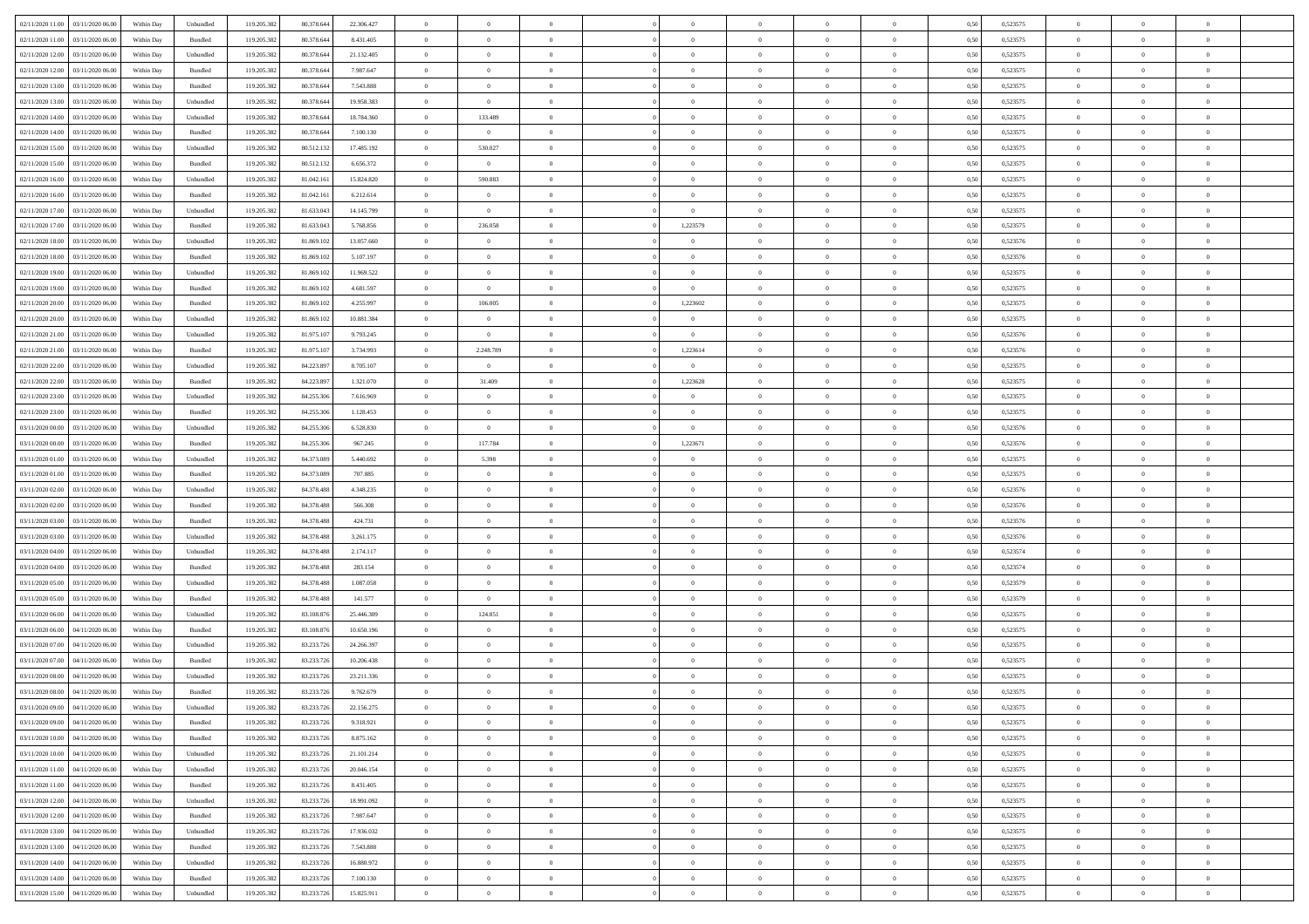| 02/11/2020 11:00 03/11/2020 06:00       | Within Day | Unbundled                   | 119.205.382 | 80.378.644 | 22.306.427 | $\overline{0}$ | $\overline{0}$ |                | $\overline{0}$ | $\theta$       |                | $\theta$       | 0,50 | 0,523575 | $\theta$       | $\theta$       | $\overline{0}$ |  |
|-----------------------------------------|------------|-----------------------------|-------------|------------|------------|----------------|----------------|----------------|----------------|----------------|----------------|----------------|------|----------|----------------|----------------|----------------|--|
| 02/11/2020 11:00<br>03/11/2020 06.00    | Within Day | Bundled                     | 119.205.38  | 80.378.64  | 8.431.405  | $\bf{0}$       | $\bf{0}$       | $\bf{0}$       | $\bf{0}$       | $\overline{0}$ | $\overline{0}$ | $\bf{0}$       | 0,50 | 0,523575 | $\,$ 0 $\,$    | $\bf{0}$       | $\overline{0}$ |  |
| 02/11/2020 12:00<br>03/11/2020 06.00    | Within Day | Unbundled                   | 119.205.382 | 80.378.644 | 21.132.405 | $\overline{0}$ | $\bf{0}$       | $\overline{0}$ | $\bf{0}$       | $\bf{0}$       | $\overline{0}$ | $\bf{0}$       | 0.50 | 0,523575 | $\bf{0}$       | $\overline{0}$ | $\overline{0}$ |  |
| 02/11/2020 12:00<br>03/11/2020 06:00    | Within Day | Bundled                     | 119.205.382 | 80.378.644 | 7.987.647  | $\overline{0}$ | $\overline{0}$ | $\overline{0}$ | $\overline{0}$ | $\theta$       | $\overline{0}$ | $\bf{0}$       | 0,50 | 0,523575 | $\theta$       | $\theta$       | $\overline{0}$ |  |
| 02/11/2020 13:00<br>03/11/2020 06.00    | Within Day | Bundled                     | 119.205.38  | 80.378.64  | 7.543.888  | $\bf{0}$       | $\overline{0}$ | $\bf{0}$       | $\overline{0}$ | $\bf{0}$       | $\overline{0}$ | $\bf{0}$       | 0,50 | 0,523575 | $\,$ 0 $\,$    | $\bf{0}$       | $\overline{0}$ |  |
|                                         |            |                             |             |            |            |                |                |                |                |                |                |                |      |          |                |                |                |  |
| 02/11/2020 13:00<br>03/11/2020 06:00    | Within Day | Unbundled                   | 119,205.38  | 80.378.64  | 19.958.383 | $\overline{0}$ | $\overline{0}$ | $\overline{0}$ | $\bf{0}$       | $\overline{0}$ | $\overline{0}$ | $\bf{0}$       | 0.50 | 0.523575 | $\,$ 0 $\,$    | $\theta$       | $\overline{0}$ |  |
| 02/11/2020 14:00<br>03/11/2020 06.00    | Within Day | Unbundled                   | 119.205.38  | 80.378.644 | 18.784.360 | $\overline{0}$ | 133.489        | $\overline{0}$ | $\overline{0}$ | $\overline{0}$ | $\overline{0}$ | $\bf{0}$       | 0,50 | 0,523575 | $\,$ 0 $\,$    | $\theta$       | $\overline{0}$ |  |
| 02/11/2020 14:00<br>03/11/2020 06.00    | Within Day | Bundled                     | 119.205.38  | 80.378.64  | 7.100.130  | $\bf{0}$       | $\bf{0}$       | $\bf{0}$       | $\overline{0}$ | $\overline{0}$ | $\overline{0}$ | $\bf{0}$       | 0,50 | 0,523575 | $\,$ 0 $\,$    | $\bf{0}$       | $\overline{0}$ |  |
| 02/11/2020 15:00<br>03/11/2020 06:00    | Within Day | Unbundled                   | 119,205.38  | 80.512.132 | 17.485.192 | $\overline{0}$ | 530.027        | $\overline{0}$ | $\bf{0}$       | $\overline{0}$ | $\overline{0}$ | $\bf{0}$       | 0.50 | 0.523575 | $\bf{0}$       | $\overline{0}$ | $\overline{0}$ |  |
| 02/11/2020 15:00<br>03/11/2020 06:00    | Within Day | Bundled                     | 119.205.382 | 80.512.132 | 6.656.372  | $\bf{0}$       | $\overline{0}$ | $\overline{0}$ | $\overline{0}$ | $\overline{0}$ | $\overline{0}$ | $\bf{0}$       | 0,50 | 0,523575 | $\,$ 0 $\,$    | $\bf{0}$       | $\overline{0}$ |  |
| 02/11/2020 16.00<br>03/11/2020 06.00    | Within Day | Unbundled                   | 119.205.38  | 81.042.16  | 15.824.820 | $\bf{0}$       | 590.883        | $\bf{0}$       | $\bf{0}$       | $\bf{0}$       | $\overline{0}$ | $\bf{0}$       | 0,50 | 0,523575 | $\,$ 0 $\,$    | $\bf{0}$       | $\overline{0}$ |  |
| 02/11/2020 16.00<br>03/11/2020 06.00    | Within Day | Bundled                     | 119.205.382 | 81.042.161 | 6.212.614  | $\overline{0}$ | $\overline{0}$ | $\overline{0}$ | $\overline{0}$ | $\bf{0}$       | $\overline{0}$ | $\bf{0}$       | 0.50 | 0,523575 | $\bf{0}$       | $\overline{0}$ | $\,$ 0         |  |
|                                         |            |                             |             |            |            |                |                |                |                |                |                |                |      |          |                |                |                |  |
| 02/11/2020 17:00<br>03/11/2020 06:00    | Within Day | Unbundled                   | 119.205.38  | 81.633.043 | 14.145.799 | $\overline{0}$ | $\bf{0}$       | $\overline{0}$ | $\overline{0}$ | $\theta$       | $\overline{0}$ | $\bf{0}$       | 0,50 | 0,523575 | $\,$ 0 $\,$    | $\theta$       | $\overline{0}$ |  |
| 02/11/2020 17.00<br>03/11/2020 06.00    | Within Day | Bundled                     | 119.205.38  | 81.633.043 | 5.768.856  | $\bf{0}$       | 236.058        | $\bf{0}$       | 1,223579       | $\theta$       | $\overline{0}$ | $\bf{0}$       | 0,50 | 0,523575 | $\,$ 0 $\,$    | $\bf{0}$       | $\overline{0}$ |  |
| 02/11/2020 18:00<br>03/11/2020 06:00    | Within Day | Unbundled                   | 119.205.38  | 81,869.102 | 13.057.660 | $\overline{0}$ | $\overline{0}$ | $\overline{0}$ | $\bf{0}$       | $\overline{0}$ | $\overline{0}$ | $\bf{0}$       | 0.50 | 0.523576 | $\,$ 0 $\,$    | $\theta$       | $\overline{0}$ |  |
| 02/11/2020 18:00<br>03/11/2020 06.00    | Within Day | Bundled                     | 119.205.382 | 81.869.102 | 5.107.197  | $\overline{0}$ | $\overline{0}$ | $\overline{0}$ | $\overline{0}$ | $\overline{0}$ | $\overline{0}$ | $\bf{0}$       | 0,50 | 0,523576 | $\theta$       | $\theta$       | $\overline{0}$ |  |
| 02/11/2020 19:00<br>03/11/2020 06.00    | Within Day | Unbundled                   | 119.205.38  | 81.869.10  | 11.969.522 | $\bf{0}$       | $\overline{0}$ | $\bf{0}$       | $\overline{0}$ | $\bf{0}$       | $\overline{0}$ | $\bf{0}$       | 0,50 | 0,523575 | $\,$ 0 $\,$    | $\bf{0}$       | $\overline{0}$ |  |
| 02/11/2020 19:00<br>03/11/2020 06:00    | Within Day | Bundled                     | 119,205.38  | 81,869.102 | 4.681.597  | $\overline{0}$ | $\overline{0}$ | $\overline{0}$ | $\overline{0}$ | $\overline{0}$ | $\overline{0}$ | $\bf{0}$       | 0.50 | 0.523575 | $\bf{0}$       | $\overline{0}$ | $\overline{0}$ |  |
| 02/11/2020 20:00<br>03/11/2020 06.00    | Within Day | Bundled                     | 119.205.382 | 81.869.102 | 4.255.997  | $\bf{0}$       | 106.005        | $\overline{0}$ | 1,223602       | $\overline{0}$ | $\overline{0}$ | $\bf{0}$       | 0,50 | 0,523575 | $\,$ 0 $\,$    | $\bf{0}$       | $\overline{0}$ |  |
|                                         |            |                             |             |            |            |                |                |                |                |                |                |                |      |          |                |                |                |  |
| 02/11/2020 20:00<br>03/11/2020 06.00    | Within Day | Unbundled                   | 119.205.38  | 81.869.10  | 10.881.384 | $\bf{0}$       | $\bf{0}$       | $\bf{0}$       | $\bf{0}$       | $\overline{0}$ | $\overline{0}$ | $\bf{0}$       | 0,50 | 0,523575 | $\,$ 0 $\,$    | $\bf{0}$       | $\overline{0}$ |  |
| 02/11/2020 21:00<br>03/11/2020 06:00    | Within Day | Unbundled                   | 119.205.382 | 81.975.10  | 9.793.245  | $\overline{0}$ | $\overline{0}$ | $\overline{0}$ | $\bf{0}$       | $\overline{0}$ | $\overline{0}$ | $\bf{0}$       | 0.50 | 0,523576 | $\bf{0}$       | $\overline{0}$ | $\,$ 0         |  |
| 02/11/2020 21:00<br>03/11/2020 06:00    | Within Day | Bundled                     | 119.205.382 | 81.975.107 | 3.734.993  | $\overline{0}$ | 2.248.789      | $\overline{0}$ | 1,223614       | $\theta$       | $\overline{0}$ | $\bf{0}$       | 0,50 | 0,523576 | $\theta$       | $\theta$       | $\overline{0}$ |  |
| 02/11/2020 22.00<br>03/11/2020 06.00    | Within Day | Unbundled                   | 119.205.38  | 84.223.89  | 8.705.107  | $\bf{0}$       | $\bf{0}$       | $\bf{0}$       | $\bf{0}$       | $\overline{0}$ | $\overline{0}$ | $\bf{0}$       | 0,50 | 0,523575 | $\,$ 0 $\,$    | $\bf{0}$       | $\overline{0}$ |  |
| 02/11/2020 22.00<br>03/11/2020 06:00    | Within Day | Bundled                     | 119,205.38  | 84.223.897 | 1.321.070  | $\overline{0}$ | 31.409         | $\overline{0}$ | 1,223628       | $\overline{0}$ | $\overline{0}$ | $\bf{0}$       | 0.50 | 0.523575 | $\bf{0}$       | $\theta$       | $\overline{0}$ |  |
| 02/11/2020 23.00<br>03/11/2020 06.00    | Within Day | Unbundled                   | 119.205.382 | 84.255.306 | 7.616.969  | $\overline{0}$ | $\overline{0}$ | $\overline{0}$ | $\overline{0}$ | $\overline{0}$ | $\overline{0}$ | $\bf{0}$       | 0,50 | 0,523575 | $\,$ 0 $\,$    | $\theta$       | $\overline{0}$ |  |
| 02/11/2020 23.00<br>03/11/2020 06.00    | Within Day | Bundled                     | 119.205.38  | 84.255.30  | 1.128.453  | $\bf{0}$       | $\overline{0}$ | $\bf{0}$       | $\overline{0}$ | $\bf{0}$       | $\overline{0}$ | $\bf{0}$       | 0,50 | 0,523575 | $\,$ 0 $\,$    | $\bf{0}$       | $\overline{0}$ |  |
| 03/11/2020 00:00<br>03/11/2020 06:00    | Within Day | Unbundled                   | 119,205.38  | 84.255.30  | 6.528.830  | $\overline{0}$ | $\overline{0}$ | $\overline{0}$ | $\bf{0}$       | $\overline{0}$ | $\overline{0}$ | $\bf{0}$       | 0.50 | 0.523576 | $\bf{0}$       | $\overline{0}$ | $\overline{0}$ |  |
| 03/11/2020 00:00                        |            |                             | 119.205.382 |            |            | $\overline{0}$ | 117.784        | $\overline{0}$ | 1,223671       | $\overline{0}$ | $\overline{0}$ |                |      |          | $\,$ 0 $\,$    | $\theta$       | $\overline{0}$ |  |
| 03/11/2020 06.00                        | Within Day | Bundled                     |             | 84.255.306 | 967.245    |                |                |                |                |                |                | $\bf{0}$       | 0,50 | 0,523576 |                |                |                |  |
| 03/11/2020 01:00<br>03/11/2020 06.00    | Within Day | Unbundled                   | 119.205.38  | 84.373.089 | 5.440.692  | $\bf{0}$       | 5.398          | $\bf{0}$       | $\bf{0}$       | $\overline{0}$ | $\overline{0}$ | $\bf{0}$       | 0,50 | 0,523575 | $\,$ 0 $\,$    | $\bf{0}$       | $\overline{0}$ |  |
| 03/11/2020 01:00<br>03/11/2020 06.00    | Within Day | Bundled                     | 119.205.382 | 84,373,089 | 707.885    | $\overline{0}$ | $\bf{0}$       | $\overline{0}$ | $\bf{0}$       | $\bf{0}$       | $\overline{0}$ | $\bf{0}$       | 0.50 | 0,523575 | $\bf{0}$       | $\overline{0}$ | $\,$ 0         |  |
| 03/11/2020 02.00<br>03/11/2020 06:00    | Within Day | Unbundled                   | 119.205.38  | 84.378.488 | 4.348.235  | $\overline{0}$ | $\overline{0}$ | $\overline{0}$ | $\overline{0}$ | $\overline{0}$ | $\overline{0}$ | $\bf{0}$       | 0.5( | 0,523576 | $\theta$       | $\theta$       | $\overline{0}$ |  |
| 03/11/2020 02.00<br>03/11/2020 06.00    | Within Day | Bundled                     | 119.205.38  | 84.378.488 | 566.308    | $\bf{0}$       | $\bf{0}$       | $\bf{0}$       | $\bf{0}$       | $\overline{0}$ | $\overline{0}$ | $\bf{0}$       | 0,50 | 0,523576 | $\,$ 0 $\,$    | $\bf{0}$       | $\overline{0}$ |  |
| 03/11/2020 03:00<br>03/11/2020 06:00    | Within Day | Bundled                     | 119.205.382 | 84,378,488 | 424.731    | $\overline{0}$ | $\bf{0}$       | $\overline{0}$ | $\bf{0}$       | $\overline{0}$ | $\overline{0}$ | $\bf{0}$       | 0.50 | 0.523576 | $\,$ 0 $\,$    | $\bf{0}$       | $\overline{0}$ |  |
| 03/11/2020 03:00<br>03/11/2020 06:00    | Within Day | Unbundled                   | 119.205.38  | 84.378.488 | 3.261.175  | $\overline{0}$ | $\overline{0}$ | $\overline{0}$ | $\overline{0}$ | $\overline{0}$ | $\overline{0}$ | $\bf{0}$       | 0.5( | 0,523576 | $\theta$       | $\theta$       | $\overline{0}$ |  |
| 03/11/2020 04:00<br>03/11/2020 06.00    | Within Day | Unbundled                   | 119.205.38  | 84.378.488 | 2.174.117  | $\bf{0}$       | $\bf{0}$       | $\bf{0}$       | $\bf{0}$       | $\overline{0}$ | $\overline{0}$ | $\bf{0}$       | 0,50 | 0,523574 | $\,$ 0 $\,$    | $\bf{0}$       | $\overline{0}$ |  |
| 03/11/2020 04:00<br>03/11/2020 06:00    | Within Day | Bundled                     | 119,205.38  | 84,378,488 | 283.154    | $\overline{0}$ | $\bf{0}$       | $\overline{0}$ | $\bf{0}$       | $\overline{0}$ | $\overline{0}$ | $\bf{0}$       | 0.50 | 0.523574 | $\bf{0}$       | $\overline{0}$ | $\overline{0}$ |  |
|                                         |            |                             |             |            |            |                |                |                |                |                |                |                |      |          |                |                |                |  |
| 03/11/2020 05:00<br>03/11/2020 06:00    | Within Day | Unbundled                   | 119.205.38  | 84.378.488 | 1.087.058  | $\overline{0}$ | $\overline{0}$ | $\overline{0}$ | $\overline{0}$ | $\overline{0}$ | $\overline{0}$ | $\bf{0}$       | 0.50 | 0,523579 | $\theta$       | $\theta$       | $\overline{0}$ |  |
| 03/11/2020 05:00<br>03/11/2020 06.00    | Within Day | Bundled                     | 119.205.38  | 84.378.488 | 141.577    | $\bf{0}$       | $\bf{0}$       | $\bf{0}$       | $\bf{0}$       | $\overline{0}$ | $\overline{0}$ | $\bf{0}$       | 0,50 | 0,523579 | $\,$ 0 $\,$    | $\bf{0}$       | $\overline{0}$ |  |
| 03/11/2020 06:00<br>04/11/2020 06:00    | Within Day | Unbundled                   | 119.205.382 | 83,108,876 | 25,446.309 | $\overline{0}$ | 124.851        | $\overline{0}$ | $\overline{0}$ | $\bf{0}$       | $\overline{0}$ | $\bf{0}$       | 0.50 | 0,523575 | $\bf{0}$       | $\overline{0}$ | $\overline{0}$ |  |
| 03/11/2020 06:00<br>04/11/2020 06.00    | Within Day | Bundled                     | 119.205.382 | 83.108.876 | 10.650.196 | $\overline{0}$ | $\overline{0}$ | $\overline{0}$ | $\overline{0}$ | $\overline{0}$ | $\overline{0}$ | $\bf{0}$       | 0.5( | 0,523575 | $\theta$       | $\theta$       | $\overline{0}$ |  |
| 03/11/2020 07:00<br>04/11/2020 06.00    | Within Day | Unbundled                   | 119.205.38  | 83.233.72  | 24.266.397 | $\bf{0}$       | $\bf{0}$       | $\bf{0}$       | $\bf{0}$       | $\overline{0}$ | $\overline{0}$ | $\bf{0}$       | 0,50 | 0,523575 | $\,$ 0 $\,$    | $\bf{0}$       | $\overline{0}$ |  |
| 03/11/2020 07.00<br>04/11/2020 06.00    | Within Day | Bundled                     | 119.205.38  | 83.233.72  | 10.206.438 | $\overline{0}$ | $\overline{0}$ | $\overline{0}$ | $\bf{0}$       | $\overline{0}$ | $\overline{0}$ | $\bf{0}$       | 0.50 | 0,523575 | $\bf{0}$       | $\theta$       | $\overline{0}$ |  |
| 03/11/2020 08:00<br>04/11/2020 06.00    | Within Dav | Unbundled                   | 119.205.38  | 83.233.726 | 23.211.336 | $\overline{0}$ | $\overline{0}$ | $\overline{0}$ | $\theta$       | $\theta$       | $\overline{0}$ | $\overline{0}$ | 0.5( | 0,523575 | $\theta$       | $\theta$       | $\overline{0}$ |  |
| $03/11/2020\ 08.00$<br>04/11/2020 06.00 | Within Day | Bundled                     | 119.205.38  | 83.233.72  | 9.762.679  | $\bf{0}$       | $\bf{0}$       | $\bf{0}$       | $\bf{0}$       | $\bf{0}$       | $\overline{0}$ | $\bf{0}$       | 0,50 | 0,523575 | $\,$ 0 $\,$    | $\bf{0}$       | $\overline{0}$ |  |
| 03/11/2020 09:00 04/11/2020 06:00       | Within Day | $\ensuremath{\mathsf{Unb}}$ | 119.205.382 | 83.233.726 | 22.156.275 | $\bf{0}$       | $\theta$       |                | $\overline{0}$ | $\Omega$       |                |                | 0,50 | 0,523575 | $\bf{0}$       | $\bf{0}$       |                |  |
|                                         |            |                             |             |            |            |                |                |                |                |                |                |                |      |          |                |                |                |  |
| 03/11/2020 09:00 04/11/2020 06:00       | Within Day | Bundled                     | 119.205.382 | 83.233.726 | 9.318.921  | $\overline{0}$ | $\theta$       | $\Omega$       | $\theta$       | $\overline{0}$ | $\overline{0}$ | $\bf{0}$       | 0,50 | 0,523575 | $\theta$       | $\theta$       | $\overline{0}$ |  |
| 03/11/2020 10:00<br>04/11/2020 06.00    | Within Day | Bundled                     | 119.205.38  | 83.233.726 | 8.875.162  | $\overline{0}$ | $\bf{0}$       | $\overline{0}$ | $\overline{0}$ | $\bf{0}$       | $\overline{0}$ | $\bf{0}$       | 0,50 | 0,523575 | $\bf{0}$       | $\overline{0}$ | $\bf{0}$       |  |
| 03/11/2020 10:00 04/11/2020 06:00       | Within Day | Unbundled                   | 119.205.382 | 83.233.726 | 21.101.214 | $\overline{0}$ | $\bf{0}$       | $\overline{0}$ | $\overline{0}$ | $\overline{0}$ | $\overline{0}$ | $\,$ 0 $\,$    | 0.50 | 0,523575 | $\overline{0}$ | $\bf{0}$       | $\,$ 0 $\,$    |  |
| 03/11/2020 11:00 04/11/2020 06:00       | Within Day | Unbundled                   | 119.205.382 | 83.233.726 | 20.046.154 | $\overline{0}$ | $\overline{0}$ | $\overline{0}$ | $\overline{0}$ | $\overline{0}$ | $\overline{0}$ | $\bf{0}$       | 0,50 | 0,523575 | $\theta$       | $\theta$       | $\overline{0}$ |  |
| 03/11/2020 11:00<br>04/11/2020 06.00    | Within Day | Bundled                     | 119.205.382 | 83.233.726 | 8.431.405  | $\overline{0}$ | $\bf{0}$       | $\overline{0}$ | $\bf{0}$       | $\overline{0}$ | $\bf{0}$       | $\bf{0}$       | 0,50 | 0,523575 | $\bf{0}$       | $\bf{0}$       | $\overline{0}$ |  |
| 03/11/2020 12:00<br>04/11/2020 06:00    | Within Day | Unbundled                   | 119.205.382 | 83.233.726 | 18.991.092 | $\overline{0}$ | $\bf{0}$       | $\overline{0}$ | $\overline{0}$ | $\overline{0}$ | $\overline{0}$ | $\bf{0}$       | 0.50 | 0.523575 | $\,$ 0 $\,$    | $\theta$       | $\overline{0}$ |  |
| 03/11/2020 12:00 04/11/2020 06:00       | Within Dav | Bundled                     | 119.205.382 | 83.233.726 | 7.987.647  | $\overline{0}$ | $\overline{0}$ | $\overline{0}$ | $\overline{0}$ | $\overline{0}$ | $\overline{0}$ | $\bf{0}$       | 0,50 | 0,523575 | $\overline{0}$ | $\theta$       | $\overline{0}$ |  |
|                                         |            |                             |             |            |            |                |                |                |                |                |                |                |      |          |                |                |                |  |
| 03/11/2020 13:00<br>04/11/2020 06.00    | Within Day | Unbundled                   | 119.205.38  | 83.233.726 | 17.936.032 | $\overline{0}$ | $\overline{0}$ | $\overline{0}$ | $\overline{0}$ | $\overline{0}$ | $\overline{0}$ | $\bf{0}$       | 0,50 | 0,523575 | $\bf{0}$       | $\overline{0}$ | $\overline{0}$ |  |
| 03/11/2020 13:00 04/11/2020 06:00       | Within Day | Bundled                     | 119.205.38  | 83.233.726 | 7.543.888  | $\overline{0}$ | $\overline{0}$ | $\overline{0}$ | $\overline{0}$ | $\bf{0}$       | $\overline{0}$ | $\bf{0}$       | 0.50 | 0.523575 | $\overline{0}$ | $\,$ 0 $\,$    | $\,$ 0         |  |
| 03/11/2020 14:00 04/11/2020 06:00       | Within Dav | Unbundled                   | 119.205.382 | 83.233.726 | 16.880.972 | $\overline{0}$ | $\overline{0}$ | $\overline{0}$ | $\overline{0}$ | $\overline{0}$ | $\overline{0}$ | $\bf{0}$       | 0,50 | 0,523575 | $\overline{0}$ | $\theta$       | $\overline{0}$ |  |
| 03/11/2020 14:00<br>04/11/2020 06.00    | Within Day | Bundled                     | 119.205.38  | 83.233.726 | 7.100.130  | $\overline{0}$ | $\bf{0}$       | $\overline{0}$ | $\bf{0}$       | $\overline{0}$ | $\bf{0}$       | $\bf{0}$       | 0,50 | 0,523575 | $\bf{0}$       | $\bf{0}$       | $\overline{0}$ |  |
| 03/11/2020 15:00 04/11/2020 06:00       | Within Day | ${\sf Unbundred}$           | 119.205.382 | 83.233.726 | 15.825.911 | $\overline{0}$ | $\bf{0}$       | $\overline{0}$ | $\overline{0}$ | $\,$ 0 $\,$    | $\overline{0}$ | $\bf{0}$       | 0,50 | 0,523575 | $\overline{0}$ | $\,$ 0 $\,$    | $\,$ 0 $\,$    |  |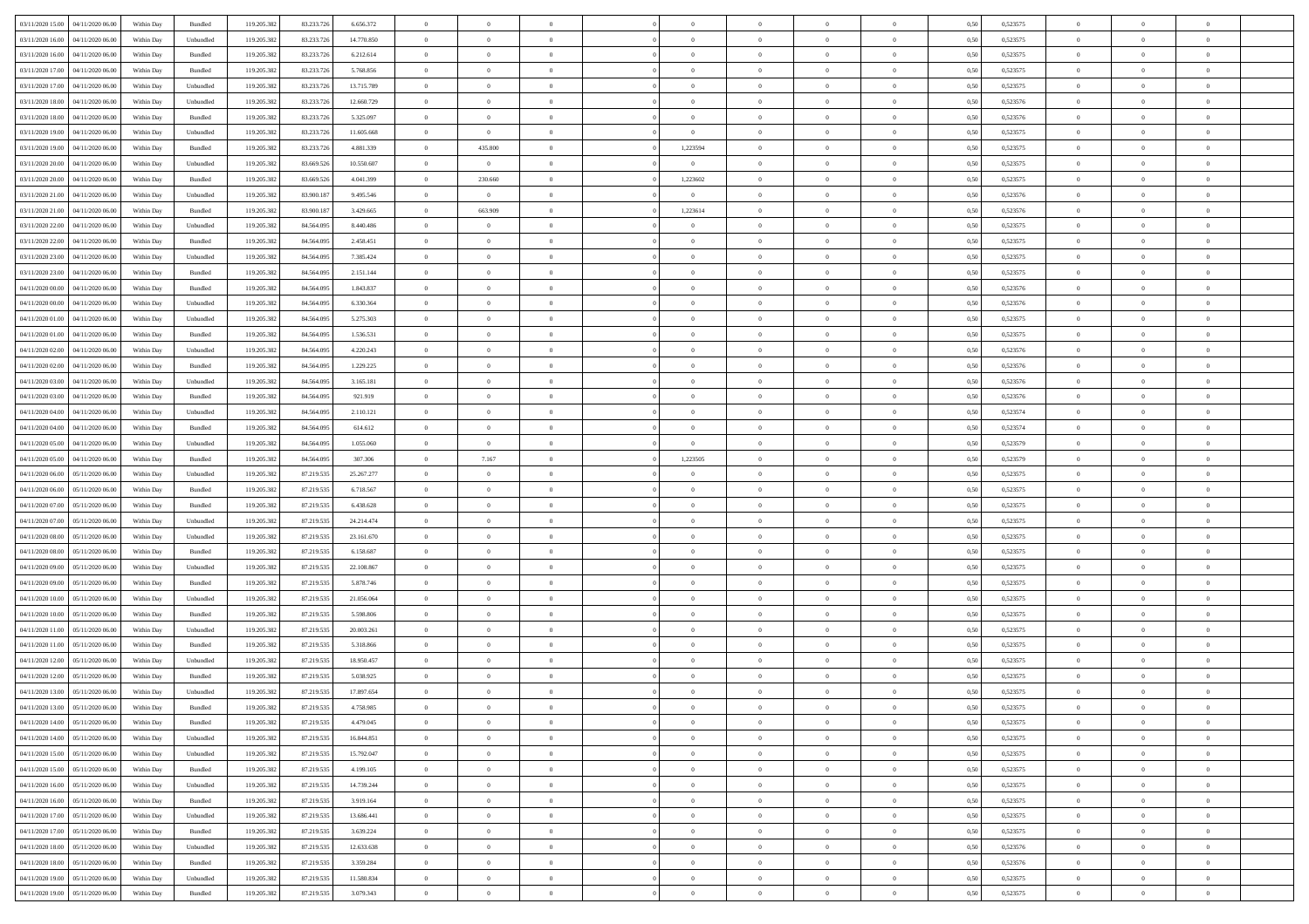| 03/11/2020 15:00                  | 04/11/2020 06.00 | Within Day | Bundled            | 119.205.382 | 83.233.726 | 6.656.372  | $\overline{0}$ | $\theta$       |                | $\overline{0}$ | $\bf{0}$       | $\overline{0}$ | $\theta$       | 0,50 | 0,523575 | $\theta$       | $\theta$       | $\overline{0}$           |  |
|-----------------------------------|------------------|------------|--------------------|-------------|------------|------------|----------------|----------------|----------------|----------------|----------------|----------------|----------------|------|----------|----------------|----------------|--------------------------|--|
|                                   |                  |            |                    |             |            |            | $\overline{0}$ | $\overline{0}$ |                |                |                |                |                |      |          |                |                |                          |  |
| 03/11/2020 16.00                  | 04/11/2020 06.00 | Within Day | Unbundled          | 119.205.382 | 83.233.726 | 14.770.850 |                |                | $\overline{0}$ | $\overline{0}$ | $\,$ 0         | $\bf{0}$       | $\bf{0}$       | 0,50 | 0,523575 | $\,$ 0 $\,$    | $\overline{0}$ | $\overline{0}$           |  |
| 03/11/2020 16.00                  | 04/11/2020 06.00 | Within Day | Bundled            | 119.205.382 | 83.233.726 | 6.212.614  | $\overline{0}$ | $\overline{0}$ | $\overline{0}$ | $\overline{0}$ | $\bf{0}$       | $\overline{0}$ | $\mathbf{0}$   | 0.50 | 0,523575 | $\bf{0}$       | $\overline{0}$ | $\overline{0}$           |  |
| 03/11/2020 17.00                  | 04/11/2020 06.00 | Within Day | Bundled            | 119.205.382 | 83.233.726 | 5.768.856  | $\overline{0}$ | $\overline{0}$ | $\overline{0}$ | $\overline{0}$ | $\,$ 0         | $\overline{0}$ | $\overline{0}$ | 0,50 | 0,523575 | $\,$ 0 $\,$    | $\overline{0}$ | $\overline{0}$           |  |
| 03/11/2020 17.00                  | 04/11/2020 06.00 | Within Day | Unbundled          | 119.205.382 | 83.233.726 | 13.715.789 | $\overline{0}$ | $\theta$       | $\overline{0}$ |                | $\bf{0}$       | $\overline{0}$ | $\bf{0}$       | 0,50 | 0,523575 | $\,$ 0 $\,$    | $\overline{0}$ | $\overline{0}$           |  |
| 03/11/2020 18.00                  | 04/11/2020 06.00 | Within Day | Unbundled          | 119.205.382 | 83.233.726 | 12.660.729 | $\overline{0}$ | $\overline{0}$ | $\overline{0}$ | $\overline{0}$ | $\bf{0}$       | $\overline{0}$ | $\bf{0}$       | 0.50 | 0.523576 | $\,0\,$        | $\theta$       | $\overline{0}$           |  |
| 03/11/2020 18.00                  | 04/11/2020 06.00 | Within Day | Bundled            | 119.205.382 | 83.233.726 | 5.325.097  | $\overline{0}$ | $\overline{0}$ | $\overline{0}$ | $\overline{0}$ | $\,$ 0         | $\overline{0}$ | $\overline{0}$ | 0,50 | 0,523576 | $\,0\,$        | $\theta$       | $\overline{0}$           |  |
| 03/11/2020 19:00                  | 04/11/2020 06.00 | Within Day | Unbundled          | 119.205.382 | 83.233.726 | 11.605.668 | $\overline{0}$ | $\overline{0}$ | $\overline{0}$ | $\overline{0}$ | $\,$ 0         | $\overline{0}$ | $\bf{0}$       | 0,50 | 0,523575 | $\,$ 0 $\,$    | $\overline{0}$ | $\overline{0}$           |  |
|                                   |                  |            |                    |             |            |            |                |                |                |                |                |                |                |      |          |                |                |                          |  |
| 03/11/2020 19:00                  | 04/11/2020 06.00 | Within Day | Bundled            | 119.205.382 | 83.233.72  | 4.881.339  | $\overline{0}$ | 435.800        | $\overline{0}$ | 1,223594       | $\bf{0}$       | $\overline{0}$ | $\bf{0}$       | 0.50 | 0.523575 | $\,0\,$        | $\overline{0}$ | $\overline{0}$           |  |
| 03/11/2020 20.00                  | 04/11/2020 06.00 | Within Day | Unbundled          | 119.205.382 | 83.669.526 | 10.550.607 | $\overline{0}$ | $\overline{0}$ | $\overline{0}$ | $\overline{0}$ | $\,$ 0         | $\overline{0}$ | $\bf{0}$       | 0,50 | 0,523575 | $\,$ 0 $\,$    | $\overline{0}$ | $\overline{0}$           |  |
| 03/11/2020 20.00                  | 04/11/2020 06.00 | Within Day | Bundled            | 119.205.382 | 83.669.526 | 4.041.399  | $\bf{0}$       | 230.660        | $\overline{0}$ | 1,223602       | $\,$ 0         | $\overline{0}$ | $\bf{0}$       | 0,50 | 0,523575 | $\,$ 0 $\,$    | $\overline{0}$ | $\overline{0}$           |  |
| 03/11/2020 21.00                  | 04/11/2020 06.00 | Within Day | Unbundled          | 119.205.382 | 83,900.187 | 9.495.546  | $\overline{0}$ | $\overline{0}$ | $\overline{0}$ | $\overline{0}$ | $\bf{0}$       | $\overline{0}$ | $\mathbf{0}$   | 0.50 | 0,523576 | $\bf{0}$       | $\overline{0}$ | $\overline{\phantom{a}}$ |  |
| 03/11/2020 21.00                  | 04/11/2020 06.00 | Within Day | Bundled            | 119.205.382 | 83.900.187 | 3.429.665  | $\overline{0}$ | 663.909        | $\overline{0}$ | 1,223614       | $\bf{0}$       | $\overline{0}$ | $\overline{0}$ | 0,50 | 0,523576 | $\,$ 0 $\,$    | $\overline{0}$ | $\overline{0}$           |  |
| 03/11/2020 22.00                  | 04/11/2020 06.00 | Within Day | Unbundled          | 119.205.382 | 84.564.095 | 8.440.486  | $\overline{0}$ | $\theta$       | $\overline{0}$ |                | $\bf{0}$       | $\overline{0}$ | $\bf{0}$       | 0,50 | 0,523575 | $\,$ 0 $\,$    | $\overline{0}$ | $\overline{0}$           |  |
| 03/11/2020 22.00                  | 04/11/2020 06.00 | Within Day | Bundled            | 119.205.382 | 84.564.095 | 2.458.451  | $\overline{0}$ | $\overline{0}$ | $\overline{0}$ | $\overline{0}$ | $\bf{0}$       | $\overline{0}$ | $\bf{0}$       | 0.50 | 0,523575 | $\,0\,$        | $\theta$       | $\overline{0}$           |  |
|                                   |                  |            |                    |             |            |            |                |                |                |                |                |                |                |      |          |                |                |                          |  |
| 03/11/2020 23.00                  | 04/11/2020 06.00 | Within Day | Unbundled          | 119.205.382 | 84.564.095 | 7.385.424  | $\overline{0}$ | $\overline{0}$ | $\overline{0}$ | $\overline{0}$ | $\bf{0}$       | $\overline{0}$ | $\overline{0}$ | 0,50 | 0,523575 | $\,0\,$        | $\theta$       | $\overline{0}$           |  |
| 03/11/2020 23.00                  | 04/11/2020 06.00 | Within Day | Bundled            | 119.205.382 | 84.564.095 | 2.151.144  | $\overline{0}$ | $\theta$       | $\overline{0}$ |                | $\,$ 0         | $\overline{0}$ | $\bf{0}$       | 0,50 | 0,523575 | $\,$ 0 $\,$    | $\overline{0}$ | $\overline{0}$           |  |
| 04/11/2020 00.00                  | 04/11/2020 06.00 | Within Day | Bundled            | 119.205.382 | 84.564.095 | 1.843.837  | $\overline{0}$ | $\overline{0}$ | $\overline{0}$ | $\overline{0}$ | $\bf{0}$       | $\overline{0}$ | $\bf{0}$       | 0.50 | 0.523576 | $\,0\,$        | $\overline{0}$ | $\overline{\phantom{a}}$ |  |
| 04/11/2020 00.00                  | 04/11/2020 06.00 | Within Day | Unbundled          | 119.205.382 | 84.564.095 | 6.330.364  | $\overline{0}$ | $\overline{0}$ | $\overline{0}$ | $\overline{0}$ | $\,$ 0         | $\overline{0}$ | $\bf{0}$       | 0,50 | 0,523576 | $\,$ 0 $\,$    | $\overline{0}$ | $\overline{0}$           |  |
| 04/11/2020 01:00                  | 04/11/2020 06.00 | Within Day | Unbundled          | 119.205.382 | 84.564.095 | 5.275.303  | $\bf{0}$       | $\,$ 0 $\,$    | $\overline{0}$ | $\overline{0}$ | $\,$ 0         | $\bf{0}$       | $\bf{0}$       | 0,50 | 0,523575 | $\,$ 0 $\,$    | $\overline{0}$ | $\overline{0}$           |  |
| 04/11/2020 01.00                  | 04/11/2020 06.00 | Within Day | Bundled            | 119.205.382 | 84.564.095 | 1.536.531  | $\overline{0}$ | $\overline{0}$ | $\overline{0}$ | $\overline{0}$ | $\bf{0}$       | $\overline{0}$ | $\mathbf{0}$   | 0.50 | 0,523575 | $\,$ 0 $\,$    | $\overline{0}$ | $\overline{\phantom{a}}$ |  |
| 04/11/2020 02.00                  | 04/11/2020 06.00 | Within Day | Unbundled          | 119.205.382 | 84.564.095 | 4.220.243  | $\overline{0}$ | $\overline{0}$ | $\overline{0}$ | $\overline{0}$ | $\,$ 0         | $\overline{0}$ | $\overline{0}$ | 0,50 | 0,523576 | $\,$ 0 $\,$    | $\overline{0}$ | $\overline{0}$           |  |
|                                   |                  |            |                    |             |            |            |                |                |                |                |                |                |                |      |          |                |                |                          |  |
| 04/11/2020 02.00                  | 04/11/2020 06.00 | Within Day | Bundled            | 119.205.382 | 84.564.095 | 1.229.225  | $\overline{0}$ | $\theta$       | $\overline{0}$ | $\overline{0}$ | $\,$ 0         | $\overline{0}$ | $\bf{0}$       | 0,50 | 0,523576 | $\,$ 0 $\,$    | $\overline{0}$ | $\overline{0}$           |  |
| 04/11/2020 03.00                  | 04/11/2020 06.00 | Within Day | Unbundled          | 119.205.382 | 84.564.095 | 3.165.181  | $\overline{0}$ | $\overline{0}$ | $\overline{0}$ | $\overline{0}$ | $\bf{0}$       | $\overline{0}$ | $\bf{0}$       | 0.50 | 0.523576 | $\,0\,$        | $\theta$       | $\overline{0}$           |  |
| 04/11/2020 03.00                  | 04/11/2020 06.00 | Within Day | Bundled            | 119.205.382 | 84.564.095 | 921.919    | $\overline{0}$ | $\overline{0}$ | $\overline{0}$ | $\overline{0}$ | $\bf{0}$       | $\overline{0}$ | $\overline{0}$ | 0,50 | 0,523576 | $\,0\,$        | $\theta$       | $\overline{0}$           |  |
| 04/11/2020 04.00                  | 04/11/2020 06.00 | Within Day | Unbundled          | 119.205.382 | 84.564.095 | 2.110.121  | $\overline{0}$ | $\theta$       | $\overline{0}$ |                | $\,$ 0         | $\overline{0}$ | $\bf{0}$       | 0,50 | 0,523574 | $\,$ 0 $\,$    | $\overline{0}$ | $\overline{0}$           |  |
| 04/11/2020 04.00                  | 04/11/2020 06.00 | Within Day | Bundled            | 119.205.382 | 84.564.095 | 614.612    | $\overline{0}$ | $\overline{0}$ | $\overline{0}$ | $\overline{0}$ | $\bf{0}$       | $\overline{0}$ | $\bf{0}$       | 0.50 | 0.523574 | $\,0\,$        | $\overline{0}$ | $\overline{0}$           |  |
| 04/11/2020 05.00                  | 04/11/2020 06.00 | Within Day | Unbundled          | 119.205.382 | 84.564.095 | 1.055.060  | $\overline{0}$ | $\overline{0}$ | $\overline{0}$ | $\overline{0}$ | $\bf{0}$       | $\overline{0}$ | $\bf{0}$       | 0,50 | 0,523579 | $\,$ 0 $\,$    | $\theta$       | $\overline{0}$           |  |
|                                   |                  |            |                    |             |            |            |                | 7.167          | $\overline{0}$ |                | $\,$ 0         |                |                |      |          | $\,$ 0 $\,$    | $\overline{0}$ | $\overline{0}$           |  |
| 04/11/2020 05.00                  | 04/11/2020 06.00 | Within Day | Bundled            | 119.205.382 | 84.564.095 | 307.306    | $\bf{0}$       |                |                | 1,223505       |                | $\bf{0}$       | $\bf{0}$       | 0,50 | 0,523579 |                |                |                          |  |
| 04/11/2020 06.00                  | 05/11/2020 06:00 | Within Day | Unbundled          | 119.205.382 | 87.219.535 | 25.267.277 | $\overline{0}$ | $\overline{0}$ | $\overline{0}$ | $\overline{0}$ | $\bf{0}$       | $\overline{0}$ | $\mathbf{0}$   | 0.50 | 0,523575 | $\bf{0}$       | $\overline{0}$ | $\overline{\phantom{a}}$ |  |
| 04/11/2020 06.00                  | 05/11/2020 06.00 | Within Dav | Bundled            | 119.205.382 | 87.219.535 | 6.718.567  | $\overline{0}$ | $\overline{0}$ | $\overline{0}$ | $\overline{0}$ | $\mathbf{0}$   | $\overline{0}$ | $\overline{0}$ | 0.50 | 0,523575 | $\theta$       | $\overline{0}$ | $\overline{0}$           |  |
| 04/11/2020 07.00                  | 05/11/2020 06.00 | Within Day | Bundled            | 119.205.382 | 87.219.535 | 6.438.628  | $\overline{0}$ | $\theta$       | $\overline{0}$ | $\overline{0}$ | $\,$ 0         | $\overline{0}$ | $\bf{0}$       | 0,50 | 0,523575 | $\,$ 0 $\,$    | $\overline{0}$ | $\overline{0}$           |  |
| 04/11/2020 07.00                  | 05/11/2020 06:00 | Within Day | Unbundled          | 119.205.382 | 87.219.535 | 24.214.474 | $\overline{0}$ | $\overline{0}$ | $\overline{0}$ | $\overline{0}$ | $\bf{0}$       | $\overline{0}$ | $\bf{0}$       | 0.50 | 0,523575 | $\,0\,$        | $\overline{0}$ | $\overline{0}$           |  |
| 04/11/2020 08:00                  | 05/11/2020 06.00 | Within Dav | Unbundled          | 119.205.382 | 87.219.535 | 23.161.670 | $\overline{0}$ | $\theta$       | $\Omega$       | $\Omega$       | $\mathbf{0}$   | $\overline{0}$ | $\overline{0}$ | 0.50 | 0,523575 | $\theta$       | $\overline{0}$ | $\overline{0}$           |  |
| 04/11/2020 08.00                  | 05/11/2020 06.00 | Within Day | Bundled            | 119.205.382 | 87.219.535 | 6.158.687  | $\overline{0}$ | $\theta$       | $\overline{0}$ |                | $\,$ 0         | $\overline{0}$ | $\bf{0}$       | 0,50 | 0,523575 | $\,$ 0 $\,$    | $\overline{0}$ | $\overline{0}$           |  |
| 04/11/2020 09:00                  | 05/11/2020 06:00 | Within Day | Unbundled          | 119.205.382 | 87.219.535 | 22.108.867 | $\overline{0}$ | $\overline{0}$ | $\overline{0}$ | $\overline{0}$ | $\bf{0}$       | $\overline{0}$ | $\bf{0}$       | 0.50 | 0.523575 | $\,0\,$        | $\overline{0}$ | $\overline{0}$           |  |
| 04/11/2020 09:00                  | 05/11/2020 06.00 | Within Dav | Bundled            | 119.205.382 | 87.219.535 | 5.878.746  | $\overline{0}$ | $\overline{0}$ | $\overline{0}$ |                | $\overline{0}$ | $\overline{0}$ | $\overline{0}$ | 0.50 | 0,523575 | $\theta$       | $\overline{0}$ | $\overline{0}$           |  |
|                                   |                  |            |                    |             |            |            |                |                |                | $\overline{0}$ |                |                |                |      |          |                |                |                          |  |
| 04/11/2020 10.00                  | 05/11/2020 06.00 | Within Day | Unbundled          | 119.205.382 | 87.219.535 | 21.056.064 | $\overline{0}$ | $\overline{0}$ | $\overline{0}$ | $\overline{0}$ | $\bf{0}$       | $\bf{0}$       | $\bf{0}$       | 0,50 | 0,523575 | $\,$ 0 $\,$    | $\overline{0}$ | $\overline{0}$           |  |
| 04/11/2020 10:00                  | 05/11/2020 06:00 | Within Day | Bundled            | 119.205.382 | 87.219.535 | 5.598.806  | $\overline{0}$ | $\overline{0}$ | $\overline{0}$ | $\overline{0}$ | $\bf{0}$       | $\overline{0}$ | $\mathbf{0}$   | 0.50 | 0,523575 | $\,$ 0 $\,$    | $\overline{0}$ | $\overline{0}$           |  |
| 04/11/2020 11:00                  | 05/11/2020 06.00 | Within Dav | Unbundled          | 119.205.382 | 87.219.535 | 20.003.261 | $\overline{0}$ | $\overline{0}$ | $\Omega$       | $\Omega$       | $\mathbf{0}$   | $\overline{0}$ | $\overline{0}$ | 0.50 | 0,523575 | $\theta$       | $\overline{0}$ | $\overline{0}$           |  |
| 04/11/2020 11:00                  | 05/11/2020 06.00 | Within Day | Bundled            | 119.205.382 | 87.219.535 | 5.318.866  | $\overline{0}$ | $\theta$       | $\overline{0}$ | $\overline{0}$ | $\,$ 0         | $\overline{0}$ | $\bf{0}$       | 0,50 | 0,523575 | $\,$ 0 $\,$    | $\overline{0}$ | $\overline{0}$           |  |
| 04/11/2020 12.00                  | 05/11/2020 06:00 | Within Day | Unbundled          | 119.205.382 | 87.219.535 | 18,950,457 | $\overline{0}$ | $\overline{0}$ | $\overline{0}$ | $\overline{0}$ | $\bf{0}$       | $\overline{0}$ | $\bf{0}$       | 0.50 | 0,523575 | $\,0\,$        | $\theta$       | $\overline{0}$           |  |
| 04/11/2020 12.00                  | 05/11/2020 06:00 | Within Dav | Bundled            | 119.205.382 | 87.219.535 | 5.038.925  | $\overline{0}$ | $\Omega$       | $\Omega$       | $\Omega$       | $\bf{0}$       | $\overline{0}$ | $\overline{0}$ | 0.50 | 0,523575 | $\theta$       | $\overline{0}$ | $\overline{0}$           |  |
| 04/11/2020 13:00                  | 05/11/2020 06.00 | Within Day | Unbundled          | 119.205.382 | 87.219.535 | 17.897.654 | $\overline{0}$ | $\,$ 0 $\,$    | $\overline{0}$ | $\bf{0}$       | $\,$ 0         | $\bf{0}$       | $\bf{0}$       | 0,50 | 0,523575 | $\,$ 0 $\,$    | $\overline{0}$ | $\overline{0}$           |  |
| 04/11/2020 13.00                  | 05/11/2020 06:00 | Within Day | $\mathbf B$ undled | 119.205.382 | 87.219.535 | 4 758 985  |                | $\bf{0}$       |                |                |                |                |                | 0,50 | 0,523575 | $\bf{0}$       | $\theta$       |                          |  |
|                                   |                  |            |                    |             |            |            | $\bf{0}$       |                |                |                |                |                |                |      |          |                |                |                          |  |
| 04/11/2020 14:00 05/11/2020 06:00 |                  | Within Day | Bundled            | 119.205.382 | 87.219.535 | 4.479.045  | $\Omega$       | $\overline{0}$ | $\Omega$       | $\Omega$       | $\mathbf{0}$   | $\overline{0}$ | $\mathbf{0}$   | 0.50 | 0,523575 | $\theta$       | $\theta$       | $\overline{0}$           |  |
| 04/11/2020 14:00                  | 05/11/2020 06.00 | Within Day | Unbundled          | 119.205.382 | 87.219.535 | 16.844.851 | $\overline{0}$ | $\overline{0}$ | $\overline{0}$ | $\bf{0}$       | $\overline{0}$ | $\overline{0}$ | $\mathbf{0}$   | 0,50 | 0,523575 | $\overline{0}$ | $\overline{0}$ | $\bf{0}$                 |  |
| 04/11/2020 15:00                  | 05/11/2020 06.00 | Within Day | Unbundled          | 119.205.382 | 87.219.535 | 15.792.047 | $\overline{0}$ | $\overline{0}$ | $\overline{0}$ | $\overline{0}$ | $\bf{0}$       | $\overline{0}$ | $\mathbf{0}$   | 0.50 | 0,523575 | $\overline{0}$ | $\bf{0}$       | $\bf{0}$                 |  |
| 04/11/2020 15:00                  | 05/11/2020 06.00 | Within Dav | Bundled            | 119.205.382 | 87.219.535 | 4.199.105  | $\overline{0}$ | $\overline{0}$ | $\overline{0}$ | $\overline{0}$ | $\mathbf{0}$   | $\overline{0}$ | $\mathbf{0}$   | 0.50 | 0,523575 | $\overline{0}$ | $\theta$       | $\overline{0}$           |  |
| 04/11/2020 16.00                  | 05/11/2020 06.00 | Within Day | Unbundled          | 119.205.382 | 87.219.535 | 14.739.244 | $\overline{0}$ | $\overline{0}$ | $\overline{0}$ | $\overline{0}$ | $\bf{0}$       | $\bf{0}$       | $\bf{0}$       | 0,50 | 0,523575 | $\bf{0}$       | $\overline{0}$ | $\overline{0}$           |  |
| 04/11/2020 16.00                  | 05/11/2020 06.00 | Within Day | Bundled            | 119.205.382 | 87.219.535 | 3.919.164  | $\overline{0}$ | $\overline{0}$ | $\overline{0}$ | $\overline{0}$ | $\bf{0}$       | $\overline{0}$ | $\mathbf{0}$   | 0.50 | 0.523575 | $\,$ 0 $\,$    | $\theta$       | $\overline{0}$           |  |
| 04/11/2020 17.00                  | 05/11/2020 06:00 | Within Day | Unbundled          | 119.205.382 | 87.219.535 | 13.686.441 | $\overline{0}$ | $\overline{0}$ | $\overline{0}$ | $\overline{0}$ | $\overline{0}$ | $\overline{0}$ | $\overline{0}$ | 0,50 | 0,523575 | $\overline{0}$ | $\theta$       | $\overline{0}$           |  |
|                                   |                  |            |                    |             |            |            |                |                |                |                |                |                |                |      |          |                |                |                          |  |
| 04/11/2020 17.00                  | 05/11/2020 06.00 | Within Day | Bundled            | 119.205.382 | 87.219.535 | 3.639.224  | $\overline{0}$ | $\,$ 0         | $\overline{0}$ | $\bf{0}$       | $\,$ 0 $\,$    | $\bf{0}$       | $\bf{0}$       | 0,50 | 0,523575 | $\,$ 0 $\,$    | $\overline{0}$ | $\,$ 0                   |  |
| 04/11/2020 18.00                  | 05/11/2020 06:00 | Within Day | Unbundled          | 119.205.382 | 87.219.535 | 12.633.638 | $\overline{0}$ | $\overline{0}$ | $\overline{0}$ | $\overline{0}$ | $\bf{0}$       | $\overline{0}$ | $\mathbf{0}$   | 0.50 | 0.523576 | $\mathbf{0}$   | $\,$ 0 $\,$    | $\overline{0}$           |  |
| 04/11/2020 18:00                  | 05/11/2020 06.00 | Within Dav | Bundled            | 119.205.382 | 87.219.535 | 3.359.284  | $\overline{0}$ | $\overline{0}$ | $\overline{0}$ | $\overline{0}$ | $\overline{0}$ | $\overline{0}$ | $\overline{0}$ | 0,50 | 0,523576 | $\overline{0}$ | $\theta$       | $\overline{0}$           |  |
| 04/11/2020 19.00                  | 05/11/2020 06.00 | Within Day | Unbundled          | 119.205.382 | 87.219.535 | 11.580.834 | $\overline{0}$ | $\overline{0}$ | $\overline{0}$ | $\overline{0}$ | $\bf{0}$       | $\bf{0}$       | $\bf{0}$       | 0,50 | 0,523575 | $\bf{0}$       | $\,$ 0 $\,$    | $\bf{0}$                 |  |
| 04/11/2020 19:00 05/11/2020 06:00 |                  | Within Day | Bundled            | 119.205.382 | 87.219.535 | 3.079.343  | $\overline{0}$ | $\overline{0}$ | $\overline{0}$ | $\overline{0}$ | $\bf{0}$       | $\overline{0}$ | $\,$ 0 $\,$    | 0,50 | 0,523575 | $\overline{0}$ | $\,$ 0 $\,$    | $\,$ 0 $\,$              |  |
|                                   |                  |            |                    |             |            |            |                |                |                |                |                |                |                |      |          |                |                |                          |  |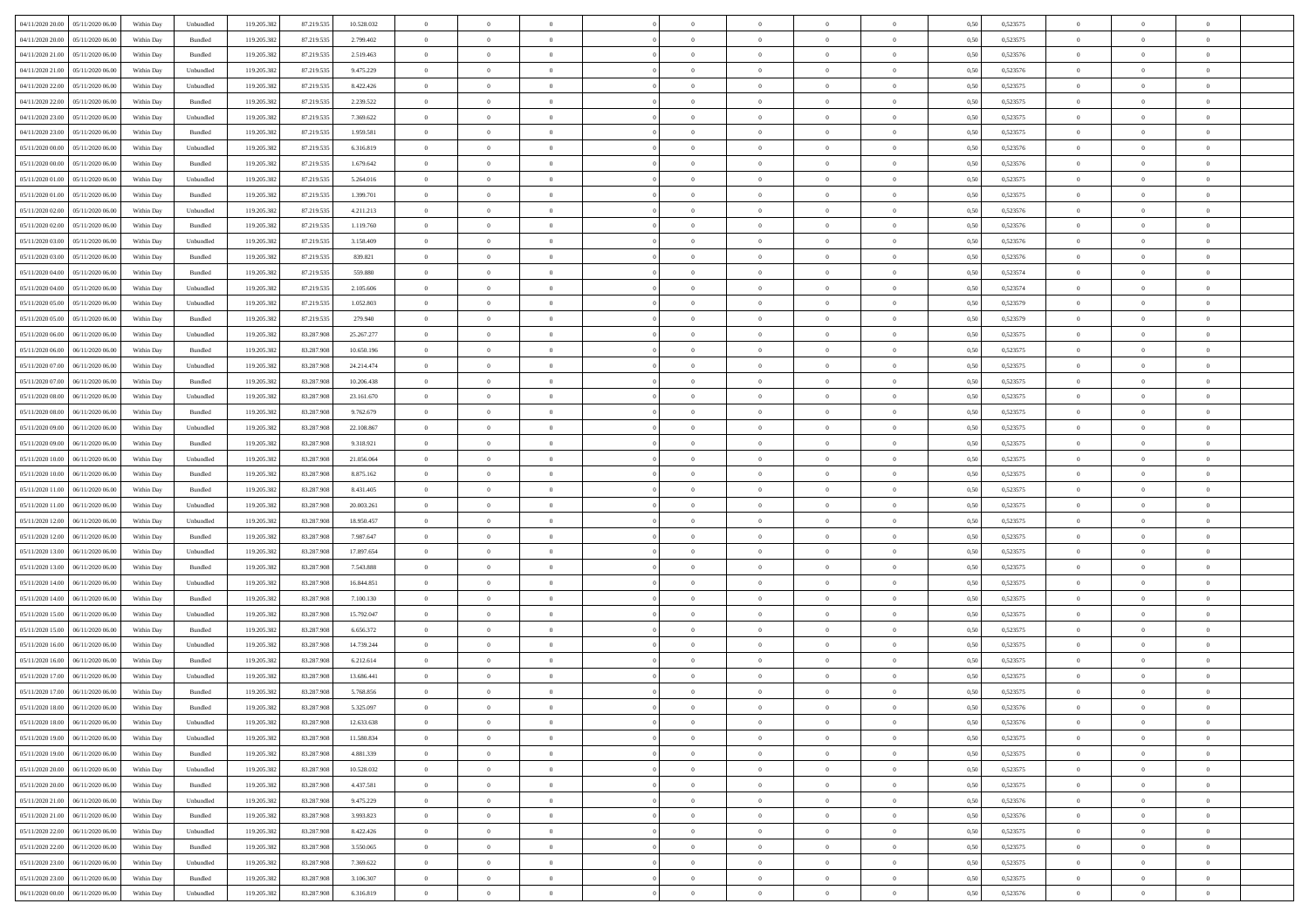| 04/11/2020 20:00<br>05/11/2020 06:00 | Within Day | Unbundled          | 119.205.382 | 87.219.535 | 10.528.032 | $\overline{0}$ | $\overline{0}$   | $\overline{0}$ | $\theta$       | $\theta$       |                | $\overline{0}$ | 0,50 | 0,523575 | $\theta$       | $\theta$       | $\theta$       |  |
|--------------------------------------|------------|--------------------|-------------|------------|------------|----------------|------------------|----------------|----------------|----------------|----------------|----------------|------|----------|----------------|----------------|----------------|--|
|                                      |            |                    |             |            |            |                |                  |                |                |                |                |                |      |          |                |                |                |  |
| 04/11/2020 20.00<br>05/11/2020 06.00 | Within Day | Bundled            | 119.205.382 | 87.219.535 | 2.799.402  | $\bf{0}$       | $\overline{0}$   | $\overline{0}$ | $\,$ 0 $\,$    | $\bf{0}$       | $\overline{0}$ | $\bf{0}$       | 0,50 | 0,523575 | $\,$ 0 $\,$    | $\theta$       | $\overline{0}$ |  |
| 04/11/2020 21.00<br>05/11/2020 06.00 | Within Day | Bundled            | 119.205.382 | 87.219.535 | 2.519.463  | $\overline{0}$ | $\overline{0}$   | $\overline{0}$ | $\bf{0}$       | $\bf{0}$       | $\overline{0}$ | $\mathbf{0}$   | 0.50 | 0,523576 | $\bf{0}$       | $\overline{0}$ | $\overline{0}$ |  |
| 04/11/2020 21.00<br>05/11/2020 06.00 | Within Day | Unbundled          | 119.205.382 | 87.219.535 | 9.475.229  | $\overline{0}$ | $\overline{0}$   | $\overline{0}$ | $\overline{0}$ | $\overline{0}$ | $\overline{0}$ | $\bf{0}$       | 0,50 | 0,523576 | $\theta$       | $\theta$       | $\overline{0}$ |  |
| 04/11/2020 22.00<br>05/11/2020 06.00 | Within Day | Unbundled          | 119.205.382 | 87.219.535 | 8.422.426  | $\bf{0}$       | $\overline{0}$   | $\bf{0}$       | $\bf{0}$       | $\overline{0}$ | $\overline{0}$ | $\bf{0}$       | 0,50 | 0,523575 | $\,$ 0 $\,$    | $\theta$       | $\overline{0}$ |  |
|                                      |            |                    |             |            |            |                |                  |                |                |                |                |                |      |          |                |                |                |  |
| 04/11/2020 22.00<br>05/11/2020 06.00 | Within Day | Bundled            | 119.205.382 | 87.219.535 | 2.239.522  | $\overline{0}$ | $\overline{0}$   | $\overline{0}$ | $\bf{0}$       | $\bf{0}$       | $\overline{0}$ | $\mathbf{0}$   | 0.50 | 0.523575 | $\,$ 0 $\,$    | $\theta$       | $\overline{0}$ |  |
| 04/11/2020 23.00<br>05/11/2020 06.00 | Within Day | Unbundled          | 119.205.382 | 87.219.535 | 7.369.622  | $\overline{0}$ | $\overline{0}$   | $\overline{0}$ | $\overline{0}$ | $\overline{0}$ | $\overline{0}$ | $\bf{0}$       | 0,50 | 0,523575 | $\theta$       | $\theta$       | $\overline{0}$ |  |
| 04/11/2020 23.00<br>05/11/2020 06.00 | Within Day | Bundled            | 119.205.382 | 87.219.535 | 1.959.581  | $\bf{0}$       | $\overline{0}$   | $\overline{0}$ | $\overline{0}$ | $\bf{0}$       | $\overline{0}$ | $\bf{0}$       | 0,50 | 0,523575 | $\,$ 0 $\,$    | $\bf{0}$       | $\overline{0}$ |  |
| 05/11/2020 00.00<br>05/11/2020 06:00 | Within Day | Unbundled          | 119.205.382 | 87.219.535 | 6.316.819  | $\overline{0}$ | $\overline{0}$   | $\overline{0}$ | $\bf{0}$       | $\overline{0}$ | $\overline{0}$ | $\mathbf{0}$   | 0.50 | 0.523576 | $\,$ 0 $\,$    | $\overline{0}$ | $\overline{0}$ |  |
| 05/11/2020 00:00<br>05/11/2020 06.00 | Within Day | Bundled            | 119.205.382 | 87.219.535 | 1.679.642  | $\overline{0}$ | $\overline{0}$   | $\overline{0}$ | $\bf{0}$       | $\overline{0}$ | $\overline{0}$ | $\bf{0}$       | 0,50 | 0,523576 | $\,$ 0 $\,$    | $\theta$       | $\overline{0}$ |  |
|                                      |            |                    |             |            |            |                | $\overline{0}$   |                |                | $\overline{0}$ | $\overline{0}$ | $\bf{0}$       |      |          | $\,$ 0 $\,$    | $\bf{0}$       | $\overline{0}$ |  |
| 05/11/2020 01:00<br>05/11/2020 06.00 | Within Day | Unbundled          | 119.205.382 | 87.219.535 | 5.264.016  | $\overline{0}$ |                  | $\overline{0}$ | $\bf{0}$       |                |                |                | 0,50 | 0,523575 |                |                |                |  |
| 05/11/2020 01:00<br>05/11/2020 06.00 | Within Day | Bundled            | 119.205.382 | 87.219.535 | 1.399.701  | $\overline{0}$ | $\overline{0}$   | $\overline{0}$ | $\bf{0}$       | $\bf{0}$       | $\overline{0}$ | $\,$ 0 $\,$    | 0.50 | 0,523575 | $\bf{0}$       | $\overline{0}$ | $\bf{0}$       |  |
| 05/11/2020 02.00<br>05/11/2020 06.00 | Within Day | Unbundled          | 119.205.382 | 87.219.535 | 4.211.213  | $\overline{0}$ | $\overline{0}$   | $\overline{0}$ | $\overline{0}$ | $\overline{0}$ | $\overline{0}$ | $\bf{0}$       | 0,50 | 0,523576 | $\,$ 0 $\,$    | $\theta$       | $\overline{0}$ |  |
| 05/11/2020 02.00<br>05/11/2020 06.00 | Within Day | Bundled            | 119.205.382 | 87.219.535 | 1.119.760  | $\overline{0}$ | $\overline{0}$   | $\bf{0}$       | $\bf{0}$       | $\bf{0}$       | $\overline{0}$ | $\bf{0}$       | 0,50 | 0,523576 | $\,$ 0 $\,$    | $\bf{0}$       | $\overline{0}$ |  |
| 05/11/2020 03.00<br>05/11/2020 06.00 | Within Day | Unbundled          | 119.205.382 | 87.219.535 | 3.158.409  | $\overline{0}$ | $\overline{0}$   | $\overline{0}$ | $\bf{0}$       | $\overline{0}$ | $\overline{0}$ | $\mathbf{0}$   | 0.50 | 0.523576 | $\,$ 0 $\,$    | $\theta$       | $\overline{0}$ |  |
| 05/11/2020 03.00<br>05/11/2020 06.00 | Within Day | Bundled            | 119.205.382 | 87.219.535 | 839.821    | $\overline{0}$ | $\overline{0}$   | $\overline{0}$ | $\overline{0}$ | $\overline{0}$ | $\overline{0}$ | $\bf{0}$       | 0,50 | 0,523576 | $\theta$       | $\theta$       | $\overline{0}$ |  |
|                                      |            |                    |             |            |            |                |                  |                |                |                |                |                |      |          |                |                |                |  |
| 05/11/2020 04:00<br>05/11/2020 06.00 | Within Day | Bundled            | 119.205.382 | 87.219.535 | 559.880    | $\overline{0}$ | $\overline{0}$   | $\overline{0}$ | $\bf{0}$       | $\overline{0}$ | $\overline{0}$ | $\bf{0}$       | 0,50 | 0,523574 | $\,$ 0 $\,$    | $\bf{0}$       | $\overline{0}$ |  |
| 05/11/2020 04:00<br>05/11/2020 06:00 | Within Day | Unbundled          | 119.205.382 | 87.219.535 | 2.105.606  | $\overline{0}$ | $\overline{0}$   | $\overline{0}$ | $\bf{0}$       | $\bf{0}$       | $\overline{0}$ | $\mathbf{0}$   | 0.50 | 0.523574 | $\,$ 0 $\,$    | $\overline{0}$ | $\overline{0}$ |  |
| 05/11/2020 05.00<br>05/11/2020 06.00 | Within Day | Unbundled          | 119.205.382 | 87.219.535 | 1.052.803  | $\overline{0}$ | $\overline{0}$   | $\overline{0}$ | $\overline{0}$ | $\overline{0}$ | $\overline{0}$ | $\bf{0}$       | 0,50 | 0,523579 | $\,$ 0 $\,$    | $\theta$       | $\overline{0}$ |  |
| 05/11/2020 05:00<br>05/11/2020 06.00 | Within Day | Bundled            | 119.205.382 | 87.219.535 | 279.940    | $\overline{0}$ | $\overline{0}$   | $\overline{0}$ | $\bf{0}$       | $\bf{0}$       | $\overline{0}$ | $\bf{0}$       | 0,50 | 0,523579 | $\,$ 0 $\,$    | $\bf{0}$       | $\overline{0}$ |  |
| 05/11/2020 06.00<br>06/11/2020 06.00 | Within Day | Unbundled          | 119.205.382 | 83,287,908 | 25.267.277 | $\overline{0}$ | $\overline{0}$   | $\overline{0}$ | $\bf{0}$       | $\bf{0}$       | $\overline{0}$ | $\mathbf{0}$   | 0.50 | 0,523575 | $\bf{0}$       | $\overline{0}$ | $\overline{0}$ |  |
| 05/11/2020 06.00<br>06/11/2020 06:00 | Within Day | Bundled            | 119.205.382 | 83.287.908 | 10.650.196 | $\overline{0}$ | $\overline{0}$   | $\overline{0}$ | $\overline{0}$ | $\overline{0}$ | $\overline{0}$ | $\,$ 0 $\,$    | 0,50 | 0,523575 | $\theta$       | $\theta$       | $\overline{0}$ |  |
|                                      |            |                    |             |            |            |                |                  |                |                |                |                |                |      |          |                |                |                |  |
| 05/11/2020 07.00<br>06/11/2020 06.00 | Within Day | Unbundled          | 119.205.382 | 83.287.908 | 24.214.474 | $\overline{0}$ | $\overline{0}$   | $\overline{0}$ | $\bf{0}$       | $\overline{0}$ | $\overline{0}$ | $\bf{0}$       | 0,50 | 0,523575 | $\,$ 0 $\,$    | $\bf{0}$       | $\overline{0}$ |  |
| 05/11/2020 07.00<br>06/11/2020 06:00 | Within Day | Bundled            | 119.205.382 | 83.287.908 | 10.206.438 | $\overline{0}$ | $\overline{0}$   | $\overline{0}$ | $\bf{0}$       | $\overline{0}$ | $\overline{0}$ | $\mathbf{0}$   | 0.50 | 0.523575 | $\,$ 0 $\,$    | $\theta$       | $\overline{0}$ |  |
| 05/11/2020 08:00<br>06/11/2020 06.00 | Within Day | Unbundled          | 119.205.382 | 83.287.908 | 23.161.670 | $\overline{0}$ | $\overline{0}$   | $\overline{0}$ | $\overline{0}$ | $\overline{0}$ | $\overline{0}$ | $\bf{0}$       | 0,50 | 0,523575 | $\theta$       | $\theta$       | $\overline{0}$ |  |
| 05/11/2020 08.00<br>06/11/2020 06.00 | Within Day | Bundled            | 119.205.382 | 83.287.908 | 9.762.679  | $\overline{0}$ | $\overline{0}$   | $\overline{0}$ | $\overline{0}$ | $\overline{0}$ | $\overline{0}$ | $\bf{0}$       | 0,50 | 0,523575 | $\,$ 0 $\,$    | $\bf{0}$       | $\overline{0}$ |  |
| 05/11/2020 09.00<br>06/11/2020 06:00 | Within Day | Unbundled          | 119.205.382 | 83.287.908 | 22.108.867 | $\overline{0}$ | $\overline{0}$   | $\overline{0}$ | $\bf{0}$       | $\bf{0}$       | $\overline{0}$ | $\mathbf{0}$   | 0.50 | 0.523575 | $\,$ 0 $\,$    | $\overline{0}$ | $\overline{0}$ |  |
| 05/11/2020 09:00<br>06/11/2020 06.00 | Within Day | Bundled            | 119.205.382 | 83.287.908 | 9.318.921  | $\overline{0}$ | $\overline{0}$   | $\overline{0}$ | $\overline{0}$ | $\overline{0}$ | $\overline{0}$ | $\bf{0}$       | 0,50 | 0,523575 | $\theta$       | $\theta$       | $\overline{0}$ |  |
|                                      |            |                    |             |            |            |                |                  |                |                |                |                |                |      |          |                |                |                |  |
| 05/11/2020 10:00<br>06/11/2020 06.00 | Within Day | Unbundled          | 119.205.382 | 83.287.908 | 21.056.064 | $\overline{0}$ | $\overline{0}$   | $\overline{0}$ | $\,$ 0 $\,$    | $\bf{0}$       | $\overline{0}$ | $\bf{0}$       | 0,50 | 0,523575 | $\,$ 0 $\,$    | $\bf{0}$       | $\overline{0}$ |  |
| 05/11/2020 10:00<br>06/11/2020 06:00 | Within Day | Bundled            | 119.205.382 | 83.287.908 | 8.875.162  | $\overline{0}$ | $\overline{0}$   | $\overline{0}$ | $\bf{0}$       | $\bf{0}$       | $\overline{0}$ | $\,$ 0 $\,$    | 0.50 | 0.523575 | $\bf{0}$       | $\overline{0}$ | $\bf{0}$       |  |
| 05/11/2020 11:00<br>06/11/2020 06:00 | Within Day | Bundled            | 119.205.382 | 83.287.908 | 8.431.405  | $\overline{0}$ | $\overline{0}$   | $\overline{0}$ | $\overline{0}$ | $\overline{0}$ | $\overline{0}$ | $\overline{0}$ | 0.50 | 0,523575 | $\theta$       | $\theta$       | $\overline{0}$ |  |
| 05/11/2020 11:00<br>06/11/2020 06.00 | Within Day | Unbundled          | 119.205.382 | 83.287.908 | 20.003.261 | $\overline{0}$ | $\overline{0}$   | $\overline{0}$ | $\bf{0}$       | $\overline{0}$ | $\overline{0}$ | $\bf{0}$       | 0,50 | 0,523575 | $\,$ 0 $\,$    | $\bf{0}$       | $\overline{0}$ |  |
| 05/11/2020 12:00<br>06/11/2020 06:00 | Within Day | Unbundled          | 119.205.382 | 83.287.908 | 18.950.457 | $\overline{0}$ | $\overline{0}$   | $\overline{0}$ | $\bf{0}$       | $\overline{0}$ | $\overline{0}$ | $\mathbf{0}$   | 0.50 | 0.523575 | $\,$ 0 $\,$    | $\theta$       | $\overline{0}$ |  |
| 05/11/2020 12:00<br>06/11/2020 06.00 | Within Day | Bundled            | 119.205.382 | 83.287.908 | 7.987.647  | $\overline{0}$ | $\overline{0}$   | $\overline{0}$ | $\overline{0}$ | $\overline{0}$ | $\Omega$       | $\overline{0}$ | 0.50 | 0,523575 | $\theta$       | $\theta$       | $\overline{0}$ |  |
| 06/11/2020 06.00                     | Within Day | Unbundled          |             | 83.287.908 | 17.897.654 | $\overline{0}$ | $\overline{0}$   | $\overline{0}$ | $\bf{0}$       | $\overline{0}$ | $\overline{0}$ | $\bf{0}$       | 0,50 | 0,523575 | $\,$ 0 $\,$    | $\bf{0}$       | $\overline{0}$ |  |
| 05/11/2020 13:00                     |            |                    | 119.205.382 |            |            |                |                  |                |                |                |                |                |      |          |                |                |                |  |
| 05/11/2020 13:00<br>06/11/2020 06:00 | Within Day | Bundled            | 119.205.382 | 83.287.908 | 7.543.888  | $\overline{0}$ | $\overline{0}$   | $\overline{0}$ | $\bf{0}$       | $\bf{0}$       | $\overline{0}$ | $\mathbf{0}$   | 0.50 | 0.523575 | $\,$ 0 $\,$    | $\overline{0}$ | $\overline{0}$ |  |
| 05/11/2020 14:00<br>06/11/2020 06.00 | Within Day | Unbundled          | 119.205.382 | 83.287.908 | 16.844.851 | $\overline{0}$ | $\overline{0}$   | $\overline{0}$ | $\overline{0}$ | $\overline{0}$ | $\overline{0}$ | $\overline{0}$ | 0.50 | 0,523575 | $\theta$       | $\theta$       | $\overline{0}$ |  |
| 05/11/2020 14:00<br>06/11/2020 06.00 | Within Day | Bundled            | 119.205.382 | 83.287.908 | 7.100.130  | $\overline{0}$ | $\overline{0}$   | $\overline{0}$ | $\,$ 0 $\,$    | $\bf{0}$       | $\overline{0}$ | $\bf{0}$       | 0,50 | 0,523575 | $\,$ 0 $\,$    | $\bf{0}$       | $\overline{0}$ |  |
| 05/11/2020 15:00<br>06/11/2020 06.00 | Within Day | Unbundled          | 119.205.382 | 83,287,908 | 15.792.047 | $\overline{0}$ | $\overline{0}$   | $\overline{0}$ | $\bf{0}$       | $\bf{0}$       | $\overline{0}$ | $\mathbf{0}$   | 0.50 | 0,523575 | $\bf{0}$       | $\overline{0}$ | $\overline{0}$ |  |
| 05/11/2020 15:00<br>06/11/2020 06:00 | Within Day | Bundled            | 119.205.382 | 83.287.908 | 6.656.372  | $\overline{0}$ | $\overline{0}$   | $\overline{0}$ | $\overline{0}$ | $\overline{0}$ | $\overline{0}$ | $\overline{0}$ | 0.50 | 0,523575 | $\theta$       | $\theta$       | $\overline{0}$ |  |
| 05/11/2020 16.00<br>06/11/2020 06.00 | Within Day | Unbundled          | 119.205.382 | 83.287.908 | 14.739.244 | $\overline{0}$ | $\overline{0}$   | $\overline{0}$ | $\bf{0}$       | $\bf{0}$       | $\overline{0}$ | $\bf{0}$       | 0,50 | 0,523575 | $\,$ 0 $\,$    | $\bf{0}$       | $\overline{0}$ |  |
|                                      |            |                    |             |            |            |                |                  |                |                |                |                |                |      |          |                |                |                |  |
| 05/11/2020 16.00<br>06/11/2020 06.00 | Within Day | Bundled            | 119.205.382 | 83.287.908 | 6.212.614  | $\overline{0}$ | $\overline{0}$   | $\overline{0}$ | $\bf{0}$       | $\overline{0}$ | $\overline{0}$ | $\mathbf{0}$   | 0.50 | 0.523575 | $\,$ 0 $\,$    | $\theta$       | $\overline{0}$ |  |
| 05/11/2020 17.00<br>06/11/2020 06.00 | Within Day | Unbundled          | 119.205.382 | 83.287.908 | 13.686.441 | $\overline{0}$ | $\overline{0}$   | $\overline{0}$ | $\overline{0}$ | $\overline{0}$ | $\Omega$       | $\overline{0}$ | 0.50 | 0,523575 | $\theta$       | $\theta$       | $\overline{0}$ |  |
| 05/11/2020 17.00<br>06/11/2020 06.00 | Within Day | Bundled            | 119.205.382 | 83.287.908 | 5.768.856  | $\overline{0}$ | $\overline{0}$   | $\bf{0}$       | $\,$ 0 $\,$    | $\bf{0}$       | $\overline{0}$ | $\bf{0}$       | 0,50 | 0,523575 | $\overline{0}$ | $\bf{0}$       | $\overline{0}$ |  |
|                                      | Within Day | $\mathbf B$ undled | 119.205.382 | 83.287.908 | 5.325.097  | $\bf{0}$       | $\boldsymbol{0}$ |                | $\bf{0}$       |                |                |                | 0,50 | 0,523576 | $\theta$       | $\overline{0}$ |                |  |
| 05/11/2020 18:00 06/11/2020 06:00    | Within Day | Unbundled          | 119.205.382 | 83.287.908 | 12.633.638 | $\overline{0}$ | $\overline{0}$   | $\overline{0}$ | $\overline{0}$ | $\overline{0}$ | $\overline{0}$ | $\overline{0}$ | 0,50 | 0,523576 | $\theta$       | $\theta$       | $\overline{0}$ |  |
| 05/11/2020 19:00<br>06/11/2020 06.00 | Within Day | Unbundled          | 119.205.382 | 83.287.908 | 11.580.834 | $\overline{0}$ | $\overline{0}$   | $\overline{0}$ | $\bf{0}$       | $\bf{0}$       | $\overline{0}$ | $\bf{0}$       | 0,50 | 0,523575 | $\overline{0}$ | $\overline{0}$ | $\bf{0}$       |  |
|                                      |            |                    |             |            |            |                |                  |                |                |                |                |                |      |          |                |                |                |  |
| 05/11/2020 19:00<br>06/11/2020 06.00 | Within Day | Bundled            | 119.205.382 | 83.287.908 | 4.881.339  | $\overline{0}$ | $\overline{0}$   | $\overline{0}$ | $\,$ 0 $\,$    | $\bf{0}$       | $\overline{0}$ | $\mathbf{0}$   | 0.50 | 0,523575 | $\overline{0}$ | $\bf{0}$       | $\bf{0}$       |  |
| 05/11/2020 20:00<br>06/11/2020 06:00 | Within Dav | Unbundled          | 119.205.382 | 83.287.908 | 10.528.032 | $\overline{0}$ | $\overline{0}$   | $\overline{0}$ | $\overline{0}$ | $\overline{0}$ | $\overline{0}$ | $\mathbf{0}$   | 0,50 | 0,523575 | $\overline{0}$ | $\theta$       | $\overline{0}$ |  |
| 05/11/2020 20.00<br>06/11/2020 06.00 | Within Day | Bundled            | 119.205.382 | 83.287.908 | 4.437.581  | $\overline{0}$ | $\overline{0}$   | $\overline{0}$ | $\bf{0}$       | $\bf{0}$       | $\overline{0}$ | $\mathbf{0}$   | 0,50 | 0,523575 | $\,$ 0         | $\bf{0}$       | $\overline{0}$ |  |
| 05/11/2020 21.00<br>06/11/2020 06.00 | Within Day | Unbundled          | 119.205.382 | 83.287.908 | 9.475.229  | $\overline{0}$ | $\overline{0}$   | $\overline{0}$ | $\bf{0}$       | $\overline{0}$ | $\overline{0}$ | $\mathbf{0}$   | 0.50 | 0.523576 | $\,$ 0 $\,$    | $\theta$       | $\,$ 0         |  |
| 05/11/2020 21:00<br>06/11/2020 06:00 | Within Day | Bundled            | 119.205.382 | 83.287.908 | 3.993.823  | $\overline{0}$ | $\overline{0}$   | $\overline{0}$ | $\overline{0}$ | $\overline{0}$ | $\overline{0}$ | $\mathbf{0}$   | 0,50 | 0,523576 | $\overline{0}$ | $\theta$       | $\overline{0}$ |  |
| 05/11/2020 22.00<br>06/11/2020 06.00 | Within Day | Unbundled          | 119.205.382 | 83.287.908 | 8.422.426  | $\overline{0}$ | $\overline{0}$   | $\overline{0}$ | $\bf{0}$       | $\bf{0}$       | $\overline{0}$ | $\,$ 0 $\,$    | 0,50 | 0,523575 | $\bf{0}$       | $\bf{0}$       | $\overline{0}$ |  |
| 05/11/2020 22.00<br>06/11/2020 06.00 | Within Day | Bundled            | 119.205.382 | 83.287.908 | 3.550.065  | $\overline{0}$ | $\overline{0}$   | $\overline{0}$ | $\bf{0}$       | $\overline{0}$ | $\overline{0}$ | $\,$ 0 $\,$    | 0.50 | 0.523575 | $\overline{0}$ | $\bf{0}$       | $\,$ 0         |  |
|                                      |            |                    |             |            |            |                |                  |                |                |                |                |                |      |          |                |                |                |  |
| 05/11/2020 23:00<br>06/11/2020 06:00 | Within Dav | Unbundled          | 119.205.382 | 83.287.908 | 7.369.622  | $\overline{0}$ | $\overline{0}$   | $\overline{0}$ | $\overline{0}$ | $\overline{0}$ | $\overline{0}$ | $\mathbf{0}$   | 0,50 | 0,523575 | $\overline{0}$ | $\theta$       | $\overline{0}$ |  |
| 05/11/2020 23.00<br>06/11/2020 06.0  | Within Day | Bundled            | 119.205.382 | 83.287.908 | 3.106.307  | $\overline{0}$ | $\overline{0}$   | $\overline{0}$ | $\overline{0}$ | $\bf{0}$       | $\overline{0}$ | $\mathbf{0}$   | 0,50 | 0,523575 | $\bf{0}$       | $\bf{0}$       | $\bf{0}$       |  |
| 06/11/2020 00.00 06/11/2020 06.00    | Within Day | Unbundled          | 119.205.382 | 83.287.908 | 6.316.819  | $\,$ 0 $\,$    | $\overline{0}$   | $\overline{0}$ | $\bf{0}$       | $\,$ 0         | $\overline{0}$ | $\,0\,$        | 0,50 | 0,523576 | $\overline{0}$ | $\,$ 0 $\,$    | $\,$ 0 $\,$    |  |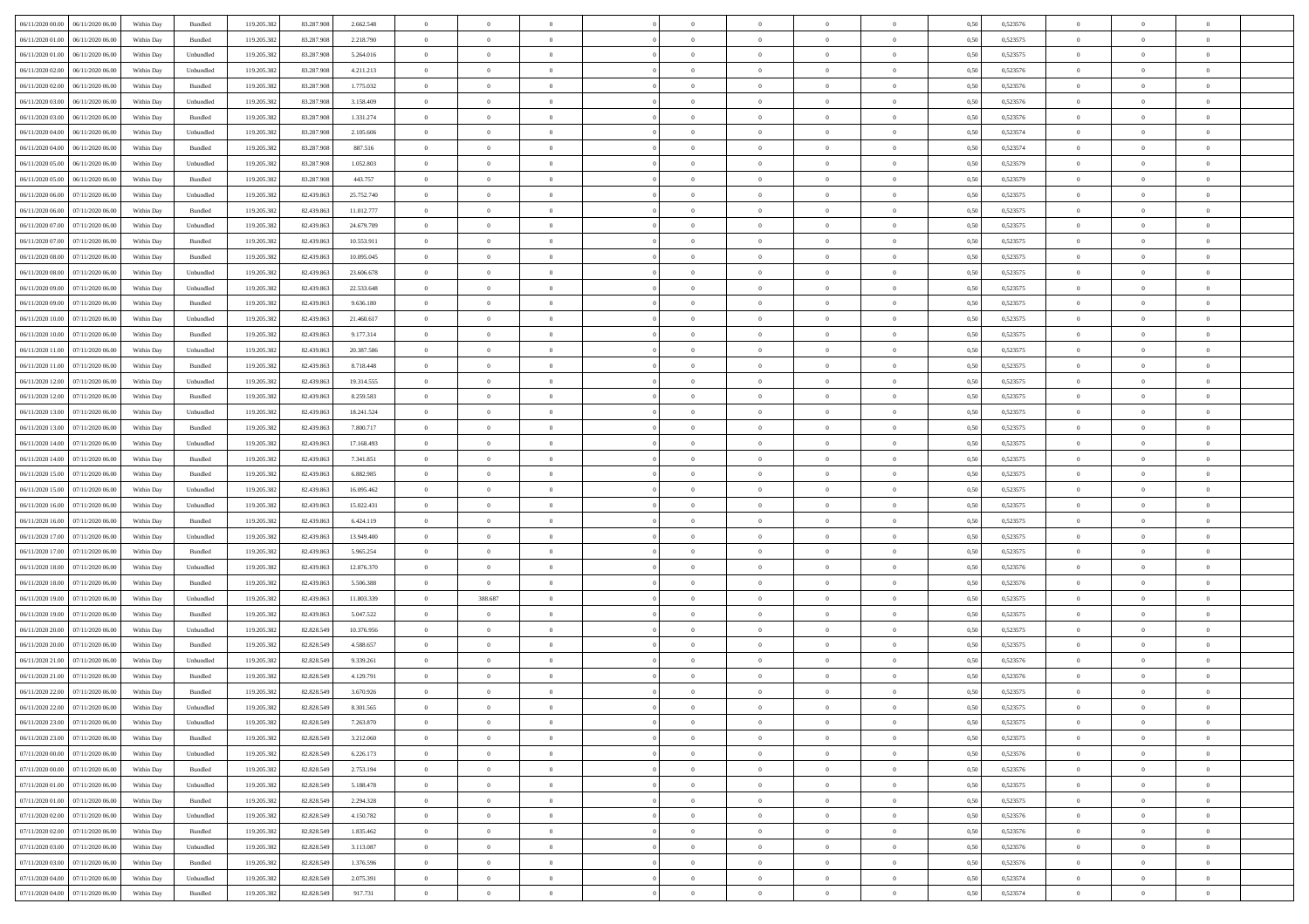| 06/11/2020 00:00<br>06/11/2020 06:00 | Within Day | Bundled           | 119.205.382 | 83.287.908 | 2.662.548  | $\overline{0}$ | $\overline{0}$   | $\overline{0}$ | $\theta$       | $\theta$       |                | $\overline{0}$ | 0,50 | 0,523576 | $\theta$       | $\theta$       | $\theta$       |  |
|--------------------------------------|------------|-------------------|-------------|------------|------------|----------------|------------------|----------------|----------------|----------------|----------------|----------------|------|----------|----------------|----------------|----------------|--|
|                                      |            |                   |             |            |            |                |                  |                |                |                |                |                |      |          |                |                |                |  |
| 06/11/2020 01:00<br>06/11/2020 06.00 | Within Day | Bundled           | 119.205.382 | 83.287.908 | 2.218.790  | $\overline{0}$ | $\overline{0}$   | $\overline{0}$ | $\,$ 0 $\,$    | $\bf{0}$       | $\overline{0}$ | $\bf{0}$       | 0,50 | 0,523575 | $\,$ 0 $\,$    | $\theta$       | $\overline{0}$ |  |
| 06/11/2020 01:00<br>06/11/2020 06.00 | Within Day | Unbundled         | 119.205.382 | 83.287.908 | 5.264.016  | $\overline{0}$ | $\overline{0}$   | $\overline{0}$ | $\bf{0}$       | $\bf{0}$       | $\overline{0}$ | $\mathbf{0}$   | 0.50 | 0,523575 | $\bf{0}$       | $\overline{0}$ | $\overline{0}$ |  |
| 06/11/2020 02.00<br>06/11/2020 06.00 | Within Day | Unbundled         | 119.205.382 | 83.287.908 | 4.211.213  | $\overline{0}$ | $\overline{0}$   | $\overline{0}$ | $\overline{0}$ | $\overline{0}$ | $\overline{0}$ | $\bf{0}$       | 0,50 | 0,523576 | $\theta$       | $\theta$       | $\overline{0}$ |  |
| 06/11/2020 02.00<br>06/11/2020 06.00 | Within Day | Bundled           | 119.205.382 | 83.287.908 | 1.775.032  | $\overline{0}$ | $\overline{0}$   | $\bf{0}$       | $\overline{0}$ | $\overline{0}$ | $\overline{0}$ | $\bf{0}$       | 0,50 | 0,523576 | $\,$ 0 $\,$    | $\theta$       | $\overline{0}$ |  |
| 06/11/2020 03.00<br>06/11/2020 06:00 | Within Day | Unbundled         | 119.205.382 | 83.287.908 | 3.158.409  | $\overline{0}$ | $\overline{0}$   | $\overline{0}$ | $\bf{0}$       | $\overline{0}$ | $\overline{0}$ | $\mathbf{0}$   | 0.50 | 0.523576 | $\,$ 0 $\,$    | $\theta$       | $\overline{0}$ |  |
|                                      |            |                   |             |            |            |                |                  |                |                |                |                |                |      |          |                |                |                |  |
| 06/11/2020 03.00<br>06/11/2020 06.00 | Within Day | Bundled           | 119.205.382 | 83.287.908 | 1.331.274  | $\overline{0}$ | $\overline{0}$   | $\overline{0}$ | $\overline{0}$ | $\overline{0}$ | $\overline{0}$ | $\bf{0}$       | 0,50 | 0,523576 | $\theta$       | $\theta$       | $\overline{0}$ |  |
| 06/11/2020 04:00<br>06/11/2020 06.00 | Within Day | Unbundled         | 119.205.382 | 83.287.908 | 2.105.606  | $\bf{0}$       | $\overline{0}$   | $\overline{0}$ | $\overline{0}$ | $\bf{0}$       | $\overline{0}$ | $\bf{0}$       | 0,50 | 0,523574 | $\,$ 0 $\,$    | $\bf{0}$       | $\overline{0}$ |  |
| 06/11/2020 04.00<br>06/11/2020 06:00 | Within Day | Bundled           | 119.205.382 | 83.287.908 | 887,516    | $\overline{0}$ | $\overline{0}$   | $\overline{0}$ | $\bf{0}$       | $\overline{0}$ | $\overline{0}$ | $\mathbf{0}$   | 0.50 | 0.523574 | $\,$ 0 $\,$    | $\overline{0}$ | $\overline{0}$ |  |
| 06/11/2020 05.00<br>06/11/2020 06.00 | Within Day | Unbundled         | 119.205.382 | 83.287.908 | 1.052.803  | $\overline{0}$ | $\overline{0}$   | $\overline{0}$ | $\overline{0}$ | $\overline{0}$ | $\overline{0}$ | $\bf{0}$       | 0,50 | 0,523579 | $\,$ 0 $\,$    | $\theta$       | $\overline{0}$ |  |
| 06/11/2020 05.00<br>06/11/2020 06.00 | Within Day | Bundled           | 119.205.382 | 83.287.908 | 443.757    | $\overline{0}$ | $\overline{0}$   | $\overline{0}$ | $\bf{0}$       | $\overline{0}$ | $\overline{0}$ | $\bf{0}$       | 0,50 | 0,523579 | $\,$ 0 $\,$    | $\bf{0}$       | $\overline{0}$ |  |
| 06/11/2020 06.00<br>07/11/2020 06.00 | Within Day | Unbundled         | 119.205.382 | 82.439.863 | 25.752.740 | $\overline{0}$ | $\overline{0}$   | $\overline{0}$ | $\bf{0}$       | $\bf{0}$       | $\overline{0}$ | $\,$ 0 $\,$    | 0.50 | 0,523575 | $\bf{0}$       | $\overline{0}$ | $\bf{0}$       |  |
|                                      |            |                   |             |            |            |                | $\overline{0}$   |                |                |                |                |                |      |          | $\theta$       | $\theta$       |                |  |
| 06/11/2020 06.00<br>07/11/2020 06.00 | Within Day | Bundled           | 119.205.382 | 82.439.863 | 11.012.777 | $\overline{0}$ |                  | $\overline{0}$ | $\overline{0}$ | $\overline{0}$ | $\overline{0}$ | $\bf{0}$       | 0,50 | 0,523575 |                |                | $\overline{0}$ |  |
| 06/11/2020 07.00<br>07/11/2020 06.00 | Within Day | Unbundled         | 119.205.382 | 82.439.863 | 24.679.709 | $\overline{0}$ | $\overline{0}$   | $\bf{0}$       | $\bf{0}$       | $\bf{0}$       | $\overline{0}$ | $\bf{0}$       | 0,50 | 0,523575 | $\,$ 0 $\,$    | $\bf{0}$       | $\overline{0}$ |  |
| 06/11/2020 07.00<br>07/11/2020 06.00 | Within Day | Bundled           | 119.205.382 | 82.439.863 | 10.553.911 | $\overline{0}$ | $\overline{0}$   | $\overline{0}$ | $\bf{0}$       | $\overline{0}$ | $\overline{0}$ | $\mathbf{0}$   | 0.50 | 0.523575 | $\bf{0}$       | $\theta$       | $\overline{0}$ |  |
| 06/11/2020 08:00<br>07/11/2020 06.00 | Within Day | Bundled           | 119.205.382 | 82.439.863 | 10.095.045 | $\overline{0}$ | $\overline{0}$   | $\overline{0}$ | $\overline{0}$ | $\overline{0}$ | $\overline{0}$ | $\bf{0}$       | 0,50 | 0,523575 | $\theta$       | $\theta$       | $\overline{0}$ |  |
| 06/11/2020 08.00<br>07/11/2020 06.00 | Within Day | Unbundled         | 119.205.382 | 82.439.863 | 23.606.678 | $\overline{0}$ | $\overline{0}$   | $\overline{0}$ | $\bf{0}$       | $\overline{0}$ | $\overline{0}$ | $\bf{0}$       | 0,50 | 0,523575 | $\,$ 0 $\,$    | $\bf{0}$       | $\overline{0}$ |  |
| 06/11/2020 09.00<br>07/11/2020 06:00 | Within Day | Unbundled         | 119.205.382 | 82.439.863 | 22.533.648 | $\overline{0}$ | $\overline{0}$   | $\overline{0}$ | $\bf{0}$       | $\bf{0}$       | $\overline{0}$ | $\mathbf{0}$   | 0.50 | 0.523575 | $\,$ 0 $\,$    | $\overline{0}$ | $\overline{0}$ |  |
| 06/11/2020 09:00                     |            |                   | 119.205.382 |            |            | $\overline{0}$ | $\overline{0}$   |                | $\overline{0}$ | $\overline{0}$ | $\overline{0}$ | $\bf{0}$       |      |          | $\,$ 0 $\,$    | $\theta$       | $\overline{0}$ |  |
| 07/11/2020 06.00                     | Within Day | Bundled           |             | 82.439.863 | 9.636.180  |                |                  | $\overline{0}$ |                |                |                |                | 0,50 | 0,523575 |                |                |                |  |
| 06/11/2020 10:00<br>07/11/2020 06.00 | Within Day | Unbundled         | 119.205.382 | 82.439.863 | 21.460.617 | $\overline{0}$ | $\overline{0}$   | $\overline{0}$ | $\bf{0}$       | $\bf{0}$       | $\overline{0}$ | $\bf{0}$       | 0,50 | 0,523575 | $\,$ 0 $\,$    | $\bf{0}$       | $\overline{0}$ |  |
| 06/11/2020 10:00<br>07/11/2020 06.00 | Within Day | Bundled           | 119.205.382 | 82.439.863 | 9.177.314  | $\overline{0}$ | $\overline{0}$   | $\overline{0}$ | $\bf{0}$       | $\bf{0}$       | $\overline{0}$ | $\mathbf{0}$   | 0.50 | 0,523575 | $\bf{0}$       | $\overline{0}$ | $\overline{0}$ |  |
| 06/11/2020 11:00<br>07/11/2020 06.00 | Within Day | Unbundled         | 119.205.382 | 82.439.863 | 20.387.586 | $\overline{0}$ | $\overline{0}$   | $\overline{0}$ | $\overline{0}$ | $\overline{0}$ | $\overline{0}$ | $\,$ 0 $\,$    | 0,50 | 0,523575 | $\theta$       | $\theta$       | $\overline{0}$ |  |
| 06/11/2020 11:00<br>07/11/2020 06.00 | Within Day | Bundled           | 119.205.382 | 82.439.863 | 8.718.448  | $\overline{0}$ | $\overline{0}$   | $\overline{0}$ | $\bf{0}$       | $\overline{0}$ | $\overline{0}$ | $\bf{0}$       | 0,50 | 0,523575 | $\,$ 0 $\,$    | $\bf{0}$       | $\overline{0}$ |  |
| 06/11/2020 12:00<br>07/11/2020 06.00 | Within Day | Unbundled         | 119.205.382 | 82.439.863 | 19.314.555 | $\overline{0}$ | $\overline{0}$   | $\overline{0}$ | $\overline{0}$ | $\overline{0}$ | $\overline{0}$ | $\mathbf{0}$   | 0.50 | 0.523575 | $\,$ 0 $\,$    | $\theta$       | $\overline{0}$ |  |
| 06/11/2020 12.00<br>07/11/2020 06.00 | Within Day | Bundled           | 119.205.382 | 82.439.863 | 8.259.583  | $\overline{0}$ | $\overline{0}$   | $\overline{0}$ | $\overline{0}$ | $\overline{0}$ | $\overline{0}$ | $\bf{0}$       | 0,50 | 0,523575 | $\theta$       | $\theta$       | $\overline{0}$ |  |
|                                      |            |                   |             |            |            |                |                  |                |                |                |                |                |      |          |                |                |                |  |
| 06/11/2020 13:00<br>07/11/2020 06.00 | Within Day | Unbundled         | 119.205.382 | 82.439.863 | 18.241.524 | $\overline{0}$ | $\overline{0}$   | $\overline{0}$ | $\overline{0}$ | $\overline{0}$ | $\overline{0}$ | $\bf{0}$       | 0,50 | 0,523575 | $\,$ 0 $\,$    | $\bf{0}$       | $\overline{0}$ |  |
| 06/11/2020 13.00<br>07/11/2020 06:00 | Within Day | Bundled           | 119.205.382 | 82.439.863 | 7.800.717  | $\overline{0}$ | $\overline{0}$   | $\overline{0}$ | $\overline{0}$ | $\bf{0}$       | $\overline{0}$ | $\mathbf{0}$   | 0.50 | 0.523575 | $\,$ 0 $\,$    | $\overline{0}$ | $\overline{0}$ |  |
| 06/11/2020 14:00<br>07/11/2020 06.00 | Within Day | Unbundled         | 119.205.382 | 82.439.863 | 17.168.493 | $\overline{0}$ | $\overline{0}$   | $\overline{0}$ | $\overline{0}$ | $\overline{0}$ | $\overline{0}$ | $\bf{0}$       | 0,50 | 0,523575 | $\theta$       | $\theta$       | $\overline{0}$ |  |
| 06/11/2020 14:00<br>07/11/2020 06.00 | Within Day | Bundled           | 119.205.382 | 82.439.863 | 7.341.851  | $\overline{0}$ | $\overline{0}$   | $\overline{0}$ | $\,$ 0 $\,$    | $\bf{0}$       | $\overline{0}$ | $\bf{0}$       | 0,50 | 0,523575 | $\,$ 0 $\,$    | $\bf{0}$       | $\overline{0}$ |  |
| 06/11/2020 15.00<br>07/11/2020 06:00 | Within Day | Bundled           | 119.205.382 | 82.439.863 | 6.882.985  | $\overline{0}$ | $\overline{0}$   | $\overline{0}$ | $\bf{0}$       | $\bf{0}$       | $\overline{0}$ | $\,$ 0 $\,$    | 0.50 | 0.523575 | $\bf{0}$       | $\overline{0}$ | $\bf{0}$       |  |
| 06/11/2020 15:00<br>07/11/2020 06.00 | Within Day | Unbundled         | 119.205.382 | 82.439.863 | 16.095.462 | $\overline{0}$ | $\overline{0}$   | $\overline{0}$ | $\overline{0}$ | $\overline{0}$ | $\overline{0}$ | $\overline{0}$ | 0.50 | 0,523575 | $\theta$       | $\theta$       | $\overline{0}$ |  |
| 06/11/2020 16.00<br>07/11/2020 06.00 | Within Day | Unbundled         | 119.205.382 | 82.439.863 | 15.022.431 | $\overline{0}$ | $\overline{0}$   | $\overline{0}$ | $\bf{0}$       | $\overline{0}$ | $\overline{0}$ | $\bf{0}$       | 0,50 | 0,523575 | $\,$ 0 $\,$    | $\bf{0}$       | $\overline{0}$ |  |
|                                      |            |                   |             |            |            |                |                  |                |                |                |                |                |      |          |                |                |                |  |
| 06/11/2020 16.00<br>07/11/2020 06.00 | Within Day | Bundled           | 119.205.382 | 82.439.863 | 6.424.119  | $\overline{0}$ | $\overline{0}$   | $\overline{0}$ | $\overline{0}$ | $\overline{0}$ | $\overline{0}$ | $\mathbf{0}$   | 0.50 | 0.523575 | $\,$ 0 $\,$    | $\theta$       | $\overline{0}$ |  |
| 06/11/2020 17.00<br>07/11/2020 06.00 | Within Day | Unbundled         | 119.205.382 | 82.439.863 | 13.949.400 | $\overline{0}$ | $\overline{0}$   | $\overline{0}$ | $\overline{0}$ | $\overline{0}$ | $\Omega$       | $\overline{0}$ | 0.50 | 0,523575 | $\theta$       | $\theta$       | $\overline{0}$ |  |
| 06/11/2020 17.00<br>07/11/2020 06.00 | Within Day | Bundled           | 119.205.382 | 82.439.863 | 5.965.254  | $\overline{0}$ | $\overline{0}$   | $\overline{0}$ | $\bf{0}$       | $\overline{0}$ | $\overline{0}$ | $\bf{0}$       | 0,50 | 0,523575 | $\,$ 0 $\,$    | $\bf{0}$       | $\overline{0}$ |  |
| 06/11/2020 18.00<br>07/11/2020 06:00 | Within Day | Unbundled         | 119.205.382 | 82.439.863 | 12.876.370 | $\overline{0}$ | $\overline{0}$   | $\overline{0}$ | $\overline{0}$ | $\bf{0}$       | $\overline{0}$ | $\mathbf{0}$   | 0.50 | 0.523576 | $\,$ 0 $\,$    | $\overline{0}$ | $\overline{0}$ |  |
| 06/11/2020 18.00<br>07/11/2020 06.00 | Within Day | Bundled           | 119.205.382 | 82.439.863 | 5.506.388  | $\overline{0}$ | $\overline{0}$   | $\overline{0}$ | $\overline{0}$ | $\overline{0}$ | $\overline{0}$ | $\overline{0}$ | 0.50 | 0,523576 | $\theta$       | $\theta$       | $\overline{0}$ |  |
| 06/11/2020 19:00<br>07/11/2020 06.00 | Within Day | Unbundled         | 119.205.382 | 82.439.863 | 11.803.339 | $\overline{0}$ | 388.687          | $\overline{0}$ | $\,$ 0 $\,$    | $\bf{0}$       | $\overline{0}$ | $\bf{0}$       | 0,50 | 0,523575 | $\,$ 0 $\,$    | $\bf{0}$       | $\overline{0}$ |  |
| 06/11/2020 19.00<br>07/11/2020 06.00 | Within Day | Bundled           | 119.205.382 | 82.439.863 | 5.047.522  | $\overline{0}$ | $\overline{0}$   | $\overline{0}$ | $\bf{0}$       | $\bf{0}$       | $\overline{0}$ | $\mathbf{0}$   | 0.50 | 0,523575 | $\bf{0}$       | $\overline{0}$ | $\overline{0}$ |  |
|                                      |            |                   |             |            |            |                |                  |                |                |                |                |                |      |          |                |                |                |  |
| 06/11/2020 20:00<br>07/11/2020 06.00 | Within Day | Unbundled         | 119.205.382 | 82.828.549 | 10.376.956 | $\overline{0}$ | $\overline{0}$   | $\overline{0}$ | $\overline{0}$ | $\overline{0}$ | $\overline{0}$ | $\overline{0}$ | 0.50 | 0,523575 | $\theta$       | $\theta$       | $\overline{0}$ |  |
| 06/11/2020 20.00<br>07/11/2020 06.00 | Within Day | Bundled           | 119.205.382 | 82.828.549 | 4.588.657  | $\overline{0}$ | $\overline{0}$   | $\overline{0}$ | $\bf{0}$       | $\overline{0}$ | $\overline{0}$ | $\bf{0}$       | 0,50 | 0,523575 | $\,$ 0 $\,$    | $\bf{0}$       | $\overline{0}$ |  |
| 06/11/2020 21.00<br>07/11/2020 06.00 | Within Day | Unbundled         | 119.205.382 | 82.828.549 | 9.339.261  | $\overline{0}$ | $\overline{0}$   | $\overline{0}$ | $\overline{0}$ | $\overline{0}$ | $\overline{0}$ | $\mathbf{0}$   | 0.50 | 0.523576 | $\,$ 0 $\,$    | $\theta$       | $\overline{0}$ |  |
| 06/11/2020 21.00<br>07/11/2020 06.00 | Within Day | Bundled           | 119.205.382 | 82.828.549 | 4.129.791  | $\overline{0}$ | $\overline{0}$   | $\overline{0}$ | $\overline{0}$ | $\overline{0}$ | $\Omega$       | $\overline{0}$ | 0.50 | 0,523576 | $\theta$       | $\theta$       | $\overline{0}$ |  |
| 06/11/2020 22.00<br>07/11/2020 06.00 | Within Day | Bundled           | 119.205.382 | 82.828.549 | 3.670.926  | $\overline{0}$ | $\bf{0}$         | $\bf{0}$       | $\overline{0}$ | $\bf{0}$       | $\overline{0}$ | $\bf{0}$       | 0,50 | 0,523575 | $\overline{0}$ | $\bf{0}$       | $\overline{0}$ |  |
| 06/11/2020 22:00 07/11/2020 06:00    | Within Day | ${\sf Unbundred}$ | 119.205.382 | 82.828.549 | 8.301.565  | $\bf{0}$       | $\boldsymbol{0}$ |                | $\bf{0}$       |                |                |                | 0,50 | 0,523575 | $\theta$       | $\overline{0}$ |                |  |
| 06/11/2020 23:00 07/11/2020 06:00    | Within Day | Unbundled         | 119.205.382 | 82.828.549 | 7.263.870  | $\overline{0}$ | $\overline{0}$   | $\overline{0}$ | $\overline{0}$ | $\overline{0}$ | $\overline{0}$ | $\overline{0}$ | 0,50 | 0,523575 | $\theta$       | $\theta$       | $\overline{0}$ |  |
|                                      |            |                   |             |            |            |                |                  |                |                |                |                |                |      |          |                |                |                |  |
| 06/11/2020 23.00<br>07/11/2020 06.00 | Within Day | Bundled           | 119.205.382 | 82.828.549 | 3.212.060  | $\overline{0}$ | $\overline{0}$   | $\overline{0}$ | $\bf{0}$       | $\bf{0}$       | $\overline{0}$ | $\,$ 0 $\,$    | 0,50 | 0,523575 | $\overline{0}$ | $\overline{0}$ | $\bf{0}$       |  |
| 07/11/2020 00:00<br>07/11/2020 06:00 | Within Day | Unbundled         | 119.205.382 | 82.828.549 | 6.226.173  | $\overline{0}$ | $\overline{0}$   | $\overline{0}$ | $\,$ 0 $\,$    | $\bf{0}$       | $\overline{0}$ | $\mathbf{0}$   | 0.50 | 0,523576 | $\overline{0}$ | $\bf{0}$       | $\bf{0}$       |  |
| 07/11/2020 00:00<br>07/11/2020 06:00 | Within Dav | Bundled           | 119.205.382 | 82.828.549 | 2.753.194  | $\overline{0}$ | $\overline{0}$   | $\overline{0}$ | $\overline{0}$ | $\overline{0}$ | $\overline{0}$ | $\mathbf{0}$   | 0,50 | 0,523576 | $\overline{0}$ | $\theta$       | $\overline{0}$ |  |
| 07/11/2020 01:00<br>07/11/2020 06.00 | Within Day | Unbundled         | 119.205.382 | 82.828.549 | 5.188.478  | $\overline{0}$ | $\overline{0}$   | $\overline{0}$ | $\bf{0}$       | $\bf{0}$       | $\overline{0}$ | $\mathbf{0}$   | 0,50 | 0,523575 | $\,$ 0         | $\bf{0}$       | $\overline{0}$ |  |
| 07/11/2020 01.00<br>07/11/2020 06.00 | Within Day | Bundled           | 119.205.382 | 82.828.549 | 2.294.328  | $\overline{0}$ | $\overline{0}$   | $\overline{0}$ | $\bf{0}$       | $\overline{0}$ | $\overline{0}$ | $\mathbf{0}$   | 0.50 | 0.523575 | $\,$ 0 $\,$    | $\theta$       | $\,$ 0         |  |
| 07/11/2020 02.00<br>07/11/2020 06:00 | Within Day | Unbundled         | 119.205.382 | 82.828.549 | 4.150.782  | $\overline{0}$ | $\overline{0}$   | $\overline{0}$ | $\overline{0}$ | $\overline{0}$ | $\overline{0}$ | $\mathbf{0}$   | 0,50 | 0,523576 | $\overline{0}$ | $\theta$       | $\overline{0}$ |  |
| 07/11/2020 02.00<br>07/11/2020 06.00 | Within Day | Bundled           |             | 82.828.549 | 1.835.462  | $\overline{0}$ | $\overline{0}$   | $\overline{0}$ | $\bf{0}$       | $\bf{0}$       | $\overline{0}$ | $\,$ 0 $\,$    | 0,50 | 0,523576 | $\bf{0}$       | $\overline{0}$ | $\overline{0}$ |  |
|                                      |            |                   | 119.205.382 |            |            |                |                  |                |                |                |                |                |      |          |                |                |                |  |
| 07/11/2020 03.00<br>07/11/2020 06.00 | Within Day | Unbundled         | 119.205.382 | 82.828.549 | 3.113.087  | $\overline{0}$ | $\overline{0}$   | $\overline{0}$ | $\bf{0}$       | $\overline{0}$ | $\overline{0}$ | $\,$ 0 $\,$    | 0.50 | 0.523576 | $\overline{0}$ | $\bf{0}$       | $\,$ 0         |  |
| 07/11/2020 03:00<br>07/11/2020 06:00 | Within Dav | Bundled           | 119.205.382 | 82.828.549 | 1.376.596  | $\overline{0}$ | $\overline{0}$   | $\overline{0}$ | $\overline{0}$ | $\overline{0}$ | $\overline{0}$ | $\mathbf{0}$   | 0,50 | 0,523576 | $\overline{0}$ | $\theta$       | $\overline{0}$ |  |
| 07/11/2020 04:00<br>07/11/2020 06.00 | Within Day | Unbundled         | 119.205.382 | 82.828.549 | 2.075.391  | $\overline{0}$ | $\overline{0}$   | $\overline{0}$ | $\overline{0}$ | $\bf{0}$       | $\overline{0}$ | $\,$ 0 $\,$    | 0,50 | 0,523574 | $\bf{0}$       | $\bf{0}$       | $\bf{0}$       |  |
| 07/11/2020 04.00 07/11/2020 06.00    | Within Day | Bundled           | 119.205.382 | 82.828.549 | 917.731    | $\,$ 0 $\,$    | $\overline{0}$   | $\overline{0}$ | $\bf{0}$       | $\,$ 0         | $\overline{0}$ | $\,0\,$        | 0,50 | 0,523574 | $\overline{0}$ | $\,$ 0 $\,$    | $\,$ 0 $\,$    |  |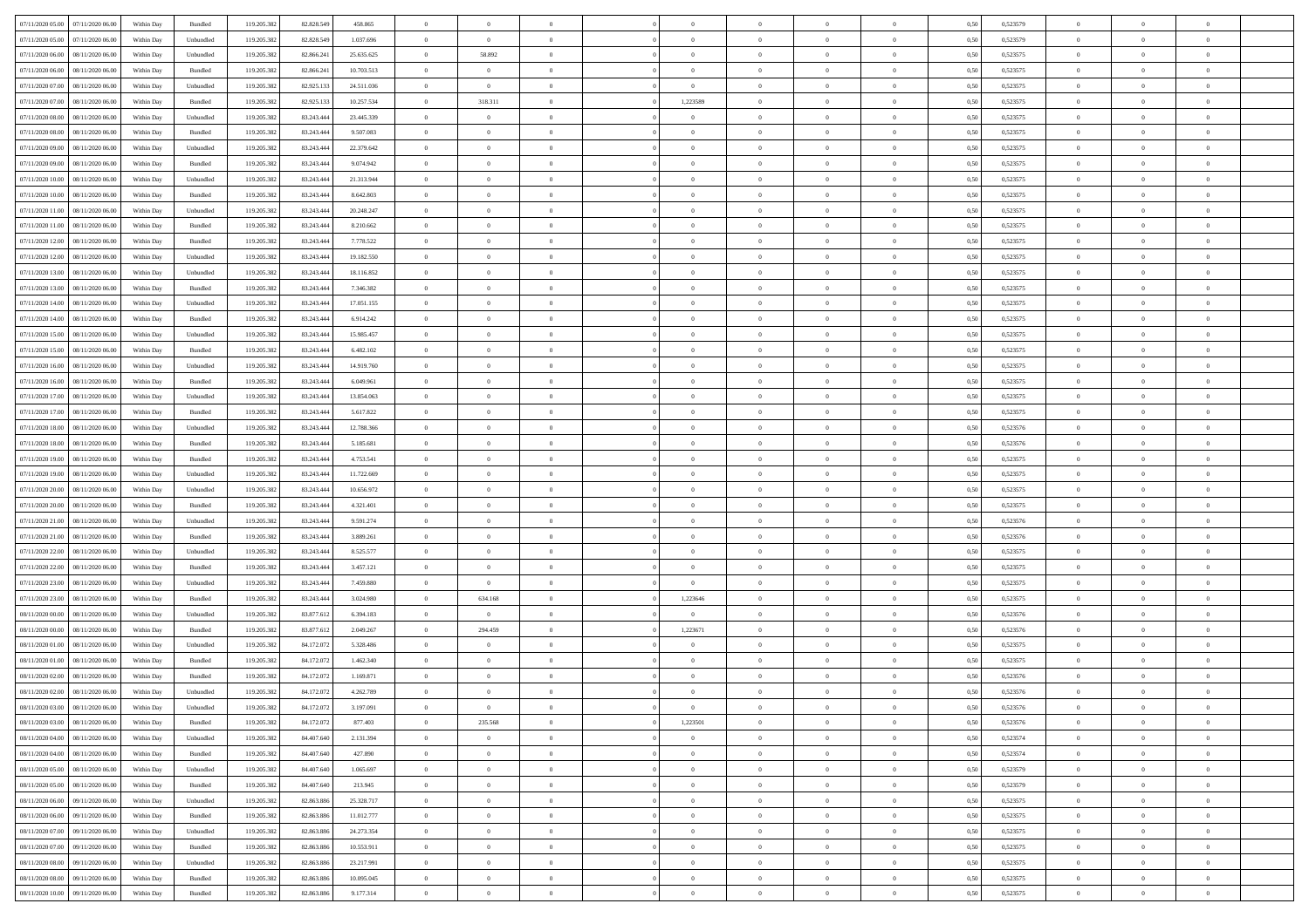| 07/11/2020 05:00 07/11/2020 06:00                        | Within Day | Bundled              | 119.205.382                | 82.828.549               | 458.865                 | $\overline{0}$                   | $\overline{0}$             | $\Omega$                         | $\Omega$                         | $\theta$                         | $\Omega$                         | $\theta$             | 0,50         | 0,523579             | $\theta$                   | $\theta$                         | $\theta$                         |  |
|----------------------------------------------------------|------------|----------------------|----------------------------|--------------------------|-------------------------|----------------------------------|----------------------------|----------------------------------|----------------------------------|----------------------------------|----------------------------------|----------------------|--------------|----------------------|----------------------------|----------------------------------|----------------------------------|--|
| 07/11/2020 05:00<br>07/11/2020 06.00                     | Within Day | Unbundled            | 119.205.382                | 82.828.549               | 1.037.696               | $\overline{0}$                   | $\overline{0}$             | $\overline{0}$                   | $\overline{0}$                   | $\theta$                         | $\overline{0}$                   | $\bf{0}$             | 0,50         | 0,523579             | $\theta$                   | $\theta$                         | $\overline{0}$                   |  |
| 07/11/2020 06.00<br>08/11/2020 06.00                     | Within Day | Unbundled            | 119.205.382                | 82.866.241               | 25.635.625              | $\overline{0}$                   | 58.892                     | $\overline{0}$                   | $\overline{0}$                   | $\overline{0}$                   | $\overline{0}$                   | $\bf{0}$             | 0,50         | 0,523575             | $\bf{0}$                   | $\overline{0}$                   | $\overline{0}$                   |  |
| 07/11/2020 06:00<br>08/11/2020 06:00                     | Within Day | Bundled              | 119.205.382                | 82.866.24                | 10.703.513              | $\overline{0}$                   | $\overline{0}$             | $\overline{0}$                   | $\overline{0}$                   | $\overline{0}$                   | $\overline{0}$                   | $\overline{0}$       | 0.50         | 0,523575             | $\theta$                   | $\theta$                         | $\overline{0}$                   |  |
| 07/11/2020 07:00<br>08/11/2020 06.00                     | Within Day | Unbundled            | 119.205.382                | 82.925.133               | 24.511.036              | $\overline{0}$                   | $\theta$                   | $\overline{0}$                   | $\overline{0}$                   | $\theta$                         | $\overline{0}$                   | $\bf{0}$             | 0,50         | 0,523575             | $\theta$                   | $\theta$                         | $\overline{0}$                   |  |
| 07/11/2020 07:00<br>08/11/2020 06.00                     | Within Day | Bundled              | 119.205.38                 | 82.925.133               | 10.257.534              | $\overline{0}$                   | 318.311                    | $\overline{0}$                   | 1,223589                         | $\overline{0}$                   | $\overline{0}$                   | $\bf{0}$             | 0,50         | 0,523575             | $\bf{0}$                   | $\overline{0}$                   | $\bf{0}$                         |  |
| 07/11/2020 08:00<br>08/11/2020 06:00                     | Within Day | Unbundled            | 119.205.382                | 83.243.44                | 23,445.339              | $\overline{0}$                   | $\overline{0}$             | $\overline{0}$                   | $\overline{0}$                   | $\overline{0}$                   | $\overline{0}$                   | $\bf{0}$             | 0.5(         | 0,523575             | $\theta$                   | $\theta$                         | $\overline{0}$                   |  |
| 07/11/2020 08:00<br>08/11/2020 06:00                     | Within Day | Bundled              | 119.205.38                 | 83.243.444               | 9.507.083               | $\overline{0}$                   | $\overline{0}$             | $\overline{0}$                   | $\overline{0}$                   | $\overline{0}$                   | $\overline{0}$                   | $\bf{0}$             | 0,50         | 0,523575             | $\theta$                   | $\theta$                         | $\overline{0}$                   |  |
| 07/11/2020 09:00<br>08/11/2020 06.00                     | Within Day | Unbundled            | 119.205.38                 | 83.243.444               | 22.379.642              | $\overline{0}$                   | $\bf{0}$                   | $\overline{0}$                   | $\overline{0}$                   | $\overline{0}$                   | $\bf{0}$                         | $\bf{0}$             | 0,50         | 0,523575             | $\bf{0}$                   | $\bf{0}$                         | $\overline{0}$                   |  |
| 07/11/2020 09:00<br>08/11/2020 06:00                     | Within Day | Bundled              | 119.205.38                 | 83.243.444               | 9.074.942               | $\overline{0}$                   | $\overline{0}$             | $\overline{0}$                   | $\overline{0}$                   | $\overline{0}$                   | $\overline{0}$                   | $\bf{0}$             | 0.5(         | 0,523575             | $\theta$                   | $\theta$                         | $\overline{0}$                   |  |
| 07/11/2020 10:00<br>08/11/2020 06:00                     | Within Day | Unbundled            | 119.205.382                | 83.243.444               | 21.313.944              | $\overline{0}$                   | $\overline{0}$             | $\overline{0}$                   | $\overline{0}$                   | $\theta$                         | $\overline{0}$                   | $\bf{0}$             | 0,50         | 0,523575             | $\theta$                   | $\theta$                         | $\overline{0}$                   |  |
| 07/11/2020 10:00<br>08/11/2020 06.00                     | Within Day | Bundled              | 119.205.38                 | 83.243.444               | 8.642.803               | $\overline{0}$                   | $\bf{0}$                   | $\overline{0}$                   | $\overline{0}$                   | $\overline{0}$                   | $\overline{0}$                   | $\bf{0}$             | 0,50         | 0,523575             | $\bf{0}$                   | $\overline{0}$                   | $\overline{0}$                   |  |
| 07/11/2020 11:00<br>08/11/2020 06:00                     | Within Day | Unbundled            | 119.205.382                | 83.243.44                | 20.248.247              | $\overline{0}$                   | $\overline{0}$             | $\overline{0}$                   | $\overline{0}$                   | $\overline{0}$                   | $\overline{0}$                   | $\overline{0}$       | 0.5(         | 0,523575             | $\theta$                   | $\theta$                         | $\overline{0}$                   |  |
| 07/11/2020 11:00<br>08/11/2020 06:00                     | Within Day | Bundled              | 119.205.382                | 83.243.444               | 8.210.662               | $\overline{0}$                   | $\overline{0}$             | $\overline{0}$                   | $\overline{0}$                   | $\theta$                         | $\overline{0}$                   | $\bf{0}$             | 0,50         | 0,523575             | $\theta$                   | $\theta$                         | $\overline{0}$                   |  |
|                                                          |            |                      |                            |                          |                         |                                  |                            |                                  |                                  |                                  |                                  |                      |              |                      |                            |                                  |                                  |  |
| 07/11/2020 12:00<br>08/11/2020 06.00<br>08/11/2020 06:00 | Within Day | Bundled<br>Unbundled | 119.205.382<br>119.205.382 | 83.243.444<br>83.243.444 | 7.778.522<br>19.182.550 | $\overline{0}$<br>$\overline{0}$ | $\bf{0}$<br>$\overline{0}$ | $\overline{0}$<br>$\overline{0}$ | $\overline{0}$<br>$\overline{0}$ | $\overline{0}$<br>$\overline{0}$ | $\overline{0}$<br>$\overline{0}$ | $\bf{0}$<br>$\bf{0}$ | 0,50<br>0.5( | 0,523575<br>0,523575 | $\bf{0}$<br>$\overline{0}$ | $\overline{0}$<br>$\overline{0}$ | $\bf{0}$<br>$\overline{0}$       |  |
| 07/11/2020 12:00                                         | Within Day |                      |                            |                          |                         |                                  |                            |                                  |                                  |                                  |                                  |                      |              |                      |                            |                                  |                                  |  |
| 07/11/2020 13:00<br>08/11/2020 06:00                     | Within Day | Unbundled            | 119.205.38                 | 83.243.444               | 18.116.852              | $\bf{0}$                         | $\overline{0}$             | $\overline{0}$                   | $\overline{0}$                   | $\theta$                         | $\overline{0}$                   | $\bf{0}$             | 0,50         | 0,523575             | $\theta$                   | $\theta$                         | $\overline{0}$                   |  |
| 07/11/2020 13:00<br>08/11/2020 06.00<br>08/11/2020 06:00 | Within Day | Bundled<br>Unbundled | 119.205.38<br>119.205.38   | 83.243.444<br>83.243.44  | 7.346.382<br>17.051.155 | $\overline{0}$<br>$\overline{0}$ | $\bf{0}$<br>$\overline{0}$ | $\overline{0}$<br>$\overline{0}$ | $\overline{0}$<br>$\overline{0}$ | $\overline{0}$<br>$\overline{0}$ | $\overline{0}$<br>$\overline{0}$ | $\bf{0}$<br>$\bf{0}$ | 0,50<br>0.5( | 0,523575<br>0,523575 | $\bf{0}$<br>$\theta$       | $\overline{0}$<br>$\theta$       | $\overline{0}$<br>$\overline{0}$ |  |
| 07/11/2020 14:00<br>07/11/2020 14:00<br>08/11/2020 06:00 | Within Day |                      | 119.205.382                | 83.243.444               | 6.914.242               | $\bf{0}$                         | $\overline{0}$             | $\overline{0}$                   | $\overline{0}$                   | $\theta$                         | $\overline{0}$                   | $\bf{0}$             |              | 0,523575             | $\theta$                   | $\theta$                         | $\overline{0}$                   |  |
|                                                          | Within Day | Bundled              |                            |                          |                         |                                  |                            |                                  |                                  |                                  |                                  |                      | 0,50         |                      |                            |                                  |                                  |  |
| 07/11/2020 15:00<br>08/11/2020 06.00                     | Within Day | Unbundled            | 119.205.38                 | 83.243.444               | 15.985.457              | $\overline{0}$                   | $\bf{0}$                   | $\overline{0}$                   | $\overline{0}$                   | $\overline{0}$                   | $\overline{0}$                   | $\bf{0}$             | 0,50         | 0,523575             | $\bf{0}$                   | $\overline{0}$                   | $\overline{0}$                   |  |
| 07/11/2020 15:00<br>08/11/2020 06:00                     | Within Day | Bundled              | 119.205.382                | 83.243.444               | 6.482.102               | $\overline{0}$                   | $\overline{0}$             | $\overline{0}$                   | $\overline{0}$                   | $\overline{0}$                   | $\overline{0}$                   | $\overline{0}$       | 0.5(         | 0,523575             | $\overline{0}$             | $\theta$                         | $\overline{0}$                   |  |
| 07/11/2020 16:00<br>08/11/2020 06:00                     | Within Day | Unbundled            | 119.205.38                 | 83.243.444               | 14.919.760              | $\overline{0}$                   | $\theta$                   | $\overline{0}$                   | $\overline{0}$                   | $\theta$                         | $\overline{0}$                   | $\bf{0}$             | 0,50         | 0,523575             | $\theta$                   | $\theta$                         | $\overline{0}$                   |  |
| 07/11/2020 16.00<br>08/11/2020 06.00                     | Within Day | Bundled              | 119.205.38                 | 83.243.444               | 6.049.961               | $\overline{0}$                   | $\bf{0}$                   | $\overline{0}$                   | $\overline{0}$                   | $\overline{0}$                   | $\overline{0}$                   | $\bf{0}$             | 0,50         | 0,523575             | $\bf{0}$                   | $\overline{0}$                   | $\bf{0}$                         |  |
| 07/11/2020 17:00<br>08/11/2020 06:00                     | Within Day | Unbundled            | 119.205.382                | 83.243.44                | 13.854.063              | $\overline{0}$                   | $\overline{0}$             | $\overline{0}$                   | $\overline{0}$                   | $\overline{0}$                   | $\overline{0}$                   | $\overline{0}$       | 0.5(         | 0,523575             | $\theta$                   | $\theta$                         | $\overline{0}$                   |  |
| 07/11/2020 17:00<br>08/11/2020 06:00                     | Within Day | Bundled              | 119.205.382                | 83.243.444               | 5.617.822               | $\overline{0}$                   | $\overline{0}$             | $\overline{0}$                   | $\overline{0}$                   | $\theta$                         | $\overline{0}$                   | $\bf{0}$             | 0,50         | 0,523575             | $\theta$                   | $\theta$                         | $\overline{0}$                   |  |
| 07/11/2020 18:00<br>08/11/2020 06.00                     | Within Day | Unbundled            | 119.205.38                 | 83.243.444               | 12.788.366              | $\overline{0}$                   | $\bf{0}$                   | $\overline{0}$                   | $\overline{0}$                   | $\overline{0}$                   | $\bf{0}$                         | $\bf{0}$             | 0,50         | 0,523576             | $\bf{0}$                   | $\bf{0}$                         | $\overline{0}$                   |  |
| 07/11/2020 18:00<br>08/11/2020 06:00                     | Within Day | Bundled              | 119.205.382                | 83.243.444               | 5.185.681               | $\overline{0}$                   | $\overline{0}$             | $\overline{0}$                   | $\overline{0}$                   | $\overline{0}$                   | $\overline{0}$                   | $\overline{0}$       | 0.5(         | 0,523576             | $\theta$                   | $\theta$                         | $\overline{0}$                   |  |
| 07/11/2020 19:00<br>08/11/2020 06:00                     | Within Day | Bundled              | 119.205.382                | 83.243.444               | 4.753.541               | $\bf{0}$                         | $\overline{0}$             | $\overline{0}$                   | $\overline{0}$                   | $\theta$                         | $\overline{0}$                   | $\bf{0}$             | 0,50         | 0,523575             | $\theta$                   | $\theta$                         | $\overline{0}$                   |  |
| 07/11/2020 19:00<br>08/11/2020 06.00                     | Within Day | Unbundled            | 119.205.38                 | 83.243.444               | 11.722.669              | $\overline{0}$                   | $\bf{0}$                   | $\overline{0}$                   | $\overline{0}$                   | $\overline{0}$                   | $\overline{0}$                   | $\bf{0}$             | 0,50         | 0,523575             | $\bf{0}$                   | $\overline{0}$                   | $\overline{0}$                   |  |
| $07\slash 11\slash 2020$ $20.00$<br>08/11/2020 06.00     | Within Day | Unbundled            | 119.205.38                 | 83.243.444               | 10.656.972              | $\overline{0}$                   | $\overline{0}$             | $\Omega$                         | $\Omega$                         | $\theta$                         | $\theta$                         | $\bf{0}$             | 0,50         | 0,523575             | $\,$ 0 $\,$                | $\overline{0}$                   | $\theta$                         |  |
| 07/11/2020 20.00<br>08/11/2020 06:00                     | Within Day | Bundled              | 119.205.38                 | 83.243.444               | 4.321.401               | $\overline{0}$                   | $\overline{0}$             | $\overline{0}$                   | $\overline{0}$                   | $\theta$                         | $\overline{0}$                   | $\bf{0}$             | 0,50         | 0,523575             | $\theta$                   | $\theta$                         | $\overline{0}$                   |  |
| 07/11/2020 21.00<br>08/11/2020 06.00                     | Within Day | Unbundled            | 119.205.382                | 83.243.444               | 9.591.274               | $\overline{0}$                   | $\bf{0}$                   | $\overline{0}$                   | $\overline{0}$                   | $\bf{0}$                         | $\overline{0}$                   | $\bf{0}$             | 0,50         | 0,523576             | $\bf{0}$                   | $\overline{0}$                   | $\bf{0}$                         |  |
| 07/11/2020 21.00<br>08/11/2020 06:00                     | Within Day | Bundled              | 119.205.382                | 83.243.44                | 3.889.261               | $\overline{0}$                   | $\overline{0}$             | $\Omega$                         | $\Omega$                         | $\overline{0}$                   | $\Omega$                         | $\overline{0}$       | 0.50         | 0,523576             | $\bf{0}$                   | $\theta$                         | $\theta$                         |  |
| 07/11/2020 22.00<br>08/11/2020 06:00                     | Within Day | Unbundled            | 119.205.38                 | 83.243.444               | 8.525.577               | $\bf{0}$                         | $\overline{0}$             | $\overline{0}$                   | $\overline{0}$                   | $\theta$                         | $\overline{0}$                   | $\bf{0}$             | 0,50         | 0,523575             | $\theta$                   | $\theta$                         | $\overline{0}$                   |  |
| 07/11/2020 22.00<br>08/11/2020 06.00                     | Within Day | Bundled              | 119.205.38                 | 83.243.444               | 3.457.121               | $\overline{0}$                   | $\bf{0}$                   | $\overline{0}$                   | $\overline{0}$                   | $\overline{0}$                   | $\bf{0}$                         | $\bf{0}$             | 0,50         | 0,523575             | $\bf{0}$                   | $\bf{0}$                         | $\overline{0}$                   |  |
| 07/11/2020 23.00<br>08/11/2020 06.00                     | Within Day | Unbundled            | 119.205.38                 | 83.243.44                | 7.459.880               | $\overline{0}$                   | $\overline{0}$             | $\Omega$                         | $\Omega$                         | $\overline{0}$                   | $\theta$                         | $\overline{0}$       | 0.50         | 0,523575             | $\,$ 0 $\,$                | $\theta$                         | $\theta$                         |  |
| 07/11/2020 23.00<br>08/11/2020 06:00                     | Within Day | Bundled              | 119.205.382                | 83.243.444               | 3.024.980               | $\bf{0}$                         | 634.168                    | $\overline{0}$                   | 1,223646                         | $\theta$                         | $\overline{0}$                   | $\bf{0}$             | 0,50         | 0,523575             | $\,$ 0 $\,$                | $\theta$                         | $\overline{0}$                   |  |
| 08/11/2020 00:00<br>08/11/2020 06.00                     | Within Day | Unbundled            | 119.205.38                 | 83.877.612               | 6.394.183               | $\overline{0}$                   | $\overline{0}$             | $\overline{0}$                   | $\overline{0}$                   | $\overline{0}$                   | $\overline{0}$                   | $\bf{0}$             | 0,50         | 0,523576             | $\bf{0}$                   | $\overline{0}$                   | $\overline{0}$                   |  |
| 08/11/2020 00:00<br>08/11/2020 06.00                     | Within Day | Bundled              | 119.205.38                 | 83.877.612               | 2.049.267               | $\overline{0}$                   | 294.459                    | $\overline{0}$                   | 1,223671                         | $\theta$                         | $\overline{0}$                   | $\bf{0}$             | 0.50         | 0,523576             | $\,$ 0 $\,$                | $\theta$                         | $\theta$                         |  |
| 08/11/2020 01:00<br>08/11/2020 06.00                     | Within Day | Unbundled            | 119.205.38                 | 84.172.072               | 5.328.486               | $\bf{0}$                         | $\overline{0}$             | $\overline{0}$                   | $\overline{0}$                   | $\overline{0}$                   | $\overline{0}$                   | $\bf{0}$             | 0,50         | 0,523575             | $\theta$                   | $\theta$                         | $\overline{0}$                   |  |
| 08/11/2020 01:00<br>08/11/2020 06.00                     | Within Day | Bundled              | 119.205.38                 | 84.172.072               | 1.462.340               | $\overline{0}$                   | $\bf{0}$                   | $\overline{0}$                   | $\overline{0}$                   | $\overline{0}$                   | $\overline{0}$                   | $\bf{0}$             | 0,50         | 0,523575             | $\bf{0}$                   | $\overline{0}$                   | $\bf{0}$                         |  |
| 08/11/2020 02.00<br>08/11/2020 06.00                     | Within Day | Bundled              | 119.205.38                 | 84.172.07                | 1.169.871               | $\overline{0}$                   | $\overline{0}$             | $\Omega$                         | $\Omega$                         | $\theta$                         | $\theta$                         | $\overline{0}$       | 0.50         | 0,523576             | $\theta$                   | $\theta$                         | $\theta$                         |  |
| 08/11/2020 02.00<br>08/11/2020 06:00                     | Within Day | Unbundled            | 119.205.382                | 84.172.072               | 4.262.789               | $\bf{0}$                         | $\bf{0}$                   | $\overline{0}$                   | $\overline{0}$                   | $\bf{0}$                         | $\overline{0}$                   | $\bf{0}$             | 0,50         | 0,523576             | $\bf{0}$                   | $\,0\,$                          | $\overline{0}$                   |  |
| 08/11/2020 03:00 08/11/2020 06:00                        | Within Day | Unbundled            | 119.205.382                | 84.172.072               | 3.197.091               | $\bf{0}$                         |                            |                                  |                                  |                                  |                                  |                      | 0,50         | 0,523576             | $\bf{0}$                   | $\bf{0}$                         |                                  |  |
| 08/11/2020 03:00 08/11/2020 06:00                        | Within Day | Bundled              | 119.205.382                | 84.172.072               | 877.403                 | $\Omega$                         | 235.568                    | $\Omega$                         | 1,223501                         | $\Omega$                         | $\theta$                         | $\overline{0}$       | 0.50         | 0,523576             | $\theta$                   | $\Omega$                         | $\theta$                         |  |
| 08/11/2020 04:00<br>08/11/2020 06:00                     | Within Day | Unbundled            | 119.205.382                | 84.407.640               | 2.131.394               | $\bf{0}$                         | $\overline{0}$             | $\overline{0}$                   | $\overline{0}$                   | $\bf{0}$                         | $\overline{0}$                   | $\,$ 0 $\,$          | 0,50         | 0,523574             | $\,$ 0 $\,$                | $\theta$                         | $\bf{0}$                         |  |
| 08/11/2020 04:00<br>08/11/2020 06.00                     | Within Day | Bundled              | 119.205.382                | 84.407.640               | 427.890                 | $\overline{0}$                   | $\bf{0}$                   | $\overline{0}$                   | $\overline{0}$                   | $\overline{0}$                   | $\overline{0}$                   | $\bf{0}$             | 0,50         | 0,523574             | $\overline{0}$             | $\bf{0}$                         | $\bf{0}$                         |  |
| 08/11/2020 05:00<br>08/11/2020 06:00                     | Within Day | Unbundled            | 119.205.382                | 84,407,640               | 1.065.697               | $\overline{0}$                   | $\overline{0}$             | $\overline{0}$                   | $\overline{0}$                   | $\overline{0}$                   | $\overline{0}$                   | $\bf{0}$             | 0,50         | 0,523579             | $\bf{0}$                   | $\theta$                         | $\overline{0}$                   |  |
| 08/11/2020 05:00<br>08/11/2020 06:00                     | Within Day | Bundled              | 119.205.382                | 84.407.640               | 213.945                 | $\overline{0}$                   | $\overline{0}$             | $\overline{0}$                   | $\overline{0}$                   | $\overline{0}$                   | $\overline{0}$                   | $\bf{0}$             | 0,50         | 0,523579             | $\,$ 0 $\,$                | $\theta$                         | $\overline{0}$                   |  |
| 08/11/2020 06.00<br>09/11/2020 06.00                     | Within Day | Unbundled            | 119.205.382                | 82.863.886               | 25.328.717              | $\overline{0}$                   | $\overline{0}$             | $\overline{0}$                   | $\overline{0}$                   | $\overline{0}$                   | $\overline{0}$                   | $\bf{0}$             | 0,50         | 0,523575             | $\overline{0}$             | $\bf{0}$                         | $\bf{0}$                         |  |
| 08/11/2020 06:00<br>09/11/2020 06:00                     | Within Day | Bundled              | 119.205.382                | 82.863.88                | 11.012.777              | $\overline{0}$                   | $\overline{0}$             | $\overline{0}$                   | $\overline{0}$                   | $\overline{0}$                   | $\overline{0}$                   | $\bf{0}$             | 0.50         | 0,523575             | $\overline{0}$             | $\theta$                         | $\overline{0}$                   |  |
| 08/11/2020 07.00<br>09/11/2020 06:00                     | Within Day | Unbundled            | 119.205.382                | 82.863.886               | 24.273.354              | $\overline{0}$                   | $\bf{0}$                   | $\overline{0}$                   | $\overline{0}$                   | $\overline{0}$                   | $\overline{0}$                   | $\bf{0}$             | 0,50         | 0,523575             | $\,$ 0 $\,$                | $\theta$                         | $\overline{0}$                   |  |
| 08/11/2020 07:00<br>09/11/2020 06.00                     | Within Day | Bundled              | 119.205.38                 | 82.863.886               | 10.553.911              | $\overline{0}$                   | $\bf{0}$                   | $\overline{0}$                   | $\overline{0}$                   | $\overline{0}$                   | $\overline{0}$                   | $\bf{0}$             | 0,50         | 0,523575             | $\bf{0}$                   | $\overline{0}$                   | $\bf{0}$                         |  |
| 08/11/2020 08:00<br>09/11/2020 06.00                     | Within Day | Unbundled            | 119.205.382                | 82,863,886               | 23.217.991              | $\overline{0}$                   | $\overline{0}$             | $\overline{0}$                   | $\overline{0}$                   | $\overline{0}$                   | $\overline{0}$                   | $\bf{0}$             | 0.50         | 0,523575             | $\overline{0}$             | $\theta$                         | $\overline{0}$                   |  |
| 08/11/2020 08:00<br>09/11/2020 06.00                     | Within Day | Bundled              | 119.205.382                | 82.863.886               | 10.095.045              | $\overline{0}$                   | $\bf{0}$                   | $\overline{0}$                   | $\overline{0}$                   | $\overline{0}$                   | $\bf{0}$                         | $\bf{0}$             | 0,50         | 0,523575             | $\,$ 0 $\,$                | $\,$ 0 $\,$                      | $\overline{0}$                   |  |
| 08/11/2020 10:00 09/11/2020 06:00                        | Within Day | Bundled              | 119.205.382                | 82.863.886               | 9.177.314               | $\overline{0}$                   | $\bf{0}$                   | $\overline{0}$                   | $\overline{0}$                   | $\bf{0}$                         | $\overline{0}$                   | $\bf{0}$             | 0,50         | 0,523575             | $\overline{0}$             | $\bf{0}$                         | $\overline{0}$                   |  |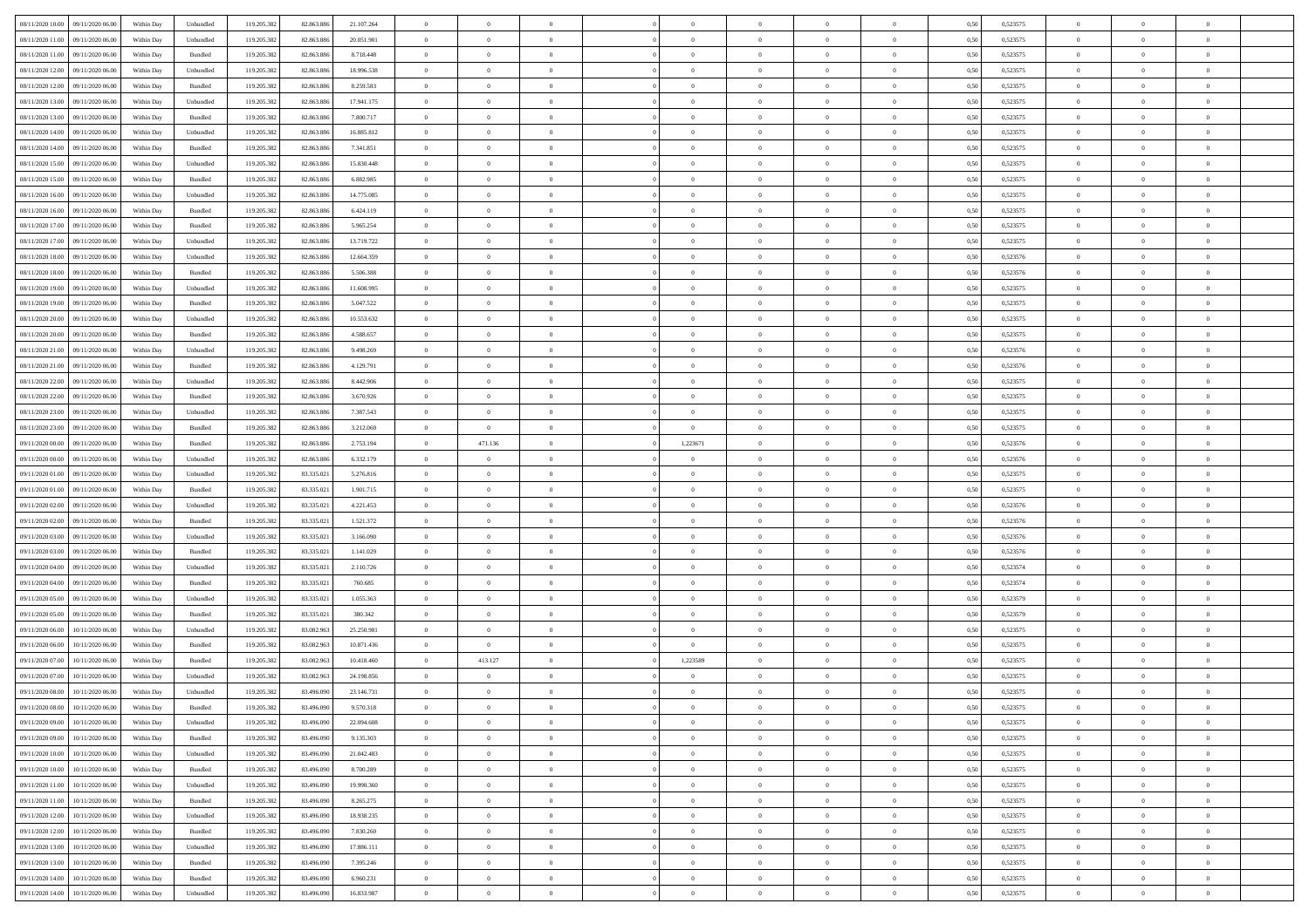| 08/11/2020 10:00 09/11/2020 06:00          | Within Day | Unbundled | 119.205.382 | 82.863.886 | 21.107.264 | $\overline{0}$ | $\overline{0}$ |                | $\overline{0}$ | $\theta$       |                | $\theta$       | 0,50 | 0,523575 | $\theta$       | $\theta$       | $\overline{0}$ |  |
|--------------------------------------------|------------|-----------|-------------|------------|------------|----------------|----------------|----------------|----------------|----------------|----------------|----------------|------|----------|----------------|----------------|----------------|--|
| 08/11/2020 11:00<br>09/11/2020 06.00       | Within Day | Unbundled | 119.205.38  | 82.863.88  | 20.051.901 | $\bf{0}$       | $\bf{0}$       | $\bf{0}$       | $\bf{0}$       | $\overline{0}$ | $\bf{0}$       | $\bf{0}$       | 0,50 | 0,523575 | $\,$ 0 $\,$    | $\bf{0}$       | $\overline{0}$ |  |
| 08/11/2020 11:00<br>09/11/2020 06.00       | Within Day | Bundled   | 119.205.382 | 82.863.88  | 8.718.448  | $\overline{0}$ | $\bf{0}$       | $\overline{0}$ | $\overline{0}$ | $\overline{0}$ | $\overline{0}$ | $\bf{0}$       | 0.50 | 0,523575 | $\overline{0}$ | $\,$ 0 $\,$    | $\bf{0}$       |  |
| 08/11/2020 12:00<br>09/11/2020 06:00       | Within Day | Unbundled | 119.205.382 | 82.863.886 | 18.996.538 | $\overline{0}$ | $\overline{0}$ | $\overline{0}$ | $\overline{0}$ | $\theta$       | $\overline{0}$ | $\bf{0}$       | 0,50 | 0,523575 | $\,$ 0 $\,$    | $\overline{0}$ | $\overline{0}$ |  |
| 08/11/2020 12:00<br>09/11/2020 06.00       | Within Day | Bundled   | 119.205.38  | 82.863.88  | 8.259.583  | $\bf{0}$       | $\bf{0}$       | $\bf{0}$       | $\overline{0}$ | $\bf{0}$       | $\overline{0}$ | $\bf{0}$       | 0,50 | 0,523575 | $\,$ 0 $\,$    | $\bf{0}$       | $\overline{0}$ |  |
|                                            |            |           |             |            |            |                |                |                |                |                |                |                |      |          |                |                |                |  |
| 08/11/2020 13:00<br>09/11/2020 06:00       | Within Day | Unbundled | 119,205.38  | 82.863.88  | 17.941.175 | $\overline{0}$ | $\bf{0}$       | $\overline{0}$ | $\bf{0}$       | $\overline{0}$ | $\overline{0}$ | $\bf{0}$       | 0.50 | 0.523575 | $\bf{0}$       | $\overline{0}$ | $\overline{0}$ |  |
| 08/11/2020 13:00<br>09/11/2020 06.00       | Within Day | Bundled   | 119.205.38  | 82.863.886 | 7.800.717  | $\bf{0}$       | $\bf{0}$       | $\overline{0}$ | $\overline{0}$ | $\overline{0}$ | $\overline{0}$ | $\bf{0}$       | 0,50 | 0,523575 | $\,$ 0 $\,$    | $\theta$       | $\overline{0}$ |  |
| 08/11/2020 14:00<br>09/11/2020 06.00       | Within Day | Unbundled | 119.205.38  | 82.863.88  | 16.885.812 | $\bf{0}$       | $\bf{0}$       | $\bf{0}$       | $\bf{0}$       | $\overline{0}$ | $\overline{0}$ | $\bf{0}$       | 0,50 | 0,523575 | $\,$ 0 $\,$    | $\bf{0}$       | $\overline{0}$ |  |
| 08/11/2020 14:00<br>09/11/2020 06:00       | Within Day | Bundled   | 119,205.38  | 82.863.88  | 7.341.851  | $\overline{0}$ | $\bf{0}$       | $\overline{0}$ | $\bf{0}$       | $\overline{0}$ | $\overline{0}$ | $\bf{0}$       | 0.50 | 0.523575 | $\bf{0}$       | $\overline{0}$ | $\overline{0}$ |  |
| 08/11/2020 15:00<br>09/11/2020 06:00       | Within Day | Unbundled | 119.205.382 | 82.863.886 | 15.830.448 | $\bf{0}$       | $\bf{0}$       | $\overline{0}$ | $\overline{0}$ | $\overline{0}$ | $\overline{0}$ | $\bf{0}$       | 0,50 | 0,523575 | $\,$ 0 $\,$    | $\,$ 0 $\,$    | $\overline{0}$ |  |
| 08/11/2020 15:00<br>09/11/2020 06.00       | Within Day | Bundled   | 119.205.38  | 82.863.88  | 6.882.985  | $\bf{0}$       | $\bf{0}$       | $\bf{0}$       | $\bf{0}$       | $\overline{0}$ | $\overline{0}$ | $\bf{0}$       | 0,50 | 0,523575 | $\,$ 0 $\,$    | $\bf{0}$       | $\overline{0}$ |  |
| 08/11/2020 16:00<br>09/11/2020 06.00       | Within Day | Unbundled | 119.205.382 | 82.863.88  | 14,775,085 | $\overline{0}$ | $\bf{0}$       | $\overline{0}$ | $\overline{0}$ | $\overline{0}$ | $\overline{0}$ | $\bf{0}$       | 0.50 | 0,523575 | $\bf{0}$       | $\,$ 0 $\,$    | $\,$ 0         |  |
| 08/11/2020 16:00<br>09/11/2020 06.00       | Within Day | Bundled   | 119.205.38  | 82.863.886 | 6.424.119  | $\overline{0}$ | $\overline{0}$ | $\overline{0}$ | $\theta$       | $\theta$       | $\overline{0}$ | $\bf{0}$       | 0,50 | 0,523575 | $\,$ 0 $\,$    | $\,$ 0 $\,$    | $\overline{0}$ |  |
|                                            |            |           |             |            |            |                |                |                |                |                |                |                |      |          |                |                |                |  |
| 08/11/2020 17:00<br>09/11/2020 06.00       | Within Day | Bundled   | 119.205.38  | 82.863.88  | 5.965.254  | $\bf{0}$       | $\bf{0}$       | $\bf{0}$       | $\bf{0}$       | $\bf{0}$       | $\overline{0}$ | $\bf{0}$       | 0,50 | 0,523575 | $\,$ 0 $\,$    | $\bf{0}$       | $\overline{0}$ |  |
| 08/11/2020 17.00<br>09/11/2020 06:00       | Within Day | Unbundled | 119.205.382 | 82.863.88  | 13.719.722 | $\overline{0}$ | $\bf{0}$       | $\overline{0}$ | $\bf{0}$       | $\overline{0}$ | $\overline{0}$ | $\bf{0}$       | 0.50 | 0.523575 | $\,$ 0 $\,$    | $\bf{0}$       | $\overline{0}$ |  |
| 08/11/2020 18:00<br>09/11/2020 06.00       | Within Day | Unbundled | 119.205.382 | 82.863.886 | 12.664.359 | $\overline{0}$ | $\bf{0}$       | $\overline{0}$ | $\overline{0}$ | $\overline{0}$ | $\overline{0}$ | $\bf{0}$       | 0,50 | 0,523576 | $\theta$       | $\theta$       | $\overline{0}$ |  |
| 08/11/2020 18:00<br>09/11/2020 06.00       | Within Day | Bundled   | 119.205.38  | 82.863.88  | 5.506.388  | $\bf{0}$       | $\bf{0}$       | $\bf{0}$       | $\overline{0}$ | $\overline{0}$ | $\overline{0}$ | $\bf{0}$       | 0,50 | 0,523576 | $\,$ 0 $\,$    | $\bf{0}$       | $\overline{0}$ |  |
| 08/11/2020 19:00<br>09/11/2020 06:00       | Within Day | Unbundled | 119,205.38  | 82.863.88  | 11.608.995 | $\overline{0}$ | $\bf{0}$       | $\overline{0}$ | $\bf{0}$       | $\overline{0}$ | $\overline{0}$ | $\bf{0}$       | 0.50 | 0.523575 | $\bf{0}$       | $\overline{0}$ | $\bf{0}$       |  |
| 08/11/2020 19:00<br>09/11/2020 06.00       | Within Day | Bundled   | 119.205.382 | 82.863.886 | 5.047.522  | $\bf{0}$       | $\bf{0}$       | $\overline{0}$ | $\overline{0}$ | $\overline{0}$ | $\overline{0}$ | $\bf{0}$       | 0,50 | 0,523575 | $\,$ 0 $\,$    | $\bf{0}$       | $\overline{0}$ |  |
| 08/11/2020 20:00<br>09/11/2020 06.00       | Within Day | Unbundled | 119.205.38  | 82.863.88  | 10.553.632 | $\bf{0}$       | $\bf{0}$       | $\bf{0}$       | $\bf{0}$       | $\overline{0}$ | $\overline{0}$ | $\bf{0}$       | 0,50 | 0,523575 | $\,$ 0 $\,$    | $\bf{0}$       | $\overline{0}$ |  |
|                                            |            |           |             |            |            |                |                |                |                |                |                |                |      |          |                |                |                |  |
| 08/11/2020 20:00<br>09/11/2020 06.00       | Within Day | Bundled   | 119.205.382 | 82,863,886 | 4.588.657  | $\overline{0}$ | $\bf{0}$       | $\overline{0}$ | $\overline{0}$ | $\overline{0}$ | $\overline{0}$ | $\bf{0}$       | 0.50 | 0,523575 | $\bf{0}$       | $\,$ 0 $\,$    | $\,$ 0         |  |
| 08/11/2020 21:00<br>09/11/2020 06:00       | Within Day | Unbundled | 119.205.38  | 82.863.886 | 9.498.269  | $\overline{0}$ | $\overline{0}$ | $\overline{0}$ | $\overline{0}$ | $\overline{0}$ | $\overline{0}$ | $\bf{0}$       | 0,50 | 0,523576 | $\,$ 0 $\,$    | $\overline{0}$ | $\overline{0}$ |  |
| 08/11/2020 21:00<br>09/11/2020 06.00       | Within Day | Bundled   | 119.205.38  | 82.863.88  | 4.129.791  | $\bf{0}$       | $\bf{0}$       | $\bf{0}$       | $\bf{0}$       | $\overline{0}$ | $\overline{0}$ | $\bf{0}$       | 0,50 | 0,523576 | $\,$ 0 $\,$    | $\bf{0}$       | $\overline{0}$ |  |
| 08/11/2020 22.00<br>09/11/2020 06:00       | Within Day | Unbundled | 119,205.38  | 82.863.88  | 8.442.906  | $\overline{0}$ | $\bf{0}$       | $\overline{0}$ | $\bf{0}$       | $\overline{0}$ | $\overline{0}$ | $\bf{0}$       | 0.50 | 0.523575 | $\bf{0}$       | $\overline{0}$ | $\overline{0}$ |  |
| 08/11/2020 22.00<br>09/11/2020 06.00       | Within Day | Bundled   | 119.205.382 | 82.863.886 | 3.670.926  | $\overline{0}$ | $\overline{0}$ | $\overline{0}$ | $\overline{0}$ | $\overline{0}$ | $\overline{0}$ | $\bf{0}$       | 0,50 | 0,523575 | $\,$ 0 $\,$    | $\theta$       | $\overline{0}$ |  |
| 08/11/2020 23.00<br>09/11/2020 06.00       | Within Day | Unbundled | 119.205.38  | 82.863.88  | 7.387.543  | $\bf{0}$       | $\bf{0}$       | $\bf{0}$       | $\bf{0}$       | $\overline{0}$ | $\overline{0}$ | $\bf{0}$       | 0,50 | 0,523575 | $\,$ 0 $\,$    | $\bf{0}$       | $\overline{0}$ |  |
| 08/11/2020 23.00<br>09/11/2020 06:00       | Within Day | Bundled   | 119,205.38  | 82.863.88  | 3.212.060  | $\overline{0}$ | $\overline{0}$ | $\overline{0}$ | $\bf{0}$       | $\overline{0}$ | $\overline{0}$ | $\bf{0}$       | 0.50 | 0.523575 | $\bf{0}$       | $\overline{0}$ | $\overline{0}$ |  |
| 09/11/2020 00:00                           |            |           | 119.205.382 |            |            | $\overline{0}$ | 471.136        | $\overline{0}$ | 1,223671       | $\overline{0}$ | $\overline{0}$ |                |      |          | $\,$ 0 $\,$    | $\bf{0}$       | $\overline{0}$ |  |
| 09/11/2020 06.00                           | Within Day | Bundled   |             | 82.863.886 | 2.753.194  |                |                |                |                |                |                | $\bf{0}$       | 0,50 | 0,523576 |                |                |                |  |
| 09/11/2020 00:00<br>09/11/2020 06.00       | Within Day | Unbundled | 119.205.38  | 82.863.88  | 6.332.179  | $\bf{0}$       | $\bf{0}$       | $\bf{0}$       | $\bf{0}$       | $\overline{0}$ | $\overline{0}$ | $\bf{0}$       | 0,50 | 0,523576 | $\,$ 0 $\,$    | $\bf{0}$       | $\overline{0}$ |  |
| 09/11/2020 01:00<br>09/11/2020 06.00       | Within Day | Unbundled | 119.205.382 | 83.335.02  | 5.276.816  | $\overline{0}$ | $\bf{0}$       | $\overline{0}$ | $\bf{0}$       | $\overline{0}$ | $\overline{0}$ | $\bf{0}$       | 0.50 | 0,523575 | $\bf{0}$       | $\,$ 0 $\,$    | $\,$ 0         |  |
| 09/11/2020 01:00<br>09/11/2020 06:00       | Within Day | Bundled   | 119.205.382 | 83.335.021 | 1.901.715  | $\overline{0}$ | $\overline{0}$ | $\overline{0}$ | $\overline{0}$ | $\overline{0}$ | $\overline{0}$ | $\bf{0}$       | 0.5( | 0,523575 | $\theta$       | $\theta$       | $\overline{0}$ |  |
| 09/11/2020 02.00<br>09/11/2020 06.00       | Within Day | Unbundled | 119.205.38  | 83.335.02  | 4.221.453  | $\bf{0}$       | $\bf{0}$       | $\bf{0}$       | $\bf{0}$       | $\overline{0}$ | $\overline{0}$ | $\bf{0}$       | 0,50 | 0,523576 | $\,$ 0 $\,$    | $\bf{0}$       | $\overline{0}$ |  |
| 09/11/2020 02.00<br>09/11/2020 06:00       | Within Day | Bundled   | 119.205.382 | 83.335.02  | 1.521.372  | $\overline{0}$ | $\bf{0}$       | $\overline{0}$ | $\bf{0}$       | $\overline{0}$ | $\overline{0}$ | $\bf{0}$       | 0.50 | 0.523576 | $\bf{0}$       | $\bf{0}$       | $\overline{0}$ |  |
| 09/11/2020 03:00<br>09/11/2020 06:00       | Within Dav | Unbundled | 119.205.382 | 83.335.021 | 3.166.090  | $\overline{0}$ | $\overline{0}$ | $\overline{0}$ | $\overline{0}$ | $\overline{0}$ | $\overline{0}$ | $\bf{0}$       | 0.50 | 0,523576 | $\theta$       | $\theta$       | $\overline{0}$ |  |
| 09/11/2020 03:00<br>09/11/2020 06.00       | Within Day | Bundled   | 119.205.38  | 83.335.02  | 1.141.029  | $\bf{0}$       | $\bf{0}$       | $\bf{0}$       | $\bf{0}$       | $\overline{0}$ | $\overline{0}$ | $\bf{0}$       | 0,50 | 0,523576 | $\,$ 0 $\,$    | $\bf{0}$       | $\overline{0}$ |  |
| 09/11/2020 04.00<br>09/11/2020 06:00       | Within Day | Unbundled | 119,205.38  | 83.335.02  | 2.110.726  | $\overline{0}$ | $\bf{0}$       | $\overline{0}$ | $\bf{0}$       | $\bf{0}$       | $\overline{0}$ | $\bf{0}$       | 0.50 | 0.523574 | $\bf{0}$       | $\overline{0}$ | $\bf{0}$       |  |
|                                            |            |           |             |            |            |                |                |                |                |                |                |                |      |          |                |                |                |  |
| 09/11/2020 04:00<br>09/11/2020 06:00       | Within Day | Bundled   | 119.205.38  | 83.335.021 | 760,685    | $\overline{0}$ | $\overline{0}$ | $\overline{0}$ | $\overline{0}$ | $\overline{0}$ | $\overline{0}$ | $\bf{0}$       | 0.50 | 0,523574 | $\theta$       | $\theta$       | $\overline{0}$ |  |
| 09/11/2020 05:00<br>09/11/2020 06.00       | Within Day | Unbundled | 119.205.38  | 83.335.021 | 1.055.363  | $\bf{0}$       | $\bf{0}$       | $\bf{0}$       | $\bf{0}$       | $\overline{0}$ | $\bf{0}$       | $\bf{0}$       | 0,50 | 0,523579 | $\,$ 0 $\,$    | $\bf{0}$       | $\overline{0}$ |  |
| 09/11/2020 05:00<br>09/11/2020 06.00       | Within Day | Bundled   | 119.205.382 | 83.335.02  | 380,342    | $\overline{0}$ | $\bf{0}$       | $\overline{0}$ | $\overline{0}$ | $\bf{0}$       | $\overline{0}$ | $\bf{0}$       | 0.50 | 0,523579 | $\,$ 0 $\,$    | $\,$ 0 $\,$    | $\,$ 0         |  |
| 09/11/2020 06:00<br>10/11/2020 06:00       | Within Day | Unbundled | 119.205.382 | 83.082.963 | 25.250.981 | $\overline{0}$ | $\overline{0}$ | $\overline{0}$ | $\overline{0}$ | $\overline{0}$ | $\overline{0}$ | $\bf{0}$       | 0.5( | 0,523575 | $\theta$       | $\theta$       | $\overline{0}$ |  |
| 09/11/2020 06.00<br>10/11/2020 06.00       | Within Day | Bundled   | 119.205.38  | 83.082.96  | 10.871.436 | $\bf{0}$       | $\bf{0}$       | $\bf{0}$       | $\overline{0}$ | $\overline{0}$ | $\overline{0}$ | $\bf{0}$       | 0,50 | 0,523575 | $\,$ 0 $\,$    | $\bf{0}$       | $\overline{0}$ |  |
| 09/11/2020 07.00<br>10/11/2020 06.00       | Within Day | Bundled   | 119.205.382 | 83,082.963 | 10.418.460 | $\overline{0}$ | 413.127        | $\overline{0}$ | 1,223589       | $\overline{0}$ | $\overline{0}$ | $\bf{0}$       | 0.50 | 0,523575 | $\bf{0}$       | $\bf{0}$       | $\overline{0}$ |  |
| 09/11/2020 07:00<br>10/11/2020 06.00       | Within Dav | Unbundled | 119.205.38  | 83,082.96  | 24.198.856 | $\overline{0}$ | $\overline{0}$ | $\overline{0}$ | $\overline{0}$ | $\theta$       | $\overline{0}$ | $\overline{0}$ | 0.5( | 0,523575 | $\theta$       | $\theta$       | $\overline{0}$ |  |
| 09/11/2020 08:00<br>10/11/2020 06.00       | Within Day | Unbundled | 119.205.38  | 83.496.090 | 23.146.731 | $\bf{0}$       | $\bf{0}$       | $\bf{0}$       | $\bf{0}$       | $\overline{0}$ | $\overline{0}$ | $\bf{0}$       | 0,50 | 0,523575 | $\overline{0}$ | $\overline{0}$ | $\overline{0}$ |  |
| $09/11/2020~08.00 \qquad 10/11/2020~06.00$ | Within Day | Bundled   | 119.205.382 | 83.496.090 | 9.570.318  | $\bf{0}$       | $\bf{0}$       |                | $\overline{0}$ | $\bf{0}$       |                | $\bf{0}$       | 0,50 | 0,523575 | $\bf{0}$       | $\,$ 0         |                |  |
|                                            |            |           |             |            |            |                |                |                |                |                |                |                |      |          |                |                |                |  |
| 09/11/2020 09:00 10/11/2020 06:00          | Within Day | Unbundled | 119.205.382 | 83.496.090 | 22.094.608 | $\overline{0}$ | $\theta$       | $\Omega$       | $\theta$       | $\overline{0}$ | $\overline{0}$ | $\bf{0}$       | 0,50 | 0,523575 | $\theta$       | $\theta$       | $\overline{0}$ |  |
| 09/11/2020 09:00<br>10/11/2020 06.00       | Within Day | Bundled   | 119.205.38  | 83.496.090 | 9.135.303  | $\overline{0}$ | $\bf{0}$       | $\overline{0}$ | $\overline{0}$ | $\bf{0}$       | $\overline{0}$ | $\bf{0}$       | 0,50 | 0,523575 | $\bf{0}$       | $\overline{0}$ | $\bf{0}$       |  |
| 09/11/2020 10:00 10/11/2020 06:00          | Within Day | Unbundled | 119.205.382 | 83,496,090 | 21.042.483 | $\overline{0}$ | $\bf{0}$       | $\overline{0}$ | $\overline{0}$ | $\overline{0}$ | $\overline{0}$ | $\,$ 0 $\,$    | 0.50 | 0,523575 | $\overline{0}$ | $\bf{0}$       | $\,$ 0 $\,$    |  |
| 09/11/2020 10:00 10/11/2020 06:00          | Within Dav | Bundled   | 119.205.382 | 83.496.090 | 8.700.289  | $\overline{0}$ | $\overline{0}$ | $\overline{0}$ | $\overline{0}$ | $\overline{0}$ | $\overline{0}$ | $\bf{0}$       | 0.50 | 0,523575 | $\theta$       | $\theta$       | $\overline{0}$ |  |
| 09/11/2020 11:00<br>10/11/2020 06.00       | Within Day | Unbundled | 119.205.382 | 83.496.090 | 19.990.360 | $\overline{0}$ | $\bf{0}$       | $\overline{0}$ | $\bf{0}$       | $\overline{0}$ | $\bf{0}$       | $\bf{0}$       | 0,50 | 0,523575 | $\bf{0}$       | $\bf{0}$       | $\overline{0}$ |  |
| 09/11/2020 11:00<br>10/11/2020 06:00       | Within Day | Bundled   | 119.205.382 | 83,496,090 | 8.265.275  | $\overline{0}$ | $\bf{0}$       | $\overline{0}$ | $\overline{0}$ | $\overline{0}$ | $\overline{0}$ | $\bf{0}$       | 0.50 | 0.523575 | $\,$ 0 $\,$    | $\theta$       | $\overline{0}$ |  |
| 09/11/2020 12:00<br>10/11/2020 06:00       | Within Dav | Unbundled | 119.205.382 | 83.496.090 | 18.938.235 | $\overline{0}$ | $\overline{0}$ | $\overline{0}$ | $\overline{0}$ | $\overline{0}$ | $\overline{0}$ | $\bf{0}$       | 0.50 | 0,523575 | $\overline{0}$ | $\theta$       | $\overline{0}$ |  |
|                                            |            |           |             |            |            |                |                |                |                |                |                |                |      |          |                |                |                |  |
| 09/11/2020 12:00<br>10/11/2020 06.00       | Within Day | Bundled   | 119.205.38  | 83.496.090 | 7.830.260  | $\overline{0}$ | $\overline{0}$ | $\overline{0}$ | $\overline{0}$ | $\overline{0}$ | $\overline{0}$ | $\bf{0}$       | 0,50 | 0,523575 | $\bf{0}$       | $\bf{0}$       | $\overline{0}$ |  |
| 10/11/2020 06:00<br>09/11/2020 13:00       | Within Day | Unbundled | 119.205.38  | 83,496,090 | 17,886,111 | $\overline{0}$ | $\overline{0}$ | $\overline{0}$ | $\overline{0}$ | $\bf{0}$       | $\overline{0}$ | $\bf{0}$       | 0.50 | 0.523575 | $\overline{0}$ | $\,$ 0 $\,$    | $\,$ 0         |  |
| 09/11/2020 13:00<br>10/11/2020 06:00       | Within Dav | Bundled   | 119.205.382 | 83.496.090 | 7.395.246  | $\overline{0}$ | $\overline{0}$ | $\overline{0}$ | $\overline{0}$ | $\overline{0}$ | $\overline{0}$ | $\bf{0}$       | 0,50 | 0,523575 | $\overline{0}$ | $\theta$       | $\overline{0}$ |  |
| 09/11/2020 14:00<br>10/11/2020 06.00       | Within Day | Bundled   | 119.205.38  | 83.496.090 | 6.960.231  | $\overline{0}$ | $\bf{0}$       | $\overline{0}$ | $\bf{0}$       | $\overline{0}$ | $\bf{0}$       | $\bf{0}$       | 0,50 | 0,523575 | $\bf{0}$       | $\bf{0}$       | $\overline{0}$ |  |
| 09/11/2020 14:00 10/11/2020 06:00          | Within Day | Unbundled | 119.205.382 | 83.496.090 | 16.833.987 | $\overline{0}$ | $\bf{0}$       | $\overline{0}$ | $\overline{0}$ | $\,$ 0 $\,$    | $\overline{0}$ | $\bf{0}$       | 0,50 | 0,523575 | $\overline{0}$ | $\,$ 0 $\,$    | $\,$ 0 $\,$    |  |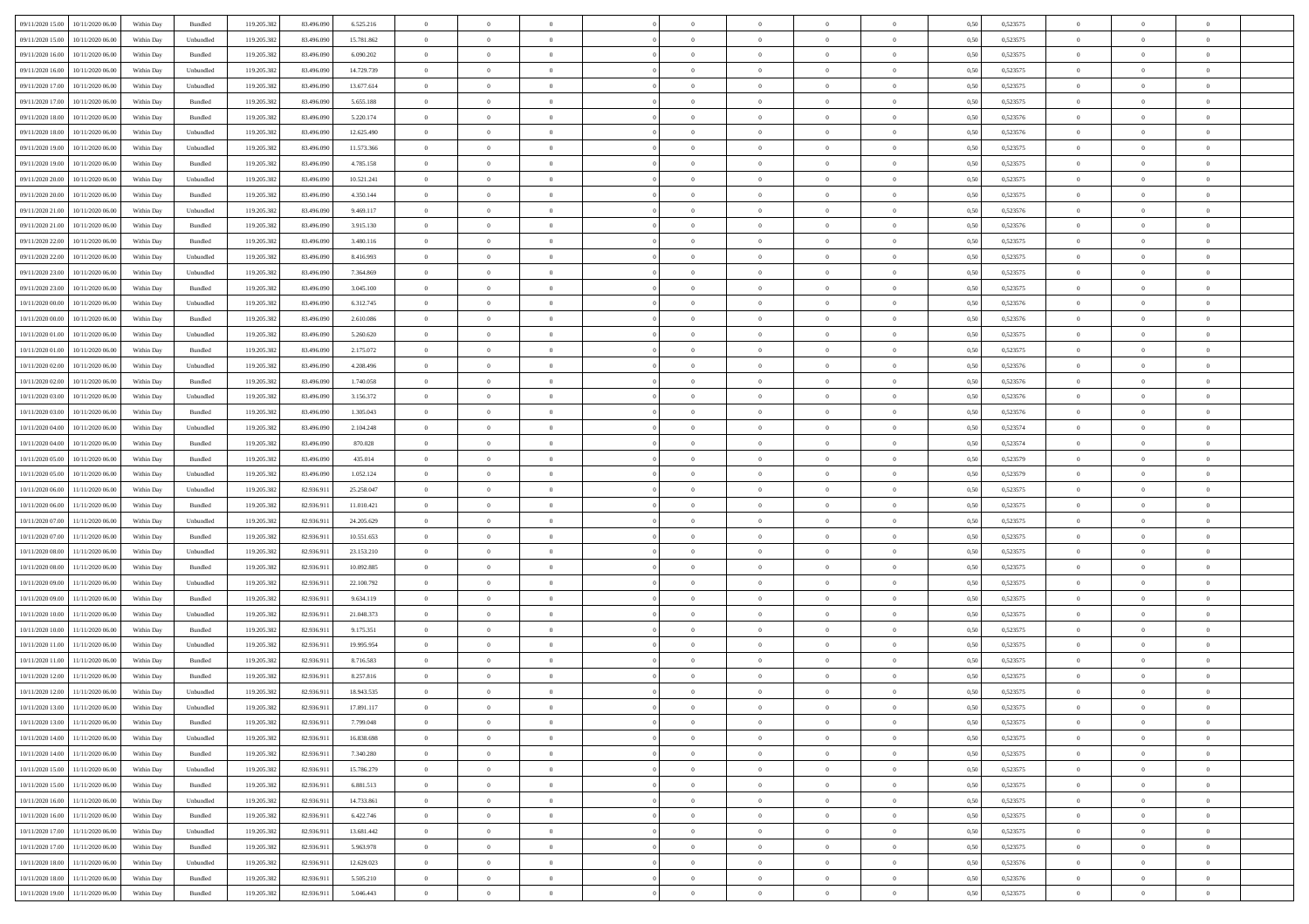| 09/11/2020 15:00 10/11/2020 06:00    | Within Day | Bundled                     | 119.205.382 | 83.496.090 | 6.525.216  | $\overline{0}$ | $\overline{0}$ |                | $\overline{0}$ | $\theta$       |                | $\theta$       | 0,50 | 0,523575 | $\theta$       | $\theta$       | $\overline{0}$ |  |
|--------------------------------------|------------|-----------------------------|-------------|------------|------------|----------------|----------------|----------------|----------------|----------------|----------------|----------------|------|----------|----------------|----------------|----------------|--|
| 09/11/2020 15:00<br>10/11/2020 06.00 | Within Day | Unbundled                   | 119.205.38  | 83.496.09  | 15.781.862 | $\bf{0}$       | $\bf{0}$       | $\bf{0}$       | $\bf{0}$       | $\overline{0}$ | $\overline{0}$ | $\bf{0}$       | 0,50 | 0,523575 | $\,$ 0 $\,$    | $\bf{0}$       | $\overline{0}$ |  |
| 09/11/2020 16.00<br>10/11/2020 06:00 | Within Day | Bundled                     | 119.205.382 | 83,496,090 | 6.090.202  | $\overline{0}$ | $\bf{0}$       | $\overline{0}$ | $\bf{0}$       | $\bf{0}$       | $\overline{0}$ | $\bf{0}$       | 0.50 | 0,523575 | $\bf{0}$       | $\overline{0}$ | $\overline{0}$ |  |
|                                      |            |                             |             |            |            | $\overline{0}$ | $\overline{0}$ | $\overline{0}$ | $\overline{0}$ | $\theta$       | $\overline{0}$ |                |      |          | $\,$ 0 $\,$    | $\,$ 0 $\,$    | $\overline{0}$ |  |
| 09/11/2020 16:00<br>10/11/2020 06.00 | Within Day | Unbundled                   | 119.205.382 | 83.496.090 | 14.729.739 |                |                |                |                |                |                | $\bf{0}$       | 0,50 | 0,523575 |                |                |                |  |
| 09/11/2020 17.00<br>10/11/2020 06.00 | Within Day | Unbundled                   | 119.205.38  | 83.496.090 | 13.677.614 | $\bf{0}$       | $\overline{0}$ | $\bf{0}$       | $\overline{0}$ | $\bf{0}$       | $\overline{0}$ | $\bf{0}$       | 0,50 | 0,523575 | $\,$ 0 $\,$    | $\bf{0}$       | $\overline{0}$ |  |
| 09/11/2020 17.00<br>10/11/2020 06.00 | Within Day | Bundled                     | 119.205.382 | 83,496,090 | 5.655.188  | $\overline{0}$ | $\bf{0}$       | $\overline{0}$ | $\bf{0}$       | $\overline{0}$ | $\overline{0}$ | $\bf{0}$       | 0.50 | 0.523575 | $\,$ 0 $\,$    | $\theta$       | $\overline{0}$ |  |
| 09/11/2020 18:00<br>10/11/2020 06.00 | Within Day | Bundled                     | 119.205.382 | 83.496.090 | 5.220.174  | $\bf{0}$       | $\overline{0}$ | $\overline{0}$ | $\overline{0}$ | $\overline{0}$ | $\overline{0}$ | $\bf{0}$       | 0,50 | 0,523576 | $\,$ 0 $\,$    | $\theta$       | $\overline{0}$ |  |
|                                      |            |                             |             |            |            |                |                |                |                |                |                |                |      |          |                |                |                |  |
| 09/11/2020 18:00<br>10/11/2020 06.00 | Within Day | Unbundled                   | 119.205.38  | 83.496.090 | 12.625.490 | $\bf{0}$       | $\bf{0}$       | $\bf{0}$       | $\overline{0}$ | $\overline{0}$ | $\overline{0}$ | $\bf{0}$       | 0,50 | 0,523576 | $\,$ 0 $\,$    | $\bf{0}$       | $\overline{0}$ |  |
| 09/11/2020 19:00<br>10/11/2020 06:00 | Within Day | Unbundled                   | 119,205.38  | 83,496,090 | 11.573.366 | $\overline{0}$ | $\bf{0}$       | $\overline{0}$ | $\bf{0}$       | $\overline{0}$ | $\overline{0}$ | $\bf{0}$       | 0.50 | 0.523575 | $\bf{0}$       | $\overline{0}$ | $\overline{0}$ |  |
| 09/11/2020 19:00<br>10/11/2020 06.00 | Within Day | Bundled                     | 119.205.382 | 83.496.090 | 4.785.158  | $\bf{0}$       | $\bf{0}$       | $\overline{0}$ | $\overline{0}$ | $\overline{0}$ | $\overline{0}$ | $\bf{0}$       | 0,50 | 0,523575 | $\,$ 0 $\,$    | $\bf{0}$       | $\overline{0}$ |  |
| 09/11/2020 20:00<br>10/11/2020 06.00 | Within Day | Unbundled                   | 119.205.38  | 83.496.090 | 10.521.241 | $\bf{0}$       | $\bf{0}$       | $\bf{0}$       | $\bf{0}$       | $\overline{0}$ | $\overline{0}$ | $\bf{0}$       | 0,50 | 0,523575 | $\,$ 0 $\,$    | $\bf{0}$       | $\overline{0}$ |  |
|                                      |            |                             |             |            |            |                |                |                |                |                |                |                |      |          |                |                |                |  |
| 09/11/2020 20.00<br>10/11/2020 06.00 | Within Day | Bundled                     | 119.205.382 | 83,496,090 | 4.350.144  | $\overline{0}$ | $\bf{0}$       | $\overline{0}$ | $\overline{0}$ | $\bf{0}$       | $\overline{0}$ | $\bf{0}$       | 0.50 | 0,523575 | $\bf{0}$       | $\overline{0}$ | $\,$ 0         |  |
| 09/11/2020 21.00<br>10/11/2020 06.00 | Within Day | Unbundled                   | 119.205.38  | 83.496.090 | 9.469.117  | $\overline{0}$ | $\overline{0}$ | $\overline{0}$ | $\theta$       | $\theta$       | $\overline{0}$ | $\bf{0}$       | 0,50 | 0,523576 | $\,$ 0 $\,$    | $\theta$       | $\overline{0}$ |  |
| 09/11/2020 21.00<br>10/11/2020 06.00 | Within Day | Bundled                     | 119.205.38  | 83.496.090 | 3.915.130  | $\bf{0}$       | $\bf{0}$       | $\bf{0}$       | $\bf{0}$       | $\bf{0}$       | $\overline{0}$ | $\bf{0}$       | 0,50 | 0,523576 | $\,$ 0 $\,$    | $\bf{0}$       | $\overline{0}$ |  |
|                                      |            |                             |             |            |            |                |                |                |                |                |                |                |      |          |                |                |                |  |
| 09/11/2020 22.00<br>10/11/2020 06.00 | Within Day | Bundled                     | 119.205.382 | 83,496,090 | 3.480.116  | $\overline{0}$ | $\bf{0}$       | $\overline{0}$ | $\bf{0}$       | $\overline{0}$ | $\overline{0}$ | $\bf{0}$       | 0.50 | 0.523575 | $\,$ 0 $\,$    | $\bf{0}$       | $\overline{0}$ |  |
| 09/11/2020 22.00<br>10/11/2020 06.00 | Within Day | Unbundled                   | 119.205.382 | 83.496.090 | 8.416.993  | $\overline{0}$ | $\overline{0}$ | $\overline{0}$ | $\overline{0}$ | $\overline{0}$ | $\overline{0}$ | $\bf{0}$       | 0,50 | 0,523575 | $\theta$       | $\theta$       | $\overline{0}$ |  |
| 09/11/2020 23.00<br>10/11/2020 06.00 | Within Day | Unbundled                   | 119.205.38  | 83.496.090 | 7.364.869  | $\bf{0}$       | $\bf{0}$       | $\bf{0}$       | $\overline{0}$ | $\overline{0}$ | $\overline{0}$ | $\bf{0}$       | 0,50 | 0,523575 | $\,$ 0 $\,$    | $\bf{0}$       | $\overline{0}$ |  |
| 09/11/2020 23.00<br>10/11/2020 06:00 | Within Day | Bundled                     | 119,205.38  | 83,496,090 | 3.045.100  | $\overline{0}$ | $\bf{0}$       | $\overline{0}$ | $\bf{0}$       | $\overline{0}$ | $\overline{0}$ | $\bf{0}$       | 0.50 | 0.523575 | $\bf{0}$       | $\overline{0}$ | $\overline{0}$ |  |
| 10/11/2020 00:00<br>10/11/2020 06.00 | Within Day | Unbundled                   | 119.205.382 | 83.496.090 | 6.312.745  | $\bf{0}$       | $\bf{0}$       | $\overline{0}$ | $\overline{0}$ | $\overline{0}$ | $\overline{0}$ | $\bf{0}$       | 0,50 | 0,523576 | $\,$ 0 $\,$    | $\bf{0}$       | $\overline{0}$ |  |
|                                      |            |                             |             |            |            |                |                |                |                |                |                |                |      |          |                |                |                |  |
| 10/11/2020 00:00<br>10/11/2020 06.00 | Within Day | Bundled                     | 119.205.38  | 83.496.090 | 2.610.086  | $\bf{0}$       | $\bf{0}$       | $\bf{0}$       | $\bf{0}$       | $\overline{0}$ | $\overline{0}$ | $\bf{0}$       | 0,50 | 0,523576 | $\,$ 0 $\,$    | $\bf{0}$       | $\overline{0}$ |  |
| 10/11/2020 01:00<br>10/11/2020 06.00 | Within Day | Unbundled                   | 119.205.382 | 83,496,090 | 5.260.620  | $\overline{0}$ | $\bf{0}$       | $\overline{0}$ | $\overline{0}$ | $\bf{0}$       | $\overline{0}$ | $\bf{0}$       | 0.50 | 0,523575 | $\bf{0}$       | $\overline{0}$ | $\,$ 0         |  |
| 10/11/2020 01:00<br>10/11/2020 06:00 | Within Day | Bundled                     | 119.205.382 | 83.496.090 | 2.175.072  | $\overline{0}$ | $\overline{0}$ | $\overline{0}$ | $\theta$       | $\theta$       | $\overline{0}$ | $\bf{0}$       | 0,50 | 0,523575 | $\,$ 0 $\,$    | $\theta$       | $\overline{0}$ |  |
|                                      |            |                             |             |            |            |                | $\bf{0}$       |                |                | $\overline{0}$ | $\overline{0}$ |                |      |          | $\,$ 0 $\,$    | $\bf{0}$       | $\overline{0}$ |  |
| 10/11/2020 02.00<br>10/11/2020 06.00 | Within Day | Unbundled                   | 119.205.38  | 83.496.090 | 4.208.496  | $\bf{0}$       |                | $\bf{0}$       | $\bf{0}$       |                |                | $\bf{0}$       | 0,50 | 0,523576 |                |                |                |  |
| 10/11/2020 02:00<br>10/11/2020 06.00 | Within Day | Bundled                     | 119,205.38  | 83,496,090 | 1.740.058  | $\overline{0}$ | $\bf{0}$       | $\overline{0}$ | $\bf{0}$       | $\overline{0}$ | $\overline{0}$ | $\bf{0}$       | 0.50 | 0.523576 | $\bf{0}$       | $\theta$       | $\overline{0}$ |  |
| 10/11/2020 03:00<br>10/11/2020 06.00 | Within Day | Unbundled                   | 119.205.382 | 83.496.090 | 3.156.372  | $\overline{0}$ | $\overline{0}$ | $\overline{0}$ | $\overline{0}$ | $\overline{0}$ | $\overline{0}$ | $\bf{0}$       | 0,50 | 0,523576 | $\,$ 0 $\,$    | $\theta$       | $\overline{0}$ |  |
| 10/11/2020 03:00<br>10/11/2020 06.00 | Within Day | Bundled                     | 119.205.38  | 83.496.090 | 1.305.043  | $\bf{0}$       | $\overline{0}$ | $\bf{0}$       | $\overline{0}$ | $\bf{0}$       | $\overline{0}$ | $\bf{0}$       | 0,50 | 0,523576 | $\,$ 0 $\,$    | $\bf{0}$       | $\overline{0}$ |  |
| 10/11/2020 04:00<br>10/11/2020 06:00 | Within Day | Unbundled                   | 119,205.38  | 83,496,090 | 2.104.248  | $\overline{0}$ | $\bf{0}$       | $\overline{0}$ | $\bf{0}$       | $\overline{0}$ | $\overline{0}$ | $\bf{0}$       | 0.50 | 0.523574 | $\bf{0}$       | $\overline{0}$ | $\overline{0}$ |  |
|                                      |            |                             |             |            |            |                |                |                |                |                |                |                |      |          |                |                |                |  |
| 10/11/2020 04:00<br>10/11/2020 06.00 | Within Day | Bundled                     | 119.205.382 | 83.496.090 | 870.028    | $\overline{0}$ | $\bf{0}$       | $\overline{0}$ | $\overline{0}$ | $\overline{0}$ | $\overline{0}$ | $\bf{0}$       | 0,50 | 0,523574 | $\,$ 0 $\,$    | $\bf{0}$       | $\overline{0}$ |  |
| 10/11/2020 05:00<br>10/11/2020 06.00 | Within Day | Bundled                     | 119.205.38  | 83.496.090 | 435.014    | $\bf{0}$       | $\bf{0}$       | $\bf{0}$       | $\bf{0}$       | $\overline{0}$ | $\overline{0}$ | $\bf{0}$       | 0,50 | 0,523579 | $\,$ 0 $\,$    | $\bf{0}$       | $\overline{0}$ |  |
| 10/11/2020 05:00<br>10/11/2020 06:00 | Within Day | Unbundled                   | 119.205.382 | 83,496,090 | 1.052.124  | $\overline{0}$ | $\bf{0}$       | $\overline{0}$ | $\overline{0}$ | $\bf{0}$       | $\overline{0}$ | $\bf{0}$       | 0.50 | 0,523579 | $\bf{0}$       | $\,$ 0 $\,$    | $\,$ 0         |  |
| 10/11/2020 06:00<br>11/11/2020 06.00 | Within Day | Unbundled                   | 119.205.38  | 82.936.911 | 25.258.047 | $\overline{0}$ | $\overline{0}$ | $\overline{0}$ | $\overline{0}$ | $\overline{0}$ | $\overline{0}$ | $\bf{0}$       | 0.5( | 0,523575 | $\theta$       | $\theta$       | $\overline{0}$ |  |
|                                      |            |                             |             |            |            |                |                |                |                |                |                |                |      |          |                |                |                |  |
| 10/11/2020 06:00<br>11/11/2020 06.00 | Within Day | Bundled                     | 119.205.38  | 82.936.91  | 11.010.421 | $\bf{0}$       | $\bf{0}$       | $\bf{0}$       | $\bf{0}$       | $\overline{0}$ | $\overline{0}$ | $\bf{0}$       | 0,50 | 0,523575 | $\,$ 0 $\,$    | $\bf{0}$       | $\overline{0}$ |  |
| 10/11/2020 07:00<br>11/11/2020 06.00 | Within Day | Unbundled                   | 119.205.382 | 82.936.91  | 24.205.629 | $\overline{0}$ | $\bf{0}$       | $\overline{0}$ | $\bf{0}$       | $\overline{0}$ | $\overline{0}$ | $\bf{0}$       | 0.50 | 0.523575 | $\bf{0}$       | $\bf{0}$       | $\overline{0}$ |  |
| 10/11/2020 07.00<br>11/11/2020 06.00 | Within Dav | Bundled                     | 119.205.382 | 82.936.911 | 10.551.653 | $\overline{0}$ | $\overline{0}$ | $\overline{0}$ | $\overline{0}$ | $\overline{0}$ | $\overline{0}$ | $\bf{0}$       | 0.50 | 0,523575 | $\theta$       | $\theta$       | $\overline{0}$ |  |
| 10/11/2020 08:00<br>11/11/2020 06.00 | Within Day | Unbundled                   | 119.205.38  | 82.936.91  | 23.153.210 | $\bf{0}$       | $\bf{0}$       | $\bf{0}$       | $\bf{0}$       | $\overline{0}$ | $\overline{0}$ | $\bf{0}$       | 0,50 | 0,523575 | $\,$ 0 $\,$    | $\bf{0}$       | $\overline{0}$ |  |
|                                      |            |                             |             |            |            |                |                |                |                |                |                |                |      |          |                |                |                |  |
| 10/11/2020 08:00<br>11/11/2020 06:00 | Within Day | Bundled                     | 119,205.38  | 82.936.91  | 10.092.885 | $\overline{0}$ | $\bf{0}$       | $\overline{0}$ | $\bf{0}$       | $\overline{0}$ | $\overline{0}$ | $\bf{0}$       | 0.50 | 0.523575 | $\bf{0}$       | $\overline{0}$ | $\overline{0}$ |  |
| 10/11/2020 09:00<br>11/11/2020 06.00 | Within Day | Unbundled                   | 119.205.38  | 82.936.911 | 22.100.792 | $\overline{0}$ | $\overline{0}$ | $\overline{0}$ | $\overline{0}$ | $\overline{0}$ | $\overline{0}$ | $\bf{0}$       | 0.50 | 0,523575 | $\theta$       | $\theta$       | $\overline{0}$ |  |
| 10/11/2020 09:00<br>11/11/2020 06.00 | Within Day | Bundled                     | 119.205.38  | 82.936.91  | 9.634.119  | $\bf{0}$       | $\bf{0}$       | $\bf{0}$       | $\bf{0}$       | $\overline{0}$ | $\overline{0}$ | $\bf{0}$       | 0,50 | 0,523575 | $\,$ 0 $\,$    | $\bf{0}$       | $\overline{0}$ |  |
| 10/11/2020 10:00<br>11/11/2020 06.00 | Within Day | Unbundled                   | 119.205.382 | 82.936.911 | 21.048.373 | $\overline{0}$ | $\bf{0}$       | $\overline{0}$ | $\overline{0}$ | $\bf{0}$       | $\overline{0}$ | $\bf{0}$       | 0.50 | 0,523575 | $\,$ 0 $\,$    | $\overline{0}$ | $\overline{0}$ |  |
| 11/11/2020 06:00                     | Within Day | Bundled                     | 119.205.382 | 82.936.911 | 9.175.351  | $\overline{0}$ | $\overline{0}$ | $\overline{0}$ | $\overline{0}$ | $\overline{0}$ | $\overline{0}$ | $\bf{0}$       | 0.5( | 0,523575 | $\theta$       | $\theta$       | $\overline{0}$ |  |
| 10/11/2020 10:00                     |            |                             |             |            |            |                |                |                |                |                |                |                |      |          |                |                |                |  |
| 10/11/2020 11:00<br>11/11/2020 06.00 | Within Day | Unbundled                   | 119.205.38  | 82.936.91  | 19.995.954 | $\bf{0}$       | $\bf{0}$       | $\bf{0}$       | $\bf{0}$       | $\overline{0}$ | $\overline{0}$ | $\bf{0}$       | 0,50 | 0,523575 | $\,$ 0 $\,$    | $\bf{0}$       | $\overline{0}$ |  |
| 10/11/2020 11:00<br>11/11/2020 06.00 | Within Day | Bundled                     | 119.205.382 | 82.936.911 | 8.716.583  | $\overline{0}$ | $\bf{0}$       | $\overline{0}$ | $\bf{0}$       | $\overline{0}$ | $\overline{0}$ | $\bf{0}$       | 0.50 | 0,523575 | $\bf{0}$       | $\bf{0}$       | $\overline{0}$ |  |
| 10/11/2020 12:00<br>11/11/2020 06.00 | Within Dav | Bundled                     | 119.205.38  | 82.936.911 | 8.257.816  | $\overline{0}$ | $\overline{0}$ | $\overline{0}$ | $\theta$       | $\theta$       | $\overline{0}$ | $\overline{0}$ | 0.5( | 0,523575 | $\theta$       | $\theta$       | $\overline{0}$ |  |
| 10/11/2020 12:00<br>11/11/2020 06.00 | Within Day | Unbundled                   | 119.205.382 | 82.936.91  | 18.943.535 | $\bf{0}$       | $\bf{0}$       | $\bf{0}$       | $\bf{0}$       | $\bf{0}$       | $\overline{0}$ | $\bf{0}$       | 0,50 | 0,523575 | $\,$ 0 $\,$    | $\bf{0}$       | $\overline{0}$ |  |
|                                      |            |                             |             |            |            |                |                |                |                |                |                |                |      |          |                |                |                |  |
| 10/11/2020 13:00 11/11/2020 06:00    | Within Day | $\ensuremath{\mathsf{Unb}}$ | 119.205.382 | 82.936.911 | 17.891.117 | $\bf{0}$       | $\theta$       |                | $\overline{0}$ | $\Omega$       |                |                | 0,50 | 0,523575 | $\bf{0}$       | $\bf{0}$       |                |  |
| 10/11/2020 13:00 11/11/2020 06:00    | Within Day | Bundled                     | 119.205.382 | 82.936.911 | 7.799.048  | $\overline{0}$ | $\theta$       | $\Omega$       | $\theta$       | $\overline{0}$ | $\overline{0}$ | $\bf{0}$       | 0,50 | 0,523575 | $\theta$       | $\theta$       | $\overline{0}$ |  |
| 10/11/2020 14:00<br>11/11/2020 06.00 | Within Day | Unbundled                   | 119.205.38  | 82.936.91  | 16.838.698 | $\overline{0}$ | $\bf{0}$       | $\overline{0}$ | $\overline{0}$ | $\bf{0}$       | $\overline{0}$ | $\bf{0}$       | 0,50 | 0,523575 | $\bf{0}$       | $\overline{0}$ | $\bf{0}$       |  |
| 10/11/2020 14:00 11/11/2020 06:00    | Within Day | Bundled                     | 119.205.382 | 82.936.911 | 7.340.280  | $\overline{0}$ | $\bf{0}$       | $\overline{0}$ | $\overline{0}$ | $\overline{0}$ | $\overline{0}$ | $\,$ 0 $\,$    | 0.50 | 0,523575 | $\overline{0}$ | $\bf{0}$       | $\,$ 0 $\,$    |  |
|                                      |            |                             |             |            |            |                |                |                |                |                |                |                |      |          |                |                |                |  |
| 10/11/2020 15:00 11/11/2020 06:00    | Within Dav | Unbundled                   | 119.205.382 | 82.936.911 | 15.786.279 | $\overline{0}$ | $\overline{0}$ | $\overline{0}$ | $\overline{0}$ | $\overline{0}$ | $\overline{0}$ | $\bf{0}$       | 0.50 | 0,523575 | $\overline{0}$ | $\theta$       | $\overline{0}$ |  |
| 10/11/2020 15:00<br>11/11/2020 06.00 | Within Day | Bundled                     | 119.205.382 | 82.936.911 | 6.881.513  | $\overline{0}$ | $\bf{0}$       | $\overline{0}$ | $\bf{0}$       | $\overline{0}$ | $\bf{0}$       | $\bf{0}$       | 0,50 | 0,523575 | $\bf{0}$       | $\overline{0}$ | $\overline{0}$ |  |
| 11/11/2020 06:00<br>10/11/2020 16:00 | Within Day | Unbundled                   | 119.205.382 | 82.936.911 | 14,733,861 | $\overline{0}$ | $\bf{0}$       | $\overline{0}$ | $\overline{0}$ | $\overline{0}$ | $\overline{0}$ | $\bf{0}$       | 0.50 | 0.523575 | $\,$ 0 $\,$    | $\theta$       | $\,$ 0         |  |
| 10/11/2020 16:00<br>11/11/2020 06:00 | Within Dav | Bundled                     | 119.205.382 | 82.936.911 | 6.422.746  | $\overline{0}$ | $\overline{0}$ | $\overline{0}$ | $\overline{0}$ | $\overline{0}$ | $\overline{0}$ | $\bf{0}$       | 0.50 | 0,523575 | $\overline{0}$ | $\theta$       | $\overline{0}$ |  |
|                                      |            |                             |             |            |            |                |                |                |                |                |                |                |      |          |                |                |                |  |
| 10/11/2020 17:00<br>11/11/2020 06.00 | Within Day | Unbundled                   | 119.205.38  | 82.936.911 | 13.681.442 | $\overline{0}$ | $\overline{0}$ | $\overline{0}$ | $\overline{0}$ | $\overline{0}$ | $\overline{0}$ | $\bf{0}$       | 0,50 | 0,523575 | $\bf{0}$       | $\overline{0}$ | $\overline{0}$ |  |
| 11/11/2020 06:00<br>10/11/2020 17.00 | Within Day | Bundled                     | 119.205.38  | 82.936.91  | 5.963.978  | $\overline{0}$ | $\overline{0}$ | $\overline{0}$ | $\overline{0}$ | $\bf{0}$       | $\overline{0}$ | $\bf{0}$       | 0.50 | 0.523575 | $\mathbf{0}$   | $\,$ 0 $\,$    | $\,$ 0         |  |
| 10/11/2020 18:00 11/11/2020 06:00    | Within Dav | Unbundled                   | 119.205.382 | 82.936.911 | 12.629.023 | $\overline{0}$ | $\overline{0}$ | $\overline{0}$ | $\overline{0}$ | $\overline{0}$ | $\overline{0}$ | $\bf{0}$       | 0,50 | 0,523576 | $\overline{0}$ | $\theta$       | $\overline{0}$ |  |
| 10/11/2020 18:00<br>11/11/2020 06.00 | Within Day | Bundled                     | 119.205.38  | 82.936.911 | 5.505.210  | $\overline{0}$ | $\bf{0}$       | $\overline{0}$ | $\bf{0}$       | $\overline{0}$ | $\bf{0}$       | $\bf{0}$       | 0,50 | 0,523576 | $\bf{0}$       | $\bf{0}$       | $\overline{0}$ |  |
|                                      |            |                             |             |            |            |                |                |                |                |                |                |                |      |          |                |                |                |  |
| 10/11/2020 19:00 11/11/2020 06:00    | Within Day | Bundled                     | 119.205.382 | 82.936.911 | 5.046.443  | $\,$ 0 $\,$    | $\bf{0}$       | $\overline{0}$ | $\overline{0}$ | $\,$ 0 $\,$    | $\overline{0}$ | $\bf{0}$       | 0,50 | 0,523575 | $\overline{0}$ | $\,$ 0 $\,$    | $\,$ 0 $\,$    |  |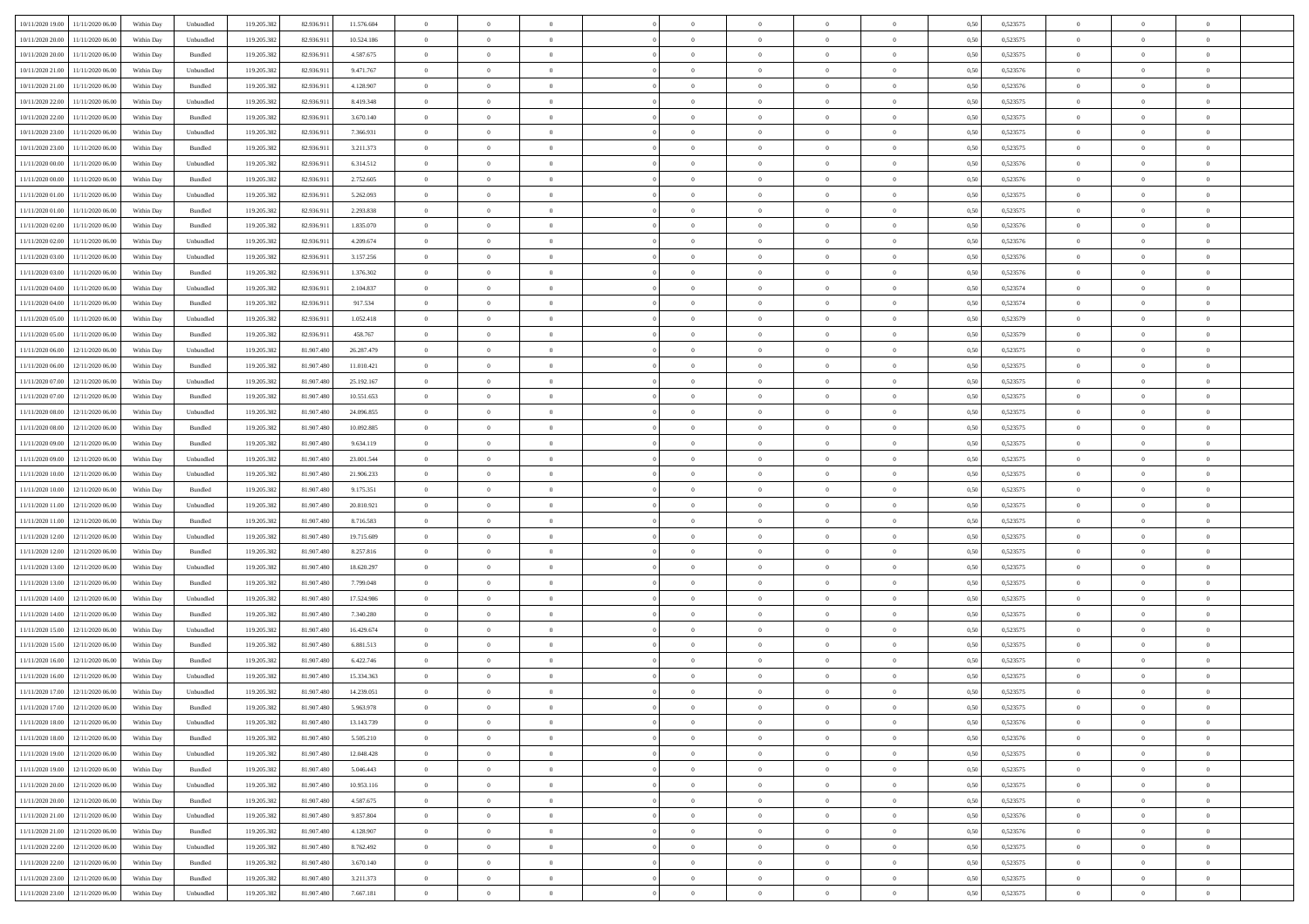| 10/11/2020 19:00                  | 11/11/2020 06:00                  | Within Day | Unbundled          | 119.205.382 | 82.936.911 | 11.576.604 | $\overline{0}$ | $\theta$       |                | $\overline{0}$ | $\bf{0}$       | $\overline{0}$ | $\theta$       | 0,50 | 0,523575 | $\theta$       | $\theta$       | $\theta$                 |  |
|-----------------------------------|-----------------------------------|------------|--------------------|-------------|------------|------------|----------------|----------------|----------------|----------------|----------------|----------------|----------------|------|----------|----------------|----------------|--------------------------|--|
| 10/11/2020 20.00                  | 11/11/2020 06.00                  | Within Day | Unbundled          | 119.205.382 | 82.936.91  | 10.524.186 | $\overline{0}$ | $\theta$       | $\overline{0}$ | $\overline{0}$ | $\,$ 0         | $\bf{0}$       | $\bf{0}$       | 0,50 | 0,523575 | $\,$ 0 $\,$    | $\overline{0}$ | $\overline{0}$           |  |
|                                   |                                   |            |                    |             |            |            |                |                |                |                |                |                |                |      |          |                |                |                          |  |
| 10/11/2020 20:00                  | 11/11/2020 06:00                  | Within Day | Bundled            | 119.205.382 | 82.936.911 | 4.587.675  | $\overline{0}$ | $\bf{0}$       | $\overline{0}$ | $\overline{0}$ | $\bf{0}$       | $\overline{0}$ | $\mathbf{0}$   | 0.50 | 0,523575 | $\bf{0}$       | $\overline{0}$ | $\overline{0}$           |  |
| 10/11/2020 21:00                  | 11/11/2020 06.00                  | Within Day | Unbundled          | 119.205.382 | 82.936.911 | 9.471.767  | $\overline{0}$ | $\overline{0}$ | $\overline{0}$ | $\overline{0}$ | $\,$ 0         | $\overline{0}$ | $\overline{0}$ | 0,50 | 0,523576 | $\,$ 0 $\,$    | $\overline{0}$ | $\overline{0}$           |  |
| 10/11/2020 21:00                  | 11/11/2020 06.00                  | Within Day | Bundled            | 119.205.382 | 82.936.911 | 4.128.907  | $\overline{0}$ | $\theta$       | $\overline{0}$ |                | $\bf{0}$       | $\overline{0}$ | $\bf{0}$       | 0,50 | 0,523576 | $\,$ 0 $\,$    | $\overline{0}$ | $\overline{0}$           |  |
| 10/11/2020 22.00                  | 11/11/2020 06:00                  | Within Day | Unbundled          | 119.205.382 | 82.936.911 | 8.419.348  | $\overline{0}$ | $\overline{0}$ | $\overline{0}$ | $\overline{0}$ | $\bf{0}$       | $\overline{0}$ | $\bf{0}$       | 0.50 | 0,523575 | $\,0\,$        | $\theta$       | $\overline{0}$           |  |
| 10/11/2020 22.00                  | 11/11/2020 06.00                  | Within Day | Bundled            | 119.205.382 | 82.936.911 | 3.670.140  | $\overline{0}$ | $\overline{0}$ | $\overline{0}$ | $\overline{0}$ | $\,$ 0         | $\overline{0}$ | $\overline{0}$ | 0,50 | 0,523575 | $\,$ 0 $\,$    | $\theta$       | $\overline{0}$           |  |
| 10/11/2020 23.00                  | 11/11/2020 06.00                  | Within Day | Unbundled          | 119.205.382 | 82.936.91  | 7.366.931  | $\overline{0}$ | $\theta$       | $\overline{0}$ |                | $\,$ 0         | $\overline{0}$ | $\bf{0}$       | 0,50 | 0,523575 | $\,$ 0 $\,$    | $\overline{0}$ | $\overline{0}$           |  |
| 10/11/2020 23.00                  | 11/11/2020 06:00                  | Within Day | Bundled            | 119.205.382 | 82.936.91  | 3.211.373  | $\overline{0}$ | $\overline{0}$ | $\overline{0}$ | $\overline{0}$ | $\bf{0}$       | $\overline{0}$ | $\bf{0}$       | 0.50 | 0.523575 | $\,0\,$        | $\overline{0}$ | $\overline{0}$           |  |
| 11/11/2020 00.00                  | 11/11/2020 06.00                  | Within Day | Unbundled          | 119.205.382 | 82.936.911 | 6.314.512  | $\overline{0}$ | $\overline{0}$ | $\overline{0}$ | $\overline{0}$ | $\bf{0}$       | $\overline{0}$ | $\bf{0}$       | 0,50 | 0,523576 | $\,$ 0 $\,$    | $\overline{0}$ | $\overline{0}$           |  |
| 11/11/2020 00.00                  | 11/11/2020 06.00                  | Within Day | Bundled            | 119.205.382 | 82.936.911 | 2.752.605  | $\bf{0}$       | $\theta$       | $\overline{0}$ | $\overline{0}$ | $\,$ 0         | $\overline{0}$ | $\bf{0}$       | 0,50 | 0,523576 | $\,$ 0 $\,$    | $\overline{0}$ | $\overline{0}$           |  |
|                                   | 11/11/2020 06:00                  |            |                    |             |            |            | $\overline{0}$ | $\bf{0}$       |                | $\overline{0}$ | $\bf{0}$       | $\overline{0}$ |                | 0.50 |          | $\,$ 0 $\,$    | $\overline{0}$ | $\overline{\phantom{a}}$ |  |
| 11/11/2020 01:00                  |                                   | Within Day | Unbundled          | 119.205.382 | 82.936.911 | 5.262.093  |                |                | $\overline{0}$ |                |                |                | $\mathbf{0}$   |      | 0,523575 |                |                |                          |  |
| 11/11/2020 01:00                  | 11/11/2020 06.00                  | Within Day | Bundled            | 119.205.382 | 82.936.911 | 2.293.838  | $\overline{0}$ | $\overline{0}$ | $\overline{0}$ | $\overline{0}$ | $\,$ 0         | $\overline{0}$ | $\overline{0}$ | 0,50 | 0,523575 | $\,$ 0 $\,$    | $\overline{0}$ | $\overline{0}$           |  |
| 11/11/2020 02.00                  | 11/11/2020 06.00                  | Within Day | Bundled            | 119.205.382 | 82.936.91  | 1.835.070  | $\overline{0}$ | $\theta$       | $\overline{0}$ |                | $\bf{0}$       | $\overline{0}$ | $\bf{0}$       | 0,50 | 0,523576 | $\,$ 0 $\,$    | $\overline{0}$ | $\overline{0}$           |  |
| 11/11/2020 02:00                  | 11/11/2020 06.00                  | Within Day | Unbundled          | 119.205.382 | 82.936.911 | 4.209.674  | $\overline{0}$ | $\overline{0}$ | $\overline{0}$ | $\overline{0}$ | $\,$ 0         | $\overline{0}$ | $\bf{0}$       | 0.50 | 0.523576 | $\,0\,$        | $\theta$       | $\overline{0}$           |  |
| 11/11/2020 03.00                  | 11/11/2020 06.00                  | Within Day | Unbundled          | 119.205.382 | 82.936.911 | 3.157.256  | $\overline{0}$ | $\overline{0}$ | $\overline{0}$ | $\overline{0}$ | $\,$ 0         | $\overline{0}$ | $\overline{0}$ | 0,50 | 0,523576 | $\,0\,$        | $\theta$       | $\overline{0}$           |  |
| 11/11/2020 03.00                  | 11/11/2020 06.00                  | Within Day | Bundled            | 119.205.382 | 82.936.911 | 1.376.302  | $\overline{0}$ | $\theta$       | $\overline{0}$ |                | $\,$ 0         | $\overline{0}$ | $\bf{0}$       | 0,50 | 0,523576 | $\,$ 0 $\,$    | $\overline{0}$ | $\overline{0}$           |  |
| 11/11/2020 04:00                  | 11/11/2020 06:00                  | Within Day | Unbundled          | 119.205.382 | 82.936.91  | 2.104.837  | $\overline{0}$ | $\overline{0}$ | $\overline{0}$ | $\overline{0}$ | $\bf{0}$       | $\overline{0}$ | $\bf{0}$       | 0.50 | 0.523574 | $\,0\,$        | $\overline{0}$ | $\overline{\phantom{a}}$ |  |
| 11/11/2020 04:00                  | 11/11/2020 06.00                  | Within Day | Bundled            | 119.205.382 | 82.936.911 | 917.534    | $\overline{0}$ | $\overline{0}$ | $\overline{0}$ | $\overline{0}$ | $\,$ 0         | $\overline{0}$ | $\bf{0}$       | 0,50 | 0,523574 | $\,$ 0 $\,$    | $\overline{0}$ | $\overline{0}$           |  |
| 11/11/2020 05:00                  | 11/11/2020 06.00                  | Within Day | Unbundled          | 119.205.382 | 82.936.911 | 1.052.418  | $\bf{0}$       | $\,$ 0 $\,$    | $\overline{0}$ | $\overline{0}$ | $\,$ 0         | $\bf{0}$       | $\bf{0}$       | 0,50 | 0,523579 | $\,$ 0 $\,$    | $\overline{0}$ | $\overline{0}$           |  |
| 11/11/2020 05:00                  | 11/11/2020 06:00                  | Within Day | Bundled            | 119.205.382 | 82.936.911 | 458.767    | $\overline{0}$ | $\overline{0}$ | $\overline{0}$ | $\overline{0}$ | $\bf{0}$       | $\overline{0}$ | $\mathbf{0}$   | 0.50 | 0,523579 | $\,$ 0 $\,$    | $\overline{0}$ | $\overline{\phantom{a}}$ |  |
| 11/11/2020 06.00                  | 12/11/2020 06.00                  | Within Day | Unbundled          | 119.205.382 | 81.907.480 | 26.287.479 | $\overline{0}$ | $\overline{0}$ | $\overline{0}$ | $\overline{0}$ | $\,$ 0         | $\overline{0}$ | $\overline{0}$ | 0,50 | 0,523575 | $\,$ 0 $\,$    | $\overline{0}$ | $\overline{0}$           |  |
| 11/11/2020 06.00                  | 12/11/2020 06.00                  | Within Day | Bundled            | 119.205.382 | 81.907.480 | 11.010.421 | $\overline{0}$ | $\theta$       | $\overline{0}$ | $\overline{0}$ | $\,$ 0         | $\overline{0}$ | $\bf{0}$       | 0,50 | 0,523575 | $\,$ 0 $\,$    | $\overline{0}$ | $\overline{0}$           |  |
|                                   |                                   |            |                    |             |            |            |                |                |                |                |                |                |                |      |          |                |                |                          |  |
| 11/11/2020 07:00                  | 12/11/2020 06:00                  | Within Day | Unbundled          | 119.205.382 | 81.907.480 | 25.192.167 | $\overline{0}$ | $\overline{0}$ | $\overline{0}$ | $\overline{0}$ | $\bf{0}$       | $\overline{0}$ | $\bf{0}$       | 0.50 | 0,523575 | $\,0\,$        | $\theta$       | $\overline{0}$           |  |
| 11/11/2020 07.00                  | 12/11/2020 06.00                  | Within Day | Bundled            | 119.205.382 | 81.907.480 | 10.551.653 | $\overline{0}$ | $\overline{0}$ | $\overline{0}$ | $\overline{0}$ | $\,$ 0         | $\overline{0}$ | $\overline{0}$ | 0,50 | 0,523575 | $\,0\,$        | $\theta$       | $\overline{0}$           |  |
| 11/11/2020 08:00                  | 12/11/2020 06.00                  | Within Day | Unbundled          | 119.205.382 | 81.907.480 | 24.096.855 | $\overline{0}$ | $\theta$       | $\overline{0}$ |                | $\,$ 0         | $\overline{0}$ | $\bf{0}$       | 0,50 | 0,523575 | $\,$ 0 $\,$    | $\overline{0}$ | $\overline{0}$           |  |
| 11/11/2020 08:00                  | 12/11/2020 06:00                  | Within Day | Bundled            | 119.205.382 | 81.907.480 | 10.092.885 | $\overline{0}$ | $\overline{0}$ | $\overline{0}$ | $\overline{0}$ | $\bf{0}$       | $\overline{0}$ | $\bf{0}$       | 0.50 | 0.523575 | $\,0\,$        | $\overline{0}$ | $\overline{0}$           |  |
| 11/11/2020 09:00                  | 12/11/2020 06.00                  | Within Day | Bundled            | 119.205.382 | 81.907.480 | 9.634.119  | $\overline{0}$ | $\overline{0}$ | $\overline{0}$ | $\overline{0}$ | $\bf{0}$       | $\overline{0}$ | $\bf{0}$       | 0,50 | 0,523575 | $\,$ 0 $\,$    | $\overline{0}$ | $\overline{0}$           |  |
| 11/11/2020 09:00                  | 12/11/2020 06.00                  | Within Day | Unbundled          | 119.205.382 | 81.907.480 | 23.001.544 | $\bf{0}$       | $\overline{0}$ | $\overline{0}$ | $\overline{0}$ | $\,$ 0         | $\bf{0}$       | $\bf{0}$       | 0,50 | 0,523575 | $\,$ 0 $\,$    | $\overline{0}$ | $\overline{0}$           |  |
| 11/11/2020 10:00                  | 12/11/2020 06:00                  | Within Day | Unbundled          | 119.205.382 | 81.907.480 | 21.906.233 | $\overline{0}$ | $\bf{0}$       | $\overline{0}$ | $\overline{0}$ | $\bf{0}$       | $\overline{0}$ | $\mathbf{0}$   | 0.50 | 0,523575 | $\,$ 0 $\,$    | $\overline{0}$ | $\overline{\phantom{a}}$ |  |
| 11/11/2020 10:00                  | 12/11/2020 06:00                  | Within Dav | Bundled            | 119.205.382 | 81.907.480 | 9.175.351  | $\overline{0}$ | $\overline{0}$ | $\overline{0}$ | $\overline{0}$ | $\overline{0}$ | $\overline{0}$ | $\overline{0}$ | 0.50 | 0,523575 | $\theta$       | $\overline{0}$ | $\overline{0}$           |  |
| 11/11/2020 11:00                  | 12/11/2020 06.00                  | Within Day | Unbundled          | 119.205.382 | 81.907.480 | 20.810.921 | $\overline{0}$ | $\theta$       | $\overline{0}$ |                | $\,$ 0         | $\overline{0}$ | $\bf{0}$       | 0,50 | 0,523575 | $\,$ 0 $\,$    | $\overline{0}$ | $\overline{0}$           |  |
| 11/11/2020 11:00                  | 12/11/2020 06.00                  | Within Day | Bundled            | 119.205.382 | 81.907.480 | 8.716.583  | $\overline{0}$ | $\overline{0}$ | $\overline{0}$ | $\overline{0}$ | $\bf{0}$       | $\overline{0}$ | $\bf{0}$       | 0.50 | 0,523575 | $\,0\,$        | $\overline{0}$ | $\overline{0}$           |  |
| 11/11/2020 12:00                  | 12/11/2020 06:00                  | Within Dav | Unbundled          | 119.205.382 | 81.907.480 | 19.715.609 | $\overline{0}$ | $\theta$       | $\Omega$       | $\Omega$       | $\mathbf{0}$   | $\overline{0}$ | $\overline{0}$ | 0.50 | 0,523575 | $\theta$       | $\overline{0}$ | $\overline{0}$           |  |
| 11/11/2020 12:00                  | 12/11/2020 06.00                  | Within Day | Bundled            | 119.205.382 | 81.907.480 | 8.257.816  | $\overline{0}$ | $\theta$       | $\overline{0}$ |                | $\,$ 0         | $\overline{0}$ | $\bf{0}$       | 0,50 | 0,523575 | $\,$ 0 $\,$    | $\overline{0}$ | $\overline{0}$           |  |
|                                   |                                   |            |                    |             |            |            |                |                |                |                |                |                |                |      |          |                |                |                          |  |
| 11/11/2020 13:00                  | 12/11/2020 06:00                  | Within Day | Unbundled          | 119.205.382 | 81.907.480 | 18.620.297 | $\overline{0}$ | $\overline{0}$ | $\overline{0}$ | $\overline{0}$ | $\bf{0}$       | $\overline{0}$ | $\bf{0}$       | 0.50 | 0.523575 | $\,0\,$        | $\overline{0}$ | $\overline{0}$           |  |
| 11/11/2020 13:00                  | 12/11/2020 06.00                  | Within Dav | Bundled            | 119.205.382 | 81.907.480 | 7.799.048  | $\overline{0}$ | $\overline{0}$ | $\overline{0}$ | $\overline{0}$ | $\overline{0}$ | $\overline{0}$ | $\overline{0}$ | 0.50 | 0,523575 | $\theta$       | $\overline{0}$ | $\overline{0}$           |  |
| 11/11/2020 14:00                  | 12/11/2020 06.00                  | Within Day | Unbundled          | 119.205.382 | 81.907.480 | 17.524.986 | $\bf{0}$       | $\overline{0}$ | $\overline{0}$ | $\overline{0}$ | $\bf{0}$       | $\bf{0}$       | $\bf{0}$       | 0,50 | 0,523575 | $\,$ 0 $\,$    | $\overline{0}$ | $\overline{0}$           |  |
| 11/11/2020 14:00                  | 12/11/2020 06:00                  | Within Day | Bundled            | 119.205.382 | 81.907.480 | 7,340,280  | $\overline{0}$ | $\overline{0}$ | $\overline{0}$ | $\overline{0}$ | $\bf{0}$       | $\overline{0}$ | $\mathbf{0}$   | 0.50 | 0,523575 | $\,$ 0 $\,$    | $\overline{0}$ | $\overline{0}$           |  |
| 11/11/2020 15:00                  | 12/11/2020 06:00                  | Within Dav | Unbundled          | 119.205.382 | 81.907.480 | 16.429.674 | $\overline{0}$ | $\overline{0}$ | $\Omega$       | $\Omega$       | $\mathbf{0}$   | $\overline{0}$ | $\mathbf{0}$   | 0.50 | 0,523575 | $\theta$       | $\overline{0}$ | $\overline{0}$           |  |
| 11/11/2020 15:00                  | 12/11/2020 06.00                  | Within Day | Bundled            | 119.205.382 | 81.907.480 | 6.881.513  | $\overline{0}$ | $\,$ 0 $\,$    | $\overline{0}$ | $\overline{0}$ | $\,$ 0         | $\overline{0}$ | $\bf{0}$       | 0,50 | 0,523575 | $\,$ 0 $\,$    | $\overline{0}$ | $\overline{0}$           |  |
| 11/11/2020 16:00                  | 12/11/2020 06.00                  | Within Day | Bundled            | 119.205.382 | 81.907.480 | 6.422.746  | $\overline{0}$ | $\overline{0}$ | $\overline{0}$ | $\overline{0}$ | $\bf{0}$       | $\overline{0}$ | $\bf{0}$       | 0.50 | 0,523575 | $\,0\,$        | $\theta$       | $\overline{0}$           |  |
| 11/11/2020 16:00                  | 12/11/2020 06:00                  | Within Dav | Unbundled          | 119.205.382 | 81.907.480 | 15.334.363 | $\overline{0}$ | $\Omega$       | $\Omega$       | $\Omega$       | $\bf{0}$       | $\overline{0}$ | $\overline{0}$ | 0.50 | 0,523575 | $\theta$       | $\overline{0}$ | $\overline{0}$           |  |
| 11/11/2020 17:00                  | 12/11/2020 06.00                  | Within Day | Unbundled          | 119.205.382 | 81.907.480 | 14.239.051 | $\overline{0}$ | $\,$ 0 $\,$    | $\overline{0}$ | $\bf{0}$       | $\,$ 0         | $\bf{0}$       | $\bf{0}$       | 0,50 | 0,523575 | $\,$ 0 $\,$    | $\overline{0}$ | $\overline{0}$           |  |
| 11/11/2020 17:00                  | 12/11/2020 06:00                  | Within Day | $\mathbf B$ undled | 119.205.382 | 81.907.480 | 5.963.978  | $\bf{0}$       | $\bf{0}$       |                |                |                |                |                | 0,50 | 0,523575 | $\bf{0}$       | $\theta$       |                          |  |
| 11/11/2020 18:00 12/11/2020 06:00 |                                   | Within Day | Unbundled          | 119.205.382 | 81.907.480 | 13.143.739 | $\Omega$       | $\overline{0}$ | $\overline{0}$ | $\Omega$       | $\mathbf{0}$   | $\overline{0}$ | $\mathbf{0}$   | 0.50 | 0,523576 | $\theta$       | $\theta$       | $\overline{0}$           |  |
| 11/11/2020 18:00                  | 12/11/2020 06.00                  | Within Day | Bundled            | 119.205.382 | 81.907.480 | 5.505.210  | $\overline{0}$ | $\overline{0}$ | $\overline{0}$ | $\bf{0}$       | $\overline{0}$ | $\overline{0}$ | $\mathbf{0}$   | 0,50 | 0,523576 | $\overline{0}$ | $\overline{0}$ | $\bf{0}$                 |  |
|                                   |                                   |            |                    |             |            |            |                |                |                |                |                |                |                |      |          |                |                |                          |  |
| 11/11/2020 19:00                  | 12/11/2020 06.00                  | Within Day | Unbundled          | 119.205.382 | 81.907.480 | 12.048.428 | $\overline{0}$ | $\overline{0}$ | $\overline{0}$ | $\overline{0}$ | $\bf{0}$       | $\overline{0}$ | $\mathbf{0}$   | 0.50 | 0,523575 | $\overline{0}$ | $\bf{0}$       | $\bf{0}$                 |  |
| 11/11/2020 19:00                  | 12/11/2020 06:00                  | Within Dav | Bundled            | 119.205.382 | 81.907.480 | 5.046.443  | $\overline{0}$ | $\overline{0}$ | $\overline{0}$ | $\overline{0}$ | $\mathbf{0}$   | $\overline{0}$ | $\overline{0}$ | 0.50 | 0,523575 | $\overline{0}$ | $\theta$       | $\overline{0}$           |  |
| 11/11/2020 20.00                  | 12/11/2020 06.00                  | Within Day | Unbundled          | 119.205.382 | 81.907.480 | 10.953.116 | $\bf{0}$       | $\overline{0}$ | $\overline{0}$ | $\overline{0}$ | $\bf{0}$       | $\overline{0}$ | $\bf{0}$       | 0,50 | 0,523575 | $\bf{0}$       | $\overline{0}$ | $\overline{0}$           |  |
| 11/11/2020 20:00                  | 12/11/2020 06.00                  | Within Day | Bundled            | 119.205.382 | 81.907.480 | 4.587.675  | $\overline{0}$ | $\overline{0}$ | $\overline{0}$ | $\overline{0}$ | $\bf{0}$       | $\overline{0}$ | $\mathbf{0}$   | 0.50 | 0.523575 | $\,$ 0 $\,$    | $\theta$       | $\overline{0}$           |  |
| 11/11/2020 21:00                  | 12/11/2020 06:00                  | Within Day | Unbundled          | 119.205.382 | 81.907.480 | 9.857.804  | $\overline{0}$ | $\overline{0}$ | $\overline{0}$ | $\overline{0}$ | $\overline{0}$ | $\overline{0}$ | $\overline{0}$ | 0,50 | 0,523576 | $\overline{0}$ | $\theta$       | $\overline{0}$           |  |
| 11/11/2020 21.00                  | 12/11/2020 06.00                  | Within Day | Bundled            | 119.205.382 | 81.907.480 | 4.128.907  | $\overline{0}$ | $\,$ 0         | $\overline{0}$ | $\bf{0}$       | $\,$ 0 $\,$    | $\overline{0}$ | $\bf{0}$       | 0,50 | 0,523576 | $\,$ 0 $\,$    | $\overline{0}$ | $\,$ 0                   |  |
| 11/11/2020 22.00                  | 12/11/2020 06.00                  | Within Day | Unbundled          | 119.205.382 | 81.907.480 | 8.762.492  | $\overline{0}$ | $\overline{0}$ | $\overline{0}$ | $\overline{0}$ | $\bf{0}$       | $\overline{0}$ | $\mathbf{0}$   | 0.50 | 0.523575 | $\mathbf{0}$   | $\,$ 0 $\,$    | $\overline{0}$           |  |
| 11/11/2020 22.00                  | 12/11/2020 06:00                  | Within Dav | Bundled            | 119.205.382 | 81.907.480 | 3.670.140  | $\overline{0}$ | $\overline{0}$ | $\overline{0}$ | $\overline{0}$ | $\overline{0}$ | $\overline{0}$ | $\overline{0}$ | 0,50 | 0,523575 | $\overline{0}$ | $\theta$       | $\overline{0}$           |  |
| 11/11/2020 23.00                  | 12/11/2020 06.00                  | Within Day | Bundled            | 119.205.382 | 81.907.480 | 3.211.373  | $\overline{0}$ | $\overline{0}$ | $\overline{0}$ | $\bf{0}$       | $\bf{0}$       | $\bf{0}$       | $\bf{0}$       | 0,50 | 0,523575 | $\bf{0}$       | $\,0\,$        | $\bf{0}$                 |  |
|                                   | 11/11/2020 23:00 12/11/2020 06:00 | Within Day | Unbundled          | 119.205.382 | 81.907.480 | 7.667.181  | $\overline{0}$ | $\overline{0}$ | $\overline{0}$ | $\overline{0}$ | $\bf{0}$       | $\overline{0}$ | $\,$ 0 $\,$    | 0,50 | 0,523575 | $\overline{0}$ | $\,$ 0 $\,$    | $\,$ 0 $\,$              |  |
|                                   |                                   |            |                    |             |            |            |                |                |                |                |                |                |                |      |          |                |                |                          |  |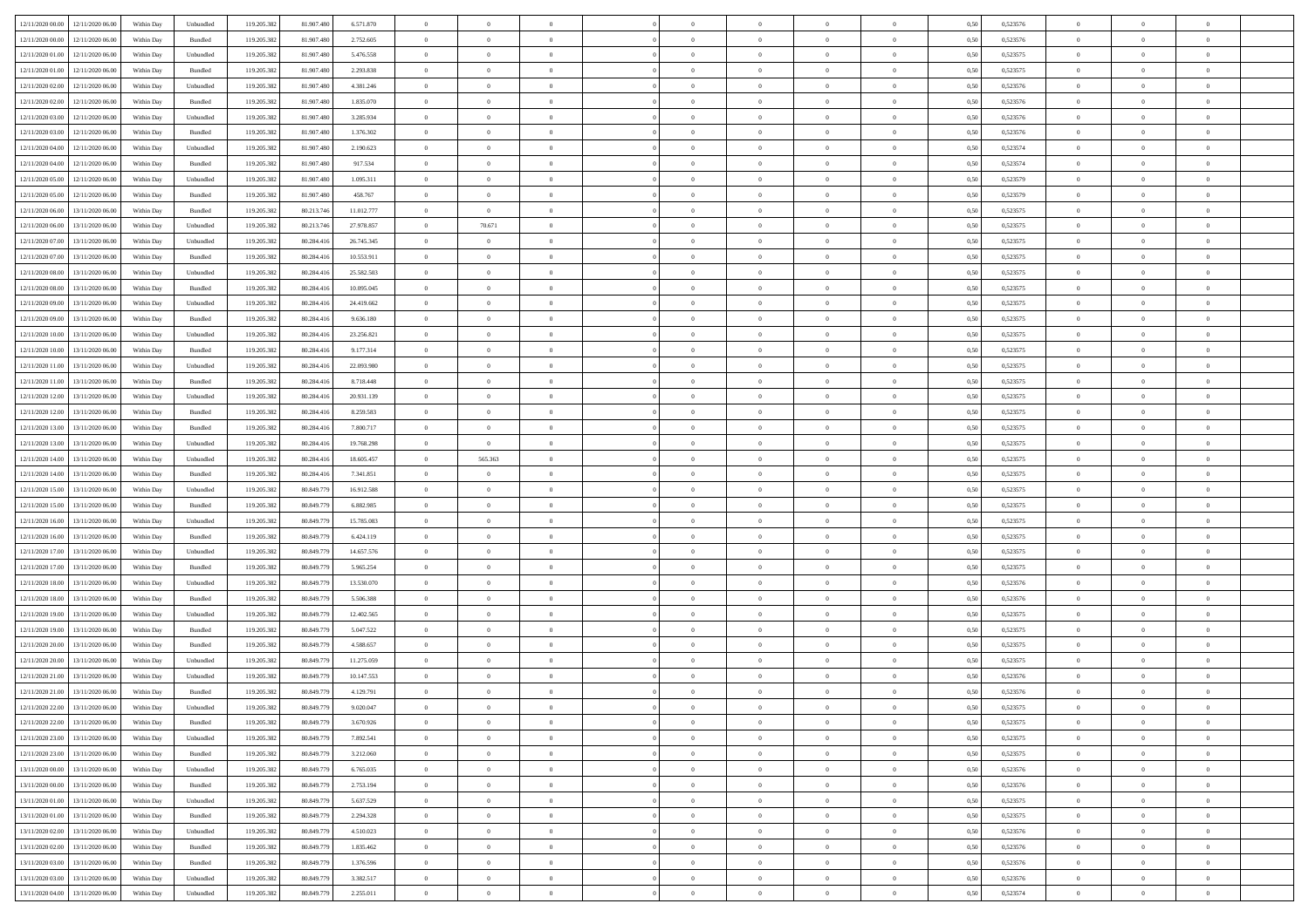| 12/11/2020 00:00 12/11/2020 06:00    | Within Day | Unbundled | 119.205.382 | 81.907.480 | 6.571.870  | $\overline{0}$ | $\overline{0}$ |                | $\overline{0}$ | $\theta$       |                | $\theta$       | 0,50 | 0,523576 | $\theta$       | $\theta$       | $\overline{0}$ |  |
|--------------------------------------|------------|-----------|-------------|------------|------------|----------------|----------------|----------------|----------------|----------------|----------------|----------------|------|----------|----------------|----------------|----------------|--|
| 12/11/2020 00:00<br>12/11/2020 06.00 | Within Day | Bundled   | 119.205.38  | 81.907.48  | 2.752.605  | $\bf{0}$       | $\bf{0}$       | $\bf{0}$       | $\bf{0}$       | $\overline{0}$ | $\overline{0}$ | $\bf{0}$       | 0,50 | 0,523576 | $\,$ 0 $\,$    | $\bf{0}$       | $\overline{0}$ |  |
| 12/11/2020 01:00<br>12/11/2020 06:00 | Within Day | Unbundled | 119.205.382 | 81,907,480 | 5.476.558  | $\overline{0}$ | $\bf{0}$       | $\overline{0}$ | $\bf{0}$       | $\overline{0}$ | $\overline{0}$ | $\bf{0}$       | 0.50 | 0,523575 | $\bf{0}$       | $\overline{0}$ | $\overline{0}$ |  |
| 12/11/2020 01:00<br>12/11/2020 06.00 | Within Day | Bundled   | 119.205.382 | 81.907.480 | 2.293.838  | $\overline{0}$ | $\overline{0}$ | $\overline{0}$ | $\overline{0}$ | $\theta$       | $\overline{0}$ | $\bf{0}$       | 0,50 | 0,523575 | $\,$ 0 $\,$    | $\,$ 0 $\,$    | $\overline{0}$ |  |
| 12/11/2020 02.00<br>12/11/2020 06.00 | Within Day | Unbundled | 119.205.38  | 81.907.48  | 4.381.246  | $\bf{0}$       | $\overline{0}$ | $\bf{0}$       | $\overline{0}$ | $\bf{0}$       | $\overline{0}$ | $\bf{0}$       | 0,50 | 0,523576 | $\,$ 0 $\,$    | $\bf{0}$       | $\overline{0}$ |  |
| 12/11/2020 02:00<br>12/11/2020 06.00 | Within Day | Bundled   | 119.205.382 | 81.907.48  | 1.835.070  | $\overline{0}$ | $\bf{0}$       | $\overline{0}$ | $\bf{0}$       | $\overline{0}$ | $\overline{0}$ | $\bf{0}$       | 0.50 | 0.523576 | $\bf{0}$       | $\theta$       | $\overline{0}$ |  |
| 12/11/2020 03:00<br>12/11/2020 06.00 | Within Day | Unbundled | 119.205.382 | 81.907.480 | 3.285.934  | $\bf{0}$       | $\overline{0}$ | $\overline{0}$ | $\overline{0}$ | $\overline{0}$ | $\overline{0}$ | $\bf{0}$       | 0,50 | 0,523576 | $\,$ 0 $\,$    | $\theta$       | $\overline{0}$ |  |
| 12/11/2020 06.00                     | Within Day | Bundled   |             | 81.907.48  | 1.376.302  | $\bf{0}$       | $\bf{0}$       | $\bf{0}$       | $\bf{0}$       | $\overline{0}$ | $\overline{0}$ | $\bf{0}$       | 0,50 | 0,523576 | $\,$ 0 $\,$    | $\bf{0}$       | $\overline{0}$ |  |
| 12/11/2020 03:00                     |            |           | 119.205.38  |            |            |                |                |                |                |                |                |                |      |          |                |                |                |  |
| 12/11/2020 04:00<br>12/11/2020 06:00 | Within Day | Unbundled | 119,205.38  | 81.907.48  | 2.190.623  | $\overline{0}$ | $\bf{0}$       | $\overline{0}$ | $\bf{0}$       | $\overline{0}$ | $\overline{0}$ | $\bf{0}$       | 0.50 | 0.523574 | $\bf{0}$       | $\overline{0}$ | $\overline{0}$ |  |
| 12/11/2020 04:00<br>12/11/2020 06.00 | Within Day | Bundled   | 119.205.382 | 81.907.480 | 917.534    | $\bf{0}$       | $\bf{0}$       | $\overline{0}$ | $\overline{0}$ | $\overline{0}$ | $\overline{0}$ | $\bf{0}$       | 0,50 | 0,523574 | $\,$ 0 $\,$    | $\bf{0}$       | $\overline{0}$ |  |
| 12/11/2020 05:00<br>12/11/2020 06.00 | Within Day | Unbundled | 119.205.38  | 81.907.480 | 1.095.311  | $\bf{0}$       | $\bf{0}$       | $\bf{0}$       | $\bf{0}$       | $\overline{0}$ | $\overline{0}$ | $\bf{0}$       | 0,50 | 0,523579 | $\,$ 0 $\,$    | $\bf{0}$       | $\overline{0}$ |  |
| 12/11/2020 05:00<br>12/11/2020 06.00 | Within Day | Bundled   | 119.205.382 | 81,907,480 | 458.767    | $\overline{0}$ | $\bf{0}$       | $\overline{0}$ | $\overline{0}$ | $\bf{0}$       | $\overline{0}$ | $\bf{0}$       | 0.50 | 0,523579 | $\bf{0}$       | $\overline{0}$ | $\,$ 0         |  |
| 12/11/2020 06:00<br>13/11/2020 06:00 | Within Day | Bundled   | 119.205.38  | 80.213.746 | 11.012.777 | $\overline{0}$ | $\bf{0}$       | $\overline{0}$ | $\theta$       | $\theta$       | $\overline{0}$ | $\bf{0}$       | 0,50 | 0,523575 | $\,$ 0 $\,$    | $\,$ 0 $\,$    | $\overline{0}$ |  |
| 12/11/2020 06:00<br>13/11/2020 06.00 | Within Day | Unbundled | 119.205.38  | 80.213.74  | 27.978.857 | $\bf{0}$       | 70.671         | $\bf{0}$       | $\bf{0}$       | $\bf{0}$       | $\overline{0}$ | $\bf{0}$       | 0,50 | 0,523575 | $\,$ 0 $\,$    | $\bf{0}$       | $\overline{0}$ |  |
| 12/11/2020 07:00<br>13/11/2020 06.00 | Within Day | Unbundled | 119.205.382 | 80.284.416 | 26.745.345 | $\overline{0}$ | $\bf{0}$       | $\overline{0}$ | $\bf{0}$       | $\overline{0}$ | $\overline{0}$ | $\bf{0}$       | 0.50 | 0.523575 | $\,$ 0 $\,$    | $\bf{0}$       | $\overline{0}$ |  |
| 12/11/2020 07:00<br>13/11/2020 06.00 | Within Day | Bundled   | 119.205.382 | 80.284.416 | 10.553.911 | $\bf{0}$       | $\bf{0}$       | $\overline{0}$ | $\overline{0}$ | $\overline{0}$ | $\overline{0}$ | $\bf{0}$       | 0,50 | 0,523575 | $\,$ 0 $\,$    | $\theta$       | $\overline{0}$ |  |
| 12/11/2020 08:00<br>13/11/2020 06.00 | Within Day | Unbundled | 119.205.38  | 80.284.41  | 25.582.503 | $\bf{0}$       | $\bf{0}$       | $\bf{0}$       | $\overline{0}$ | $\overline{0}$ | $\overline{0}$ | $\bf{0}$       | 0,50 | 0,523575 | $\,$ 0 $\,$    | $\bf{0}$       | $\overline{0}$ |  |
| 12/11/2020 08:00<br>13/11/2020 06:00 | Within Day | Bundled   | 119,205.38  | 80.284.416 | 10.095.045 | $\overline{0}$ | $\bf{0}$       | $\overline{0}$ | $\bf{0}$       | $\bf{0}$       | $\overline{0}$ | $\bf{0}$       | 0.50 | 0.523575 | $\bf{0}$       | $\overline{0}$ | $\overline{0}$ |  |
| 12/11/2020 09:00<br>13/11/2020 06.00 | Within Day | Unbundled | 119.205.382 | 80.284.416 | 24.419.662 | $\bf{0}$       | $\bf{0}$       | $\overline{0}$ | $\overline{0}$ | $\overline{0}$ | $\overline{0}$ | $\bf{0}$       | 0,50 | 0,523575 | $\,$ 0 $\,$    | $\bf{0}$       | $\overline{0}$ |  |
|                                      |            |           |             |            |            |                |                |                |                |                |                |                |      |          |                |                |                |  |
| 12/11/2020 09:00<br>13/11/2020 06.00 | Within Day | Bundled   | 119.205.38  | 80.284.41  | 9.636.180  | $\bf{0}$       | $\bf{0}$       | $\bf{0}$       | $\bf{0}$       | $\overline{0}$ | $\overline{0}$ | $\bf{0}$       | 0,50 | 0,523575 | $\,$ 0 $\,$    | $\bf{0}$       | $\overline{0}$ |  |
| 12/11/2020 10:00<br>13/11/2020 06.00 | Within Day | Unbundled | 119.205.382 | 80.284.416 | 23.256.821 | $\overline{0}$ | $\bf{0}$       | $\overline{0}$ | $\overline{0}$ | $\bf{0}$       | $\overline{0}$ | $\bf{0}$       | 0.50 | 0,523575 | $\bf{0}$       | $\overline{0}$ | $\,$ 0         |  |
| 12/11/2020 10:00<br>13/11/2020 06:00 | Within Day | Bundled   | 119.205.382 | 80.284.416 | 9.177.314  | $\overline{0}$ | $\overline{0}$ | $\overline{0}$ | $\overline{0}$ | $\theta$       | $\overline{0}$ | $\bf{0}$       | 0,50 | 0,523575 | $\,$ 0 $\,$    | $\theta$       | $\overline{0}$ |  |
| 12/11/2020 11:00<br>13/11/2020 06.00 | Within Day | Unbundled | 119.205.38  | 80.284.41  | 22.093.980 | $\bf{0}$       | $\bf{0}$       | $\bf{0}$       | $\bf{0}$       | $\overline{0}$ | $\overline{0}$ | $\bf{0}$       | 0,50 | 0,523575 | $\,$ 0 $\,$    | $\bf{0}$       | $\overline{0}$ |  |
| 12/11/2020 11:00<br>13/11/2020 06.00 | Within Day | Bundled   | 119.205.382 | 80.284.416 | 8.718.448  | $\overline{0}$ | $\bf{0}$       | $\overline{0}$ | $\bf{0}$       | $\overline{0}$ | $\overline{0}$ | $\bf{0}$       | 0.50 | 0.523575 | $\bf{0}$       | $\bf{0}$       | $\overline{0}$ |  |
| 12/11/2020 12:00<br>13/11/2020 06.00 | Within Day | Unbundled | 119.205.382 | 80.284.416 | 20.931.139 | $\overline{0}$ | $\overline{0}$ | $\overline{0}$ | $\overline{0}$ | $\overline{0}$ | $\overline{0}$ | $\bf{0}$       | 0,50 | 0,523575 | $\,$ 0 $\,$    | $\theta$       | $\overline{0}$ |  |
| 12/11/2020 12:00<br>13/11/2020 06.00 | Within Day | Bundled   | 119.205.38  | 80.284.41  | 8.259.583  | $\bf{0}$       | $\bf{0}$       | $\bf{0}$       | $\overline{0}$ | $\overline{0}$ | $\overline{0}$ | $\bf{0}$       | 0,50 | 0,523575 | $\,$ 0 $\,$    | $\bf{0}$       | $\overline{0}$ |  |
| 12/11/2020 13:00<br>13/11/2020 06:00 | Within Day | Bundled   | 119,205.38  | 80.284.416 | 7.800.717  | $\overline{0}$ | $\bf{0}$       | $\overline{0}$ | $\bf{0}$       | $\overline{0}$ | $\overline{0}$ | $\bf{0}$       | 0.50 | 0.523575 | $\bf{0}$       | $\overline{0}$ | $\overline{0}$ |  |
| 12/11/2020 13:00<br>13/11/2020 06.00 | Within Day | Unbundled | 119.205.382 | 80.284.416 | 19.768.298 | $\overline{0}$ | $\bf{0}$       | $\overline{0}$ | $\overline{0}$ | $\overline{0}$ | $\overline{0}$ | $\bf{0}$       | 0,50 | 0,523575 | $\,$ 0 $\,$    | $\bf{0}$       | $\overline{0}$ |  |
| 12/11/2020 14:00<br>13/11/2020 06.00 | Within Day | Unbundled | 119.205.38  | 80.284.41  | 18.605.457 | $\bf{0}$       | 565.363        | $\bf{0}$       | $\bf{0}$       | $\overline{0}$ | $\overline{0}$ | $\bf{0}$       | 0,50 | 0,523575 | $\,$ 0 $\,$    | $\bf{0}$       | $\overline{0}$ |  |
| 12/11/2020 14:00<br>13/11/2020 06.00 | Within Day | Bundled   | 119.205.382 | 80.284.416 | 7.341.851  | $\overline{0}$ | $\bf{0}$       | $\overline{0}$ | $\overline{0}$ | $\bf{0}$       | $\overline{0}$ | $\bf{0}$       | 0.50 | 0,523575 | $\bf{0}$       | $\overline{0}$ | $\,$ 0         |  |
| 12/11/2020 15:00<br>13/11/2020 06:00 | Within Day | Unbundled | 119.205.382 | 80.849.77  | 16.912.588 | $\overline{0}$ | $\overline{0}$ | $\overline{0}$ | $\overline{0}$ | $\overline{0}$ | $\overline{0}$ | $\bf{0}$       | 0.5( | 0,523575 | $\theta$       | $\theta$       | $\overline{0}$ |  |
|                                      |            |           |             |            |            | $\bf{0}$       | $\bf{0}$       | $\bf{0}$       |                | $\overline{0}$ | $\overline{0}$ |                |      |          | $\,$ 0 $\,$    | $\bf{0}$       | $\overline{0}$ |  |
| 12/11/2020 15:00<br>13/11/2020 06.00 | Within Day | Bundled   | 119.205.38  | 80.849.77  | 6.882.985  |                |                |                | $\bf{0}$       |                |                | $\bf{0}$       | 0,50 | 0,523575 |                |                |                |  |
| 12/11/2020 16:00<br>13/11/2020 06.00 | Within Day | Unbundled | 119.205.382 | 80.849.779 | 15.785.083 | $\overline{0}$ | $\bf{0}$       | $\overline{0}$ | $\bf{0}$       | $\overline{0}$ | $\overline{0}$ | $\bf{0}$       | 0.50 | 0,523575 | $\bf{0}$       | $\bf{0}$       | $\overline{0}$ |  |
| 12/11/2020 16:00<br>13/11/2020 06.00 | Within Day | Bundled   | 119.205.382 | 80.849.779 | 6.424.119  | $\overline{0}$ | $\overline{0}$ | $\overline{0}$ | $\overline{0}$ | $\overline{0}$ | $\overline{0}$ | $\bf{0}$       | 0.5( | 0,523575 | $\theta$       | $\theta$       | $\overline{0}$ |  |
| 12/11/2020 17:00<br>13/11/2020 06.00 | Within Day | Unbundled | 119.205.38  | 80.849.77  | 14.657.576 | $\bf{0}$       | $\bf{0}$       | $\bf{0}$       | $\bf{0}$       | $\overline{0}$ | $\overline{0}$ | $\bf{0}$       | 0,50 | 0,523575 | $\,$ 0 $\,$    | $\bf{0}$       | $\overline{0}$ |  |
| 12/11/2020 17:00<br>13/11/2020 06:00 | Within Day | Bundled   | 119,205.38  | 80.849.779 | 5.965.254  | $\overline{0}$ | $\bf{0}$       | $\overline{0}$ | $\bf{0}$       | $\overline{0}$ | $\overline{0}$ | $\bf{0}$       | 0.50 | 0.523575 | $\bf{0}$       | $\overline{0}$ | $\overline{0}$ |  |
| 12/11/2020 18:00<br>13/11/2020 06.00 | Within Day | Unbundled | 119.205.38  | 80.849.77  | 13.530.070 | $\overline{0}$ | $\overline{0}$ | $\overline{0}$ | $\overline{0}$ | $\overline{0}$ | $\overline{0}$ | $\bf{0}$       | 0.50 | 0,523576 | $\theta$       | $\theta$       | $\overline{0}$ |  |
| 12/11/2020 18:00<br>13/11/2020 06.00 | Within Day | Bundled   | 119.205.38  | 80.849.77  | 5.506.388  | $\bf{0}$       | $\bf{0}$       | $\bf{0}$       | $\bf{0}$       | $\overline{0}$ | $\bf{0}$       | $\bf{0}$       | 0,50 | 0,523576 | $\,$ 0 $\,$    | $\bf{0}$       | $\overline{0}$ |  |
| 12/11/2020 19:00<br>13/11/2020 06.00 | Within Day | Unbundled | 119.205.382 | 80.849.779 | 12.402.565 | $\overline{0}$ | $\bf{0}$       | $\overline{0}$ | $\overline{0}$ | $\bf{0}$       | $\overline{0}$ | $\bf{0}$       | 0.50 | 0,523575 | $\bf{0}$       | $\overline{0}$ | $\overline{0}$ |  |
| 12/11/2020 19:00<br>13/11/2020 06.00 | Within Day | Bundled   | 119.205.382 | 80.849.779 | 5.047.522  | $\overline{0}$ | $\overline{0}$ | $\overline{0}$ | $\overline{0}$ | $\overline{0}$ | $\overline{0}$ | $\bf{0}$       | 0.5( | 0,523575 | $\theta$       | $\theta$       | $\overline{0}$ |  |
| 12/11/2020 20:00<br>13/11/2020 06.00 | Within Day | Bundled   | 119.205.38  | 80.849.77  | 4.588.657  | $\bf{0}$       | $\bf{0}$       | $\bf{0}$       | $\bf{0}$       | $\overline{0}$ | $\overline{0}$ | $\bf{0}$       | 0,50 | 0,523575 | $\,$ 0 $\,$    | $\bf{0}$       | $\overline{0}$ |  |
| 12/11/2020 20:00<br>13/11/2020 06.00 | Within Day | Unbundled | 119.205.382 | 80.849.779 | 11.275.059 | $\overline{0}$ | $\bf{0}$       | $\overline{0}$ | $\bf{0}$       | $\overline{0}$ | $\overline{0}$ | $\bf{0}$       | 0.50 | 0,523575 | $\bf{0}$       | $\bf{0}$       | $\overline{0}$ |  |
| 12/11/2020 21:00<br>13/11/2020 06.00 | Within Day | Unbundled | 119.205.38  | 80.849.77  | 10.147.553 | $\overline{0}$ | $\overline{0}$ | $\overline{0}$ | $\theta$       | $\theta$       | $\overline{0}$ | $\overline{0}$ | 0.5( | 0,523576 | $\theta$       | $\theta$       | $\overline{0}$ |  |
| 12/11/2020 21:00<br>13/11/2020 06.00 | Within Day | Bundled   | 119.205.38  | 80.849.77  | 4.129.791  | $\bf{0}$       | $\bf{0}$       | $\bf{0}$       | $\bf{0}$       | $\bf{0}$       | $\overline{0}$ | $\bf{0}$       | 0,50 | 0,523576 | $\,$ 0 $\,$    | $\bf{0}$       | $\overline{0}$ |  |
| 12/11/2020 22:00 13/11/2020 06:00    | Within Day | Unbundled | 119.205.382 | 80.849.779 | 9.020.047  | $\bf{0}$       | $\theta$       |                | $\overline{0}$ | $\bf{0}$       |                | $\bf{0}$       | 0,50 | 0,523575 | $\bf{0}$       | $\bf{0}$       |                |  |
|                                      |            |           |             |            |            | $\overline{0}$ | $\theta$       | $\Omega$       |                | $\theta$       |                |                |      |          | $\theta$       | $\theta$       | $\overline{0}$ |  |
| 12/11/2020 22.00 13/11/2020 06.00    | Within Day | Bundled   | 119.205.382 | 80.849.779 | 3.670.926  |                |                |                | $\theta$       |                | $\overline{0}$ | $\bf{0}$       | 0,50 | 0,523575 |                |                |                |  |
| 12/11/2020 23.00<br>13/11/2020 06.00 | Within Day | Unbundled | 119.205.38  | 80.849.77  | 7.892.541  | $\overline{0}$ | $\bf{0}$       | $\overline{0}$ | $\overline{0}$ | $\bf{0}$       | $\overline{0}$ | $\bf{0}$       | 0,50 | 0,523575 | $\bf{0}$       | $\overline{0}$ | $\bf{0}$       |  |
| 12/11/2020 23:00 13/11/2020 06:00    | Within Day | Bundled   | 119.205.382 | 80.849.779 | 3.212.060  | $\overline{0}$ | $\bf{0}$       | $\overline{0}$ | $\overline{0}$ | $\overline{0}$ | $\overline{0}$ | $\,$ 0 $\,$    | 0.50 | 0,523575 | $\overline{0}$ | $\bf{0}$       | $\,$ 0 $\,$    |  |
| 13/11/2020 00:00 13/11/2020 06:00    | Within Day | Unbundled | 119.205.382 | 80.849.779 | 6.765.035  | $\overline{0}$ | $\overline{0}$ | $\overline{0}$ | $\overline{0}$ | $\overline{0}$ | $\overline{0}$ | $\bf{0}$       | 0,50 | 0,523576 | $\overline{0}$ | $\theta$       | $\overline{0}$ |  |
| 13/11/2020 00:00<br>13/11/2020 06.00 | Within Day | Bundled   | 119.205.382 | 80.849.779 | 2.753.194  | $\overline{0}$ | $\bf{0}$       | $\overline{0}$ | $\bf{0}$       | $\overline{0}$ | $\bf{0}$       | $\bf{0}$       | 0,50 | 0,523576 | $\bf{0}$       | $\overline{0}$ | $\overline{0}$ |  |
| 13/11/2020 01:00<br>13/11/2020 06:00 | Within Day | Unbundled | 119.205.382 | 80.849.779 | 5.637.529  | $\overline{0}$ | $\bf{0}$       | $\overline{0}$ | $\overline{0}$ | $\bf{0}$       | $\overline{0}$ | $\bf{0}$       | 0.50 | 0.523575 | $\,$ 0 $\,$    | $\theta$       | $\overline{0}$ |  |
| 13/11/2020 01:00<br>13/11/2020 06:00 | Within Dav | Bundled   | 119.205.382 | 80.849.779 | 2.294.328  | $\overline{0}$ | $\overline{0}$ | $\overline{0}$ | $\overline{0}$ | $\overline{0}$ | $\overline{0}$ | $\bf{0}$       | 0,50 | 0,523575 | $\overline{0}$ | $\theta$       | $\overline{0}$ |  |
| 13/11/2020 02:00<br>13/11/2020 06.00 | Within Day | Unbundled | 119.205.38  | 80.849.779 | 4.510.023  | $\overline{0}$ | $\overline{0}$ | $\overline{0}$ | $\overline{0}$ | $\overline{0}$ | $\overline{0}$ | $\bf{0}$       | 0,50 | 0,523576 | $\bf{0}$       | $\overline{0}$ | $\overline{0}$ |  |
| 13/11/2020 02:00<br>13/11/2020 06:00 | Within Day | Bundled   | 119.205.382 | 80.849.779 | 1.835.462  | $\overline{0}$ | $\overline{0}$ | $\overline{0}$ | $\overline{0}$ | $\bf{0}$       | $\overline{0}$ | $\bf{0}$       | 0.50 | 0.523576 | $\mathbf{0}$   | $\bf{0}$       | $\,$ 0         |  |
| 13/11/2020 03:00 13/11/2020 06:00    | Within Dav | Bundled   | 119.205.382 | 80.849.779 | 1.376.596  | $\overline{0}$ | $\overline{0}$ | $\overline{0}$ | $\overline{0}$ | $\overline{0}$ | $\overline{0}$ | $\bf{0}$       | 0,50 | 0,523576 | $\overline{0}$ | $\theta$       | $\overline{0}$ |  |
| 13/11/2020 03:00<br>13/11/2020 06.00 | Within Day | Unbundled | 119.205.38  | 80.849.779 | 3.382.517  | $\overline{0}$ | $\bf{0}$       | $\overline{0}$ | $\bf{0}$       | $\overline{0}$ | $\bf{0}$       | $\bf{0}$       | 0,50 | 0,523576 | $\bf{0}$       | $\bf{0}$       | $\overline{0}$ |  |
|                                      |            |           |             |            |            |                |                |                |                |                |                |                |      |          |                |                |                |  |
| 13/11/2020 04:00 13/11/2020 06:00    | Within Day | Unbundled | 119.205.382 | 80.849.779 | 2.255.011  | $\,$ 0 $\,$    | $\bf{0}$       | $\overline{0}$ | $\overline{0}$ | $\,$ 0 $\,$    | $\overline{0}$ | $\bf{0}$       | 0,50 | 0,523574 | $\overline{0}$ | $\,$ 0 $\,$    | $\,$ 0 $\,$    |  |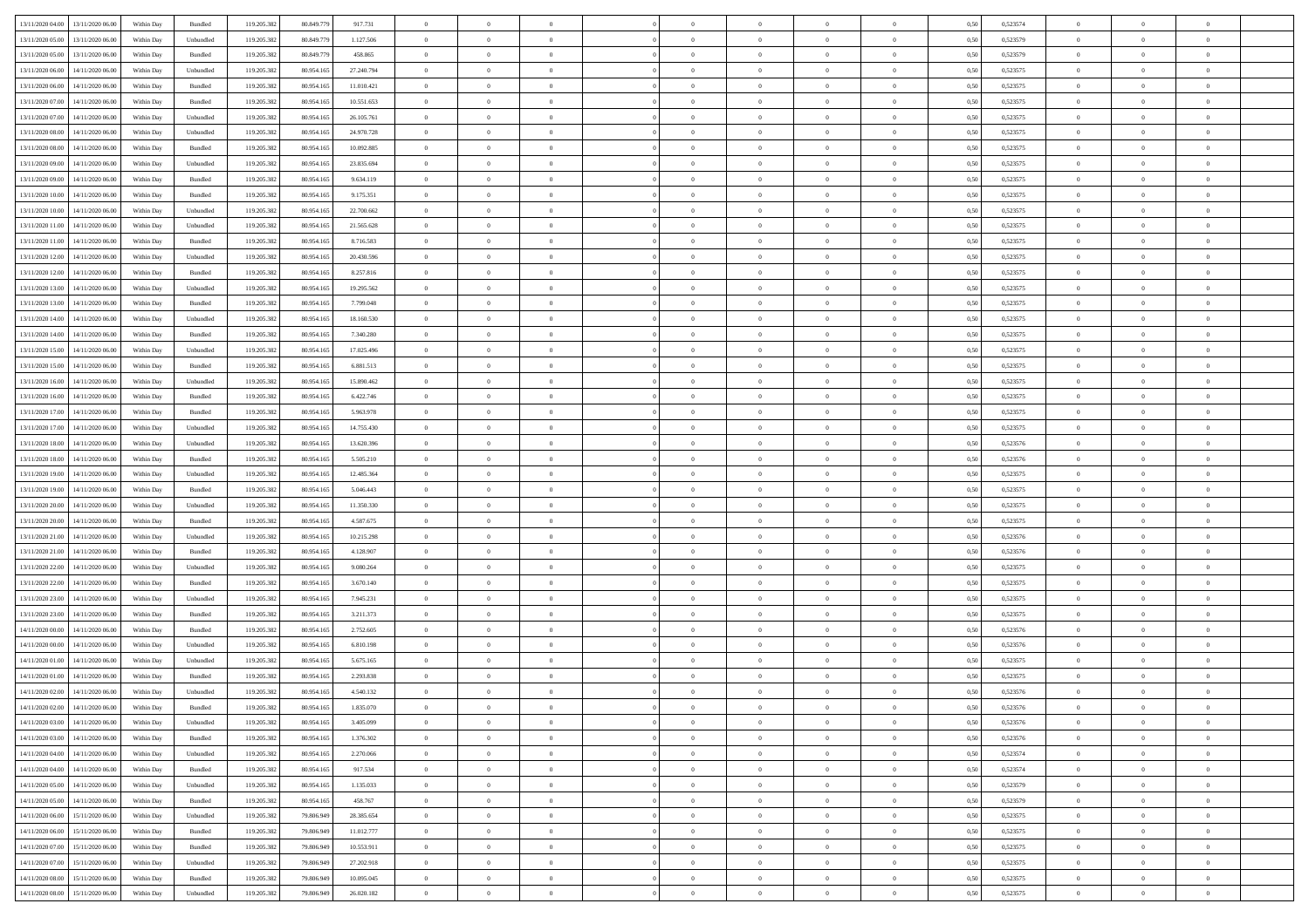| 13/11/2020 04:00                  | 13/11/2020 06:00                  | Within Day | Bundled            | 119.205.382 | 80.849.779 | 917.731    | $\overline{0}$ | $\theta$       |                | $\overline{0}$ | $\bf{0}$       | $\overline{0}$ | $\theta$       | 0,50 | 0,523574 | $\theta$       | $\theta$       | $\theta$                 |  |
|-----------------------------------|-----------------------------------|------------|--------------------|-------------|------------|------------|----------------|----------------|----------------|----------------|----------------|----------------|----------------|------|----------|----------------|----------------|--------------------------|--|
|                                   |                                   |            |                    |             |            |            | $\overline{0}$ | $\overline{0}$ | $\overline{0}$ | $\overline{0}$ | $\,$ 0         |                |                |      |          | $\,$ 0 $\,$    | $\overline{0}$ | $\overline{0}$           |  |
| 13/11/2020 05:00                  | 13/11/2020 06.00                  | Within Day | Unbundled          | 119.205.382 | 80.849.77  | 1.127.506  |                |                |                |                |                | $\bf{0}$       | $\bf{0}$       | 0,50 | 0,523579 |                |                |                          |  |
| 13/11/2020 05:00                  | 13/11/2020 06:00                  | Within Day | Bundled            | 119.205.382 | 80,849.779 | 458,865    | $\overline{0}$ | $\bf{0}$       | $\overline{0}$ | $\overline{0}$ | $\bf{0}$       | $\overline{0}$ | $\mathbf{0}$   | 0.50 | 0,523579 | $\bf{0}$       | $\overline{0}$ | $\overline{0}$           |  |
| 13/11/2020 06.00                  | 14/11/2020 06.00                  | Within Day | Unbundled          | 119.205.382 | 80.954.165 | 27.240.794 | $\overline{0}$ | $\overline{0}$ | $\overline{0}$ | $\overline{0}$ | $\,$ 0         | $\overline{0}$ | $\overline{0}$ | 0,50 | 0,523575 | $\,$ 0 $\,$    | $\overline{0}$ | $\overline{0}$           |  |
| 13/11/2020 06.00                  | 14/11/2020 06.00                  | Within Day | Bundled            | 119.205.382 | 80.954.165 | 11.010.421 | $\overline{0}$ | $\theta$       | $\overline{0}$ |                | $\bf{0}$       | $\overline{0}$ | $\bf{0}$       | 0,50 | 0,523575 | $\,$ 0 $\,$    | $\overline{0}$ | $\overline{0}$           |  |
| 13/11/2020 07:00                  | 14/11/2020 06:00                  | Within Day | Bundled            | 119.205.382 | 80.954.165 | 10.551.653 | $\overline{0}$ | $\overline{0}$ | $\overline{0}$ | $\overline{0}$ | $\bf{0}$       | $\overline{0}$ | $\bf{0}$       | 0.50 | 0,523575 | $\,0\,$        | $\theta$       | $\overline{0}$           |  |
| 13/11/2020 07.00                  | 14/11/2020 06.00                  | Within Day | Unbundled          | 119.205.382 | 80.954.165 | 26.105.761 | $\overline{0}$ | $\overline{0}$ | $\overline{0}$ | $\overline{0}$ | $\,$ 0         | $\overline{0}$ | $\overline{0}$ | 0,50 | 0,523575 | $\,$ 0 $\,$    | $\theta$       | $\overline{0}$           |  |
| 13/11/2020 08:00                  | 14/11/2020 06.00                  | Within Day | Unbundled          | 119.205.382 | 80.954.165 | 24.970.728 | $\overline{0}$ | $\theta$       | $\overline{0}$ |                | $\,$ 0         | $\overline{0}$ | $\bf{0}$       | 0,50 | 0,523575 | $\,$ 0 $\,$    | $\overline{0}$ | $\overline{0}$           |  |
|                                   |                                   |            |                    |             |            |            |                |                |                |                |                |                |                |      |          |                |                |                          |  |
| 13/11/2020 08:00                  | 14/11/2020 06:00                  | Within Day | Bundled            | 119.205.382 | 80.954.165 | 10.092.885 | $\overline{0}$ | $\overline{0}$ | $\overline{0}$ | $\overline{0}$ | $\bf{0}$       | $\overline{0}$ | $\bf{0}$       | 0.50 | 0.523575 | $\,0\,$        | $\overline{0}$ | $\overline{0}$           |  |
| 13/11/2020 09:00                  | 14/11/2020 06.00                  | Within Day | Unbundled          | 119.205.382 | 80.954.165 | 23.835.694 | $\overline{0}$ | $\overline{0}$ | $\overline{0}$ | $\overline{0}$ | $\bf{0}$       | $\overline{0}$ | $\bf{0}$       | 0,50 | 0,523575 | $\,$ 0 $\,$    | $\overline{0}$ | $\overline{0}$           |  |
| 13/11/2020 09:00                  | 14/11/2020 06.00                  | Within Day | Bundled            | 119.205.382 | 80.954.165 | 9.634.119  | $\bf{0}$       | $\theta$       | $\overline{0}$ | $\overline{0}$ | $\,$ 0         | $\overline{0}$ | $\bf{0}$       | 0,50 | 0,523575 | $\,$ 0 $\,$    | $\overline{0}$ | $\overline{0}$           |  |
| 13/11/2020 10:00                  | 14/11/2020 06:00                  | Within Day | Bundled            | 119.205.382 | 80.954.165 | 9.175.351  | $\overline{0}$ | $\overline{0}$ | $\overline{0}$ | $\overline{0}$ | $\bf{0}$       | $\overline{0}$ | $\mathbf{0}$   | 0.50 | 0,523575 | $\bf{0}$       | $\overline{0}$ | $\overline{\phantom{a}}$ |  |
| 13/11/2020 10:00                  | 14/11/2020 06.00                  | Within Day | Unbundled          | 119.205.382 | 80.954.165 | 22.700.662 | $\overline{0}$ | $\overline{0}$ | $\overline{0}$ | $\overline{0}$ | $\,$ 0         | $\overline{0}$ | $\overline{0}$ | 0,50 | 0,523575 | $\,$ 0 $\,$    | $\overline{0}$ | $\overline{0}$           |  |
| 13/11/2020 11:00                  | 14/11/2020 06.00                  | Within Day | Unbundled          | 119.205.382 | 80.954.165 | 21.565.628 | $\overline{0}$ | $\theta$       | $\overline{0}$ |                | $\bf{0}$       | $\overline{0}$ | $\bf{0}$       | 0,50 | 0,523575 | $\,$ 0 $\,$    | $\overline{0}$ | $\overline{0}$           |  |
| 13/11/2020 11:00                  | 14/11/2020 06:00                  | Within Day | Bundled            | 119.205.382 | 80.954.165 | 8.716.583  | $\overline{0}$ | $\overline{0}$ | $\overline{0}$ | $\overline{0}$ | $\,$ 0         | $\overline{0}$ | $\bf{0}$       | 0.50 | 0,523575 | $\,0\,$        | $\theta$       | $\overline{0}$           |  |
|                                   |                                   |            |                    |             |            |            | $\overline{0}$ | $\overline{0}$ | $\overline{0}$ | $\overline{0}$ | $\bf{0}$       | $\overline{0}$ | $\overline{0}$ |      |          |                | $\theta$       | $\overline{0}$           |  |
| 13/11/2020 12:00                  | 14/11/2020 06.00                  | Within Day | Unbundled          | 119.205.382 | 80.954.165 | 20.430.596 |                |                |                |                |                |                |                | 0,50 | 0,523575 | $\,0\,$        |                |                          |  |
| 13/11/2020 12:00                  | 14/11/2020 06.00                  | Within Day | Bundled            | 119.205.382 | 80.954.165 | 8.257.816  | $\overline{0}$ | $\theta$       | $\overline{0}$ |                | $\,$ 0         | $\overline{0}$ | $\bf{0}$       | 0,50 | 0,523575 | $\,$ 0 $\,$    | $\overline{0}$ | $\overline{0}$           |  |
| 13/11/2020 13:00                  | 14/11/2020 06:00                  | Within Day | Unbundled          | 119.205.382 | 80.954.165 | 19.295.562 | $\overline{0}$ | $\overline{0}$ | $\overline{0}$ | $\overline{0}$ | $\bf{0}$       | $\overline{0}$ | $\bf{0}$       | 0.50 | 0.523575 | $\,0\,$        | $\overline{0}$ | $\overline{\phantom{a}}$ |  |
| 13/11/2020 13:00                  | 14/11/2020 06.00                  | Within Day | Bundled            | 119.205.382 | 80.954.165 | 7.799.048  | $\overline{0}$ | $\overline{0}$ | $\overline{0}$ | $\overline{0}$ | $\,$ 0         | $\overline{0}$ | $\bf{0}$       | 0,50 | 0,523575 | $\,$ 0 $\,$    | $\overline{0}$ | $\overline{0}$           |  |
| 13/11/2020 14:00                  | 14/11/2020 06.00                  | Within Day | Unbundled          | 119.205.382 | 80.954.165 | 18.160.530 | $\bf{0}$       | $\,$ 0 $\,$    | $\overline{0}$ | $\overline{0}$ | $\,$ 0         | $\bf{0}$       | $\bf{0}$       | 0,50 | 0,523575 | $\,$ 0 $\,$    | $\overline{0}$ | $\overline{0}$           |  |
| 13/11/2020 14:00                  | 14/11/2020 06:00                  | Within Day | Bundled            | 119.205.382 | 80.954.165 | 7,340,280  | $\overline{0}$ | $\overline{0}$ | $\overline{0}$ | $\overline{0}$ | $\bf{0}$       | $\overline{0}$ | $\mathbf{0}$   | 0.50 | 0,523575 | $\,$ 0 $\,$    | $\overline{0}$ | $\overline{\phantom{a}}$ |  |
| 13/11/2020 15:00                  | 14/11/2020 06.00                  | Within Day | Unbundled          | 119.205.382 | 80.954.165 | 17.025.496 | $\overline{0}$ | $\overline{0}$ | $\overline{0}$ | $\overline{0}$ | $\bf{0}$       | $\overline{0}$ | $\overline{0}$ | 0,50 | 0,523575 | $\,$ 0 $\,$    | $\overline{0}$ | $\overline{0}$           |  |
|                                   |                                   |            |                    |             |            |            |                |                |                |                |                |                |                |      |          |                |                |                          |  |
| 13/11/2020 15:00                  | 14/11/2020 06.00                  | Within Day | Bundled            | 119.205.382 | 80.954.165 | 6.881.513  | $\overline{0}$ | $\theta$       | $\overline{0}$ | $\overline{0}$ | $\,$ 0         | $\overline{0}$ | $\bf{0}$       | 0,50 | 0,523575 | $\,$ 0 $\,$    | $\overline{0}$ | $\overline{0}$           |  |
| 13/11/2020 16:00                  | 14/11/2020 06:00                  | Within Day | Unbundled          | 119.205.382 | 80.954.165 | 15.890.462 | $\overline{0}$ | $\overline{0}$ | $\overline{0}$ | $\overline{0}$ | $\bf{0}$       | $\overline{0}$ | $\bf{0}$       | 0.50 | 0,523575 | $\,0\,$        | $\theta$       | $\overline{0}$           |  |
| 13/11/2020 16:00                  | 14/11/2020 06.00                  | Within Day | Bundled            | 119.205.382 | 80.954.165 | 6.422.746  | $\overline{0}$ | $\overline{0}$ | $\overline{0}$ | $\overline{0}$ | $\bf{0}$       | $\overline{0}$ | $\overline{0}$ | 0,50 | 0,523575 | $\,0\,$        | $\theta$       | $\overline{0}$           |  |
| 13/11/2020 17:00                  | 14/11/2020 06.00                  | Within Day | Bundled            | 119.205.382 | 80.954.165 | 5.963.978  | $\overline{0}$ | $\theta$       | $\overline{0}$ |                | $\,$ 0         | $\overline{0}$ | $\bf{0}$       | 0,50 | 0,523575 | $\,$ 0 $\,$    | $\overline{0}$ | $\overline{0}$           |  |
| 13/11/2020 17:00                  | 14/11/2020 06:00                  | Within Day | Unbundled          | 119.205.382 | 80.954.165 | 14.755.430 | $\overline{0}$ | $\overline{0}$ | $\overline{0}$ | $\overline{0}$ | $\bf{0}$       | $\overline{0}$ | $\bf{0}$       | 0.50 | 0.523575 | $\,0\,$        | $\overline{0}$ | $\overline{0}$           |  |
| 13/11/2020 18:00                  | 14/11/2020 06.00                  | Within Day | Unbundled          | 119.205.382 | 80.954.165 | 13.620.396 | $\overline{0}$ | $\overline{0}$ | $\overline{0}$ | $\overline{0}$ | $\bf{0}$       | $\overline{0}$ | $\bf{0}$       | 0,50 | 0,523576 | $\,$ 0 $\,$    | $\overline{0}$ | $\overline{0}$           |  |
| 13/11/2020 18:00                  | 14/11/2020 06.00                  | Within Day | Bundled            | 119.205.382 | 80.954.165 | 5.505.210  | $\overline{0}$ | $\overline{0}$ | $\overline{0}$ | $\overline{0}$ | $\,$ 0         | $\bf{0}$       | $\bf{0}$       | 0,50 | 0,523576 | $\,$ 0 $\,$    | $\overline{0}$ | $\overline{0}$           |  |
| 13/11/2020 19:00                  | 14/11/2020 06:00                  | Within Day | Unbundled          | 119.205.382 | 80.954.165 | 12,485,364 | $\overline{0}$ | $\bf{0}$       | $\overline{0}$ | $\overline{0}$ | $\bf{0}$       | $\overline{0}$ | $\mathbf{0}$   | 0.50 | 0,523575 | $\,$ 0 $\,$    | $\overline{0}$ | $\overline{\phantom{a}}$ |  |
|                                   |                                   |            |                    |             |            |            |                |                |                |                |                |                |                |      |          |                |                |                          |  |
| 13/11/2020 19:00                  | 14/11/2020 06.00                  | Within Dav | Bundled            | 119.205.382 | 80.954.165 | 5.046.443  | $\overline{0}$ | $\overline{0}$ | $\overline{0}$ | $\overline{0}$ | $\overline{0}$ | $\overline{0}$ | $\overline{0}$ | 0.50 | 0,523575 | $\theta$       | $\overline{0}$ | $\overline{0}$           |  |
| 13/11/2020 20.00                  | 14/11/2020 06.00                  | Within Day | Unbundled          | 119.205.382 | 80.954.165 | 11.350.330 | $\overline{0}$ | $\theta$       | $\overline{0}$ |                | $\,$ 0         | $\overline{0}$ | $\bf{0}$       | 0,50 | 0,523575 | $\,$ 0 $\,$    | $\overline{0}$ | $\overline{0}$           |  |
| 13/11/2020 20.00                  | 14/11/2020 06:00                  | Within Day | Bundled            | 119.205.382 | 80.954.165 | 4.587.675  | $\overline{0}$ | $\overline{0}$ | $\overline{0}$ | $\overline{0}$ | $\bf{0}$       | $\overline{0}$ | $\bf{0}$       | 0.50 | 0,523575 | $\,0\,$        | $\overline{0}$ | $\overline{0}$           |  |
| 13/11/2020 21:00                  | 14/11/2020 06.00                  | Within Dav | Unbundled          | 119.205.382 | 80.954.165 | 10.215.298 | $\overline{0}$ | $\overline{0}$ | $\Omega$       | $\Omega$       | $\mathbf{0}$   | $\overline{0}$ | $\overline{0}$ | 0.50 | 0,523576 | $\theta$       | $\overline{0}$ | $\overline{0}$           |  |
| 13/11/2020 21.00                  | 14/11/2020 06.00                  | Within Day | Bundled            | 119.205.382 | 80.954.165 | 4.128.907  | $\overline{0}$ | $\theta$       | $\overline{0}$ |                | $\,$ 0         | $\overline{0}$ | $\bf{0}$       | 0,50 | 0,523576 | $\,$ 0 $\,$    | $\overline{0}$ | $\overline{0}$           |  |
| 13/11/2020 22.00                  | 14/11/2020 06:00                  | Within Day | Unbundled          | 119.205.382 | 80.954.165 | 9.080.264  | $\overline{0}$ | $\overline{0}$ | $\overline{0}$ | $\overline{0}$ | $\bf{0}$       | $\overline{0}$ | $\bf{0}$       | 0.50 | 0.523575 | $\,0\,$        | $\overline{0}$ | $\overline{0}$           |  |
| 13/11/2020 22.00                  | 14/11/2020 06.00                  | Within Dav | Bundled            | 119.205.382 | 80.954.165 | 3.670.140  | $\overline{0}$ | $\overline{0}$ | $\overline{0}$ | $\overline{0}$ | $\overline{0}$ | $\overline{0}$ | $\overline{0}$ | 0.50 | 0,523575 | $\theta$       | $\overline{0}$ | $\overline{0}$           |  |
|                                   | 14/11/2020 06.00                  | Within Day | Unbundled          |             | 80.954.165 | 7.945.231  | $\overline{0}$ | $\overline{0}$ | $\overline{0}$ | $\overline{0}$ | $\bf{0}$       | $\bf{0}$       | $\bf{0}$       | 0,50 | 0,523575 | $\,$ 0 $\,$    | $\overline{0}$ | $\overline{0}$           |  |
| 13/11/2020 23.00                  |                                   |            |                    | 119.205.382 |            |            |                |                |                |                |                |                |                |      |          |                |                |                          |  |
| 13/11/2020 23.00                  | 14/11/2020 06:00                  | Within Day | Bundled            | 119.205.382 | 80.954.165 | 3.211.373  | $\overline{0}$ | $\bf{0}$       | $\overline{0}$ | $\overline{0}$ | $\bf{0}$       | $\overline{0}$ | $\mathbf{0}$   | 0.50 | 0,523575 | $\,$ 0 $\,$    | $\overline{0}$ | $\overline{0}$           |  |
| 14/11/2020 00.00                  | 14/11/2020 06.00                  | Within Dav | Bundled            | 119.205.382 | 80.954.165 | 2.752.605  | $\overline{0}$ | $\overline{0}$ | $\Omega$       | $\Omega$       | $\mathbf{0}$   | $\overline{0}$ | $\overline{0}$ | 0.50 | 0,523576 | $\theta$       | $\overline{0}$ | $\overline{0}$           |  |
| 14/11/2020 00.00                  | 14/11/2020 06.00                  | Within Day | Unbundled          | 119.205.382 | 80.954.165 | 6.810.198  | $\overline{0}$ | $\,$ 0 $\,$    | $\overline{0}$ | $\overline{0}$ | $\,$ 0         | $\overline{0}$ | $\bf{0}$       | 0,50 | 0,523576 | $\,$ 0 $\,$    | $\overline{0}$ | $\overline{0}$           |  |
| 14/11/2020 01:00                  | 14/11/2020 06:00                  | Within Day | Unbundled          | 119.205.382 | 80.954.165 | 5.675.165  | $\overline{0}$ | $\overline{0}$ | $\overline{0}$ | $\overline{0}$ | $\bf{0}$       | $\overline{0}$ | $\bf{0}$       | 0.50 | 0,523575 | $\,0\,$        | $\theta$       | $\overline{0}$           |  |
| 14/11/2020 01:00                  | 14/11/2020 06.00                  | Within Dav | Bundled            | 119.205.382 | 80.954.16  | 2.293.838  | $\overline{0}$ | $\Omega$       | $\Omega$       | $\Omega$       | $\bf{0}$       | $\overline{0}$ | $\overline{0}$ | 0.50 | 0,523575 | $\theta$       | $\overline{0}$ | $\overline{0}$           |  |
| 14/11/2020 02.00                  | 14/11/2020 06.00                  | Within Day | Unbundled          | 119.205.382 | 80.954.165 | 4.540.132  | $\overline{0}$ | $\,$ 0 $\,$    | $\overline{0}$ | $\bf{0}$       | $\,$ 0         | $\bf{0}$       | $\bf{0}$       | 0,50 | 0,523576 | $\,$ 0 $\,$    | $\overline{0}$ | $\overline{0}$           |  |
| 14/11/2020 02:00 14/11/2020 06:00 |                                   | Within Day | $\mathbf B$ undled | 119.205.382 | 80.954.165 | 1835070    | $\bf{0}$       | $\bf{0}$       |                |                |                |                |                | 0,50 | 0,523576 | $\bf{0}$       | $\theta$       |                          |  |
|                                   |                                   |            |                    |             |            |            | $\Omega$       |                | $\Omega$       |                |                |                |                |      |          |                |                |                          |  |
| 14/11/2020 03:00                  | 14/11/2020 06.00                  | Within Day | Unbundled          | 119.205.382 | 80.954.165 | 3.405.099  |                | $\overline{0}$ |                | $\Omega$       | $\mathbf{0}$   | $\overline{0}$ | $\mathbf{0}$   | 0.50 | 0,523576 | $\theta$       | $\theta$       | $\overline{0}$           |  |
| 14/11/2020 03.00                  | 14/11/2020 06.00                  | Within Day | Bundled            | 119.205.382 | 80.954.165 | 1.376.302  | $\overline{0}$ | $\overline{0}$ | $\overline{0}$ | $\bf{0}$       | $\overline{0}$ | $\overline{0}$ | $\mathbf{0}$   | 0,50 | 0,523576 | $\overline{0}$ | $\overline{0}$ | $\bf{0}$                 |  |
| 14/11/2020 04:00                  | 14/11/2020 06.00                  | Within Day | Unbundled          | 119.205.382 | 80.954.165 | 2.270.066  | $\overline{0}$ | $\overline{0}$ | $\overline{0}$ | $\overline{0}$ | $\bf{0}$       | $\overline{0}$ | $\mathbf{0}$   | 0.50 | 0,523574 | $\overline{0}$ | $\bf{0}$       | $\bf{0}$                 |  |
| 14/11/2020 04:00                  | 14/11/2020 06:00                  | Within Dav | Bundled            | 119.205.382 | 80.954.165 | 917.534    | $\overline{0}$ | $\overline{0}$ | $\overline{0}$ | $\overline{0}$ | $\mathbf{0}$   | $\overline{0}$ | $\mathbf{0}$   | 0.50 | 0,523574 | $\overline{0}$ | $\theta$       | $\overline{0}$           |  |
| 14/11/2020 05.00                  | 14/11/2020 06.00                  | Within Day | Unbundled          | 119.205.382 | 80.954.165 | 1.135.033  | $\overline{0}$ | $\overline{0}$ | $\overline{0}$ | $\overline{0}$ | $\bf{0}$       | $\bf{0}$       | $\bf{0}$       | 0,50 | 0,523579 | $\bf{0}$       | $\overline{0}$ | $\overline{0}$           |  |
| 14/11/2020 05.00                  | 14/11/2020 06:00                  | Within Day | Bundled            | 119.205.382 | 80.954.165 | 458.767    | $\overline{0}$ | $\overline{0}$ | $\overline{0}$ | $\overline{0}$ | $\bf{0}$       | $\overline{0}$ | $\mathbf{0}$   | 0.50 | 0.523579 | $\,$ 0 $\,$    | $\theta$       | $\overline{0}$           |  |
| 14/11/2020 06:00                  | 15/11/2020 06:00                  | Within Day | Unbundled          | 119.205.382 | 79.806.949 | 28.385.654 | $\overline{0}$ | $\overline{0}$ | $\overline{0}$ | $\overline{0}$ | $\overline{0}$ | $\overline{0}$ | $\overline{0}$ | 0.50 | 0,523575 | $\overline{0}$ | $\theta$       | $\overline{0}$           |  |
| 14/11/2020 06.00                  | 15/11/2020 06.00                  | Within Day | Bundled            | 119.205.382 | 79.806.949 | 11.012.777 | $\overline{0}$ | $\,$ 0         | $\overline{0}$ | $\bf{0}$       | $\,$ 0 $\,$    | $\bf{0}$       | $\bf{0}$       | 0,50 | 0,523575 | $\,$ 0 $\,$    | $\overline{0}$ | $\,$ 0                   |  |
|                                   |                                   |            |                    |             |            |            |                |                |                |                |                |                |                |      |          |                |                |                          |  |
| 14/11/2020 07.00                  | 15/11/2020 06.00                  | Within Day | Bundled            | 119.205.382 | 79,806,949 | 10.553.911 | $\overline{0}$ | $\overline{0}$ | $\overline{0}$ | $\overline{0}$ | $\bf{0}$       | $\overline{0}$ | $\mathbf{0}$   | 0.50 | 0.523575 | $\mathbf{0}$   | $\,$ 0 $\,$    | $\overline{0}$           |  |
| 14/11/2020 07.00                  | 15/11/2020 06:00                  | Within Day | Unbundled          | 119.205.382 | 79.806.949 | 27.202.918 | $\overline{0}$ | $\overline{0}$ | $\overline{0}$ | $\overline{0}$ | $\overline{0}$ | $\overline{0}$ | $\overline{0}$ | 0,50 | 0,523575 | $\overline{0}$ | $\theta$       | $\overline{0}$           |  |
| 14/11/2020 08.00                  | 15/11/2020 06.00                  | Within Day | Bundled            | 119.205.382 | 79.806.949 | 10.095.045 | $\overline{0}$ | $\overline{0}$ | $\overline{0}$ | $\bf{0}$       | $\bf{0}$       | $\bf{0}$       | $\bf{0}$       | 0,50 | 0,523575 | $\bf{0}$       | $\overline{0}$ | $\bf{0}$                 |  |
|                                   | 14/11/2020 08:00 15/11/2020 06:00 | Within Day | Unbundled          | 119.205.382 | 79.806.949 | 26.020.182 | $\overline{0}$ | $\overline{0}$ | $\overline{0}$ | $\overline{0}$ | $\bf{0}$       | $\overline{0}$ | $\,$ 0 $\,$    | 0,50 | 0,523575 | $\overline{0}$ | $\,$ 0 $\,$    | $\,$ 0 $\,$              |  |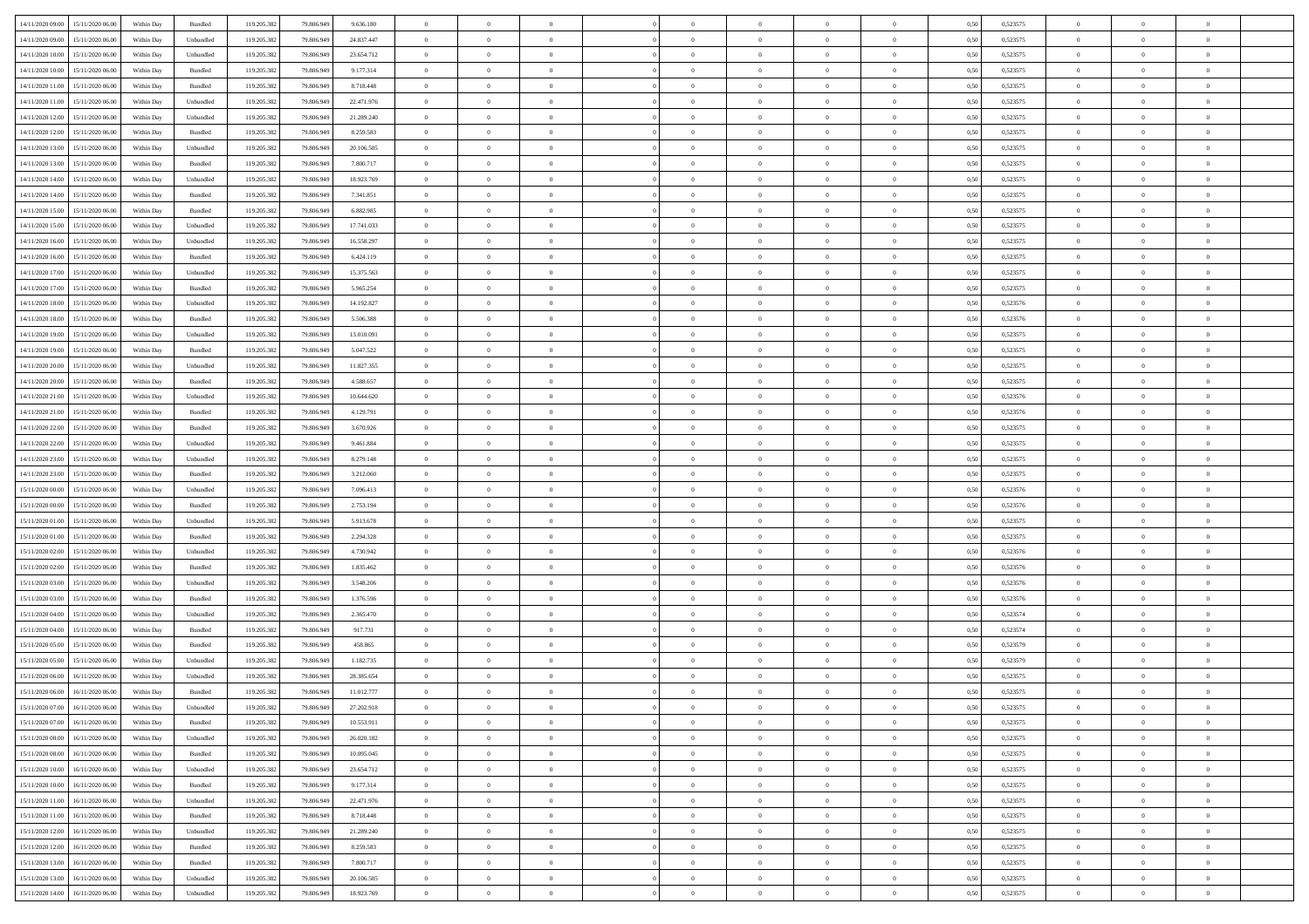| 14/11/2020 09:00 | 15/11/2020 06:00                  | Within Day | Bundled                     | 119.205.382 | 79.806.949 | 9.636.180  | $\overline{0}$ | $\theta$       |                | $\overline{0}$ | $\overline{0}$ | $\overline{0}$ | $\theta$       | 0,50 | 0,523575 | $\theta$       | $\theta$       | $\theta$                 |  |
|------------------|-----------------------------------|------------|-----------------------------|-------------|------------|------------|----------------|----------------|----------------|----------------|----------------|----------------|----------------|------|----------|----------------|----------------|--------------------------|--|
|                  |                                   |            |                             |             |            |            | $\overline{0}$ | $\overline{0}$ |                |                |                |                |                |      |          |                |                |                          |  |
| 14/11/2020 09:00 | 15/11/2020 06.00                  | Within Day | Unbundled                   | 119.205.382 | 79.806.949 | 24.837.447 |                |                | $\overline{0}$ | $\overline{0}$ | $\,$ 0         | $\bf{0}$       | $\bf{0}$       | 0,50 | 0,523575 | $\,$ 0 $\,$    | $\overline{0}$ | $\overline{0}$           |  |
| 14/11/2020 10:00 | 15/11/2020 06:00                  | Within Day | Unbundled                   | 119.205.382 | 79.806.949 | 23.654.712 | $\overline{0}$ | $\bf{0}$       | $\overline{0}$ | $\overline{0}$ | $\bf{0}$       | $\overline{0}$ | $\mathbf{0}$   | 0.50 | 0,523575 | $\bf{0}$       | $\overline{0}$ | $\overline{0}$           |  |
| 14/11/2020 10:00 | 15/11/2020 06.00                  | Within Day | Bundled                     | 119.205.382 | 79.806.949 | 9.177.314  | $\overline{0}$ | $\overline{0}$ | $\overline{0}$ | $\overline{0}$ | $\,$ 0         | $\overline{0}$ | $\overline{0}$ | 0,50 | 0,523575 | $\,$ 0 $\,$    | $\overline{0}$ | $\overline{0}$           |  |
| 14/11/2020 11:00 | 15/11/2020 06.00                  | Within Day | Bundled                     | 119.205.382 | 79.806.949 | 8.718.448  | $\overline{0}$ | $\theta$       | $\overline{0}$ |                | $\bf{0}$       | $\overline{0}$ | $\bf{0}$       | 0,50 | 0,523575 | $\,$ 0 $\,$    | $\overline{0}$ | $\overline{0}$           |  |
| 14/11/2020 11:00 | 15/11/2020 06:00                  | Within Day | Unbundled                   | 119.205.382 | 79,806.949 | 22.471.976 | $\overline{0}$ | $\overline{0}$ | $\overline{0}$ | $\overline{0}$ | $\bf{0}$       | $\overline{0}$ | $\bf{0}$       | 0.50 | 0,523575 | $\,0\,$        | $\theta$       | $\overline{0}$           |  |
| 14/11/2020 12:00 | 15/11/2020 06.00                  | Within Day | Unbundled                   | 119.205.382 | 79.806.949 | 21.289.240 | $\overline{0}$ | $\overline{0}$ | $\overline{0}$ | $\overline{0}$ | $\,$ 0         | $\overline{0}$ | $\overline{0}$ | 0,50 | 0,523575 | $\,0\,$        | $\theta$       | $\overline{0}$           |  |
| 14/11/2020 12:00 | 15/11/2020 06.00                  | Within Day | Bundled                     | 119.205.382 | 79.806.949 | 8.259.583  | $\overline{0}$ | $\theta$       | $\overline{0}$ |                | $\,$ 0         | $\overline{0}$ | $\bf{0}$       | 0,50 | 0,523575 | $\,$ 0 $\,$    | $\overline{0}$ | $\overline{0}$           |  |
|                  |                                   |            |                             |             |            |            |                |                |                |                |                |                |                |      |          |                |                |                          |  |
| 14/11/2020 13:00 | 15/11/2020 06:00                  | Within Day | Unbundled                   | 119.205.382 | 79,806.949 | 20.106.505 | $\overline{0}$ | $\overline{0}$ | $\overline{0}$ | $\overline{0}$ | $\bf{0}$       | $\overline{0}$ | $\bf{0}$       | 0.50 | 0.523575 | $\,0\,$        | $\overline{0}$ | $\overline{0}$           |  |
| 14/11/2020 13:00 | 15/11/2020 06.00                  | Within Day | Bundled                     | 119.205.382 | 79.806.949 | 7.800.717  | $\overline{0}$ | $\overline{0}$ | $\overline{0}$ | $\overline{0}$ | $\bf{0}$       | $\overline{0}$ | $\bf{0}$       | 0,50 | 0,523575 | $\,$ 0 $\,$    | $\overline{0}$ | $\overline{0}$           |  |
| 14/11/2020 14:00 | 15/11/2020 06.00                  | Within Day | Unbundled                   | 119.205.382 | 79.806.949 | 18.923.769 | $\bf{0}$       | $\theta$       | $\overline{0}$ |                | $\,$ 0         | $\overline{0}$ | $\bf{0}$       | 0,50 | 0,523575 | $\,$ 0 $\,$    | $\overline{0}$ | $\overline{0}$           |  |
| 14/11/2020 14:00 | 15/11/2020 06:00                  | Within Day | Bundled                     | 119.205.382 | 79,806.949 | 7.341.851  | $\overline{0}$ | $\overline{0}$ | $\overline{0}$ | $\overline{0}$ | $\bf{0}$       | $\overline{0}$ | $\mathbf{0}$   | 0.50 | 0,523575 | $\bf{0}$       | $\overline{0}$ | $\overline{\phantom{a}}$ |  |
| 14/11/2020 15.00 | 15/11/2020 06.00                  | Within Day | Bundled                     | 119.205.382 | 79.806.949 | 6.882.985  | $\overline{0}$ | $\overline{0}$ | $\overline{0}$ | $\overline{0}$ | $\,$ 0         | $\overline{0}$ | $\overline{0}$ | 0,50 | 0,523575 | $\,$ 0 $\,$    | $\overline{0}$ | $\overline{0}$           |  |
| 14/11/2020 15:00 | 15/11/2020 06.00                  | Within Day | Unbundled                   | 119.205.382 | 79.806.949 | 17.741.033 | $\overline{0}$ | $\theta$       | $\overline{0}$ |                | $\bf{0}$       | $\overline{0}$ | $\bf{0}$       | 0,50 | 0,523575 | $\,$ 0 $\,$    | $\overline{0}$ | $\overline{0}$           |  |
| 14/11/2020 16.00 | 15/11/2020 06.00                  | Within Day | Unbundled                   | 119.205.382 | 79,806.949 | 16.558.297 | $\overline{0}$ | $\overline{0}$ | $\overline{0}$ | $\overline{0}$ | $\,$ 0         | $\overline{0}$ | $\bf{0}$       | 0.50 | 0,523575 | $\,0\,$        | $\theta$       | $\overline{0}$           |  |
|                  |                                   |            |                             |             |            |            | $\overline{0}$ | $\overline{0}$ | $\overline{0}$ | $\overline{0}$ | $\bf{0}$       | $\overline{0}$ | $\overline{0}$ |      |          |                | $\theta$       | $\overline{0}$           |  |
| 14/11/2020 16.00 | 15/11/2020 06.00                  | Within Day | Bundled                     | 119.205.382 | 79.806.949 | 6.424.119  |                |                |                |                |                |                |                | 0,50 | 0,523575 | $\,0\,$        |                |                          |  |
| 14/11/2020 17:00 | 15/11/2020 06.00                  | Within Day | Unbundled                   | 119.205.382 | 79.806.949 | 15.375.563 | $\overline{0}$ | $\theta$       | $\overline{0}$ |                | $\,$ 0         | $\overline{0}$ | $\bf{0}$       | 0,50 | 0,523575 | $\,$ 0 $\,$    | $\overline{0}$ | $\overline{0}$           |  |
| 14/11/2020 17.00 | 15/11/2020 06:00                  | Within Day | Bundled                     | 119.205.382 | 79,806.949 | 5.965.254  | $\overline{0}$ | $\overline{0}$ | $\overline{0}$ | $\overline{0}$ | $\bf{0}$       | $\overline{0}$ | $\bf{0}$       | 0.50 | 0.523575 | $\,0\,$        | $\overline{0}$ | $\overline{\phantom{a}}$ |  |
| 14/11/2020 18.00 | 15/11/2020 06.00                  | Within Day | Unbundled                   | 119.205.382 | 79.806.949 | 14.192.827 | $\overline{0}$ | $\overline{0}$ | $\overline{0}$ | $\overline{0}$ | $\bf{0}$       | $\overline{0}$ | $\bf{0}$       | 0,50 | 0,523576 | $\,$ 0 $\,$    | $\overline{0}$ | $\overline{0}$           |  |
| 14/11/2020 18.00 | 15/11/2020 06.00                  | Within Day | Bundled                     | 119.205.382 | 79.806.949 | 5.506.388  | $\bf{0}$       | $\,$ 0 $\,$    | $\overline{0}$ | $\overline{0}$ | $\,$ 0         | $\bf{0}$       | $\bf{0}$       | 0,50 | 0,523576 | $\,$ 0 $\,$    | $\overline{0}$ | $\overline{0}$           |  |
| 14/11/2020 19:00 | 15/11/2020 06.00                  | Within Day | Unbundled                   | 119.205.382 | 79,806,949 | 13.010.091 | $\overline{0}$ | $\overline{0}$ | $\overline{0}$ | $\overline{0}$ | $\bf{0}$       | $\overline{0}$ | $\mathbf{0}$   | 0.50 | 0,523575 | $\bf{0}$       | $\overline{0}$ | $\overline{\phantom{a}}$ |  |
| 14/11/2020 19:00 | 15/11/2020 06.00                  | Within Day | Bundled                     | 119.205.382 | 79.806.949 | 5.047.522  | $\overline{0}$ | $\overline{0}$ | $\overline{0}$ | $\overline{0}$ | $\bf{0}$       | $\overline{0}$ | $\overline{0}$ | 0,50 | 0,523575 | $\,$ 0 $\,$    | $\overline{0}$ | $\overline{0}$           |  |
|                  |                                   |            |                             |             |            |            |                |                |                |                |                |                |                |      |          |                |                |                          |  |
| 14/11/2020 20.00 | 15/11/2020 06.00                  | Within Day | Unbundled                   | 119.205.382 | 79.806.949 | 11.827.355 | $\overline{0}$ | $\theta$       | $\overline{0}$ | $\overline{0}$ | $\,$ 0         | $\overline{0}$ | $\bf{0}$       | 0,50 | 0,523575 | $\,$ 0 $\,$    | $\overline{0}$ | $\overline{0}$           |  |
| 14/11/2020 20.00 | 15/11/2020 06:00                  | Within Day | Bundled                     | 119.205.382 | 79,806.949 | 4.588.657  | $\overline{0}$ | $\overline{0}$ | $\overline{0}$ | $\overline{0}$ | $\bf{0}$       | $\overline{0}$ | $\bf{0}$       | 0.50 | 0.523575 | $\,0\,$        | $\theta$       | $\overline{0}$           |  |
| 14/11/2020 21.00 | 15/11/2020 06.00                  | Within Day | Unbundled                   | 119.205.382 | 79.806.949 | 10.644.620 | $\overline{0}$ | $\overline{0}$ | $\overline{0}$ | $\overline{0}$ | $\bf{0}$       | $\overline{0}$ | $\overline{0}$ | 0,50 | 0,523576 | $\,0\,$        | $\theta$       | $\overline{0}$           |  |
| 14/11/2020 21.00 | 15/11/2020 06.00                  | Within Day | Bundled                     | 119.205.382 | 79.806.949 | 4.129.791  | $\overline{0}$ | $\theta$       | $\overline{0}$ |                | $\,$ 0         | $\overline{0}$ | $\bf{0}$       | 0,50 | 0,523576 | $\,$ 0 $\,$    | $\overline{0}$ | $\overline{0}$           |  |
| 14/11/2020 22.00 | 15/11/2020 06:00                  | Within Day | Bundled                     | 119.205.382 | 79,806.949 | 3.670.926  | $\overline{0}$ | $\overline{0}$ | $\overline{0}$ | $\overline{0}$ | $\bf{0}$       | $\overline{0}$ | $\bf{0}$       | 0.50 | 0,523575 | $\,0\,$        | $\overline{0}$ | $\overline{0}$           |  |
| 14/11/2020 22.00 | 15/11/2020 06.00                  | Within Day | Unbundled                   | 119.205.382 | 79.806.949 | 9.461.884  | $\overline{0}$ | $\overline{0}$ | $\overline{0}$ | $\overline{0}$ | $\bf{0}$       | $\overline{0}$ | $\bf{0}$       | 0,50 | 0,523575 | $\,$ 0 $\,$    | $\overline{0}$ | $\overline{0}$           |  |
| 14/11/2020 23.00 | 15/11/2020 06.00                  | Within Day | Unbundled                   | 119.205.382 | 79.806.949 | 8.279.148  | $\overline{0}$ | $\overline{0}$ | $\overline{0}$ | $\overline{0}$ | $\,$ 0         | $\bf{0}$       | $\bf{0}$       | 0,50 | 0,523575 | $\,$ 0 $\,$    | $\overline{0}$ | $\overline{0}$           |  |
|                  |                                   |            |                             |             |            |            |                |                |                |                |                |                |                |      |          |                |                |                          |  |
| 14/11/2020 23.00 | 15/11/2020 06:00                  | Within Day | Bundled                     | 119.205.382 | 79,806.949 | 3.212.060  | $\overline{0}$ | $\bf{0}$       | $\overline{0}$ | $\overline{0}$ | $\bf{0}$       | $\overline{0}$ | $\mathbf{0}$   | 0.50 | 0,523575 | $\,$ 0 $\,$    | $\overline{0}$ | $\overline{\phantom{a}}$ |  |
| 15/11/2020 00:00 | 15/11/2020 06.00                  | Within Dav | Unbundled                   | 119.205.382 | 79,806.949 | 7.096.413  | $\overline{0}$ | $\overline{0}$ | $\overline{0}$ | $\overline{0}$ | $\overline{0}$ | $\overline{0}$ | $\overline{0}$ | 0.50 | 0,523576 | $\theta$       | $\overline{0}$ | $\overline{0}$           |  |
| 15/11/2020 00:00 | 15/11/2020 06.00                  | Within Day | Bundled                     | 119.205.382 | 79.806.949 | 2.753.194  | $\overline{0}$ | $\theta$       | $\overline{0}$ |                | $\,$ 0         | $\overline{0}$ | $\bf{0}$       | 0,50 | 0,523576 | $\,$ 0 $\,$    | $\overline{0}$ | $\overline{0}$           |  |
| 15/11/2020 01:00 | 15/11/2020 06.00                  | Within Day | Unbundled                   | 119.205.382 | 79,806.949 | 5.913.678  | $\overline{0}$ | $\overline{0}$ | $\overline{0}$ | $\overline{0}$ | $\bf{0}$       | $\overline{0}$ | $\bf{0}$       | 0.50 | 0,523575 | $\,0\,$        | $\overline{0}$ | $\overline{0}$           |  |
| 15/11/2020 01:00 | 15/11/2020 06.00                  | Within Dav | Bundled                     | 119.205.382 | 79.806.949 | 2.294.328  | $\overline{0}$ | $\overline{0}$ | $\Omega$       | $\Omega$       | $\mathbf{0}$   | $\overline{0}$ | $\overline{0}$ | 0.50 | 0,523575 | $\theta$       | $\overline{0}$ | $\overline{0}$           |  |
| 15/11/2020 02.00 | 15/11/2020 06.00                  | Within Day | Unbundled                   | 119.205.382 | 79.806.949 | 4.730.942  | $\overline{0}$ | $\theta$       | $\overline{0}$ |                | $\,$ 0         | $\overline{0}$ | $\bf{0}$       | 0,50 | 0,523576 | $\,$ 0 $\,$    | $\overline{0}$ | $\overline{0}$           |  |
| 15/11/2020 02.00 | 15/11/2020 06:00                  | Within Day | Bundled                     | 119.205.382 | 79,806.949 | 1.835.462  | $\overline{0}$ | $\overline{0}$ | $\overline{0}$ | $\overline{0}$ | $\bf{0}$       | $\overline{0}$ | $\bf{0}$       | 0.50 | 0.523576 | $\,0\,$        | $\overline{0}$ | $\overline{0}$           |  |
| 15/11/2020 03:00 | 15/11/2020 06.00                  | Within Dav | Unbundled                   | 119.205.382 | 79,806.949 | 3.548.206  | $\overline{0}$ | $\overline{0}$ | $\overline{0}$ | $\overline{0}$ | $\overline{0}$ | $\overline{0}$ | $\overline{0}$ | 0.50 | 0,523576 | $\theta$       | $\overline{0}$ | $\overline{0}$           |  |
|                  |                                   |            |                             |             |            |            |                |                |                |                |                |                |                |      |          |                |                |                          |  |
| 15/11/2020 03:00 | 15/11/2020 06.00                  | Within Day | Bundled                     | 119.205.382 | 79.806.949 | 1.376.596  | $\overline{0}$ | $\overline{0}$ | $\overline{0}$ | $\overline{0}$ | $\bf{0}$       | $\bf{0}$       | $\bf{0}$       | 0,50 | 0,523576 | $\,$ 0 $\,$    | $\overline{0}$ | $\overline{0}$           |  |
| 15/11/2020 04:00 | 15/11/2020 06:00                  | Within Day | Unbundled                   | 119.205.382 | 79,806.949 | 2.365.470  | $\overline{0}$ | $\bf{0}$       | $\overline{0}$ | $\overline{0}$ | $\bf{0}$       | $\overline{0}$ | $\mathbf{0}$   | 0.50 | 0,523574 | $\,$ 0 $\,$    | $\overline{0}$ | $\overline{0}$           |  |
| 15/11/2020 04:00 | 15/11/2020 06.00                  | Within Dav | Bundled                     | 119.205.382 | 79.806.949 | 917.731    | $\overline{0}$ | $\overline{0}$ | $\Omega$       | $\Omega$       | $\mathbf{0}$   | $\overline{0}$ | $\overline{0}$ | 0.50 | 0,523574 | $\theta$       | $\overline{0}$ | $\overline{0}$           |  |
| 15/11/2020 05:00 | 15/11/2020 06.00                  | Within Day | Bundled                     | 119.205.382 | 79.806.949 | 458.865    | $\overline{0}$ | $\,$ 0 $\,$    | $\overline{0}$ | $\overline{0}$ | $\,$ 0         | $\overline{0}$ | $\bf{0}$       | 0,50 | 0,523579 | $\,$ 0 $\,$    | $\overline{0}$ | $\overline{0}$           |  |
| 15/11/2020 05:00 | 15/11/2020 06.00                  | Within Day | Unbundled                   | 119.205.382 | 79,806,949 | 1.182.735  | $\overline{0}$ | $\overline{0}$ | $\overline{0}$ | $\overline{0}$ | $\bf{0}$       | $\overline{0}$ | $\bf{0}$       | 0.50 | 0,523579 | $\,0\,$        | $\theta$       | $\overline{0}$           |  |
| 15/11/2020 06:00 | 16/11/2020 06:00                  | Within Dav | Unbundled                   | 119.205.382 | 79,806.949 | 28.385.654 | $\overline{0}$ | $\theta$       | $\Omega$       | $\Omega$       | $\bf{0}$       | $\overline{0}$ | $\overline{0}$ | 0.50 | 0,523575 | $\theta$       | $\overline{0}$ | $\overline{0}$           |  |
| 15/11/2020 06:00 | 16/11/2020 06.00                  | Within Day | Bundled                     | 119.205.382 | 79.806.949 | 11.012.777 | $\overline{0}$ | $\overline{0}$ | $\overline{0}$ | $\bf{0}$       | $\,$ 0         | $\bf{0}$       | $\bf{0}$       | 0,50 | 0,523575 | $\,$ 0 $\,$    | $\overline{0}$ | $\overline{0}$           |  |
| 15/11/2020 07:00 | 16/11/2020 06:00                  | Within Day | $\ensuremath{\mathsf{Unb}}$ | 119.205.382 | 79.806.949 | 27.202.918 |                | $\bf{0}$       |                |                |                |                |                | 0,50 | 0,523575 | $\bf{0}$       | $\theta$       |                          |  |
|                  |                                   |            |                             |             |            |            | $\bf{0}$       |                |                |                |                |                |                |      |          |                |                |                          |  |
| 15/11/2020 07.00 | 16/11/2020 06:00                  | Within Day | Bundled                     | 119.205.382 | 79.806.949 | 10.553.911 | $\Omega$       | $\theta$       | $\overline{0}$ | $\Omega$       | $\mathbf{0}$   | $\overline{0}$ | $\overline{0}$ | 0.50 | 0,523575 | $\theta$       | $\theta$       | $\overline{0}$           |  |
| 15/11/2020 08:00 | 16/11/2020 06.00                  | Within Day | Unbundled                   | 119.205.382 | 79.806.949 | 26.020.182 | $\bf{0}$       | $\bf{0}$       | $\overline{0}$ | $\bf{0}$       | $\overline{0}$ | $\overline{0}$ | $\mathbf{0}$   | 0,50 | 0,523575 | $\bf{0}$       | $\overline{0}$ | $\bf{0}$                 |  |
| 15/11/2020 08:00 | 16/11/2020 06:00                  | Within Day | Bundled                     | 119.205.382 | 79,806,949 | 10.095.045 | $\overline{0}$ | $\overline{0}$ | $\overline{0}$ | $\overline{0}$ | $\bf{0}$       | $\overline{0}$ | $\mathbf{0}$   | 0.50 | 0,523575 | $\overline{0}$ | $\bf{0}$       | $\bf{0}$                 |  |
| 15/11/2020 10:00 | 16/11/2020 06:00                  | Within Day | Unbundled                   | 119.205.382 | 79.806.949 | 23.654.712 | $\overline{0}$ | $\overline{0}$ | $\overline{0}$ | $\overline{0}$ | $\mathbf{0}$   | $\overline{0}$ | $\overline{0}$ | 0.50 | 0,523575 | $\overline{0}$ | $\theta$       | $\overline{0}$           |  |
| 15/11/2020 10:00 | 16/11/2020 06.00                  | Within Day | Bundled                     | 119.205.382 | 79.806.949 | 9.177.314  | $\bf{0}$       | $\overline{0}$ | $\overline{0}$ | $\overline{0}$ | $\bf{0}$       | $\overline{0}$ | $\bf{0}$       | 0,50 | 0,523575 | $\bf{0}$       | $\overline{0}$ | $\overline{0}$           |  |
| 15/11/2020 11:00 | 16/11/2020 06.00                  | Within Day | Unbundled                   | 119.205.382 | 79,806,949 | 22.471.976 | $\overline{0}$ | $\overline{0}$ | $\overline{0}$ | $\overline{0}$ | $\bf{0}$       | $\overline{0}$ | $\mathbf{0}$   | 0.50 | 0.523575 | $\,$ 0 $\,$    | $\theta$       | $\overline{0}$           |  |
| 15/11/2020 11:00 | 16/11/2020 06:00                  | Within Day | Bundled                     | 119.205.382 | 79.806.949 | 8.718.448  | $\overline{0}$ | $\overline{0}$ | $\overline{0}$ | $\overline{0}$ | $\overline{0}$ | $\overline{0}$ | $\overline{0}$ | 0.50 | 0,523575 | $\overline{0}$ | $\theta$       | $\overline{0}$           |  |
|                  | 16/11/2020 06.00                  | Within Day | Unbundled                   |             | 79.806.949 | 21.289.240 | $\overline{0}$ | $\,$ 0         | $\overline{0}$ | $\bf{0}$       | $\,$ 0 $\,$    | $\bf{0}$       | $\bf{0}$       | 0,50 | 0,523575 | $\,$ 0 $\,$    | $\overline{0}$ | $\,$ 0                   |  |
| 15/11/2020 12:00 |                                   |            |                             | 119.205.382 |            |            |                |                |                |                |                |                |                |      |          |                |                |                          |  |
| 15/11/2020 12:00 | 16/11/2020 06:00                  | Within Day | Bundled                     | 119.205.382 | 79,806.949 | 8.259.583  | $\overline{0}$ | $\overline{0}$ | $\overline{0}$ | $\overline{0}$ | $\bf{0}$       | $\overline{0}$ | $\mathbf{0}$   | 0.50 | 0.523575 | $\mathbf{0}$   | $\,$ 0 $\,$    | $\overline{0}$           |  |
| 15/11/2020 13:00 | 16/11/2020 06:00                  | Within Day | Bundled                     | 119.205.382 | 79.806.949 | 7.800.717  | $\overline{0}$ | $\overline{0}$ | $\overline{0}$ | $\overline{0}$ | $\overline{0}$ | $\overline{0}$ | $\overline{0}$ | 0,50 | 0,523575 | $\overline{0}$ | $\theta$       | $\overline{0}$           |  |
| 15/11/2020 13:00 | 16/11/2020 06.00                  | Within Day | Unbundled                   | 119.205.382 | 79.806.949 | 20.106.505 | $\overline{0}$ | $\overline{0}$ | $\overline{0}$ | $\bf{0}$       | $\bf{0}$       | $\bf{0}$       | $\bf{0}$       | 0,50 | 0,523575 | $\overline{0}$ | $\,0\,$        | $\bf{0}$                 |  |
|                  | 15/11/2020 14:00 16/11/2020 06:00 | Within Day | Unbundled                   | 119.205.382 | 79.806.949 | 18.923.769 | $\overline{0}$ | $\overline{0}$ | $\overline{0}$ | $\overline{0}$ | $\bf{0}$       | $\overline{0}$ | $\,$ 0 $\,$    | 0,50 | 0,523575 | $\overline{0}$ | $\,$ 0 $\,$    | $\,$ 0 $\,$              |  |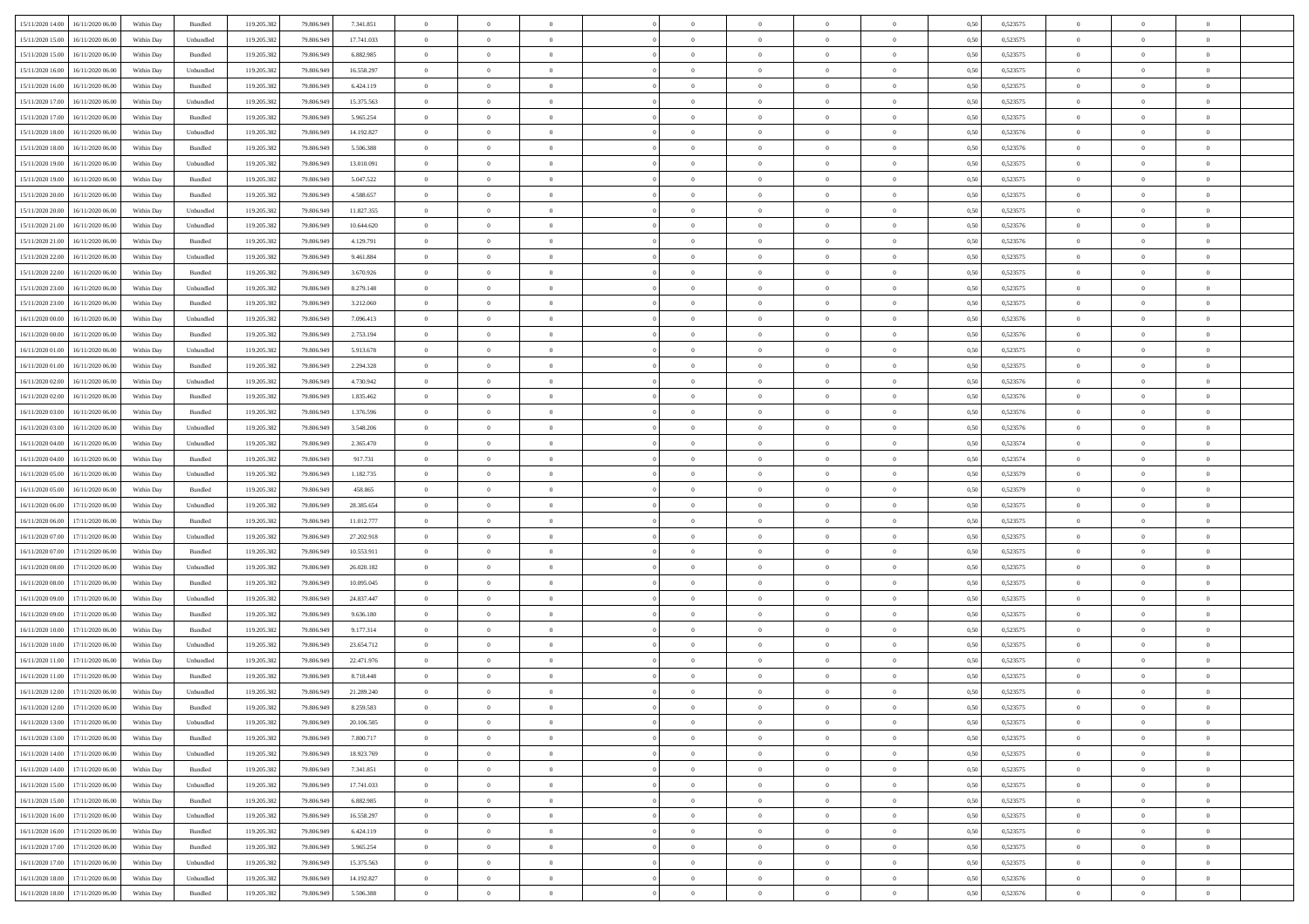|                                      |            |           |             |            |            | $\overline{0}$ | $\overline{0}$ |                | $\overline{0}$ | $\theta$       |                | $\theta$       |      |          | $\theta$       | $\theta$       | $\overline{0}$ |  |
|--------------------------------------|------------|-----------|-------------|------------|------------|----------------|----------------|----------------|----------------|----------------|----------------|----------------|------|----------|----------------|----------------|----------------|--|
| 15/11/2020 14:00 16/11/2020 06:00    | Within Day | Bundled   | 119.205.382 | 79.806.949 | 7.341.851  |                |                |                |                |                |                |                | 0,50 | 0,523575 |                |                |                |  |
| 15/11/2020 15:00<br>16/11/2020 06.00 | Within Day | Unbundled | 119.205.38  | 79.806.94  | 17.741.033 | $\bf{0}$       | $\bf{0}$       | $\bf{0}$       | $\bf{0}$       | $\overline{0}$ | $\overline{0}$ | $\bf{0}$       | 0,50 | 0,523575 | $\,$ 0 $\,$    | $\bf{0}$       | $\overline{0}$ |  |
| 15/11/2020 15:00<br>16/11/2020 06:00 | Within Day | Bundled   | 119.205.382 | 79,806,949 | 6.882.985  | $\overline{0}$ | $\bf{0}$       | $\overline{0}$ | $\bf{0}$       | $\bf{0}$       | $\overline{0}$ | $\bf{0}$       | 0.50 | 0,523575 | $\bf{0}$       | $\overline{0}$ | $\overline{0}$ |  |
| 15/11/2020 16:00<br>16/11/2020 06.00 | Within Day | Unbundled | 119.205.382 | 79.806.949 | 16.558.297 | $\overline{0}$ | $\overline{0}$ | $\overline{0}$ | $\overline{0}$ | $\theta$       | $\overline{0}$ | $\bf{0}$       | 0,50 | 0,523575 | $\,$ 0 $\,$    | $\theta$       | $\overline{0}$ |  |
| 15/11/2020 16.00<br>16/11/2020 06.00 | Within Day | Bundled   | 119.205.38  | 79.806.949 | 6.424.119  | $\bf{0}$       | $\overline{0}$ | $\bf{0}$       | $\overline{0}$ | $\bf{0}$       | $\overline{0}$ | $\bf{0}$       | 0,50 | 0,523575 | $\,$ 0 $\,$    | $\bf{0}$       | $\overline{0}$ |  |
|                                      |            |           |             |            |            |                |                |                |                |                |                |                |      |          |                |                |                |  |
| 15/11/2020 17:00<br>16/11/2020 06.00 | Within Day | Unbundled | 119,205.38  | 79,806,949 | 15.375.563 | $\overline{0}$ | $\bf{0}$       | $\overline{0}$ | $\bf{0}$       | $\overline{0}$ | $\overline{0}$ | $\bf{0}$       | 0.50 | 0.523575 | $\,$ 0 $\,$    | $\theta$       | $\overline{0}$ |  |
| 15/11/2020 17:00<br>16/11/2020 06.00 | Within Day | Bundled   | 119.205.38  | 79.806.949 | 5.965.254  | $\bf{0}$       | $\overline{0}$ | $\overline{0}$ | $\overline{0}$ | $\overline{0}$ | $\overline{0}$ | $\bf{0}$       | 0,50 | 0,523575 | $\,$ 0 $\,$    | $\theta$       | $\overline{0}$ |  |
| 15/11/2020 18:00<br>16/11/2020 06.00 | Within Day | Unbundled | 119.205.38  | 79.806.949 | 14.192.827 | $\bf{0}$       | $\bf{0}$       | $\bf{0}$       | $\overline{0}$ | $\overline{0}$ | $\overline{0}$ | $\bf{0}$       | 0,50 | 0,523576 | $\,$ 0 $\,$    | $\bf{0}$       | $\overline{0}$ |  |
| 15/11/2020 18:00<br>16/11/2020 06:00 | Within Day | Bundled   | 119,205.38  | 79,806,949 | 5.506.388  | $\overline{0}$ | $\bf{0}$       | $\overline{0}$ | $\bf{0}$       | $\overline{0}$ | $\overline{0}$ | $\bf{0}$       | 0.50 | 0.523576 | $\bf{0}$       | $\overline{0}$ | $\overline{0}$ |  |
| 15/11/2020 19:00<br>16/11/2020 06.00 | Within Day | Unbundled | 119.205.382 | 79.806.949 | 13.010.091 | $\bf{0}$       | $\bf{0}$       | $\overline{0}$ | $\overline{0}$ | $\overline{0}$ | $\overline{0}$ | $\bf{0}$       | 0,50 | 0,523575 | $\,$ 0 $\,$    | $\bf{0}$       | $\overline{0}$ |  |
|                                      |            |           |             |            |            |                |                |                |                |                |                |                |      |          |                |                |                |  |
| 15/11/2020 19:00<br>16/11/2020 06.00 | Within Day | Bundled   | 119.205.38  | 79.806.949 | 5.047.522  | $\bf{0}$       | $\bf{0}$       | $\bf{0}$       | $\bf{0}$       | $\bf{0}$       | $\overline{0}$ | $\bf{0}$       | 0,50 | 0,523575 | $\,$ 0 $\,$    | $\bf{0}$       | $\overline{0}$ |  |
| 15/11/2020 20:00<br>16/11/2020 06.00 | Within Day | Bundled   | 119.205.382 | 79,806,949 | 4.588.657  | $\overline{0}$ | $\bf{0}$       | $\overline{0}$ | $\overline{0}$ | $\bf{0}$       | $\overline{0}$ | $\bf{0}$       | 0.50 | 0,523575 | $\bf{0}$       | $\overline{0}$ | $\,$ 0         |  |
| 15/11/2020 20.00<br>16/11/2020 06.00 | Within Day | Unbundled | 119.205.38  | 79.806.949 | 11.827.355 | $\overline{0}$ | $\overline{0}$ | $\overline{0}$ | $\theta$       | $\theta$       | $\overline{0}$ | $\bf{0}$       | 0,50 | 0,523575 | $\,$ 0 $\,$    | $\theta$       | $\overline{0}$ |  |
| 15/11/2020 21.00<br>16/11/2020 06.00 | Within Day | Unbundled | 119.205.38  | 79.806.94  | 10.644.620 | $\bf{0}$       | $\overline{0}$ | $\bf{0}$       | $\bf{0}$       | $\bf{0}$       | $\overline{0}$ | $\bf{0}$       | 0,50 | 0,523576 | $\,$ 0 $\,$    | $\bf{0}$       | $\overline{0}$ |  |
| 15/11/2020 21.00<br>16/11/2020 06.00 | Within Day | Bundled   | 119.205.382 | 79,806,949 | 4.129.791  | $\overline{0}$ | $\bf{0}$       | $\overline{0}$ | $\bf{0}$       | $\overline{0}$ | $\theta$       | $\bf{0}$       | 0.50 | 0.523576 | $\,$ 0 $\,$    | $\theta$       | $\overline{0}$ |  |
| 15/11/2020 22.00<br>16/11/2020 06.00 | Within Day | Unbundled | 119.205.382 | 79.806.949 | 9.461.884  | $\overline{0}$ | $\overline{0}$ | $\overline{0}$ | $\overline{0}$ | $\overline{0}$ | $\overline{0}$ | $\bf{0}$       | 0,50 | 0,523575 | $\,$ 0 $\,$    | $\theta$       | $\overline{0}$ |  |
|                                      |            |           |             |            |            |                |                |                |                |                |                |                |      |          |                |                |                |  |
| 15/11/2020 22.00<br>16/11/2020 06.00 | Within Day | Bundled   | 119.205.38  | 79.806.949 | 3.670.926  | $\bf{0}$       | $\bf{0}$       | $\bf{0}$       | $\overline{0}$ | $\bf{0}$       | $\overline{0}$ | $\bf{0}$       | 0,50 | 0,523575 | $\,$ 0 $\,$    | $\bf{0}$       | $\overline{0}$ |  |
| 15/11/2020 23:00<br>16/11/2020 06:00 | Within Day | Unbundled | 119,205.38  | 79,806.949 | 8.279.148  | $\overline{0}$ | $\bf{0}$       | $\overline{0}$ | $\bf{0}$       | $\overline{0}$ | $\overline{0}$ | $\bf{0}$       | 0.50 | 0.523575 | $\bf{0}$       | $\overline{0}$ | $\overline{0}$ |  |
| 15/11/2020 23.00<br>16/11/2020 06.00 | Within Day | Bundled   | 119.205.382 | 79.806.949 | 3.212.060  | $\bf{0}$       | $\bf{0}$       | $\overline{0}$ | $\overline{0}$ | $\overline{0}$ | $\overline{0}$ | $\bf{0}$       | 0,50 | 0,523575 | $\,$ 0 $\,$    | $\bf{0}$       | $\overline{0}$ |  |
| 16/11/2020 00:00<br>16/11/2020 06.00 | Within Day | Unbundled | 119.205.38  | 79.806.949 | 7.096.413  | $\bf{0}$       | $\bf{0}$       | $\bf{0}$       | $\bf{0}$       | $\overline{0}$ | $\overline{0}$ | $\bf{0}$       | 0,50 | 0,523576 | $\,$ 0 $\,$    | $\bf{0}$       | $\overline{0}$ |  |
| 16/11/2020 00:00<br>16/11/2020 06.00 | Within Day | Bundled   | 119.205.382 | 79,806,949 | 2.753.194  | $\overline{0}$ | $\bf{0}$       | $\overline{0}$ | $\overline{0}$ | $\bf{0}$       | $\overline{0}$ | $\bf{0}$       | 0.50 | 0,523576 | $\bf{0}$       | $\overline{0}$ | $\,$ 0         |  |
| 16/11/2020 01:00<br>16/11/2020 06.00 | Within Day | Unbundled | 119.205.382 | 79.806.949 | 5.913.678  | $\overline{0}$ | $\overline{0}$ | $\overline{0}$ | $\theta$       | $\theta$       | $\overline{0}$ | $\bf{0}$       | 0,50 | 0,523575 | $\,$ 0 $\,$    | $\theta$       | $\overline{0}$ |  |
|                                      |            |           |             |            |            |                |                |                |                |                |                |                |      |          |                |                |                |  |
| 16/11/2020 01:00<br>16/11/2020 06.00 | Within Day | Bundled   | 119.205.38  | 79.806.949 | 2.294.328  | $\bf{0}$       | $\bf{0}$       | $\bf{0}$       | $\bf{0}$       | $\overline{0}$ | $\overline{0}$ | $\bf{0}$       | 0,50 | 0,523575 | $\,$ 0 $\,$    | $\bf{0}$       | $\overline{0}$ |  |
| 16/11/2020 02.00<br>16/11/2020 06.00 | Within Day | Unbundled | 119,205.38  | 79,806.949 | 4.730.942  | $\overline{0}$ | $\bf{0}$       | $\overline{0}$ | $\bf{0}$       | $\overline{0}$ | $\overline{0}$ | $\bf{0}$       | 0.50 | 0.523576 | $\bf{0}$       | $\theta$       | $\overline{0}$ |  |
| 16/11/2020 02.00<br>16/11/2020 06.00 | Within Day | Bundled   | 119.205.382 | 79.806.949 | 1.835.462  | $\bf{0}$       | $\overline{0}$ | $\overline{0}$ | $\overline{0}$ | $\overline{0}$ | $\overline{0}$ | $\bf{0}$       | 0,50 | 0,523576 | $\,$ 0 $\,$    | $\theta$       | $\overline{0}$ |  |
| 16/11/2020 03:00<br>16/11/2020 06.00 | Within Day | Bundled   | 119.205.38  | 79.806.949 | 1.376.596  | $\bf{0}$       | $\overline{0}$ | $\bf{0}$       | $\overline{0}$ | $\bf{0}$       | $\overline{0}$ | $\bf{0}$       | 0,50 | 0,523576 | $\,$ 0 $\,$    | $\bf{0}$       | $\overline{0}$ |  |
| 16/11/2020 03.00<br>16/11/2020 06:00 | Within Day | Unbundled | 119,205.38  | 79,806,949 | 3.548.206  | $\overline{0}$ | $\bf{0}$       | $\overline{0}$ | $\bf{0}$       | $\overline{0}$ | $\overline{0}$ | $\bf{0}$       | 0.50 | 0.523576 | $\bf{0}$       | $\overline{0}$ | $\overline{0}$ |  |
| 16/11/2020 04:00<br>16/11/2020 06.00 | Within Day | Unbundled | 119.205.382 | 79.806.949 | 2.365.470  | $\overline{0}$ | $\bf{0}$       | $\overline{0}$ | $\overline{0}$ | $\overline{0}$ | $\overline{0}$ | $\bf{0}$       | 0,50 | 0,523574 | $\,$ 0 $\,$    | $\bf{0}$       | $\overline{0}$ |  |
| 16/11/2020 04:00<br>16/11/2020 06.00 | Within Day | Bundled   | 119.205.38  | 79.806.949 | 917.731    | $\bf{0}$       | $\bf{0}$       | $\bf{0}$       | $\bf{0}$       | $\overline{0}$ | $\overline{0}$ | $\bf{0}$       | 0,50 | 0,523574 | $\,$ 0 $\,$    | $\bf{0}$       | $\overline{0}$ |  |
|                                      |            |           |             |            |            |                |                |                |                |                |                |                |      |          |                |                |                |  |
| 16/11/2020 05:00<br>16/11/2020 06.00 | Within Day | Unbundled | 119.205.382 | 79,806,949 | 1.182.735  | $\overline{0}$ | $\bf{0}$       | $\overline{0}$ | $\overline{0}$ | $\bf{0}$       | $\overline{0}$ | $\bf{0}$       | 0.50 | 0,523579 | $\bf{0}$       | $\overline{0}$ | $\,$ 0         |  |
| 16/11/2020 05:00<br>16/11/2020 06:00 | Within Day | Bundled   | 119.205.38  | 79,806.949 | 458,865    | $\overline{0}$ | $\overline{0}$ | $\overline{0}$ | $\overline{0}$ | $\overline{0}$ | $\overline{0}$ | $\bf{0}$       | 0.5( | 0,523579 | $\theta$       | $\theta$       | $\overline{0}$ |  |
| 16/11/2020 06.00<br>17/11/2020 06.00 | Within Day | Unbundled | 119.205.38  | 79.806.949 | 28.385.654 | $\bf{0}$       | $\bf{0}$       | $\bf{0}$       | $\bf{0}$       | $\overline{0}$ | $\overline{0}$ | $\bf{0}$       | 0,50 | 0,523575 | $\,$ 0 $\,$    | $\bf{0}$       | $\overline{0}$ |  |
| 16/11/2020 06:00<br>17/11/2020 06.00 | Within Day | Bundled   | 119.205.382 | 79,806,949 | 11.012.777 | $\overline{0}$ | $\bf{0}$       | $\overline{0}$ | $\bf{0}$       | $\overline{0}$ | $\overline{0}$ | $\bf{0}$       | 0.50 | 0,523575 | $\,$ 0 $\,$    | $\bf{0}$       | $\overline{0}$ |  |
| 16/11/2020 07:00<br>17/11/2020 06.00 | Within Dav | Unbundled | 119.205.38  | 79,806,949 | 27.202.918 | $\overline{0}$ | $\overline{0}$ | $\overline{0}$ | $\overline{0}$ | $\overline{0}$ | $\overline{0}$ | $\bf{0}$       | 0.5( | 0,523575 | $\theta$       | $\theta$       | $\overline{0}$ |  |
| 16/11/2020 07:00<br>17/11/2020 06.00 | Within Day | Bundled   | 119.205.38  | 79.806.949 | 10.553.911 | $\bf{0}$       | $\bf{0}$       | $\bf{0}$       | $\bf{0}$       | $\overline{0}$ | $\overline{0}$ | $\bf{0}$       | 0,50 | 0,523575 | $\,$ 0 $\,$    | $\bf{0}$       | $\overline{0}$ |  |
| 17/11/2020 06:00                     |            | Unbundled | 119,205.38  | 79,806.949 | 26.020.182 |                | $\bf{0}$       | $\overline{0}$ |                | $\overline{0}$ | $\overline{0}$ |                | 0.50 | 0.523575 | $\bf{0}$       | $\overline{0}$ | $\overline{0}$ |  |
| 16/11/2020 08:00                     | Within Day |           |             |            |            | $\overline{0}$ |                |                | $\bf{0}$       |                |                | $\bf{0}$       |      |          |                |                |                |  |
| 16/11/2020 08:00<br>17/11/2020 06.00 | Within Dav | Bundled   | 119.205.38  | 79,806.949 | 10.095.045 | $\overline{0}$ | $\overline{0}$ | $\overline{0}$ | $\overline{0}$ | $\overline{0}$ | $\overline{0}$ | $\bf{0}$       | 0.50 | 0,523575 | $\theta$       | $\theta$       | $\overline{0}$ |  |
| 16/11/2020 09:00<br>17/11/2020 06.00 | Within Day | Unbundled | 119.205.38  | 79.806.949 | 24.837.447 | $\bf{0}$       | $\bf{0}$       | $\bf{0}$       | $\bf{0}$       | $\overline{0}$ | $\overline{0}$ | $\bf{0}$       | 0,50 | 0,523575 | $\,$ 0 $\,$    | $\bf{0}$       | $\overline{0}$ |  |
| 16/11/2020 09:00<br>17/11/2020 06.00 | Within Day | Bundled   | 119.205.382 | 79,806,949 | 9.636.180  | $\overline{0}$ | $\bf{0}$       | $\overline{0}$ | $\overline{0}$ | $\bf{0}$       | $\overline{0}$ | $\bf{0}$       | 0.50 | 0,523575 | $\bf{0}$       | $\overline{0}$ | $\overline{0}$ |  |
| 16/11/2020 10:00<br>17/11/2020 06.00 | Within Dav | Bundled   | 119.205.382 | 79,806.949 | 9.177.314  | $\overline{0}$ | $\overline{0}$ | $\overline{0}$ | $\overline{0}$ | $\overline{0}$ | $\overline{0}$ | $\bf{0}$       | 0.5( | 0,523575 | $\theta$       | $\theta$       | $\overline{0}$ |  |
| 16/11/2020 10:00<br>17/11/2020 06.00 | Within Day | Unbundled | 119.205.38  | 79.806.949 | 23.654.712 | $\bf{0}$       | $\bf{0}$       | $\bf{0}$       | $\bf{0}$       | $\overline{0}$ | $\overline{0}$ | $\bf{0}$       | 0,50 | 0,523575 | $\,$ 0 $\,$    | $\bf{0}$       | $\overline{0}$ |  |
| 16/11/2020 11:00<br>17/11/2020 06.00 | Within Day | Unbundled | 119.205.38  | 79,806.949 | 22.471.976 | $\overline{0}$ | $\overline{0}$ | $\overline{0}$ | $\bf{0}$       | $\overline{0}$ | $\overline{0}$ | $\bf{0}$       | 0.50 | 0,523575 | $\bf{0}$       | $\theta$       | $\overline{0}$ |  |
| 17/11/2020 06.00                     | Within Dav | Bundled   | 119.205.38  | 79,806.949 | 8.718.448  | $\overline{0}$ | $\overline{0}$ | $\overline{0}$ | $\theta$       | $\theta$       | $\overline{0}$ | $\overline{0}$ | 0.5( | 0,523575 | $\theta$       | $\theta$       | $\overline{0}$ |  |
| 16/11/2020 11:00                     |            |           |             |            |            |                |                |                |                |                |                |                |      |          |                |                |                |  |
| 16/11/2020 12:00<br>17/11/2020 06.00 | Within Day | Unbundled | 119.205.38  | 79.806.949 | 21.289.240 | $\bf{0}$       | $\bf{0}$       | $\bf{0}$       | $\bf{0}$       | $\bf{0}$       | $\overline{0}$ | $\bf{0}$       | 0,50 | 0,523575 | $\,$ 0 $\,$    | $\overline{0}$ | $\overline{0}$ |  |
| 16/11/2020 12:00 17/11/2020 06:00    | Within Day | Bundled   | 119.205.382 | 79.806.949 | 8.259.583  | $\bf{0}$       | $\theta$       |                | $\Omega$       | $\Omega$       |                |                | 0,50 | 0,523575 | $\bf{0}$       | $\bf{0}$       |                |  |
| 16/11/2020 13:00 17/11/2020 06:00    | Within Day | Unbundled | 119.205.382 | 79.806.949 | 20.106.505 | $\overline{0}$ | $\overline{0}$ | $\Omega$       | $\theta$       | $\overline{0}$ | $\overline{0}$ | $\bf{0}$       | 0,50 | 0,523575 | $\theta$       | $\theta$       | $\overline{0}$ |  |
| 16/11/2020 13:00<br>17/11/2020 06.00 | Within Day | Bundled   | 119.205.38  | 79.806.949 | 7.800.717  | $\overline{0}$ | $\bf{0}$       | $\overline{0}$ | $\overline{0}$ | $\bf{0}$       | $\overline{0}$ | $\bf{0}$       | 0,50 | 0,523575 | $\bf{0}$       | $\overline{0}$ | $\bf{0}$       |  |
| 16/11/2020 14:00 17/11/2020 06:00    | Within Day | Unbundled | 119.205.382 | 79,806,949 | 18.923.769 | $\overline{0}$ | $\bf{0}$       | $\overline{0}$ | $\overline{0}$ | $\overline{0}$ | $\overline{0}$ | $\,$ 0 $\,$    | 0.50 | 0,523575 | $\overline{0}$ | $\bf{0}$       | $\,$ 0 $\,$    |  |
| 16/11/2020 14:00 17/11/2020 06:00    | Within Day | Bundled   | 119.205.382 | 79.806.949 | 7.341.851  | $\overline{0}$ | $\overline{0}$ | $\overline{0}$ | $\overline{0}$ | $\overline{0}$ | $\overline{0}$ | $\bf{0}$       | 0.50 | 0,523575 | $\overline{0}$ | $\theta$       | $\overline{0}$ |  |
|                                      |            |           |             |            |            |                |                |                |                |                |                |                |      |          | $\bf{0}$       |                |                |  |
| 16/11/2020 15:00<br>17/11/2020 06.00 | Within Day | Unbundled | 119.205.382 | 79.806.949 | 17.741.033 | $\overline{0}$ | $\bf{0}$       | $\overline{0}$ | $\bf{0}$       | $\overline{0}$ | $\bf{0}$       | $\bf{0}$       | 0,50 | 0,523575 |                | $\overline{0}$ | $\overline{0}$ |  |
| 17/11/2020 06:00<br>16/11/2020 15:00 | Within Day | Bundled   | 119.205.382 | 79,806,949 | 6.882.985  | $\overline{0}$ | $\bf{0}$       | $\overline{0}$ | $\overline{0}$ | $\bf{0}$       | $\overline{0}$ | $\bf{0}$       | 0.50 | 0.523575 | $\,$ 0 $\,$    | $\overline{0}$ | $\,$ 0         |  |
| 16/11/2020 16:00<br>17/11/2020 06:00 | Within Dav | Unbundled | 119.205.382 | 79.806.949 | 16.558.297 | $\overline{0}$ | $\overline{0}$ | $\overline{0}$ | $\overline{0}$ | $\overline{0}$ | $\overline{0}$ | $\bf{0}$       | 0.50 | 0,523575 | $\overline{0}$ | $\theta$       | $\overline{0}$ |  |
| 16/11/2020 16:00<br>17/11/2020 06.00 | Within Day | Bundled   | 119.205.38  | 79.806.949 | 6.424.119  | $\overline{0}$ | $\overline{0}$ | $\overline{0}$ | $\overline{0}$ | $\overline{0}$ | $\overline{0}$ | $\bf{0}$       | 0,50 | 0,523575 | $\bf{0}$       | $\overline{0}$ | $\overline{0}$ |  |
| 17/11/2020 06:00<br>16/11/2020 17.00 | Within Day | Bundled   | 119.205.382 | 79,806,949 | 5.965.254  | $\overline{0}$ | $\overline{0}$ | $\overline{0}$ | $\overline{0}$ | $\bf{0}$       | $\overline{0}$ | $\bf{0}$       | 0.50 | 0.523575 | $\mathbf{0}$   | $\bf{0}$       | $\,$ 0         |  |
| 16/11/2020 17:00 17/11/2020 06:00    | Within Dav | Unbundled | 119.205.382 | 79.806.949 | 15.375.563 | $\overline{0}$ | $\overline{0}$ | $\overline{0}$ | $\overline{0}$ | $\overline{0}$ | $\overline{0}$ | $\bf{0}$       | 0,50 | 0,523575 | $\overline{0}$ | $\theta$       | $\overline{0}$ |  |
|                                      |            |           |             |            |            |                |                |                |                |                |                |                |      |          |                |                |                |  |
| 16/11/2020 18:00<br>17/11/2020 06.00 | Within Day | Unbundled | 119.205.38  | 79.806.949 | 14.192.827 | $\overline{0}$ | $\bf{0}$       | $\overline{0}$ | $\bf{0}$       | $\overline{0}$ | $\bf{0}$       | $\bf{0}$       | 0,50 | 0,523576 | $\bf{0}$       | $\bf{0}$       | $\overline{0}$ |  |
| 16/11/2020 18:00 17/11/2020 06:00    | Within Day | Bundled   | 119.205.382 | 79.806.949 | 5.506.388  | $\,$ 0 $\,$    | $\bf{0}$       | $\overline{0}$ | $\overline{0}$ | $\,$ 0 $\,$    | $\overline{0}$ | $\bf{0}$       | 0,50 | 0,523576 | $\overline{0}$ | $\,$ 0 $\,$    | $\,$ 0 $\,$    |  |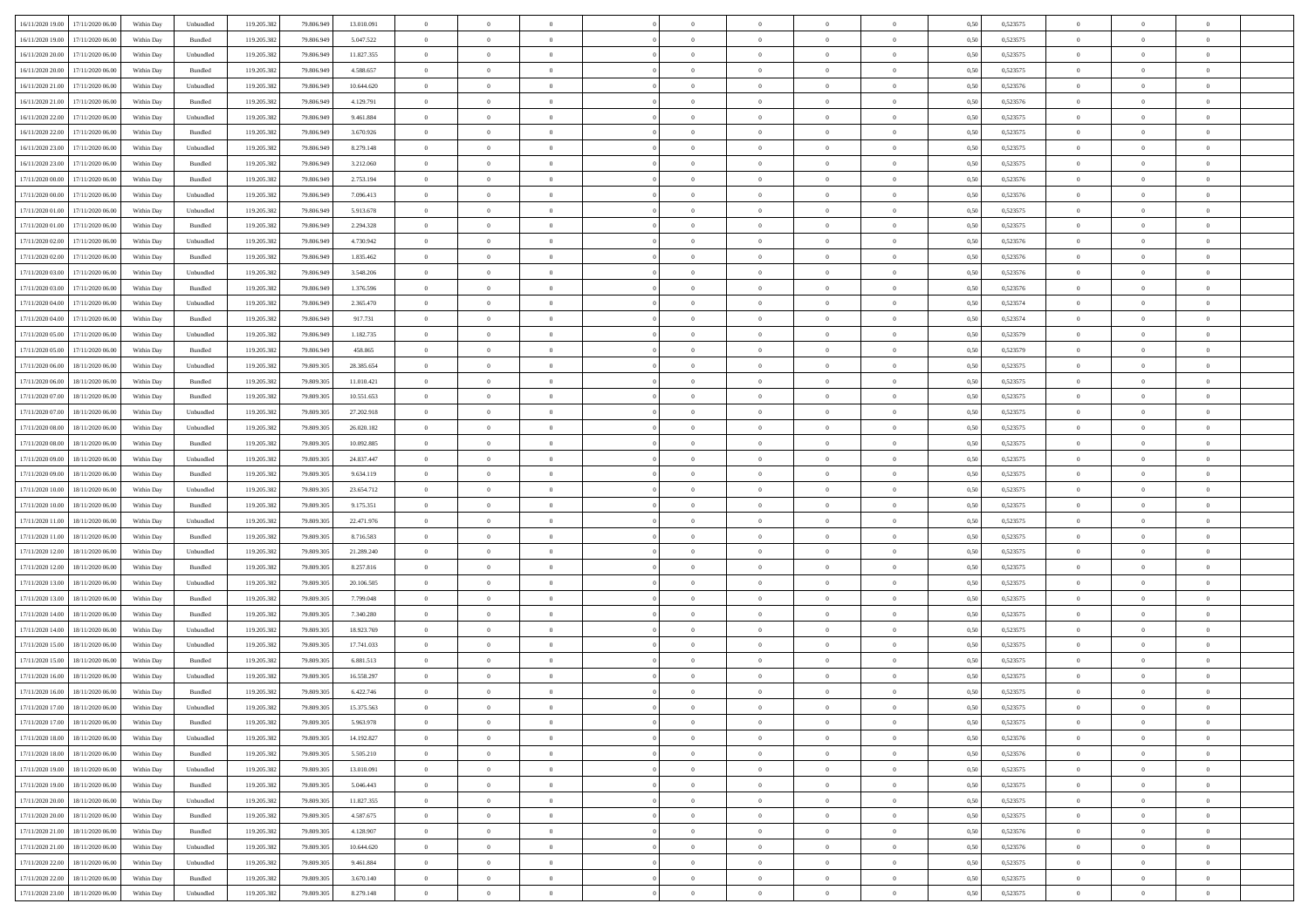| 16/11/2020 19:00                  | 17/11/2020 06:00                  | Within Day | Unbundled | 119.205.382 | 79.806.949 | 13.010.091 | $\overline{0}$ | $\theta$       |                | $\overline{0}$ | $\bf{0}$       | $\overline{0}$ | $\theta$       | 0,50 | 0,523575 | $\theta$       | $\theta$       | $\overline{0}$           |  |
|-----------------------------------|-----------------------------------|------------|-----------|-------------|------------|------------|----------------|----------------|----------------|----------------|----------------|----------------|----------------|------|----------|----------------|----------------|--------------------------|--|
| 16/11/2020 19:00                  | 17/11/2020 06.00                  | Within Day | Bundled   | 119.205.382 | 79.806.949 | 5.047.522  | $\overline{0}$ | $\theta$       | $\overline{0}$ | $\overline{0}$ | $\,$ 0         | $\bf{0}$       | $\bf{0}$       | 0,50 | 0,523575 | $\,$ 0 $\,$    | $\overline{0}$ | $\overline{0}$           |  |
|                                   |                                   |            |           |             |            |            |                |                |                |                |                |                |                |      |          |                |                |                          |  |
| 16/11/2020 20.00                  | 17/11/2020 06:00                  | Within Day | Unbundled | 119.205.382 | 79.806.949 | 11.827.355 | $\overline{0}$ | $\bf{0}$       | $\overline{0}$ | $\overline{0}$ | $\bf{0}$       | $\overline{0}$ | $\mathbf{0}$   | 0.50 | 0,523575 | $\bf{0}$       | $\overline{0}$ | $\overline{0}$           |  |
| 16/11/2020 20.00                  | 17/11/2020 06.00                  | Within Day | Bundled   | 119.205.382 | 79.806.949 | 4.588.657  | $\overline{0}$ | $\overline{0}$ | $\overline{0}$ | $\overline{0}$ | $\,$ 0         | $\overline{0}$ | $\overline{0}$ | 0,50 | 0,523575 | $\,$ 0 $\,$    | $\overline{0}$ | $\overline{0}$           |  |
| 16/11/2020 21.00                  | 17/11/2020 06.00                  | Within Day | Unbundled | 119.205.382 | 79.806.949 | 10.644.620 | $\overline{0}$ | $\theta$       | $\overline{0}$ |                | $\bf{0}$       | $\overline{0}$ | $\bf{0}$       | 0,50 | 0,523576 | $\,$ 0 $\,$    | $\overline{0}$ | $\overline{0}$           |  |
| 16/11/2020 21:00                  | 17/11/2020 06:00                  | Within Day | Bundled   | 119.205.382 | 79,806,949 | 4.129.791  | $\overline{0}$ | $\overline{0}$ | $\overline{0}$ | $\overline{0}$ | $\bf{0}$       | $\overline{0}$ | $\bf{0}$       | 0.50 | 0.523576 | $\,0\,$        | $\theta$       | $\overline{0}$           |  |
| 16/11/2020 22.00                  | 17/11/2020 06.00                  | Within Day | Unbundled | 119.205.382 | 79.806.949 | 9.461.884  | $\overline{0}$ | $\overline{0}$ | $\overline{0}$ | $\overline{0}$ | $\,$ 0         | $\overline{0}$ | $\overline{0}$ | 0,50 | 0,523575 | $\,0\,$        | $\theta$       | $\overline{0}$           |  |
| 16/11/2020 22.00                  | 17/11/2020 06.00                  | Within Day | Bundled   | 119.205.382 | 79.806.949 | 3.670.926  | $\overline{0}$ | $\theta$       | $\overline{0}$ |                | $\,$ 0         | $\bf{0}$       | $\bf{0}$       | 0,50 | 0,523575 | $\,$ 0 $\,$    | $\overline{0}$ | $\overline{0}$           |  |
| 16/11/2020 23.00                  | 17/11/2020 06:00                  | Within Day | Unbundled | 119.205.382 | 79,806,949 | 8.279.148  | $\overline{0}$ | $\overline{0}$ | $\overline{0}$ | $\overline{0}$ | $\bf{0}$       | $\overline{0}$ | $\bf{0}$       | 0.50 | 0.523575 | $\,0\,$        | $\overline{0}$ | $\overline{0}$           |  |
| 16/11/2020 23.00                  | 17/11/2020 06.00                  | Within Day | Bundled   | 119.205.382 | 79.806.949 | 3.212.060  | $\overline{0}$ | $\overline{0}$ | $\overline{0}$ | $\overline{0}$ | $\bf{0}$       | $\overline{0}$ | $\bf{0}$       | 0,50 | 0,523575 | $\,$ 0 $\,$    | $\overline{0}$ | $\overline{0}$           |  |
| 17/11/2020 00:00                  | 17/11/2020 06.00                  | Within Day | Bundled   | 119.205.382 | 79.806.949 | 2.753.194  | $\bf{0}$       | $\theta$       | $\overline{0}$ | $\overline{0}$ | $\,$ 0         | $\overline{0}$ | $\bf{0}$       | 0,50 | 0,523576 | $\,$ 0 $\,$    | $\overline{0}$ | $\overline{0}$           |  |
| 17/11/2020 00:00                  | 17/11/2020 06:00                  | Within Day | Unbundled | 119.205.382 | 79,806,949 | 7.096.413  | $\overline{0}$ | $\overline{0}$ | $\overline{0}$ | $\overline{0}$ | $\bf{0}$       | $\overline{0}$ | $\mathbf{0}$   | 0.50 | 0,523576 | $\bf{0}$       | $\overline{0}$ | $\overline{\phantom{a}}$ |  |
| 17/11/2020 01:00                  | 17/11/2020 06.00                  | Within Day | Unbundled | 119.205.382 | 79.806.949 | 5.913.678  | $\overline{0}$ | $\overline{0}$ | $\overline{0}$ | $\overline{0}$ | $\,$ 0         | $\overline{0}$ | $\overline{0}$ | 0,50 | 0,523575 | $\,$ 0 $\,$    | $\overline{0}$ | $\overline{0}$           |  |
| 17/11/2020 01:00                  | 17/11/2020 06.00                  | Within Day | Bundled   | 119.205.382 | 79.806.949 | 2.294.328  | $\overline{0}$ | $\theta$       | $\overline{0}$ |                | $\bf{0}$       | $\overline{0}$ | $\bf{0}$       | 0,50 | 0,523575 | $\,$ 0 $\,$    | $\overline{0}$ | $\overline{0}$           |  |
| 17/11/2020 02:00                  | 17/11/2020 06:00                  | Within Day | Unbundled | 119.205.382 | 79,806,949 | 4.730.942  | $\overline{0}$ | $\overline{0}$ | $\overline{0}$ | $\overline{0}$ | $\bf{0}$       | $\overline{0}$ | $\bf{0}$       | 0.50 | 0.523576 | $\,0\,$        | $\overline{0}$ | $\overline{0}$           |  |
|                                   |                                   |            |           |             |            |            | $\overline{0}$ | $\overline{0}$ | $\overline{0}$ | $\overline{0}$ | $\bf{0}$       | $\overline{0}$ | $\overline{0}$ |      |          |                | $\theta$       | $\overline{0}$           |  |
| 17/11/2020 02.00                  | 17/11/2020 06.00                  | Within Day | Bundled   | 119.205.382 | 79.806.949 | 1.835.462  |                |                |                |                |                |                |                | 0,50 | 0,523576 | $\,0\,$        |                |                          |  |
| 17/11/2020 03:00                  | 17/11/2020 06.00                  | Within Day | Unbundled | 119.205.382 | 79.806.949 | 3.548.206  | $\overline{0}$ | $\theta$       | $\overline{0}$ |                | $\,$ 0         | $\overline{0}$ | $\bf{0}$       | 0,50 | 0,523576 | $\,$ 0 $\,$    | $\overline{0}$ | $\overline{0}$           |  |
| 17/11/2020 03:00                  | 17/11/2020 06:00                  | Within Day | Bundled   | 119.205.382 | 79,806,949 | 1.376.596  | $\overline{0}$ | $\overline{0}$ | $\overline{0}$ | $\overline{0}$ | $\bf{0}$       | $\overline{0}$ | $\bf{0}$       | 0.50 | 0.523576 | $\,0\,$        | $\overline{0}$ | $\overline{\phantom{a}}$ |  |
| 17/11/2020 04:00                  | 17/11/2020 06.00                  | Within Day | Unbundled | 119.205.382 | 79.806.949 | 2.365.470  | $\overline{0}$ | $\overline{0}$ | $\overline{0}$ | $\overline{0}$ | $\,$ 0         | $\overline{0}$ | $\bf{0}$       | 0,50 | 0,523574 | $\,$ 0 $\,$    | $\overline{0}$ | $\overline{0}$           |  |
| 17/11/2020 04:00                  | 17/11/2020 06.00                  | Within Day | Bundled   | 119.205.382 | 79.806.949 | 917.731    | $\bf{0}$       | $\,$ 0 $\,$    | $\overline{0}$ | $\overline{0}$ | $\,$ 0         | $\bf{0}$       | $\bf{0}$       | 0,50 | 0,523574 | $\,$ 0 $\,$    | $\overline{0}$ | $\overline{0}$           |  |
| 17/11/2020 05:00                  | 17/11/2020 06:00                  | Within Day | Unbundled | 119.205.382 | 79,806,949 | 1.182.735  | $\overline{0}$ | $\overline{0}$ | $\overline{0}$ | $\overline{0}$ | $\bf{0}$       | $\overline{0}$ | $\mathbf{0}$   | 0.50 | 0,523579 | $\bf{0}$       | $\overline{0}$ | $\overline{\phantom{a}}$ |  |
| 17/11/2020 05:00                  | 17/11/2020 06.00                  | Within Day | Bundled   | 119.205.382 | 79.806.949 | 458.865    | $\overline{0}$ | $\overline{0}$ | $\overline{0}$ | $\overline{0}$ | $\bf{0}$       | $\overline{0}$ | $\overline{0}$ | 0,50 | 0,523579 | $\,$ 0 $\,$    | $\overline{0}$ | $\overline{0}$           |  |
| 17/11/2020 06.00                  | 18/11/2020 06.00                  | Within Day | Unbundled | 119.205.382 | 79.809.305 | 28.385.654 | $\overline{0}$ | $\theta$       | $\overline{0}$ | $\overline{0}$ | $\,$ 0         | $\overline{0}$ | $\bf{0}$       | 0,50 | 0,523575 | $\,$ 0 $\,$    | $\overline{0}$ | $\overline{0}$           |  |
| 17/11/2020 06.00                  | 18/11/2020 06:00                  | Within Day | Bundled   | 119.205.382 | 79,809.305 | 11.010.421 | $\overline{0}$ | $\overline{0}$ | $\overline{0}$ | $\overline{0}$ | $\bf{0}$       | $\overline{0}$ | $\bf{0}$       | 0.50 | 0,523575 | $\,0\,$        | $\theta$       | $\overline{0}$           |  |
| 17/11/2020 07.00                  | 18/11/2020 06.00                  | Within Day | Bundled   | 119.205.382 | 79.809.305 | 10.551.653 | $\overline{0}$ | $\overline{0}$ | $\overline{0}$ | $\overline{0}$ | $\bf{0}$       | $\overline{0}$ | $\overline{0}$ | 0,50 | 0,523575 | $\,0\,$        | $\theta$       | $\overline{0}$           |  |
| 17/11/2020 07:00                  | 18/11/2020 06.00                  | Within Day | Unbundled | 119.205.382 | 79.809.305 | 27.202.918 | $\overline{0}$ | $\theta$       | $\overline{0}$ |                | $\,$ 0         | $\overline{0}$ | $\bf{0}$       | 0,50 | 0,523575 | $\,$ 0 $\,$    | $\overline{0}$ | $\overline{0}$           |  |
| 17/11/2020 08:00                  | 18/11/2020 06:00                  | Within Day | Unbundled | 119.205.382 | 79,809.305 | 26.020.182 | $\overline{0}$ | $\overline{0}$ | $\overline{0}$ | $\overline{0}$ | $\bf{0}$       | $\overline{0}$ | $\bf{0}$       | 0.50 | 0.523575 | $\,0\,$        | $\overline{0}$ | $\overline{0}$           |  |
| 17/11/2020 08:00                  | 18/11/2020 06.00                  | Within Day | Bundled   | 119.205.382 | 79.809.305 | 10.092.885 | $\overline{0}$ | $\overline{0}$ | $\overline{0}$ | $\overline{0}$ | $\bf{0}$       | $\overline{0}$ | $\bf{0}$       | 0,50 | 0,523575 | $\,$ 0 $\,$    | $\overline{0}$ | $\overline{0}$           |  |
|                                   | 18/11/2020 06.00                  | Within Day | Unbundled |             | 79.809.305 | 24.837.447 | $\overline{0}$ | $\overline{0}$ | $\overline{0}$ | $\overline{0}$ | $\,$ 0         | $\bf{0}$       | $\bf{0}$       | 0,50 | 0,523575 | $\,$ 0 $\,$    | $\overline{0}$ | $\overline{0}$           |  |
| 17/11/2020 09:00                  |                                   |            |           | 119.205.382 |            |            |                |                |                |                |                |                |                |      |          |                |                |                          |  |
| 17/11/2020 09:00                  | 18/11/2020 06:00                  | Within Day | Bundled   | 119.205.382 | 79,809.305 | 9.634.119  | $\overline{0}$ | $\bf{0}$       | $\overline{0}$ | $\overline{0}$ | $\bf{0}$       | $\overline{0}$ | $\mathbf{0}$   | 0.50 | 0,523575 | $\bf{0}$       | $\overline{0}$ | $\overline{\phantom{a}}$ |  |
| 17/11/2020 10:00                  | 18/11/2020 06:00                  | Within Dav | Unbundled | 119.205.382 | 79,809.305 | 23.654.712 | $\overline{0}$ | $\overline{0}$ | $\overline{0}$ | $\overline{0}$ | $\overline{0}$ | $\overline{0}$ | $\overline{0}$ | 0.50 | 0,523575 | $\theta$       | $\overline{0}$ | $\overline{0}$           |  |
| 17/11/2020 10:00                  | 18/11/2020 06.00                  | Within Day | Bundled   | 119.205.382 | 79.809.305 | 9.175.351  | $\overline{0}$ | $\theta$       | $\overline{0}$ |                | $\,$ 0         | $\overline{0}$ | $\bf{0}$       | 0,50 | 0,523575 | $\,$ 0 $\,$    | $\overline{0}$ | $\overline{0}$           |  |
| 17/11/2020 11:00                  | 18/11/2020 06.00                  | Within Day | Unbundled | 119.205.382 | 79,809.305 | 22.471.976 | $\overline{0}$ | $\overline{0}$ | $\overline{0}$ | $\overline{0}$ | $\bf{0}$       | $\overline{0}$ | $\bf{0}$       | 0.50 | 0,523575 | $\,0\,$        | $\overline{0}$ | $\overline{0}$           |  |
| 17/11/2020 11:00                  | 18/11/2020 06:00                  | Within Dav | Bundled   | 119.205.382 | 79.809.305 | 8.716.583  | $\overline{0}$ | $\overline{0}$ | $\Omega$       | $\Omega$       | $\mathbf{0}$   | $\overline{0}$ | $\overline{0}$ | 0.50 | 0,523575 | $\theta$       | $\overline{0}$ | $\overline{0}$           |  |
| 17/11/2020 12:00                  | 18/11/2020 06.00                  | Within Day | Unbundled | 119.205.382 | 79.809.305 | 21.289.240 | $\overline{0}$ | $\theta$       | $\overline{0}$ |                | $\,$ 0         | $\overline{0}$ | $\bf{0}$       | 0,50 | 0,523575 | $\,$ 0 $\,$    | $\overline{0}$ | $\overline{0}$           |  |
| 17/11/2020 12:00                  | 18/11/2020 06:00                  | Within Day | Bundled   | 119.205.382 | 79,809.305 | 8.257.816  | $\overline{0}$ | $\overline{0}$ | $\overline{0}$ | $\overline{0}$ | $\bf{0}$       | $\overline{0}$ | $\bf{0}$       | 0.50 | 0.523575 | $\,0\,$        | $\overline{0}$ | $\overline{0}$           |  |
| 17/11/2020 13:00                  | 18/11/2020 06.00                  | Within Dav | Unbundled | 119.205.382 | 79.809.305 | 20.106.505 | $\overline{0}$ | $\overline{0}$ | $\overline{0}$ | $\overline{0}$ | $\overline{0}$ | $\overline{0}$ | $\overline{0}$ | 0.50 | 0,523575 | $\theta$       | $\overline{0}$ | $\overline{0}$           |  |
| 17/11/2020 13:00                  | 18/11/2020 06.00                  | Within Day | Bundled   | 119.205.382 | 79.809.305 | 7.799.048  | $\bf{0}$       | $\overline{0}$ | $\overline{0}$ | $\overline{0}$ | $\bf{0}$       | $\bf{0}$       | $\bf{0}$       | 0,50 | 0,523575 | $\,$ 0 $\,$    | $\overline{0}$ | $\overline{0}$           |  |
| 17/11/2020 14:00                  | 18/11/2020 06:00                  | Within Day | Bundled   | 119.205.382 | 79,809.305 | 7,340,280  | $\overline{0}$ | $\overline{0}$ | $\overline{0}$ | $\overline{0}$ | $\bf{0}$       | $\overline{0}$ | $\mathbf{0}$   | 0.50 | 0,523575 | $\,$ 0 $\,$    | $\overline{0}$ | $\overline{0}$           |  |
| 17/11/2020 14:00                  | 18/11/2020 06:00                  | Within Dav | Unbundled | 119.205.382 | 79.809.305 | 18.923.769 | $\overline{0}$ | $\overline{0}$ | $\Omega$       | $\Omega$       | $\mathbf{0}$   | $\overline{0}$ | $\overline{0}$ | 0.50 | 0,523575 | $\theta$       | $\overline{0}$ | $\overline{0}$           |  |
| 17/11/2020 15:00                  | 18/11/2020 06.00                  | Within Day | Unbundled | 119.205.382 | 79.809.305 | 17.741.033 | $\overline{0}$ | $\,$ 0 $\,$    | $\overline{0}$ | $\overline{0}$ | $\,$ 0         | $\overline{0}$ | $\bf{0}$       | 0,50 | 0,523575 | $\,$ 0 $\,$    | $\overline{0}$ | $\overline{0}$           |  |
| 17/11/2020 15:00                  | 18/11/2020 06:00                  | Within Day | Bundled   | 119.205.382 | 79,809.305 | 6.881.513  | $\overline{0}$ | $\overline{0}$ | $\overline{0}$ | $\overline{0}$ | $\bf{0}$       | $\overline{0}$ | $\bf{0}$       | 0.50 | 0,523575 | $\,0\,$        | $\theta$       | $\overline{0}$           |  |
| 17/11/2020 16.00                  | 18/11/2020 06:00                  | Within Dav | Unbundled | 119.205.382 | 79.809.305 | 16.558.297 | $\overline{0}$ | $\Omega$       | $\Omega$       | $\Omega$       | $\bf{0}$       | $\overline{0}$ | $\overline{0}$ | 0.50 | 0,523575 | $\theta$       | $\overline{0}$ | $\overline{0}$           |  |
| 17/11/2020 16:00                  | 18/11/2020 06.00                  | Within Day | Bundled   | 119.205.382 | 79.809.305 | 6.422.746  | $\bf{0}$       | $\,$ 0 $\,$    | $\overline{0}$ | $\bf{0}$       | $\,$ 0         | $\overline{0}$ | $\bf{0}$       | 0,50 | 0,523575 | $\,$ 0 $\,$    | $\overline{0}$ | $\overline{0}$           |  |
| 17/11/2020 17:00                  | 18/11/2020 06:00                  | Within Day |           |             | 79.809.305 | 15.375.563 |                |                |                |                |                |                |                | 0,50 | 0,523575 |                |                |                          |  |
|                                   |                                   |            | Unbundled | 119.205.382 |            |            | $\bf{0}$       | $\bf{0}$       |                |                |                |                |                |      |          | $\bf{0}$       | $\bf{0}$       |                          |  |
| 17/11/2020 17:00 18/11/2020 06:00 |                                   | Within Day | Bundled   | 119.205.382 | 79.809.305 | 5.963.978  | $\Omega$       | $\theta$       | $\overline{0}$ | $\Omega$       | $\mathbf{0}$   | $\overline{0}$ | $\mathbf{0}$   | 0.50 | 0,523575 | $\theta$       | $\theta$       | $\overline{0}$           |  |
| 17/11/2020 18:00                  | 18/11/2020 06.00                  | Within Day | Unbundled | 119.205.382 | 79.809.305 | 14.192.827 | $\bf{0}$       | $\overline{0}$ | $\overline{0}$ | $\bf{0}$       | $\overline{0}$ | $\overline{0}$ | $\mathbf{0}$   | 0,50 | 0,523576 | $\bf{0}$       | $\overline{0}$ | $\bf{0}$                 |  |
| 17/11/2020 18:00                  | 18/11/2020 06.00                  | Within Day | Bundled   | 119.205.382 | 79,809,305 | 5.505.210  | $\overline{0}$ | $\overline{0}$ | $\overline{0}$ | $\overline{0}$ | $\bf{0}$       | $\overline{0}$ | $\mathbf{0}$   | 0.50 | 0,523576 | $\overline{0}$ | $\bf{0}$       | $\bf{0}$                 |  |
| 17/11/2020 19:00                  | 18/11/2020 06:00                  | Within Day | Unbundled | 119.205.382 | 79.809.305 | 13.010.091 | $\overline{0}$ | $\overline{0}$ | $\overline{0}$ | $\overline{0}$ | $\mathbf{0}$   | $\overline{0}$ | $\mathbf{0}$   | 0.50 | 0,523575 | $\overline{0}$ | $\theta$       | $\overline{0}$           |  |
| 17/11/2020 19:00                  | 18/11/2020 06.00                  | Within Day | Bundled   | 119.205.382 | 79.809.305 | 5.046.443  | $\bf{0}$       | $\overline{0}$ | $\overline{0}$ | $\overline{0}$ | $\bf{0}$       | $\bf{0}$       | $\bf{0}$       | 0,50 | 0,523575 | $\bf{0}$       | $\overline{0}$ | $\overline{0}$           |  |
| 17/11/2020 20:00                  | 18/11/2020 06:00                  | Within Day | Unbundled | 119.205.382 | 79,809,305 | 11.827.355 | $\overline{0}$ | $\overline{0}$ | $\overline{0}$ | $\overline{0}$ | $\bf{0}$       | $\overline{0}$ | $\mathbf{0}$   | 0.50 | 0.523575 | $\,$ 0 $\,$    | $\overline{0}$ | $\overline{0}$           |  |
| 17/11/2020 20.00                  | 18/11/2020 06:00                  | Within Day | Bundled   | 119.205.382 | 79.809.305 | 4.587.675  | $\overline{0}$ | $\overline{0}$ | $\overline{0}$ | $\overline{0}$ | $\overline{0}$ | $\overline{0}$ | $\overline{0}$ | 0.50 | 0,523575 | $\overline{0}$ | $\theta$       | $\overline{0}$           |  |
| 17/11/2020 21.00                  | 18/11/2020 06.00                  | Within Day | Bundled   | 119.205.382 | 79.809.305 | 4.128.907  | $\overline{0}$ | $\,$ 0         | $\overline{0}$ | $\bf{0}$       | $\,$ 0 $\,$    | $\bf{0}$       | $\bf{0}$       | 0,50 | 0,523576 | $\,$ 0 $\,$    | $\overline{0}$ | $\,$ 0                   |  |
| 17/11/2020 21.00                  | 18/11/2020 06:00                  | Within Day | Unbundled | 119.205.382 | 79,809,305 | 10.644.620 | $\overline{0}$ | $\overline{0}$ | $\overline{0}$ | $\overline{0}$ | $\bf{0}$       | $\overline{0}$ | $\mathbf{0}$   | 0.50 | 0.523576 | $\mathbf{0}$   | $\,$ 0 $\,$    | $\overline{0}$           |  |
| 17/11/2020 22.00                  | 18/11/2020 06:00                  | Within Day | Unbundled | 119.205.382 | 79.809.305 | 9.461.884  | $\overline{0}$ | $\overline{0}$ | $\overline{0}$ | $\overline{0}$ | $\overline{0}$ | $\overline{0}$ | $\overline{0}$ | 0,50 | 0,523575 | $\overline{0}$ | $\theta$       | $\overline{0}$           |  |
| 17/11/2020 22.00                  | 18/11/2020 06.00                  | Within Day | Bundled   | 119.205.382 | 79.809.305 | 3.670.140  | $\overline{0}$ | $\overline{0}$ | $\overline{0}$ | $\bf{0}$       | $\bf{0}$       | $\bf{0}$       | $\bf{0}$       | 0,50 | 0,523575 | $\overline{0}$ | $\overline{0}$ | $\bf{0}$                 |  |
|                                   | 17/11/2020 23.00 18/11/2020 06.00 | Within Day | Unbundled | 119.205.382 | 79.809.305 | 8.279.148  | $\overline{0}$ | $\overline{0}$ | $\overline{0}$ | $\overline{0}$ | $\bf{0}$       | $\overline{0}$ | $\,$ 0 $\,$    | 0,50 | 0,523575 | $\overline{0}$ | $\,$ 0 $\,$    | $\,$ 0 $\,$              |  |
|                                   |                                   |            |           |             |            |            |                |                |                |                |                |                |                |      |          |                |                |                          |  |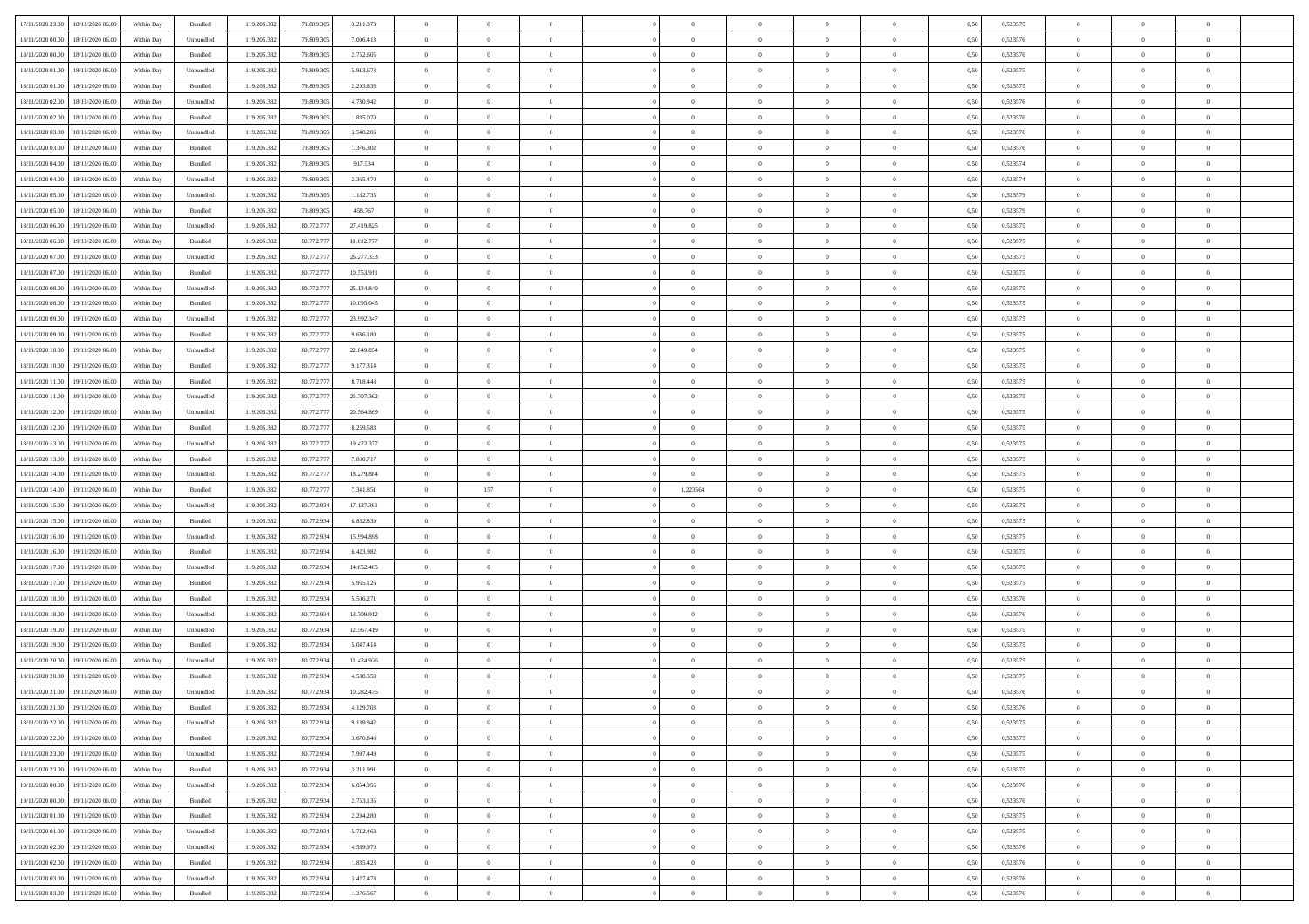|                                      |            |           |             |            |            | $\overline{0}$ | $\overline{0}$ |                | $\overline{0}$ | $\theta$       |                | $\theta$       |      |          | $\theta$       | $\theta$       | $\overline{0}$ |  |
|--------------------------------------|------------|-----------|-------------|------------|------------|----------------|----------------|----------------|----------------|----------------|----------------|----------------|------|----------|----------------|----------------|----------------|--|
| 17/11/2020 23.00 18/11/2020 06.00    | Within Day | Bundled   | 119.205.382 | 79.809.305 | 3.211.373  |                |                |                |                |                |                |                | 0,50 | 0,523575 |                |                |                |  |
| 18/11/2020 00:00<br>18/11/2020 06.00 | Within Day | Unbundled | 119.205.38  | 79.809.30  | 7.096.413  | $\bf{0}$       | $\bf{0}$       | $\bf{0}$       | $\bf{0}$       | $\overline{0}$ | $\overline{0}$ | $\bf{0}$       | 0,50 | 0,523576 | $\,$ 0 $\,$    | $\bf{0}$       | $\overline{0}$ |  |
| 18/11/2020 00:00<br>18/11/2020 06:00 | Within Day | Bundled   | 119.205.382 | 79,809.30  | 2.752.605  | $\overline{0}$ | $\bf{0}$       | $\overline{0}$ | $\bf{0}$       | $\bf{0}$       | $\overline{0}$ | $\bf{0}$       | 0.50 | 0,523576 | $\bf{0}$       | $\overline{0}$ | $\overline{0}$ |  |
| 18/11/2020 01:00<br>18/11/2020 06.00 | Within Day | Unbundled | 119.205.382 | 79.809.305 | 5.913.678  | $\overline{0}$ | $\overline{0}$ | $\overline{0}$ | $\theta$       | $\theta$       | $\overline{0}$ | $\bf{0}$       | 0,50 | 0,523575 | $\theta$       | $\theta$       | $\overline{0}$ |  |
| 18/11/2020 01:00<br>18/11/2020 06.00 | Within Day | Bundled   | 119.205.38  | 79.809.30  | 2.293.838  | $\bf{0}$       | $\overline{0}$ | $\bf{0}$       | $\overline{0}$ | $\theta$       | $\overline{0}$ | $\bf{0}$       | 0,50 | 0,523575 | $\,$ 0 $\,$    | $\bf{0}$       | $\overline{0}$ |  |
|                                      |            |           |             |            |            |                |                |                |                |                |                |                |      |          |                |                |                |  |
| 18/11/2020 02:00<br>18/11/2020 06.00 | Within Day | Unbundled | 119,205.38  | 79,809.30  | 4.730.942  | $\overline{0}$ | $\overline{0}$ | $\overline{0}$ | $\bf{0}$       | $\overline{0}$ | $\theta$       | $\bf{0}$       | 0.50 | 0.523576 | $\,$ 0 $\,$    | $\theta$       | $\overline{0}$ |  |
| 18/11/2020 02.00<br>18/11/2020 06.00 | Within Day | Bundled   | 119.205.38  | 79.809.305 | 1.835.070  | $\overline{0}$ | $\overline{0}$ | $\overline{0}$ | $\overline{0}$ | $\overline{0}$ | $\overline{0}$ | $\bf{0}$       | 0,50 | 0,523576 | $\,$ 0 $\,$    | $\theta$       | $\overline{0}$ |  |
| 18/11/2020 03:00<br>18/11/2020 06.00 | Within Day | Unbundled | 119.205.38  | 79.809.30  | 3.548.206  | $\bf{0}$       | $\bf{0}$       | $\bf{0}$       | $\overline{0}$ | $\overline{0}$ | $\overline{0}$ | $\bf{0}$       | 0,50 | 0,523576 | $\,$ 0 $\,$    | $\bf{0}$       | $\overline{0}$ |  |
| 18/11/2020 03.00<br>18/11/2020 06:00 | Within Day | Bundled   | 119,205.38  | 79,809.30  | 1.376.302  | $\overline{0}$ | $\bf{0}$       | $\overline{0}$ | $\bf{0}$       | $\overline{0}$ | $\overline{0}$ | $\bf{0}$       | 0.50 | 0.523576 | $\bf{0}$       | $\overline{0}$ | $\overline{0}$ |  |
| 18/11/2020 04:00<br>18/11/2020 06.00 | Within Day | Bundled   | 119.205.382 | 79.809.305 | 917.534    | $\bf{0}$       | $\bf{0}$       | $\overline{0}$ | $\overline{0}$ | $\overline{0}$ | $\overline{0}$ | $\bf{0}$       | 0,50 | 0,523574 | $\,$ 0 $\,$    | $\bf{0}$       | $\overline{0}$ |  |
| 18/11/2020 04:00<br>18/11/2020 06.00 | Within Day | Unbundled | 119.205.38  | 79.809.30  | 2.365.470  | $\bf{0}$       | $\bf{0}$       | $\bf{0}$       | $\bf{0}$       | $\bf{0}$       | $\overline{0}$ | $\bf{0}$       | 0,50 | 0,523574 | $\,$ 0 $\,$    | $\bf{0}$       | $\overline{0}$ |  |
| 18/11/2020 05:00<br>18/11/2020 06:00 | Within Day | Unbundled | 119.205.382 | 79,809.30  | 1.182.735  | $\overline{0}$ | $\bf{0}$       | $\overline{0}$ | $\overline{0}$ | $\bf{0}$       | $\overline{0}$ | $\bf{0}$       | 0.50 | 0,523579 | $\bf{0}$       | $\overline{0}$ | $\,$ 0         |  |
|                                      |            |           |             |            |            |                |                |                |                |                |                |                |      |          |                |                |                |  |
| 18/11/2020 05:00<br>18/11/2020 06.00 | Within Day | Bundled   | 119.205.38  | 79.809.305 | 458.767    | $\overline{0}$ | $\overline{0}$ | $\overline{0}$ | $\theta$       | $\theta$       | $\overline{0}$ | $\bf{0}$       | 0,50 | 0,523579 | $\,$ 0 $\,$    | $\theta$       | $\overline{0}$ |  |
| 18/11/2020 06:00<br>19/11/2020 06.00 | Within Day | Unbundled | 119.205.38  | 80.772.77  | 27.419.825 | $\bf{0}$       | $\overline{0}$ | $\bf{0}$       | $\bf{0}$       | $\bf{0}$       | $\overline{0}$ | $\bf{0}$       | 0,50 | 0,523575 | $\,$ 0 $\,$    | $\bf{0}$       | $\overline{0}$ |  |
| 18/11/2020 06:00<br>19/11/2020 06.00 | Within Day | Bundled   | 119.205.382 | 80.772.777 | 11.012.777 | $\overline{0}$ | $\bf{0}$       | $\overline{0}$ | $\bf{0}$       | $\overline{0}$ | $\theta$       | $\bf{0}$       | 0.50 | 0.523575 | $\,$ 0 $\,$    | $\theta$       | $\overline{0}$ |  |
| 18/11/2020 07:00<br>19/11/2020 06.00 | Within Day | Unbundled | 119.205.382 | 80.772.777 | 26.277.333 | $\overline{0}$ | $\overline{0}$ | $\overline{0}$ | $\overline{0}$ | $\overline{0}$ | $\overline{0}$ | $\bf{0}$       | 0,50 | 0,523575 | $\theta$       | $\theta$       | $\overline{0}$ |  |
| 18/11/2020 07:00<br>19/11/2020 06.00 | Within Day | Bundled   | 119.205.38  | 80.772.77  | 10.553.911 | $\bf{0}$       | $\bf{0}$       | $\bf{0}$       | $\overline{0}$ | $\bf{0}$       | $\overline{0}$ | $\bf{0}$       | 0,50 | 0,523575 | $\,$ 0 $\,$    | $\bf{0}$       | $\overline{0}$ |  |
| 18/11/2020 08:00<br>19/11/2020 06:00 | Within Day | Unbundled | 119,205.38  | 80.772.77  | 25.134.840 | $\overline{0}$ | $\bf{0}$       | $\overline{0}$ | $\bf{0}$       | $\overline{0}$ | $\overline{0}$ | $\bf{0}$       | 0.50 | 0.523575 | $\bf{0}$       | $\overline{0}$ | $\overline{0}$ |  |
| 18/11/2020 08:00<br>19/11/2020 06.00 | Within Day | Bundled   | 119.205.382 | 80.772.777 | 10.095.045 | $\bf{0}$       | $\bf{0}$       | $\overline{0}$ | $\overline{0}$ | $\overline{0}$ | $\overline{0}$ | $\bf{0}$       | 0,50 | 0,523575 | $\,$ 0 $\,$    | $\bf{0}$       | $\overline{0}$ |  |
|                                      |            |           |             |            |            |                |                |                |                |                |                |                |      |          |                |                |                |  |
| 18/11/2020 09:00<br>19/11/2020 06.00 | Within Day | Unbundled | 119.205.38  | 80.772.77  | 23.992.347 | $\bf{0}$       | $\bf{0}$       | $\bf{0}$       | $\bf{0}$       | $\overline{0}$ | $\overline{0}$ | $\bf{0}$       | 0,50 | 0,523575 | $\,$ 0 $\,$    | $\bf{0}$       | $\overline{0}$ |  |
| 18/11/2020 09:00<br>19/11/2020 06.00 | Within Day | Bundled   | 119.205.382 | 80.772.777 | 9.636.180  | $\overline{0}$ | $\bf{0}$       | $\overline{0}$ | $\overline{0}$ | $\bf{0}$       | $\overline{0}$ | $\bf{0}$       | 0.50 | 0,523575 | $\bf{0}$       | $\overline{0}$ | $\,$ 0         |  |
| 18/11/2020 10:00<br>19/11/2020 06.00 | Within Day | Unbundled | 119.205.382 | 80.772.777 | 22.849.854 | $\overline{0}$ | $\overline{0}$ | $\overline{0}$ | $\theta$       | $\theta$       | $\overline{0}$ | $\bf{0}$       | 0,50 | 0,523575 | $\theta$       | $\theta$       | $\overline{0}$ |  |
| 18/11/2020 10:00<br>19/11/2020 06.00 | Within Day | Bundled   | 119.205.38  | 80.772.77  | 9.177.314  | $\bf{0}$       | $\bf{0}$       | $\bf{0}$       | $\bf{0}$       | $\overline{0}$ | $\overline{0}$ | $\bf{0}$       | 0,50 | 0,523575 | $\,$ 0 $\,$    | $\bf{0}$       | $\overline{0}$ |  |
| 18/11/2020 11:00<br>19/11/2020 06.00 | Within Day | Bundled   | 119,205.38  | 80.772.777 | 8.718.448  | $\overline{0}$ | $\bf{0}$       | $\overline{0}$ | $\bf{0}$       | $\overline{0}$ | $\overline{0}$ | $\bf{0}$       | 0.50 | 0.523575 | $\bf{0}$       | $\theta$       | $\overline{0}$ |  |
| 18/11/2020 11:00<br>19/11/2020 06.00 | Within Day | Unbundled | 119.205.382 | 80.772.777 | 21.707.362 | $\overline{0}$ | $\overline{0}$ | $\overline{0}$ | $\overline{0}$ | $\overline{0}$ | $\overline{0}$ | $\bf{0}$       | 0,50 | 0,523575 | $\,$ 0 $\,$    | $\theta$       | $\overline{0}$ |  |
| 18/11/2020 12:00<br>19/11/2020 06.00 | Within Day | Unbundled | 119.205.38  | 80.772.77  | 20.564.869 | $\bf{0}$       | $\overline{0}$ | $\bf{0}$       | $\overline{0}$ | $\bf{0}$       | $\overline{0}$ | $\bf{0}$       | 0,50 | 0,523575 | $\,$ 0 $\,$    | $\bf{0}$       | $\overline{0}$ |  |
| 18/11/2020 12:00<br>19/11/2020 06:00 | Within Day | Bundled   | 119,205.38  | 80.772.77  | 8.259.583  | $\overline{0}$ | $\bf{0}$       | $\overline{0}$ | $\bf{0}$       | $\overline{0}$ | $\overline{0}$ | $\bf{0}$       | 0.50 | 0.523575 | $\bf{0}$       | $\overline{0}$ | $\overline{0}$ |  |
| 18/11/2020 13:00<br>19/11/2020 06.00 | Within Day | Unbundled | 119.205.382 | 80.772.777 | 19.422.377 | $\overline{0}$ | $\bf{0}$       | $\overline{0}$ | $\overline{0}$ | $\overline{0}$ | $\overline{0}$ | $\bf{0}$       | 0,50 | 0,523575 | $\,$ 0 $\,$    | $\theta$       | $\overline{0}$ |  |
|                                      |            |           |             |            |            |                |                |                |                |                |                |                |      |          |                |                |                |  |
| 18/11/2020 13:00<br>19/11/2020 06.00 | Within Day | Bundled   | 119.205.38  | 80.772.77  | 7.800.717  | $\bf{0}$       | $\bf{0}$       | $\bf{0}$       | $\bf{0}$       | $\overline{0}$ | $\overline{0}$ | $\bf{0}$       | 0,50 | 0,523575 | $\,$ 0 $\,$    | $\bf{0}$       | $\overline{0}$ |  |
| 18/11/2020 14:00<br>19/11/2020 06.00 | Within Day | Unbundled | 119.205.382 | 80.772.777 | 18.279.884 | $\overline{0}$ | $\bf{0}$       | $\overline{0}$ | $\overline{0}$ | $\bf{0}$       | $\overline{0}$ | $\bf{0}$       | 0.50 | 0,523575 | $\bf{0}$       | $\overline{0}$ | $\,$ 0         |  |
| 18/11/2020 14:00<br>19/11/2020 06:00 | Within Day | Bundled   | 119.205.382 | 80.772.77  | 7.341.851  | $\overline{0}$ | 157            | $\overline{0}$ | 1,223564       | $\overline{0}$ | $\overline{0}$ | $\bf{0}$       | 0.5( | 0,523575 | $\theta$       | $\theta$       | $\overline{0}$ |  |
| 18/11/2020 15:00<br>19/11/2020 06.00 | Within Day | Unbundled | 119.205.38  | 80.772.93  | 17.137.391 | $\bf{0}$       | $\overline{0}$ | $\bf{0}$       | $\overline{0}$ | $\overline{0}$ | $\overline{0}$ | $\bf{0}$       | 0,50 | 0,523575 | $\,$ 0 $\,$    | $\bf{0}$       | $\overline{0}$ |  |
| 18/11/2020 15:00<br>19/11/2020 06.00 | Within Day | Bundled   | 119.205.382 | 80.772.934 | 6.882.839  | $\overline{0}$ | $\bf{0}$       | $\overline{0}$ | $\bf{0}$       | $\overline{0}$ | $\overline{0}$ | $\bf{0}$       | 0.50 | 0.523575 | $\,$ 0 $\,$    | $\bf{0}$       | $\overline{0}$ |  |
| 18/11/2020 16:00<br>19/11/2020 06.00 | Within Dav | Unbundled | 119.205.382 | 80.772.934 | 15,994.898 | $\overline{0}$ | $\overline{0}$ | $\overline{0}$ | $\overline{0}$ | $\overline{0}$ | $\overline{0}$ | $\bf{0}$       | 0.50 | 0,523575 | $\theta$       | $\theta$       | $\overline{0}$ |  |
| 18/11/2020 16:00<br>19/11/2020 06.00 | Within Day | Bundled   | 119.205.38  | 80.772.93  | 6.423.982  | $\bf{0}$       | $\bf{0}$       | $\bf{0}$       | $\bf{0}$       | $\bf{0}$       | $\overline{0}$ | $\bf{0}$       | 0,50 | 0,523575 | $\,$ 0 $\,$    | $\bf{0}$       | $\overline{0}$ |  |
| 18/11/2020 17.00<br>19/11/2020 06:00 | Within Day | Unbundled | 119,205.38  | 80.772.93  | 14.852.405 | $\overline{0}$ | $\bf{0}$       | $\overline{0}$ | $\bf{0}$       | $\overline{0}$ | $\overline{0}$ | $\bf{0}$       | 0.50 | 0.523575 | $\bf{0}$       | $\overline{0}$ | $\overline{0}$ |  |
|                                      |            |           |             |            |            |                |                |                |                |                |                |                |      |          |                |                |                |  |
| 18/11/2020 17:00<br>19/11/2020 06:00 | Within Day | Bundled   | 119.205.38  | 80.772.934 | 5.965.126  | $\overline{0}$ | $\overline{0}$ | $\overline{0}$ | $\overline{0}$ | $\overline{0}$ | $\overline{0}$ | $\bf{0}$       | 0.50 | 0,523575 | $\theta$       | $\theta$       | $\overline{0}$ |  |
| 18/11/2020 18:00<br>19/11/2020 06.00 | Within Day | Bundled   | 119.205.38  | 80.772.93  | 5.506.271  | $\bf{0}$       | $\bf{0}$       | $\bf{0}$       | $\bf{0}$       | $\overline{0}$ | $\overline{0}$ | $\bf{0}$       | 0,50 | 0,523576 | $\,$ 0 $\,$    | $\bf{0}$       | $\overline{0}$ |  |
| 18/11/2020 18:00<br>19/11/2020 06.00 | Within Day | Unbundled | 119.205.382 | 80.772.934 | 13,709.912 | $\overline{0}$ | $\bf{0}$       | $\overline{0}$ | $\overline{0}$ | $\bf{0}$       | $\overline{0}$ | $\bf{0}$       | 0.50 | 0,523576 | $\bf{0}$       | $\overline{0}$ | $\overline{0}$ |  |
| 18/11/2020 19:00<br>19/11/2020 06:00 | Within Day | Unbundled | 119.205.382 | 80.772.934 | 12.567.419 | $\overline{0}$ | $\overline{0}$ | $\overline{0}$ | $\overline{0}$ | $\overline{0}$ | $\overline{0}$ | $\bf{0}$       | 0.5( | 0,523575 | $\theta$       | $\theta$       | $\overline{0}$ |  |
| 18/11/2020 19:00<br>19/11/2020 06.00 | Within Day | Bundled   | 119.205.38  | 80.772.93  | 5.047.414  | $\bf{0}$       | $\bf{0}$       | $\bf{0}$       | $\bf{0}$       | $\overline{0}$ | $\overline{0}$ | $\bf{0}$       | 0,50 | 0,523575 | $\,$ 0 $\,$    | $\bf{0}$       | $\overline{0}$ |  |
| 18/11/2020 20:00<br>19/11/2020 06.00 | Within Day | Unbundled | 119.205.382 | 80.772.934 | 11.424.926 | $\overline{0}$ | $\overline{0}$ | $\overline{0}$ | $\bf{0}$       | $\overline{0}$ | $\overline{0}$ | $\bf{0}$       | 0.50 | 0,523575 | $\bf{0}$       | $\theta$       | $\overline{0}$ |  |
| 18/11/2020 20:00<br>19/11/2020 06.00 | Within Dav | Bundled   | 119.205.38  | 80.772.934 | 4.588.559  | $\overline{0}$ | $\overline{0}$ | $\overline{0}$ | $\theta$       | $\theta$       | $\overline{0}$ | $\overline{0}$ | 0.5( | 0,523575 | $\theta$       | $\theta$       | $\overline{0}$ |  |
| 18/11/2020 21:00<br>19/11/2020 06.00 | Within Day | Unbundled | 119.205.38  | 80.772.93  | 10.282.435 | $\bf{0}$       | $\bf{0}$       | $\bf{0}$       | $\bf{0}$       | $\bf{0}$       | $\overline{0}$ | $\bf{0}$       | 0,50 | 0,523576 | $\,$ 0 $\,$    | $\bf{0}$       | $\overline{0}$ |  |
| 18/11/2020 21:00 19/11/2020 06:00    |            | Bundled   | 119.205.382 | 80.772.934 | 4.129.703  |                | $\theta$       |                | $\overline{0}$ | $\Omega$       |                |                | 0,50 | 0,523576 |                |                |                |  |
|                                      | Within Day |           |             |            |            | $\bf{0}$       |                |                |                |                |                |                |      |          | $\bf{0}$       | $\bf{0}$       |                |  |
| 18/11/2020 22:00 19/11/2020 06:00    | Within Day | Unbundled | 119.205.382 | 80.772.934 | 9.139.942  | $\overline{0}$ | $\theta$       | $\Omega$       | $\theta$       | $\theta$       | $\overline{0}$ | $\bf{0}$       | 0,50 | 0,523575 | $\theta$       | $\theta$       | $\overline{0}$ |  |
| 18/11/2020 22.00<br>19/11/2020 06.00 | Within Day | Bundled   | 119.205.38  | 80.772.934 | 3.670.846  | $\overline{0}$ | $\bf{0}$       | $\overline{0}$ | $\overline{0}$ | $\bf{0}$       | $\overline{0}$ | $\bf{0}$       | 0,50 | 0,523575 | $\bf{0}$       | $\overline{0}$ | $\bf{0}$       |  |
| 18/11/2020 23:00 19/11/2020 06:00    | Within Day | Unbundled | 119.205.382 | 80.772.934 | 7.997.449  | $\overline{0}$ | $\bf{0}$       | $\overline{0}$ | $\overline{0}$ | $\overline{0}$ | $\overline{0}$ | $\,$ 0 $\,$    | 0.50 | 0,523575 | $\overline{0}$ | $\bf{0}$       | $\,$ 0 $\,$    |  |
| 18/11/2020 23.00 19/11/2020 06.00    | Within Day | Bundled   | 119.205.382 | 80.772.934 | 3.211.991  | $\overline{0}$ | $\overline{0}$ | $\overline{0}$ | $\overline{0}$ | $\overline{0}$ | $\overline{0}$ | $\bf{0}$       | 0,50 | 0,523575 | $\overline{0}$ | $\theta$       | $\overline{0}$ |  |
| 19/11/2020 00:00<br>19/11/2020 06.00 | Within Day | Unbundled | 119.205.382 | 80.772.934 | 6.854.956  | $\overline{0}$ | $\bf{0}$       | $\overline{0}$ | $\bf{0}$       | $\overline{0}$ | $\overline{0}$ | $\bf{0}$       | 0,50 | 0,523576 | $\bf{0}$       | $\overline{0}$ | $\overline{0}$ |  |
| 19/11/2020 00:00<br>19/11/2020 06:00 | Within Day | Bundled   | 119.205.382 | 80.772.934 | 2.753.135  | $\overline{0}$ | $\bf{0}$       | $\overline{0}$ | $\overline{0}$ | $\overline{0}$ | $\overline{0}$ | $\bf{0}$       | 0.50 | 0.523576 | $\,$ 0 $\,$    | $\overline{0}$ | $\,$ 0         |  |
| 19/11/2020 01:00<br>19/11/2020 06:00 | Within Dav | Bundled   | 119.205.382 | 80.772.934 | 2.294.280  | $\overline{0}$ | $\overline{0}$ | $\overline{0}$ | $\overline{0}$ | $\overline{0}$ | $\overline{0}$ | $\bf{0}$       | 0,50 | 0,523575 | $\overline{0}$ | $\theta$       | $\overline{0}$ |  |
|                                      |            |           |             |            |            |                |                |                |                |                |                |                |      |          |                |                |                |  |
| 19/11/2020 01:00<br>19/11/2020 06.00 | Within Day | Unbundled | 119.205.38  | 80.772.934 | 5.712.463  | $\overline{0}$ | $\overline{0}$ | $\overline{0}$ | $\overline{0}$ | $\overline{0}$ | $\overline{0}$ | $\bf{0}$       | 0,50 | 0,523575 | $\bf{0}$       | $\overline{0}$ | $\overline{0}$ |  |
| 19/11/2020 06:00<br>19/11/2020 02.00 | Within Day | Unbundled | 119.205.382 | 80.772.934 | 4.569.970  | $\overline{0}$ | $\overline{0}$ | $\overline{0}$ | $\overline{0}$ | $\bf{0}$       | $\overline{0}$ | $\bf{0}$       | 0.50 | 0.523576 | $\mathbf{0}$   | $\bf{0}$       | $\,$ 0         |  |
| 19/11/2020 02:00 19/11/2020 06:00    | Within Dav | Bundled   | 119.205.382 | 80.772.934 | 1.835.423  | $\overline{0}$ | $\overline{0}$ | $\overline{0}$ | $\overline{0}$ | $\overline{0}$ | $\overline{0}$ | $\bf{0}$       | 0,50 | 0,523576 | $\overline{0}$ | $\theta$       | $\overline{0}$ |  |
| 19/11/2020 03:00<br>19/11/2020 06.00 | Within Day | Unbundled | 119.205.38  | 80.772.934 | 3.427.478  | $\overline{0}$ | $\bf{0}$       | $\overline{0}$ | $\bf{0}$       | $\overline{0}$ | $\bf{0}$       | $\bf{0}$       | 0,50 | 0,523576 | $\bf{0}$       | $\bf{0}$       | $\overline{0}$ |  |
| 19/11/2020 03:00 19/11/2020 06:00    | Within Day | Bundled   | 119.205.382 | 80.772.934 | 1.376.567  | $\,$ 0 $\,$    | $\bf{0}$       | $\overline{0}$ | $\overline{0}$ | $\,$ 0 $\,$    | $\overline{0}$ | $\bf{0}$       | 0,50 | 0,523576 | $\overline{0}$ | $\,$ 0 $\,$    | $\,$ 0 $\,$    |  |